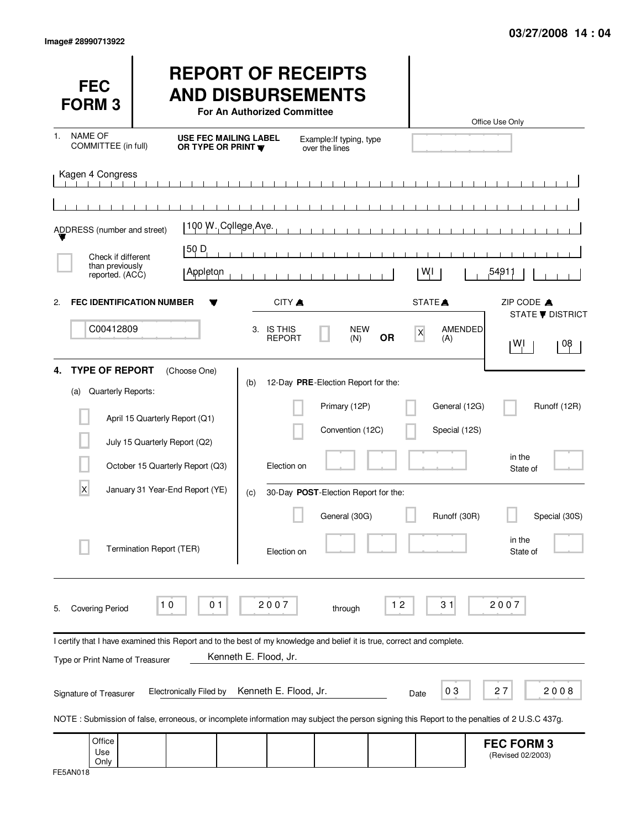| <b>FEC</b><br><b>FORM3</b>                                                                                                                   |                          |                                                                                 | For An Authorized Committee                        |                             | <b>REPORT OF RECEIPTS</b><br><b>AND DISBURSEMENTS</b>                    |           |                    |                                | Office Use Only                        |                               |
|----------------------------------------------------------------------------------------------------------------------------------------------|--------------------------|---------------------------------------------------------------------------------|----------------------------------------------------|-----------------------------|--------------------------------------------------------------------------|-----------|--------------------|--------------------------------|----------------------------------------|-------------------------------|
| NAME OF<br>1.<br>COMMITTEE (in full)                                                                                                         |                          |                                                                                 | <b>USE FEC MAILING LABEL</b><br>OR TYPE OR PRINT W |                             | Example: If typing, type<br>over the lines                               |           |                    |                                |                                        |                               |
| Kagen 4 Congress                                                                                                                             |                          |                                                                                 |                                                    |                             |                                                                          |           |                    |                                |                                        |                               |
|                                                                                                                                              |                          |                                                                                 | 100 W. College Ave.                                |                             |                                                                          |           |                    |                                |                                        |                               |
| ADDRESS (number and street)                                                                                                                  |                          |                                                                                 |                                                    |                             |                                                                          |           |                    |                                |                                        |                               |
| Check if different<br>than previously<br>reported. (ACC)                                                                                     |                          | 50 D<br>Appleton                                                                |                                                    |                             |                                                                          |           | WI                 |                                | 54911,                                 |                               |
| <b>FEC IDENTIFICATION NUMBER</b><br>$\mathbf{2}$                                                                                             |                          |                                                                                 |                                                    | CITY A                      |                                                                          |           | STATE <sup>A</sup> |                                | ZIP CODE A                             |                               |
| C00412809                                                                                                                                    |                          |                                                                                 |                                                    | 3. IS THIS<br><b>REPORT</b> | <b>NEW</b><br>(N)                                                        | <b>OR</b> | $\mathsf{x}$       | AMENDED<br>(A)                 | W]                                     | <b>STATE ▼ DISTRICT</b><br>08 |
| <b>TYPE OF REPORT</b><br>4.<br>Quarterly Reports:<br>(a)                                                                                     |                          | (Choose One)<br>April 15 Quarterly Report (Q1)<br>July 15 Quarterly Report (Q2) | (b)                                                |                             | 12-Day PRE-Election Report for the:<br>Primary (12P)<br>Convention (12C) |           |                    | General (12G)<br>Special (12S) |                                        | Runoff (12R)                  |
|                                                                                                                                              |                          | October 15 Quarterly Report (Q3)                                                |                                                    | Election on                 |                                                                          |           |                    |                                | in the<br>State of                     |                               |
| X                                                                                                                                            |                          | January 31 Year-End Report (YE)                                                 | (c)                                                |                             | 30-Day POST-Election Report for the:                                     |           |                    |                                |                                        |                               |
|                                                                                                                                              | Termination Report (TER) |                                                                                 |                                                    | Election on                 | General (30G)                                                            |           |                    | Runoff (30R)                   | in the<br>State of                     | Special (30S)                 |
| <b>Covering Period</b><br>5.                                                                                                                 | 10                       | 0 <sub>1</sub>                                                                  |                                                    | 2007                        | through                                                                  | 12        |                    | 31                             | 2007                                   |                               |
| I certify that I have examined this Report and to the best of my knowledge and belief it is true, correct and complete.                      |                          |                                                                                 |                                                    |                             |                                                                          |           |                    |                                |                                        |                               |
| Type or Print Name of Treasurer                                                                                                              |                          |                                                                                 | Kenneth E. Flood, Jr.                              |                             |                                                                          |           |                    |                                |                                        |                               |
| Signature of Treasurer                                                                                                                       |                          | <b>Electronically Filed by</b>                                                  |                                                    | Kenneth E. Flood, Jr.       |                                                                          |           | Date               | 03                             | 27                                     | 2008                          |
| NOTE: Submission of false, erroneous, or incomplete information may subject the person signing this Report to the penalties of 2 U.S.C 437g. |                          |                                                                                 |                                                    |                             |                                                                          |           |                    |                                |                                        |                               |
| Office<br>Use<br>Only                                                                                                                        |                          |                                                                                 |                                                    |                             |                                                                          |           |                    |                                | <b>FEC FORM 3</b><br>(Revised 02/2003) |                               |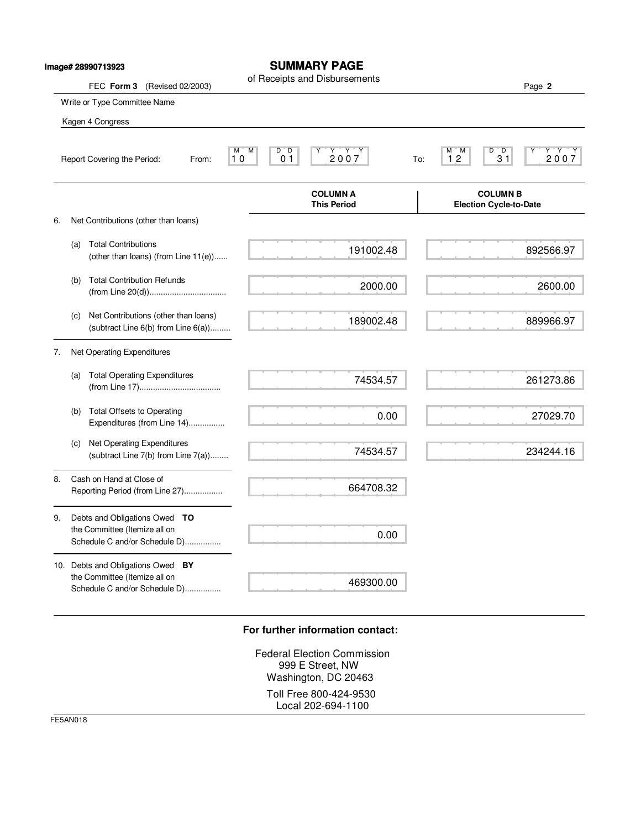|    |     | lmage# 28990713923                                                                                  |                                                                    | <b>SUMMARY PAGE</b>                   |     |                                                      |                 |
|----|-----|-----------------------------------------------------------------------------------------------------|--------------------------------------------------------------------|---------------------------------------|-----|------------------------------------------------------|-----------------|
|    |     | FEC Form 3 (Revised 02/2003)                                                                        |                                                                    | of Receipts and Disbursements         |     |                                                      | Page 2          |
|    |     | Write or Type Committee Name                                                                        |                                                                    |                                       |     |                                                      |                 |
|    |     | Kagen 4 Congress                                                                                    |                                                                    |                                       |     |                                                      |                 |
|    |     | Report Covering the Period:<br>From:                                                                | $\overline{D}$<br>$\overline{D}$<br>M<br>M<br>0 <sub>1</sub><br>10 | $Y+Y$<br>$\frac{Y}{2007}$             | To: | $\overline{D}$<br>$^{\circ}$ D<br>M<br>M<br>12<br>31 | $7.7.7$<br>2007 |
|    |     |                                                                                                     |                                                                    | <b>COLUMN A</b><br><b>This Period</b> |     | <b>COLUMN B</b><br><b>Election Cycle-to-Date</b>     |                 |
| 6. |     | Net Contributions (other than loans)                                                                |                                                                    |                                       |     |                                                      |                 |
|    | (a) | <b>Total Contributions</b><br>(other than loans) (from Line 11(e))                                  |                                                                    | 191002.48                             |     |                                                      | 892566.97       |
|    | (b) | <b>Total Contribution Refunds</b>                                                                   |                                                                    | 2000.00                               |     |                                                      | 2600.00         |
|    | (c) | Net Contributions (other than loans)<br>(subtract Line $6(b)$ from Line $6(a)$ )                    |                                                                    | 189002.48                             |     |                                                      | 889966.97       |
| 7. |     | Net Operating Expenditures                                                                          |                                                                    |                                       |     |                                                      |                 |
|    |     | (a) Total Operating Expenditures                                                                    |                                                                    | 74534.57                              |     |                                                      | 261273.86       |
|    | (b) | <b>Total Offsets to Operating</b><br>Expenditures (from Line 14)                                    |                                                                    | 0.00                                  |     |                                                      | 27029.70        |
|    | (c) | Net Operating Expenditures<br>(subtract Line 7(b) from Line 7(a))                                   |                                                                    | 74534.57                              |     |                                                      | 234244.16       |
| 8. |     | Cash on Hand at Close of<br>Reporting Period (from Line 27)                                         |                                                                    | 664708.32                             |     |                                                      |                 |
| 9. |     | Debts and Obligations Owed TO<br>the Committee (Itemize all on                                      |                                                                    | 0.00                                  |     |                                                      |                 |
|    |     | Schedule C and/or Schedule D)                                                                       |                                                                    |                                       |     |                                                      |                 |
|    |     | 10. Debts and Obligations Owed BY<br>the Committee (Itemize all on<br>Schedule C and/or Schedule D) |                                                                    | 469300.00                             |     |                                                      |                 |

## **For further information contact:**

Federal Election Commission 999 E Street, NW Washington, DC 20463 Toll Free 800-424-9530 Local 202-694-1100

FE5AN018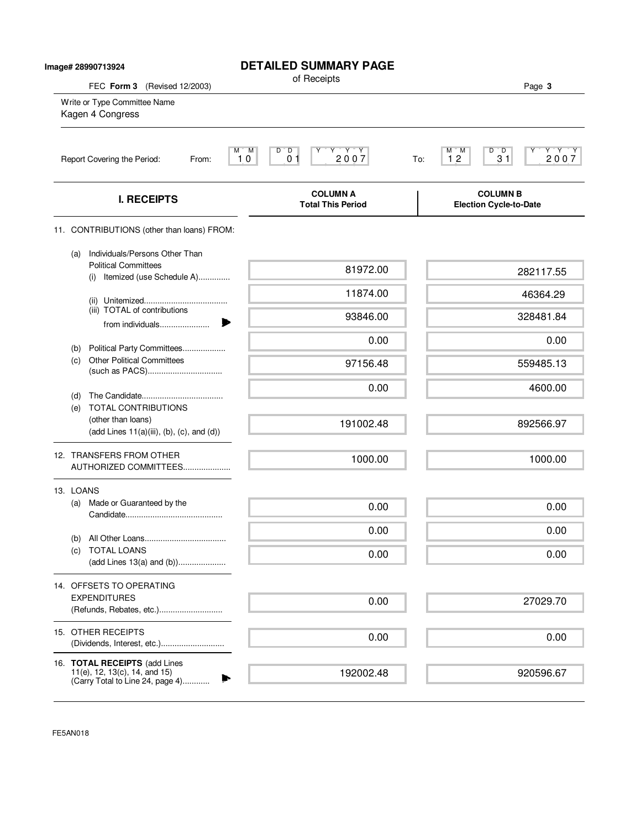| Image# 28990713924                                                            | <b>DETAILED SUMMARY PAGE</b>                                                                                          |                                                                                                           |
|-------------------------------------------------------------------------------|-----------------------------------------------------------------------------------------------------------------------|-----------------------------------------------------------------------------------------------------------|
| FEC Form 3 (Revised 12/2003)                                                  | of Receipts                                                                                                           | Page 3                                                                                                    |
| Write or Type Committee Name<br>Kagen 4 Congress                              |                                                                                                                       |                                                                                                           |
| Report Covering the Period:<br>From:                                          | M<br>$\overline{D}$<br>$\begin{array}{c}\nY & Y & Y \\ 2 & 0 & 0 & 7\n\end{array}$<br>M.<br>D<br>0 <sub>1</sub><br>10 | $D^{\prime}$ $D$<br>$\begin{array}{c}\nY \rightarrow Y \\ 2007\n\end{array}$<br>М<br>M<br>12<br>31<br>To: |
| <b>I. RECEIPTS</b>                                                            | <b>COLUMN A</b><br><b>Total This Period</b>                                                                           | <b>COLUMN B</b><br><b>Election Cycle-to-Date</b>                                                          |
| 11. CONTRIBUTIONS (other than loans) FROM:                                    |                                                                                                                       |                                                                                                           |
| Individuals/Persons Other Than<br>(a)                                         |                                                                                                                       |                                                                                                           |
| <b>Political Committees</b><br>(i) Itemized (use Schedule A)                  | 81972.00                                                                                                              | 282117.55                                                                                                 |
|                                                                               | 11874.00                                                                                                              | 46364.29                                                                                                  |
| (iii) TOTAL of contributions                                                  | 93846.00                                                                                                              | 328481.84                                                                                                 |
| from individuals                                                              | 0.00                                                                                                                  | 0.00                                                                                                      |
| Political Party Committees<br>(b)<br><b>Other Political Committees</b><br>(c) |                                                                                                                       |                                                                                                           |
|                                                                               | 97156.48                                                                                                              | 559485.13                                                                                                 |
| (d)                                                                           | 0.00                                                                                                                  | 4600.00                                                                                                   |
| <b>TOTAL CONTRIBUTIONS</b><br>(e)<br>(other than loans)                       |                                                                                                                       |                                                                                                           |
| $(\text{add Lines } 11(a)(iii), (b), (c), \text{and } (d))$                   | 191002.48                                                                                                             | 892566.97                                                                                                 |
| 12. TRANSFERS FROM OTHER                                                      | 1000.00                                                                                                               | 1000.00                                                                                                   |
| AUTHORIZED COMMITTEES                                                         |                                                                                                                       |                                                                                                           |
| 13. LOANS                                                                     |                                                                                                                       |                                                                                                           |
| Made or Guaranteed by the<br>(a)                                              | 0.00                                                                                                                  | 0.00                                                                                                      |
|                                                                               | 0.00                                                                                                                  | 0.00                                                                                                      |
| (b)<br><b>TOTAL LOANS</b><br>(C)                                              | 0.00                                                                                                                  | 0.00                                                                                                      |
|                                                                               |                                                                                                                       |                                                                                                           |
| 14. OFFSETS TO OPERATING<br><b>EXPENDITURES</b>                               |                                                                                                                       |                                                                                                           |
| (Refunds, Rebates, etc.)                                                      | 0.00                                                                                                                  | 27029.70                                                                                                  |
| 15. OTHER RECEIPTS                                                            | 0.00                                                                                                                  | 0.00                                                                                                      |
|                                                                               |                                                                                                                       |                                                                                                           |
| 16. TOTAL RECEIPTS (add Lines<br>11(e), 12, 13(c), 14, and 15)                | 192002.48                                                                                                             | 920596.67                                                                                                 |
| (Carry Total to Line 24, page 4)                                              |                                                                                                                       |                                                                                                           |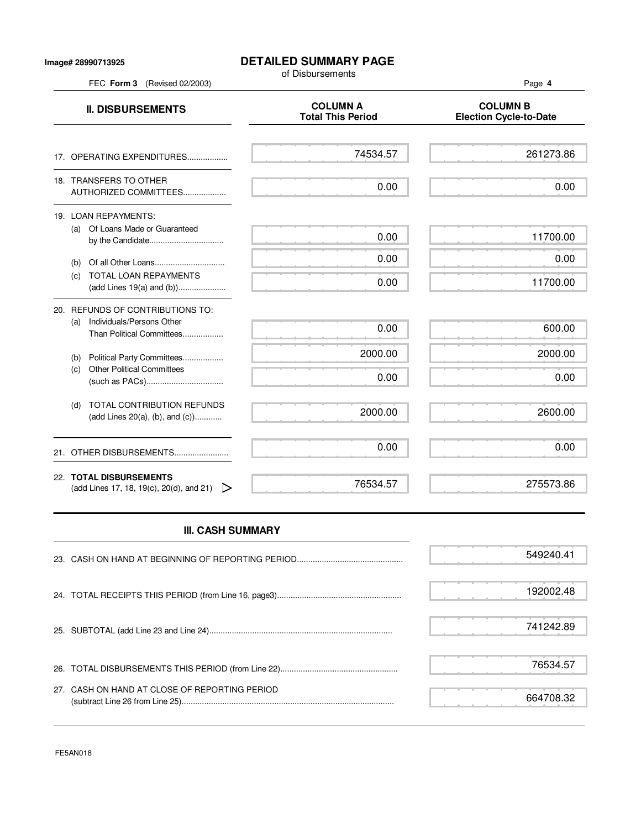## **DETAILED SUMMARY PAGE**

of Disbursements

FEC **Form 3** (Revised 02/2003) Page **4**

**II. DISBURSEMENTS**<br>Total This Period Figures Election Cycle-to **Election Cycle-to-Date** 17. OPERATING EXPENDITURES.................. 18. TRANSFERS TO OTHER AUTHORIZED COMMITTEES................... 19. LOAN REPAYMENTS: (a) Of Loans Made or Guaranteed by the Candidate................................... (b) Of all Other Loans............................... (c) TOTAL LOAN REPAYMENTS (add Lines 19(a) and (b))..................... 20. REFUNDS OF CONTRIBUTIONS TO: (a) Individuals/Persons Other Than Political Committees.................. (b) Political Party Committees.................. (c) Other Political Committees (such as PACs).................................. (d) TOTAL CONTRIBUTION REFUNDS (add Lines 20(a), (b), and (c))............ 21. OTHER DISBURSEMENTS......................... 22. **TOTAL DISBURSEMENTS** (add Lines 17, 18, 19(c), 20(d), and 21)  $\triangleright$ 74534.57 0.00 0.00 0.00 0.00 0.00 2000.00 0.00 2000.00 0.00 76534.57 261273.86 0.00 11700.00 0.00 11700.00 600.00 2000.00 0.00 2600.00 0.00 275573.86

## **III. CASH SUMMARY**

|                                               | 549240.41 |
|-----------------------------------------------|-----------|
|                                               | 192002.48 |
|                                               | 741242.89 |
|                                               | 76534.57  |
| 27. CASH ON HAND AT CLOSE OF REPORTING PERIOD | 664708.32 |

FE5AN018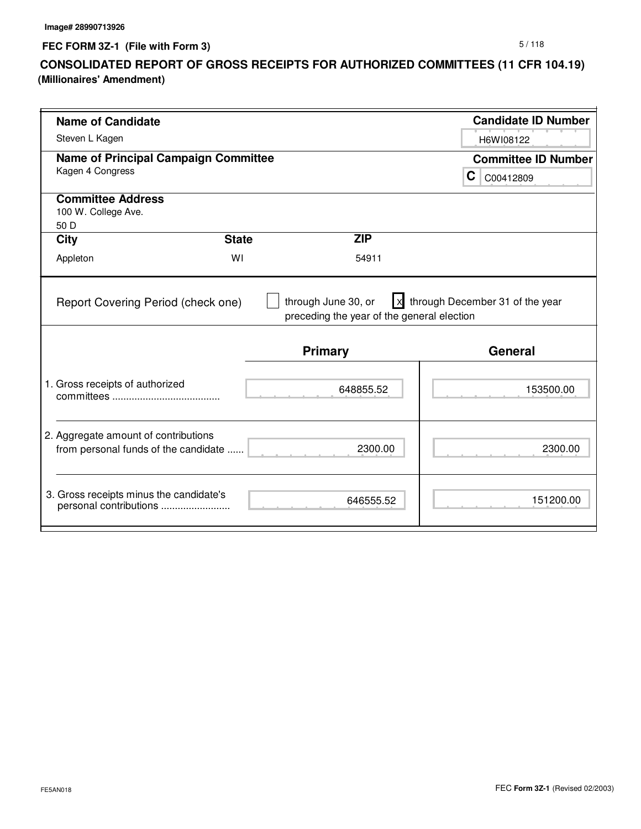**FEC FORM 3Z-1 (File with Form 3)**

## **CONSOLIDATED REPORT OF GROSS RECEIPTS FOR AUTHORIZED COMMITTEES (11 CFR 104.19) (Millionaires' Amendment)**

| <b>Name of Candidate</b>                    |              |                                                              | <b>Candidate ID Number</b> |  |
|---------------------------------------------|--------------|--------------------------------------------------------------|----------------------------|--|
| Steven L Kagen                              |              |                                                              | H6WI08122                  |  |
|                                             |              |                                                              |                            |  |
| <b>Name of Principal Campaign Committee</b> |              |                                                              | <b>Committee ID Number</b> |  |
| Kagen 4 Congress                            |              |                                                              | C.<br>C00412809            |  |
| <b>Committee Address</b>                    |              |                                                              |                            |  |
| 100 W. College Ave.                         |              |                                                              |                            |  |
| 50 D                                        |              |                                                              |                            |  |
| <b>City</b>                                 | <b>State</b> | <b>ZIP</b>                                                   |                            |  |
| Appleton                                    | WI           | 54911                                                        |                            |  |
| Report Covering Period (check one)          |              | preceding the year of the general election<br><b>Primary</b> | <b>General</b>             |  |
|                                             |              |                                                              |                            |  |
| 1. Gross receipts of authorized             |              | 648855.52                                                    | 153500.00                  |  |
|                                             |              |                                                              |                            |  |
| 2. Aggregate amount of contributions        |              |                                                              |                            |  |
| from personal funds of the candidate        |              | 2300.00                                                      | 2300.00                    |  |
|                                             |              |                                                              |                            |  |
| 3. Gross receipts minus the candidate's     |              | 646555.52                                                    | 151200.00                  |  |
| personal contributions                      |              |                                                              |                            |  |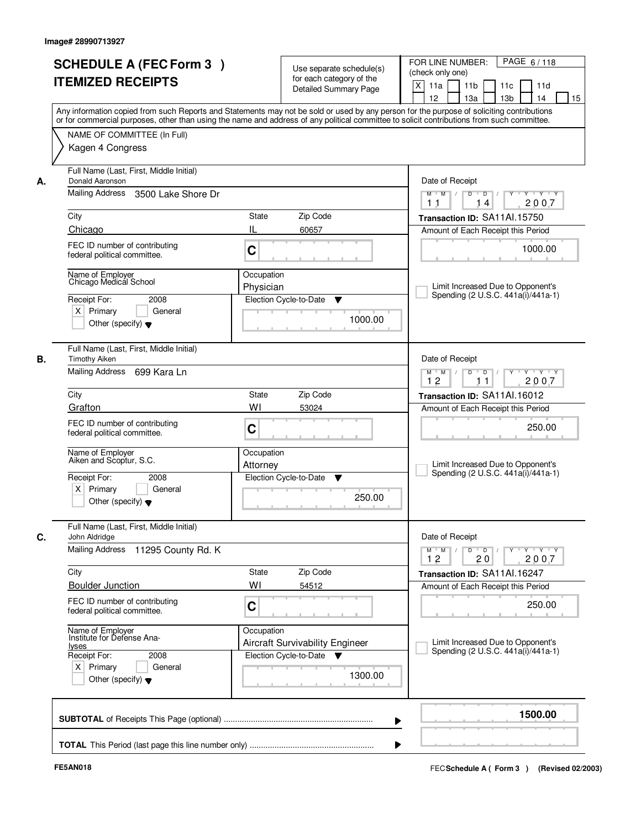| <b>SCHEDULE A (FEC Form 3)</b><br><b>ITEMIZED RECEIPTS</b>                                                                            |                    | Use separate schedule(s)<br>for each category of the<br><b>Detailed Summary Page</b>    | PAGE 6/118<br>FOR LINE NUMBER:<br>(check only one)<br>X<br>11 <sub>b</sub><br>11a<br>11 <sub>c</sub><br>11d<br>12<br>13 <sub>b</sub><br>14<br>13a<br>15<br>Any information copied from such Reports and Statements may not be sold or used by any person for the purpose of soliciting contributions |
|---------------------------------------------------------------------------------------------------------------------------------------|--------------------|-----------------------------------------------------------------------------------------|------------------------------------------------------------------------------------------------------------------------------------------------------------------------------------------------------------------------------------------------------------------------------------------------------|
| NAME OF COMMITTEE (In Full)<br>Kagen 4 Congress                                                                                       |                    |                                                                                         | or for commercial purposes, other than using the name and address of any political committee to solicit contributions from such committee.                                                                                                                                                           |
| Full Name (Last, First, Middle Initial)<br>Donald Aaronson<br>А.<br>Mailing Address                                                   | 3500 Lake Shore Dr |                                                                                         | Date of Receipt<br>$Y$ $Y$ $Y$<br>$D$ $D$ $/$<br>$Y^+$<br>$M$ $M$ /<br>2007<br>1 <sub>1</sub><br>14                                                                                                                                                                                                  |
| City                                                                                                                                  | <b>State</b>       | Zip Code                                                                                | Transaction ID: SA11Al.15750                                                                                                                                                                                                                                                                         |
| Chicago                                                                                                                               | IL                 | 60657                                                                                   | Amount of Each Receipt this Period                                                                                                                                                                                                                                                                   |
| FEC ID number of contributing<br>federal political committee.                                                                         | C                  |                                                                                         | 1000.00                                                                                                                                                                                                                                                                                              |
| Name of Employer<br>Chicago Medical School<br>Receipt For:<br>$X$ Primary<br>Other (specify) $\blacktriangledown$                     | 2008<br>General    | Occupation<br>Physician<br>Election Cycle-to-Date<br>v<br>1000.00                       | Limit Increased Due to Opponent's<br>Spending (2 U.S.C. 441a(i)/441a-1)                                                                                                                                                                                                                              |
| Full Name (Last, First, Middle Initial)<br><b>Timothy Aiken</b><br>В.<br>Mailing Address 699 Kara Ln                                  |                    |                                                                                         | Date of Receipt<br>$Y \vdash Y \vdash Y$<br>$M$ $M$ /<br>D<br>$\Box$<br>Y<br>12<br>2007<br>11                                                                                                                                                                                                        |
| City                                                                                                                                  |                    | Zip Code<br>State                                                                       | Transaction ID: SA11Al.16012                                                                                                                                                                                                                                                                         |
| Grafton                                                                                                                               | WI                 | 53024                                                                                   | Amount of Each Receipt this Period                                                                                                                                                                                                                                                                   |
| FEC ID number of contributing<br>federal political committee.                                                                         | C                  |                                                                                         | 250.00                                                                                                                                                                                                                                                                                               |
| Name of Employer<br>Aiken and Scoptur, S.C.                                                                                           |                    | Occupation<br>Attorney                                                                  | Limit Increased Due to Opponent's<br>Spending (2 U.S.C. 441a(i)/441a-1)                                                                                                                                                                                                                              |
| Receipt For:<br>$X$ Primary<br>Other (specify) $\blacktriangledown$                                                                   | 2008<br>General    | Election Cycle-to-Date<br>▼<br>250.00                                                   |                                                                                                                                                                                                                                                                                                      |
| Full Name (Last, First, Middle Initial)<br>C.<br>John Aldridge                                                                        |                    |                                                                                         | Date of Receipt                                                                                                                                                                                                                                                                                      |
| Mailing Address                                                                                                                       | 11295 County Rd. K |                                                                                         | $M$ $M$ $M$<br>$D$ $D$ $/$<br>Y 'Y 'Y<br>$Y$ <sup>U</sup><br>12<br>20<br>2007                                                                                                                                                                                                                        |
| City                                                                                                                                  | WI                 | Zip Code<br>State                                                                       | Transaction ID: SA11Al.16247                                                                                                                                                                                                                                                                         |
| <b>Boulder Junction</b><br>FEC ID number of contributing<br>federal political committee.                                              | C                  | 54512                                                                                   | Amount of Each Receipt this Period<br>250.00                                                                                                                                                                                                                                                         |
| Name of Employer<br>Institute for Defense Ana-<br><u>lyses</u><br>Receipt For:<br>$X$ Primary<br>Other (specify) $\blacktriangledown$ | 2008<br>General    | Occupation<br>Aircraft Survivability Engineer<br>Election Cycle-to-Date<br>▼<br>1300.00 | Limit Increased Due to Opponent's<br>Spending (2 U.S.C. 441a(i)/441a-1)                                                                                                                                                                                                                              |
|                                                                                                                                       |                    |                                                                                         | 1500.00                                                                                                                                                                                                                                                                                              |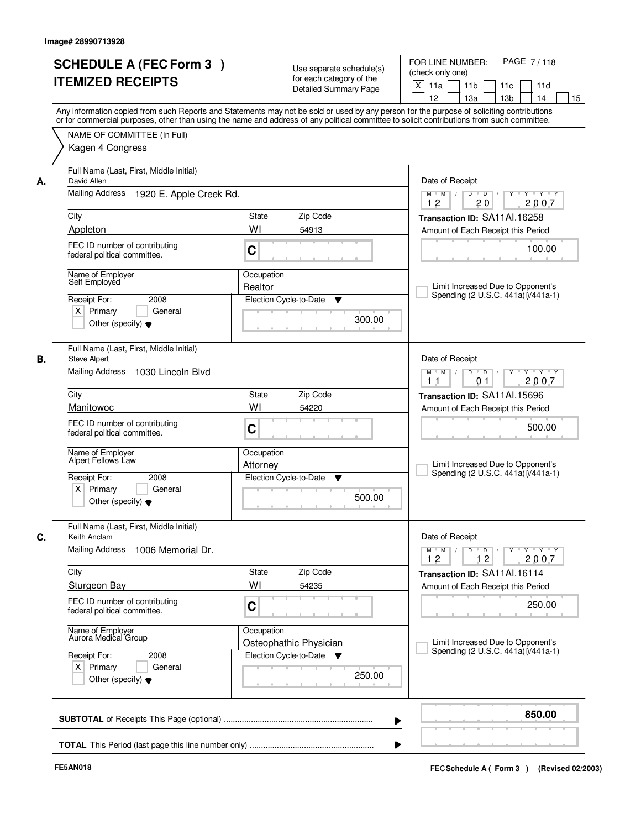|    | <b>SCHEDULE A (FEC Form 3)</b><br><b>ITEMIZED RECEIPTS</b>                                                                                                                                    |                        | Use separate schedule(s)<br>for each category of the<br><b>Detailed Summary Page</b> | PAGE 7/118<br>FOR LINE NUMBER:<br>(check only one)<br>X<br>11a<br>11 <sub>b</sub><br>11c<br>11d<br>12<br>13a<br>13 <sub>b</sub><br>14<br>15<br>Any information copied from such Reports and Statements may not be sold or used by any person for the purpose of soliciting contributions |
|----|-----------------------------------------------------------------------------------------------------------------------------------------------------------------------------------------------|------------------------|--------------------------------------------------------------------------------------|------------------------------------------------------------------------------------------------------------------------------------------------------------------------------------------------------------------------------------------------------------------------------------------|
|    | or for commercial purposes, other than using the name and address of any political committee to solicit contributions from such committee.<br>NAME OF COMMITTEE (In Full)<br>Kagen 4 Congress |                        |                                                                                      |                                                                                                                                                                                                                                                                                          |
| А. | Full Name (Last, First, Middle Initial)<br>David Allen                                                                                                                                        |                        |                                                                                      | Date of Receipt                                                                                                                                                                                                                                                                          |
|    | Mailing Address<br>1920 E. Apple Creek Rd.                                                                                                                                                    |                        |                                                                                      | $Y + Y + Y$<br>$D$ $D$ $I$<br>$Y^-$<br>$M$ $M$ /<br>12<br>20<br>2007                                                                                                                                                                                                                     |
|    | City                                                                                                                                                                                          | State                  | Zip Code                                                                             | Transaction ID: SA11Al.16258                                                                                                                                                                                                                                                             |
|    | Appleton                                                                                                                                                                                      | WI                     | 54913                                                                                | Amount of Each Receipt this Period                                                                                                                                                                                                                                                       |
|    | FEC ID number of contributing<br>federal political committee.                                                                                                                                 | C                      |                                                                                      | 100.00                                                                                                                                                                                                                                                                                   |
|    | Name of Employer<br>Self Employed<br>2008<br>Receipt For:                                                                                                                                     | Occupation<br>Realtor  | Election Cycle-to-Date<br>▼                                                          | Limit Increased Due to Opponent's<br>Spending (2 U.S.C. 441a(i)/441a-1)                                                                                                                                                                                                                  |
|    | $X$ Primary<br>General<br>Other (specify) $\blacktriangledown$                                                                                                                                |                        | 300.00                                                                               |                                                                                                                                                                                                                                                                                          |
| В. | Full Name (Last, First, Middle Initial)                                                                                                                                                       |                        |                                                                                      |                                                                                                                                                                                                                                                                                          |
|    | <b>Steve Alpert</b><br><b>Mailing Address</b><br>1030 Lincoln Blvd                                                                                                                            |                        |                                                                                      | Date of Receipt<br>$Y - Y - Y$<br>$M$ $M$ /<br>D<br>$\Box$<br>2007<br>1 <sub>1</sub><br>01                                                                                                                                                                                               |
|    | City                                                                                                                                                                                          | <b>State</b>           | Zip Code                                                                             | Transaction ID: SA11Al.15696                                                                                                                                                                                                                                                             |
|    | Manitowoc                                                                                                                                                                                     | WI                     | 54220                                                                                | Amount of Each Receipt this Period                                                                                                                                                                                                                                                       |
|    | FEC ID number of contributing<br>federal political committee.                                                                                                                                 | C                      |                                                                                      | 500.00                                                                                                                                                                                                                                                                                   |
|    | Name of Employer<br>Alpert Fellows Law                                                                                                                                                        | Occupation<br>Attorney |                                                                                      | Limit Increased Due to Opponent's<br>Spending (2 U.S.C. 441a(i)/441a-1)                                                                                                                                                                                                                  |
|    | Receipt For:<br>2008<br>$X$ Primary<br>General<br>Other (specify) $\blacktriangledown$                                                                                                        |                        | Election Cycle-to-Date<br>▼<br>500.00                                                |                                                                                                                                                                                                                                                                                          |
|    | Full Name (Last, First, Middle Initial)<br>Keith Anclam<br><b>Mailing Address</b><br>1006 Memorial Dr.                                                                                        |                        |                                                                                      | Date of Receipt<br>$\mathsf{Y} \dashv \mathsf{Y} \dashv \mathsf{Y} \dashv \mathsf{Y}$<br>$M$ $M$ $M$<br>$D$ $D$ $I$<br>12<br>12<br>2007                                                                                                                                                  |
|    | City                                                                                                                                                                                          | State                  | Zip Code                                                                             | Transaction ID: SA11Al.16114                                                                                                                                                                                                                                                             |
|    | <b>Sturgeon Bay</b>                                                                                                                                                                           | WI                     | 54235                                                                                | Amount of Each Receipt this Period                                                                                                                                                                                                                                                       |
|    | FEC ID number of contributing<br>federal political committee.                                                                                                                                 | C                      |                                                                                      | 250.00                                                                                                                                                                                                                                                                                   |
|    | Name of Employer<br>Aurora Medical Group                                                                                                                                                      | Occupation             | Osteophathic Physician                                                               | Limit Increased Due to Opponent's<br>Spending (2 U.S.C. 441a(i)/441a-1)                                                                                                                                                                                                                  |
|    | Receipt For:<br>2008<br>$X$ Primary<br>General<br>Other (specify) $\blacktriangledown$                                                                                                        |                        | Election Cycle-to-Date ▼<br>250.00                                                   |                                                                                                                                                                                                                                                                                          |
|    |                                                                                                                                                                                               |                        |                                                                                      | 850.00                                                                                                                                                                                                                                                                                   |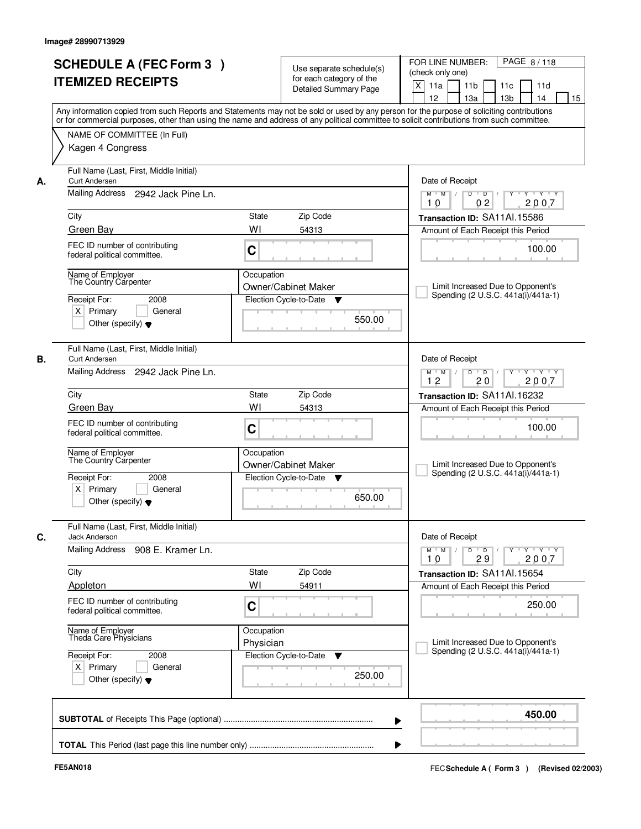| <b>ITEMIZED RECEIPTS</b>                                                                                         | <b>SCHEDULE A (FEC Form 3)</b>                                                |                         | Use separate schedule(s)<br>for each category of the<br><b>Detailed Summary Page</b> | PAGE 8/118<br>FOR LINE NUMBER:<br>(check only one)<br>X<br>11 <sub>b</sub><br>11a<br>11 <sub>c</sub><br>11d<br>12<br>13 <sub>b</sub><br>14<br>13a<br>Any information copied from such Reports and Statements may not be sold or used by any person for the purpose of soliciting contributions |
|------------------------------------------------------------------------------------------------------------------|-------------------------------------------------------------------------------|-------------------------|--------------------------------------------------------------------------------------|------------------------------------------------------------------------------------------------------------------------------------------------------------------------------------------------------------------------------------------------------------------------------------------------|
| NAME OF COMMITTEE (In Full)<br>Kagen 4 Congress                                                                  |                                                                               |                         |                                                                                      | or for commercial purposes, other than using the name and address of any political committee to solicit contributions from such committee.                                                                                                                                                     |
| <b>Curt Andersen</b><br>А.                                                                                       | Full Name (Last, First, Middle Initial)<br>Mailing Address 2942 Jack Pine Ln. |                         |                                                                                      | Date of Receipt<br>$Y + Y + Y$<br>$M$ $M$ /<br>$D$ $D$ $1$<br>$Y^+$                                                                                                                                                                                                                            |
| City                                                                                                             |                                                                               | <b>State</b>            | Zip Code                                                                             | 0 <sub>2</sub><br>2007<br>10<br>Transaction ID: SA11Al.15586                                                                                                                                                                                                                                   |
| Green Bay                                                                                                        |                                                                               | WI                      | 54313                                                                                | Amount of Each Receipt this Period                                                                                                                                                                                                                                                             |
| FEC ID number of contributing<br>federal political committee.                                                    |                                                                               | C                       |                                                                                      | 100.00                                                                                                                                                                                                                                                                                         |
| Name of Emplover<br>The Country Carpenter<br>Receipt For:<br>$X$ Primary<br>Other (specify) $\blacktriangledown$ | 2008<br>General                                                               | Occupation              | Owner/Cabinet Maker<br>Election Cycle-to-Date<br>v<br>550.00                         | Limit Increased Due to Opponent's<br>Spending (2 U.S.C. 441a(i)/441a-1)                                                                                                                                                                                                                        |
| <b>Curt Andersen</b><br>В.                                                                                       | Full Name (Last, First, Middle Initial)<br>Mailing Address 2942 Jack Pine Ln. |                         |                                                                                      | Date of Receipt<br>Y Y Y Y<br>$M$ $M$ /<br>D<br>$\overline{D}$<br>Y                                                                                                                                                                                                                            |
|                                                                                                                  |                                                                               |                         |                                                                                      | 12<br>20<br>2007                                                                                                                                                                                                                                                                               |
| City                                                                                                             |                                                                               | State<br>WI             | Zip Code                                                                             | Transaction ID: SA11Al.16232                                                                                                                                                                                                                                                                   |
| Green Bay<br>FEC ID number of contributing<br>federal political committee.                                       |                                                                               | C                       | 54313                                                                                | Amount of Each Receipt this Period<br>100.00                                                                                                                                                                                                                                                   |
| Name of Employer<br>The Country Carpenter                                                                        |                                                                               | Occupation              | <b>Owner/Cabinet Maker</b>                                                           | Limit Increased Due to Opponent's<br>Spending (2 U.S.C. 441a(i)/441a-1)                                                                                                                                                                                                                        |
| Receipt For:<br>$X$ Primary<br>Other (specify) $\blacktriangledown$                                              | 2008<br>General                                                               |                         | Election Cycle-to-Date<br>v<br>650.00                                                |                                                                                                                                                                                                                                                                                                |
| C.<br><b>Jack Anderson</b>                                                                                       | Full Name (Last, First, Middle Initial)                                       |                         |                                                                                      | Date of Receipt                                                                                                                                                                                                                                                                                |
|                                                                                                                  | Mailing Address 908 E. Kramer Ln.                                             |                         |                                                                                      | $M$ $M$ $/$<br>$D$ $D$ $/$<br>Y 'Y 'Y<br>$Y^+$<br>10<br>29<br>2007                                                                                                                                                                                                                             |
| City                                                                                                             |                                                                               | State                   | Zip Code                                                                             | Transaction ID: SA11Al.15654                                                                                                                                                                                                                                                                   |
| Appleton                                                                                                         |                                                                               | WI                      | 54911                                                                                | Amount of Each Receipt this Period                                                                                                                                                                                                                                                             |
| FEC ID number of contributing<br>federal political committee.                                                    |                                                                               | C                       |                                                                                      | 250.00                                                                                                                                                                                                                                                                                         |
| Name of Employer<br>Theda Care Physicians                                                                        |                                                                               | Occupation<br>Physician |                                                                                      | Limit Increased Due to Opponent's<br>Spending (2 U.S.C. 441a(i)/441a-1)                                                                                                                                                                                                                        |
| Receipt For:<br>$X$ Primary<br>Other (specify) $\blacktriangledown$                                              | 2008<br>General                                                               |                         | Election Cycle-to-Date<br>v<br>250.00                                                |                                                                                                                                                                                                                                                                                                |
|                                                                                                                  |                                                                               |                         |                                                                                      | 450.00                                                                                                                                                                                                                                                                                         |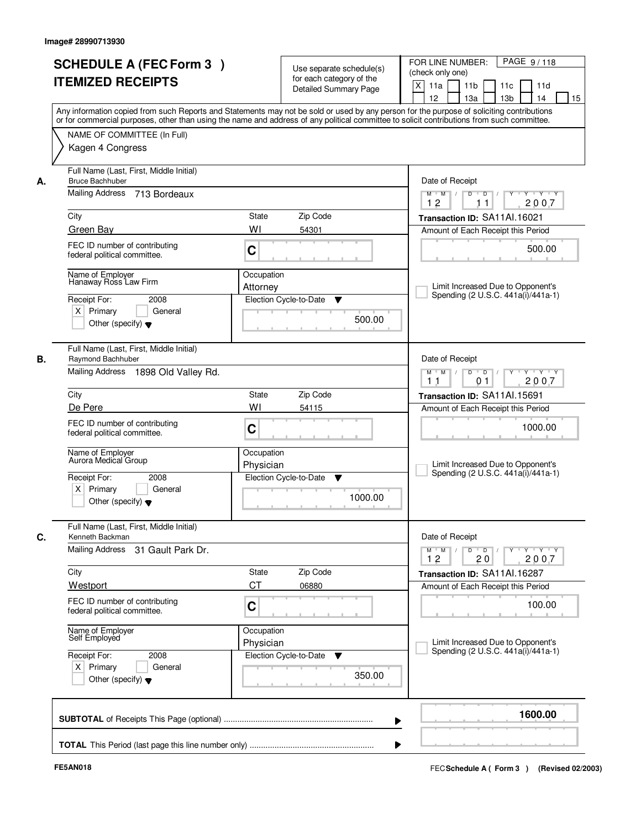| <b>SCHEDULE A (FEC Form 3)</b><br><b>ITEMIZED RECEIPTS</b>                                                                          | Use separate schedule(s)<br>for each category of the<br><b>Detailed Summary Page</b><br>Any information copied from such Reports and Statements may not be sold or used by any person for the purpose of soliciting contributions | PAGE 9/118<br>FOR LINE NUMBER:<br>(check only one)<br>X<br>11 <sub>b</sub><br>11a<br>11 <sub>c</sub><br>11d<br>12<br>13 <sub>b</sub><br>14<br>13a<br>15 |
|-------------------------------------------------------------------------------------------------------------------------------------|-----------------------------------------------------------------------------------------------------------------------------------------------------------------------------------------------------------------------------------|---------------------------------------------------------------------------------------------------------------------------------------------------------|
| NAME OF COMMITTEE (In Full)<br>Kagen 4 Congress                                                                                     | or for commercial purposes, other than using the name and address of any political committee to solicit contributions from such committee.                                                                                        |                                                                                                                                                         |
| Full Name (Last, First, Middle Initial)<br><b>Bruce Bachhuber</b><br>А.<br>Mailing Address<br>713 Bordeaux                          |                                                                                                                                                                                                                                   | Date of Receipt<br>$Y$ $Y$ $Y$<br>$D$ $D$ $/$<br>$Y$ <sup>U</sup><br>$M$ $M$ /                                                                          |
| City<br>Green Bay                                                                                                                   | State<br>Zip Code<br>WI<br>54301                                                                                                                                                                                                  | 12<br>2007<br>11<br>Transaction ID: SA11Al.16021<br>Amount of Each Receipt this Period                                                                  |
| FEC ID number of contributing<br>federal political committee.                                                                       | C                                                                                                                                                                                                                                 | 500.00                                                                                                                                                  |
| Name of Employer<br>Hanaway Ross Law Firm<br>Receipt For:<br>2008<br>$X$ Primary<br>General<br>Other (specify) $\blacktriangledown$ | Occupation<br>Attorney<br>Election Cycle-to-Date<br>▼<br>500.00                                                                                                                                                                   | Limit Increased Due to Opponent's<br>Spending (2 U.S.C. 441a(i)/441a-1)                                                                                 |
| Full Name (Last, First, Middle Initial)<br>Raymond Bachhuber<br>В.<br>Mailing Address 1898 Old Valley Rd.                           |                                                                                                                                                                                                                                   | Date of Receipt<br>$Y \vdash Y \vdash Y$<br>$M$ $M$ /<br>D<br>$\overline{D}$<br>Y<br>2007<br>11<br>01                                                   |
| City                                                                                                                                | Zip Code<br>State                                                                                                                                                                                                                 | Transaction ID: SA11Al.15691                                                                                                                            |
| De Pere<br>FEC ID number of contributing<br>federal political committee.                                                            | WI<br>54115<br>C                                                                                                                                                                                                                  | Amount of Each Receipt this Period<br>1000.00                                                                                                           |
| Name of Employer<br>Aurora Medical Group<br>Receipt For:<br>2008<br>$X$ Primary<br>General<br>Other (specify) $\blacktriangledown$  | Occupation<br>Physician<br>Election Cycle-to-Date<br>▼<br>1000.00                                                                                                                                                                 | Limit Increased Due to Opponent's<br>Spending (2 U.S.C. 441a(i)/441a-1)                                                                                 |
| Full Name (Last, First, Middle Initial)<br>C.<br>Kenneth Backman                                                                    |                                                                                                                                                                                                                                   | Date of Receipt                                                                                                                                         |
| Mailing Address<br>31 Gault Park Dr.                                                                                                |                                                                                                                                                                                                                                   | $M$ $M$ $M$<br>$D$ $D$ $/$<br>Y 'Y 'Y<br>$Y^+$<br>12<br>20<br>2007                                                                                      |
| City                                                                                                                                | Zip Code<br>State<br>CT                                                                                                                                                                                                           | Transaction ID: SA11Al.16287                                                                                                                            |
| Westport<br>FEC ID number of contributing<br>federal political committee.                                                           | 06880<br>C                                                                                                                                                                                                                        | Amount of Each Receipt this Period<br>100.00                                                                                                            |
| Name of Employer<br>Self Employed                                                                                                   | Occupation<br>Physician                                                                                                                                                                                                           | Limit Increased Due to Opponent's<br>Spending (2 U.S.C. 441a(i)/441a-1)                                                                                 |
| Receipt For:<br>2008<br>$X$ Primary<br>General<br>Other (specify) $\blacktriangledown$                                              | Election Cycle-to-Date<br>▼<br>350.00                                                                                                                                                                                             |                                                                                                                                                         |
|                                                                                                                                     |                                                                                                                                                                                                                                   | 1600.00                                                                                                                                                 |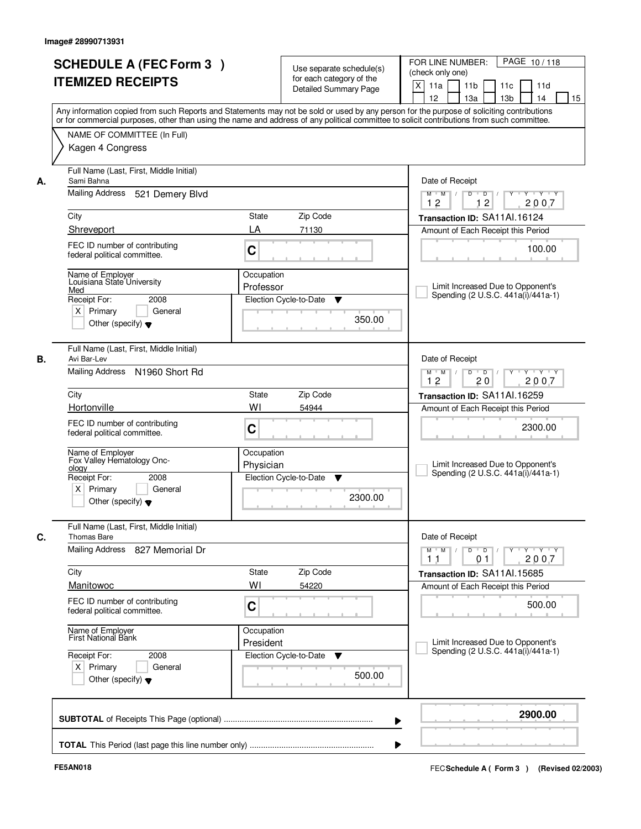| PAGE 10/118<br>FOR LINE NUMBER:<br>Use separate schedule(s)<br>(check only one)<br>for each category of the<br>$\boldsymbol{\mathsf{X}}$<br>11 <sub>b</sub><br>11a<br>11c<br>11d<br><b>Detailed Summary Page</b><br>12<br>13a<br>13 <sub>b</sub><br>14<br>Any information copied from such Reports and Statements may not be sold or used by any person for the purpose of soliciting contributions<br>or for commercial purposes, other than using the name and address of any political committee to solicit contributions from such committee.<br>Date of Receipt<br>$\overline{D}$<br>Y Y Y Y<br>$M$ $M$ /<br>D<br>Y<br>12<br>2007<br>12<br>Zip Code<br>Transaction ID: SA11Al.16124<br>71130<br>Amount of Each Receipt this Period<br>100.00<br>Limit Increased Due to Opponent's<br>Spending (2 U.S.C. 441a(i)/441a-1) |
|------------------------------------------------------------------------------------------------------------------------------------------------------------------------------------------------------------------------------------------------------------------------------------------------------------------------------------------------------------------------------------------------------------------------------------------------------------------------------------------------------------------------------------------------------------------------------------------------------------------------------------------------------------------------------------------------------------------------------------------------------------------------------------------------------------------------------|
|                                                                                                                                                                                                                                                                                                                                                                                                                                                                                                                                                                                                                                                                                                                                                                                                                              |
|                                                                                                                                                                                                                                                                                                                                                                                                                                                                                                                                                                                                                                                                                                                                                                                                                              |
|                                                                                                                                                                                                                                                                                                                                                                                                                                                                                                                                                                                                                                                                                                                                                                                                                              |
|                                                                                                                                                                                                                                                                                                                                                                                                                                                                                                                                                                                                                                                                                                                                                                                                                              |
|                                                                                                                                                                                                                                                                                                                                                                                                                                                                                                                                                                                                                                                                                                                                                                                                                              |
|                                                                                                                                                                                                                                                                                                                                                                                                                                                                                                                                                                                                                                                                                                                                                                                                                              |
|                                                                                                                                                                                                                                                                                                                                                                                                                                                                                                                                                                                                                                                                                                                                                                                                                              |
|                                                                                                                                                                                                                                                                                                                                                                                                                                                                                                                                                                                                                                                                                                                                                                                                                              |
|                                                                                                                                                                                                                                                                                                                                                                                                                                                                                                                                                                                                                                                                                                                                                                                                                              |
|                                                                                                                                                                                                                                                                                                                                                                                                                                                                                                                                                                                                                                                                                                                                                                                                                              |
|                                                                                                                                                                                                                                                                                                                                                                                                                                                                                                                                                                                                                                                                                                                                                                                                                              |
|                                                                                                                                                                                                                                                                                                                                                                                                                                                                                                                                                                                                                                                                                                                                                                                                                              |
|                                                                                                                                                                                                                                                                                                                                                                                                                                                                                                                                                                                                                                                                                                                                                                                                                              |
|                                                                                                                                                                                                                                                                                                                                                                                                                                                                                                                                                                                                                                                                                                                                                                                                                              |
|                                                                                                                                                                                                                                                                                                                                                                                                                                                                                                                                                                                                                                                                                                                                                                                                                              |
|                                                                                                                                                                                                                                                                                                                                                                                                                                                                                                                                                                                                                                                                                                                                                                                                                              |
|                                                                                                                                                                                                                                                                                                                                                                                                                                                                                                                                                                                                                                                                                                                                                                                                                              |
|                                                                                                                                                                                                                                                                                                                                                                                                                                                                                                                                                                                                                                                                                                                                                                                                                              |
| v                                                                                                                                                                                                                                                                                                                                                                                                                                                                                                                                                                                                                                                                                                                                                                                                                            |
| Election Cycle-to-Date                                                                                                                                                                                                                                                                                                                                                                                                                                                                                                                                                                                                                                                                                                                                                                                                       |
| 350.00                                                                                                                                                                                                                                                                                                                                                                                                                                                                                                                                                                                                                                                                                                                                                                                                                       |
|                                                                                                                                                                                                                                                                                                                                                                                                                                                                                                                                                                                                                                                                                                                                                                                                                              |
|                                                                                                                                                                                                                                                                                                                                                                                                                                                                                                                                                                                                                                                                                                                                                                                                                              |
| Date of Receipt                                                                                                                                                                                                                                                                                                                                                                                                                                                                                                                                                                                                                                                                                                                                                                                                              |
| D<br>$\blacksquare$ $\blacksquare$ $\blacksquare$ $\blacksquare$ $\blacksquare$<br>Y Y Y Y<br>$M$ $M$ /<br>$Y$ <sup>U</sup>                                                                                                                                                                                                                                                                                                                                                                                                                                                                                                                                                                                                                                                                                                  |
| 12<br>20<br>2007                                                                                                                                                                                                                                                                                                                                                                                                                                                                                                                                                                                                                                                                                                                                                                                                             |
| Zip Code<br>Transaction ID: SA11Al.16259                                                                                                                                                                                                                                                                                                                                                                                                                                                                                                                                                                                                                                                                                                                                                                                     |
| 54944<br>Amount of Each Receipt this Period                                                                                                                                                                                                                                                                                                                                                                                                                                                                                                                                                                                                                                                                                                                                                                                  |
| 2300.00                                                                                                                                                                                                                                                                                                                                                                                                                                                                                                                                                                                                                                                                                                                                                                                                                      |
|                                                                                                                                                                                                                                                                                                                                                                                                                                                                                                                                                                                                                                                                                                                                                                                                                              |
|                                                                                                                                                                                                                                                                                                                                                                                                                                                                                                                                                                                                                                                                                                                                                                                                                              |
| Limit Increased Due to Opponent's                                                                                                                                                                                                                                                                                                                                                                                                                                                                                                                                                                                                                                                                                                                                                                                            |
| Spending (2 U.S.C. 441a(i)/441a-1)<br>Election Cycle-to-Date<br>▼                                                                                                                                                                                                                                                                                                                                                                                                                                                                                                                                                                                                                                                                                                                                                            |
|                                                                                                                                                                                                                                                                                                                                                                                                                                                                                                                                                                                                                                                                                                                                                                                                                              |
| 2300.00                                                                                                                                                                                                                                                                                                                                                                                                                                                                                                                                                                                                                                                                                                                                                                                                                      |
|                                                                                                                                                                                                                                                                                                                                                                                                                                                                                                                                                                                                                                                                                                                                                                                                                              |
|                                                                                                                                                                                                                                                                                                                                                                                                                                                                                                                                                                                                                                                                                                                                                                                                                              |
| Date of Receipt                                                                                                                                                                                                                                                                                                                                                                                                                                                                                                                                                                                                                                                                                                                                                                                                              |
| $M$ $M$<br>$D$ $D$ $/$<br>$Y$ <sup>U</sup><br>$\mathsf{Y} \dashv \mathsf{Y} \dashv \mathsf{Y}$                                                                                                                                                                                                                                                                                                                                                                                                                                                                                                                                                                                                                                                                                                                               |
| 2007<br>0 <sub>1</sub><br>11                                                                                                                                                                                                                                                                                                                                                                                                                                                                                                                                                                                                                                                                                                                                                                                                 |
| Zip Code<br>Transaction ID: SA11Al.15685                                                                                                                                                                                                                                                                                                                                                                                                                                                                                                                                                                                                                                                                                                                                                                                     |
| 54220<br>Amount of Each Receipt this Period                                                                                                                                                                                                                                                                                                                                                                                                                                                                                                                                                                                                                                                                                                                                                                                  |
| 500.00                                                                                                                                                                                                                                                                                                                                                                                                                                                                                                                                                                                                                                                                                                                                                                                                                       |
|                                                                                                                                                                                                                                                                                                                                                                                                                                                                                                                                                                                                                                                                                                                                                                                                                              |
|                                                                                                                                                                                                                                                                                                                                                                                                                                                                                                                                                                                                                                                                                                                                                                                                                              |
| Limit Increased Due to Opponent's                                                                                                                                                                                                                                                                                                                                                                                                                                                                                                                                                                                                                                                                                                                                                                                            |
| Spending (2 U.S.C. 441a(i)/441a-1)<br>Election Cycle-to-Date<br>v                                                                                                                                                                                                                                                                                                                                                                                                                                                                                                                                                                                                                                                                                                                                                            |
|                                                                                                                                                                                                                                                                                                                                                                                                                                                                                                                                                                                                                                                                                                                                                                                                                              |
| 500.00                                                                                                                                                                                                                                                                                                                                                                                                                                                                                                                                                                                                                                                                                                                                                                                                                       |
|                                                                                                                                                                                                                                                                                                                                                                                                                                                                                                                                                                                                                                                                                                                                                                                                                              |
|                                                                                                                                                                                                                                                                                                                                                                                                                                                                                                                                                                                                                                                                                                                                                                                                                              |
|                                                                                                                                                                                                                                                                                                                                                                                                                                                                                                                                                                                                                                                                                                                                                                                                                              |
| 2900.00<br>▶                                                                                                                                                                                                                                                                                                                                                                                                                                                                                                                                                                                                                                                                                                                                                                                                                 |
|                                                                                                                                                                                                                                                                                                                                                                                                                                                                                                                                                                                                                                                                                                                                                                                                                              |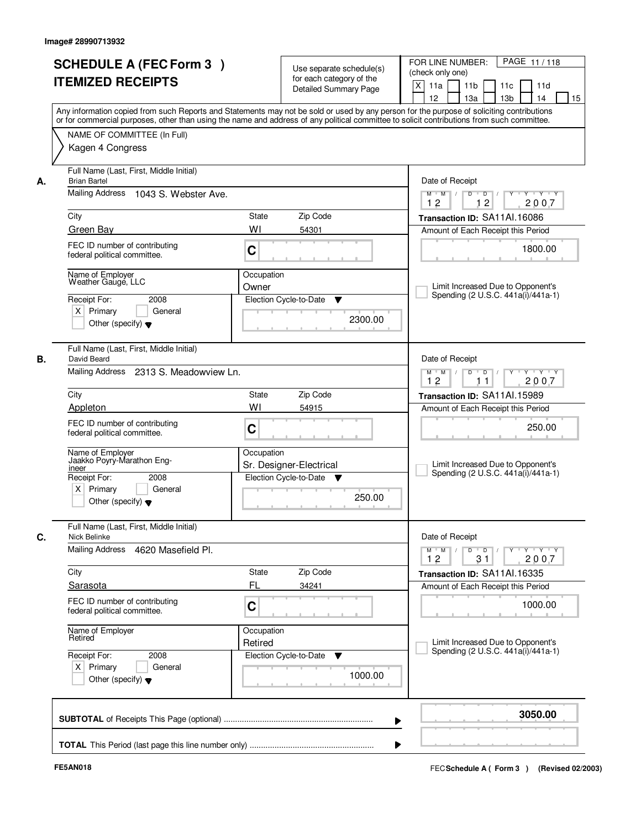|         | <b>SCHEDULE A (FEC Form 3)</b><br><b>ITEMIZED RECEIPTS</b>                                                                               |                       | Use separate schedule(s)<br>for each category of the<br><b>Detailed Summary Page</b> | PAGE 11/118<br>FOR LINE NUMBER:<br>(check only one)<br>$\mathsf{X}$<br>11a<br>11 <sub>b</sub><br>11c<br>11d<br>12<br>14<br>13a<br>13 <sub>b</sub><br>15<br>Any information copied from such Reports and Statements may not be sold or used by any person for the purpose of soliciting contributions |
|---------|------------------------------------------------------------------------------------------------------------------------------------------|-----------------------|--------------------------------------------------------------------------------------|------------------------------------------------------------------------------------------------------------------------------------------------------------------------------------------------------------------------------------------------------------------------------------------------------|
|         | NAME OF COMMITTEE (In Full)<br>Kagen 4 Congress                                                                                          |                       |                                                                                      | or for commercial purposes, other than using the name and address of any political committee to solicit contributions from such committee.                                                                                                                                                           |
| А.      | Full Name (Last, First, Middle Initial)<br><b>Brian Bartel</b><br>Mailing Address 1043 S. Webster Ave.                                   |                       |                                                                                      | Date of Receipt<br>$D$ $D$ $I$<br>$\overline{\mathbf{Y}}$<br>$Y - Y - Y$<br>$M$ $M$ /                                                                                                                                                                                                                |
|         |                                                                                                                                          |                       |                                                                                      | 12<br>12<br>2007                                                                                                                                                                                                                                                                                     |
| City    | Green Bay                                                                                                                                | State<br>WI           | Zip Code<br>54301                                                                    | Transaction ID: SA11Al.16086                                                                                                                                                                                                                                                                         |
|         | FEC ID number of contributing<br>federal political committee.                                                                            | C                     |                                                                                      | Amount of Each Receipt this Period<br>1800.00                                                                                                                                                                                                                                                        |
|         | Name of Employer<br>Weather Gauge, LLC<br>Receipt For:<br>2008<br>$X$ Primary<br>General<br>Other (specify) $\blacktriangledown$         | Occupation<br>Owner   | Election Cycle-to-Date<br>▼<br>2300.00                                               | Limit Increased Due to Opponent's<br>Spending (2 U.S.C. 441a(i)/441a-1)                                                                                                                                                                                                                              |
| В.      | Full Name (Last, First, Middle Initial)<br>David Beard<br>Mailing Address 2313 S. Meadowview Ln.                                         |                       |                                                                                      | Date of Receipt<br>$Y \vdash Y \vdash Y$<br>$M$ $M$ /<br>D<br>$\Box$ D $\Box$ /                                                                                                                                                                                                                      |
|         |                                                                                                                                          |                       |                                                                                      | 12<br>2007<br>11                                                                                                                                                                                                                                                                                     |
| City    | Appleton                                                                                                                                 | <b>State</b><br>WI    | Zip Code<br>54915                                                                    | Transaction ID: SA11Al.15989<br>Amount of Each Receipt this Period                                                                                                                                                                                                                                   |
|         | FEC ID number of contributing<br>federal political committee.                                                                            | C                     |                                                                                      | 250.00                                                                                                                                                                                                                                                                                               |
| ineer   | Name of Employer<br>Jaakko Poyry-Marathon Eng-<br>Receipt For:<br>2008<br>$X$ Primary<br>General<br>Other (specify) $\blacktriangledown$ | Occupation            | Sr. Designer-Electrical<br>Election Cycle-to-Date<br>v<br>250.00                     | Limit Increased Due to Opponent's<br>Spending (2 U.S.C. 441a(i)/441a-1)                                                                                                                                                                                                                              |
|         | Full Name (Last, First, Middle Initial)<br>Nick Belinke                                                                                  |                       |                                                                                      | Date of Receipt                                                                                                                                                                                                                                                                                      |
|         | Mailing Address<br>4620 Masefield Pl.                                                                                                    |                       |                                                                                      | $\begin{array}{cccccccccc} \mathsf{Y} & \mathsf{I} & \mathsf{Y} & \mathsf{I} & \mathsf{Y} & \mathsf{I} & \mathsf{Y} \end{array}$<br>$M$ $M$ $/$<br>D<br>$\Box$ D $\Box$ /<br>12<br>31<br>2007                                                                                                        |
| City    |                                                                                                                                          | State                 | Zip Code                                                                             | Transaction ID: SA11Al.16335                                                                                                                                                                                                                                                                         |
|         | Sarasota<br>FEC ID number of contributing<br>federal political committee.                                                                | FL<br>C               | 34241                                                                                | Amount of Each Receipt this Period<br>1000.00                                                                                                                                                                                                                                                        |
| Retired | Name of Employer                                                                                                                         | Occupation<br>Retired |                                                                                      | Limit Increased Due to Opponent's                                                                                                                                                                                                                                                                    |
|         | Receipt For:<br>2008<br>$X$ Primary<br>General<br>Other (specify) $\blacktriangledown$                                                   |                       | Election Cycle-to-Date<br>v<br>1000.00                                               | Spending (2 U.S.C. 441a(i)/441a-1)                                                                                                                                                                                                                                                                   |
|         |                                                                                                                                          |                       |                                                                                      | 3050.00<br>▶                                                                                                                                                                                                                                                                                         |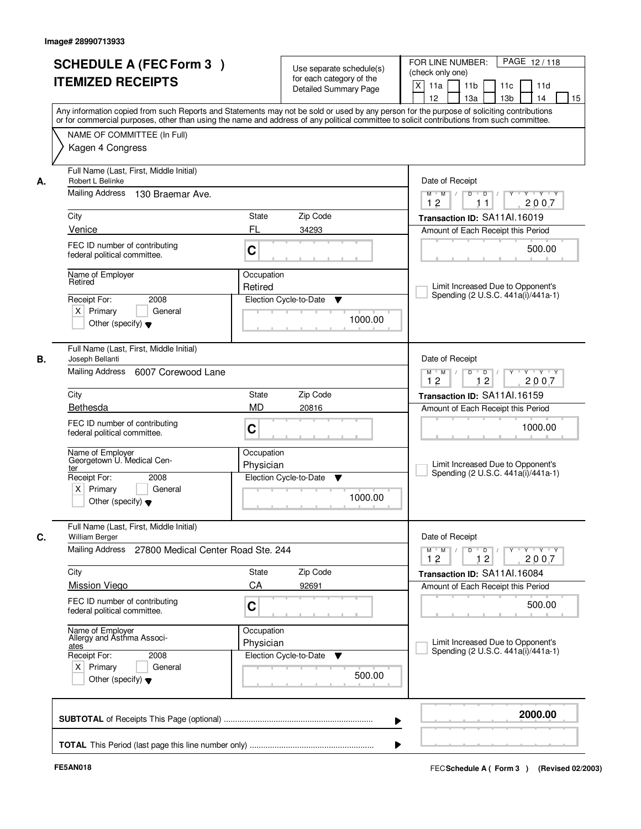|    | <b>SCHEDULE A (FEC Form 3)</b><br><b>ITEMIZED RECEIPTS</b>                             | Use separate schedule(s)<br>for each category of the<br><b>Detailed Summary Page</b><br>Any information copied from such Reports and Statements may not be sold or used by any person for the purpose of soliciting contributions | PAGE 12/118<br>FOR LINE NUMBER:<br>(check only one)<br>X<br>11 <sub>b</sub><br>11a<br>11 <sub>c</sub><br>11d<br>12<br>13 <sub>b</sub><br>14<br>13a<br>15 |
|----|----------------------------------------------------------------------------------------|-----------------------------------------------------------------------------------------------------------------------------------------------------------------------------------------------------------------------------------|----------------------------------------------------------------------------------------------------------------------------------------------------------|
|    | NAME OF COMMITTEE (In Full)<br>Kagen 4 Congress                                        | or for commercial purposes, other than using the name and address of any political committee to solicit contributions from such committee.                                                                                        |                                                                                                                                                          |
| А. | Full Name (Last, First, Middle Initial)<br>Robert L Belinke                            |                                                                                                                                                                                                                                   | Date of Receipt                                                                                                                                          |
|    | Mailing Address 130 Braemar Ave.                                                       |                                                                                                                                                                                                                                   | $Y$ $Y$ $Y$<br>$D$ $D$ $/$<br>$Y$ <sup>U</sup><br>$M$ $M$ /<br>12<br>2007<br>11                                                                          |
|    | City                                                                                   | State<br>Zip Code                                                                                                                                                                                                                 | Transaction ID: SA11Al.16019                                                                                                                             |
|    | Venice                                                                                 | FL<br>34293                                                                                                                                                                                                                       | Amount of Each Receipt this Period                                                                                                                       |
|    | FEC ID number of contributing<br>federal political committee.                          | C                                                                                                                                                                                                                                 | 500.00                                                                                                                                                   |
|    | Name of Employer<br>Retired                                                            | Occupation                                                                                                                                                                                                                        |                                                                                                                                                          |
|    |                                                                                        | Retired                                                                                                                                                                                                                           | Limit Increased Due to Opponent's<br>Spending (2 U.S.C. 441a(i)/441a-1)                                                                                  |
|    | Receipt For:<br>2008<br>$X$ Primary<br>General<br>Other (specify) $\blacktriangledown$ | Election Cycle-to-Date<br>▼<br>1000.00                                                                                                                                                                                            |                                                                                                                                                          |
| В. | Full Name (Last, First, Middle Initial)<br>Joseph Bellanti                             |                                                                                                                                                                                                                                   | Date of Receipt                                                                                                                                          |
|    | Mailing Address<br>6007 Corewood Lane                                                  |                                                                                                                                                                                                                                   | $Y$ <sup>U</sup><br>Y Y Y Y<br>$M$ $M$ /<br>D<br>$\Box$ D $\Box$<br>12<br>12<br>2007                                                                     |
|    | City                                                                                   | Zip Code<br>State                                                                                                                                                                                                                 | Transaction ID: SA11Al.16159                                                                                                                             |
|    | Bethesda                                                                               | <b>MD</b><br>20816                                                                                                                                                                                                                | Amount of Each Receipt this Period                                                                                                                       |
|    | FEC ID number of contributing<br>federal political committee.                          | C                                                                                                                                                                                                                                 | 1000.00                                                                                                                                                  |
|    | Name of Employer<br>Georgetown U. Medical Cen-<br>ter                                  | Occupation<br>Physician                                                                                                                                                                                                           | Limit Increased Due to Opponent's<br>Spending (2 U.S.C. 441a(i)/441a-1)                                                                                  |
|    | Receipt For:<br>2008<br>$X$ Primary<br>General<br>Other (specify) $\blacktriangledown$ | Election Cycle-to-Date<br>▼<br>1000.00                                                                                                                                                                                            |                                                                                                                                                          |
| C. | Full Name (Last, First, Middle Initial)<br><b>William Berger</b>                       |                                                                                                                                                                                                                                   | Date of Receipt                                                                                                                                          |
|    | Mailing Address<br>27800 Medical Center Road Ste. 244                                  |                                                                                                                                                                                                                                   | $M$ $M$ $M$<br>$D$ $D$ $I$<br><u> Y EY EY EY</u><br>12<br>12<br>2007                                                                                     |
|    | City                                                                                   | Zip Code<br>State                                                                                                                                                                                                                 | Transaction ID: SA11Al.16084                                                                                                                             |
|    | <b>Mission Viego</b>                                                                   | CA<br>92691                                                                                                                                                                                                                       | Amount of Each Receipt this Period                                                                                                                       |
|    | FEC ID number of contributing<br>federal political committee.                          | C                                                                                                                                                                                                                                 | 500.00                                                                                                                                                   |
|    | Name of Employer<br>Allergy and Asthma Associ-<br>ates                                 | Occupation<br>Physician                                                                                                                                                                                                           | Limit Increased Due to Opponent's<br>Spending (2 U.S.C. 441a(i)/441a-1)                                                                                  |
|    | Receipt For:<br>2008<br>$X$ Primary<br>General<br>Other (specify) $\blacktriangledown$ | Election Cycle-to-Date<br>v<br>500.00                                                                                                                                                                                             |                                                                                                                                                          |
|    |                                                                                        |                                                                                                                                                                                                                                   | 2000.00                                                                                                                                                  |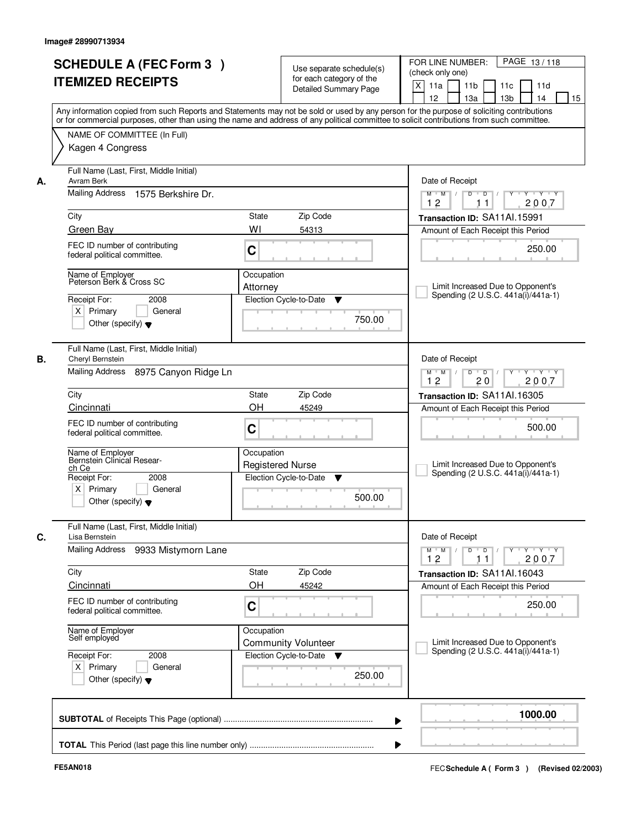| <b>SCHEDULE A (FEC Form 3)</b><br><b>ITEMIZED RECEIPTS</b>                                                                                        | Use separate schedule(s)<br>for each category of the<br><b>Detailed Summary Page</b><br>Any information copied from such Reports and Statements may not be sold or used by any person for the purpose of soliciting contributions | PAGE 13/118<br>FOR LINE NUMBER:<br>(check only one)<br>X<br>11 <sub>b</sub><br>11a<br>11c<br>11d<br>12<br>13 <sub>b</sub><br>13a<br>14<br>15 |
|---------------------------------------------------------------------------------------------------------------------------------------------------|-----------------------------------------------------------------------------------------------------------------------------------------------------------------------------------------------------------------------------------|----------------------------------------------------------------------------------------------------------------------------------------------|
| NAME OF COMMITTEE (In Full)<br>Kagen 4 Congress                                                                                                   | or for commercial purposes, other than using the name and address of any political committee to solicit contributions from such committee.                                                                                        |                                                                                                                                              |
| Full Name (Last, First, Middle Initial)<br>Avram Berk<br>А.<br><b>Mailing Address</b><br>1575 Berkshire Dr.                                       |                                                                                                                                                                                                                                   | Date of Receipt<br>$Y + Y + Y$<br>$M$ $M$ $/$<br>$D$ $D$ $1$<br>$\overline{Y}$                                                               |
| City                                                                                                                                              | State<br>Zip Code                                                                                                                                                                                                                 | 12<br>2007<br>11<br>Transaction ID: SA11Al.15991                                                                                             |
| Green Bay                                                                                                                                         | WI<br>54313                                                                                                                                                                                                                       | Amount of Each Receipt this Period                                                                                                           |
| FEC ID number of contributing<br>federal political committee.                                                                                     | C                                                                                                                                                                                                                                 | 250.00                                                                                                                                       |
| Name of Employer<br>Peterson Berk & Cross SC<br>Receipt For:<br>2008<br>$X$ Primary<br>General<br>Other (specify) $\blacktriangledown$            | Occupation<br>Attorney<br>Election Cycle-to-Date<br>▼<br>750.00                                                                                                                                                                   | Limit Increased Due to Opponent's<br>Spending (2 U.S.C. 441a(i)/441a-1)                                                                      |
| Full Name (Last, First, Middle Initial)<br>Cheryl Bernstein<br>В.<br>Mailing Address 8975 Canyon Ridge Ln                                         |                                                                                                                                                                                                                                   | Date of Receipt<br>$Y \vdash Y \vdash Y$<br>$M$ $M$<br>D<br>$\overline{D}$                                                                   |
| City                                                                                                                                              | Zip Code<br>State                                                                                                                                                                                                                 | 2007<br>12<br>20<br>Transaction ID: SA11Al.16305                                                                                             |
| Cincinnati                                                                                                                                        | OH<br>45249                                                                                                                                                                                                                       | Amount of Each Receipt this Period                                                                                                           |
| FEC ID number of contributing<br>federal political committee.                                                                                     | C                                                                                                                                                                                                                                 | 500.00                                                                                                                                       |
| Name of Employer<br>Bernstein Clinical Resear-<br>ch Ce<br>Receipt For:<br>2008<br>$X$ Primary<br>General<br>Other (specify) $\blacktriangledown$ | Occupation<br><b>Registered Nurse</b><br>Election Cycle-to-Date<br>v<br>500.00                                                                                                                                                    | Limit Increased Due to Opponent's<br>Spending (2 U.S.C. 441a(i)/441a-1)                                                                      |
| Full Name (Last, First, Middle Initial)<br>C.<br>Lisa Bernstein<br>Mailing Address<br>9933 Mistymorn Lane                                         |                                                                                                                                                                                                                                   | Date of Receipt<br>D<br>$\overline{D}$ /<br>$M$ $M$ $/$<br>$Y$ <sup>U</sup><br>$Y + Y + Y$                                                   |
|                                                                                                                                                   |                                                                                                                                                                                                                                   | 12<br>2007<br>11                                                                                                                             |
| City                                                                                                                                              | Zip Code<br>State                                                                                                                                                                                                                 | Transaction ID: SA11Al.16043                                                                                                                 |
| Cincinnati                                                                                                                                        | OH<br>45242                                                                                                                                                                                                                       | Amount of Each Receipt this Period                                                                                                           |
| FEC ID number of contributing<br>federal political committee.                                                                                     | C                                                                                                                                                                                                                                 | 250.00                                                                                                                                       |
| Name of Employer<br>Self employed                                                                                                                 | Occupation<br><b>Community Volunteer</b>                                                                                                                                                                                          | Limit Increased Due to Opponent's<br>Spending (2 U.S.C. 441a(i)/441a-1)                                                                      |
| Receipt For:<br>2008<br>$X$ Primary<br>General<br>Other (specify) $\blacktriangledown$                                                            | Election Cycle-to-Date ▼<br>250.00                                                                                                                                                                                                |                                                                                                                                              |
|                                                                                                                                                   |                                                                                                                                                                                                                                   | 1000.00                                                                                                                                      |
|                                                                                                                                                   |                                                                                                                                                                                                                                   |                                                                                                                                              |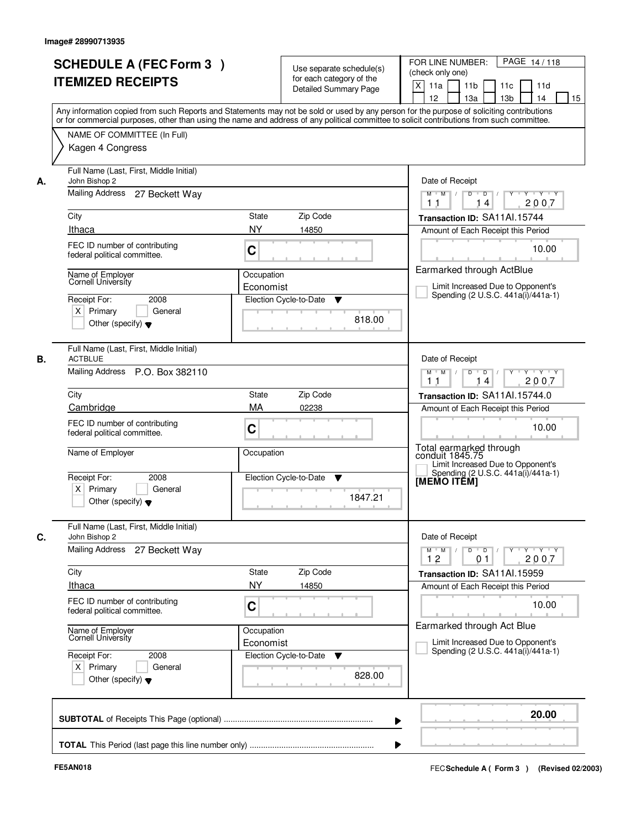|                                                                                                 | <b>SCHEDULE A (FEC Form 3)</b><br><b>ITEMIZED RECEIPTS</b>                                                                                         |                                                    | Use separate schedule(s)<br>for each category of the<br><b>Detailed Summary Page</b> | PAGE 14/118<br>FOR LINE NUMBER:<br>(check only one)<br>$\mathsf{X}$<br>11 <sub>b</sub><br>11a<br>11c<br>11d<br>12<br>13 <sub>b</sub><br>14<br>13a<br>15<br>Any information copied from such Reports and Statements may not be sold or used by any person for the purpose of soliciting contributions<br>or for commercial purposes, other than using the name and address of any political committee to solicit contributions from such committee. |
|-------------------------------------------------------------------------------------------------|----------------------------------------------------------------------------------------------------------------------------------------------------|----------------------------------------------------|--------------------------------------------------------------------------------------|----------------------------------------------------------------------------------------------------------------------------------------------------------------------------------------------------------------------------------------------------------------------------------------------------------------------------------------------------------------------------------------------------------------------------------------------------|
|                                                                                                 | NAME OF COMMITTEE (In Full)<br>Kagen 4 Congress                                                                                                    |                                                    |                                                                                      |                                                                                                                                                                                                                                                                                                                                                                                                                                                    |
| John Bishop 2<br>А.<br>City<br>Ithaca<br>Name of Employer<br>Cornell University<br>Receipt For: | Full Name (Last, First, Middle Initial)<br>Mailing Address 27 Beckett Way<br>FEC ID number of contributing<br>federal political committee.<br>2008 | State<br><b>NY</b><br>C<br>Occupation<br>Economist | Zip Code<br>14850                                                                    | Date of Receipt<br>$D$ $D$ $I$<br>$\overline{\mathbf{Y}}$<br>$Y - Y - Y$<br>$M$ $M$ /<br>2007<br>14<br>11<br>Transaction ID: SA11Al.15744<br>Amount of Each Receipt this Period<br>10.00<br>Earmarked through ActBlue<br>Limit Increased Due to Opponent's<br>Spending (2 U.S.C. 441a(i)/441a-1)                                                                                                                                                   |
| $X$ Primary                                                                                     | General<br>Other (specify) $\blacktriangledown$                                                                                                    |                                                    | Election Cycle-to-Date<br>▼<br>818.00                                                |                                                                                                                                                                                                                                                                                                                                                                                                                                                    |
| В.<br><b>ACTBLUE</b>                                                                            | Full Name (Last, First, Middle Initial)<br>Mailing Address P.O. Box 382110                                                                         |                                                    |                                                                                      | Date of Receipt<br>$Y$ <sup>U</sup><br>$Y - Y - Y$<br>$M$ $M$ /<br>D<br>$\Box$ D $\Box$<br>2007<br>11<br>14                                                                                                                                                                                                                                                                                                                                        |
| City<br>Cambridge<br>Name of Employer                                                           | FEC ID number of contributing<br>federal political committee.                                                                                      | State<br>MA<br>C<br>Occupation                     | Zip Code<br>02238                                                                    | Transaction ID: SA11Al.15744.0<br>Amount of Each Receipt this Period<br>10.00<br>Total earmarked through<br>conduit 1845.75                                                                                                                                                                                                                                                                                                                        |
| Receipt For:<br>$X$ Primary                                                                     | 2008<br>General<br>Other (specify) $\blacktriangledown$                                                                                            |                                                    | Election Cycle-to-Date<br>v<br>1847.21                                               | Limit Increased Due to Opponent's<br>Spending (2 U.S.C. 441a(i)/441a-1)<br>[MEMO ITĔM]                                                                                                                                                                                                                                                                                                                                                             |
| C.<br>John Bishop 2<br>Mailing Address                                                          | Full Name (Last, First, Middle Initial)<br>27 Beckett Way                                                                                          |                                                    |                                                                                      | Date of Receipt<br>$D$ $D$ $/$<br>$\begin{array}{ccccccccccccc} &\mathsf{Y} &\mathsf{V} &\mathsf{Y} &\mathsf{V} &\mathsf{Y} &\mathsf{V} &\mathsf{Y}\end{array}$<br>$M$ $M$ $/$<br>12<br>0 <sub>1</sub><br>2007                                                                                                                                                                                                                                     |
| City<br><b>Ithaca</b>                                                                           | FEC ID number of contributing<br>federal political committee.                                                                                      | State<br><b>NY</b><br>C                            | Zip Code<br>14850                                                                    | Transaction ID: SA11Al.15959<br>Amount of Each Receipt this Period<br>10.00                                                                                                                                                                                                                                                                                                                                                                        |
| Name of Employer<br>Cornell University<br>Receipt For:<br>$X$ Primary                           | 2008<br>General<br>Other (specify) $\blacktriangledown$                                                                                            | Occupation<br>Economist                            | Election Cycle-to-Date<br>v<br>828.00                                                | Earmarked through Act Blue<br>Limit Increased Due to Opponent's<br>Spending (2 U.S.C. 441a(i)/441a-1)                                                                                                                                                                                                                                                                                                                                              |
|                                                                                                 |                                                                                                                                                    |                                                    |                                                                                      | 20.00<br>▶                                                                                                                                                                                                                                                                                                                                                                                                                                         |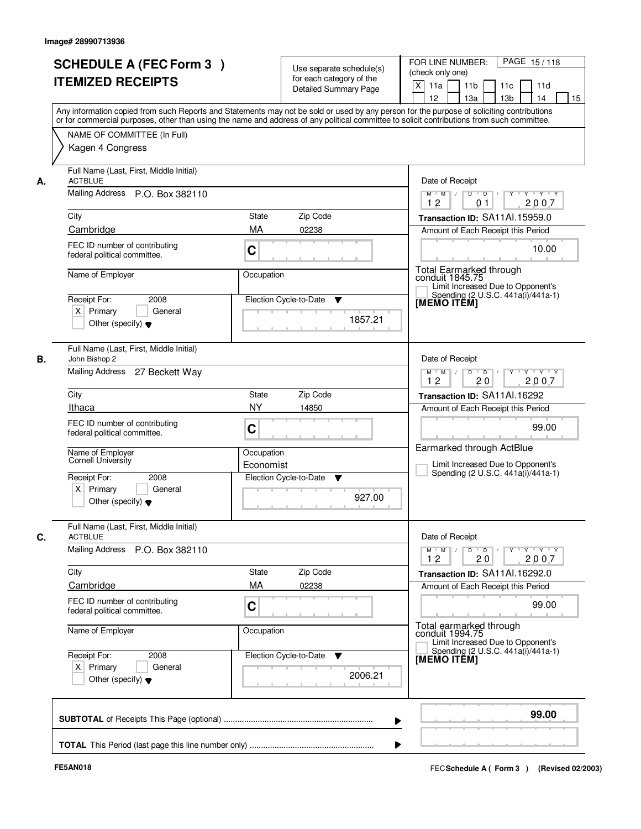|    |                                                               |                                                                                                                                            | FOR LINE NUMBER:<br>PAGE 15/118                                                                           |
|----|---------------------------------------------------------------|--------------------------------------------------------------------------------------------------------------------------------------------|-----------------------------------------------------------------------------------------------------------|
|    | <b>SCHEDULE A (FEC Form 3)</b>                                | Use separate schedule(s)                                                                                                                   | (check only one)                                                                                          |
|    | <b>ITEMIZED RECEIPTS</b>                                      | for each category of the                                                                                                                   | X<br>11 <sub>b</sub><br>11a<br>11c<br>11d                                                                 |
|    |                                                               | Detailed Summary Page                                                                                                                      | 12<br>13 <sub>b</sub><br>14<br>13a<br>15                                                                  |
|    |                                                               | Any information copied from such Reports and Statements may not be sold or used by any person for the purpose of soliciting contributions  |                                                                                                           |
|    |                                                               | or for commercial purposes, other than using the name and address of any political committee to solicit contributions from such committee. |                                                                                                           |
|    | NAME OF COMMITTEE (In Full)                                   |                                                                                                                                            |                                                                                                           |
|    | Kagen 4 Congress                                              |                                                                                                                                            |                                                                                                           |
|    |                                                               |                                                                                                                                            |                                                                                                           |
|    | Full Name (Last, First, Middle Initial)                       |                                                                                                                                            |                                                                                                           |
| А. | <b>ACTBLUE</b>                                                |                                                                                                                                            | Date of Receipt                                                                                           |
|    | Mailing Address P.O. Box 382110                               |                                                                                                                                            | $Y + Y + Y$<br>$\overline{D}$<br>Y<br>$M$ $M$ /<br>D<br>12<br>2007<br>01                                  |
|    | City                                                          | <b>State</b><br>Zip Code                                                                                                                   | Transaction ID: SA11Al.15959.0                                                                            |
|    | Cambridge                                                     | MA<br>02238                                                                                                                                | Amount of Each Receipt this Period                                                                        |
|    | FEC ID number of contributing                                 |                                                                                                                                            |                                                                                                           |
|    | federal political committee.                                  | C                                                                                                                                          | 10.00                                                                                                     |
|    |                                                               |                                                                                                                                            |                                                                                                           |
|    | Name of Employer                                              | Occupation                                                                                                                                 | Total Earmarked through<br>conduit 1845.75<br>Limit Increased Due to Opponent's                           |
|    | Receipt For:<br>2008                                          | Election Cycle-to-Date<br>▼                                                                                                                | Spending (2 U.S.C. 441a(i)/441a-1)                                                                        |
|    | $X$ Primary<br>General                                        |                                                                                                                                            | [MEMO ITÊM]                                                                                               |
|    | Other (specify) $\blacktriangledown$                          | 1857.21                                                                                                                                    |                                                                                                           |
|    |                                                               |                                                                                                                                            |                                                                                                           |
|    | Full Name (Last, First, Middle Initial)                       |                                                                                                                                            |                                                                                                           |
| В. | John Bishop 2                                                 |                                                                                                                                            | Date of Receipt                                                                                           |
|    | Mailing Address 27 Beckett Way                                |                                                                                                                                            | $D$ $D$ $/$<br>Y * Y * Y * Y<br>$M$ $M$ /<br>12<br>20<br>2007                                             |
|    | City                                                          | Zip Code<br>State                                                                                                                          | Transaction ID: SA11Al.16292                                                                              |
|    | Ithaca                                                        | <b>NY</b><br>14850                                                                                                                         | Amount of Each Receipt this Period                                                                        |
|    |                                                               |                                                                                                                                            |                                                                                                           |
|    | FEC ID number of contributing<br>federal political committee. | C                                                                                                                                          | 99.00                                                                                                     |
|    |                                                               |                                                                                                                                            | Earmarked through ActBlue                                                                                 |
|    | Name of Employer<br>Cornell University                        | Occupation                                                                                                                                 | Limit Increased Due to Opponent's                                                                         |
|    | Receipt For:<br>2008                                          | Economist<br>Election Cycle-to-Date<br>▼                                                                                                   | Spending (2 U.S.C. 441a(i)/441a-1)                                                                        |
|    | $X$ Primary<br>General                                        |                                                                                                                                            |                                                                                                           |
|    | Other (specify) $\blacktriangledown$                          | 927.00                                                                                                                                     |                                                                                                           |
|    |                                                               |                                                                                                                                            |                                                                                                           |
|    | Full Name (Last, First, Middle Initial)                       |                                                                                                                                            |                                                                                                           |
| C. | <b>ACTBLUE</b>                                                |                                                                                                                                            | Date of Receipt                                                                                           |
|    | Mailing Address<br>P.O. Box 382110                            |                                                                                                                                            | $Y$ $Y$ $Y$ $Y$<br>$M$ M<br>$D$ $D$ $/$<br>$\top$<br>$Y$ <sup><math>\top</math></sup><br>2007<br>12<br>20 |
|    | City                                                          | Zip Code<br>State                                                                                                                          | Transaction ID: SA11Al.16292.0                                                                            |
|    | Cambridge                                                     | MA<br>02238                                                                                                                                | Amount of Each Receipt this Period                                                                        |
|    |                                                               |                                                                                                                                            |                                                                                                           |
|    | FEC ID number of contributing<br>federal political committee. | C                                                                                                                                          | 99.00                                                                                                     |
|    |                                                               |                                                                                                                                            | Total earmarked through                                                                                   |
|    | Name of Employer                                              | Occupation                                                                                                                                 | conduit 1994.75<br>Limit Increased Due to Opponent's                                                      |
|    | Receipt For:<br>2008                                          | Election Cycle-to-Date<br>v                                                                                                                | Spending (2 U.S.C. 441a(i)/441a-1)                                                                        |
|    | $X$ Primary<br>General                                        |                                                                                                                                            | <b>IMEMO ITEMI</b>                                                                                        |
|    | Other (specify) $\blacktriangledown$                          | 2006.21                                                                                                                                    |                                                                                                           |
|    |                                                               |                                                                                                                                            |                                                                                                           |
|    |                                                               |                                                                                                                                            |                                                                                                           |
|    |                                                               |                                                                                                                                            | 99.00                                                                                                     |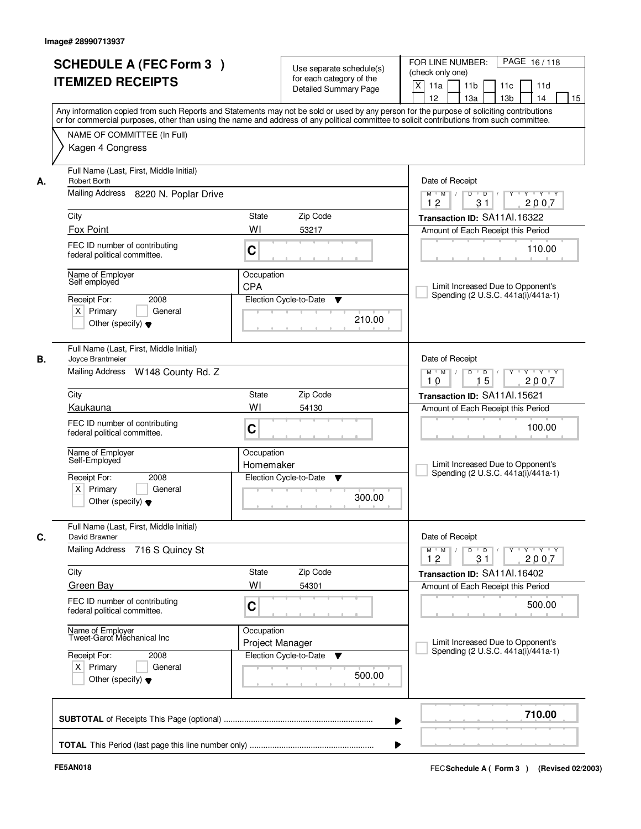|    | <b>SCHEDULE A (FEC Form 3)</b><br><b>ITEMIZED RECEIPTS</b><br>Any information copied from such Reports and Statements may not be sold or used by any person for the purpose of soliciting contributions |                               | Use separate schedule(s)<br>for each category of the<br><b>Detailed Summary Page</b> | PAGE 16/118<br>FOR LINE NUMBER:<br>(check only one)<br>X<br>11 <sub>b</sub><br>11a<br>11c<br>11d<br>12<br>13 <sub>b</sub><br>13a<br>14<br>15 |
|----|---------------------------------------------------------------------------------------------------------------------------------------------------------------------------------------------------------|-------------------------------|--------------------------------------------------------------------------------------|----------------------------------------------------------------------------------------------------------------------------------------------|
|    | or for commercial purposes, other than using the name and address of any political committee to solicit contributions from such committee.<br>NAME OF COMMITTEE (In Full)<br>Kagen 4 Congress           |                               |                                                                                      |                                                                                                                                              |
| А. | Full Name (Last, First, Middle Initial)<br><b>Robert Borth</b><br>Mailing Address 8220 N. Poplar Drive<br>City                                                                                          | State                         | Zip Code                                                                             | Date of Receipt<br>$Y + Y + Y$<br>$D$ $D$ $1$<br>$\Gamma Y$<br>$M$ $M$ /<br>12<br>31<br>2007<br>Transaction ID: SA11Al.16322                 |
|    | Fox Point                                                                                                                                                                                               | WI                            | 53217                                                                                | Amount of Each Receipt this Period                                                                                                           |
|    | FEC ID number of contributing<br>federal political committee.                                                                                                                                           | C                             |                                                                                      | 110.00                                                                                                                                       |
|    | Name of Employer<br>Self employed<br>Receipt For:<br>2008<br>$X$ Primary<br>General<br>Other (specify) $\blacktriangledown$                                                                             | Occupation<br>CPA             | Election Cycle-to-Date<br>▼<br>210.00                                                | Limit Increased Due to Opponent's<br>Spending (2 U.S.C. 441a(i)/441a-1)                                                                      |
| В. | Full Name (Last, First, Middle Initial)<br>Joyce Brantmeier<br>Mailing Address W148 County Rd. Z                                                                                                        |                               |                                                                                      | Date of Receipt<br>$M$ $M$ /<br>Y<br>$Y \vdash Y \vdash Y$<br>D<br>$\Box$ D $\Box$ /<br>15<br>2007<br>10                                     |
|    | City                                                                                                                                                                                                    | State                         | Zip Code                                                                             | Transaction ID: SA11Al.15621                                                                                                                 |
|    | Kaukauna                                                                                                                                                                                                | WI                            | 54130                                                                                | Amount of Each Receipt this Period                                                                                                           |
|    | FEC ID number of contributing<br>federal political committee.                                                                                                                                           | C                             |                                                                                      | 100.00                                                                                                                                       |
|    | Name of Employer<br>Self-Employed                                                                                                                                                                       | Occupation<br>Homemaker       |                                                                                      | Limit Increased Due to Opponent's<br>Spending (2 U.S.C. 441a(i)/441a-1)                                                                      |
|    | Receipt For:<br>2008<br>$X$ Primary<br>General<br>Other (specify) $\blacktriangledown$                                                                                                                  |                               | Election Cycle-to-Date<br>v<br>300.00                                                |                                                                                                                                              |
| C. | Full Name (Last, First, Middle Initial)<br>David Brawner                                                                                                                                                |                               |                                                                                      | Date of Receipt                                                                                                                              |
|    | <b>Mailing Address</b><br>716 S Quincy St                                                                                                                                                               |                               |                                                                                      | $M$ $M$ $/$<br>D<br>$\overline{D}$<br>$Y + Y + Y$<br>$Y$ <sup><math>\top</math></sup><br>12<br>31<br>2007                                    |
|    | City                                                                                                                                                                                                    | State                         | Zip Code                                                                             | Transaction ID: SA11Al.16402                                                                                                                 |
|    | <b>Green Bay</b>                                                                                                                                                                                        | WI                            | 54301                                                                                | Amount of Each Receipt this Period                                                                                                           |
|    | FEC ID number of contributing<br>federal political committee.                                                                                                                                           | C                             |                                                                                      | 500.00                                                                                                                                       |
|    | Name of Employer<br>Tweet-Garot Mechanical Inc                                                                                                                                                          | Occupation<br>Project Manager |                                                                                      | Limit Increased Due to Opponent's<br>Spending (2 U.S.C. 441a(i)/441a-1)                                                                      |
|    | Receipt For:<br>2008<br>$X$ Primary<br>General<br>Other (specify) $\blacktriangledown$                                                                                                                  |                               | Election Cycle-to-Date<br>v<br>500.00                                                |                                                                                                                                              |
|    |                                                                                                                                                                                                         |                               |                                                                                      | 710.00                                                                                                                                       |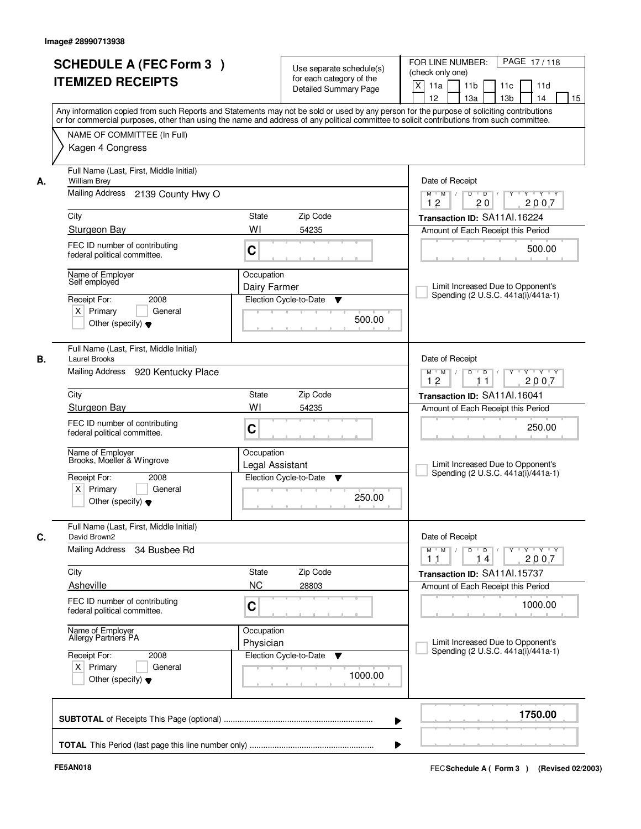| <b>SCHEDULE A (FEC Form 3)</b><br><b>ITEMIZED RECEIPTS</b>                                                                  | Use separate schedule(s)<br>for each category of the<br><b>Detailed Summary Page</b><br>Any information copied from such Reports and Statements may not be sold or used by any person for the purpose of soliciting contributions | PAGE 17/118<br>FOR LINE NUMBER:<br>(check only one)<br>X<br>11 <sub>b</sub><br>11a<br>11 <sub>c</sub><br>11d<br>12<br>13 <sub>b</sub><br>14<br>13a<br>15 |  |  |
|-----------------------------------------------------------------------------------------------------------------------------|-----------------------------------------------------------------------------------------------------------------------------------------------------------------------------------------------------------------------------------|----------------------------------------------------------------------------------------------------------------------------------------------------------|--|--|
| NAME OF COMMITTEE (In Full)<br>Kagen 4 Congress                                                                             | or for commercial purposes, other than using the name and address of any political committee to solicit contributions from such committee.                                                                                        |                                                                                                                                                          |  |  |
| Full Name (Last, First, Middle Initial)<br><b>William Brey</b><br>А.<br>Mailing Address 2139 County Hwy O                   |                                                                                                                                                                                                                                   | Date of Receipt<br>$D$ $D$<br>Y<br>Y TY Y Y<br>$M$ $M$ /<br>$\sqrt{ }$                                                                                   |  |  |
|                                                                                                                             |                                                                                                                                                                                                                                   | 12<br>20<br>2007                                                                                                                                         |  |  |
| City<br>Sturgeon Bay                                                                                                        | <b>State</b><br>Zip Code<br>WI<br>54235                                                                                                                                                                                           | Transaction ID: SA11Al.16224<br>Amount of Each Receipt this Period                                                                                       |  |  |
| FEC ID number of contributing<br>federal political committee.                                                               | C                                                                                                                                                                                                                                 | 500.00                                                                                                                                                   |  |  |
| Name of Employer<br>Self employed<br>Receipt For:<br>2008<br>$X$ Primary<br>General<br>Other (specify) $\blacktriangledown$ | Occupation<br>Dairy Farmer<br>Election Cycle-to-Date<br>▼<br>500.00                                                                                                                                                               | Limit Increased Due to Opponent's<br>Spending (2 U.S.C. 441a(i)/441a-1)                                                                                  |  |  |
| Full Name (Last, First, Middle Initial)<br>Laurel Brooks<br>В.<br>Mailing Address 920 Kentucky Place                        |                                                                                                                                                                                                                                   | Date of Receipt<br>$Y \vdash Y \vdash Y$<br>$M$ $M$ /<br>D<br>$\Box$                                                                                     |  |  |
|                                                                                                                             |                                                                                                                                                                                                                                   |                                                                                                                                                          |  |  |
| City                                                                                                                        | Zip Code<br>State                                                                                                                                                                                                                 | Transaction ID: SA11Al.16041                                                                                                                             |  |  |
| Sturgeon Bay<br>FEC ID number of contributing<br>federal political committee.                                               | WI<br>54235<br>C                                                                                                                                                                                                                  | Amount of Each Receipt this Period<br>250.00                                                                                                             |  |  |
| Name of Employer<br>Brooks, Moeller & Wingrove<br>Receipt For:<br>2008                                                      | Occupation<br>Legal Assistant<br>Election Cycle-to-Date<br>▼                                                                                                                                                                      | Limit Increased Due to Opponent's<br>Spending (2 U.S.C. 441a(i)/441a-1)                                                                                  |  |  |
| $X$ Primary<br>General<br>Other (specify) $\blacktriangledown$                                                              | 250.00                                                                                                                                                                                                                            |                                                                                                                                                          |  |  |
| Full Name (Last, First, Middle Initial)<br>C.<br>David Brown2                                                               |                                                                                                                                                                                                                                   | Date of Receipt                                                                                                                                          |  |  |
| Mailing Address<br>34 Busbee Rd                                                                                             |                                                                                                                                                                                                                                   | $M$ $M$ $/$<br>$D$ $D$ $1$<br>$\mathsf{Y} \mathsf{Y} \mathsf{Y} \mathsf{Y} \mathsf{Y} \mathsf{Y} \mathsf{Y}$<br>2007<br>11<br>14                         |  |  |
| City                                                                                                                        | Zip Code<br>State                                                                                                                                                                                                                 | Transaction ID: SA11Al.15737                                                                                                                             |  |  |
| Asheville                                                                                                                   | <b>NC</b><br>28803                                                                                                                                                                                                                | Amount of Each Receipt this Period                                                                                                                       |  |  |
| FEC ID number of contributing<br>federal political committee.                                                               | C                                                                                                                                                                                                                                 | 1000.00                                                                                                                                                  |  |  |
| Name of Employer<br>Allergy Partners PA                                                                                     | Occupation<br>Physician                                                                                                                                                                                                           | Limit Increased Due to Opponent's<br>Spending (2 U.S.C. 441a(i)/441a-1)                                                                                  |  |  |
| Receipt For:<br>2008<br>$X$ Primary<br>General<br>Other (specify) $\blacktriangledown$                                      | Election Cycle-to-Date<br>v<br>1000.00                                                                                                                                                                                            |                                                                                                                                                          |  |  |
|                                                                                                                             |                                                                                                                                                                                                                                   | 1750.00                                                                                                                                                  |  |  |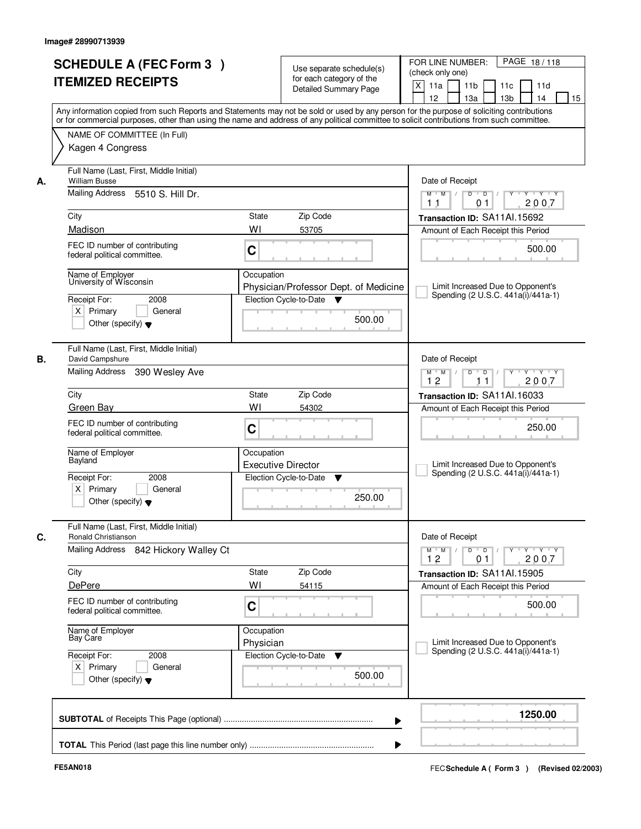|                                                            | <b>SCHEDULE A (FEC Form 3)</b><br><b>ITEMIZED RECEIPTS</b>                         |                         | Use separate schedule(s)<br>for each category of the<br><b>Detailed Summary Page</b> | PAGE 18/118<br>FOR LINE NUMBER:<br>(check only one)<br>$\mathsf{X}$<br>11 <sub>b</sub><br>11a<br>11c<br>11d<br>12<br>13 <sub>b</sub><br>14<br>13a<br>15<br>Any information copied from such Reports and Statements may not be sold or used by any person for the purpose of soliciting contributions |
|------------------------------------------------------------|------------------------------------------------------------------------------------|-------------------------|--------------------------------------------------------------------------------------|------------------------------------------------------------------------------------------------------------------------------------------------------------------------------------------------------------------------------------------------------------------------------------------------------|
| Kagen 4 Congress                                           | NAME OF COMMITTEE (In Full)                                                        |                         |                                                                                      | or for commercial purposes, other than using the name and address of any political committee to solicit contributions from such committee.                                                                                                                                                           |
| <b>William Busse</b><br>А.                                 | Full Name (Last, First, Middle Initial)<br>Mailing Address 5510 S. Hill Dr.        |                         |                                                                                      | Date of Receipt<br>$D$ $D$ $/$<br>$Y - Y - Y$<br>$M$ $M$ /<br>$\overline{Y}$<br>2007<br>01<br>11                                                                                                                                                                                                     |
| City<br>Madison                                            |                                                                                    | State<br>WI             | Zip Code<br>53705                                                                    | Transaction ID: SA11Al.15692<br>Amount of Each Receipt this Period                                                                                                                                                                                                                                   |
|                                                            | FEC ID number of contributing<br>federal political committee.                      | C                       |                                                                                      | 500.00                                                                                                                                                                                                                                                                                               |
| Name of Employer<br>Receipt For:<br>$X$ Primary            | University of Wisconsin<br>2008<br>General<br>Other (specify) $\blacktriangledown$ | Occupation              | Physician/Professor Dept. of Medicine<br>Election Cycle-to-Date<br>v<br>500.00       | Limit Increased Due to Opponent's<br>Spending (2 U.S.C. 441a(i)/441a-1)                                                                                                                                                                                                                              |
| В.<br>David Campshure<br>Mailing Address                   | Full Name (Last, First, Middle Initial)<br>390 Wesley Ave                          |                         |                                                                                      | Date of Receipt<br>$Y \vdash Y \vdash Y$<br>$M$ $M$ /<br>D<br>$\Box$<br>12                                                                                                                                                                                                                           |
| City                                                       |                                                                                    | <b>State</b>            | Zip Code                                                                             | 2007<br>11<br>Transaction ID: SA11Al.16033                                                                                                                                                                                                                                                           |
| Green Bay                                                  | FEC ID number of contributing<br>federal political committee.                      | WI<br>C                 | 54302                                                                                | Amount of Each Receipt this Period<br>250.00                                                                                                                                                                                                                                                         |
| Name of Employer<br>Bayland<br>Receipt For:<br>$X$ Primary | 2008<br>General<br>Other (specify) $\blacktriangledown$                            | Occupation              | <b>Executive Director</b><br>Election Cycle-to-Date<br>v<br>250.00                   | Limit Increased Due to Opponent's<br>Spending (2 U.S.C. 441a(i)/441a-1)                                                                                                                                                                                                                              |
| C.<br>Ronald Christianson                                  | Full Name (Last, First, Middle Initial)                                            |                         |                                                                                      | Date of Receipt                                                                                                                                                                                                                                                                                      |
| Mailing Address                                            | 842 Hickory Walley Ct                                                              |                         |                                                                                      | $D$ $D$ $I$<br>$\begin{array}{ccccccccccccc} &\mathsf{Y} &\mathsf{V} &\mathsf{Y} &\mathsf{V} &\mathsf{Y} &\mathsf{V} &\mathsf{Y}\end{array}$<br>$M$ $M$ $/$<br>12<br>0 <sub>1</sub><br>2007                                                                                                          |
| City<br>DePere                                             |                                                                                    | State<br>WI             | Zip Code<br>54115                                                                    | Transaction ID: SA11Al.15905<br>Amount of Each Receipt this Period                                                                                                                                                                                                                                   |
|                                                            | FEC ID number of contributing<br>federal political committee.                      | C                       |                                                                                      | 500.00                                                                                                                                                                                                                                                                                               |
| Name of Employer<br>Bay Care                               |                                                                                    | Occupation<br>Physician |                                                                                      | Limit Increased Due to Opponent's<br>Spending (2 U.S.C. 441a(i)/441a-1)                                                                                                                                                                                                                              |
| Receipt For:<br>$X$ Primary                                | 2008<br>General<br>Other (specify) $\blacktriangledown$                            |                         | Election Cycle-to-Date<br>v<br>500.00                                                |                                                                                                                                                                                                                                                                                                      |
|                                                            |                                                                                    |                         |                                                                                      | 1250.00<br>▶                                                                                                                                                                                                                                                                                         |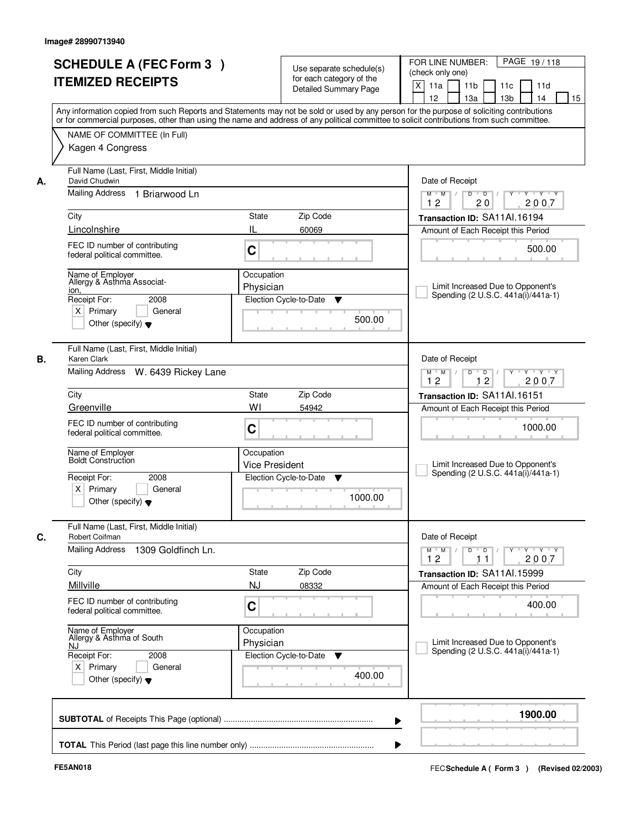|      | <b>SCHEDULE A (FEC Form 3)</b>                            |                       | Use separate schedule(s)     | PAGE 19/118<br>FOR LINE NUMBER:<br>(check only one)                                                                                                                                                                                                                                     |
|------|-----------------------------------------------------------|-----------------------|------------------------------|-----------------------------------------------------------------------------------------------------------------------------------------------------------------------------------------------------------------------------------------------------------------------------------------|
|      |                                                           |                       |                              |                                                                                                                                                                                                                                                                                         |
|      | <b>ITEMIZED RECEIPTS</b>                                  |                       | for each category of the     |                                                                                                                                                                                                                                                                                         |
|      |                                                           |                       | <b>Detailed Summary Page</b> | $\boldsymbol{\mathsf{X}}$<br>11 <sub>b</sub><br>11a<br>11c<br>11d                                                                                                                                                                                                                       |
|      |                                                           |                       |                              | 12<br>13a<br>13 <sub>b</sub><br>14                                                                                                                                                                                                                                                      |
|      |                                                           |                       |                              | Any information copied from such Reports and Statements may not be sold or used by any person for the purpose of soliciting contributions<br>or for commercial purposes, other than using the name and address of any political committee to solicit contributions from such committee. |
|      |                                                           |                       |                              |                                                                                                                                                                                                                                                                                         |
|      | NAME OF COMMITTEE (In Full)                               |                       |                              |                                                                                                                                                                                                                                                                                         |
|      | Kagen 4 Congress                                          |                       |                              |                                                                                                                                                                                                                                                                                         |
|      | Full Name (Last, First, Middle Initial)<br>David Chudwin  |                       |                              | Date of Receipt                                                                                                                                                                                                                                                                         |
|      | Mailing Address 1 Briarwood Ln                            |                       |                              | $\overline{D}$<br>$Y - Y - Y$<br>$M$ $M$ /<br>D<br>2007<br>12<br>20                                                                                                                                                                                                                     |
| City |                                                           | State                 | Zip Code                     | Transaction ID: SA11Al.16194                                                                                                                                                                                                                                                            |
|      | Lincolnshire                                              | IL                    | 60069                        | Amount of Each Receipt this Period                                                                                                                                                                                                                                                      |
|      | FEC ID number of contributing                             |                       |                              |                                                                                                                                                                                                                                                                                         |
|      | federal political committee.                              | C                     |                              | 500.00                                                                                                                                                                                                                                                                                  |
|      | Name of Employer                                          | Occupation            |                              |                                                                                                                                                                                                                                                                                         |
| ion, | Allergy & Asthma Associat-                                | Physician             |                              | Limit Increased Due to Opponent's                                                                                                                                                                                                                                                       |
|      | Receipt For:<br>2008                                      |                       | Election Cycle-to-Date<br>v  | Spending (2 U.S.C. 441a(i)/441a-1)                                                                                                                                                                                                                                                      |
|      | $X$ Primary<br>General                                    |                       |                              |                                                                                                                                                                                                                                                                                         |
|      | Other (specify) $\blacktriangledown$                      |                       | 500.00                       |                                                                                                                                                                                                                                                                                         |
|      | Full Name (Last, First, Middle Initial)<br>Karen Clark    |                       |                              | Date of Receipt                                                                                                                                                                                                                                                                         |
|      | Mailing Address W. 6439 Rickey Lane                       |                       |                              | D<br>$\blacksquare$ D $\blacksquare$ /<br>$Y$ <sup>U</sup><br>Y Y Y Y<br>$M$ $M$ /                                                                                                                                                                                                      |
|      |                                                           |                       |                              | 12<br>12<br>2007                                                                                                                                                                                                                                                                        |
| City |                                                           | State                 | Zip Code                     | Transaction ID: SA11Al.16151                                                                                                                                                                                                                                                            |
|      | Greenville                                                | WI                    | 54942                        | Amount of Each Receipt this Period                                                                                                                                                                                                                                                      |
|      | FEC ID number of contributing                             |                       |                              |                                                                                                                                                                                                                                                                                         |
|      | federal political committee.                              | C                     |                              | 1000.00                                                                                                                                                                                                                                                                                 |
|      | Name of Employer                                          | Occupation            |                              |                                                                                                                                                                                                                                                                                         |
|      | <b>Boldt Construction</b>                                 | <b>Vice President</b> |                              | Limit Increased Due to Opponent's                                                                                                                                                                                                                                                       |
|      | Receipt For:<br>2008                                      |                       | Election Cycle-to-Date<br>▼  | Spending (2 U.S.C. 441a(i)/441a-1)                                                                                                                                                                                                                                                      |
|      | $X$ Primary<br>General                                    |                       |                              |                                                                                                                                                                                                                                                                                         |
|      | Other (specify) $\blacktriangledown$                      |                       | 1000.00                      |                                                                                                                                                                                                                                                                                         |
|      | Full Name (Last, First, Middle Initial)<br>Robert Coifman |                       |                              | Date of Receipt                                                                                                                                                                                                                                                                         |
|      | <b>Mailing Address</b><br>1309 Goldfinch Ln.              |                       |                              | $M^+$ M<br>$D$ $D$ $I$<br>$Y$ <sup>U</sup><br>$\mathsf{Y} \dashv \mathsf{Y} \dashv \mathsf{Y}$<br>$\sqrt{ }$                                                                                                                                                                            |
|      |                                                           |                       |                              | 2007<br>12<br>11                                                                                                                                                                                                                                                                        |
| City |                                                           | State                 | Zip Code                     | Transaction ID: SA11Al.15999                                                                                                                                                                                                                                                            |
|      | Millville                                                 | <b>NJ</b>             | 08332                        | Amount of Each Receipt this Period                                                                                                                                                                                                                                                      |
|      | FEC ID number of contributing                             |                       |                              |                                                                                                                                                                                                                                                                                         |
|      | federal political committee.                              | C                     |                              | 400.00                                                                                                                                                                                                                                                                                  |
|      | Name of Employer<br>Allergy & Asthma of South             | Occupation            |                              |                                                                                                                                                                                                                                                                                         |
| NJ.  |                                                           | Physician             |                              | Limit Increased Due to Opponent's                                                                                                                                                                                                                                                       |
|      | Receipt For:<br>2008                                      |                       | Election Cycle-to-Date<br>v  | Spending (2 U.S.C. 441a(i)/441a-1)                                                                                                                                                                                                                                                      |
|      | $X$ Primary<br>General                                    |                       | 400.00                       |                                                                                                                                                                                                                                                                                         |
|      | Other (specify) $\blacktriangledown$                      |                       |                              |                                                                                                                                                                                                                                                                                         |
|      |                                                           |                       | ▶                            | 1900.00                                                                                                                                                                                                                                                                                 |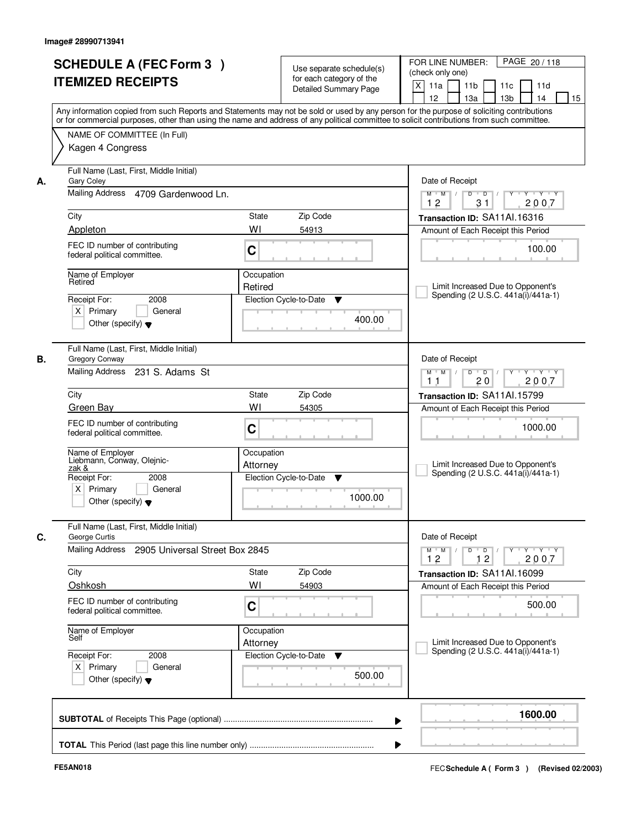|    | <b>SCHEDULE A (FEC Form 3)</b>                                                                                                             |                       | Use separate schedule(s)     | PAGE 20/118<br>FOR LINE NUMBER:<br>(check only one)                                                                                                         |
|----|--------------------------------------------------------------------------------------------------------------------------------------------|-----------------------|------------------------------|-------------------------------------------------------------------------------------------------------------------------------------------------------------|
|    | <b>ITEMIZED RECEIPTS</b>                                                                                                                   |                       | for each category of the     |                                                                                                                                                             |
|    |                                                                                                                                            |                       | <b>Detailed Summary Page</b> | $\boldsymbol{\mathsf{X}}$<br>11a<br>11 <sub>b</sub><br>11c<br>11d<br>12<br>13a<br>13 <sub>b</sub><br>14<br>15                                               |
|    | Any information copied from such Reports and Statements may not be sold or used by any person for the purpose of soliciting contributions  |                       |                              |                                                                                                                                                             |
|    | or for commercial purposes, other than using the name and address of any political committee to solicit contributions from such committee. |                       |                              |                                                                                                                                                             |
|    | NAME OF COMMITTEE (In Full)                                                                                                                |                       |                              |                                                                                                                                                             |
|    | Kagen 4 Congress                                                                                                                           |                       |                              |                                                                                                                                                             |
|    |                                                                                                                                            |                       |                              |                                                                                                                                                             |
|    | Full Name (Last, First, Middle Initial)                                                                                                    |                       |                              |                                                                                                                                                             |
| А. | <b>Gary Coley</b>                                                                                                                          |                       |                              | Date of Receipt                                                                                                                                             |
|    | Mailing Address 4709 Gardenwood Ln.                                                                                                        |                       |                              | $Y - Y - Y$<br>$M$ $M$ /<br>D<br>$\overline{D}$<br>31<br>2007<br>12                                                                                         |
|    | City                                                                                                                                       | State                 | Zip Code                     | Transaction ID: SA11Al.16316                                                                                                                                |
|    | Appleton                                                                                                                                   | WI                    | 54913                        | Amount of Each Receipt this Period                                                                                                                          |
|    | FEC ID number of contributing                                                                                                              |                       |                              |                                                                                                                                                             |
|    | federal political committee.                                                                                                               | C                     |                              | 100.00                                                                                                                                                      |
|    |                                                                                                                                            |                       |                              |                                                                                                                                                             |
|    | Name of Employer<br>Retired                                                                                                                | Occupation<br>Retired |                              | Limit Increased Due to Opponent's                                                                                                                           |
|    | 2008<br>Receipt For:                                                                                                                       |                       | Election Cycle-to-Date<br>▼  | Spending (2 U.S.C. 441a(i)/441a-1)                                                                                                                          |
|    | $X$ Primary<br>General                                                                                                                     |                       |                              |                                                                                                                                                             |
|    | Other (specify) $\blacktriangledown$                                                                                                       |                       | 400.00                       |                                                                                                                                                             |
|    |                                                                                                                                            |                       |                              |                                                                                                                                                             |
|    | Full Name (Last, First, Middle Initial)                                                                                                    |                       |                              |                                                                                                                                                             |
| В. | Gregory Conway                                                                                                                             |                       |                              | Date of Receipt                                                                                                                                             |
|    | Mailing Address 231 S. Adams St                                                                                                            |                       |                              | D<br>$\blacksquare$ $\blacksquare$ $\blacksquare$ $\blacksquare$ $\blacksquare$<br>$Y$ <sup>U</sup><br>Y Y Y Y<br>$M$ $M$ /<br>20<br>2007<br>1 <sub>1</sub> |
|    | City                                                                                                                                       | State                 | Zip Code                     | Transaction ID: SA11Al.15799                                                                                                                                |
|    | Green Bay                                                                                                                                  | WI                    | 54305                        | Amount of Each Receipt this Period                                                                                                                          |
|    |                                                                                                                                            |                       |                              |                                                                                                                                                             |
|    | FEC ID number of contributing<br>federal political committee.                                                                              | C                     |                              | 1000.00                                                                                                                                                     |
|    |                                                                                                                                            |                       |                              |                                                                                                                                                             |
|    | Name of Employer<br>Liebmann, Conway, Olejnic-                                                                                             | Occupation            |                              |                                                                                                                                                             |
|    | zak &                                                                                                                                      | Attorney              |                              | Limit Increased Due to Opponent's<br>Spending (2 U.S.C. 441a(i)/441a-1)                                                                                     |
|    | Receipt For:<br>2008<br>$X$ Primary<br>General                                                                                             |                       | Election Cycle-to-Date<br>▼  |                                                                                                                                                             |
|    | Other (specify) $\blacktriangledown$                                                                                                       |                       | 1000.00                      |                                                                                                                                                             |
|    |                                                                                                                                            |                       |                              |                                                                                                                                                             |
|    | Full Name (Last, First, Middle Initial)                                                                                                    |                       |                              |                                                                                                                                                             |
| C. | George Curtis                                                                                                                              |                       |                              | Date of Receipt                                                                                                                                             |
|    | Mailing Address<br>2905 Universal Street Box 2845                                                                                          |                       |                              | $M^+$ M<br>$D$ $D$ $I$<br>$Y$ <sup>U</sup><br>$\mathsf{Y} \dashv \mathsf{Y} \dashv \mathsf{Y}$<br>$\sqrt{ }$<br>2007<br>12<br>12                            |
|    | City                                                                                                                                       | State                 | Zip Code                     | Transaction ID: SA11Al.16099                                                                                                                                |
|    | Oshkosh                                                                                                                                    | WI                    | 54903                        | Amount of Each Receipt this Period                                                                                                                          |
|    |                                                                                                                                            |                       |                              |                                                                                                                                                             |
|    | FEC ID number of contributing<br>federal political committee.                                                                              | C                     |                              | 500.00                                                                                                                                                      |
|    |                                                                                                                                            |                       |                              |                                                                                                                                                             |
|    | Name of Employer<br>Self                                                                                                                   | Occupation            |                              |                                                                                                                                                             |
|    | Receipt For:                                                                                                                               | Attorney              |                              | Limit Increased Due to Opponent's<br>Spending (2 U.S.C. 441a(i)/441a-1)                                                                                     |
|    | 2008                                                                                                                                       |                       | Election Cycle-to-Date<br>v  |                                                                                                                                                             |
|    |                                                                                                                                            |                       |                              |                                                                                                                                                             |
|    | $X$ Primary<br>General                                                                                                                     |                       | 500.00                       |                                                                                                                                                             |
|    | Other (specify) $\blacktriangledown$                                                                                                       |                       |                              |                                                                                                                                                             |
|    |                                                                                                                                            |                       |                              |                                                                                                                                                             |
|    |                                                                                                                                            |                       |                              | 1600.00<br>▶                                                                                                                                                |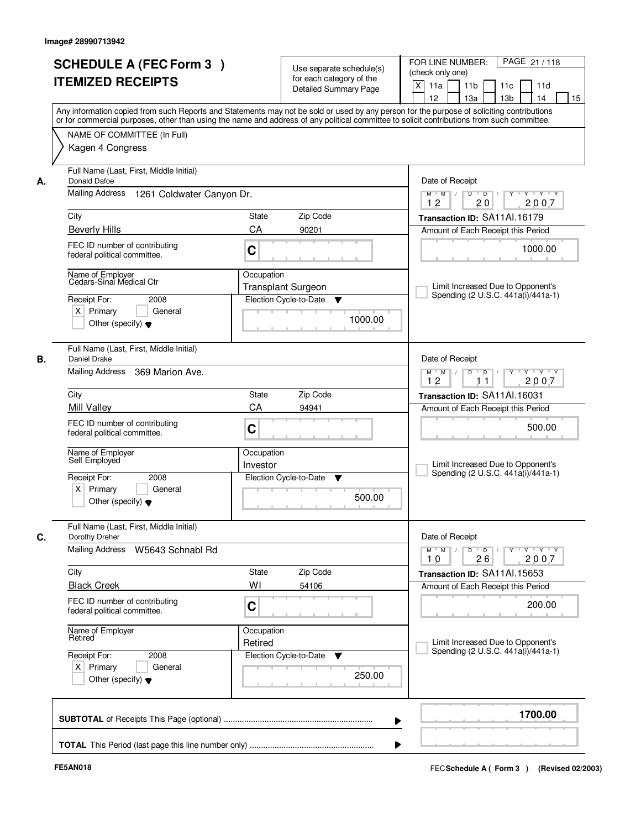|                             | <b>SCHEDULE A (FEC Form 3)</b><br><b>ITEMIZED RECEIPTS</b>                                              |                        | Use separate schedule(s)<br>for each category of the<br><b>Detailed Summary Page</b> | PAGE 21 / 118<br>FOR LINE NUMBER:<br>(check only one)<br>$\mathsf{X}$<br>11a<br>11 <sub>b</sub><br>11c<br>11d<br>12<br>13 <sub>b</sub><br>14<br>13a<br>15<br>Any information copied from such Reports and Statements may not be sold or used by any person for the purpose of soliciting contributions |
|-----------------------------|---------------------------------------------------------------------------------------------------------|------------------------|--------------------------------------------------------------------------------------|--------------------------------------------------------------------------------------------------------------------------------------------------------------------------------------------------------------------------------------------------------------------------------------------------------|
|                             | NAME OF COMMITTEE (In Full)<br>Kagen 4 Congress                                                         |                        |                                                                                      | or for commercial purposes, other than using the name and address of any political committee to solicit contributions from such committee.                                                                                                                                                             |
| Donald Dafoe<br>А.          | Full Name (Last, First, Middle Initial)                                                                 |                        |                                                                                      | Date of Receipt                                                                                                                                                                                                                                                                                        |
|                             | Mailing Address 1261 Coldwater Canyon Dr.                                                               |                        |                                                                                      | $Y - Y - Y$<br>$D$ $D$ $/$<br>Y<br>$M$ $M$ /<br>12<br>20<br>2007                                                                                                                                                                                                                                       |
| City                        |                                                                                                         | <b>State</b>           | Zip Code                                                                             | Transaction ID: SA11Al.16179                                                                                                                                                                                                                                                                           |
| <b>Beverly Hills</b>        |                                                                                                         | CA                     | 90201                                                                                | Amount of Each Receipt this Period                                                                                                                                                                                                                                                                     |
|                             | FEC ID number of contributing<br>federal political committee.                                           | C                      |                                                                                      | 1000.00                                                                                                                                                                                                                                                                                                |
| Receipt For:<br>$X$ Primary | Name of Employer<br>Cedars-Sinai Medical Ctr<br>2008<br>General<br>Other (specify) $\blacktriangledown$ | Occupation             | <b>Transplant Surgeon</b><br>Election Cycle-to-Date<br>▼<br>1000.00                  | Limit Increased Due to Opponent's<br>Spending (2 U.S.C. 441a(i)/441a-1)                                                                                                                                                                                                                                |
| В.<br>Daniel Drake          | Full Name (Last, First, Middle Initial)<br>Mailing Address<br>369 Marion Ave.                           |                        |                                                                                      | Date of Receipt<br>$Y - Y - Y$<br>$M$ $M$ /<br>D<br>$\Box$                                                                                                                                                                                                                                             |
|                             |                                                                                                         |                        |                                                                                      | 12<br>2007<br>11                                                                                                                                                                                                                                                                                       |
| City<br>Mill Valley         |                                                                                                         | State<br>CA            | Zip Code                                                                             | Transaction ID: SA11AI.16031                                                                                                                                                                                                                                                                           |
|                             | FEC ID number of contributing<br>federal political committee.                                           | C                      | 94941                                                                                | Amount of Each Receipt this Period<br>500.00                                                                                                                                                                                                                                                           |
| Self Employed               | Name of Employer                                                                                        | Occupation<br>Investor |                                                                                      | Limit Increased Due to Opponent's<br>Spending (2 U.S.C. 441a(i)/441a-1)                                                                                                                                                                                                                                |
| Receipt For:                | 2008<br>$X$ Primary<br>General<br>Other (specify) $\blacktriangledown$                                  |                        | Election Cycle-to-Date<br>▼<br>500.00                                                |                                                                                                                                                                                                                                                                                                        |
| C.<br>Dorothy Dreher        | Full Name (Last, First, Middle Initial)                                                                 |                        |                                                                                      | Date of Receipt                                                                                                                                                                                                                                                                                        |
|                             | Mailing Address<br>W5643 Schnabl Rd                                                                     |                        |                                                                                      | $D$ $D$ $/$<br>$\mathsf{Y} \dashv \mathsf{Y} \dashv \mathsf{Y} \dashv \mathsf{Y}$<br>$M$ $M$ $/$<br>10<br>26<br>2007                                                                                                                                                                                   |
| City                        |                                                                                                         | State                  | Zip Code                                                                             | Transaction ID: SA11Al.15653                                                                                                                                                                                                                                                                           |
| <b>Black Creek</b>          |                                                                                                         | WI                     | 54106                                                                                | Amount of Each Receipt this Period                                                                                                                                                                                                                                                                     |
|                             | FEC ID number of contributing<br>federal political committee.                                           | C                      |                                                                                      | 200.00                                                                                                                                                                                                                                                                                                 |
| Retired                     | Name of Employer                                                                                        | Occupation<br>Retired  |                                                                                      | Limit Increased Due to Opponent's<br>Spending (2 U.S.C. 441a(i)/441a-1)                                                                                                                                                                                                                                |
| Receipt For:<br>$X$ Primary | 2008<br>General<br>Other (specify) $\blacktriangledown$                                                 |                        | Election Cycle-to-Date<br>▼<br>250.00                                                |                                                                                                                                                                                                                                                                                                        |
|                             |                                                                                                         |                        |                                                                                      | 1700.00<br>▶                                                                                                                                                                                                                                                                                           |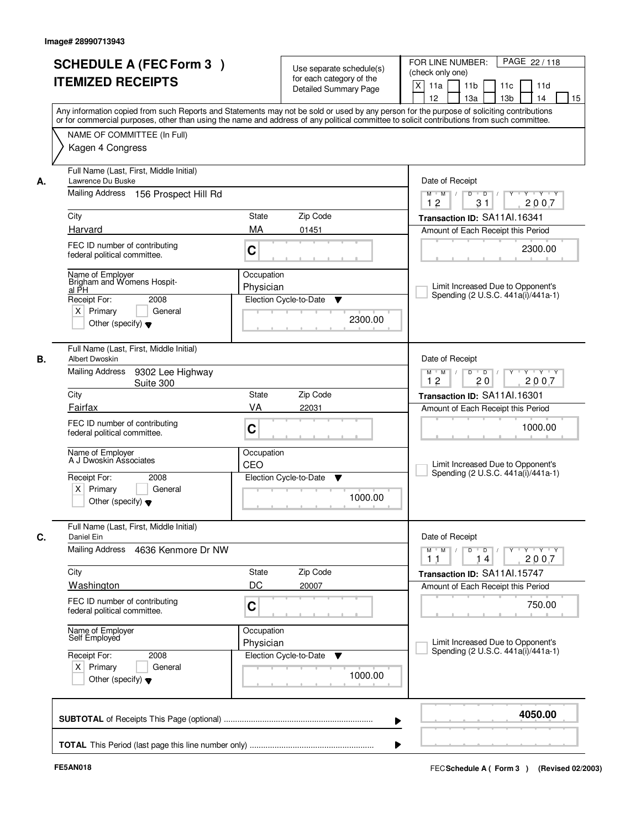|    | <b>SCHEDULE A (FEC Form 3)</b><br><b>ITEMIZED RECEIPTS</b>                                                                                        | Use separate schedule(s)<br>for each category of the<br><b>Detailed Summary Page</b><br>Any information copied from such Reports and Statements may not be sold or used by any person for the purpose of soliciting contributions | PAGE 22/118<br>FOR LINE NUMBER:<br>(check only one)<br>X<br>11a<br>11 <sub>b</sub><br>11d<br>11c<br>12<br>13a<br>13 <sub>b</sub><br>14<br>15 |
|----|---------------------------------------------------------------------------------------------------------------------------------------------------|-----------------------------------------------------------------------------------------------------------------------------------------------------------------------------------------------------------------------------------|----------------------------------------------------------------------------------------------------------------------------------------------|
|    | NAME OF COMMITTEE (In Full)<br>Kagen 4 Congress                                                                                                   | or for commercial purposes, other than using the name and address of any political committee to solicit contributions from such committee.                                                                                        |                                                                                                                                              |
| А. | Full Name (Last, First, Middle Initial)<br>Lawrence Du Buske<br>Mailing Address<br>156 Prospect Hill Rd                                           |                                                                                                                                                                                                                                   | Date of Receipt<br>$Y - Y - Y$<br>$M$ $M$ /<br>D<br>$\overline{D}$                                                                           |
|    | City                                                                                                                                              | State<br>Zip Code                                                                                                                                                                                                                 | 2007<br>12<br>31                                                                                                                             |
|    | Harvard                                                                                                                                           | MA<br>01451                                                                                                                                                                                                                       | Transaction ID: SA11Al.16341<br>Amount of Each Receipt this Period                                                                           |
|    | FEC ID number of contributing<br>federal political committee.                                                                                     | C                                                                                                                                                                                                                                 | 2300.00                                                                                                                                      |
|    | Name of Employer<br>Brigham and Womens Hospit-<br>al PH<br>Receipt For:<br>2008<br>$X$ Primary<br>General<br>Other (specify) $\blacktriangledown$ | Occupation<br>Physician<br>Election Cycle-to-Date<br>▼<br>2300.00                                                                                                                                                                 | Limit Increased Due to Opponent's<br>Spending (2 U.S.C. 441a(i)/441a-1)                                                                      |
| В. | Full Name (Last, First, Middle Initial)<br><b>Albert Dwoskin</b><br>Mailing Address<br>9302 Lee Highway                                           |                                                                                                                                                                                                                                   | Date of Receipt<br>$Y - Y - Y$<br>$M$ $M$ /<br>D<br>$\blacksquare$ D $\blacksquare$ /                                                        |
|    | Suite 300                                                                                                                                         |                                                                                                                                                                                                                                   | 12<br>2007<br>20                                                                                                                             |
|    | City<br>Fairfax                                                                                                                                   | Zip Code<br>State<br>VA<br>22031                                                                                                                                                                                                  | Transaction ID: SA11Al.16301                                                                                                                 |
|    | FEC ID number of contributing<br>federal political committee.                                                                                     | C                                                                                                                                                                                                                                 | Amount of Each Receipt this Period<br>1000.00                                                                                                |
|    | Name of Employer<br>A J Dwoskin Associates<br>Receipt For:<br>2008<br>Primary<br>$\times$<br>General<br>Other (specify) $\blacktriangledown$      | Occupation<br>CEO<br>Election Cycle-to-Date<br>v<br>1000.00                                                                                                                                                                       | Limit Increased Due to Opponent's<br>Spending (2 U.S.C. 441a(i)/441a-1)                                                                      |
| С. | Full Name (Last, First, Middle Initial)<br>Daniel Ein                                                                                             |                                                                                                                                                                                                                                   | Date of Receipt                                                                                                                              |
|    | Mailing Address<br>4636 Kenmore Dr NW                                                                                                             |                                                                                                                                                                                                                                   | Y Y Y Y<br>$M^+$ M<br>$D$ $D$<br>2007<br>11<br>14                                                                                            |
|    | City                                                                                                                                              | Zip Code<br>State<br>DC                                                                                                                                                                                                           | Transaction ID: SA11Al.15747                                                                                                                 |
|    | Washington<br>FEC ID number of contributing<br>federal political committee.                                                                       | 20007<br>C                                                                                                                                                                                                                        | Amount of Each Receipt this Period<br>750.00                                                                                                 |
|    | Name of Employer<br>Self Employed                                                                                                                 | Occupation<br>Physician                                                                                                                                                                                                           | Limit Increased Due to Opponent's                                                                                                            |
|    | Receipt For:<br>2008<br>$X$ Primary<br>General<br>Other (specify) $\blacktriangledown$                                                            | Election Cycle-to-Date<br>v<br>1000.00                                                                                                                                                                                            | Spending (2 U.S.C. 441a(i)/441a-1)                                                                                                           |
|    |                                                                                                                                                   |                                                                                                                                                                                                                                   | 4050.00                                                                                                                                      |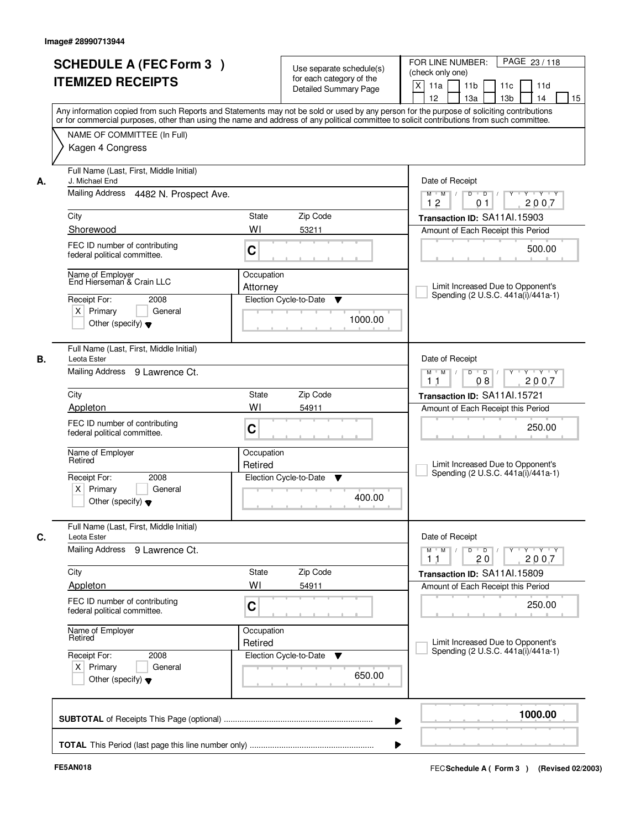|    | <b>SCHEDULE A (FEC Form 3)</b>                                | Use separate schedule(s)                                                                                                                                                                                                                                                                | FOR LINE NUMBER:<br>PAGE 23/118                                                                       |
|----|---------------------------------------------------------------|-----------------------------------------------------------------------------------------------------------------------------------------------------------------------------------------------------------------------------------------------------------------------------------------|-------------------------------------------------------------------------------------------------------|
|    | <b>ITEMIZED RECEIPTS</b>                                      | for each category of the                                                                                                                                                                                                                                                                | (check only one)                                                                                      |
|    |                                                               | Detailed Summary Page                                                                                                                                                                                                                                                                   | X<br>11 <sub>b</sub><br>11a<br>11c<br>11d                                                             |
|    |                                                               |                                                                                                                                                                                                                                                                                         | 12<br>13 <sub>b</sub><br>14<br>15<br>13a                                                              |
|    |                                                               | Any information copied from such Reports and Statements may not be sold or used by any person for the purpose of soliciting contributions<br>or for commercial purposes, other than using the name and address of any political committee to solicit contributions from such committee. |                                                                                                       |
|    |                                                               |                                                                                                                                                                                                                                                                                         |                                                                                                       |
|    | NAME OF COMMITTEE (In Full)                                   |                                                                                                                                                                                                                                                                                         |                                                                                                       |
|    | Kagen 4 Congress                                              |                                                                                                                                                                                                                                                                                         |                                                                                                       |
|    | Full Name (Last, First, Middle Initial)                       |                                                                                                                                                                                                                                                                                         |                                                                                                       |
| А. | J. Michael End                                                |                                                                                                                                                                                                                                                                                         | Date of Receipt                                                                                       |
|    | Mailing Address 4482 N. Prospect Ave.                         |                                                                                                                                                                                                                                                                                         | $Y$ $Y$ $Y$<br>$\overline{D}$<br>$M$ $M$ /<br>D<br>Y                                                  |
|    |                                                               |                                                                                                                                                                                                                                                                                         | 12<br>2007<br>01                                                                                      |
|    | City                                                          | <b>State</b><br>Zip Code                                                                                                                                                                                                                                                                | Transaction ID: SA11Al.15903                                                                          |
|    | Shorewood                                                     | WI<br>53211                                                                                                                                                                                                                                                                             | Amount of Each Receipt this Period                                                                    |
|    | FEC ID number of contributing                                 | C                                                                                                                                                                                                                                                                                       | 500.00                                                                                                |
|    | federal political committee.                                  |                                                                                                                                                                                                                                                                                         |                                                                                                       |
|    | Name of Employer<br>End Hierseman & Crain LLC                 | Occupation                                                                                                                                                                                                                                                                              |                                                                                                       |
|    |                                                               | Attorney                                                                                                                                                                                                                                                                                | Limit Increased Due to Opponent's                                                                     |
|    | Receipt For:<br>2008                                          | Election Cycle-to-Date<br>▼                                                                                                                                                                                                                                                             | Spending (2 U.S.C. 441a(i)/441a-1)                                                                    |
|    | $X$ Primary<br>General                                        |                                                                                                                                                                                                                                                                                         |                                                                                                       |
|    | Other (specify) $\blacktriangledown$                          | 1000.00                                                                                                                                                                                                                                                                                 |                                                                                                       |
|    |                                                               |                                                                                                                                                                                                                                                                                         |                                                                                                       |
|    | Full Name (Last, First, Middle Initial)                       |                                                                                                                                                                                                                                                                                         |                                                                                                       |
| В. | Leota Ester                                                   |                                                                                                                                                                                                                                                                                         | Date of Receipt                                                                                       |
|    | Mailing Address 9 Lawrence Ct.                                |                                                                                                                                                                                                                                                                                         | $D$ $D$ $/$<br>Y * Y * Y * Y<br>$M$ $M$ /<br>08<br>2007<br>1 <sub>1</sub>                             |
|    | City                                                          | Zip Code<br>State                                                                                                                                                                                                                                                                       | Transaction ID: SA11Al.15721                                                                          |
|    | Appleton                                                      | WI<br>54911                                                                                                                                                                                                                                                                             | Amount of Each Receipt this Period                                                                    |
|    | FEC ID number of contributing                                 |                                                                                                                                                                                                                                                                                         |                                                                                                       |
|    | federal political committee.                                  | C                                                                                                                                                                                                                                                                                       | 250.00                                                                                                |
|    |                                                               |                                                                                                                                                                                                                                                                                         |                                                                                                       |
|    | Name of Employer<br>Retired                                   | Occupation<br>Retired                                                                                                                                                                                                                                                                   | Limit Increased Due to Opponent's                                                                     |
|    | Receipt For:<br>2008                                          | Election Cycle-to-Date<br>▼                                                                                                                                                                                                                                                             | Spending (2 U.S.C. 441a(i)/441a-1)                                                                    |
|    | $X$ Primary<br>General                                        |                                                                                                                                                                                                                                                                                         |                                                                                                       |
|    | Other (specify) $\blacktriangledown$                          | 400.00                                                                                                                                                                                                                                                                                  |                                                                                                       |
|    |                                                               |                                                                                                                                                                                                                                                                                         |                                                                                                       |
|    | Full Name (Last, First, Middle Initial)                       |                                                                                                                                                                                                                                                                                         |                                                                                                       |
| C. | Leota Ester                                                   |                                                                                                                                                                                                                                                                                         | Date of Receipt                                                                                       |
|    | <b>Mailing Address</b><br>9 Lawrence Ct.                      |                                                                                                                                                                                                                                                                                         | $Y$ $Y$ $Y$ $Y$<br>$M$ $M$ $M$<br>$D$ $D$ $/$<br>$Y$ <sup><math>\top</math></sup><br>2007<br>20<br>11 |
|    | City                                                          | Zip Code<br>State                                                                                                                                                                                                                                                                       | Transaction ID: SA11Al.15809                                                                          |
|    | Appleton                                                      | WI<br>54911                                                                                                                                                                                                                                                                             | Amount of Each Receipt this Period                                                                    |
|    |                                                               |                                                                                                                                                                                                                                                                                         |                                                                                                       |
|    | FEC ID number of contributing<br>federal political committee. | C                                                                                                                                                                                                                                                                                       | 250.00                                                                                                |
|    |                                                               |                                                                                                                                                                                                                                                                                         |                                                                                                       |
|    | Name of Employer<br>Retired                                   | Occupation                                                                                                                                                                                                                                                                              |                                                                                                       |
|    |                                                               | Retired                                                                                                                                                                                                                                                                                 | Limit Increased Due to Opponent's<br>Spending (2 U.S.C. 441a(i)/441a-1)                               |
|    | Receipt For:<br>2008                                          | Election Cycle-to-Date<br>v                                                                                                                                                                                                                                                             |                                                                                                       |
|    | $X$ Primary<br>General                                        | 650.00                                                                                                                                                                                                                                                                                  |                                                                                                       |
|    | Other (specify) $\blacktriangledown$                          |                                                                                                                                                                                                                                                                                         |                                                                                                       |
|    |                                                               |                                                                                                                                                                                                                                                                                         |                                                                                                       |
|    |                                                               |                                                                                                                                                                                                                                                                                         |                                                                                                       |
|    |                                                               |                                                                                                                                                                                                                                                                                         | 1000.00                                                                                               |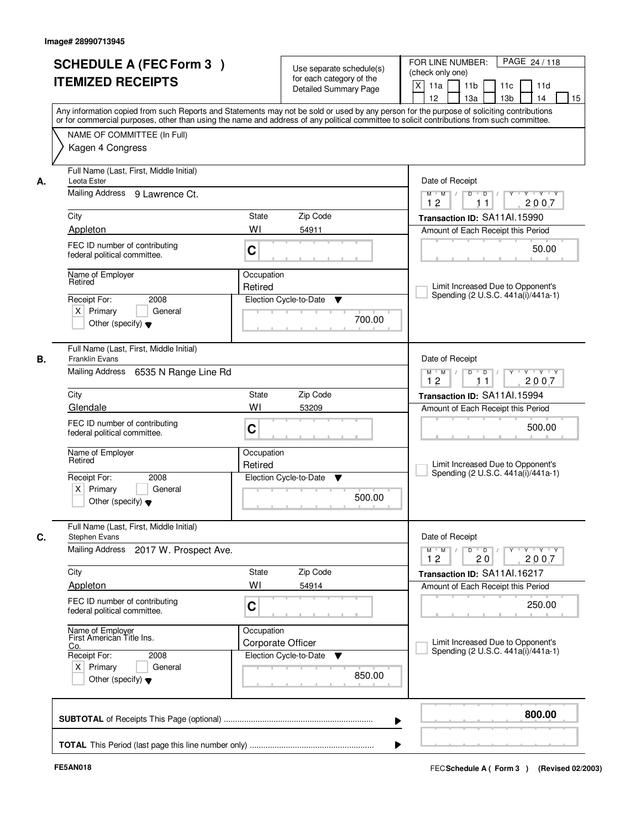|         | <b>SCHEDULE A (FEC Form 3)</b><br><b>ITEMIZED RECEIPTS</b>                                                                              |                                 | Use separate schedule(s)<br>for each category of the<br><b>Detailed Summary Page</b> | PAGE 24 / 118<br>FOR LINE NUMBER:<br>(check only one)<br>$\mathsf{X}$<br>11 <sub>b</sub><br>11a<br>11c<br>11d<br>13 <sub>b</sub><br>12<br>13a<br>14<br>15<br>Any information copied from such Reports and Statements may not be sold or used by any person for the purpose of soliciting contributions                                                                                                                                                                  |
|---------|-----------------------------------------------------------------------------------------------------------------------------------------|---------------------------------|--------------------------------------------------------------------------------------|-------------------------------------------------------------------------------------------------------------------------------------------------------------------------------------------------------------------------------------------------------------------------------------------------------------------------------------------------------------------------------------------------------------------------------------------------------------------------|
|         | NAME OF COMMITTEE (In Full)<br>Kagen 4 Congress                                                                                         |                                 |                                                                                      | or for commercial purposes, other than using the name and address of any political committee to solicit contributions from such committee.                                                                                                                                                                                                                                                                                                                              |
| А.      | Full Name (Last, First, Middle Initial)<br>Leota Ester<br>Mailing Address 9 Lawrence Ct.                                                |                                 |                                                                                      | Date of Receipt<br>$\begin{array}{c c c c c c c c} \hline \textbf{0} & \textbf{0} & \textbf{0} & \textbf{0} & \textbf{0} & \textbf{0} & \textbf{0} & \textbf{0} & \textbf{0} & \textbf{0} & \textbf{0} & \textbf{0} & \textbf{0} & \textbf{0} & \textbf{0} & \textbf{0} & \textbf{0} & \textbf{0} & \textbf{0} & \textbf{0} & \textbf{0} & \textbf{0} & \textbf{0} & \textbf{0} & \textbf{0} & \textbf{0} & \textbf{0} & \textbf{0} &$<br>$M$ $M$ /<br>12<br>2007<br>11 |
| City    |                                                                                                                                         | State                           | Zip Code                                                                             | Transaction ID: SA11Al.15990                                                                                                                                                                                                                                                                                                                                                                                                                                            |
|         | Appleton                                                                                                                                | WI                              | 54911                                                                                | Amount of Each Receipt this Period                                                                                                                                                                                                                                                                                                                                                                                                                                      |
|         | FEC ID number of contributing<br>federal political committee.                                                                           | C                               |                                                                                      | 50.00                                                                                                                                                                                                                                                                                                                                                                                                                                                                   |
| Retired | Name of Employer<br>Receipt For:<br>2008<br>$X$ Primary<br>General<br>Other (specify) $\blacktriangledown$                              | Occupation<br>Retired           | Election Cycle-to-Date<br>▼<br>700.00                                                | Limit Increased Due to Opponent's<br>Spending (2 U.S.C. 441a(i)/441a-1)                                                                                                                                                                                                                                                                                                                                                                                                 |
| В.      | Full Name (Last, First, Middle Initial)<br>Franklin Evans<br>Mailing Address<br>6535 N Range Line Rd                                    |                                 |                                                                                      | Date of Receipt<br>$Y - Y - Y$<br>$M$ M<br>D<br>$\overline{D}$<br>2007<br>12<br>11                                                                                                                                                                                                                                                                                                                                                                                      |
| City    |                                                                                                                                         | <b>State</b>                    | Zip Code                                                                             | Transaction ID: SA11Al.15994                                                                                                                                                                                                                                                                                                                                                                                                                                            |
|         | Glendale                                                                                                                                | WI                              | 53209                                                                                | Amount of Each Receipt this Period                                                                                                                                                                                                                                                                                                                                                                                                                                      |
|         | FEC ID number of contributing<br>federal political committee.                                                                           | C                               |                                                                                      | 500.00                                                                                                                                                                                                                                                                                                                                                                                                                                                                  |
| Retired | Name of Employer                                                                                                                        | Occupation<br>Retired           |                                                                                      | Limit Increased Due to Opponent's<br>Spending (2 U.S.C. 441a(i)/441a-1)                                                                                                                                                                                                                                                                                                                                                                                                 |
|         | 2008<br>Receipt For:<br>$X$ Primary<br>General<br>Other (specify) $\blacktriangledown$                                                  |                                 | Election Cycle-to-Date<br>▼<br>500.00                                                |                                                                                                                                                                                                                                                                                                                                                                                                                                                                         |
| C.      | Full Name (Last, First, Middle Initial)<br><b>Stephen Evans</b><br>Mailing Address<br>2017 W. Prospect Ave.                             |                                 |                                                                                      | Date of Receipt<br>$\mathsf D$<br>$M$ $M$ /<br>$\overline{D}$<br>$Y - Y - Y$<br>Y                                                                                                                                                                                                                                                                                                                                                                                       |
|         |                                                                                                                                         |                                 |                                                                                      | 12<br>20<br>2007                                                                                                                                                                                                                                                                                                                                                                                                                                                        |
| City    |                                                                                                                                         | State                           | Zip Code                                                                             | Transaction ID: SA11Al.16217                                                                                                                                                                                                                                                                                                                                                                                                                                            |
|         | Appleton                                                                                                                                | WI                              | 54914                                                                                | Amount of Each Receipt this Period                                                                                                                                                                                                                                                                                                                                                                                                                                      |
|         | FEC ID number of contributing<br>federal political committee.                                                                           | C                               |                                                                                      | 250.00                                                                                                                                                                                                                                                                                                                                                                                                                                                                  |
| Co.     | Name of Employer<br>First American Title Ins.<br>Receipt For:<br>2008<br>$X$ Primary<br>General<br>Other (specify) $\blacktriangledown$ | Occupation<br>Corporate Officer | Election Cycle-to-Date<br>v<br>850.00                                                | Limit Increased Due to Opponent's<br>Spending (2 U.S.C. 441a(i)/441a-1)                                                                                                                                                                                                                                                                                                                                                                                                 |
|         |                                                                                                                                         |                                 | ▶                                                                                    | 800.00                                                                                                                                                                                                                                                                                                                                                                                                                                                                  |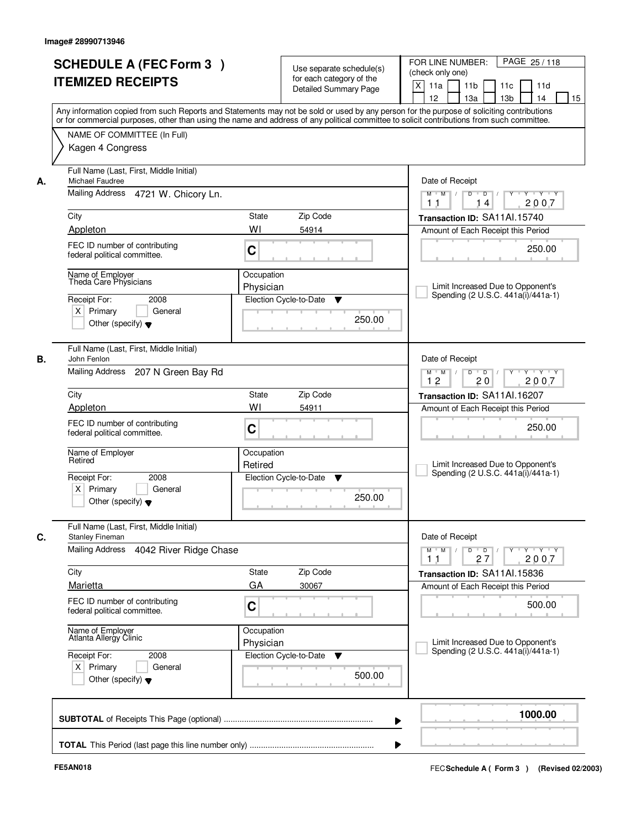|                                                 | <b>SCHEDULE A (FEC Form 3)</b><br><b>ITEMIZED RECEIPTS</b>                     |                         | Use separate schedule(s)<br>for each category of the<br>Detailed Summary Page | PAGE 25/118<br>FOR LINE NUMBER:<br>(check only one)<br>X<br>11 <sub>b</sub><br>11a<br>11c<br>11d<br>12<br>13 <sub>b</sub><br>13a<br>14<br>15<br>Any information copied from such Reports and Statements may not be sold or used by any person for the purpose of soliciting contributions |
|-------------------------------------------------|--------------------------------------------------------------------------------|-------------------------|-------------------------------------------------------------------------------|-------------------------------------------------------------------------------------------------------------------------------------------------------------------------------------------------------------------------------------------------------------------------------------------|
|                                                 | NAME OF COMMITTEE (In Full)<br>Kagen 4 Congress                                |                         |                                                                               | or for commercial purposes, other than using the name and address of any political committee to solicit contributions from such committee.                                                                                                                                                |
| Michael Faudree<br>А.                           | Full Name (Last, First, Middle Initial)<br>Mailing Address 4721 W. Chicory Ln. |                         |                                                                               | Date of Receipt<br>$Y + Y + Y$<br>$M$ $M$ /<br>$D$ $D$ $/$<br>$\overline{Y}$                                                                                                                                                                                                              |
|                                                 |                                                                                |                         |                                                                               | 2007<br>14<br>11                                                                                                                                                                                                                                                                          |
| City                                            |                                                                                | State                   | Zip Code                                                                      | Transaction ID: SA11Al.15740                                                                                                                                                                                                                                                              |
| Appleton                                        |                                                                                | WI                      | 54914                                                                         | Amount of Each Receipt this Period                                                                                                                                                                                                                                                        |
|                                                 | FEC ID number of contributing<br>federal political committee.                  | C                       |                                                                               | 250.00                                                                                                                                                                                                                                                                                    |
| Name of Employer<br>Receipt For:<br>$X$ Primary | Theda Care Physicians<br>2008<br>General                                       | Occupation<br>Physician | Election Cycle-to-Date<br>▼                                                   | Limit Increased Due to Opponent's<br>Spending (2 U.S.C. 441a(i)/441a-1)                                                                                                                                                                                                                   |
|                                                 | Other (specify) $\blacktriangledown$                                           |                         | 250.00                                                                        |                                                                                                                                                                                                                                                                                           |
| John Fenlon<br>В.                               | Full Name (Last, First, Middle Initial)                                        |                         |                                                                               | Date of Receipt                                                                                                                                                                                                                                                                           |
| Mailing Address                                 | 207 N Green Bay Rd                                                             |                         |                                                                               | $Y - Y - Y$<br>$M$ $M$<br>D<br>$\overline{D}$<br>12<br>20<br>2007                                                                                                                                                                                                                         |
| City                                            |                                                                                | <b>State</b>            | Zip Code                                                                      | Transaction ID: SA11Al.16207                                                                                                                                                                                                                                                              |
| Appleton                                        |                                                                                | WI                      | 54911                                                                         | Amount of Each Receipt this Period                                                                                                                                                                                                                                                        |
|                                                 | FEC ID number of contributing<br>federal political committee.                  | C                       |                                                                               | 250.00                                                                                                                                                                                                                                                                                    |
| Name of Employer<br>Retired                     |                                                                                | Occupation<br>Retired   |                                                                               | Limit Increased Due to Opponent's<br>Spending (2 U.S.C. 441a(i)/441a-1)                                                                                                                                                                                                                   |
| Receipt For:<br>$X$ Primary                     | 2008<br>General<br>Other (specify) $\blacktriangledown$                        |                         | Election Cycle-to-Date<br>▼<br>250.00                                         |                                                                                                                                                                                                                                                                                           |
| C.<br><b>Stanley Fineman</b>                    | Full Name (Last, First, Middle Initial)                                        |                         |                                                                               | Date of Receipt                                                                                                                                                                                                                                                                           |
| <b>Mailing Address</b>                          | 4042 River Ridge Chase                                                         |                         |                                                                               | $D$ $D$ $/$<br>$M$ $M$ /<br>$Y + Y + Y$<br>Y<br>2007<br>11<br>27                                                                                                                                                                                                                          |
| City                                            |                                                                                | State                   | Zip Code                                                                      | Transaction ID: SA11Al.15836                                                                                                                                                                                                                                                              |
| Marietta                                        |                                                                                | GA                      | 30067                                                                         | Amount of Each Receipt this Period                                                                                                                                                                                                                                                        |
|                                                 | FEC ID number of contributing<br>federal political committee.                  | C                       |                                                                               | 500.00                                                                                                                                                                                                                                                                                    |
|                                                 | Name of Employer<br>Atlanta Allergy Clinic                                     | Occupation<br>Physician |                                                                               | Limit Increased Due to Opponent's<br>Spending (2 U.S.C. 441a(i)/441a-1)                                                                                                                                                                                                                   |
| Receipt For:<br>$X$ Primary                     | 2008<br>General<br>Other (specify) $\blacktriangledown$                        |                         | Election Cycle-to-Date<br>v<br>500.00                                         |                                                                                                                                                                                                                                                                                           |
|                                                 |                                                                                |                         |                                                                               | 1000.00                                                                                                                                                                                                                                                                                   |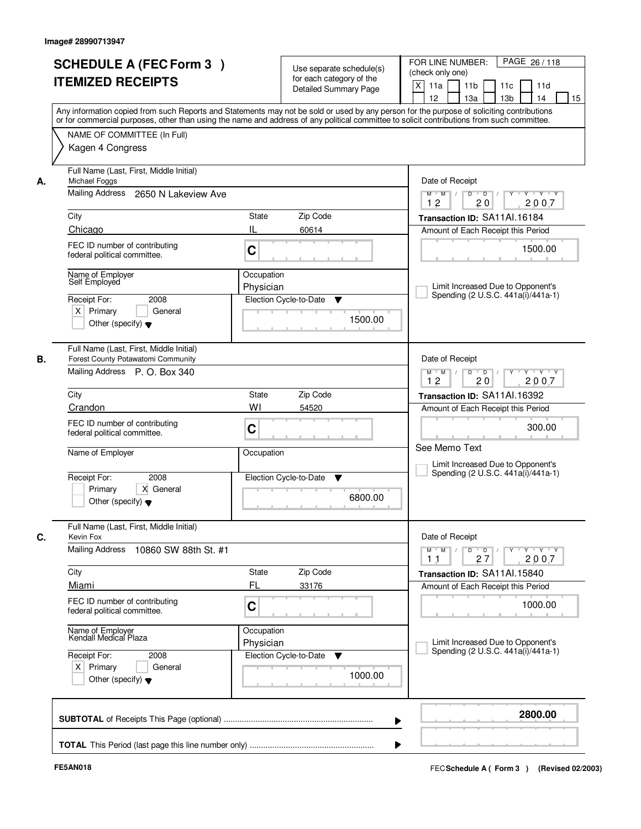| <b>ITEMIZED RECEIPTS</b>                                         | <b>SCHEDULE A (FEC Form 3)</b>                                                                                 |                         | Use separate schedule(s)<br>for each category of the<br><b>Detailed Summary Page</b> | PAGE 26 / 118<br>FOR LINE NUMBER:<br>(check only one)<br>X<br>11 <sub>b</sub><br>11a<br>11 <sub>c</sub><br>11d<br>12<br>13 <sub>b</sub><br>14<br>13a<br>Any information copied from such Reports and Statements may not be sold or used by any person for the purpose of soliciting contributions |
|------------------------------------------------------------------|----------------------------------------------------------------------------------------------------------------|-------------------------|--------------------------------------------------------------------------------------|---------------------------------------------------------------------------------------------------------------------------------------------------------------------------------------------------------------------------------------------------------------------------------------------------|
| Kagen 4 Congress                                                 | NAME OF COMMITTEE (In Full)                                                                                    |                         |                                                                                      | or for commercial purposes, other than using the name and address of any political committee to solicit contributions from such committee.                                                                                                                                                        |
| Michael Foggs<br>А.                                              | Full Name (Last, First, Middle Initial)<br>Mailing Address 2650 N Lakeview Ave                                 |                         |                                                                                      | Date of Receipt<br>$Y + Y + Y$<br>$D$ $D$ $I$<br>Y<br>$M$ $M$ /                                                                                                                                                                                                                                   |
| City                                                             |                                                                                                                | <b>State</b>            | Zip Code                                                                             | 12<br>20<br>2007<br>Transaction ID: SA11Al.16184                                                                                                                                                                                                                                                  |
| Chicago<br>federal political committee.                          | FEC ID number of contributing                                                                                  | IL<br>C                 | 60614                                                                                | Amount of Each Receipt this Period<br>1500.00                                                                                                                                                                                                                                                     |
| Name of Emplover<br>Self Employed<br>Receipt For:<br>$X$ Primary | 2008<br>General<br>Other (specify) $\blacktriangledown$                                                        | Occupation<br>Physician | Election Cycle-to-Date<br>v<br>1500.00                                               | Limit Increased Due to Opponent's<br>Spending (2 U.S.C. 441a(i)/441a-1)                                                                                                                                                                                                                           |
|                                                                  | Full Name (Last, First, Middle Initial)<br>Forest County Potawatomi Community<br>Mailing Address P. O. Box 340 |                         |                                                                                      | Date of Receipt<br>Y Y Y Y<br>$M$ $M$ /<br>D<br>$\overline{D}$ /<br>Y<br>12<br>20<br>2007                                                                                                                                                                                                         |
| City                                                             |                                                                                                                | State                   | Zip Code                                                                             | Transaction ID: SA11Al.16392                                                                                                                                                                                                                                                                      |
| Crandon<br>federal political committee.                          | FEC ID number of contributing                                                                                  | WI<br>C                 | 54520                                                                                | Amount of Each Receipt this Period<br>300.00                                                                                                                                                                                                                                                      |
| Name of Employer                                                 |                                                                                                                | Occupation              |                                                                                      | See Memo Text<br>Limit Increased Due to Opponent's                                                                                                                                                                                                                                                |
| Receipt For:<br>Primary                                          | 2008<br>X General<br>Other (specify) $\blacktriangledown$                                                      |                         | Election Cycle-to-Date<br>▼<br>6800.00                                               | Spending (2 U.S.C. 441a(i)/441a-1)                                                                                                                                                                                                                                                                |
| Kevin Fox                                                        | Full Name (Last, First, Middle Initial)                                                                        |                         |                                                                                      | Date of Receipt                                                                                                                                                                                                                                                                                   |
| <b>Mailing Address</b>                                           | 10860 SW 88th St. #1                                                                                           |                         |                                                                                      | $M$ $M$<br>$D$ $D$ $/$<br>y y y y y<br>27<br>2007<br>11                                                                                                                                                                                                                                           |
| City<br>Miami                                                    |                                                                                                                | State<br>FL             | Zip Code<br>33176                                                                    | Transaction ID: SA11Al.15840<br>Amount of Each Receipt this Period                                                                                                                                                                                                                                |
| federal political committee.                                     | FEC ID number of contributing                                                                                  | C                       |                                                                                      | 1000.00                                                                                                                                                                                                                                                                                           |
| Name of Employer<br>Kendall Medical Plaza                        |                                                                                                                | Occupation<br>Physician |                                                                                      | Limit Increased Due to Opponent's<br>Spending (2 U.S.C. 441a(i)/441a-1)                                                                                                                                                                                                                           |
| Receipt For:<br>$X$ Primary                                      | 2008<br>General<br>Other (specify) $\blacktriangledown$                                                        |                         | Election Cycle-to-Date<br>v<br>1000.00                                               |                                                                                                                                                                                                                                                                                                   |
|                                                                  |                                                                                                                |                         |                                                                                      | 2800.00                                                                                                                                                                                                                                                                                           |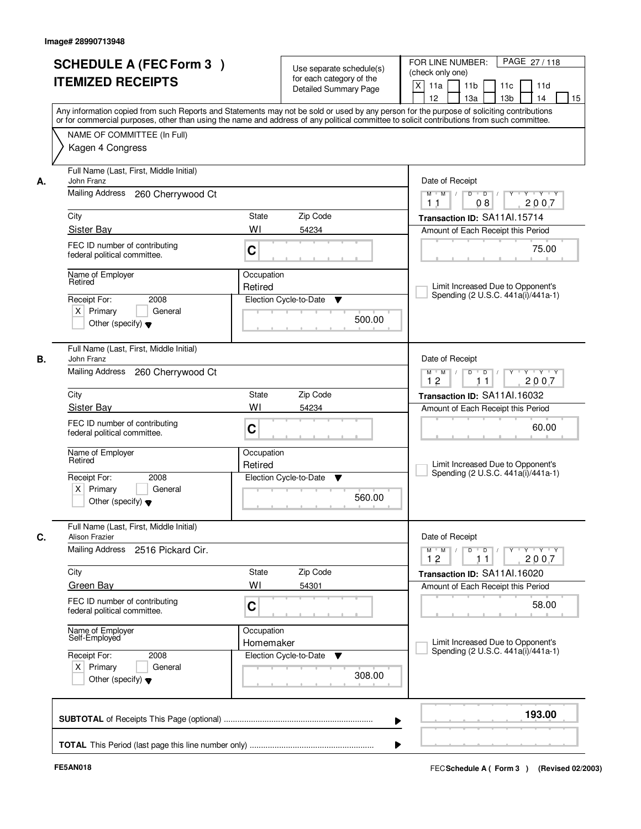|    | <b>SCHEDULE A (FEC Form 3)</b>                                | Use separate schedule(s)                                                                                                                   | FOR LINE NUMBER:<br>PAGE 27/118<br>(check only one)                                                    |  |
|----|---------------------------------------------------------------|--------------------------------------------------------------------------------------------------------------------------------------------|--------------------------------------------------------------------------------------------------------|--|
|    | <b>ITEMIZED RECEIPTS</b>                                      | for each category of the                                                                                                                   | X<br>11 <sub>b</sub>                                                                                   |  |
|    |                                                               | <b>Detailed Summary Page</b>                                                                                                               | 11a<br>11c<br>11d<br>12<br>13 <sub>b</sub><br>14<br>13a<br>15                                          |  |
|    |                                                               | Any information copied from such Reports and Statements may not be sold or used by any person for the purpose of soliciting contributions  |                                                                                                        |  |
|    |                                                               | or for commercial purposes, other than using the name and address of any political committee to solicit contributions from such committee. |                                                                                                        |  |
|    | NAME OF COMMITTEE (In Full)                                   |                                                                                                                                            |                                                                                                        |  |
|    | Kagen 4 Congress                                              |                                                                                                                                            |                                                                                                        |  |
|    |                                                               |                                                                                                                                            |                                                                                                        |  |
| А. | Full Name (Last, First, Middle Initial)<br>John Franz         |                                                                                                                                            | Date of Receipt                                                                                        |  |
|    | Mailing Address<br>260 Cherrywood Ct                          |                                                                                                                                            | $Y$ $Y$ $Y$<br>$\blacksquare$ D $\blacksquare$ /<br>Y<br>$M$ $M$ /<br>D                                |  |
|    |                                                               |                                                                                                                                            | 08<br>2007<br>11                                                                                       |  |
|    | City                                                          | <b>State</b><br>Zip Code                                                                                                                   | Transaction ID: SA11Al.15714                                                                           |  |
|    | Sister Bay                                                    | WI<br>54234                                                                                                                                | Amount of Each Receipt this Period                                                                     |  |
|    | FEC ID number of contributing                                 | C                                                                                                                                          | 75.00                                                                                                  |  |
|    | federal political committee.                                  |                                                                                                                                            |                                                                                                        |  |
|    | Name of Employer                                              | Occupation                                                                                                                                 |                                                                                                        |  |
|    | Retired                                                       | Retired                                                                                                                                    | Limit Increased Due to Opponent's                                                                      |  |
|    | 2008<br>Receipt For:                                          | Election Cycle-to-Date<br>▼                                                                                                                | Spending (2 U.S.C. 441a(i)/441a-1)                                                                     |  |
|    | $X$ Primary<br>General                                        | 500.00                                                                                                                                     |                                                                                                        |  |
|    | Other (specify) $\blacktriangledown$                          |                                                                                                                                            |                                                                                                        |  |
|    |                                                               |                                                                                                                                            |                                                                                                        |  |
| В. | Full Name (Last, First, Middle Initial)<br>John Franz         |                                                                                                                                            | Date of Receipt                                                                                        |  |
|    | Mailing Address<br>260 Cherrywood Ct                          |                                                                                                                                            | D<br>$\blacksquare$ D $\blacksquare$ /<br>Y * Y * Y * Y<br>$M$ $M$ /                                   |  |
|    |                                                               |                                                                                                                                            | 12<br>2007<br>11                                                                                       |  |
|    | City                                                          | Zip Code<br>State                                                                                                                          | Transaction ID: SA11Al.16032                                                                           |  |
|    | Sister Bay                                                    | WI<br>54234                                                                                                                                | Amount of Each Receipt this Period                                                                     |  |
|    | FEC ID number of contributing                                 | C                                                                                                                                          | 60.00                                                                                                  |  |
|    | federal political committee.                                  |                                                                                                                                            |                                                                                                        |  |
|    | Name of Employer                                              | Occupation                                                                                                                                 |                                                                                                        |  |
|    | Retired                                                       | Retired                                                                                                                                    | Limit Increased Due to Opponent's                                                                      |  |
|    | Receipt For:<br>2008                                          | Election Cycle-to-Date<br>▼                                                                                                                | Spending (2 U.S.C. 441a(i)/441a-1)                                                                     |  |
|    | $X$ Primary<br>General                                        | 560.00                                                                                                                                     |                                                                                                        |  |
|    | Other (specify) $\blacktriangledown$                          |                                                                                                                                            |                                                                                                        |  |
|    | Full Name (Last, First, Middle Initial)                       |                                                                                                                                            |                                                                                                        |  |
| C. | <b>Alison Frazier</b>                                         |                                                                                                                                            | Date of Receipt                                                                                        |  |
|    | <b>Mailing Address</b><br>2516 Pickard Cir.                   |                                                                                                                                            | $\mathsf{Y} \dashv \mathsf{Y} \dashv \mathsf{Y}$<br>$M$ M<br>$D$ $D$ $/$<br>$Y$ <sup>U</sup><br>$\top$ |  |
|    |                                                               |                                                                                                                                            | 12<br>2007<br>11                                                                                       |  |
|    | City                                                          | Zip Code<br>State                                                                                                                          | Transaction ID: SA11Al.16020                                                                           |  |
|    | Green Bay                                                     | WI<br>54301                                                                                                                                | Amount of Each Receipt this Period                                                                     |  |
|    | FEC ID number of contributing<br>federal political committee. | C                                                                                                                                          | 58.00                                                                                                  |  |
|    |                                                               |                                                                                                                                            |                                                                                                        |  |
|    | Name of Employer<br>Self-Employed                             | Occupation                                                                                                                                 |                                                                                                        |  |
|    |                                                               | Homemaker                                                                                                                                  | Limit Increased Due to Opponent's<br>Spending (2 U.S.C. 441a(i)/441a-1)                                |  |
|    | Receipt For:<br>2008                                          | Election Cycle-to-Date<br>v                                                                                                                |                                                                                                        |  |
|    | $X$ Primary<br>General                                        | 308.00                                                                                                                                     |                                                                                                        |  |
|    | Other (specify) $\blacktriangledown$                          |                                                                                                                                            |                                                                                                        |  |
|    |                                                               |                                                                                                                                            |                                                                                                        |  |
|    |                                                               |                                                                                                                                            |                                                                                                        |  |
|    |                                                               |                                                                                                                                            | 193.00                                                                                                 |  |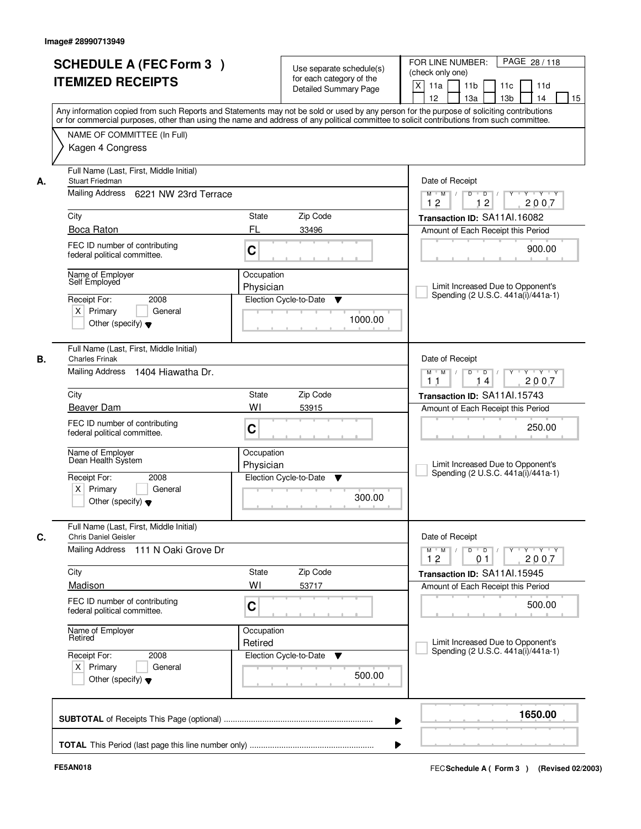| <b>SCHEDULE A (FEC Form 3)</b><br><b>ITEMIZED RECEIPTS</b>                                                                       | Use separate schedule(s)<br>for each category of the<br><b>Detailed Summary Page</b><br>Any information copied from such Reports and Statements may not be sold or used by any person for the purpose of soliciting contributions | PAGE 28 / 118<br>FOR LINE NUMBER:<br>(check only one)<br>$\mathsf{X}$<br>11 <sub>b</sub><br>11a<br>11c<br>11d<br>12<br>13 <sub>b</sub><br>14<br>13a<br>15 |
|----------------------------------------------------------------------------------------------------------------------------------|-----------------------------------------------------------------------------------------------------------------------------------------------------------------------------------------------------------------------------------|-----------------------------------------------------------------------------------------------------------------------------------------------------------|
| NAME OF COMMITTEE (In Full)<br>Kagen 4 Congress                                                                                  | or for commercial purposes, other than using the name and address of any political committee to solicit contributions from such committee.                                                                                        |                                                                                                                                                           |
| Full Name (Last, First, Middle Initial)<br><b>Stuart Friedman</b><br>А.<br>Mailing Address 6221 NW 23rd Terrace                  |                                                                                                                                                                                                                                   | Date of Receipt<br>$D$ $D$ $/$<br>$\overline{\mathbf{Y}}$<br>$Y - Y - Y$<br>$M$ $M$ /                                                                     |
| City                                                                                                                             | State<br>Zip Code                                                                                                                                                                                                                 | 12<br>12<br>2007<br>Transaction ID: SA11Al.16082                                                                                                          |
| Boca Raton<br>FEC ID number of contributing<br>federal political committee.                                                      | FL<br>33496<br>C                                                                                                                                                                                                                  | Amount of Each Receipt this Period<br>900.00                                                                                                              |
| Name of Employer<br>Self Employed<br>2008<br>Receipt For:<br>$X$ Primary<br>General<br>Other (specify) $\blacktriangledown$      | Occupation<br>Physician<br>Election Cycle-to-Date<br>▼<br>1000.00                                                                                                                                                                 | Limit Increased Due to Opponent's<br>Spending (2 U.S.C. 441a(i)/441a-1)                                                                                   |
| Full Name (Last, First, Middle Initial)<br>В.<br><b>Charles Frinak</b><br>Mailing Address<br>1404 Hiawatha Dr.                   |                                                                                                                                                                                                                                   | Date of Receipt<br>Y Y Y Y<br>$M$ $M$ /<br>D<br>$\Box$<br>2007<br>11<br>14                                                                                |
| City                                                                                                                             | Zip Code<br><b>State</b>                                                                                                                                                                                                          | Transaction ID: SA11Al.15743                                                                                                                              |
| Beaver Dam<br>FEC ID number of contributing<br>federal political committee.                                                      | WI<br>53915<br>C                                                                                                                                                                                                                  | Amount of Each Receipt this Period<br>250.00                                                                                                              |
| Name of Employer<br>Dean Health System<br>Receipt For:<br>2008<br>$X$ Primary<br>General<br>Other (specify) $\blacktriangledown$ | Occupation<br>Physician<br>Election Cycle-to-Date<br>▼<br>300.00                                                                                                                                                                  | Limit Increased Due to Opponent's<br>Spending (2 U.S.C. 441a(i)/441a-1)                                                                                   |
| Full Name (Last, First, Middle Initial)<br>C.<br><b>Chris Daniel Geisler</b>                                                     |                                                                                                                                                                                                                                   | Date of Receipt                                                                                                                                           |
| Mailing Address<br>111 N Oaki Grove Dr                                                                                           |                                                                                                                                                                                                                                   | $D$ $D$ $I$<br>$M$ $M$ $/$<br>12<br>0 <sub>1</sub><br>2007                                                                                                |
| City<br>Madison                                                                                                                  | Zip Code<br>State<br>WI<br>53717                                                                                                                                                                                                  | Transaction ID: SA11Al.15945<br>Amount of Each Receipt this Period                                                                                        |
| FEC ID number of contributing<br>federal political committee.                                                                    | C                                                                                                                                                                                                                                 | 500.00                                                                                                                                                    |
| Name of Employer<br>Retired                                                                                                      | Occupation<br>Retired                                                                                                                                                                                                             | Limit Increased Due to Opponent's<br>Spending (2 U.S.C. 441a(i)/441a-1)                                                                                   |
| Receipt For:<br>2008<br>$X$ Primary<br>General<br>Other (specify) $\blacktriangledown$                                           | Election Cycle-to-Date<br><b>V</b><br>500.00                                                                                                                                                                                      |                                                                                                                                                           |
|                                                                                                                                  |                                                                                                                                                                                                                                   | 1650.00<br>▶                                                                                                                                              |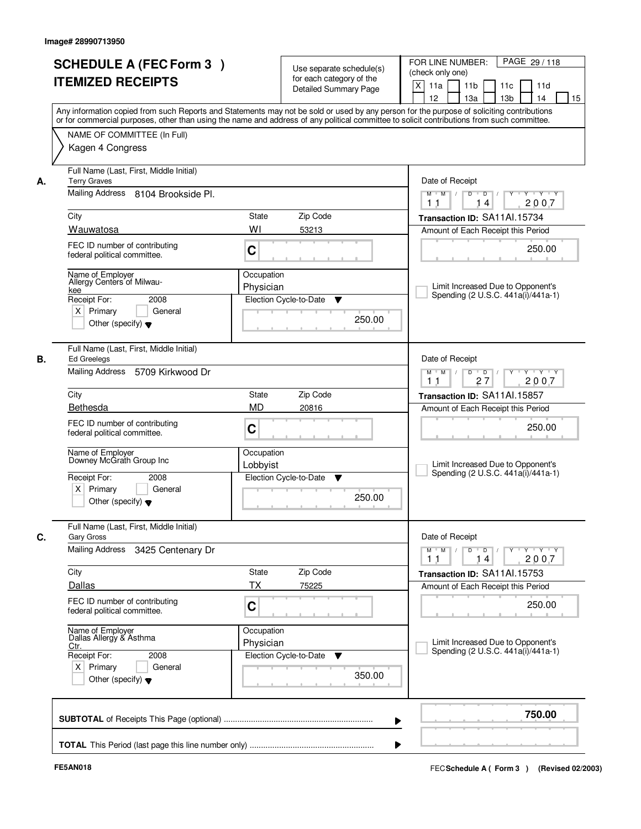|    | <b>SCHEDULE A (FEC Form 3)</b>               | Use separate schedule(s)                                                                                                                                                                                                                                                                | PAGE 29/118<br>FOR LINE NUMBER:                                                                                                                             |  |
|----|----------------------------------------------|-----------------------------------------------------------------------------------------------------------------------------------------------------------------------------------------------------------------------------------------------------------------------------------------|-------------------------------------------------------------------------------------------------------------------------------------------------------------|--|
|    | <b>ITEMIZED RECEIPTS</b>                     | for each category of the                                                                                                                                                                                                                                                                | (check only one)                                                                                                                                            |  |
|    |                                              | <b>Detailed Summary Page</b>                                                                                                                                                                                                                                                            | $\boldsymbol{\mathsf{X}}$<br>11 <sub>b</sub><br>11a<br>11c<br>11d                                                                                           |  |
|    |                                              |                                                                                                                                                                                                                                                                                         | 12<br>13a<br>13 <sub>b</sub><br>14<br>15                                                                                                                    |  |
|    |                                              | Any information copied from such Reports and Statements may not be sold or used by any person for the purpose of soliciting contributions<br>or for commercial purposes, other than using the name and address of any political committee to solicit contributions from such committee. |                                                                                                                                                             |  |
|    |                                              |                                                                                                                                                                                                                                                                                         |                                                                                                                                                             |  |
|    | NAME OF COMMITTEE (In Full)                  |                                                                                                                                                                                                                                                                                         |                                                                                                                                                             |  |
|    | Kagen 4 Congress                             |                                                                                                                                                                                                                                                                                         |                                                                                                                                                             |  |
|    | Full Name (Last, First, Middle Initial)      |                                                                                                                                                                                                                                                                                         |                                                                                                                                                             |  |
| А. | <b>Terry Graves</b>                          |                                                                                                                                                                                                                                                                                         | Date of Receipt                                                                                                                                             |  |
|    | Mailing Address 8104 Brookside Pl.           |                                                                                                                                                                                                                                                                                         | $Y - Y - Y$<br>$M$ $M$ /<br>D<br>$\overline{D}$<br>2007<br>14<br>11                                                                                         |  |
|    | City                                         | State<br>Zip Code                                                                                                                                                                                                                                                                       | Transaction ID: SA11Al.15734                                                                                                                                |  |
|    | Wauwatosa                                    | WI<br>53213                                                                                                                                                                                                                                                                             | Amount of Each Receipt this Period                                                                                                                          |  |
|    | FEC ID number of contributing                |                                                                                                                                                                                                                                                                                         |                                                                                                                                                             |  |
|    | federal political committee.                 | C                                                                                                                                                                                                                                                                                       | 250.00                                                                                                                                                      |  |
|    | Name of Employer                             | Occupation                                                                                                                                                                                                                                                                              |                                                                                                                                                             |  |
|    | Allergy Centers of Milwau-<br>kee            | Physician                                                                                                                                                                                                                                                                               | Limit Increased Due to Opponent's                                                                                                                           |  |
|    | Receipt For:<br>2008                         | Election Cycle-to-Date<br>v                                                                                                                                                                                                                                                             | Spending (2 U.S.C. 441a(i)/441a-1)                                                                                                                          |  |
|    | $X$ Primary<br>General                       |                                                                                                                                                                                                                                                                                         |                                                                                                                                                             |  |
|    | Other (specify) $\blacktriangledown$         | 250.00                                                                                                                                                                                                                                                                                  |                                                                                                                                                             |  |
|    | Full Name (Last, First, Middle Initial)      |                                                                                                                                                                                                                                                                                         |                                                                                                                                                             |  |
| В. | Ed Greelegs                                  |                                                                                                                                                                                                                                                                                         | Date of Receipt                                                                                                                                             |  |
|    | Mailing Address<br>5709 Kirkwood Dr          |                                                                                                                                                                                                                                                                                         | D<br>$\blacksquare$ $\blacksquare$ $\blacksquare$ $\blacksquare$ $\blacksquare$<br>Y Y Y Y<br>$M$ $M$ /<br>$Y$ <sup>U</sup><br>27<br>2007<br>1 <sub>1</sub> |  |
|    | City                                         | Zip Code<br>State                                                                                                                                                                                                                                                                       | Transaction ID: SA11Al.15857                                                                                                                                |  |
|    | Bethesda                                     | <b>MD</b><br>20816                                                                                                                                                                                                                                                                      | Amount of Each Receipt this Period                                                                                                                          |  |
|    | FEC ID number of contributing                |                                                                                                                                                                                                                                                                                         |                                                                                                                                                             |  |
|    | federal political committee.                 | C                                                                                                                                                                                                                                                                                       | 250.00                                                                                                                                                      |  |
|    |                                              | Occupation                                                                                                                                                                                                                                                                              |                                                                                                                                                             |  |
|    | Name of Employer<br>Downey McGrath Group Inc | Lobbyist                                                                                                                                                                                                                                                                                | Limit Increased Due to Opponent's                                                                                                                           |  |
|    | Receipt For:<br>2008                         | Election Cycle-to-Date<br>▼                                                                                                                                                                                                                                                             | Spending (2 U.S.C. 441a(i)/441a-1)                                                                                                                          |  |
|    | $X$ Primary<br>General                       |                                                                                                                                                                                                                                                                                         |                                                                                                                                                             |  |
|    | Other (specify) $\blacktriangledown$         | 250.00                                                                                                                                                                                                                                                                                  |                                                                                                                                                             |  |
|    | Full Name (Last, First, Middle Initial)      |                                                                                                                                                                                                                                                                                         |                                                                                                                                                             |  |
| C. | <b>Gary Gross</b>                            |                                                                                                                                                                                                                                                                                         | Date of Receipt                                                                                                                                             |  |
|    | Mailing Address<br>3425 Centenary Dr         |                                                                                                                                                                                                                                                                                         | $M$ $M$<br>$D$ $D$ $/$<br>$Y$ <sup>U</sup><br>$\mathsf{Y} \dashv \mathsf{Y} \dashv \mathsf{Y}$<br>2007<br>11<br>14                                          |  |
|    | City                                         | Zip Code<br>State                                                                                                                                                                                                                                                                       | Transaction ID: SA11Al.15753                                                                                                                                |  |
|    | Dallas                                       | <b>TX</b><br>75225                                                                                                                                                                                                                                                                      | Amount of Each Receipt this Period                                                                                                                          |  |
|    | FEC ID number of contributing                |                                                                                                                                                                                                                                                                                         |                                                                                                                                                             |  |
|    | federal political committee.                 | C                                                                                                                                                                                                                                                                                       | 250.00                                                                                                                                                      |  |
|    | Name of Employer<br>Dallas Allergy & Asthma  | Occupation                                                                                                                                                                                                                                                                              |                                                                                                                                                             |  |
|    | Ctr.                                         | Physician                                                                                                                                                                                                                                                                               | Limit Increased Due to Opponent's                                                                                                                           |  |
|    | Receipt For:<br>2008                         | Election Cycle-to-Date<br>v                                                                                                                                                                                                                                                             | Spending (2 U.S.C. 441a(i)/441a-1)                                                                                                                          |  |
|    | $X$ Primary<br>General                       | 350.00                                                                                                                                                                                                                                                                                  |                                                                                                                                                             |  |
|    |                                              |                                                                                                                                                                                                                                                                                         |                                                                                                                                                             |  |
|    | Other (specify) $\blacktriangledown$         |                                                                                                                                                                                                                                                                                         |                                                                                                                                                             |  |
|    |                                              |                                                                                                                                                                                                                                                                                         | 750.00                                                                                                                                                      |  |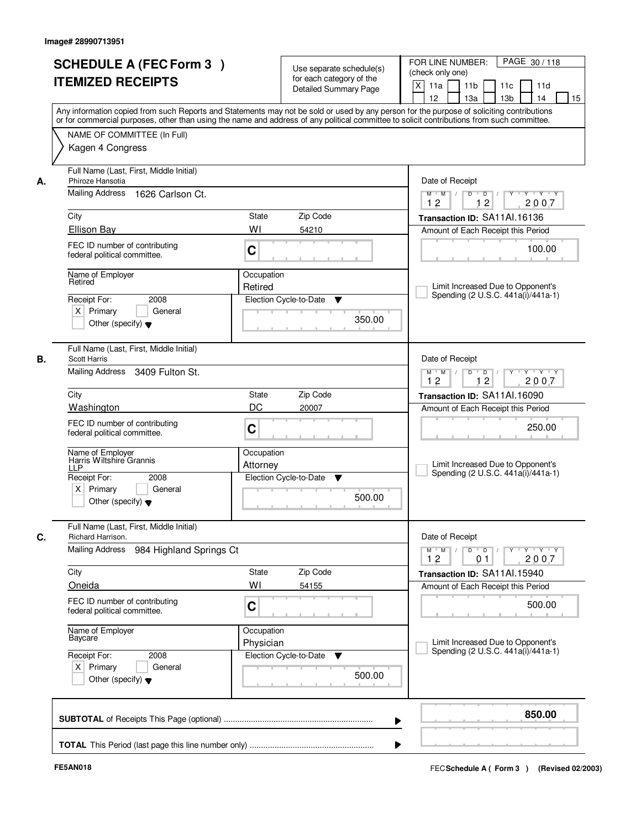| <b>SCHEDULE A (FEC Form 3)</b>                                |                         | Use separate schedule(s)     | PAGE 30/118<br>FOR LINE NUMBER:<br>(check only one)                                                                                        |  |
|---------------------------------------------------------------|-------------------------|------------------------------|--------------------------------------------------------------------------------------------------------------------------------------------|--|
| <b>ITEMIZED RECEIPTS</b>                                      |                         | for each category of the     | $\boldsymbol{\mathsf{X}}$<br>11a<br>11 <sub>b</sub><br>11c<br>11d                                                                          |  |
|                                                               |                         | <b>Detailed Summary Page</b> | 12<br>13a<br>13 <sub>b</sub><br>14<br>15                                                                                                   |  |
|                                                               |                         |                              | Any information copied from such Reports and Statements may not be sold or used by any person for the purpose of soliciting contributions  |  |
|                                                               |                         |                              | or for commercial purposes, other than using the name and address of any political committee to solicit contributions from such committee. |  |
| NAME OF COMMITTEE (In Full)                                   |                         |                              |                                                                                                                                            |  |
| Kagen 4 Congress                                              |                         |                              |                                                                                                                                            |  |
|                                                               |                         |                              |                                                                                                                                            |  |
| Full Name (Last, First, Middle Initial)                       |                         |                              |                                                                                                                                            |  |
| Phiroze Hansotia                                              |                         |                              | Date of Receipt                                                                                                                            |  |
| Mailing Address<br>1626 Carlson Ct.                           |                         |                              | $\blacksquare$<br>Y<br>$Y + Y + Y$<br>$M$ $M$ /<br>D<br>12<br>2007<br>12                                                                   |  |
| City                                                          | State                   | Zip Code                     | Transaction ID: SA11Al.16136                                                                                                               |  |
| <b>Ellison Bay</b>                                            | WI                      | 54210                        | Amount of Each Receipt this Period                                                                                                         |  |
|                                                               |                         |                              |                                                                                                                                            |  |
| FEC ID number of contributing<br>federal political committee. | C                       |                              | 100.00                                                                                                                                     |  |
|                                                               |                         |                              |                                                                                                                                            |  |
| Name of Employer<br>Retired                                   | Occupation              |                              |                                                                                                                                            |  |
|                                                               | Retired                 |                              | Limit Increased Due to Opponent's<br>Spending (2 U.S.C. 441a(i)/441a-1)                                                                    |  |
| 2008<br>Receipt For:                                          |                         | Election Cycle-to-Date<br>▼  |                                                                                                                                            |  |
| $X$ Primary<br>General                                        |                         | 350.00                       |                                                                                                                                            |  |
| Other (specify) $\blacktriangledown$                          |                         |                              |                                                                                                                                            |  |
| Full Name (Last, First, Middle Initial)                       |                         |                              |                                                                                                                                            |  |
| В.<br><b>Scott Harris</b>                                     |                         |                              | Date of Receipt                                                                                                                            |  |
| Mailing Address 3409 Fulton St.                               |                         |                              | D<br>$\blacksquare$ $\blacksquare$ $\blacksquare$ $\blacksquare$ $\blacksquare$<br>$Y$ <sup>U</sup><br>Y Y Y Y<br>$M$ $M$ /                |  |
|                                                               |                         |                              | 12<br>12<br>2007                                                                                                                           |  |
| City                                                          | State                   | Zip Code                     | Transaction ID: SA11Al.16090                                                                                                               |  |
| Washington                                                    | DC                      | 20007                        | Amount of Each Receipt this Period                                                                                                         |  |
| FEC ID number of contributing                                 |                         |                              | 250.00                                                                                                                                     |  |
| federal political committee.                                  | C                       |                              |                                                                                                                                            |  |
|                                                               | Occupation              |                              |                                                                                                                                            |  |
| Name of Employer<br>Harris Wiltshire Grannis<br><b>LLP</b>    | Attorney                |                              | Limit Increased Due to Opponent's                                                                                                          |  |
|                                                               |                         |                              | Spending (2 U.S.C. 441a(i)/441a-1)                                                                                                         |  |
| 2008                                                          |                         | Election Cycle-to-Date<br>▼  |                                                                                                                                            |  |
| Receipt For:<br>$X$ Primary<br>General                        |                         |                              |                                                                                                                                            |  |
| Other (specify) $\blacktriangledown$                          |                         | 500.00                       |                                                                                                                                            |  |
|                                                               |                         |                              |                                                                                                                                            |  |
| Full Name (Last, First, Middle Initial)                       |                         |                              |                                                                                                                                            |  |
| Richard Harrison.                                             |                         |                              | Date of Receipt                                                                                                                            |  |
| Mailing Address                                               | 984 Highland Springs Ct |                              | $M^+$ M<br>$D$ $D$ $I$<br>$Y - Y - Y$<br>$\sqrt{ }$<br>$Y$ <sup>-1</sup>                                                                   |  |
|                                                               |                         |                              | 2007<br>12<br>0 <sub>1</sub>                                                                                                               |  |
| City                                                          | State                   | Zip Code                     | Transaction ID: SA11Al.15940                                                                                                               |  |
| Oneida                                                        | WI                      | 54155                        | Amount of Each Receipt this Period                                                                                                         |  |
| FEC ID number of contributing                                 | C                       |                              | 500.00                                                                                                                                     |  |
| federal political committee.                                  |                         |                              |                                                                                                                                            |  |
| Name of Employer                                              | Occupation              |                              |                                                                                                                                            |  |
| Baycare                                                       | Physician               |                              | Limit Increased Due to Opponent's<br>Spending (2 U.S.C. 441a(i)/441a-1)                                                                    |  |
| Receipt For:<br>2008                                          |                         | Election Cycle-to-Date<br>v  |                                                                                                                                            |  |
| $X$ Primary<br>General                                        |                         | 500.00                       |                                                                                                                                            |  |
| Other (specify) $\blacktriangledown$                          |                         |                              |                                                                                                                                            |  |
|                                                               |                         |                              |                                                                                                                                            |  |
|                                                               |                         |                              | 850.00<br>▶                                                                                                                                |  |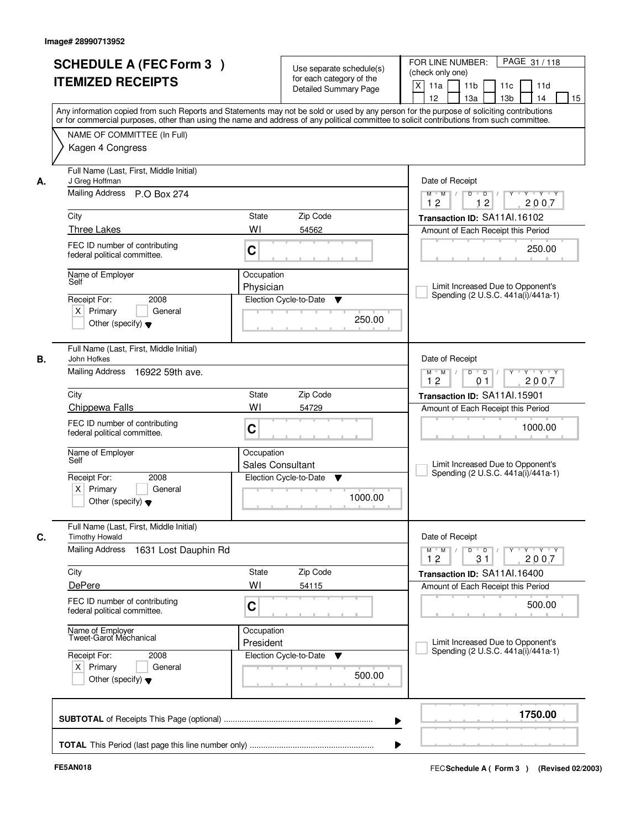|    | <b>SCHEDULE A (FEC Form 3)</b><br><b>ITEMIZED RECEIPTS</b>                                                                                                                                                                                                                                                                                 |                                             | Use separate schedule(s)<br>for each category of the<br>Detailed Summary Page | PAGE 31 / 118<br>FOR LINE NUMBER:<br>(check only one)<br>$\mathsf{X}$<br>11a<br>11 <sub>b</sub><br>11c<br>11d<br>13 <sub>b</sub><br>12 <sup>2</sup><br>13a<br>14<br>15                                                                                                                                                                                                                                                                                                                                                                                                                        |
|----|--------------------------------------------------------------------------------------------------------------------------------------------------------------------------------------------------------------------------------------------------------------------------------------------------------------------------------------------|---------------------------------------------|-------------------------------------------------------------------------------|-----------------------------------------------------------------------------------------------------------------------------------------------------------------------------------------------------------------------------------------------------------------------------------------------------------------------------------------------------------------------------------------------------------------------------------------------------------------------------------------------------------------------------------------------------------------------------------------------|
|    | Any information copied from such Reports and Statements may not be sold or used by any person for the purpose of soliciting contributions<br>or for commercial purposes, other than using the name and address of any political committee to solicit contributions from such committee.<br>NAME OF COMMITTEE (In Full)<br>Kagen 4 Congress |                                             |                                                                               |                                                                                                                                                                                                                                                                                                                                                                                                                                                                                                                                                                                               |
| А. | Full Name (Last, First, Middle Initial)<br>J Greg Hoffman<br>Mailing Address P.O Box 274<br>City<br><b>Three Lakes</b><br>FEC ID number of contributing<br>federal political committee.<br>Name of Employer<br>Self<br>Receipt For:<br>2008                                                                                                | State<br>WI<br>C<br>Occupation<br>Physician | Zip Code<br>54562<br>Election Cycle-to-Date<br>▼                              | Date of Receipt<br>$\begin{array}{c c c c c c c c} \hline \rule{0pt}{1.2ex} & \rule{0pt}{2.2ex} \rule{0pt}{2.2ex} & \rule{0pt}{2.2ex} \rule{0pt}{2.2ex} & \rule{0pt}{2.2ex} \rule{0pt}{2.2ex} & \rule{0pt}{2.2ex} & \rule{0pt}{2.2ex} & \rule{0pt}{2.2ex} & \rule{0pt}{2.2ex} & \rule{0pt}{2.2ex} & \rule{0pt}{2.2ex} & \rule{0pt}{2.2ex} & \rule{0pt}{2.2ex} & \rule{0pt}{2.2ex} & \rule{0pt}{2$<br>$M$ $M$ /<br>12<br>12<br>2007<br>Transaction ID: SA11Al.16102<br>Amount of Each Receipt this Period<br>250.00<br>Limit Increased Due to Opponent's<br>Spending (2 U.S.C. 441a(i)/441a-1) |
|    | $X$ Primary<br>General<br>Other (specify) $\blacktriangledown$<br>Full Name (Last, First, Middle Initial)                                                                                                                                                                                                                                  |                                             | 250.00                                                                        |                                                                                                                                                                                                                                                                                                                                                                                                                                                                                                                                                                                               |
| В. | John Hofkes<br>Mailing Address 16922 59th ave.<br>City<br>Chippewa Falls<br>FEC ID number of contributing<br>federal political committee.<br>Name of Employer<br>Self                                                                                                                                                                      | <b>State</b><br>WI<br>C<br>Occupation       | Zip Code<br>54729                                                             | Date of Receipt<br>$Y \vdash Y \vdash Y$<br>$M$ $M$ /<br>D<br>$\overline{\phantom{0}}$<br>2007<br>12<br>0 <sub>1</sub><br>Transaction ID: SA11Al.15901<br>Amount of Each Receipt this Period<br>1000.00<br>Limit Increased Due to Opponent's                                                                                                                                                                                                                                                                                                                                                  |
|    | Receipt For:<br>2008<br>$X$ Primary<br>General<br>Other (specify) $\blacktriangledown$                                                                                                                                                                                                                                                     | <b>Sales Consultant</b>                     | Election Cycle-to-Date<br>▼<br>1000.00                                        | Spending (2 U.S.C. 441a(i)/441a-1)                                                                                                                                                                                                                                                                                                                                                                                                                                                                                                                                                            |
| C. | Full Name (Last, First, Middle Initial)<br><b>Timothy Howald</b><br><b>Mailing Address</b><br>1631 Lost Dauphin Rd<br>City                                                                                                                                                                                                                 | <b>State</b>                                | Zip Code                                                                      | Date of Receipt<br>$\mathsf D$<br>Y 'Y 'Y<br>$M$ $M$ /<br>$\overline{D}$<br>$Y^+$<br>12<br>31<br>2007<br>Transaction ID: SA11AI.16400                                                                                                                                                                                                                                                                                                                                                                                                                                                         |
|    | DePere<br>FEC ID number of contributing<br>federal political committee.                                                                                                                                                                                                                                                                    | WI<br>C                                     | 54115                                                                         | Amount of Each Receipt this Period<br>500.00                                                                                                                                                                                                                                                                                                                                                                                                                                                                                                                                                  |
|    | Name of Employer<br>Tweet-Garot Mechanical<br>Receipt For:<br>2008<br>$X$ Primary<br>General<br>Other (specify) $\blacktriangledown$                                                                                                                                                                                                       | Occupation<br>President                     | Election Cycle-to-Date<br>v<br>500.00                                         | Limit Increased Due to Opponent's<br>Spending (2 U.S.C. 441a(i)/441a-1)                                                                                                                                                                                                                                                                                                                                                                                                                                                                                                                       |
|    |                                                                                                                                                                                                                                                                                                                                            |                                             | ▶                                                                             | 1750.00                                                                                                                                                                                                                                                                                                                                                                                                                                                                                                                                                                                       |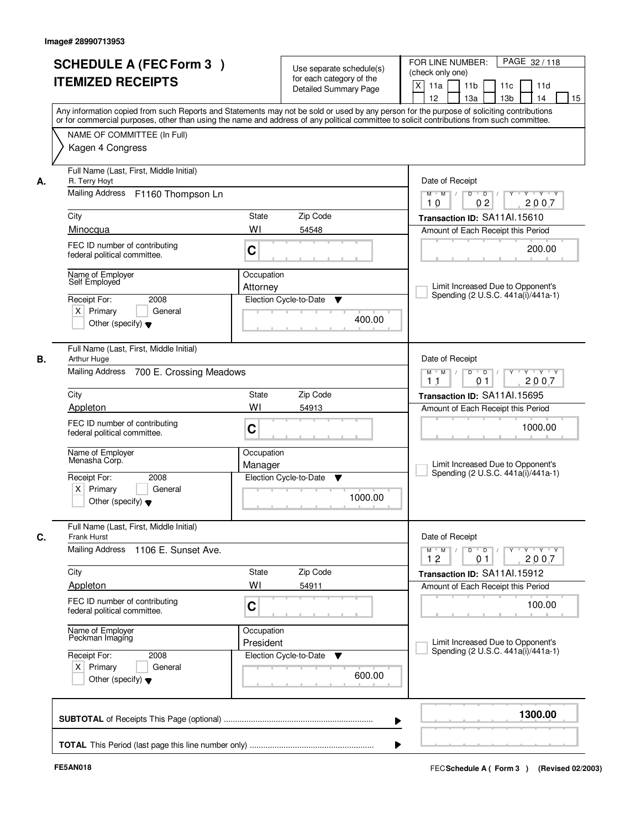| <b>SCHEDULE A (FEC Form 3)</b><br><b>ITEMIZED RECEIPTS</b>                                                                  | Use separate schedule(s)<br>for each category of the<br><b>Detailed Summary Page</b><br>Any information copied from such Reports and Statements may not be sold or used by any person for the purpose of soliciting contributions | PAGE 32/118<br>FOR LINE NUMBER:<br>(check only one)<br>$\mathsf{X}$<br>11a<br>11 <sub>b</sub><br>11c<br>11d<br>12<br>13 <sub>b</sub><br>14<br>13a<br>15                                     |
|-----------------------------------------------------------------------------------------------------------------------------|-----------------------------------------------------------------------------------------------------------------------------------------------------------------------------------------------------------------------------------|---------------------------------------------------------------------------------------------------------------------------------------------------------------------------------------------|
| NAME OF COMMITTEE (In Full)<br>Kagen 4 Congress                                                                             | or for commercial purposes, other than using the name and address of any political committee to solicit contributions from such committee.                                                                                        |                                                                                                                                                                                             |
| Full Name (Last, First, Middle Initial)<br>R. Terry Hoyt<br>А.<br>Mailing Address F1160 Thompson Ln                         |                                                                                                                                                                                                                                   | Date of Receipt<br>$D$ $D$ $/$<br>$Y - Y - Y$<br>$M$ $M$ /<br>$\overline{Y}$                                                                                                                |
| City                                                                                                                        | <b>State</b><br>Zip Code                                                                                                                                                                                                          | 02<br>2007<br>10<br>Transaction ID: SA11Al.15610                                                                                                                                            |
| Minocqua<br>FEC ID number of contributing<br>federal political committee.                                                   | WI<br>54548<br>C                                                                                                                                                                                                                  | Amount of Each Receipt this Period<br>200.00                                                                                                                                                |
| Name of Employer<br>Self Employed<br>2008<br>Receipt For:<br>$X$ Primary<br>General<br>Other (specify) $\blacktriangledown$ | Occupation<br>Attorney<br>Election Cycle-to-Date<br>▼<br>400.00                                                                                                                                                                   | Limit Increased Due to Opponent's<br>Spending (2 U.S.C. 441a(i)/441a-1)                                                                                                                     |
| Full Name (Last, First, Middle Initial)<br>В.<br>Arthur Huge<br>Mailing Address 700 E. Crossing Meadows                     |                                                                                                                                                                                                                                   | Date of Receipt<br>$Y \vdash Y \vdash Y$<br>$M$ $M$ /<br>D<br>$\Box$ D $\Box$ /<br>2007<br>11<br>0 <sub>1</sub>                                                                             |
| City                                                                                                                        | <b>State</b><br>Zip Code                                                                                                                                                                                                          | Transaction ID: SA11Al.15695                                                                                                                                                                |
| Appleton<br>FEC ID number of contributing<br>federal political committee.                                                   | WI<br>54913<br>C                                                                                                                                                                                                                  | Amount of Each Receipt this Period<br>1000.00                                                                                                                                               |
| Name of Employer<br>Menasha Corp.<br>Receipt For:<br>2008<br>$X$ Primary<br>General<br>Other (specify) $\blacktriangledown$ | Occupation<br>Manager<br>Election Cycle-to-Date<br>▼<br>1000.00                                                                                                                                                                   | Limit Increased Due to Opponent's<br>Spending (2 U.S.C. 441a(i)/441a-1)                                                                                                                     |
| Full Name (Last, First, Middle Initial)<br>C.<br><b>Frank Hurst</b>                                                         |                                                                                                                                                                                                                                   | Date of Receipt                                                                                                                                                                             |
| Mailing Address<br>1106 E. Sunset Ave.                                                                                      |                                                                                                                                                                                                                                   | $D$ $D$ $/$<br>$\begin{array}{ccccccccccccc} &\mathsf{Y} &\mathsf{V} &\mathsf{Y} &\mathsf{V} &\mathsf{Y} &\mathsf{V} &\mathsf{Y}\end{array}$<br>$M$ $M$ $/$<br>12<br>0 <sub>1</sub><br>2007 |
| City<br>Appleton                                                                                                            | Zip Code<br>State<br>WI<br>54911                                                                                                                                                                                                  | Transaction ID: SA11Al.15912<br>Amount of Each Receipt this Period                                                                                                                          |
| FEC ID number of contributing<br>federal political committee.                                                               | C                                                                                                                                                                                                                                 | 100.00                                                                                                                                                                                      |
| Name of Employer<br>Peckman Imaging                                                                                         | Occupation<br>President                                                                                                                                                                                                           | Limit Increased Due to Opponent's<br>Spending (2 U.S.C. 441a(i)/441a-1)                                                                                                                     |
| Receipt For:<br>2008<br>$X$ Primary<br>General<br>Other (specify) $\blacktriangledown$                                      | Election Cycle-to-Date<br>▼<br>600.00                                                                                                                                                                                             |                                                                                                                                                                                             |
|                                                                                                                             | ▶                                                                                                                                                                                                                                 | 1300.00                                                                                                                                                                                     |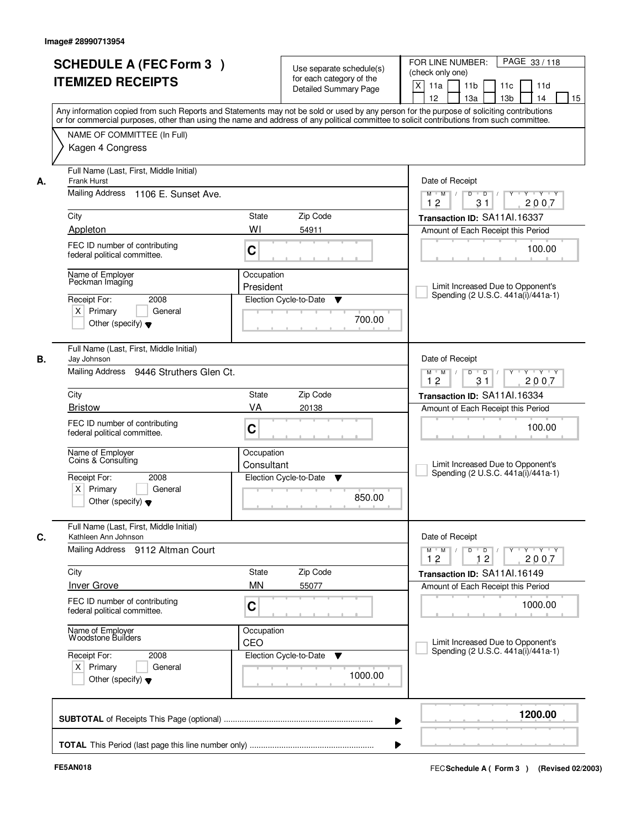|    | <b>SCHEDULE A (FEC Form 3)</b><br><b>ITEMIZED RECEIPTS</b><br>Any information copied from such Reports and Statements may not be sold or used by any person for the purpose of soliciting contributions |                          | Use separate schedule(s)<br>for each category of the<br><b>Detailed Summary Page</b> | PAGE 33 / 118<br>FOR LINE NUMBER:<br>(check only one)<br>$\mathsf{X}$<br>11 <sub>b</sub><br>11a<br>11c<br>11d<br>12<br>13 <sub>b</sub><br>14<br>13a<br>15                   |
|----|---------------------------------------------------------------------------------------------------------------------------------------------------------------------------------------------------------|--------------------------|--------------------------------------------------------------------------------------|-----------------------------------------------------------------------------------------------------------------------------------------------------------------------------|
|    | or for commercial purposes, other than using the name and address of any political committee to solicit contributions from such committee.<br>NAME OF COMMITTEE (In Full)<br>Kagen 4 Congress           |                          |                                                                                      |                                                                                                                                                                             |
| А. | Full Name (Last, First, Middle Initial)<br><b>Frank Hurst</b><br>Mailing Address 1106 E. Sunset Ave.                                                                                                    |                          |                                                                                      | Date of Receipt<br>$Y - Y - Y$<br>$M$ $M$ /<br>$D$ $D$ $1$<br>Y                                                                                                             |
|    | City                                                                                                                                                                                                    | State                    | Zip Code                                                                             | 12<br>31<br>2007<br>Transaction ID: SA11Al.16337                                                                                                                            |
|    | Appleton<br>FEC ID number of contributing<br>federal political committee.                                                                                                                               | WI<br>C                  | 54911                                                                                | Amount of Each Receipt this Period<br>100.00                                                                                                                                |
|    | Name of Employer<br>Peckman Imaging<br>2008<br>Receipt For:<br>$X$ Primary<br>General<br>Other (specify) $\blacktriangledown$                                                                           | Occupation<br>President  | Election Cycle-to-Date<br>▼<br>700.00                                                | Limit Increased Due to Opponent's<br>Spending (2 U.S.C. 441a(i)/441a-1)                                                                                                     |
| В. | Full Name (Last, First, Middle Initial)<br>Jay Johnson<br>Mailing Address 9446 Struthers Glen Ct.                                                                                                       |                          |                                                                                      | Date of Receipt<br>$Y \vdash Y \vdash Y$<br>$M$ $M$ /<br>D<br>$\Box$ D $\Box$ /<br>12<br>31<br>2007                                                                         |
|    | City                                                                                                                                                                                                    | <b>State</b>             | Zip Code                                                                             | Transaction ID: SA11Al.16334                                                                                                                                                |
|    | <b>Bristow</b><br>FEC ID number of contributing<br>federal political committee.                                                                                                                         | VA<br>C                  | 20138                                                                                | Amount of Each Receipt this Period<br>100.00                                                                                                                                |
|    | Name of Employer<br>Coins & Consulting<br>Receipt For:<br>2008<br>$X$ Primary<br>General<br>Other (specify) $\blacktriangledown$                                                                        | Occupation<br>Consultant | Election Cycle-to-Date<br>v<br>850.00                                                | Limit Increased Due to Opponent's<br>Spending (2 U.S.C. 441a(i)/441a-1)                                                                                                     |
|    | Full Name (Last, First, Middle Initial)<br>Kathleen Ann Johnson                                                                                                                                         |                          |                                                                                      | Date of Receipt                                                                                                                                                             |
|    | Mailing Address 9112 Altman Court                                                                                                                                                                       |                          |                                                                                      | $D$ $D$ $/$<br>$\begin{array}{ccccccccccccc} &\mathsf{Y} &\mathsf{V} &\mathsf{Y} &\mathsf{V} &\mathsf{Y} &\mathsf{V} &\mathsf{Y}\end{array}$<br>$M$ $M$<br>12<br>12<br>2007 |
|    | City<br><b>Inver Grove</b>                                                                                                                                                                              | State<br><b>MN</b>       | Zip Code<br>55077                                                                    | Transaction ID: SA11Al.16149<br>Amount of Each Receipt this Period                                                                                                          |
|    | FEC ID number of contributing<br>federal political committee.                                                                                                                                           | C                        |                                                                                      | 1000.00                                                                                                                                                                     |
|    | Name of Employer<br>Woodstone Builders                                                                                                                                                                  | Occupation<br>CEO        |                                                                                      | Limit Increased Due to Opponent's                                                                                                                                           |
|    | Receipt For:<br>2008<br>$X$ Primary<br>General<br>Other (specify) $\blacktriangledown$                                                                                                                  |                          | Election Cycle-to-Date<br>v<br>1000.00                                               | Spending (2 U.S.C. 441a(i)/441a-1)                                                                                                                                          |
|    |                                                                                                                                                                                                         |                          |                                                                                      | 1200.00<br>▶                                                                                                                                                                |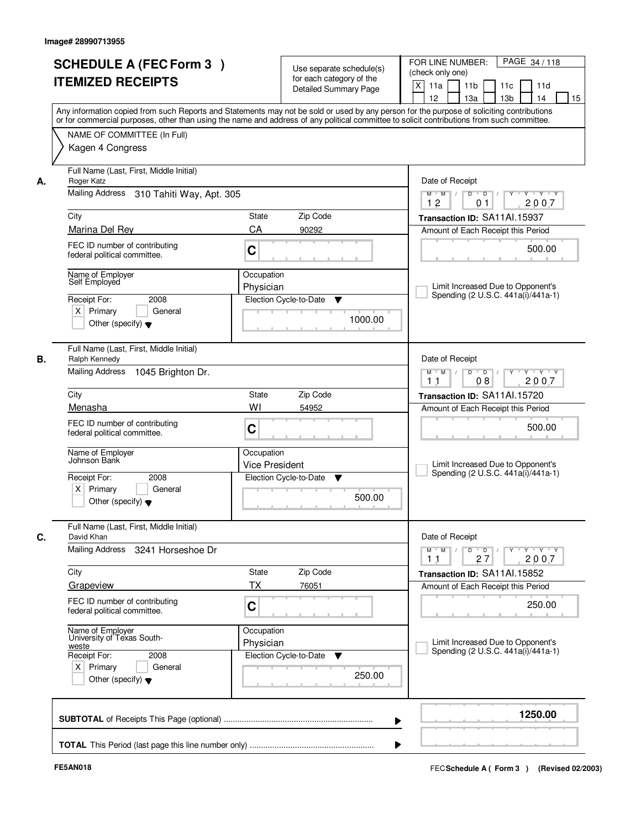| <b>SCHEDULE A (FEC Form 3)</b><br><b>ITEMIZED RECEIPTS</b>                      |                                     | Use separate schedule(s)<br>for each category of the<br><b>Detailed Summary Page</b> | PAGE 34 / 118<br>FOR LINE NUMBER:<br>(check only one)<br>X<br>11 <sub>b</sub><br>11a<br>11c<br>11d<br>12<br>13 <sub>b</sub><br>13a<br>14<br>15                                                                                                                                          |
|---------------------------------------------------------------------------------|-------------------------------------|--------------------------------------------------------------------------------------|-----------------------------------------------------------------------------------------------------------------------------------------------------------------------------------------------------------------------------------------------------------------------------------------|
| NAME OF COMMITTEE (In Full)                                                     |                                     |                                                                                      | Any information copied from such Reports and Statements may not be sold or used by any person for the purpose of soliciting contributions<br>or for commercial purposes, other than using the name and address of any political committee to solicit contributions from such committee. |
| Kagen 4 Congress                                                                |                                     |                                                                                      |                                                                                                                                                                                                                                                                                         |
| Full Name (Last, First, Middle Initial)<br>Roger Katz<br>А.                     |                                     |                                                                                      | Date of Receipt                                                                                                                                                                                                                                                                         |
| Mailing Address 310 Tahiti Way, Apt. 305                                        |                                     |                                                                                      | $Y + Y + Y$<br>$M$ $M$ /<br>$D$ $D$ $/$<br>$\overline{Y}$<br>12<br>2007<br>01                                                                                                                                                                                                           |
| City                                                                            | State                               | Zip Code                                                                             | Transaction ID: SA11Al.15937                                                                                                                                                                                                                                                            |
| Marina Del Rey                                                                  | CA                                  | 90292                                                                                | Amount of Each Receipt this Period                                                                                                                                                                                                                                                      |
| FEC ID number of contributing<br>federal political committee.                   | C                                   |                                                                                      | 500.00                                                                                                                                                                                                                                                                                  |
| Name of Employer<br>Self Employed                                               | Occupation                          |                                                                                      |                                                                                                                                                                                                                                                                                         |
| Receipt For:<br>2008                                                            | Physician                           | Election Cycle-to-Date<br>▼                                                          | Limit Increased Due to Opponent's<br>Spending (2 U.S.C. 441a(i)/441a-1)                                                                                                                                                                                                                 |
| $X$ Primary<br>Other (specify) $\blacktriangledown$                             | General                             | 1000.00                                                                              |                                                                                                                                                                                                                                                                                         |
| Full Name (Last, First, Middle Initial)<br>В.<br>Ralph Kennedy                  |                                     |                                                                                      | Date of Receipt                                                                                                                                                                                                                                                                         |
| Mailing Address 1045 Brighton Dr.                                               |                                     |                                                                                      | Y<br>$Y \vdash Y \vdash Y$<br>$M$ M<br>D<br>$\overline{D}$ /<br>2007<br>08<br>11                                                                                                                                                                                                        |
| City                                                                            | State                               | Zip Code                                                                             | Transaction ID: SA11Al.15720                                                                                                                                                                                                                                                            |
| Menasha                                                                         | WI                                  | 54952                                                                                | Amount of Each Receipt this Period                                                                                                                                                                                                                                                      |
| FEC ID number of contributing<br>federal political committee.                   | C                                   |                                                                                      | 500.00                                                                                                                                                                                                                                                                                  |
| Name of Employer<br>Johnson Bank                                                | Occupation<br><b>Vice President</b> |                                                                                      | Limit Increased Due to Opponent's<br>Spending (2 U.S.C. 441a(i)/441a-1)                                                                                                                                                                                                                 |
| Receipt For:<br>2008<br>$X$ Primary<br>Other (specify) $\blacktriangledown$     | General                             | Election Cycle-to-Date<br>v<br>500.00                                                |                                                                                                                                                                                                                                                                                         |
| Full Name (Last, First, Middle Initial)<br>C.<br>David Khan                     |                                     |                                                                                      | Date of Receipt                                                                                                                                                                                                                                                                         |
| Mailing Address                                                                 | 3241 Horseshoe Dr                   |                                                                                      | $D$ $D$ $I$<br>$M$ $M$ /<br>$Y + Y + Y$<br>$Y$ <sup><math>\top</math></sup><br>2007<br>11<br>27                                                                                                                                                                                         |
| City                                                                            | State                               | Zip Code                                                                             | Transaction ID: SA11Al.15852                                                                                                                                                                                                                                                            |
| Grapeview                                                                       | ТX                                  | 76051                                                                                | Amount of Each Receipt this Period                                                                                                                                                                                                                                                      |
| FEC ID number of contributing<br>federal political committee.                   | C                                   |                                                                                      | 250.00                                                                                                                                                                                                                                                                                  |
| Name of Employer<br>University of Texas South-<br>weste<br>Receipt For:<br>2008 | Occupation<br>Physician             | Election Cycle-to-Date<br>v                                                          | Limit Increased Due to Opponent's<br>Spending (2 U.S.C. 441a(i)/441a-1)                                                                                                                                                                                                                 |
| $X$ Primary<br>Other (specify) $\blacktriangledown$                             | General                             | 250.00                                                                               |                                                                                                                                                                                                                                                                                         |
|                                                                                 |                                     |                                                                                      | 1250.00                                                                                                                                                                                                                                                                                 |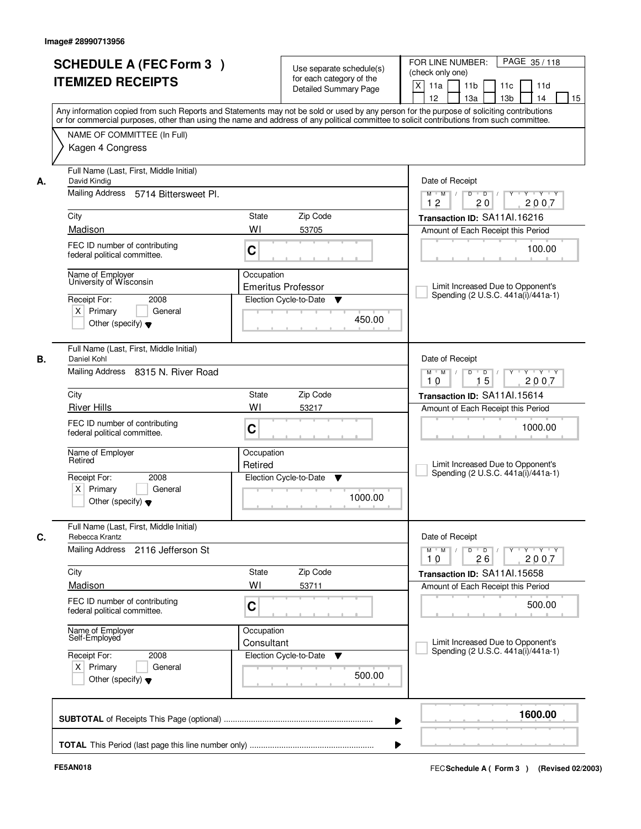|    | <b>SCHEDULE A (FEC Form 3)</b><br><b>ITEMIZED RECEIPTS</b>                                                                            | Use separate schedule(s)<br>for each category of the<br>Detailed Summary Page<br>Any information copied from such Reports and Statements may not be sold or used by any person for the purpose of soliciting contributions | PAGE 35/118<br>FOR LINE NUMBER:<br>(check only one)<br>X<br>11 <sub>b</sub><br>11a<br>11c<br>11d<br>12<br>13 <sub>b</sub><br>13a<br>14<br>15 |
|----|---------------------------------------------------------------------------------------------------------------------------------------|----------------------------------------------------------------------------------------------------------------------------------------------------------------------------------------------------------------------------|----------------------------------------------------------------------------------------------------------------------------------------------|
|    | NAME OF COMMITTEE (In Full)<br>Kagen 4 Congress                                                                                       | or for commercial purposes, other than using the name and address of any political committee to solicit contributions from such committee.                                                                                 |                                                                                                                                              |
| А. | Full Name (Last, First, Middle Initial)<br>David Kindig<br>Mailing Address 5714 Bittersweet Pl.                                       |                                                                                                                                                                                                                            | Date of Receipt<br>$Y$ $Y$ $Y$<br>$M$ $M$ /<br>$D$ $D$ $/$<br>$Y$ <sup>U</sup>                                                               |
|    |                                                                                                                                       |                                                                                                                                                                                                                            | 20<br>2007<br>12                                                                                                                             |
|    | City                                                                                                                                  | State<br>Zip Code                                                                                                                                                                                                          | Transaction ID: SA11Al.16216                                                                                                                 |
|    | Madison<br>FEC ID number of contributing                                                                                              | WI<br>53705<br>C                                                                                                                                                                                                           | Amount of Each Receipt this Period<br>100.00                                                                                                 |
|    | federal political committee.                                                                                                          |                                                                                                                                                                                                                            |                                                                                                                                              |
|    | Name of Employer<br>University of Wisconsin<br>Receipt For:<br>2008<br>$X$ Primary<br>General<br>Other (specify) $\blacktriangledown$ | Occupation<br><b>Emeritus Professor</b><br>Election Cycle-to-Date<br>▼<br>450.00                                                                                                                                           | Limit Increased Due to Opponent's<br>Spending (2 U.S.C. 441a(i)/441a-1)                                                                      |
| В. | Full Name (Last, First, Middle Initial)<br>Daniel Kohl                                                                                |                                                                                                                                                                                                                            | Date of Receipt                                                                                                                              |
|    | Mailing Address 8315 N. River Road                                                                                                    |                                                                                                                                                                                                                            | $Y$ <sup>U</sup><br>Y Y Y Y<br>$M$ $M$ /<br>D<br>$\Box$ D $\Box$<br>15<br>2007<br>10                                                         |
|    | City                                                                                                                                  | Zip Code<br>State                                                                                                                                                                                                          | Transaction ID: SA11Al.15614                                                                                                                 |
|    | <b>River Hills</b>                                                                                                                    | WI<br>53217                                                                                                                                                                                                                | Amount of Each Receipt this Period                                                                                                           |
|    | FEC ID number of contributing<br>federal political committee.                                                                         | C                                                                                                                                                                                                                          | 1000.00                                                                                                                                      |
|    | Name of Employer<br>Retired                                                                                                           | Occupation<br>Retired                                                                                                                                                                                                      | Limit Increased Due to Opponent's<br>Spending (2 U.S.C. 441a(i)/441a-1)                                                                      |
|    | Receipt For:<br>2008<br>$X$ Primary<br>General<br>Other (specify) $\blacktriangledown$                                                | Election Cycle-to-Date<br>▼<br>1000.00                                                                                                                                                                                     |                                                                                                                                              |
| C. | Full Name (Last, First, Middle Initial)<br>Rebecca Krantz                                                                             |                                                                                                                                                                                                                            | Date of Receipt                                                                                                                              |
|    | <b>Mailing Address</b><br>2116 Jefferson St                                                                                           |                                                                                                                                                                                                                            | $M = M$<br>$D$ $D$ $/$<br>$Y + Y + Y$<br>$Y$ <sup>U</sup><br>10<br>26<br>2007                                                                |
|    | City                                                                                                                                  | Zip Code<br>State                                                                                                                                                                                                          | Transaction ID: SA11Al.15658                                                                                                                 |
|    | Madison                                                                                                                               | WI<br>53711                                                                                                                                                                                                                | Amount of Each Receipt this Period                                                                                                           |
|    | FEC ID number of contributing<br>federal political committee.                                                                         | C                                                                                                                                                                                                                          | 500.00                                                                                                                                       |
|    | Name of Employer<br>Self-Employed                                                                                                     | Occupation<br>Consultant                                                                                                                                                                                                   | Limit Increased Due to Opponent's                                                                                                            |
|    | Receipt For:<br>2008<br>$X$ Primary<br>General<br>Other (specify) $\blacktriangledown$                                                | Election Cycle-to-Date<br>v<br>500.00                                                                                                                                                                                      | Spending (2 U.S.C. 441a(i)/441a-1)                                                                                                           |
|    |                                                                                                                                       |                                                                                                                                                                                                                            | 1600.00                                                                                                                                      |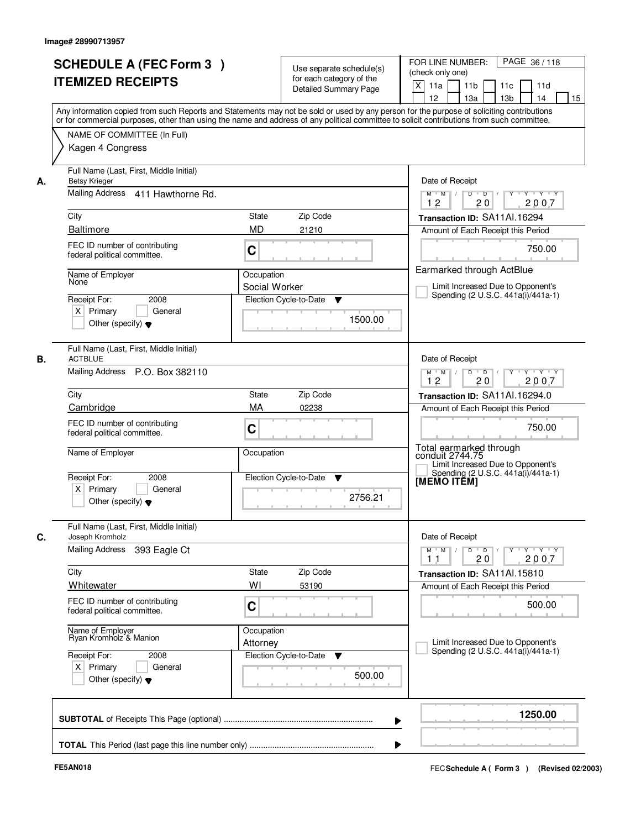|    | <b>SCHEDULE A (FEC Form 3)</b><br><b>ITEMIZED RECEIPTS</b><br>Any information copied from such Reports and Statements may not be sold or used by any person for the purpose of soliciting contributions |                             | Use separate schedule(s)<br>for each category of the<br><b>Detailed Summary Page</b> | PAGE 36/118<br>FOR LINE NUMBER:<br>(check only one)<br>X<br>11 <sub>b</sub><br>11a<br>11c<br>11d<br>12<br>13 <sub>b</sub><br>14<br>13a<br>15 |
|----|---------------------------------------------------------------------------------------------------------------------------------------------------------------------------------------------------------|-----------------------------|--------------------------------------------------------------------------------------|----------------------------------------------------------------------------------------------------------------------------------------------|
|    | or for commercial purposes, other than using the name and address of any political committee to solicit contributions from such committee.<br>NAME OF COMMITTEE (In Full)<br>Kagen 4 Congress           |                             |                                                                                      |                                                                                                                                              |
| А. | Full Name (Last, First, Middle Initial)<br><b>Betsy Krieger</b><br>Mailing Address 411 Hawthorne Rd.                                                                                                    |                             |                                                                                      | Date of Receipt<br>$Y$ $Y$ $Y$<br>$D$ $D$ $/$<br>$Y^+$<br>$M$ $M$ /<br>12<br>20<br>2007                                                      |
|    | City                                                                                                                                                                                                    | State                       | Zip Code                                                                             | Transaction ID: SA11Al.16294                                                                                                                 |
|    | <b>Baltimore</b>                                                                                                                                                                                        | <b>MD</b>                   | 21210                                                                                | Amount of Each Receipt this Period                                                                                                           |
|    | FEC ID number of contributing<br>federal political committee.                                                                                                                                           | C                           |                                                                                      | 750.00                                                                                                                                       |
|    | Name of Employer<br>None<br>Receipt For:<br>2008                                                                                                                                                        | Occupation<br>Social Worker | Election Cycle-to-Date<br>▼                                                          | Earmarked through ActBlue<br>Limit Increased Due to Opponent's<br>Spending (2 U.S.C. 441a(i)/441a-1)                                         |
|    | $X$ Primary<br>General<br>Other (specify) $\blacktriangledown$                                                                                                                                          |                             | 1500.00                                                                              |                                                                                                                                              |
| В. | Full Name (Last, First, Middle Initial)<br><b>ACTBLUE</b><br>Mailing Address P.O. Box 382110                                                                                                            |                             |                                                                                      | Date of Receipt<br>$Y$ <sup>U</sup><br>Y Y Y Y<br>$M$ $M$ /<br>D<br>$\overline{D}$                                                           |
|    |                                                                                                                                                                                                         |                             |                                                                                      | 12<br>20<br>2007                                                                                                                             |
|    | City                                                                                                                                                                                                    | State                       | Zip Code                                                                             | Transaction ID: SA11Al.16294.0                                                                                                               |
|    | Cambridge                                                                                                                                                                                               | MA                          | 02238                                                                                | Amount of Each Receipt this Period                                                                                                           |
|    | FEC ID number of contributing<br>federal political committee.                                                                                                                                           | C                           |                                                                                      | 750.00                                                                                                                                       |
|    | Name of Employer                                                                                                                                                                                        | Occupation                  |                                                                                      | Total earmarked through<br>conduit 2744.75<br>Limit Increased Due to Opponent's<br>Spending (2 U.S.C. 441a(i)/441a-1)                        |
|    | Receipt For:<br>2008<br>$X$ Primary<br>General<br>Other (specify) $\blacktriangledown$                                                                                                                  |                             | Election Cycle-to-Date<br>v<br>2756.21                                               | [MEMO ITĒM]                                                                                                                                  |
|    | Full Name (Last, First, Middle Initial)<br>Joseph Kromholz                                                                                                                                              |                             |                                                                                      | Date of Receipt                                                                                                                              |
|    | <b>Mailing Address</b><br>393 Eagle Ct                                                                                                                                                                  |                             |                                                                                      | $M$ $M$<br>$D$ $D$ $/$<br>Y 'Y 'Y<br>$Y^+$<br>20<br>2007<br>11                                                                               |
|    | City                                                                                                                                                                                                    | State                       | Zip Code                                                                             | Transaction ID: SA11Al.15810                                                                                                                 |
|    | Whitewater                                                                                                                                                                                              | WI                          | 53190                                                                                | Amount of Each Receipt this Period                                                                                                           |
|    | FEC ID number of contributing<br>federal political committee.                                                                                                                                           | C                           |                                                                                      | 500.00                                                                                                                                       |
|    | Name of Employer<br>Ryan Kromholz & Manion                                                                                                                                                              | Occupation<br>Attorney      |                                                                                      | Limit Increased Due to Opponent's<br>Spending (2 U.S.C. 441a(i)/441a-1)                                                                      |
|    | Receipt For:<br>2008<br>$X$ Primary<br>General<br>Other (specify) $\blacktriangledown$                                                                                                                  |                             | Election Cycle-to-Date<br>v<br>500.00                                                |                                                                                                                                              |
|    |                                                                                                                                                                                                         |                             |                                                                                      | 1250.00                                                                                                                                      |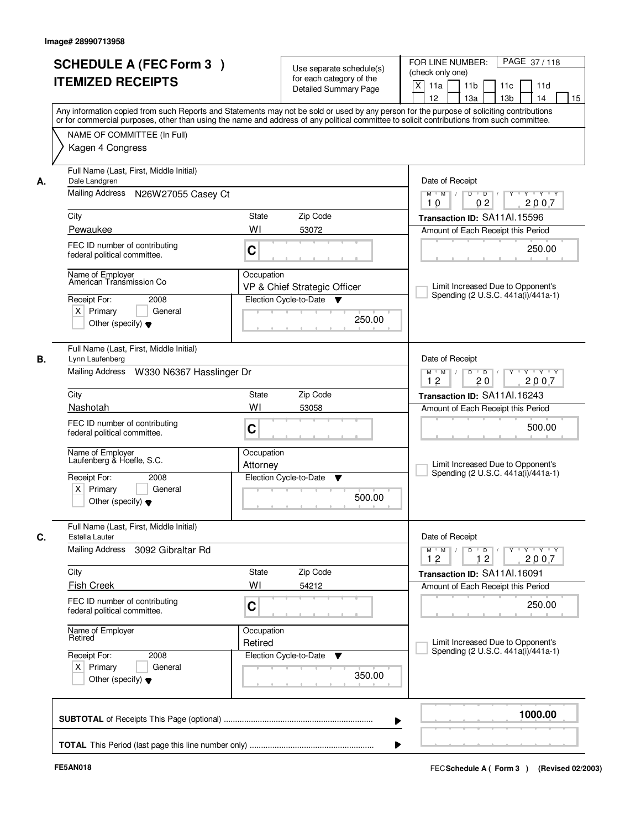|    | <b>SCHEDULE A (FEC Form 3)</b>                                                                                                                                                                                                                                                          |              |                                                      | PAGE 37/118<br>FOR LINE NUMBER:                                                                        |
|----|-----------------------------------------------------------------------------------------------------------------------------------------------------------------------------------------------------------------------------------------------------------------------------------------|--------------|------------------------------------------------------|--------------------------------------------------------------------------------------------------------|
|    |                                                                                                                                                                                                                                                                                         |              | Use separate schedule(s)<br>for each category of the | (check only one)                                                                                       |
|    | <b>ITEMIZED RECEIPTS</b>                                                                                                                                                                                                                                                                |              | Detailed Summary Page                                | X<br>11 <sub>b</sub><br>11a<br>11c<br>11d                                                              |
|    |                                                                                                                                                                                                                                                                                         |              |                                                      | 12<br>13 <sub>b</sub><br>14<br>15<br>13a                                                               |
|    | Any information copied from such Reports and Statements may not be sold or used by any person for the purpose of soliciting contributions<br>or for commercial purposes, other than using the name and address of any political committee to solicit contributions from such committee. |              |                                                      |                                                                                                        |
|    | NAME OF COMMITTEE (In Full)                                                                                                                                                                                                                                                             |              |                                                      |                                                                                                        |
|    | Kagen 4 Congress                                                                                                                                                                                                                                                                        |              |                                                      |                                                                                                        |
| А. | Full Name (Last, First, Middle Initial)<br>Dale Landgren                                                                                                                                                                                                                                |              |                                                      | Date of Receipt                                                                                        |
|    | Mailing Address<br>N26W27055 Casey Ct                                                                                                                                                                                                                                                   |              |                                                      | $Y - Y - Y$<br>$\overline{D}$ /<br>Y<br>$M$ $M$ /<br>D<br>0 <sub>2</sub><br>2007<br>10                 |
|    | City                                                                                                                                                                                                                                                                                    | <b>State</b> | Zip Code                                             | Transaction ID: SA11Al.15596                                                                           |
|    | Pewaukee                                                                                                                                                                                                                                                                                | WI           | 53072                                                | Amount of Each Receipt this Period                                                                     |
|    | FEC ID number of contributing                                                                                                                                                                                                                                                           |              |                                                      |                                                                                                        |
|    | federal political committee.                                                                                                                                                                                                                                                            | C            |                                                      | 250.00                                                                                                 |
|    | Name of Employer<br>American Transmission Co                                                                                                                                                                                                                                            | Occupation   |                                                      |                                                                                                        |
|    |                                                                                                                                                                                                                                                                                         |              | VP & Chief Strategic Officer                         | Limit Increased Due to Opponent's<br>Spending (2 U.S.C. 441a(i)/441a-1)                                |
|    | Receipt For:<br>2008                                                                                                                                                                                                                                                                    |              | Election Cycle-to-Date<br>▼                          |                                                                                                        |
|    | $X$ Primary<br>General                                                                                                                                                                                                                                                                  |              | 250.00                                               |                                                                                                        |
|    | Other (specify) $\blacktriangledown$                                                                                                                                                                                                                                                    |              |                                                      |                                                                                                        |
| В. | Full Name (Last, First, Middle Initial)<br>Lynn Laufenberg                                                                                                                                                                                                                              |              |                                                      | Date of Receipt                                                                                        |
|    | Mailing Address W330 N6367 Hasslinger Dr                                                                                                                                                                                                                                                |              |                                                      | D<br>$\overline{D}$ /<br>Y 'Y 'Y<br>$M$ $M$ /<br>$Y$ <sup>U</sup>                                      |
|    |                                                                                                                                                                                                                                                                                         |              |                                                      | 12<br>20<br>2007                                                                                       |
|    | City                                                                                                                                                                                                                                                                                    | State<br>WI  | Zip Code                                             | Transaction ID: SA11Al.16243                                                                           |
|    | Nashotah                                                                                                                                                                                                                                                                                |              | 53058                                                | Amount of Each Receipt this Period                                                                     |
|    | FEC ID number of contributing<br>federal political committee.                                                                                                                                                                                                                           | C            |                                                      | 500.00                                                                                                 |
|    | Name of Employer<br>Laufenberg & Hoefle, S.C.                                                                                                                                                                                                                                           | Occupation   |                                                      |                                                                                                        |
|    |                                                                                                                                                                                                                                                                                         | Attorney     |                                                      | Limit Increased Due to Opponent's<br>Spending (2 U.S.C. 441a(i)/441a-1)                                |
|    | Receipt For:<br>2008<br>$X$ Primary<br>General                                                                                                                                                                                                                                          |              | Election Cycle-to-Date<br>▼                          |                                                                                                        |
|    | Other (specify) $\blacktriangledown$                                                                                                                                                                                                                                                    |              | 500.00                                               |                                                                                                        |
|    | Full Name (Last, First, Middle Initial)                                                                                                                                                                                                                                                 |              |                                                      |                                                                                                        |
| C. | Estella Lauter<br><b>Mailing Address</b><br>3092 Gibraltar Rd                                                                                                                                                                                                                           |              |                                                      | Date of Receipt<br>$Y \dashv Y \dashv Y$<br>$M^+$ M<br>$D$ $D$ $/$<br>$Y$ <sup>U</sup><br>$\mathbb{L}$ |
|    |                                                                                                                                                                                                                                                                                         |              |                                                      | 2007<br>12<br>12                                                                                       |
|    | City                                                                                                                                                                                                                                                                                    | State        | Zip Code                                             | Transaction ID: SA11Al.16091                                                                           |
|    | <b>Fish Creek</b>                                                                                                                                                                                                                                                                       | WI           | 54212                                                | Amount of Each Receipt this Period                                                                     |
|    | FEC ID number of contributing<br>federal political committee.                                                                                                                                                                                                                           | C            |                                                      | 250.00                                                                                                 |
|    | Name of Employer                                                                                                                                                                                                                                                                        | Occupation   |                                                      |                                                                                                        |
|    | Retired                                                                                                                                                                                                                                                                                 | Retired      |                                                      | Limit Increased Due to Opponent's                                                                      |
|    | Receipt For:<br>2008                                                                                                                                                                                                                                                                    |              | Election Cycle-to-Date<br>v                          | Spending (2 U.S.C. 441a(i)/441a-1)                                                                     |
|    | $X$ Primary<br>General                                                                                                                                                                                                                                                                  |              | 350.00                                               |                                                                                                        |
|    | Other (specify) $\blacktriangledown$                                                                                                                                                                                                                                                    |              |                                                      |                                                                                                        |
|    |                                                                                                                                                                                                                                                                                         |              |                                                      | 1000.00                                                                                                |
|    |                                                                                                                                                                                                                                                                                         |              |                                                      |                                                                                                        |
|    |                                                                                                                                                                                                                                                                                         |              |                                                      |                                                                                                        |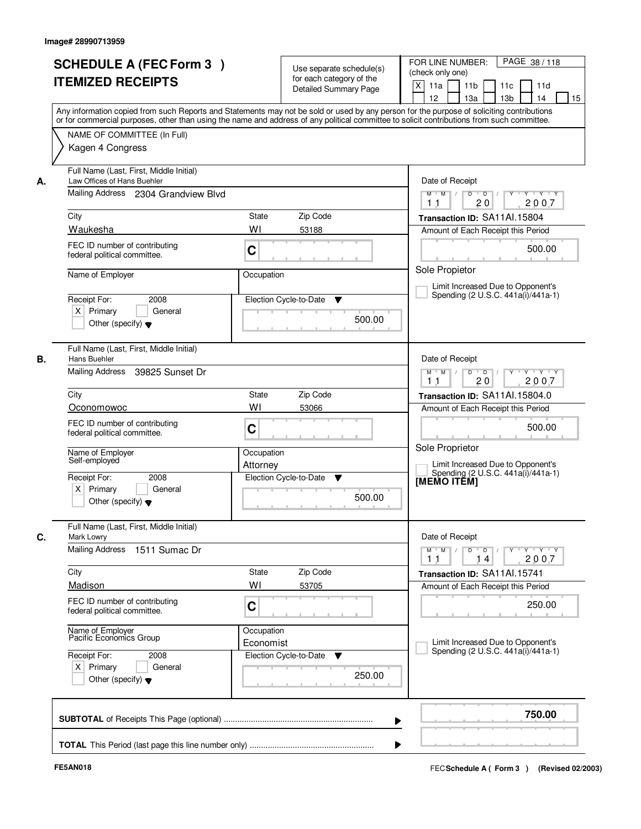|    | <b>SCHEDULE A (FEC Form 3)</b><br><b>ITEMIZED RECEIPTS</b>                                                                        | Use separate schedule(s)<br>for each category of the<br><b>Detailed Summary Page</b>                                                                                                                                                                                                    | PAGE 38/118<br>FOR LINE NUMBER:<br>(check only one)<br>X<br>11a<br>11 <sub>b</sub><br>11c<br>11d<br>12<br>13a<br>13 <sub>b</sub><br>14<br>15 |
|----|-----------------------------------------------------------------------------------------------------------------------------------|-----------------------------------------------------------------------------------------------------------------------------------------------------------------------------------------------------------------------------------------------------------------------------------------|----------------------------------------------------------------------------------------------------------------------------------------------|
|    | NAME OF COMMITTEE (In Full)<br>Kagen 4 Congress                                                                                   | Any information copied from such Reports and Statements may not be sold or used by any person for the purpose of soliciting contributions<br>or for commercial purposes, other than using the name and address of any political committee to solicit contributions from such committee. |                                                                                                                                              |
| А. | Full Name (Last, First, Middle Initial)<br>Law Offices of Hans Buehler<br>Mailing Address 2304 Grandview Blvd<br>City<br>Waukesha | <b>State</b><br>Zip Code<br>WI<br>53188                                                                                                                                                                                                                                                 | Date of Receipt<br>$\overline{D}$<br>$Y - Y - Y$<br>$M$ $M$ /<br>D<br>20<br>2007<br>11<br>Transaction ID: SA11Al.15804                       |
|    | FEC ID number of contributing<br>federal political committee.                                                                     | C                                                                                                                                                                                                                                                                                       | Amount of Each Receipt this Period<br>500.00<br>Sole Propietor                                                                               |
|    | Name of Employer<br>Receipt For:<br>2008<br>$X$ Primary<br>General<br>Other (specify) $\blacktriangledown$                        | Occupation<br>Election Cycle-to-Date<br>▼<br>500.00                                                                                                                                                                                                                                     | Limit Increased Due to Opponent's<br>Spending (2 U.S.C. 441a(i)/441a-1)                                                                      |
| В. | Full Name (Last, First, Middle Initial)<br>Hans Buehler<br>Mailing Address 39825 Sunset Dr                                        |                                                                                                                                                                                                                                                                                         | Date of Receipt<br>$Y + Y + Y$<br>$M$ $M$ /<br>D<br>$\overline{D}$<br>$Y$ <sup>U</sup><br>20<br>2007<br>11                                   |
|    | City<br>Oconomowoc<br>FEC ID number of contributing<br>federal political committee.                                               | Zip Code<br>State<br>W١<br>53066<br>C                                                                                                                                                                                                                                                   | Transaction ID: SA11Al.15804.0<br>Amount of Each Receipt this Period<br>500.00                                                               |
|    | Name of Employer<br>Self-employed<br>Receipt For:<br>2008<br>$X$ Primary<br>General<br>Other (specify) $\blacktriangledown$       | Occupation<br>Attorney<br>Election Cycle-to-Date<br>v<br>500.00                                                                                                                                                                                                                         | Sole Proprietor<br>Limit Increased Due to Opponent's<br>Spending (2 U.S.C. 441a(i)/441a-1)<br>[MEMO ITĔM]                                    |
| С. | Full Name (Last, First, Middle Initial)<br>Mark Lowry<br>Mailing Address<br>1511 Sumac Dr                                         |                                                                                                                                                                                                                                                                                         | Date of Receipt<br>Y Y Y Y<br>$M$ M<br>$D$ $D$ $/$<br>$\blacksquare$                                                                         |
|    | City<br>Madison<br>FEC ID number of contributing                                                                                  | Zip Code<br>State<br>WI<br>53705                                                                                                                                                                                                                                                        | 2007<br>11<br>14<br>Transaction ID: SA11Al.15741<br>Amount of Each Receipt this Period                                                       |
|    | federal political committee.<br>Name of Employer<br>Pacific Economics Group                                                       | C<br>Occupation<br>Economist                                                                                                                                                                                                                                                            | 250.00<br>Limit Increased Due to Opponent's                                                                                                  |
|    | Receipt For:<br>2008<br>$X$ Primary<br>General<br>Other (specify) $\blacktriangledown$                                            | Election Cycle-to-Date<br>v<br>250.00                                                                                                                                                                                                                                                   | Spending (2 U.S.C. 441a(i)/441a-1)                                                                                                           |
|    |                                                                                                                                   |                                                                                                                                                                                                                                                                                         | 750.00                                                                                                                                       |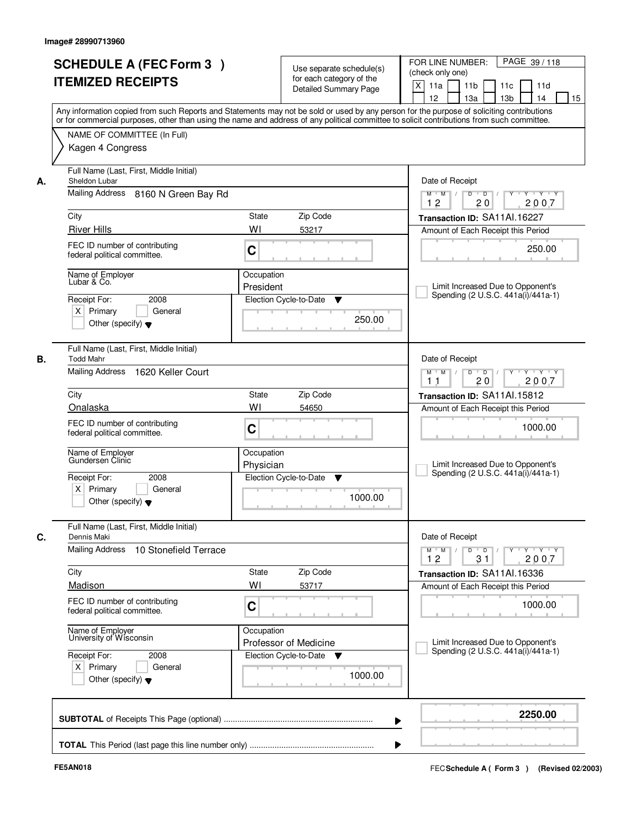|      | <b>SCHEDULE A (FEC Form 3)</b><br><b>ITEMIZED RECEIPTS</b>                                                                                                                                    |                         | Use separate schedule(s)<br>for each category of the<br><b>Detailed Summary Page</b> | PAGE 39/118<br>FOR LINE NUMBER:<br>(check only one)<br>X<br>11 <sub>b</sub><br>11a<br>11 <sub>c</sub><br>11d<br>12<br>13 <sub>b</sub><br>14<br>13a<br>15 |
|------|-----------------------------------------------------------------------------------------------------------------------------------------------------------------------------------------------|-------------------------|--------------------------------------------------------------------------------------|----------------------------------------------------------------------------------------------------------------------------------------------------------|
|      | or for commercial purposes, other than using the name and address of any political committee to solicit contributions from such committee.<br>NAME OF COMMITTEE (In Full)<br>Kagen 4 Congress |                         |                                                                                      | Any information copied from such Reports and Statements may not be sold or used by any person for the purpose of soliciting contributions                |
| А.   | Full Name (Last, First, Middle Initial)<br>Sheldon Lubar                                                                                                                                      |                         |                                                                                      | Date of Receipt                                                                                                                                          |
|      | Mailing Address 8160 N Green Bay Rd                                                                                                                                                           |                         |                                                                                      | $Y + Y + Y$<br>$D$ $D$ $I$<br>Y<br>$M$ $M$ /<br>12<br>20<br>2007                                                                                         |
| City |                                                                                                                                                                                               | <b>State</b>            | Zip Code                                                                             | Transaction ID: SA11Al.16227                                                                                                                             |
|      | <b>River Hills</b>                                                                                                                                                                            | WI                      | 53217                                                                                | Amount of Each Receipt this Period                                                                                                                       |
|      | FEC ID number of contributing<br>federal political committee.                                                                                                                                 | C                       |                                                                                      | 250.00                                                                                                                                                   |
|      | Name of Employer<br>Lubar & Co.                                                                                                                                                               | Occupation              |                                                                                      |                                                                                                                                                          |
|      |                                                                                                                                                                                               | President               |                                                                                      | Limit Increased Due to Opponent's<br>Spending (2 U.S.C. 441a(i)/441a-1)                                                                                  |
|      | Receipt For:<br>2008<br>$X$ Primary<br>General                                                                                                                                                |                         | Election Cycle-to-Date<br>▼                                                          |                                                                                                                                                          |
|      | Other (specify) $\blacktriangledown$                                                                                                                                                          |                         | 250.00                                                                               |                                                                                                                                                          |
|      | Full Name (Last, First, Middle Initial)<br><b>Todd Mahr</b>                                                                                                                                   |                         |                                                                                      | Date of Receipt                                                                                                                                          |
|      | Mailing Address<br>1620 Keller Court                                                                                                                                                          |                         |                                                                                      | $Y \vdash Y \vdash Y$<br>$M$ $M$ /<br>D<br>$\overline{D}$ /<br>Y<br>20<br>2007<br>11                                                                     |
| City |                                                                                                                                                                                               | State                   | Zip Code                                                                             | Transaction ID: SA11Al.15812                                                                                                                             |
|      | Onalaska                                                                                                                                                                                      | WI                      | 54650                                                                                | Amount of Each Receipt this Period                                                                                                                       |
|      | FEC ID number of contributing<br>federal political committee.                                                                                                                                 | C                       |                                                                                      | 1000.00                                                                                                                                                  |
|      | Name of Employer<br>Gundersen Clinic                                                                                                                                                          | Occupation<br>Physician |                                                                                      | Limit Increased Due to Opponent's                                                                                                                        |
|      | Receipt For:<br>2008<br>$X$ Primary<br>General<br>Other (specify) $\blacktriangledown$                                                                                                        |                         | Election Cycle-to-Date<br>▼<br>1000.00                                               | Spending (2 U.S.C. 441a(i)/441a-1)                                                                                                                       |
|      | Full Name (Last, First, Middle Initial)<br>Dennis Maki                                                                                                                                        |                         |                                                                                      | Date of Receipt                                                                                                                                          |
|      | Mailing Address<br>10 Stonefield Terrace                                                                                                                                                      |                         |                                                                                      | $M$ $M$ $M$<br>$D$ $D$ $/$<br>y y y y y<br>12<br>31<br>2007                                                                                              |
| City |                                                                                                                                                                                               | State                   | Zip Code                                                                             | Transaction ID: SA11Al.16336                                                                                                                             |
|      | Madison                                                                                                                                                                                       | WI                      | 53717                                                                                | Amount of Each Receipt this Period                                                                                                                       |
|      | FEC ID number of contributing<br>federal political committee.                                                                                                                                 | C                       |                                                                                      | 1000.00                                                                                                                                                  |
|      | Name of Employer<br>University of Wisconsin                                                                                                                                                   | Occupation              | Professor of Medicine                                                                | Limit Increased Due to Opponent's                                                                                                                        |
|      | Receipt For:<br>2008<br>$X$ Primary<br>General<br>Other (specify) $\blacktriangledown$                                                                                                        |                         | Election Cycle-to-Date<br>v<br>1000.00                                               | Spending (2 U.S.C. 441a(i)/441a-1)                                                                                                                       |
|      |                                                                                                                                                                                               |                         |                                                                                      | 2250.00                                                                                                                                                  |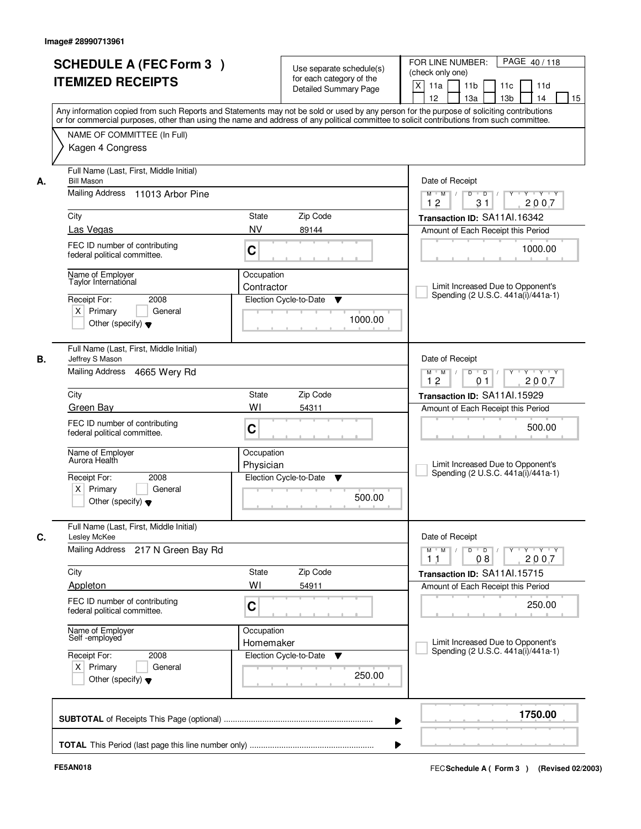| <b>SCHEDULE A (FEC Form 3)</b>                                     | Use separate schedule(s)<br>for each category of the                                                                                                                                                                                                                                    | PAGE 40/118<br>FOR LINE NUMBER:<br>(check only one)                                                    |
|--------------------------------------------------------------------|-----------------------------------------------------------------------------------------------------------------------------------------------------------------------------------------------------------------------------------------------------------------------------------------|--------------------------------------------------------------------------------------------------------|
| <b>ITEMIZED RECEIPTS</b>                                           | <b>Detailed Summary Page</b>                                                                                                                                                                                                                                                            | X<br>11 <sub>b</sub><br>11a<br>11c<br>11d<br>12<br>13a<br>13 <sub>b</sub><br>14<br>15                  |
|                                                                    | Any information copied from such Reports and Statements may not be sold or used by any person for the purpose of soliciting contributions<br>or for commercial purposes, other than using the name and address of any political committee to solicit contributions from such committee. |                                                                                                        |
| NAME OF COMMITTEE (In Full)<br>Kagen 4 Congress                    |                                                                                                                                                                                                                                                                                         |                                                                                                        |
| Full Name (Last, First, Middle Initial)<br><b>Bill Mason</b><br>А. |                                                                                                                                                                                                                                                                                         | Date of Receipt                                                                                        |
| Mailing Address<br>11013 Arbor Pine                                |                                                                                                                                                                                                                                                                                         | $Y - Y - Y$<br>$M$ $M$ /<br>D<br>$\overline{D}$<br>2007<br>12<br>31                                    |
| City                                                               | State<br>Zip Code                                                                                                                                                                                                                                                                       | Transaction ID: SA11Al.16342                                                                           |
| Las Vegas                                                          | <b>NV</b><br>89144                                                                                                                                                                                                                                                                      | Amount of Each Receipt this Period                                                                     |
| FEC ID number of contributing<br>federal political committee.      | C                                                                                                                                                                                                                                                                                       | 1000.00                                                                                                |
| Name of Employer                                                   | Occupation                                                                                                                                                                                                                                                                              |                                                                                                        |
| Taylor International                                               | Contractor                                                                                                                                                                                                                                                                              | Limit Increased Due to Opponent's<br>Spending (2 U.S.C. 441a(i)/441a-1)                                |
| 2008<br>Receipt For:                                               | Election Cycle-to-Date<br>▼                                                                                                                                                                                                                                                             |                                                                                                        |
| $X$ Primary<br>General<br>Other (specify) $\blacktriangledown$     | 1000.00                                                                                                                                                                                                                                                                                 |                                                                                                        |
| Full Name (Last, First, Middle Initial)<br>В.<br>Jeffrey S Mason   |                                                                                                                                                                                                                                                                                         | Date of Receipt                                                                                        |
| Mailing Address<br>4665 Wery Rd                                    |                                                                                                                                                                                                                                                                                         | D<br>$\blacksquare$ D $\blacksquare$ /<br>Y Y Y Y<br>$M$ $M$ /<br>$Y$ <sup>U</sup><br>12<br>2007<br>01 |
| City                                                               | Zip Code<br>State                                                                                                                                                                                                                                                                       | Transaction ID: SA11Al.15929                                                                           |
| Green Bay                                                          | WI<br>54311                                                                                                                                                                                                                                                                             | Amount of Each Receipt this Period                                                                     |
| FEC ID number of contributing<br>federal political committee.      | C                                                                                                                                                                                                                                                                                       | 500.00                                                                                                 |
| Name of Employer<br>Aurora Health                                  | Occupation<br>Physician                                                                                                                                                                                                                                                                 | Limit Increased Due to Opponent's<br>Spending (2 U.S.C. 441a(i)/441a-1)                                |
| Receipt For:<br>2008                                               | Election Cycle-to-Date<br>▼                                                                                                                                                                                                                                                             |                                                                                                        |
| $X$ Primary<br>General<br>Other (specify) $\blacktriangledown$     | 500.00                                                                                                                                                                                                                                                                                  |                                                                                                        |
| Full Name (Last, First, Middle Initial)<br>C.<br>Lesley McKee      |                                                                                                                                                                                                                                                                                         | Date of Receipt                                                                                        |
| Mailing Address<br>217 N Green Bay Rd                              |                                                                                                                                                                                                                                                                                         | $M$ $M$<br>$D$ $D$ $/$<br>$Y$ <sup>U</sup><br>$Y - Y - Y$<br>2007<br>11<br>08                          |
| City                                                               | Zip Code<br>State                                                                                                                                                                                                                                                                       | Transaction ID: SA11Al.15715                                                                           |
| Appleton                                                           | WI<br>54911                                                                                                                                                                                                                                                                             | Amount of Each Receipt this Period                                                                     |
| FEC ID number of contributing<br>federal political committee.      | C                                                                                                                                                                                                                                                                                       | 250.00                                                                                                 |
| Name of Employer<br>Self -employed                                 | Occupation<br>Homemaker                                                                                                                                                                                                                                                                 | Limit Increased Due to Opponent's<br>Spending (2 U.S.C. 441a(i)/441a-1)                                |
| Receipt For:<br>2008                                               | Election Cycle-to-Date<br>v                                                                                                                                                                                                                                                             |                                                                                                        |
| $X$ Primary<br>General<br>Other (specify) $\blacktriangledown$     | 250.00                                                                                                                                                                                                                                                                                  |                                                                                                        |
|                                                                    | ▶                                                                                                                                                                                                                                                                                       | 1750.00                                                                                                |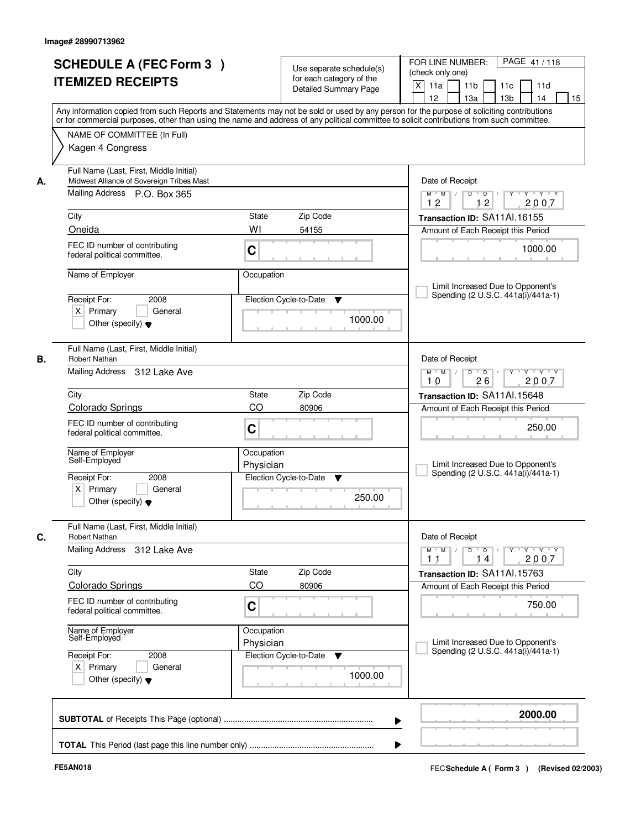| <b>SCHEDULE A (FEC Form 3)</b><br><b>ITEMIZED RECEIPTS</b>                                                                 |                               | Use separate schedule(s)<br>for each category of the<br><b>Detailed Summary Page</b> | FOR LINE NUMBER:<br>PAGE 41/118<br>(check only one)<br>X<br>11a<br>11 <sub>b</sub><br>11c<br>11d<br>12<br>13a<br>13 <sub>b</sub><br>14<br>15                                                                                                                                            |
|----------------------------------------------------------------------------------------------------------------------------|-------------------------------|--------------------------------------------------------------------------------------|-----------------------------------------------------------------------------------------------------------------------------------------------------------------------------------------------------------------------------------------------------------------------------------------|
| NAME OF COMMITTEE (In Full)<br>Kagen 4 Congress                                                                            |                               |                                                                                      | Any information copied from such Reports and Statements may not be sold or used by any person for the purpose of soliciting contributions<br>or for commercial purposes, other than using the name and address of any political committee to solicit contributions from such committee. |
| Full Name (Last, First, Middle Initial)<br>Midwest Alliance of Sovereign Tribes Mast<br>А.<br>Mailing Address P.O. Box 365 |                               |                                                                                      | Date of Receipt<br>$\overline{D}$ /<br>Y<br>$Y + Y + Y$<br>$M$ $M$ /<br>D<br>12<br>2007<br>12                                                                                                                                                                                           |
| City                                                                                                                       | State                         | Zip Code                                                                             | Transaction ID: SA11Al.16155                                                                                                                                                                                                                                                            |
| Oneida                                                                                                                     | WI                            | 54155                                                                                | Amount of Each Receipt this Period                                                                                                                                                                                                                                                      |
| FEC ID number of contributing<br>federal political committee.                                                              | C                             |                                                                                      | 1000.00                                                                                                                                                                                                                                                                                 |
| Name of Employer<br>Receipt For:<br>$X$ Primary<br>Other (specify) $\blacktriangledown$                                    | Occupation<br>2008<br>General | Election Cycle-to-Date<br>▼<br>1000.00                                               | Limit Increased Due to Opponent's<br>Spending (2 U.S.C. 441a(i)/441a-1)                                                                                                                                                                                                                 |
| Full Name (Last, First, Middle Initial)<br>В.<br>Robert Nathan<br>Mailing Address 312 Lake Ave                             |                               |                                                                                      | Date of Receipt<br>D<br>$\blacksquare$ $\blacksquare$ $\blacksquare$ $\blacksquare$ $\blacksquare$<br>$Y$ <sup>U</sup><br>Y Y Y Y<br>$M$ $M$ /                                                                                                                                          |
|                                                                                                                            |                               |                                                                                      | 26<br>2007<br>10                                                                                                                                                                                                                                                                        |
| City<br>Colorado Springs                                                                                                   | State<br>CO                   | Zip Code<br>80906                                                                    | Transaction ID: SA11Al.15648<br>Amount of Each Receipt this Period                                                                                                                                                                                                                      |
| FEC ID number of contributing<br>federal political committee.                                                              | C                             |                                                                                      | 250.00                                                                                                                                                                                                                                                                                  |
| Name of Employer<br>Self-Employed                                                                                          | Occupation<br>Physician       |                                                                                      | Limit Increased Due to Opponent's                                                                                                                                                                                                                                                       |
| Receipt For:<br>$X$ Primary<br>Other (specify) $\blacktriangledown$                                                        | 2008<br>General               | Election Cycle-to-Date<br>▼<br>250.00                                                | Spending (2 U.S.C. 441a(i)/441a-1)                                                                                                                                                                                                                                                      |
| Full Name (Last, First, Middle Initial)<br>C.<br>Robert Nathan                                                             |                               |                                                                                      | Date of Receipt                                                                                                                                                                                                                                                                         |
| Mailing Address                                                                                                            | 312 Lake Ave                  |                                                                                      | $M$ $M$<br>$D$ $D$ $/$<br>$Y$ <sup>U</sup><br>$\mathsf{Y} \dashv \mathsf{Y} \dashv \mathsf{Y}$<br>2007<br>11<br>14                                                                                                                                                                      |
| City<br><b>Colorado Springs</b>                                                                                            | State<br>CO                   | Zip Code<br>80906                                                                    | Transaction ID: SA11Al.15763                                                                                                                                                                                                                                                            |
| FEC ID number of contributing<br>federal political committee.                                                              | C                             |                                                                                      | Amount of Each Receipt this Period<br>750.00                                                                                                                                                                                                                                            |
| Name of Employer<br>Self-Employed                                                                                          | Occupation<br>Physician       |                                                                                      | Limit Increased Due to Opponent's                                                                                                                                                                                                                                                       |
| Receipt For:<br>$X$ Primary<br>Other (specify) $\blacktriangledown$                                                        | 2008<br>General               | Election Cycle-to-Date<br>v<br>1000.00                                               | Spending (2 U.S.C. 441a(i)/441a-1)                                                                                                                                                                                                                                                      |
|                                                                                                                            |                               |                                                                                      | 2000.00<br>▶                                                                                                                                                                                                                                                                            |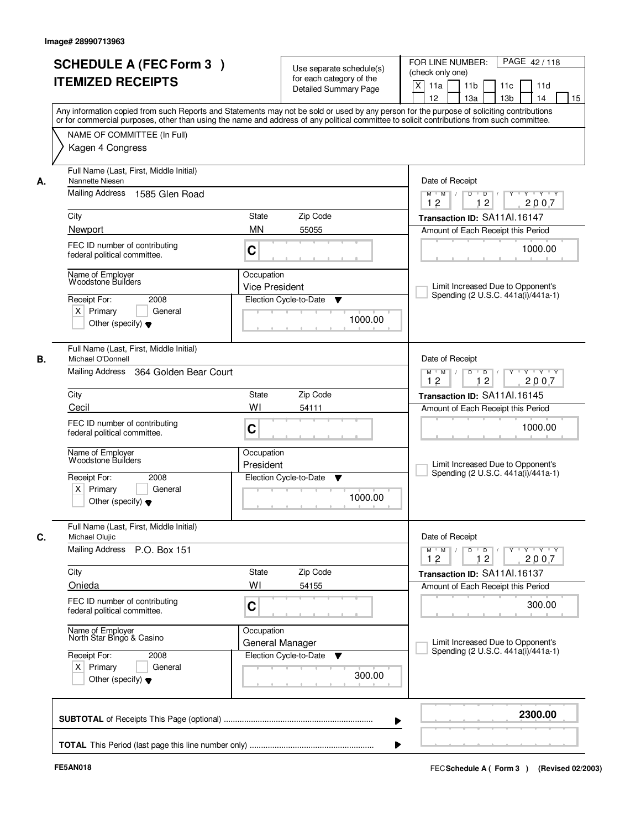|    | <b>SCHEDULE A (FEC Form 3)</b><br><b>ITEMIZED RECEIPTS</b>                                                                              | Use separate schedule(s)<br>for each category of the<br><b>Detailed Summary Page</b> | PAGE 42/118<br>FOR LINE NUMBER:<br>(check only one)<br>X<br>11 <sub>b</sub><br>11a<br>11c<br>11d<br>12<br>13a<br>13 <sub>b</sub><br>14<br>15                                                                                                                                            |
|----|-----------------------------------------------------------------------------------------------------------------------------------------|--------------------------------------------------------------------------------------|-----------------------------------------------------------------------------------------------------------------------------------------------------------------------------------------------------------------------------------------------------------------------------------------|
|    | NAME OF COMMITTEE (In Full)<br>Kagen 4 Congress                                                                                         |                                                                                      | Any information copied from such Reports and Statements may not be sold or used by any person for the purpose of soliciting contributions<br>or for commercial purposes, other than using the name and address of any political committee to solicit contributions from such committee. |
| А. | Full Name (Last, First, Middle Initial)<br>Nannette Niesen<br>Mailing Address<br>1585 Glen Road                                         |                                                                                      | Date of Receipt<br>$\overline{D}$ /<br>Y Y Y Y<br>$M$ $M$ /<br>D<br>Y                                                                                                                                                                                                                   |
|    | City<br>Newport                                                                                                                         | State<br>Zip Code<br><b>MN</b><br>55055                                              | 12<br>2007<br>12<br>Transaction ID: SA11Al.16147<br>Amount of Each Receipt this Period                                                                                                                                                                                                  |
|    | FEC ID number of contributing<br>federal political committee.                                                                           | C                                                                                    | 1000.00                                                                                                                                                                                                                                                                                 |
|    | Name of Employer<br><b>Woodstone Builders</b><br>Receipt For:<br>2008<br>$X$ Primary<br>General<br>Other (specify) $\blacktriangledown$ | Occupation<br><b>Vice President</b><br>Election Cycle-to-Date<br>▼<br>1000.00        | Limit Increased Due to Opponent's<br>Spending (2 U.S.C. 441a(i)/441a-1)                                                                                                                                                                                                                 |
| В. | Full Name (Last, First, Middle Initial)<br>Michael O'Donnell<br>Mailing Address<br>364 Golden Bear Court                                |                                                                                      | Date of Receipt<br>D<br>$\overline{D}$ /<br>$Y$ <sup>U</sup><br>Y 'Y 'Y<br>$M$ $M$ /<br>12<br>12<br>2007                                                                                                                                                                                |
|    | City                                                                                                                                    | Zip Code<br>State                                                                    | Transaction ID: SA11Al.16145                                                                                                                                                                                                                                                            |
|    | Cecil<br>FEC ID number of contributing<br>federal political committee.                                                                  | WI<br>54111<br>C                                                                     | Amount of Each Receipt this Period<br>1000.00                                                                                                                                                                                                                                           |
|    | Name of Employer<br>Woodstone Builders<br>Receipt For:<br>2008                                                                          | Occupation<br>President<br>Election Cycle-to-Date<br>▼                               | Limit Increased Due to Opponent's<br>Spending (2 U.S.C. 441a(i)/441a-1)                                                                                                                                                                                                                 |
|    | $X$ Primary<br>General<br>Other (specify) $\blacktriangledown$                                                                          | 1000.00                                                                              |                                                                                                                                                                                                                                                                                         |
| C. | Full Name (Last, First, Middle Initial)<br>Michael Olujic<br>Mailing Address P.O. Box 151                                               |                                                                                      | Date of Receipt<br>$M^+$ M<br>$D$ $D$ $I$<br>$Y$ $Y$ $Y$<br>$\sqrt{ }$<br>$Y$ <sup>-1</sup><br>2007<br>12<br>12                                                                                                                                                                         |
|    | City<br>Onieda                                                                                                                          | Zip Code<br>State<br>WI<br>54155                                                     | Transaction ID: SA11Al.16137                                                                                                                                                                                                                                                            |
|    | FEC ID number of contributing<br>federal political committee.                                                                           | C                                                                                    | Amount of Each Receipt this Period<br>300.00                                                                                                                                                                                                                                            |
|    | Name of Employer<br>North Star Bingo & Casino                                                                                           | Occupation<br>General Manager                                                        | Limit Increased Due to Opponent's<br>Spending (2 U.S.C. 441a(i)/441a-1)                                                                                                                                                                                                                 |
|    | Receipt For:<br>2008<br>$X$ Primary<br>General<br>Other (specify) $\blacktriangledown$                                                  | Election Cycle-to-Date<br>v<br>300.00                                                |                                                                                                                                                                                                                                                                                         |
|    |                                                                                                                                         |                                                                                      | 2300.00<br>▶                                                                                                                                                                                                                                                                            |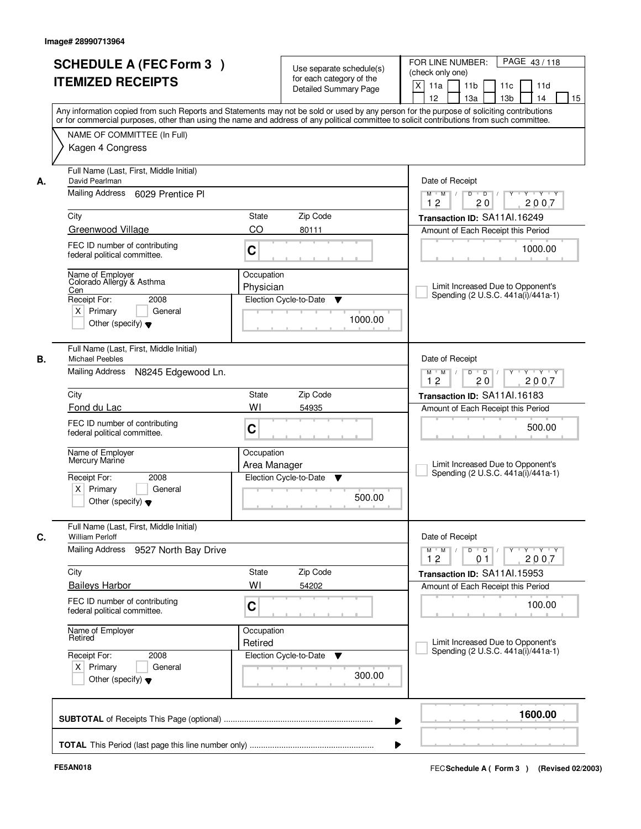| <b>SCHEDULE A (FEC Form 3)</b><br><b>ITEMIZED RECEIPTS</b>                                                                                     |                            | Use separate schedule(s)<br>for each category of the<br><b>Detailed Summary Page</b> | PAGE 43/118<br>FOR LINE NUMBER:<br>(check only one)<br>X<br>11 <sub>b</sub><br>11a<br>11 <sub>c</sub><br>11d<br>12<br>13 <sub>b</sub><br>14<br>13a<br>15<br>Any information copied from such Reports and Statements may not be sold or used by any person for the purpose of soliciting contributions |
|------------------------------------------------------------------------------------------------------------------------------------------------|----------------------------|--------------------------------------------------------------------------------------|-------------------------------------------------------------------------------------------------------------------------------------------------------------------------------------------------------------------------------------------------------------------------------------------------------|
| NAME OF COMMITTEE (In Full)<br>Kagen 4 Congress                                                                                                |                            |                                                                                      | or for commercial purposes, other than using the name and address of any political committee to solicit contributions from such committee.                                                                                                                                                            |
| Full Name (Last, First, Middle Initial)<br>David Pearlman<br>А.<br>Mailing Address 6029 Prentice PI                                            |                            |                                                                                      | Date of Receipt<br>$D$ $D$ $I$<br>Y<br>$Y - Y - Y - Y$<br>$M$ $M$ /<br>12<br>20<br>2007                                                                                                                                                                                                               |
| City                                                                                                                                           | <b>State</b>               | Zip Code                                                                             | Transaction ID: SA11Al.16249                                                                                                                                                                                                                                                                          |
| Greenwood Village                                                                                                                              | CO                         | 80111                                                                                | Amount of Each Receipt this Period                                                                                                                                                                                                                                                                    |
| FEC ID number of contributing<br>federal political committee.                                                                                  | C                          |                                                                                      | 1000.00                                                                                                                                                                                                                                                                                               |
| Name of Employer<br>Colorado Allergy & Asthma<br>Cen<br>Receipt For:<br>2008<br>$X$ Primary<br>General<br>Other (specify) $\blacktriangledown$ | Occupation<br>Physician    | Election Cycle-to-Date<br>▼<br>1000.00                                               | Limit Increased Due to Opponent's<br>Spending (2 U.S.C. 441a(i)/441a-1)                                                                                                                                                                                                                               |
| Full Name (Last, First, Middle Initial)<br><b>Michael Peebles</b><br>В.<br>Mailing Address                                                     | N8245 Edgewood Ln.         |                                                                                      | Date of Receipt<br>$Y \vdash Y \vdash Y$<br>$M$ $M$ /<br>D<br>$\overline{D}$ /<br>Y                                                                                                                                                                                                                   |
|                                                                                                                                                |                            |                                                                                      | 12<br>20<br>2007                                                                                                                                                                                                                                                                                      |
| City<br>Fond du Lac                                                                                                                            | State<br>WI                | Zip Code                                                                             | Transaction ID: SA11Al.16183                                                                                                                                                                                                                                                                          |
| FEC ID number of contributing<br>federal political committee.                                                                                  | C                          | 54935                                                                                | Amount of Each Receipt this Period<br>500.00                                                                                                                                                                                                                                                          |
| Name of Employer<br>Mercury Marine<br>Receipt For:<br>2008<br>$X$ Primary<br>General                                                           | Occupation<br>Area Manager | Election Cycle-to-Date<br>▼                                                          | Limit Increased Due to Opponent's<br>Spending (2 U.S.C. 441a(i)/441a-1)                                                                                                                                                                                                                               |
| Other (specify) $\blacktriangledown$                                                                                                           |                            | 500.00                                                                               |                                                                                                                                                                                                                                                                                                       |
| Full Name (Last, First, Middle Initial)<br>C.<br><b>William Perloff</b>                                                                        |                            |                                                                                      | Date of Receipt                                                                                                                                                                                                                                                                                       |
| Mailing Address                                                                                                                                | 9527 North Bay Drive       |                                                                                      | $M$ $M$ $M$<br>$D$ $D$ $l$<br><u> Y LY LY LY</u><br>12<br>0 <sub>1</sub><br>2007                                                                                                                                                                                                                      |
| City                                                                                                                                           | State                      | Zip Code                                                                             | Transaction ID: SA11Al.15953                                                                                                                                                                                                                                                                          |
| <b>Baileys Harbor</b><br>FEC ID number of contributing<br>federal political committee.                                                         | WI<br>C                    | 54202                                                                                | Amount of Each Receipt this Period<br>100.00                                                                                                                                                                                                                                                          |
| Name of Employer<br>Retired                                                                                                                    | Occupation<br>Retired      |                                                                                      | Limit Increased Due to Opponent's                                                                                                                                                                                                                                                                     |
| Receipt For:<br>2008<br>$X$ Primary<br>General<br>Other (specify) $\blacktriangledown$                                                         |                            | Election Cycle-to-Date<br>▼<br>300.00                                                | Spending (2 U.S.C. 441a(i)/441a-1)                                                                                                                                                                                                                                                                    |
|                                                                                                                                                |                            |                                                                                      | 1600.00                                                                                                                                                                                                                                                                                               |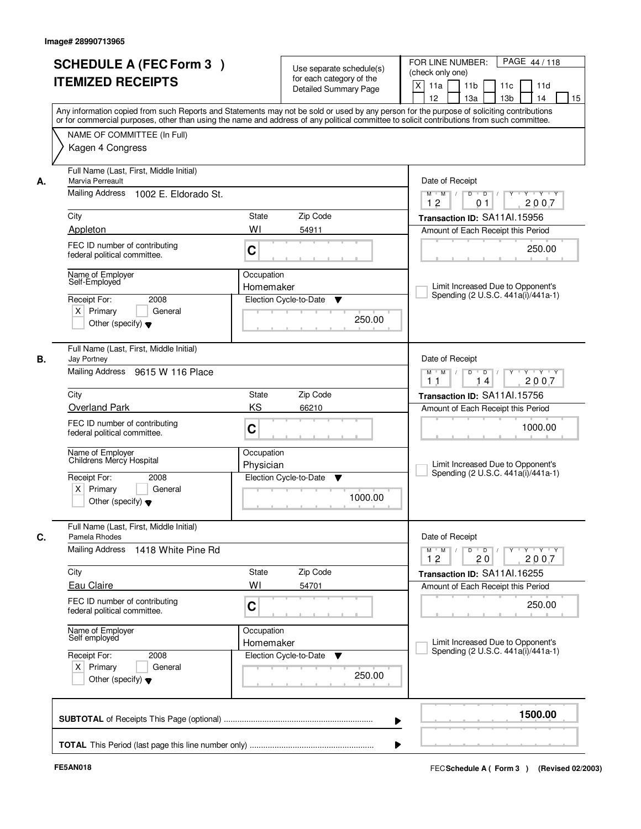|                   | <b>SCHEDULE A (FEC Form 3)</b><br><b>ITEMIZED RECEIPTS</b>             |                         | Use separate schedule(s)<br>for each category of the<br><b>Detailed Summary Page</b> | PAGE 44/118<br>FOR LINE NUMBER:<br>(check only one)<br>X<br>11 <sub>b</sub><br>11a<br>11c<br>11d                                                                                                                                                                                                                                    |
|-------------------|------------------------------------------------------------------------|-------------------------|--------------------------------------------------------------------------------------|-------------------------------------------------------------------------------------------------------------------------------------------------------------------------------------------------------------------------------------------------------------------------------------------------------------------------------------|
|                   |                                                                        |                         |                                                                                      | 12<br>13 <sub>b</sub><br>13a<br>14<br>15<br>Any information copied from such Reports and Statements may not be sold or used by any person for the purpose of soliciting contributions<br>or for commercial purposes, other than using the name and address of any political committee to solicit contributions from such committee. |
|                   | NAME OF COMMITTEE (In Full)<br>Kagen 4 Congress                        |                         |                                                                                      |                                                                                                                                                                                                                                                                                                                                     |
| А.                | Full Name (Last, First, Middle Initial)<br>Marvia Perreault            |                         |                                                                                      | Date of Receipt                                                                                                                                                                                                                                                                                                                     |
|                   | Mailing Address 1002 E. Eldorado St.                                   |                         |                                                                                      | $Y + Y + Y$<br>$M$ $M$ /<br>$D$ $D$ $/$<br>$\overline{Y}$<br>12<br>2007<br>01                                                                                                                                                                                                                                                       |
| City              |                                                                        | State                   | Zip Code                                                                             | Transaction ID: SA11Al.15956                                                                                                                                                                                                                                                                                                        |
| Appleton          |                                                                        | WI                      | 54911                                                                                | Amount of Each Receipt this Period                                                                                                                                                                                                                                                                                                  |
|                   | FEC ID number of contributing<br>federal political committee.          | C                       |                                                                                      | 250.00                                                                                                                                                                                                                                                                                                                              |
|                   | Name of Employer<br>Self-Employed                                      | Occupation<br>Homemaker |                                                                                      | Limit Increased Due to Opponent's                                                                                                                                                                                                                                                                                                   |
| Receipt For:      | 2008                                                                   |                         | Election Cycle-to-Date<br>▼                                                          | Spending (2 U.S.C. 441a(i)/441a-1)                                                                                                                                                                                                                                                                                                  |
|                   | $X$ Primary<br>General<br>Other (specify) $\blacktriangledown$         |                         | 250.00                                                                               |                                                                                                                                                                                                                                                                                                                                     |
| В.<br>Jay Portney | Full Name (Last, First, Middle Initial)                                |                         |                                                                                      | Date of Receipt                                                                                                                                                                                                                                                                                                                     |
|                   | Mailing Address 9615 W 116 Place                                       |                         |                                                                                      | Y<br>$Y \vdash Y \vdash Y$<br>$M$ $M$ /<br>D<br>$\overline{D}$<br>2007<br>11<br>14                                                                                                                                                                                                                                                  |
| City              |                                                                        | State                   | Zip Code                                                                             | Transaction ID: SA11Al.15756                                                                                                                                                                                                                                                                                                        |
|                   | <b>Overland Park</b>                                                   | KS                      | 66210                                                                                | Amount of Each Receipt this Period                                                                                                                                                                                                                                                                                                  |
|                   | FEC ID number of contributing<br>federal political committee.          | C                       |                                                                                      | 1000.00                                                                                                                                                                                                                                                                                                                             |
|                   | Name of Employer<br>Childrens Mercy Hospital                           | Occupation<br>Physician |                                                                                      | Limit Increased Due to Opponent's<br>Spending (2 U.S.C. 441a(i)/441a-1)                                                                                                                                                                                                                                                             |
| Receipt For:      | 2008<br>$X$ Primary<br>General<br>Other (specify) $\blacktriangledown$ |                         | Election Cycle-to-Date<br>v<br>1000.00                                               |                                                                                                                                                                                                                                                                                                                                     |
| C.                | Full Name (Last, First, Middle Initial)<br>Pamela Rhodes               |                         |                                                                                      | Date of Receipt                                                                                                                                                                                                                                                                                                                     |
|                   | Mailing Address<br>1418 White Pine Rd                                  |                         |                                                                                      | $\mathsf D$<br>$M$ $M$ $/$<br>$\overline{D}$<br>$Y$ <sup>-1</sup><br>$Y + Y + Y$<br>12<br>2007<br>20                                                                                                                                                                                                                                |
| City              |                                                                        | State                   | Zip Code                                                                             | Transaction ID: SA11Al.16255                                                                                                                                                                                                                                                                                                        |
| <b>Eau Claire</b> |                                                                        | WI                      | 54701                                                                                | Amount of Each Receipt this Period                                                                                                                                                                                                                                                                                                  |
|                   | FEC ID number of contributing<br>federal political committee.          | C                       |                                                                                      | 250.00                                                                                                                                                                                                                                                                                                                              |
|                   | Name of Employer<br>Self employed                                      | Occupation<br>Homemaker |                                                                                      | Limit Increased Due to Opponent's<br>Spending (2 U.S.C. 441a(i)/441a-1)                                                                                                                                                                                                                                                             |
| Receipt For:      | 2008<br>$X$ Primary<br>General<br>Other (specify) $\blacktriangledown$ |                         | Election Cycle-to-Date<br>v<br>250.00                                                |                                                                                                                                                                                                                                                                                                                                     |
|                   |                                                                        |                         |                                                                                      | 1500.00<br>▶                                                                                                                                                                                                                                                                                                                        |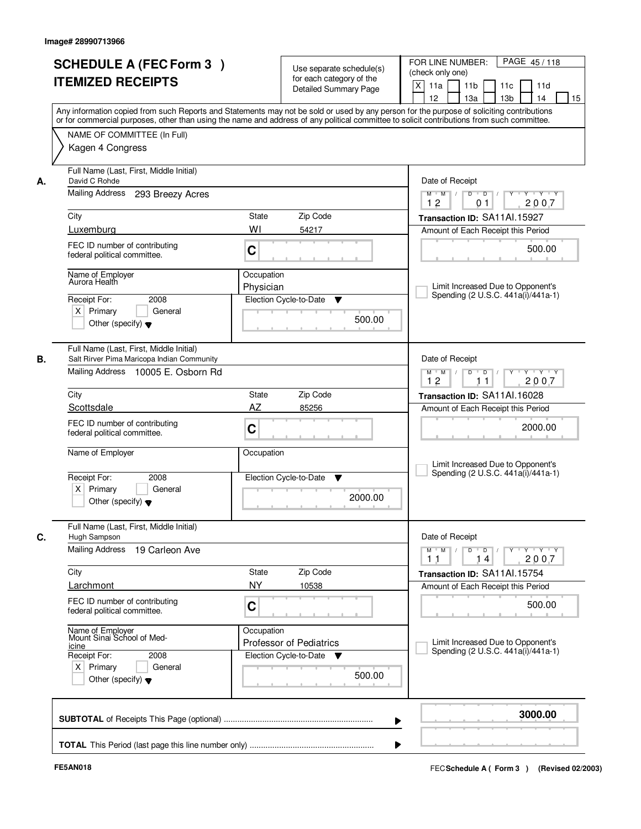| <b>SCHEDULE A (FEC Form 3)</b><br><b>ITEMIZED RECEIPTS</b><br>NAME OF COMMITTEE (In Full)<br>Kagen 4 Congress<br>Full Name (Last, First, Middle Initial)<br>David C Rohde<br>Mailing Address<br>293 Breezy Acres<br>Luxemburg<br>FEC ID number of contributing<br>federal political committee.<br>Name of Employer<br>Aurora Health<br>2008<br>Receipt For:<br>$X$ Primary<br>General<br>Other (specify) $\blacktriangledown$<br>Full Name (Last, First, Middle Initial) | Use separate schedule(s)<br>for each category of the<br><b>Detailed Summary Page</b><br>Any information copied from such Reports and Statements may not be sold or used by any person for the purpose of soliciting contributions<br>or for commercial purposes, other than using the name and address of any political committee to solicit contributions from such committee.<br>State<br>Zip Code<br>WI<br>54217<br>C<br>Occupation<br>Physician<br>Election Cycle-to-Date<br>▼<br>500.00 | FOR LINE NUMBER:<br>PAGE 45/118<br>(check only one)<br>X<br>11a<br>11 <sub>b</sub><br>11c<br>11d<br>12<br>13a<br>13 <sub>b</sub><br>14<br>15<br>Date of Receipt<br>$\overline{D}$<br>$Y - Y - Y$<br>$M$ $M$ /<br>D<br>2007<br>12<br>01<br>Transaction ID: SA11Al.15927<br>Amount of Each Receipt this Period<br>500.00<br>Limit Increased Due to Opponent's<br>Spending (2 U.S.C. 441a(i)/441a-1)<br>Date of Receipt<br>D<br>$\blacksquare$ D $\blacksquare$ /<br>Y Y Y Y<br>$M$ $M$ /<br>$Y$ <sup>U</sup> |
|--------------------------------------------------------------------------------------------------------------------------------------------------------------------------------------------------------------------------------------------------------------------------------------------------------------------------------------------------------------------------------------------------------------------------------------------------------------------------|----------------------------------------------------------------------------------------------------------------------------------------------------------------------------------------------------------------------------------------------------------------------------------------------------------------------------------------------------------------------------------------------------------------------------------------------------------------------------------------------|------------------------------------------------------------------------------------------------------------------------------------------------------------------------------------------------------------------------------------------------------------------------------------------------------------------------------------------------------------------------------------------------------------------------------------------------------------------------------------------------------------|
|                                                                                                                                                                                                                                                                                                                                                                                                                                                                          |                                                                                                                                                                                                                                                                                                                                                                                                                                                                                              |                                                                                                                                                                                                                                                                                                                                                                                                                                                                                                            |
|                                                                                                                                                                                                                                                                                                                                                                                                                                                                          |                                                                                                                                                                                                                                                                                                                                                                                                                                                                                              |                                                                                                                                                                                                                                                                                                                                                                                                                                                                                                            |
|                                                                                                                                                                                                                                                                                                                                                                                                                                                                          |                                                                                                                                                                                                                                                                                                                                                                                                                                                                                              |                                                                                                                                                                                                                                                                                                                                                                                                                                                                                                            |
|                                                                                                                                                                                                                                                                                                                                                                                                                                                                          |                                                                                                                                                                                                                                                                                                                                                                                                                                                                                              |                                                                                                                                                                                                                                                                                                                                                                                                                                                                                                            |
|                                                                                                                                                                                                                                                                                                                                                                                                                                                                          |                                                                                                                                                                                                                                                                                                                                                                                                                                                                                              |                                                                                                                                                                                                                                                                                                                                                                                                                                                                                                            |
|                                                                                                                                                                                                                                                                                                                                                                                                                                                                          |                                                                                                                                                                                                                                                                                                                                                                                                                                                                                              |                                                                                                                                                                                                                                                                                                                                                                                                                                                                                                            |
|                                                                                                                                                                                                                                                                                                                                                                                                                                                                          |                                                                                                                                                                                                                                                                                                                                                                                                                                                                                              |                                                                                                                                                                                                                                                                                                                                                                                                                                                                                                            |
|                                                                                                                                                                                                                                                                                                                                                                                                                                                                          |                                                                                                                                                                                                                                                                                                                                                                                                                                                                                              |                                                                                                                                                                                                                                                                                                                                                                                                                                                                                                            |
|                                                                                                                                                                                                                                                                                                                                                                                                                                                                          |                                                                                                                                                                                                                                                                                                                                                                                                                                                                                              |                                                                                                                                                                                                                                                                                                                                                                                                                                                                                                            |
|                                                                                                                                                                                                                                                                                                                                                                                                                                                                          |                                                                                                                                                                                                                                                                                                                                                                                                                                                                                              |                                                                                                                                                                                                                                                                                                                                                                                                                                                                                                            |
|                                                                                                                                                                                                                                                                                                                                                                                                                                                                          |                                                                                                                                                                                                                                                                                                                                                                                                                                                                                              |                                                                                                                                                                                                                                                                                                                                                                                                                                                                                                            |
|                                                                                                                                                                                                                                                                                                                                                                                                                                                                          |                                                                                                                                                                                                                                                                                                                                                                                                                                                                                              |                                                                                                                                                                                                                                                                                                                                                                                                                                                                                                            |
|                                                                                                                                                                                                                                                                                                                                                                                                                                                                          |                                                                                                                                                                                                                                                                                                                                                                                                                                                                                              |                                                                                                                                                                                                                                                                                                                                                                                                                                                                                                            |
|                                                                                                                                                                                                                                                                                                                                                                                                                                                                          |                                                                                                                                                                                                                                                                                                                                                                                                                                                                                              |                                                                                                                                                                                                                                                                                                                                                                                                                                                                                                            |
|                                                                                                                                                                                                                                                                                                                                                                                                                                                                          |                                                                                                                                                                                                                                                                                                                                                                                                                                                                                              |                                                                                                                                                                                                                                                                                                                                                                                                                                                                                                            |
|                                                                                                                                                                                                                                                                                                                                                                                                                                                                          |                                                                                                                                                                                                                                                                                                                                                                                                                                                                                              |                                                                                                                                                                                                                                                                                                                                                                                                                                                                                                            |
|                                                                                                                                                                                                                                                                                                                                                                                                                                                                          |                                                                                                                                                                                                                                                                                                                                                                                                                                                                                              |                                                                                                                                                                                                                                                                                                                                                                                                                                                                                                            |
|                                                                                                                                                                                                                                                                                                                                                                                                                                                                          |                                                                                                                                                                                                                                                                                                                                                                                                                                                                                              |                                                                                                                                                                                                                                                                                                                                                                                                                                                                                                            |
|                                                                                                                                                                                                                                                                                                                                                                                                                                                                          |                                                                                                                                                                                                                                                                                                                                                                                                                                                                                              |                                                                                                                                                                                                                                                                                                                                                                                                                                                                                                            |
| Salt Rirver Pima Maricopa Indian Community                                                                                                                                                                                                                                                                                                                                                                                                                               |                                                                                                                                                                                                                                                                                                                                                                                                                                                                                              |                                                                                                                                                                                                                                                                                                                                                                                                                                                                                                            |
| Mailing Address 10005 E. Osborn Rd                                                                                                                                                                                                                                                                                                                                                                                                                                       |                                                                                                                                                                                                                                                                                                                                                                                                                                                                                              |                                                                                                                                                                                                                                                                                                                                                                                                                                                                                                            |
|                                                                                                                                                                                                                                                                                                                                                                                                                                                                          |                                                                                                                                                                                                                                                                                                                                                                                                                                                                                              | 12<br>2007<br>11                                                                                                                                                                                                                                                                                                                                                                                                                                                                                           |
|                                                                                                                                                                                                                                                                                                                                                                                                                                                                          | Zip Code<br>State                                                                                                                                                                                                                                                                                                                                                                                                                                                                            | Transaction ID: SA11Al.16028                                                                                                                                                                                                                                                                                                                                                                                                                                                                               |
| Scottsdale                                                                                                                                                                                                                                                                                                                                                                                                                                                               | AZ<br>85256                                                                                                                                                                                                                                                                                                                                                                                                                                                                                  | Amount of Each Receipt this Period                                                                                                                                                                                                                                                                                                                                                                                                                                                                         |
| FEC ID number of contributing                                                                                                                                                                                                                                                                                                                                                                                                                                            |                                                                                                                                                                                                                                                                                                                                                                                                                                                                                              |                                                                                                                                                                                                                                                                                                                                                                                                                                                                                                            |
| federal political committee.                                                                                                                                                                                                                                                                                                                                                                                                                                             | C                                                                                                                                                                                                                                                                                                                                                                                                                                                                                            | 2000.00                                                                                                                                                                                                                                                                                                                                                                                                                                                                                                    |
| Name of Employer                                                                                                                                                                                                                                                                                                                                                                                                                                                         | Occupation                                                                                                                                                                                                                                                                                                                                                                                                                                                                                   |                                                                                                                                                                                                                                                                                                                                                                                                                                                                                                            |
|                                                                                                                                                                                                                                                                                                                                                                                                                                                                          |                                                                                                                                                                                                                                                                                                                                                                                                                                                                                              | Limit Increased Due to Opponent's                                                                                                                                                                                                                                                                                                                                                                                                                                                                          |
| Receipt For:<br>2008                                                                                                                                                                                                                                                                                                                                                                                                                                                     | Election Cycle-to-Date<br>▼                                                                                                                                                                                                                                                                                                                                                                                                                                                                  | Spending (2 U.S.C. 441a(i)/441a-1)                                                                                                                                                                                                                                                                                                                                                                                                                                                                         |
| $X$ Primary<br>General                                                                                                                                                                                                                                                                                                                                                                                                                                                   |                                                                                                                                                                                                                                                                                                                                                                                                                                                                                              |                                                                                                                                                                                                                                                                                                                                                                                                                                                                                                            |
| Other (specify) $\blacktriangledown$                                                                                                                                                                                                                                                                                                                                                                                                                                     | 2000.00                                                                                                                                                                                                                                                                                                                                                                                                                                                                                      |                                                                                                                                                                                                                                                                                                                                                                                                                                                                                                            |
| Full Name (Last, First, Middle Initial)<br>Hugh Sampson                                                                                                                                                                                                                                                                                                                                                                                                                  |                                                                                                                                                                                                                                                                                                                                                                                                                                                                                              | Date of Receipt                                                                                                                                                                                                                                                                                                                                                                                                                                                                                            |
| Mailing Address<br>19 Carleon Ave                                                                                                                                                                                                                                                                                                                                                                                                                                        |                                                                                                                                                                                                                                                                                                                                                                                                                                                                                              | $M$ $M$<br>$D$ $D$ $/$<br>$Y$ <sup>U</sup><br>$Y$ $Y$ $Y$                                                                                                                                                                                                                                                                                                                                                                                                                                                  |
|                                                                                                                                                                                                                                                                                                                                                                                                                                                                          |                                                                                                                                                                                                                                                                                                                                                                                                                                                                                              | 2007<br>11<br>14                                                                                                                                                                                                                                                                                                                                                                                                                                                                                           |
|                                                                                                                                                                                                                                                                                                                                                                                                                                                                          | Zip Code<br>State                                                                                                                                                                                                                                                                                                                                                                                                                                                                            | Transaction ID: SA11Al.15754                                                                                                                                                                                                                                                                                                                                                                                                                                                                               |
| Larchmont                                                                                                                                                                                                                                                                                                                                                                                                                                                                | <b>NY</b><br>10538                                                                                                                                                                                                                                                                                                                                                                                                                                                                           | Amount of Each Receipt this Period                                                                                                                                                                                                                                                                                                                                                                                                                                                                         |
| FEC ID number of contributing                                                                                                                                                                                                                                                                                                                                                                                                                                            |                                                                                                                                                                                                                                                                                                                                                                                                                                                                                              | 500.00                                                                                                                                                                                                                                                                                                                                                                                                                                                                                                     |
| federal political committee.                                                                                                                                                                                                                                                                                                                                                                                                                                             |                                                                                                                                                                                                                                                                                                                                                                                                                                                                                              |                                                                                                                                                                                                                                                                                                                                                                                                                                                                                                            |
|                                                                                                                                                                                                                                                                                                                                                                                                                                                                          | Occupation                                                                                                                                                                                                                                                                                                                                                                                                                                                                                   |                                                                                                                                                                                                                                                                                                                                                                                                                                                                                                            |
|                                                                                                                                                                                                                                                                                                                                                                                                                                                                          | <b>Professor of Pediatrics</b>                                                                                                                                                                                                                                                                                                                                                                                                                                                               | Limit Increased Due to Opponent's                                                                                                                                                                                                                                                                                                                                                                                                                                                                          |
| Name of Employer<br>Mount Sinai School of Med-                                                                                                                                                                                                                                                                                                                                                                                                                           | Election Cycle-to-Date<br>v                                                                                                                                                                                                                                                                                                                                                                                                                                                                  | Spending (2 U.S.C. 441a(i)/441a-1)                                                                                                                                                                                                                                                                                                                                                                                                                                                                         |
| Receipt For:<br>2008                                                                                                                                                                                                                                                                                                                                                                                                                                                     |                                                                                                                                                                                                                                                                                                                                                                                                                                                                                              |                                                                                                                                                                                                                                                                                                                                                                                                                                                                                                            |
| $X$ Primary<br>General                                                                                                                                                                                                                                                                                                                                                                                                                                                   |                                                                                                                                                                                                                                                                                                                                                                                                                                                                                              |                                                                                                                                                                                                                                                                                                                                                                                                                                                                                                            |
| Other (specify) $\blacktriangledown$                                                                                                                                                                                                                                                                                                                                                                                                                                     |                                                                                                                                                                                                                                                                                                                                                                                                                                                                                              |                                                                                                                                                                                                                                                                                                                                                                                                                                                                                                            |
|                                                                                                                                                                                                                                                                                                                                                                                                                                                                          |                                                                                                                                                                                                                                                                                                                                                                                                                                                                                              | C<br>500.00                                                                                                                                                                                                                                                                                                                                                                                                                                                                                                |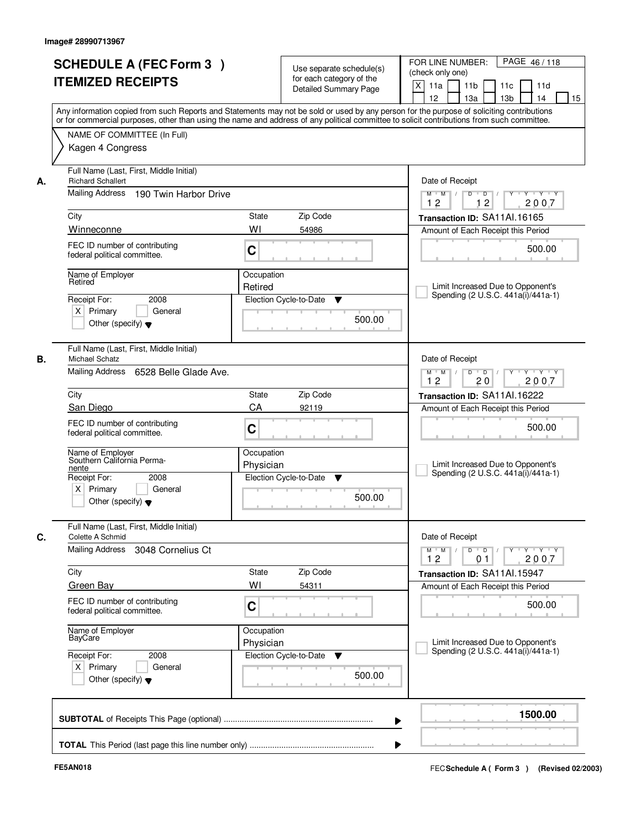|         | <b>SCHEDULE A (FEC Form 3)</b><br><b>ITEMIZED RECEIPTS</b>                                                                               |                         | Use separate schedule(s)<br>for each category of the<br><b>Detailed Summary Page</b> | PAGE 46/118<br>FOR LINE NUMBER:<br>(check only one)<br>X<br>11 <sub>b</sub><br>11a<br>11 <sub>c</sub><br>11d<br>12<br>13 <sub>b</sub><br>14<br>13a<br>15<br>Any information copied from such Reports and Statements may not be sold or used by any person for the purpose of soliciting contributions |
|---------|------------------------------------------------------------------------------------------------------------------------------------------|-------------------------|--------------------------------------------------------------------------------------|-------------------------------------------------------------------------------------------------------------------------------------------------------------------------------------------------------------------------------------------------------------------------------------------------------|
|         | NAME OF COMMITTEE (In Full)<br>Kagen 4 Congress                                                                                          |                         |                                                                                      | or for commercial purposes, other than using the name and address of any political committee to solicit contributions from such committee.                                                                                                                                                            |
| А.      | Full Name (Last, First, Middle Initial)<br><b>Richard Schallert</b><br>Mailing Address<br>190 Twin Harbor Drive                          |                         |                                                                                      | Date of Receipt<br>$Y + Y + Y$<br>$D$ $D$ $I$<br>Y<br>$M$ $M$ /                                                                                                                                                                                                                                       |
| City    | Winneconne                                                                                                                               | <b>State</b><br>WI      | Zip Code<br>54986                                                                    | 12<br>12<br>2007<br>Transaction ID: SA11Al.16165<br>Amount of Each Receipt this Period                                                                                                                                                                                                                |
|         | FEC ID number of contributing<br>federal political committee.                                                                            | C                       |                                                                                      | 500.00                                                                                                                                                                                                                                                                                                |
| Retired | Name of Employer<br>Receipt For:<br>2008<br>$X$ Primary<br>General<br>Other (specify) $\blacktriangledown$                               | Occupation<br>Retired   | Election Cycle-to-Date<br>▼<br>500.00                                                | Limit Increased Due to Opponent's<br>Spending (2 U.S.C. 441a(i)/441a-1)                                                                                                                                                                                                                               |
| В.      | Full Name (Last, First, Middle Initial)<br><b>Michael Schatz</b><br>Mailing Address<br>6528 Belle Glade Ave.                             |                         |                                                                                      | Date of Receipt<br>$Y \vdash Y \vdash Y$<br>$M$ $M$ /<br>D<br>$\overline{D}$ /<br>Y<br>12<br>20<br>2007                                                                                                                                                                                               |
| City    |                                                                                                                                          | State                   | Zip Code                                                                             | Transaction ID: SA11Al.16222                                                                                                                                                                                                                                                                          |
|         | San Diego<br>FEC ID number of contributing<br>federal political committee.                                                               | CA<br>C                 | 92119                                                                                | Amount of Each Receipt this Period<br>500.00                                                                                                                                                                                                                                                          |
| nente   | Name of Employer<br>Southern California Perma-<br>Receipt For:<br>2008<br>$X$ Primary<br>General<br>Other (specify) $\blacktriangledown$ | Occupation<br>Physician | Election Cycle-to-Date<br>▼<br>500.00                                                | Limit Increased Due to Opponent's<br>Spending (2 U.S.C. 441a(i)/441a-1)                                                                                                                                                                                                                               |
| C.      | Full Name (Last, First, Middle Initial)<br>Colette A Schmid                                                                              |                         |                                                                                      | Date of Receipt                                                                                                                                                                                                                                                                                       |
|         | Mailing Address<br>3048 Cornelius Ct                                                                                                     |                         |                                                                                      | $M$ $M$ $M$<br>$D$ $D$ $l$<br><b>EYELYELYELY</b><br>12<br>0 <sub>1</sub><br>2007                                                                                                                                                                                                                      |
| City    | <b>Green Bay</b>                                                                                                                         | State<br>WI             | Zip Code<br>54311                                                                    | Transaction ID: SA11Al.15947<br>Amount of Each Receipt this Period                                                                                                                                                                                                                                    |
|         | FEC ID number of contributing<br>federal political committee.                                                                            | C                       |                                                                                      | 500.00                                                                                                                                                                                                                                                                                                |
|         | Name of Employer<br>BayCare                                                                                                              | Occupation<br>Physician |                                                                                      | Limit Increased Due to Opponent's<br>Spending (2 U.S.C. 441a(i)/441a-1)                                                                                                                                                                                                                               |
|         | Receipt For:<br>2008<br>$X$ Primary<br>General<br>Other (specify) $\blacktriangledown$                                                   |                         | Election Cycle-to-Date<br>▼<br>500.00                                                |                                                                                                                                                                                                                                                                                                       |
|         |                                                                                                                                          |                         |                                                                                      | 1500.00                                                                                                                                                                                                                                                                                               |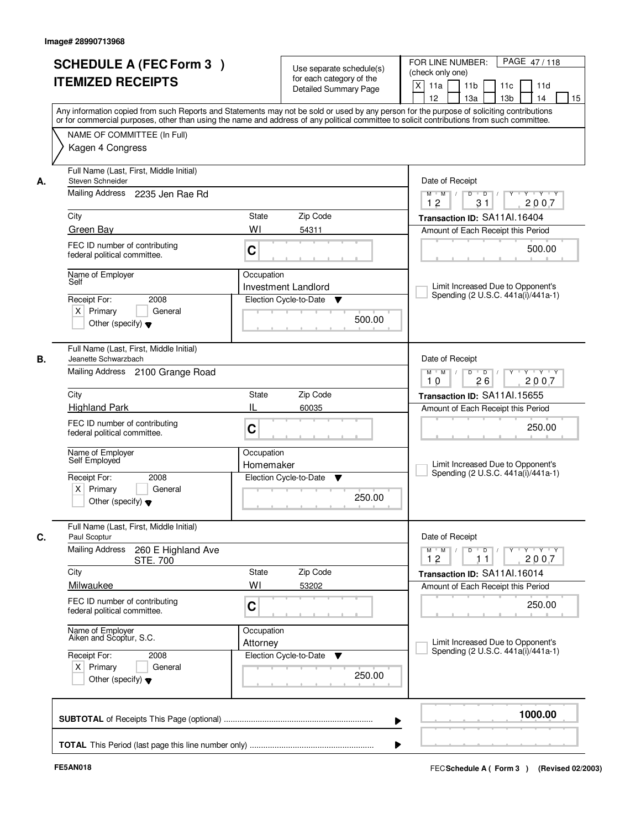|    | <b>SCHEDULE A (FEC Form 3)</b>                                                                                                             |             |                                                      | PAGE 47/118<br>FOR LINE NUMBER:                                                       |
|----|--------------------------------------------------------------------------------------------------------------------------------------------|-------------|------------------------------------------------------|---------------------------------------------------------------------------------------|
|    | <b>ITEMIZED RECEIPTS</b>                                                                                                                   |             | Use separate schedule(s)<br>for each category of the | (check only one)                                                                      |
|    |                                                                                                                                            |             | <b>Detailed Summary Page</b>                         | $\times$<br>11 <sub>b</sub><br>11a<br>11c<br>11d                                      |
|    | Any information copied from such Reports and Statements may not be sold or used by any person for the purpose of soliciting contributions  |             |                                                      | 12<br>13a<br>13 <sub>b</sub><br>14<br>15                                              |
|    | or for commercial purposes, other than using the name and address of any political committee to solicit contributions from such committee. |             |                                                      |                                                                                       |
|    | NAME OF COMMITTEE (In Full)                                                                                                                |             |                                                      |                                                                                       |
|    | Kagen 4 Congress                                                                                                                           |             |                                                      |                                                                                       |
|    | Full Name (Last, First, Middle Initial)                                                                                                    |             |                                                      |                                                                                       |
| А. | Steven Schneider<br>Mailing Address 2235 Jen Rae Rd                                                                                        |             |                                                      | Date of Receipt<br>$\mathbf{y} + \mathbf{y}$<br>$\overline{D}$<br>$M$ $M$ /<br>D<br>Y |
|    |                                                                                                                                            |             |                                                      | 2007<br>12<br>31                                                                      |
|    | City                                                                                                                                       | State       | Zip Code                                             | Transaction ID: SA11Al.16404                                                          |
|    | Green Bay                                                                                                                                  | WI          | 54311                                                | Amount of Each Receipt this Period                                                    |
|    | FEC ID number of contributing<br>federal political committee.                                                                              | C           |                                                      | 500.00                                                                                |
|    | Name of Employer                                                                                                                           | Occupation  |                                                      |                                                                                       |
|    | Self                                                                                                                                       |             | Investment Landlord                                  | Limit Increased Due to Opponent's<br>Spending (2 U.S.C. 441a(i)/441a-1)               |
|    | 2008<br>Receipt For:<br>$X$ Primary<br>General                                                                                             |             | Election Cycle-to-Date<br>▼                          |                                                                                       |
|    | Other (specify) $\blacktriangledown$                                                                                                       |             | 500.00                                               |                                                                                       |
|    |                                                                                                                                            |             |                                                      |                                                                                       |
| В. | Full Name (Last, First, Middle Initial)<br>Jeanette Schwarzbach                                                                            |             |                                                      | Date of Receipt                                                                       |
|    | Mailing Address 2100 Grange Road                                                                                                           |             |                                                      | D<br>$\overline{D}$ /<br>Y Y Y Y Y<br>$M$ $M$ /                                       |
|    |                                                                                                                                            |             |                                                      | 26<br>2007<br>10                                                                      |
|    | City<br><b>Highland Park</b>                                                                                                               | State<br>IL | Zip Code                                             | Transaction ID: SA11Al.15655                                                          |
|    |                                                                                                                                            |             | 60035                                                | Amount of Each Receipt this Period                                                    |
|    | FEC ID number of contributing<br>federal political committee.                                                                              | C           |                                                      | 250.00                                                                                |
|    |                                                                                                                                            | Occupation  |                                                      |                                                                                       |
|    | Name of Employer<br>Self Employed                                                                                                          | Homemaker   |                                                      | Limit Increased Due to Opponent's                                                     |
|    | Receipt For:<br>2008                                                                                                                       |             | Election Cycle-to-Date<br>v                          | Spending (2 U.S.C. 441a(i)/441a-1)                                                    |
|    | $X$ Primary<br>General<br>Other (specify) $\blacktriangledown$                                                                             |             | 250.00                                               |                                                                                       |
|    |                                                                                                                                            |             |                                                      |                                                                                       |
| C. | Full Name (Last, First, Middle Initial)<br>Paul Scoptur                                                                                    |             |                                                      | Date of Receipt                                                                       |
|    | <b>Mailing Address</b><br>260 E Highland Ave                                                                                               |             |                                                      | $M$ $M$<br>$D$ $D$ $l$<br>$\vert$ /                                                   |
|    | <b>STE. 700</b><br>City                                                                                                                    | State       | Zip Code                                             | 2007<br>12<br>11                                                                      |
|    | Milwaukee                                                                                                                                  | WI          | 53202                                                | Transaction ID: SA11Al.16014<br>Amount of Each Receipt this Period                    |
|    | FEC ID number of contributing                                                                                                              |             |                                                      |                                                                                       |
|    | federal political committee.                                                                                                               | C           |                                                      | 250.00                                                                                |
|    | Name of Employer<br>Aiken and Scoptur, S.C.                                                                                                | Occupation  |                                                      |                                                                                       |
|    |                                                                                                                                            | Attorney    |                                                      | Limit Increased Due to Opponent's<br>Spending (2 U.S.C. 441a(i)/441a-1)               |
|    | Receipt For:<br>2008<br>$X$ Primary<br>General                                                                                             |             | Election Cycle-to-Date<br>v                          |                                                                                       |
|    | Other (specify) $\blacktriangledown$                                                                                                       |             | 250.00                                               |                                                                                       |
|    |                                                                                                                                            |             |                                                      |                                                                                       |
|    |                                                                                                                                            |             |                                                      | 1000.00                                                                               |
|    |                                                                                                                                            |             |                                                      |                                                                                       |
|    |                                                                                                                                            |             |                                                      |                                                                                       |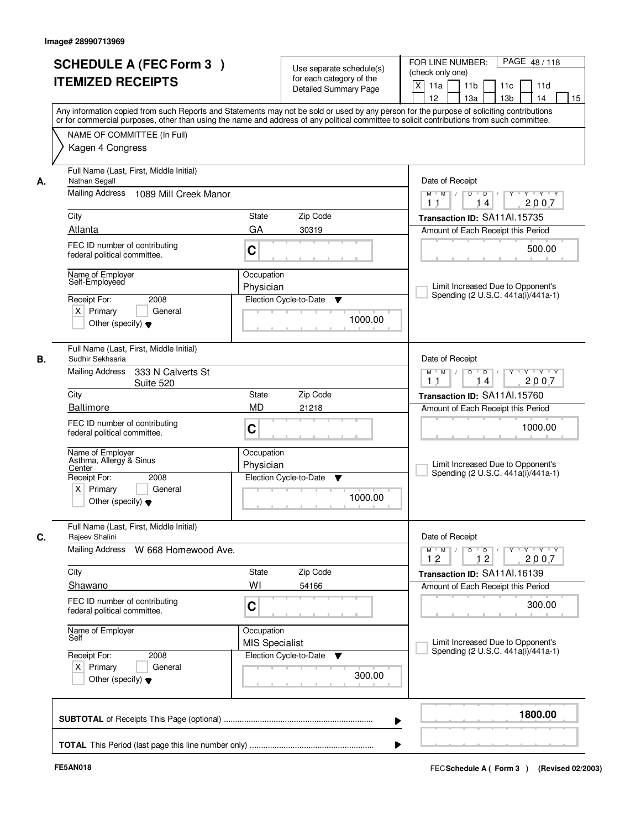|    | <b>SCHEDULE A (FEC Form 3)</b><br><b>ITEMIZED RECEIPTS</b>                                           | Use separate schedule(s)<br>for each category of the<br>Detailed Summary Page<br>Any information copied from such Reports and Statements may not be sold or used by any person for the purpose of soliciting contributions | PAGE 48/118<br>FOR LINE NUMBER:<br>(check only one)<br>X<br>11a<br>11 <sub>b</sub><br>11c<br>11d<br>12<br>13a<br>13 <sub>b</sub><br>14<br>15 |
|----|------------------------------------------------------------------------------------------------------|----------------------------------------------------------------------------------------------------------------------------------------------------------------------------------------------------------------------------|----------------------------------------------------------------------------------------------------------------------------------------------|
|    | NAME OF COMMITTEE (In Full)<br>Kagen 4 Congress                                                      | or for commercial purposes, other than using the name and address of any political committee to solicit contributions from such committee.                                                                                 |                                                                                                                                              |
| А. | Full Name (Last, First, Middle Initial)<br>Nathan Segall<br>Mailing Address<br>1089 Mill Creek Manor |                                                                                                                                                                                                                            | Date of Receipt<br>$Y$ $Y$ $Y$<br>$M$ $M$ /<br>$D$ $D$ $I$<br>$Y$ <sup>U</sup>                                                               |
|    |                                                                                                      |                                                                                                                                                                                                                            | 2007<br>1 <sub>1</sub><br>14                                                                                                                 |
|    | City                                                                                                 | State<br>Zip Code                                                                                                                                                                                                          | Transaction ID: SA11Al.15735                                                                                                                 |
|    | Atlanta                                                                                              | GA<br>30319                                                                                                                                                                                                                | Amount of Each Receipt this Period                                                                                                           |
|    | FEC ID number of contributing<br>federal political committee.                                        | C                                                                                                                                                                                                                          | 500.00                                                                                                                                       |
|    | Name of Employer<br>Self-Employeed                                                                   | Occupation                                                                                                                                                                                                                 |                                                                                                                                              |
|    |                                                                                                      | Physician                                                                                                                                                                                                                  | Limit Increased Due to Opponent's<br>Spending (2 U.S.C. 441a(i)/441a-1)                                                                      |
|    | 2008<br>Receipt For:                                                                                 | Election Cycle-to-Date<br>▼                                                                                                                                                                                                |                                                                                                                                              |
|    | $X$ Primary<br>General<br>Other (specify) $\blacktriangledown$                                       | 1000.00                                                                                                                                                                                                                    |                                                                                                                                              |
| В. | Full Name (Last, First, Middle Initial)<br>Sudhir Sekhsaria                                          |                                                                                                                                                                                                                            | Date of Receipt                                                                                                                              |
|    | <b>Mailing Address</b><br>333 N Calverts St<br>Suite 520                                             |                                                                                                                                                                                                                            | $Y - Y - Y$<br>$M$ $M$ /<br>D<br>$D$ /<br>2007<br>1 <sub>1</sub><br>14                                                                       |
|    | City                                                                                                 | Zip Code<br><b>State</b>                                                                                                                                                                                                   | Transaction ID: SA11Al.15760                                                                                                                 |
|    | Baltimore                                                                                            | <b>MD</b><br>21218                                                                                                                                                                                                         | Amount of Each Receipt this Period                                                                                                           |
|    | FEC ID number of contributing<br>federal political committee.                                        | C                                                                                                                                                                                                                          | 1000.00                                                                                                                                      |
|    | Name of Employer<br>Asthma, Allergy & Sinus<br>Center<br>Receipt For:<br>2008                        | Occupation<br>Physician<br>Election Cycle-to-Date<br>▼                                                                                                                                                                     | Limit Increased Due to Opponent's<br>Spending (2 U.S.C. 441a(i)/441a-1)                                                                      |
|    | $X$ Primary<br>General<br>Other (specify) $\blacktriangledown$                                       | 1000.00                                                                                                                                                                                                                    |                                                                                                                                              |
| C. | Full Name (Last, First, Middle Initial)<br>Rajeev Shalini                                            |                                                                                                                                                                                                                            | Date of Receipt                                                                                                                              |
|    | <b>Mailing Address</b><br>W 668 Homewood Ave.                                                        |                                                                                                                                                                                                                            | $\mathsf{Y} \dashv \mathsf{Y} \dashv \mathsf{Y} \dashv \mathsf{Y}$<br>$M$ $M$ $M$<br>$D$ $D$ $I$<br>12<br>12<br>2007                         |
|    | City                                                                                                 | Zip Code<br>State                                                                                                                                                                                                          | Transaction ID: SA11Al.16139                                                                                                                 |
|    | Shawano                                                                                              | WI<br>54166                                                                                                                                                                                                                | Amount of Each Receipt this Period                                                                                                           |
|    | FEC ID number of contributing<br>federal political committee.                                        | C                                                                                                                                                                                                                          | 300.00                                                                                                                                       |
|    | Name of Employer<br>Self                                                                             | Occupation<br><b>MIS Specialist</b>                                                                                                                                                                                        | Limit Increased Due to Opponent's                                                                                                            |
|    | Receipt For:<br>2008                                                                                 | Election Cycle-to-Date<br>v                                                                                                                                                                                                | Spending (2 U.S.C. 441a(i)/441a-1)                                                                                                           |
|    | $X$ Primary<br>General<br>Other (specify) $\blacktriangledown$                                       | 300.00                                                                                                                                                                                                                     |                                                                                                                                              |
|    |                                                                                                      |                                                                                                                                                                                                                            | 1800.00                                                                                                                                      |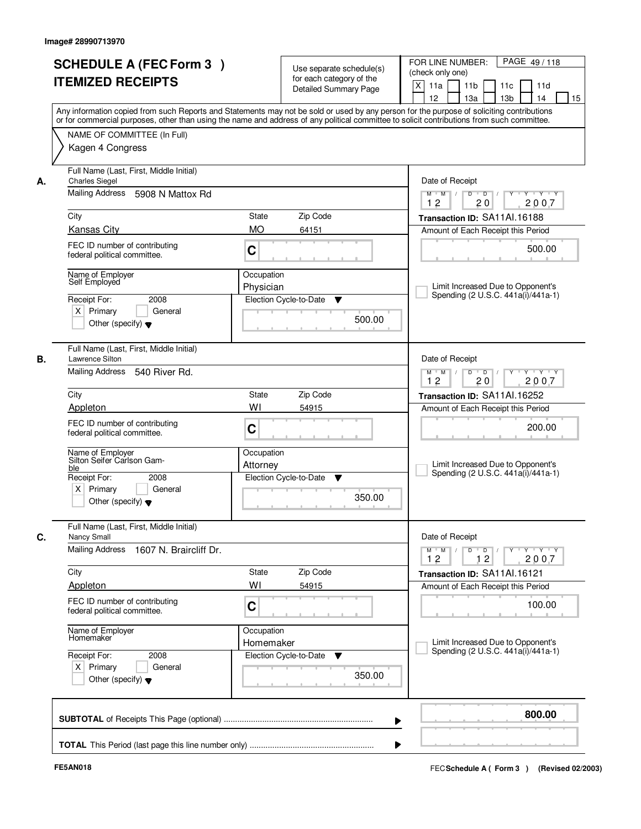| <b>SCHEDULE A (FEC Form 3)</b><br><b>ITEMIZED RECEIPTS</b>                                                                           |                                    | Use separate schedule(s)<br>for each category of the<br><b>Detailed Summary Page</b>                                                       | PAGE 49/118<br>FOR LINE NUMBER:<br>(check only one)<br>$\mathsf{X}$<br>11 <sub>b</sub><br>11a<br>11c<br>11d<br>12<br>13 <sub>b</sub><br>14<br>15<br>13a<br>Any information copied from such Reports and Statements may not be sold or used by any person for the purpose of soliciting contributions |
|--------------------------------------------------------------------------------------------------------------------------------------|------------------------------------|--------------------------------------------------------------------------------------------------------------------------------------------|------------------------------------------------------------------------------------------------------------------------------------------------------------------------------------------------------------------------------------------------------------------------------------------------------|
| NAME OF COMMITTEE (In Full)<br>Kagen 4 Congress                                                                                      |                                    | or for commercial purposes, other than using the name and address of any political committee to solicit contributions from such committee. |                                                                                                                                                                                                                                                                                                      |
| Full Name (Last, First, Middle Initial)<br><b>Charles Siegel</b><br>А.<br>Mailing Address 5908 N Mattox Rd                           |                                    | Date of Receipt<br>$Y - Y - Y$<br>$D$ $D$ $/$<br>$Y^+$<br>$M$ $M$ /<br>12<br>20<br>2007                                                    |                                                                                                                                                                                                                                                                                                      |
| City                                                                                                                                 | State<br><b>MO</b>                 | Zip Code                                                                                                                                   | Transaction ID: SA11Al.16188                                                                                                                                                                                                                                                                         |
| <b>Kansas City</b><br>FEC ID number of contributing<br>federal political committee.                                                  | C                                  | 64151                                                                                                                                      | Amount of Each Receipt this Period<br>500.00                                                                                                                                                                                                                                                         |
| Name of Employer<br>Self Employed<br>2008<br>Receipt For:<br>$X$ Primary<br>Other (specify) $\blacktriangledown$                     | Occupation<br>Physician<br>General | Election Cycle-to-Date<br>▼<br>500.00                                                                                                      | Limit Increased Due to Opponent's<br>Spending (2 U.S.C. 441a(i)/441a-1)                                                                                                                                                                                                                              |
| Full Name (Last, First, Middle Initial)<br>В.<br>Lawrence Silton<br>Mailing Address                                                  | 540 River Rd.                      |                                                                                                                                            | Date of Receipt<br>$Y \vdash Y \vdash Y$<br>$M$ $M$ /<br>D<br>$\overline{D}$<br>12<br>20<br>2007                                                                                                                                                                                                     |
| City                                                                                                                                 | <b>State</b>                       | Zip Code                                                                                                                                   | Transaction ID: SA11Al.16252                                                                                                                                                                                                                                                                         |
| Appleton<br>FEC ID number of contributing<br>federal political committee.                                                            | WI<br>C                            | 54915                                                                                                                                      | Amount of Each Receipt this Period<br>200.00                                                                                                                                                                                                                                                         |
| Name of Employer<br>Silton Seifer Carlson Gam-<br>ble<br>Receipt For:<br>2008<br>$X$ Primary<br>Other (specify) $\blacktriangledown$ | Occupation<br>Attorney<br>General  | Election Cycle-to-Date<br>▼<br>350.00                                                                                                      | Limit Increased Due to Opponent's<br>Spending (2 U.S.C. 441a(i)/441a-1)                                                                                                                                                                                                                              |
| Full Name (Last, First, Middle Initial)<br>C.<br>Nancy Small                                                                         |                                    | Date of Receipt                                                                                                                            |                                                                                                                                                                                                                                                                                                      |
| <b>Mailing Address</b><br>1607 N. Braircliff Dr.                                                                                     |                                    |                                                                                                                                            | $D$ $D$ $/$<br>$\begin{array}{ccccccccccccc} &\mathsf{Y} &\mathsf{V} &\mathsf{Y} &\mathsf{V} &\mathsf{Y} &\mathsf{V} &\mathsf{Y}\end{array}$<br>$M$ $M$ $/$<br>12<br>12<br>2007                                                                                                                      |
| City<br>Appleton                                                                                                                     | State<br>WI                        | Zip Code<br>54915                                                                                                                          | Transaction ID: SA11Al.16121<br>Amount of Each Receipt this Period                                                                                                                                                                                                                                   |
| FEC ID number of contributing<br>federal political committee.                                                                        | C                                  |                                                                                                                                            | 100.00                                                                                                                                                                                                                                                                                               |
| Name of Employer<br>Homemaker                                                                                                        | Occupation<br>Homemaker            |                                                                                                                                            | Limit Increased Due to Opponent's<br>Spending (2 U.S.C. 441a(i)/441a-1)                                                                                                                                                                                                                              |
| Receipt For:<br>2008<br>$X$ Primary<br>Other (specify) $\blacktriangledown$                                                          | General                            | Election Cycle-to-Date<br>v<br>350.00                                                                                                      |                                                                                                                                                                                                                                                                                                      |
|                                                                                                                                      |                                    |                                                                                                                                            | 800.00<br>▶                                                                                                                                                                                                                                                                                          |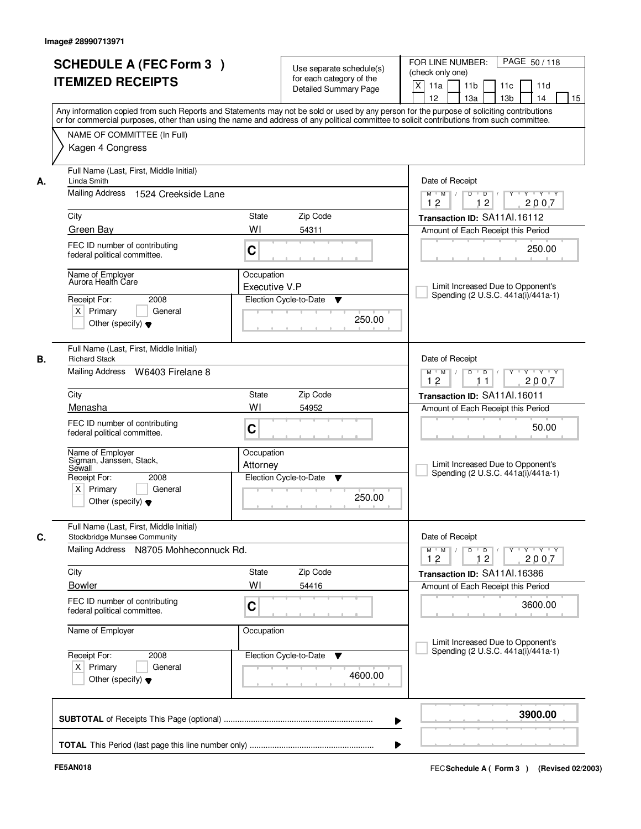| NAME OF COMMITTEE (In Full)                                                                                             | or for commercial purposes, other than using the name and address of any political committee to solicit contributions from such committee. | Any information copied from such Reports and Statements may not be sold or used by any person for the purpose of soliciting contributions                                                     |  |  |  |
|-------------------------------------------------------------------------------------------------------------------------|--------------------------------------------------------------------------------------------------------------------------------------------|-----------------------------------------------------------------------------------------------------------------------------------------------------------------------------------------------|--|--|--|
| Kagen 4 Congress                                                                                                        |                                                                                                                                            |                                                                                                                                                                                               |  |  |  |
| Full Name (Last, First, Middle Initial)<br>Linda Smith<br>А.                                                            |                                                                                                                                            |                                                                                                                                                                                               |  |  |  |
| Mailing Address 1524 Creekside Lane                                                                                     |                                                                                                                                            | $Y + Y + Y$<br>$D$ $D$ $/$<br>$Y$ <sup>U</sup><br>$M$ $M$ /<br>12<br>12<br>2007                                                                                                               |  |  |  |
| City                                                                                                                    | <b>State</b><br>Zip Code                                                                                                                   | Transaction ID: SA11Al.16112                                                                                                                                                                  |  |  |  |
| Green Bay                                                                                                               | WI<br>54311                                                                                                                                | Amount of Each Receipt this Period                                                                                                                                                            |  |  |  |
| FEC ID number of contributing<br>federal political committee.                                                           | C                                                                                                                                          | 250.00                                                                                                                                                                                        |  |  |  |
| Name of Employer<br>Aurora Health Care                                                                                  | Occupation                                                                                                                                 |                                                                                                                                                                                               |  |  |  |
|                                                                                                                         | Executive V.P                                                                                                                              | Limit Increased Due to Opponent's<br>Spending (2 U.S.C. 441a(i)/441a-1)                                                                                                                       |  |  |  |
| Receipt For:<br>2008<br>$X$ Primary<br>General<br>Other (specify) $\blacktriangledown$                                  | Election Cycle-to-Date<br>▼<br>250.00                                                                                                      |                                                                                                                                                                                               |  |  |  |
| Full Name (Last, First, Middle Initial)<br><b>Richard Stack</b><br>В.                                                   |                                                                                                                                            | Date of Receipt                                                                                                                                                                               |  |  |  |
| Mailing Address W6403 Firelane 8                                                                                        |                                                                                                                                            | $Y \vdash Y \vdash Y$<br>$M$ $M$ /<br>D<br>$\Box$ D $\Box$ /<br>Y<br>12<br>2007<br>11                                                                                                         |  |  |  |
| City                                                                                                                    | Zip Code<br>State                                                                                                                          | Transaction ID: SA11Al.16011                                                                                                                                                                  |  |  |  |
| Menasha                                                                                                                 | WI<br>54952                                                                                                                                | Amount of Each Receipt this Period                                                                                                                                                            |  |  |  |
| FEC ID number of contributing<br>federal political committee.                                                           | C                                                                                                                                          | 50.00                                                                                                                                                                                         |  |  |  |
| Name of Employer<br>Sigman, Janssen, Stack,<br>Sewall                                                                   | Occupation<br>Attorney                                                                                                                     | Limit Increased Due to Opponent's<br>Spending (2 U.S.C. 441a(i)/441a-1)                                                                                                                       |  |  |  |
| Receipt For:<br>2008<br>$X$ Primary<br>General<br>Other (specify) $\blacktriangledown$                                  | Election Cycle-to-Date<br>▼<br>250.00                                                                                                      |                                                                                                                                                                                               |  |  |  |
| Full Name (Last, First, Middle Initial)<br>C.<br>Stockbridge Munsee Community<br>Mailing Address N8705 Mohheconnuck Rd. |                                                                                                                                            | Date of Receipt<br>$D$ $D$ $/$<br>$M$ $M$ /<br>$\begin{array}{cccccccccc} &\mathsf{Y} &\mathsf{I} &\mathsf{Y} &\mathsf{I} &\mathsf{Y} &\mathsf{I} &\mathsf{Y}\end{array}$<br>12<br>12<br>2007 |  |  |  |
| City                                                                                                                    | Zip Code<br>State                                                                                                                          | Transaction ID: SA11Al.16386                                                                                                                                                                  |  |  |  |
| <b>Bowler</b>                                                                                                           | WI<br>54416                                                                                                                                | Amount of Each Receipt this Period                                                                                                                                                            |  |  |  |
| FEC ID number of contributing<br>federal political committee.                                                           | C                                                                                                                                          | 3600.00                                                                                                                                                                                       |  |  |  |
| Name of Employer                                                                                                        | Occupation                                                                                                                                 | Limit Increased Due to Opponent's                                                                                                                                                             |  |  |  |
| Receipt For:<br>2008<br>$X$ Primary<br>General<br>Other (specify) $\blacktriangledown$                                  | Election Cycle-to-Date<br>v<br>4600.00                                                                                                     | Spending (2 U.S.C. 441a(i)/441a-1)                                                                                                                                                            |  |  |  |
|                                                                                                                         |                                                                                                                                            | 3900.00                                                                                                                                                                                       |  |  |  |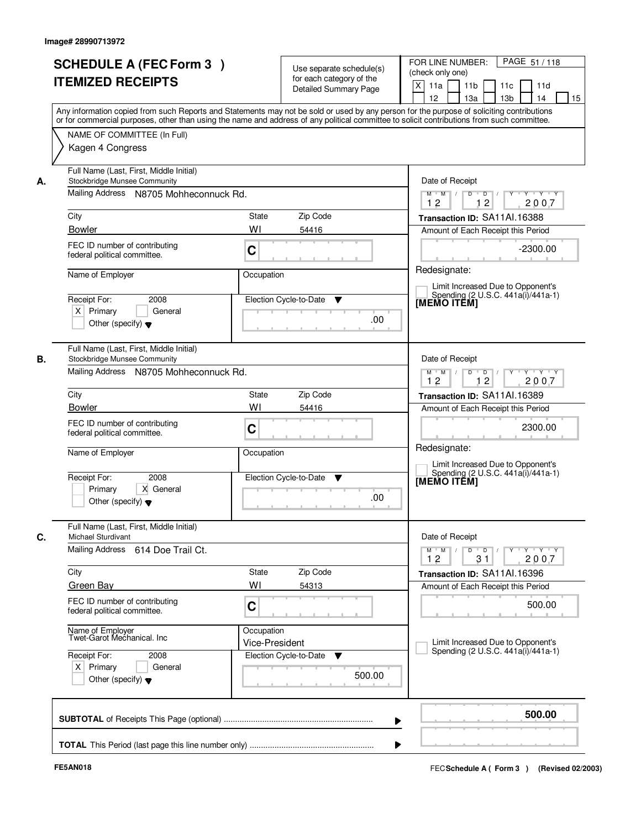|    | <b>SCHEDULE A (FEC Form 3)</b><br><b>ITEMIZED RECEIPTS</b>                             | Use separate schedule(s)<br>for each category of the                                                                                                                                                                                                                                                                    | PAGE 51/118<br>FOR LINE NUMBER:<br>(check only one)<br>X<br>11 <sub>b</sub><br>11d<br>11a<br>11c                                                                             |
|----|----------------------------------------------------------------------------------------|-------------------------------------------------------------------------------------------------------------------------------------------------------------------------------------------------------------------------------------------------------------------------------------------------------------------------|------------------------------------------------------------------------------------------------------------------------------------------------------------------------------|
|    |                                                                                        | <b>Detailed Summary Page</b><br>Any information copied from such Reports and Statements may not be sold or used by any person for the purpose of soliciting contributions<br>or for commercial purposes, other than using the name and address of any political committee to solicit contributions from such committee. | 12<br>13a<br>13 <sub>b</sub><br>14<br>15                                                                                                                                     |
|    | NAME OF COMMITTEE (In Full)<br>Kagen 4 Congress                                        |                                                                                                                                                                                                                                                                                                                         |                                                                                                                                                                              |
| А. | Full Name (Last, First, Middle Initial)<br>Stockbridge Munsee Community                | Date of Receipt                                                                                                                                                                                                                                                                                                         |                                                                                                                                                                              |
|    | Mailing Address N8705 Mohheconnuck Rd.                                                 | $Y + Y + Y$<br>$M$ $M$ /<br>$\overline{D}$<br>$\blacksquare$ D $\blacksquare$ /<br>Y<br>12<br>2007<br>12                                                                                                                                                                                                                |                                                                                                                                                                              |
|    | City                                                                                   | State<br>Zip Code                                                                                                                                                                                                                                                                                                       | Transaction ID: SA11Al.16388                                                                                                                                                 |
|    | <b>Bowler</b>                                                                          | WI<br>54416                                                                                                                                                                                                                                                                                                             | Amount of Each Receipt this Period                                                                                                                                           |
|    | FEC ID number of contributing<br>federal political committee.                          | $\mathbf C$                                                                                                                                                                                                                                                                                                             | $-2300.00$                                                                                                                                                                   |
|    | Name of Employer                                                                       | Occupation                                                                                                                                                                                                                                                                                                              | Redesignate:                                                                                                                                                                 |
|    | Receipt For:<br>2008<br>$X$ Primary<br>General                                         | Election Cycle-to-Date<br>▼                                                                                                                                                                                                                                                                                             | Limit Increased Due to Opponent's<br>Spending (2 U.S.C. 441a(i)/441a-1)<br>[MEMO ITÊM]                                                                                       |
|    | Other (specify) $\blacktriangledown$                                                   | .00                                                                                                                                                                                                                                                                                                                     |                                                                                                                                                                              |
| В. | Full Name (Last, First, Middle Initial)<br>Stockbridge Munsee Community                |                                                                                                                                                                                                                                                                                                                         | Date of Receipt                                                                                                                                                              |
|    | Mailing Address N8705 Mohheconnuck Rd.                                                 | $M$ $M$ /<br>D<br>$\Box$ D $\Box$ /<br>Y * Y * Y * Y<br>12<br>12<br>2007                                                                                                                                                                                                                                                |                                                                                                                                                                              |
|    | City                                                                                   | Zip Code<br>State                                                                                                                                                                                                                                                                                                       | Transaction ID: SA11Al.16389                                                                                                                                                 |
|    | <b>Bowler</b>                                                                          | WI<br>54416                                                                                                                                                                                                                                                                                                             | Amount of Each Receipt this Period                                                                                                                                           |
|    | FEC ID number of contributing<br>federal political committee.                          | C                                                                                                                                                                                                                                                                                                                       | 2300.00<br>Redesignate:                                                                                                                                                      |
|    | Name of Employer                                                                       | Occupation                                                                                                                                                                                                                                                                                                              | Limit Increased Due to Opponent's                                                                                                                                            |
|    | Receipt For:<br>2008<br>Primary<br>X General                                           | Election Cycle-to-Date<br>$\overline{\mathbf{v}}$<br>.00                                                                                                                                                                                                                                                                | Spending (2 U.S.C. 441a(i)/441a-1)<br>[MEMO ITĔM]                                                                                                                            |
|    | Other (specify) $\blacktriangledown$                                                   |                                                                                                                                                                                                                                                                                                                         |                                                                                                                                                                              |
| C. | Full Name (Last, First, Middle Initial)<br><b>Michael Sturdivant</b>                   |                                                                                                                                                                                                                                                                                                                         | Date of Receipt                                                                                                                                                              |
|    | Mailing Address 614 Doe Trail Ct.                                                      |                                                                                                                                                                                                                                                                                                                         | $D$ $D$ $/$<br>$\begin{array}{cccccccccc} &\mathsf{Y} &\mathsf{I} &\mathsf{Y} &\mathsf{I} &\mathsf{Y} &\mathsf{I} &\mathsf{Y}\end{array}$<br>$M$ $M$ $M$<br>2007<br>12<br>31 |
|    | City                                                                                   | Zip Code<br>State                                                                                                                                                                                                                                                                                                       | Transaction ID: SA11Al.16396                                                                                                                                                 |
|    | <b>Green Bay</b>                                                                       | WI<br>54313                                                                                                                                                                                                                                                                                                             | Amount of Each Receipt this Period                                                                                                                                           |
|    | FEC ID number of contributing<br>federal political committee.                          | $\mathbf C$                                                                                                                                                                                                                                                                                                             | 500.00                                                                                                                                                                       |
|    | Name of Employer<br>Twet-Garot Mechanical. Inc                                         | Occupation<br>Vice-President                                                                                                                                                                                                                                                                                            | Limit Increased Due to Opponent's<br>Spending (2 U.S.C. 441a(i)/441a-1)                                                                                                      |
|    | Receipt For:<br>2008<br>$X$ Primary<br>General<br>Other (specify) $\blacktriangledown$ | Election Cycle-to-Date<br>v<br>500.00                                                                                                                                                                                                                                                                                   |                                                                                                                                                                              |
|    |                                                                                        |                                                                                                                                                                                                                                                                                                                         |                                                                                                                                                                              |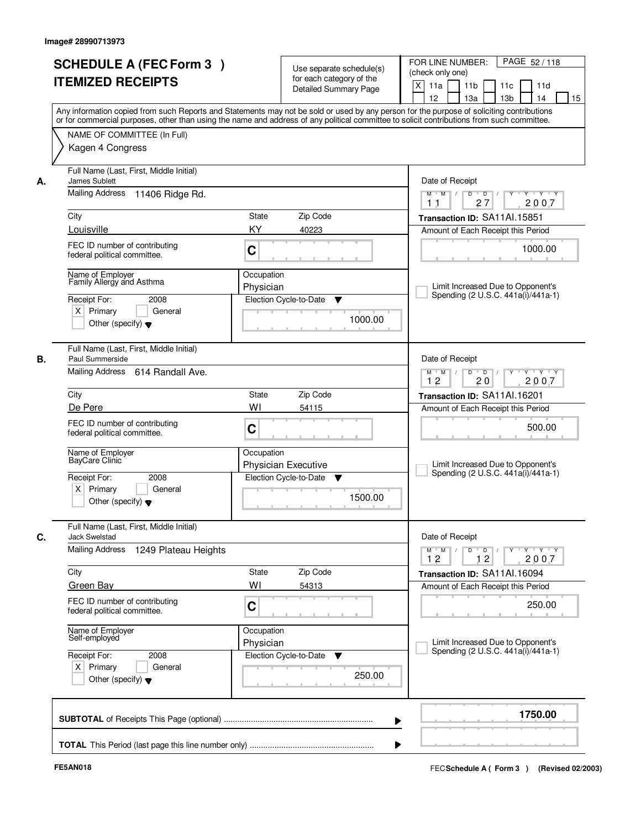| <b>SCHEDULE A (FEC Form 3)</b><br><b>ITEMIZED RECEIPTS</b>                                                                              |                                                                                                                                                                           | Use separate schedule(s)<br>for each category of the<br><b>Detailed Summary Page</b> | PAGE 52/118<br>FOR LINE NUMBER:<br>(check only one)<br>X<br>11 <sub>b</sub><br>11a<br>11 <sub>c</sub><br>11d<br>12<br>13 <sub>b</sub><br>14<br>13a<br>15<br>Any information copied from such Reports and Statements may not be sold or used by any person for the purpose of soliciting contributions |  |  |
|-----------------------------------------------------------------------------------------------------------------------------------------|---------------------------------------------------------------------------------------------------------------------------------------------------------------------------|--------------------------------------------------------------------------------------|-------------------------------------------------------------------------------------------------------------------------------------------------------------------------------------------------------------------------------------------------------------------------------------------------------|--|--|
| Kagen 4 Congress                                                                                                                        | or for commercial purposes, other than using the name and address of any political committee to solicit contributions from such committee.<br>NAME OF COMMITTEE (In Full) |                                                                                      |                                                                                                                                                                                                                                                                                                       |  |  |
| James Sublett<br>А.<br>Mailing Address 11406 Ridge Rd.                                                                                  | Full Name (Last, First, Middle Initial)                                                                                                                                   |                                                                                      |                                                                                                                                                                                                                                                                                                       |  |  |
| City                                                                                                                                    | State                                                                                                                                                                     | Zip Code                                                                             | 27<br>2007<br>1 <sub>1</sub><br>Transaction ID: SA11Al.15851                                                                                                                                                                                                                                          |  |  |
| Louisville<br>FEC ID number of contributing<br>federal political committee.                                                             | KY<br>C                                                                                                                                                                   | 40223                                                                                | Amount of Each Receipt this Period<br>1000.00                                                                                                                                                                                                                                                         |  |  |
| Name of Emplover<br>Family Allergy and Asthma<br>Receipt For:<br>2008<br>$X$ Primary<br>General<br>Other (specify) $\blacktriangledown$ | Occupation<br>Physician                                                                                                                                                   | Election Cycle-to-Date<br>▼<br>1000.00                                               | Limit Increased Due to Opponent's<br>Spending (2 U.S.C. 441a(i)/441a-1)                                                                                                                                                                                                                               |  |  |
| Full Name (Last, First, Middle Initial)<br>Paul Summerside<br>В.<br>Mailing Address 614 Randall Ave.                                    |                                                                                                                                                                           |                                                                                      | Date of Receipt<br>$Y \vdash Y \vdash Y$<br>$M$ $M$ /<br>D<br>$\overline{D}$ /<br>12<br>20<br>2007                                                                                                                                                                                                    |  |  |
| City                                                                                                                                    | State                                                                                                                                                                     | Zip Code                                                                             | Transaction ID: SA11Al.16201                                                                                                                                                                                                                                                                          |  |  |
| De Pere<br>FEC ID number of contributing<br>federal political committee.                                                                | WI<br>C                                                                                                                                                                   | 54115                                                                                | Amount of Each Receipt this Period<br>500.00                                                                                                                                                                                                                                                          |  |  |
| Name of Employer<br>BayCare Clinic<br>Receipt For:<br>2008<br>$X$ Primary<br>General<br>Other (specify) $\blacktriangledown$            | Occupation                                                                                                                                                                | <b>Physician Executive</b><br>Election Cycle-to-Date<br>v<br>1500.00                 | Limit Increased Due to Opponent's<br>Spending (2 U.S.C. 441a(i)/441a-1)                                                                                                                                                                                                                               |  |  |
| Full Name (Last, First, Middle Initial)<br>C.<br><b>Jack Swelstad</b>                                                                   |                                                                                                                                                                           |                                                                                      | Date of Receipt                                                                                                                                                                                                                                                                                       |  |  |
| Mailing Address<br>1249 Plateau Heights                                                                                                 |                                                                                                                                                                           |                                                                                      | $M$ $M$ $M$<br>$D$ $D$ $l$<br><u>y cymru y cy</u><br>12<br>12<br>2007                                                                                                                                                                                                                                 |  |  |
| City<br><b>Green Bay</b>                                                                                                                | State<br>WI                                                                                                                                                               | Zip Code<br>54313                                                                    | Transaction ID: SA11Al.16094<br>Amount of Each Receipt this Period                                                                                                                                                                                                                                    |  |  |
| FEC ID number of contributing<br>federal political committee.                                                                           | C                                                                                                                                                                         |                                                                                      | 250.00                                                                                                                                                                                                                                                                                                |  |  |
| Name of Employer<br>Self-employed                                                                                                       | Occupation<br>Physician                                                                                                                                                   |                                                                                      | Limit Increased Due to Opponent's<br>Spending (2 U.S.C. 441a(i)/441a-1)                                                                                                                                                                                                                               |  |  |
| Receipt For:<br>2008<br>$X$ Primary<br>General<br>Other (specify) $\blacktriangledown$                                                  |                                                                                                                                                                           | Election Cycle-to-Date<br>v<br>250.00                                                |                                                                                                                                                                                                                                                                                                       |  |  |
|                                                                                                                                         |                                                                                                                                                                           |                                                                                      | 1750.00                                                                                                                                                                                                                                                                                               |  |  |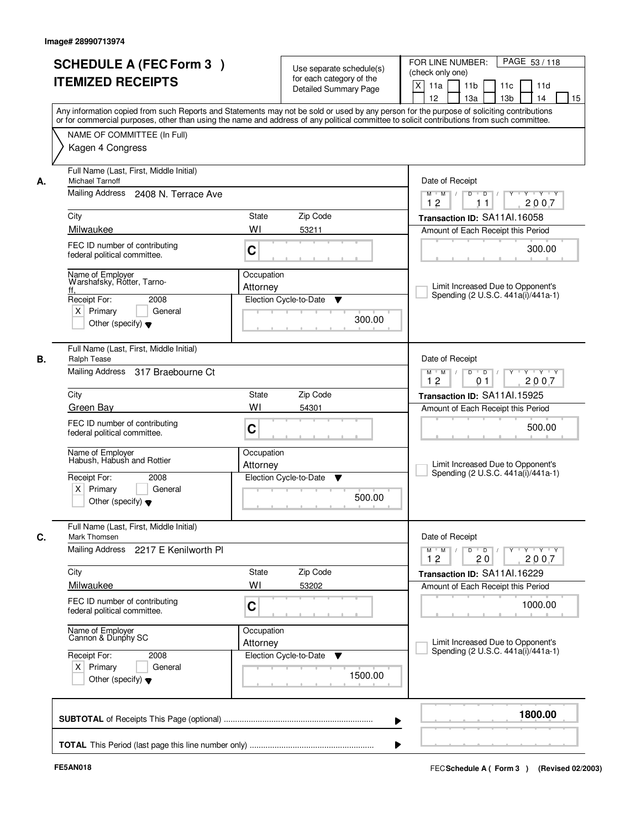| <b>SCHEDULE A (FEC Form 3)</b><br><b>ITEMIZED RECEIPTS</b><br>Any information copied from such Reports and Statements may not be sold or used by any person for the purpose of soliciting contributions<br>or for commercial purposes, other than using the name and address of any political committee to solicit contributions from such committee.<br>NAME OF COMMITTEE (In Full)<br>Kagen 4 Congress | Use separate schedule(s)<br>for each category of the<br><b>Detailed Summary Page</b> | PAGE 53/118<br>FOR LINE NUMBER:<br>(check only one)<br>X<br>11 <sub>b</sub><br>11a<br>11c<br>11d<br>12<br>13a<br>13 <sub>b</sub><br>14<br>15 |  |  |  |
|----------------------------------------------------------------------------------------------------------------------------------------------------------------------------------------------------------------------------------------------------------------------------------------------------------------------------------------------------------------------------------------------------------|--------------------------------------------------------------------------------------|----------------------------------------------------------------------------------------------------------------------------------------------|--|--|--|
|                                                                                                                                                                                                                                                                                                                                                                                                          |                                                                                      |                                                                                                                                              |  |  |  |
|                                                                                                                                                                                                                                                                                                                                                                                                          |                                                                                      |                                                                                                                                              |  |  |  |
|                                                                                                                                                                                                                                                                                                                                                                                                          |                                                                                      |                                                                                                                                              |  |  |  |
|                                                                                                                                                                                                                                                                                                                                                                                                          |                                                                                      |                                                                                                                                              |  |  |  |
|                                                                                                                                                                                                                                                                                                                                                                                                          |                                                                                      |                                                                                                                                              |  |  |  |
|                                                                                                                                                                                                                                                                                                                                                                                                          |                                                                                      |                                                                                                                                              |  |  |  |
| Full Name (Last, First, Middle Initial)                                                                                                                                                                                                                                                                                                                                                                  |                                                                                      |                                                                                                                                              |  |  |  |
| Michael Tarnoff                                                                                                                                                                                                                                                                                                                                                                                          |                                                                                      | Date of Receipt                                                                                                                              |  |  |  |
| Mailing Address<br>2408 N. Terrace Ave                                                                                                                                                                                                                                                                                                                                                                   |                                                                                      |                                                                                                                                              |  |  |  |
| City                                                                                                                                                                                                                                                                                                                                                                                                     | State<br>Zip Code                                                                    | 2007<br>12<br>11<br>Transaction ID: SA11Al.16058                                                                                             |  |  |  |
| Milwaukee                                                                                                                                                                                                                                                                                                                                                                                                | WI<br>53211                                                                          | Amount of Each Receipt this Period                                                                                                           |  |  |  |
| FEC ID number of contributing                                                                                                                                                                                                                                                                                                                                                                            | C                                                                                    | 300.00                                                                                                                                       |  |  |  |
| federal political committee.                                                                                                                                                                                                                                                                                                                                                                             |                                                                                      |                                                                                                                                              |  |  |  |
| Name of Employer<br>Warshafsky, Rotter, Tarno-                                                                                                                                                                                                                                                                                                                                                           | Occupation                                                                           |                                                                                                                                              |  |  |  |
| ff,<br>Receipt For:<br>2008                                                                                                                                                                                                                                                                                                                                                                              | Attorney<br>Election Cycle-to-Date<br>▼                                              | Limit Increased Due to Opponent's<br>Spending (2 U.S.C. 441a(i)/441a-1)                                                                      |  |  |  |
| $X$ Primary<br>General                                                                                                                                                                                                                                                                                                                                                                                   |                                                                                      |                                                                                                                                              |  |  |  |
| Other (specify) $\blacktriangledown$                                                                                                                                                                                                                                                                                                                                                                     | 300.00                                                                               |                                                                                                                                              |  |  |  |
|                                                                                                                                                                                                                                                                                                                                                                                                          |                                                                                      |                                                                                                                                              |  |  |  |
| Full Name (Last, First, Middle Initial)<br><b>Ralph Tease</b>                                                                                                                                                                                                                                                                                                                                            |                                                                                      | Date of Receipt                                                                                                                              |  |  |  |
| Mailing Address 317 Braebourne Ct                                                                                                                                                                                                                                                                                                                                                                        |                                                                                      | D<br>$\blacksquare$ D $\blacksquare$ /<br>Y 'Y 'Y<br>$M$ $M$ /<br>$Y$ <sup>U</sup>                                                           |  |  |  |
| City                                                                                                                                                                                                                                                                                                                                                                                                     | Zip Code<br>State                                                                    | 12<br>2007<br>01<br>Transaction ID: SA11Al.15925                                                                                             |  |  |  |
| Green Bay                                                                                                                                                                                                                                                                                                                                                                                                | WI<br>54301                                                                          | Amount of Each Receipt this Period                                                                                                           |  |  |  |
| FEC ID number of contributing                                                                                                                                                                                                                                                                                                                                                                            |                                                                                      | 500.00                                                                                                                                       |  |  |  |
| federal political committee.                                                                                                                                                                                                                                                                                                                                                                             | C                                                                                    |                                                                                                                                              |  |  |  |
| Name of Employer<br>Habush, Habush and Rottier                                                                                                                                                                                                                                                                                                                                                           | Occupation                                                                           |                                                                                                                                              |  |  |  |
|                                                                                                                                                                                                                                                                                                                                                                                                          | Attorney                                                                             | Limit Increased Due to Opponent's<br>Spending (2 U.S.C. 441a(i)/441a-1)                                                                      |  |  |  |
| Receipt For:<br>2008<br>$X$ Primary<br>General                                                                                                                                                                                                                                                                                                                                                           | Election Cycle-to-Date<br>▼                                                          |                                                                                                                                              |  |  |  |
| Other (specify) $\blacktriangledown$                                                                                                                                                                                                                                                                                                                                                                     | 500.00                                                                               |                                                                                                                                              |  |  |  |
|                                                                                                                                                                                                                                                                                                                                                                                                          |                                                                                      |                                                                                                                                              |  |  |  |
| Mark Thomsen                                                                                                                                                                                                                                                                                                                                                                                             | Full Name (Last, First, Middle Initial)                                              |                                                                                                                                              |  |  |  |
| Mailing Address<br>2217 E Kenilworth Pl                                                                                                                                                                                                                                                                                                                                                                  |                                                                                      | $M^+$ M<br>$D$ $D$ $/$<br>$Y - Y - Y - Y$<br>$\sqrt{ }$<br>$Y$ <sup>-1</sup>                                                                 |  |  |  |
| City                                                                                                                                                                                                                                                                                                                                                                                                     | Zip Code<br>State                                                                    | 2007<br>12<br>20<br>Transaction ID: SA11Al.16229                                                                                             |  |  |  |
| Milwaukee                                                                                                                                                                                                                                                                                                                                                                                                | WI<br>53202                                                                          | Amount of Each Receipt this Period                                                                                                           |  |  |  |
| FEC ID number of contributing                                                                                                                                                                                                                                                                                                                                                                            | C                                                                                    | 1000.00                                                                                                                                      |  |  |  |
| federal political committee.                                                                                                                                                                                                                                                                                                                                                                             |                                                                                      |                                                                                                                                              |  |  |  |
| Name of Employer<br>Cannon & Dunphy SC                                                                                                                                                                                                                                                                                                                                                                   | Occupation                                                                           |                                                                                                                                              |  |  |  |
|                                                                                                                                                                                                                                                                                                                                                                                                          | Attorney                                                                             | Limit Increased Due to Opponent's<br>Spending (2 U.S.C. 441a(i)/441a-1)                                                                      |  |  |  |
| Receipt For:<br>2008<br>$X$ Primary<br>General                                                                                                                                                                                                                                                                                                                                                           | Election Cycle-to-Date<br>v                                                          |                                                                                                                                              |  |  |  |
| Other (specify) $\blacktriangledown$                                                                                                                                                                                                                                                                                                                                                                     | 1500.00                                                                              |                                                                                                                                              |  |  |  |
|                                                                                                                                                                                                                                                                                                                                                                                                          |                                                                                      |                                                                                                                                              |  |  |  |
|                                                                                                                                                                                                                                                                                                                                                                                                          |                                                                                      |                                                                                                                                              |  |  |  |
|                                                                                                                                                                                                                                                                                                                                                                                                          | ▶                                                                                    | 1800.00                                                                                                                                      |  |  |  |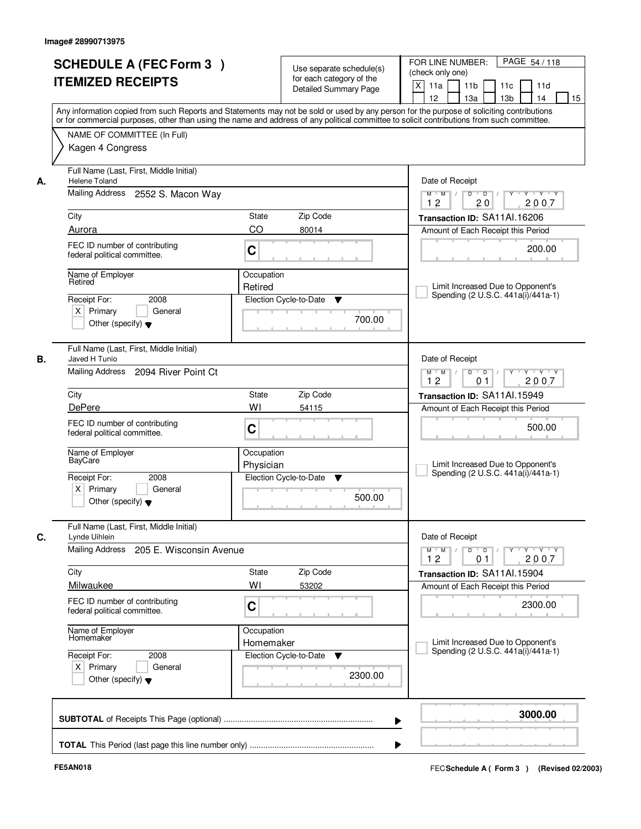|         | <b>SCHEDULE A (FEC Form 3)</b><br><b>ITEMIZED RECEIPTS</b>                             |                                                                             | Use separate schedule(s)<br>for each category of the<br>Detailed Summary Page | PAGE 54 / 118<br>FOR LINE NUMBER:<br>(check only one)<br>$\mathsf{X}$<br>11 <sub>b</sub><br>11a<br>11c<br>11d<br>13 <sub>b</sub><br>12<br>13a<br>14<br>15                                                                                                                               |
|---------|----------------------------------------------------------------------------------------|-----------------------------------------------------------------------------|-------------------------------------------------------------------------------|-----------------------------------------------------------------------------------------------------------------------------------------------------------------------------------------------------------------------------------------------------------------------------------------|
|         | NAME OF COMMITTEE (In Full)                                                            |                                                                             |                                                                               | Any information copied from such Reports and Statements may not be sold or used by any person for the purpose of soliciting contributions<br>or for commercial purposes, other than using the name and address of any political committee to solicit contributions from such committee. |
|         | Kagen 4 Congress                                                                       |                                                                             |                                                                               |                                                                                                                                                                                                                                                                                         |
| А.      | Full Name (Last, First, Middle Initial)<br><b>Helene Toland</b>                        |                                                                             |                                                                               | Date of Receipt                                                                                                                                                                                                                                                                         |
|         | Mailing Address 2552 S. Macon Way                                                      | $Y + Y + Y$<br>$M$ $M$ /<br>12<br>20<br>2007                                |                                                                               |                                                                                                                                                                                                                                                                                         |
| City    |                                                                                        | State                                                                       | Zip Code                                                                      | Transaction ID: SA11Al.16206                                                                                                                                                                                                                                                            |
| Aurora  |                                                                                        | CO                                                                          | 80014                                                                         | Amount of Each Receipt this Period                                                                                                                                                                                                                                                      |
|         | FEC ID number of contributing<br>federal political committee.                          | C                                                                           |                                                                               | 200.00                                                                                                                                                                                                                                                                                  |
| Retired | Name of Employer                                                                       | Occupation                                                                  |                                                                               |                                                                                                                                                                                                                                                                                         |
|         |                                                                                        | Retired                                                                     |                                                                               | Limit Increased Due to Opponent's<br>Spending (2 U.S.C. 441a(i)/441a-1)                                                                                                                                                                                                                 |
|         | Receipt For:<br>2008<br>$X$ Primary<br>General<br>Other (specify) $\blacktriangledown$ |                                                                             | Election Cycle-to-Date<br>▼<br>700.00                                         |                                                                                                                                                                                                                                                                                         |
| В.      | Full Name (Last, First, Middle Initial)<br>Javed H Tunio                               | Date of Receipt                                                             |                                                                               |                                                                                                                                                                                                                                                                                         |
|         | Mailing Address 2094 River Point Ct                                                    | $Y - Y - Y$<br>$M$ M<br>D<br>$\overline{D}$<br>2007<br>12<br>0 <sub>1</sub> |                                                                               |                                                                                                                                                                                                                                                                                         |
| City    |                                                                                        | <b>State</b>                                                                | Zip Code                                                                      | Transaction ID: SA11Al.15949                                                                                                                                                                                                                                                            |
|         | <b>DePere</b>                                                                          | WI                                                                          | 54115                                                                         | Amount of Each Receipt this Period                                                                                                                                                                                                                                                      |
|         | FEC ID number of contributing<br>federal political committee.                          | C                                                                           |                                                                               | 500.00                                                                                                                                                                                                                                                                                  |
|         | Name of Employer<br>BayCare                                                            | Occupation<br>Physician                                                     |                                                                               | Limit Increased Due to Opponent's<br>Spending (2 U.S.C. 441a(i)/441a-1)                                                                                                                                                                                                                 |
|         | 2008<br>Receipt For:<br>$X$ Primary<br>General<br>Other (specify) $\blacktriangledown$ |                                                                             | Election Cycle-to-Date<br>▼<br>500.00                                         |                                                                                                                                                                                                                                                                                         |
|         | Full Name (Last, First, Middle Initial)<br>Lynde Uihlein                               | Date of Receipt                                                             |                                                                               |                                                                                                                                                                                                                                                                                         |
|         | Mailing Address<br>205 E. Wisconsin Avenue                                             |                                                                             |                                                                               | $\mathsf D$<br>$\Box$ D $\Box$ /<br>y y y y y y<br>$M$ $M$ /<br>12<br>2007<br>01                                                                                                                                                                                                        |
| City    |                                                                                        | <b>State</b>                                                                | Zip Code                                                                      | Transaction ID: SA11Al.15904                                                                                                                                                                                                                                                            |
|         | Milwaukee                                                                              | WI                                                                          | 53202                                                                         | Amount of Each Receipt this Period                                                                                                                                                                                                                                                      |
|         | FEC ID number of contributing<br>federal political committee.                          | C                                                                           |                                                                               | 2300.00                                                                                                                                                                                                                                                                                 |
|         | Name of Employer<br>Homemaker                                                          | Occupation<br>Homemaker                                                     |                                                                               | Limit Increased Due to Opponent's<br>Spending (2 U.S.C. 441a(i)/441a-1)                                                                                                                                                                                                                 |
|         | Receipt For:<br>2008<br>$X$ Primary<br>General<br>Other (specify) $\blacktriangledown$ |                                                                             | Election Cycle-to-Date<br>v<br>2300.00                                        |                                                                                                                                                                                                                                                                                         |
|         |                                                                                        |                                                                             | ▶                                                                             | 3000.00                                                                                                                                                                                                                                                                                 |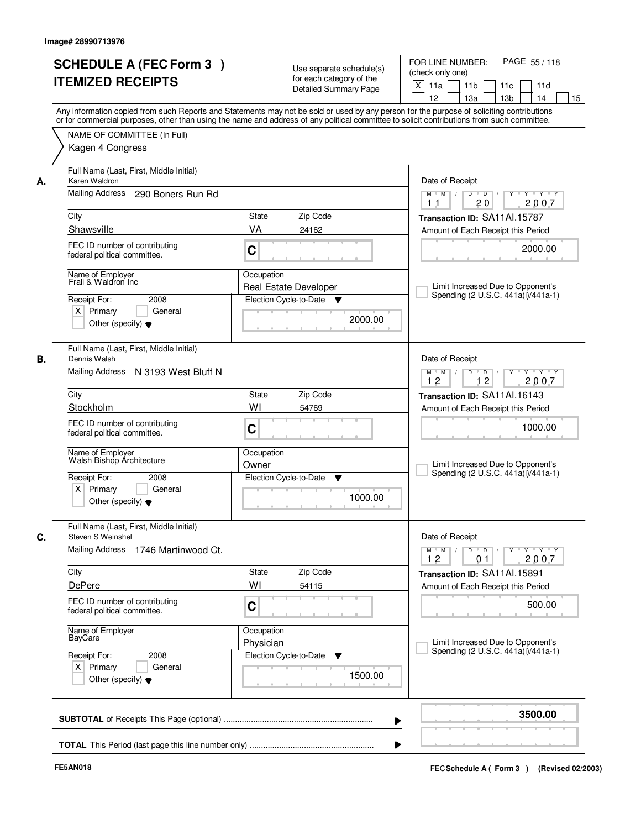| <b>ITEMIZED RECEIPTS</b>                                                                                             | <b>SCHEDULE A (FEC Form 3)</b>      |                                                                                                                                            | Use separate schedule(s)<br>for each category of the<br><b>Detailed Summary Page</b> | PAGE 55/118<br>FOR LINE NUMBER:<br>(check only one)<br>X<br>11 <sub>b</sub><br>11a<br>11 <sub>c</sub><br>11d<br>12<br>13 <sub>b</sub><br>14<br>13a<br>15<br>Any information copied from such Reports and Statements may not be sold or used by any person for the purpose of soliciting contributions |
|----------------------------------------------------------------------------------------------------------------------|-------------------------------------|--------------------------------------------------------------------------------------------------------------------------------------------|--------------------------------------------------------------------------------------|-------------------------------------------------------------------------------------------------------------------------------------------------------------------------------------------------------------------------------------------------------------------------------------------------------|
| NAME OF COMMITTEE (In Full)<br>Kagen 4 Congress                                                                      |                                     | or for commercial purposes, other than using the name and address of any political committee to solicit contributions from such committee. |                                                                                      |                                                                                                                                                                                                                                                                                                       |
| Full Name (Last, First, Middle Initial)<br>Karen Waldron<br>А.<br>Mailing Address                                    | 290 Boners Run Rd                   | Date of Receipt<br>$Y + Y + Y$<br>$D$ $D$ $/$<br>Y<br>$M$ $M$ /                                                                            |                                                                                      |                                                                                                                                                                                                                                                                                                       |
| City                                                                                                                 |                                     | 20<br>2007<br>1 <sub>1</sub><br>Transaction ID: SA11Al.15787                                                                               |                                                                                      |                                                                                                                                                                                                                                                                                                       |
| Shawsville<br>FEC ID number of contributing<br>federal political committee.                                          |                                     | VA<br>C                                                                                                                                    | 24162                                                                                | Amount of Each Receipt this Period<br>2000.00                                                                                                                                                                                                                                                         |
| Name of Employer<br>Frali & Waldron Inc<br>Receipt For:<br>$X$ Primary<br>Other (specify) $\blacktriangledown$       | 2008<br>General                     | Occupation<br>Election Cycle-to-Date                                                                                                       | <b>Real Estate Developer</b><br>▼<br>2000.00                                         | Limit Increased Due to Opponent's<br>Spending (2 U.S.C. 441a(i)/441a-1)                                                                                                                                                                                                                               |
| Full Name (Last, First, Middle Initial)<br>Dennis Walsh<br>В.                                                        | Mailing Address N 3193 West Bluff N |                                                                                                                                            |                                                                                      | Date of Receipt<br>$Y \vdash Y \vdash Y$<br>$M$ $M$ /<br>D<br>$\Box$ D $\Box$ /<br>Y<br>12<br>12<br>2007                                                                                                                                                                                              |
| City                                                                                                                 |                                     | State                                                                                                                                      | Zip Code                                                                             | Transaction ID: SA11Al.16143                                                                                                                                                                                                                                                                          |
| Stockholm<br>FEC ID number of contributing<br>federal political committee.                                           |                                     | WI<br>C                                                                                                                                    | 54769                                                                                | Amount of Each Receipt this Period<br>1000.00                                                                                                                                                                                                                                                         |
| Name of Employer<br>Walsh Bishop Architecture<br>Receipt For:<br>$X$ Primary<br>Other (specify) $\blacktriangledown$ | 2008<br>General                     | Occupation<br>Owner<br>Election Cycle-to-Date                                                                                              | ▼<br>1000.00                                                                         | Limit Increased Due to Opponent's<br>Spending (2 U.S.C. 441a(i)/441a-1)                                                                                                                                                                                                                               |
| Full Name (Last, First, Middle Initial)<br>C.<br>Steven S Weinshel                                                   |                                     | Date of Receipt                                                                                                                            |                                                                                      |                                                                                                                                                                                                                                                                                                       |
| Mailing Address                                                                                                      | 1746 Martinwood Ct.                 |                                                                                                                                            |                                                                                      | $M$ $M$ $M$<br>$D$ $D$ $I$<br><b>EYELYELYELY</b><br>12<br>0 <sub>1</sub><br>2007                                                                                                                                                                                                                      |
| City<br>DePere                                                                                                       |                                     | State<br>WI                                                                                                                                | Zip Code<br>54115                                                                    | Transaction ID: SA11Al.15891<br>Amount of Each Receipt this Period                                                                                                                                                                                                                                    |
| FEC ID number of contributing<br>federal political committee.                                                        |                                     | C                                                                                                                                          |                                                                                      | 500.00                                                                                                                                                                                                                                                                                                |
| Name of Employer<br>BayCare                                                                                          |                                     | Occupation<br>Physician                                                                                                                    |                                                                                      | Limit Increased Due to Opponent's<br>Spending (2 U.S.C. 441a(i)/441a-1)                                                                                                                                                                                                                               |
| Receipt For:<br>$X$ Primary<br>Other (specify) $\blacktriangledown$                                                  | 2008<br>General                     | Election Cycle-to-Date                                                                                                                     | v<br>1500.00                                                                         |                                                                                                                                                                                                                                                                                                       |
|                                                                                                                      |                                     |                                                                                                                                            |                                                                                      | 3500.00                                                                                                                                                                                                                                                                                               |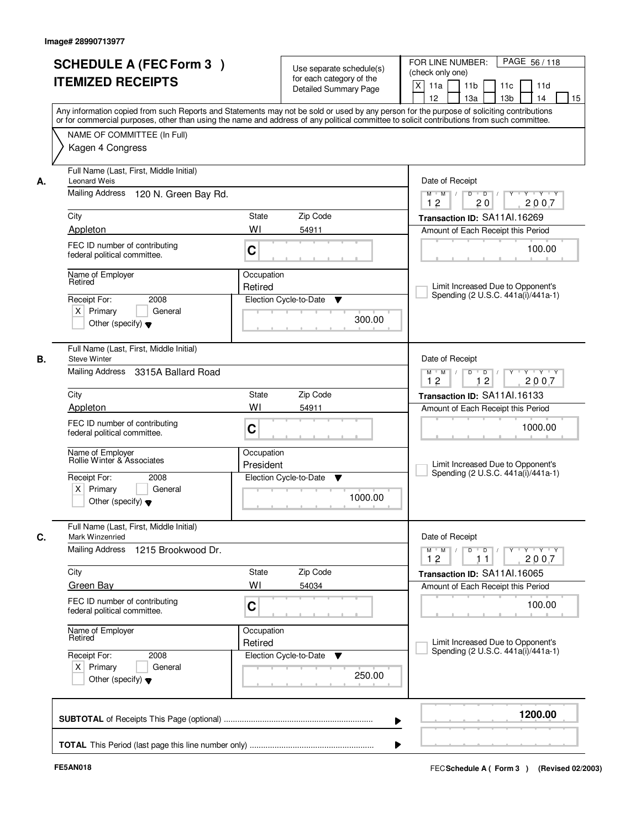|    | <b>SCHEDULE A (FEC Form 3)</b><br><b>ITEMIZED RECEIPTS</b>                                                                                                                                                                                                                              |                                                                                | Use separate schedule(s)<br>for each category of the<br><b>Detailed Summary Page</b> | PAGE 56 / 118<br>FOR LINE NUMBER:<br>(check only one)<br>X<br>11 <sub>b</sub><br>11a<br>11c<br>11d |
|----|-----------------------------------------------------------------------------------------------------------------------------------------------------------------------------------------------------------------------------------------------------------------------------------------|--------------------------------------------------------------------------------|--------------------------------------------------------------------------------------|----------------------------------------------------------------------------------------------------|
|    | Any information copied from such Reports and Statements may not be sold or used by any person for the purpose of soliciting contributions<br>or for commercial purposes, other than using the name and address of any political committee to solicit contributions from such committee. |                                                                                |                                                                                      | 12<br>13 <sub>b</sub><br>13a<br>14<br>15                                                           |
|    | NAME OF COMMITTEE (In Full)<br>Kagen 4 Congress                                                                                                                                                                                                                                         |                                                                                |                                                                                      |                                                                                                    |
| А. | Full Name (Last, First, Middle Initial)<br><b>Leonard Weis</b>                                                                                                                                                                                                                          |                                                                                |                                                                                      | Date of Receipt                                                                                    |
|    | Mailing Address 120 N. Green Bay Rd.                                                                                                                                                                                                                                                    | $Y + Y + Y$<br>$D$ $D$ $/$<br>$\Gamma Y$<br>$M$ $M$ /<br>12<br>20<br>2007      |                                                                                      |                                                                                                    |
|    | City                                                                                                                                                                                                                                                                                    | State                                                                          | Zip Code                                                                             | Transaction ID: SA11Al.16269                                                                       |
|    | Appleton                                                                                                                                                                                                                                                                                | WI                                                                             | 54911                                                                                | Amount of Each Receipt this Period                                                                 |
|    | FEC ID number of contributing<br>federal political committee.                                                                                                                                                                                                                           | C                                                                              |                                                                                      | 100.00                                                                                             |
|    | Name of Employer<br>Retired                                                                                                                                                                                                                                                             | Occupation                                                                     |                                                                                      |                                                                                                    |
|    | 2008                                                                                                                                                                                                                                                                                    | Retired                                                                        |                                                                                      | Limit Increased Due to Opponent's<br>Spending (2 U.S.C. 441a(i)/441a-1)                            |
|    | Receipt For:<br>$X$ Primary<br>General<br>Other (specify) $\blacktriangledown$                                                                                                                                                                                                          |                                                                                | Election Cycle-to-Date<br>▼<br>300.00                                                |                                                                                                    |
| В. | Full Name (Last, First, Middle Initial)<br><b>Steve Winter</b>                                                                                                                                                                                                                          |                                                                                |                                                                                      | Date of Receipt                                                                                    |
|    | Mailing Address 3315A Ballard Road                                                                                                                                                                                                                                                      | Y<br>$Y \vdash Y \vdash Y$<br>$M$ M<br>D<br>$\overline{D}$<br>12<br>2007<br>12 |                                                                                      |                                                                                                    |
|    | City                                                                                                                                                                                                                                                                                    | State                                                                          | Zip Code                                                                             | Transaction ID: SA11Al.16133                                                                       |
|    | Appleton                                                                                                                                                                                                                                                                                | WI                                                                             | 54911                                                                                | Amount of Each Receipt this Period                                                                 |
|    | FEC ID number of contributing<br>federal political committee.                                                                                                                                                                                                                           | C                                                                              |                                                                                      | 1000.00                                                                                            |
|    | Name of Employer<br>Rollie Winter & Associates                                                                                                                                                                                                                                          | Occupation<br>President                                                        |                                                                                      | Limit Increased Due to Opponent's<br>Spending (2 U.S.C. 441a(i)/441a-1)                            |
|    | Receipt For:<br>2008<br>$X$ Primary<br>General<br>Other (specify) $\blacktriangledown$                                                                                                                                                                                                  |                                                                                | Election Cycle-to-Date<br>v<br>1000.00                                               |                                                                                                    |
|    | Full Name (Last, First, Middle Initial)<br>Mark Winzenried                                                                                                                                                                                                                              |                                                                                |                                                                                      | Date of Receipt                                                                                    |
|    | Mailing Address<br>1215 Brookwood Dr.                                                                                                                                                                                                                                                   |                                                                                |                                                                                      | $D$ $D$ $I$<br>$M$ $M$ $/$<br>Y Y Y Y Y Y<br>12<br>2007<br>11                                      |
|    | City                                                                                                                                                                                                                                                                                    | State                                                                          | Zip Code                                                                             | Transaction ID: SA11Al.16065                                                                       |
|    | <b>Green Bay</b>                                                                                                                                                                                                                                                                        | WI                                                                             | 54034                                                                                | Amount of Each Receipt this Period                                                                 |
|    | FEC ID number of contributing<br>federal political committee.                                                                                                                                                                                                                           | C                                                                              |                                                                                      | 100.00                                                                                             |
|    | Name of Employer<br>Retired                                                                                                                                                                                                                                                             | Occupation<br>Retired                                                          |                                                                                      | Limit Increased Due to Opponent's                                                                  |
|    | Receipt For:<br>2008<br>$X$ Primary<br>General<br>Other (specify) $\blacktriangledown$                                                                                                                                                                                                  |                                                                                | Election Cycle-to-Date<br>v<br>250.00                                                | Spending (2 U.S.C. 441a(i)/441a-1)                                                                 |
|    |                                                                                                                                                                                                                                                                                         |                                                                                |                                                                                      | 1200.00<br>▶                                                                                       |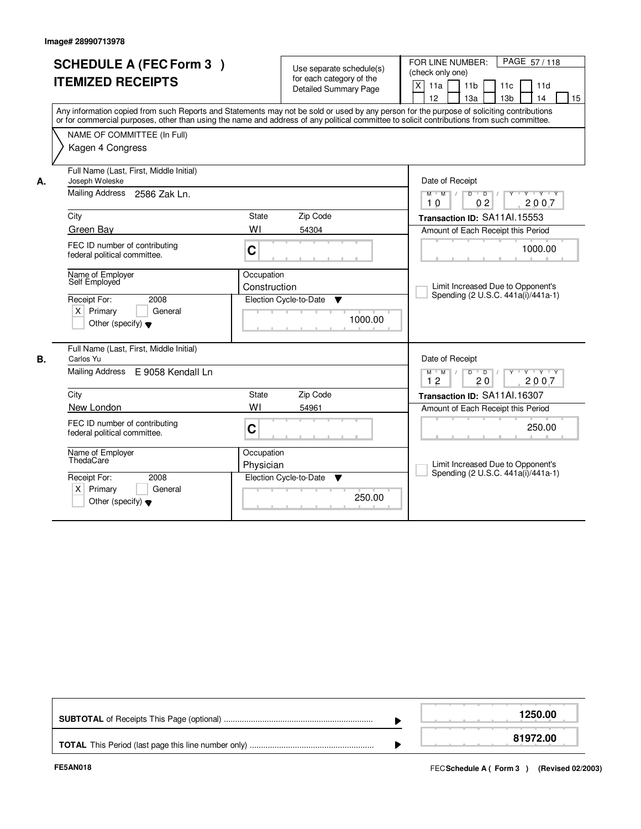|    | <b>SCHEDULE A (FEC Form 3)</b><br><b>ITEMIZED RECEIPTS</b><br>Any information copied from such Reports and Statements may not be sold or used by any person for the purpose of soliciting contributions<br>or for commercial purposes, other than using the name and address of any political committee to solicit contributions from such committee.<br>NAME OF COMMITTEE (In Full)<br>Kagen 4 Congress |                            | Use separate schedule(s)<br>for each category of the<br><b>Detailed Summary Page</b> | PAGE 57/118<br>FOR LINE NUMBER:<br>(check only one)<br>X<br>11a<br>11 <sub>b</sub><br>11 <sub>c</sub><br>11d<br>13 <sub>b</sub><br>12<br>13a<br>14<br>15 |
|----|----------------------------------------------------------------------------------------------------------------------------------------------------------------------------------------------------------------------------------------------------------------------------------------------------------------------------------------------------------------------------------------------------------|----------------------------|--------------------------------------------------------------------------------------|----------------------------------------------------------------------------------------------------------------------------------------------------------|
| А. | Full Name (Last, First, Middle Initial)<br>Joseph Woleske<br><b>Mailing Address</b><br>2586 Zak Ln.                                                                                                                                                                                                                                                                                                      |                            |                                                                                      | Date of Receipt<br>$Y$ $Y$ $Y$<br>$M^+$ M<br>$D$ $D$<br>Y<br>0 <sub>2</sub><br>2007<br>10                                                                |
|    | City                                                                                                                                                                                                                                                                                                                                                                                                     | State                      | Zip Code                                                                             | Transaction ID: SA11Al.15553                                                                                                                             |
|    | Green Bay                                                                                                                                                                                                                                                                                                                                                                                                | WI                         | 54304                                                                                | Amount of Each Receipt this Period                                                                                                                       |
|    | FEC ID number of contributing<br>federal political committee.                                                                                                                                                                                                                                                                                                                                            | C                          |                                                                                      | 1000.00                                                                                                                                                  |
|    | Name of Employer<br>Self Employed<br>Receipt For:<br>2008                                                                                                                                                                                                                                                                                                                                                | Occupation<br>Construction | Election Cycle-to-Date<br>$\blacktriangledown$                                       | Limit Increased Due to Opponent's<br>Spending (2 U.S.C. 441a(i)/441a-1)                                                                                  |
|    | $X$ Primary<br>General<br>Other (specify) $\blacktriangledown$                                                                                                                                                                                                                                                                                                                                           |                            | 1000.00                                                                              |                                                                                                                                                          |
| В. | Full Name (Last, First, Middle Initial)<br>Carlos Yu                                                                                                                                                                                                                                                                                                                                                     |                            |                                                                                      | Date of Receipt                                                                                                                                          |
|    | Mailing Address E 9058 Kendall Ln                                                                                                                                                                                                                                                                                                                                                                        |                            |                                                                                      | $Y \dashv Y \dashv Y$<br>$M$ $M$ /<br>D<br>$\overline{D}$ /<br>Y<br>2007<br>12<br>20                                                                     |
|    | City                                                                                                                                                                                                                                                                                                                                                                                                     | State                      | Zip Code                                                                             | Transaction ID: SA11Al.16307                                                                                                                             |
|    | New London                                                                                                                                                                                                                                                                                                                                                                                               | WI                         | 54961                                                                                | Amount of Each Receipt this Period                                                                                                                       |
|    | FEC ID number of contributing<br>federal political committee.                                                                                                                                                                                                                                                                                                                                            | C                          |                                                                                      | 250.00                                                                                                                                                   |
|    | Name of Employer<br>ThedaCare                                                                                                                                                                                                                                                                                                                                                                            | Occupation<br>Physician    |                                                                                      | Limit Increased Due to Opponent's<br>Spending (2 U.S.C. 441a(i)/441a-1)                                                                                  |
|    | Receipt For:<br>2008<br>$\times$<br>Primary<br>General<br>Other (specify) $\blacktriangledown$                                                                                                                                                                                                                                                                                                           |                            | Election Cycle-to-Date<br>▼<br>250.00                                                |                                                                                                                                                          |

|  | 1250.00  |
|--|----------|
|  | 81972.00 |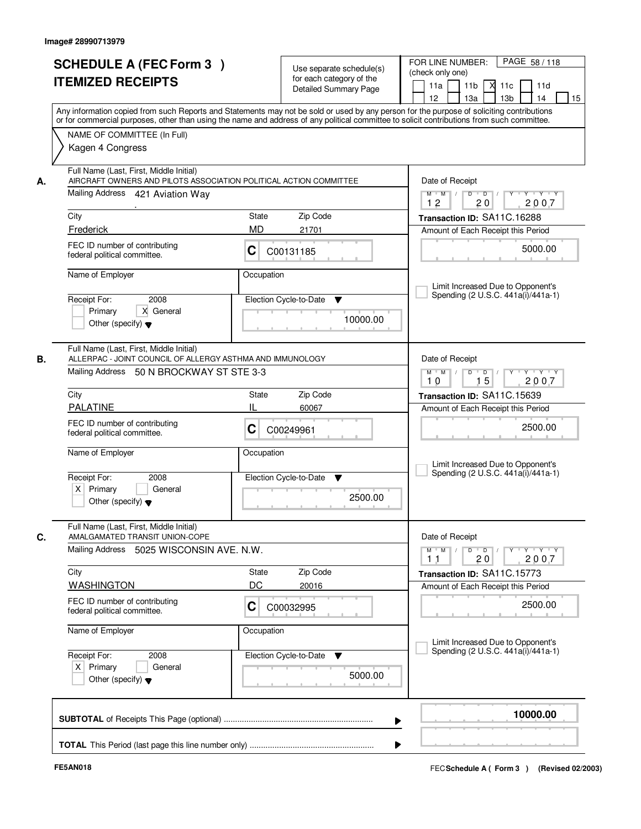| or for commercial purposes, other than using the name and address of any political committee to solicit contributions from such committee.<br>NAME OF COMMITTEE (In Full)<br>Kagen 4 Congress<br>Full Name (Last, First, Middle Initial)<br>AIRCRAFT OWNERS AND PILOTS ASSOCIATION POLITICAL ACTION COMMITTEE<br>Date of Receipt<br>А.<br>Mailing Address 421 Aviation Way<br>$Y + Y + Y$<br>$D$ $D$ $1$<br>$\Gamma Y$<br>$M$ $M$ /<br>12<br>2007<br>20<br>Zip Code<br>City<br>State<br>Transaction ID: SA11C.16288<br>MD<br>Frederick<br>21701<br>Amount of Each Receipt this Period<br>FEC ID number of contributing<br>5000.00<br>С<br>C00131185<br>federal political committee.<br>Name of Employer<br>Occupation<br>Limit Increased Due to Opponent's<br>Spending (2 U.S.C. 441a(i)/441a-1)<br>2008<br>Election Cycle-to-Date<br>Receipt For:<br>▼<br>X General<br>Primary<br>10000.00<br>Other (specify) $\blacktriangledown$<br>Full Name (Last, First, Middle Initial)<br>ALLERPAC - JOINT COUNCIL OF ALLERGY ASTHMA AND IMMUNOLOGY<br>В.<br>Date of Receipt<br>Mailing Address 50 N BROCKWAY ST STE 3-3<br>$\mathsf{Y} \dashv \mathsf{Y} \dashv \mathsf{Y} \dashv \mathsf{Y}$<br>$M$ $M$ /<br>D<br>$\blacksquare$ $\blacksquare$ $\blacksquare$ $\blacksquare$ $\blacksquare$<br>15<br>10<br>2007<br>City<br>Zip Code<br>State<br>Transaction ID: SA11C.15639<br><b>PALATINE</b><br>IL<br>60067<br>Amount of Each Receipt this Period<br>FEC ID number of contributing<br>2500.00<br>С<br>C00249961<br>federal political committee.<br>Name of Employer<br>Occupation<br>Limit Increased Due to Opponent's<br>Spending (2 U.S.C. 441a(i)/441a-1)<br>Election Cycle-to-Date<br>Receipt For:<br>2008<br>▼<br>$X$ Primary<br>General<br>2500.00<br>Other (specify) $\blacktriangledown$<br>Full Name (Last, First, Middle Initial)<br>C.<br>AMALGAMATED TRANSIT UNION-COPE<br>Date of Receipt<br>Mailing Address 5025 WISCONSIN AVE. N.W.<br>$M$ $M$<br>$\mathsf D$<br>$\Box$ D $\Box$<br>$\mathsf{Y} \dashv \mathsf{Y} \dashv \mathsf{Y}$<br>Y<br>2007<br>11<br>20<br>Zip Code<br>City<br>State<br>Transaction ID: SA11C.15773<br>DC<br><b>WASHINGTON</b><br>20016<br>Amount of Each Receipt this Period<br>FEC ID number of contributing<br>2500.00<br>C<br>C00032995<br>federal political committee.<br>Name of Employer<br>Occupation<br>Limit Increased Due to Opponent's<br>Spending (2 U.S.C. 441a(i)/441a-1)<br>Receipt For:<br>Election Cycle-to-Date<br>2008<br>v<br>$X$ Primary<br>General<br>5000.00<br>Other (specify) $\blacktriangledown$<br>10000.00 | <b>SCHEDULE A (FEC Form 3)</b><br><b>ITEMIZED RECEIPTS</b> | Use separate schedule(s)<br>for each category of the<br>Detailed Summary Page<br>Any information copied from such Reports and Statements may not be sold or used by any person for the purpose of soliciting contributions | PAGE 58 / 118<br>FOR LINE NUMBER:<br>(check only one)<br>11 <sub>b</sub><br>11a<br>11c<br>11d<br>м<br>12<br>13a<br>13 <sub>b</sub><br>14<br>15 |
|----------------------------------------------------------------------------------------------------------------------------------------------------------------------------------------------------------------------------------------------------------------------------------------------------------------------------------------------------------------------------------------------------------------------------------------------------------------------------------------------------------------------------------------------------------------------------------------------------------------------------------------------------------------------------------------------------------------------------------------------------------------------------------------------------------------------------------------------------------------------------------------------------------------------------------------------------------------------------------------------------------------------------------------------------------------------------------------------------------------------------------------------------------------------------------------------------------------------------------------------------------------------------------------------------------------------------------------------------------------------------------------------------------------------------------------------------------------------------------------------------------------------------------------------------------------------------------------------------------------------------------------------------------------------------------------------------------------------------------------------------------------------------------------------------------------------------------------------------------------------------------------------------------------------------------------------------------------------------------------------------------------------------------------------------------------------------------------------------------------------------------------------------------------------------------------------------------------------------------------------------------------------------------------------------------------------------------------------------------------------------------------------------------------------------------------------------------------------------------------------------------------------------------------------------------------------------|------------------------------------------------------------|----------------------------------------------------------------------------------------------------------------------------------------------------------------------------------------------------------------------------|------------------------------------------------------------------------------------------------------------------------------------------------|
|                                                                                                                                                                                                                                                                                                                                                                                                                                                                                                                                                                                                                                                                                                                                                                                                                                                                                                                                                                                                                                                                                                                                                                                                                                                                                                                                                                                                                                                                                                                                                                                                                                                                                                                                                                                                                                                                                                                                                                                                                                                                                                                                                                                                                                                                                                                                                                                                                                                                                                                                                                            |                                                            |                                                                                                                                                                                                                            |                                                                                                                                                |
|                                                                                                                                                                                                                                                                                                                                                                                                                                                                                                                                                                                                                                                                                                                                                                                                                                                                                                                                                                                                                                                                                                                                                                                                                                                                                                                                                                                                                                                                                                                                                                                                                                                                                                                                                                                                                                                                                                                                                                                                                                                                                                                                                                                                                                                                                                                                                                                                                                                                                                                                                                            |                                                            |                                                                                                                                                                                                                            |                                                                                                                                                |
|                                                                                                                                                                                                                                                                                                                                                                                                                                                                                                                                                                                                                                                                                                                                                                                                                                                                                                                                                                                                                                                                                                                                                                                                                                                                                                                                                                                                                                                                                                                                                                                                                                                                                                                                                                                                                                                                                                                                                                                                                                                                                                                                                                                                                                                                                                                                                                                                                                                                                                                                                                            |                                                            |                                                                                                                                                                                                                            |                                                                                                                                                |
|                                                                                                                                                                                                                                                                                                                                                                                                                                                                                                                                                                                                                                                                                                                                                                                                                                                                                                                                                                                                                                                                                                                                                                                                                                                                                                                                                                                                                                                                                                                                                                                                                                                                                                                                                                                                                                                                                                                                                                                                                                                                                                                                                                                                                                                                                                                                                                                                                                                                                                                                                                            |                                                            |                                                                                                                                                                                                                            |                                                                                                                                                |
|                                                                                                                                                                                                                                                                                                                                                                                                                                                                                                                                                                                                                                                                                                                                                                                                                                                                                                                                                                                                                                                                                                                                                                                                                                                                                                                                                                                                                                                                                                                                                                                                                                                                                                                                                                                                                                                                                                                                                                                                                                                                                                                                                                                                                                                                                                                                                                                                                                                                                                                                                                            |                                                            |                                                                                                                                                                                                                            |                                                                                                                                                |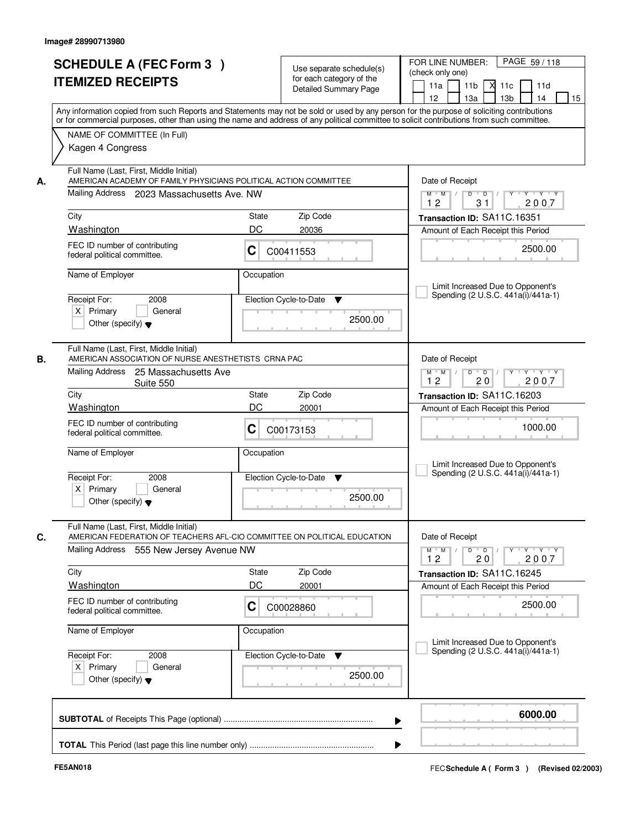| <b>SCHEDULE A (FEC Form 3)</b><br><b>ITEMIZED RECEIPTS</b>                                                                                                                                                                                                                                               | Use separate schedule(s)<br>for each category of the<br>Detailed Summary Page<br>Any information copied from such Reports and Statements may not be sold or used by any person for the purpose of soliciting contributions | PAGE 59/118<br>FOR LINE NUMBER:<br>(check only one)<br>11 <sub>b</sub><br>11a<br>11c<br>11d<br>12<br>13 <sub>b</sub><br>15<br>13a<br>14                                                                                                                                |  |  |  |
|----------------------------------------------------------------------------------------------------------------------------------------------------------------------------------------------------------------------------------------------------------------------------------------------------------|----------------------------------------------------------------------------------------------------------------------------------------------------------------------------------------------------------------------------|------------------------------------------------------------------------------------------------------------------------------------------------------------------------------------------------------------------------------------------------------------------------|--|--|--|
| NAME OF COMMITTEE (In Full)<br>Kagen 4 Congress                                                                                                                                                                                                                                                          | or for commercial purposes, other than using the name and address of any political committee to solicit contributions from such committee.                                                                                 |                                                                                                                                                                                                                                                                        |  |  |  |
| Full Name (Last, First, Middle Initial)<br>AMERICAN ACADEMY OF FAMILY PHYSICIANS POLITICAL ACTION COMMITTEE<br>А.<br>Mailing Address 2023 Massachusetts Ave. NW<br>City<br>Washington<br>FEC ID number of contributing<br>federal political committee.<br>Name of Employer<br>Receipt For:<br>2008       | Zip Code<br>State<br>DC<br>20036<br>C<br>C00411553<br>Occupation<br>Election Cycle-to-Date<br>▼                                                                                                                            | Date of Receipt<br>$Y + Y + Y$<br>$M$ $M$ /<br>$D$ $D$ $/$<br>$\overline{Y}$<br>12<br>2007<br>31<br>Transaction ID: SA11C.16351<br>Amount of Each Receipt this Period<br>2500.00<br>Limit Increased Due to Opponent's<br>Spending (2 U.S.C. 441a(i)/441a-1)            |  |  |  |
| $X$ Primary<br>General<br>Other (specify) $\blacktriangledown$<br>Full Name (Last, First, Middle Initial)<br>AMERICAN ASSOCIATION OF NURSE ANESTHETISTS CRNA PAC<br><b>B.</b>                                                                                                                            | 2500.00                                                                                                                                                                                                                    | Date of Receipt                                                                                                                                                                                                                                                        |  |  |  |
| Mailing Address 25 Massachusetts Ave<br>Suite 550<br>City<br>Washington<br>FEC ID number of contributing<br>federal political committee.<br>Name of Employer<br>Receipt For:<br>2008<br>$X$ Primary<br>General<br>Other (specify) $\blacktriangledown$                                                   | Zip Code<br><b>State</b><br>DC<br>20001<br>С<br>C00173153<br>Occupation<br>Election Cycle-to-Date<br><b>V</b><br>2500.00                                                                                                   | $\mathsf{Y} \dashv \mathsf{Y} \dashv \mathsf{Y}$<br>$M$ $M$ /<br>$D$ $D$ $1$<br>12<br>20<br>2007<br>Transaction ID: SA11C.16203<br>Amount of Each Receipt this Period<br>1000.00<br>Limit Increased Due to Opponent's<br>Spending (2 U.S.C. 441a(i)/441a-1)            |  |  |  |
| Full Name (Last, First, Middle Initial)<br>C.<br>Mailing Address<br>555 New Jersey Avenue NW<br>City<br><b>Washington</b><br>FEC ID number of contributing<br>federal political committee.<br>Name of Employer<br>Receipt For:<br>2008<br>$X$ Primary<br>General<br>Other (specify) $\blacktriangledown$ | AMERICAN FEDERATION OF TEACHERS AFL-CIO COMMITTEE ON POLITICAL EDUCATION<br>Zip Code<br>State<br>DC<br>20001<br>C<br>C00028860<br>Occupation<br>Election Cycle-to-Date<br>v<br>2500.00                                     | Date of Receipt<br>$\mathsf D$<br>$Y - Y - Y - Y$<br>$M$ $M$ /<br>$\overline{D}$ /<br>Y<br>2007<br>12<br>20<br>Transaction ID: SA11C.16245<br>Amount of Each Receipt this Period<br>2500.00<br>Limit Increased Due to Opponent's<br>Spending (2 U.S.C. 441a(i)/441a-1) |  |  |  |
|                                                                                                                                                                                                                                                                                                          | ▶                                                                                                                                                                                                                          | 6000.00                                                                                                                                                                                                                                                                |  |  |  |
|                                                                                                                                                                                                                                                                                                          |                                                                                                                                                                                                                            |                                                                                                                                                                                                                                                                        |  |  |  |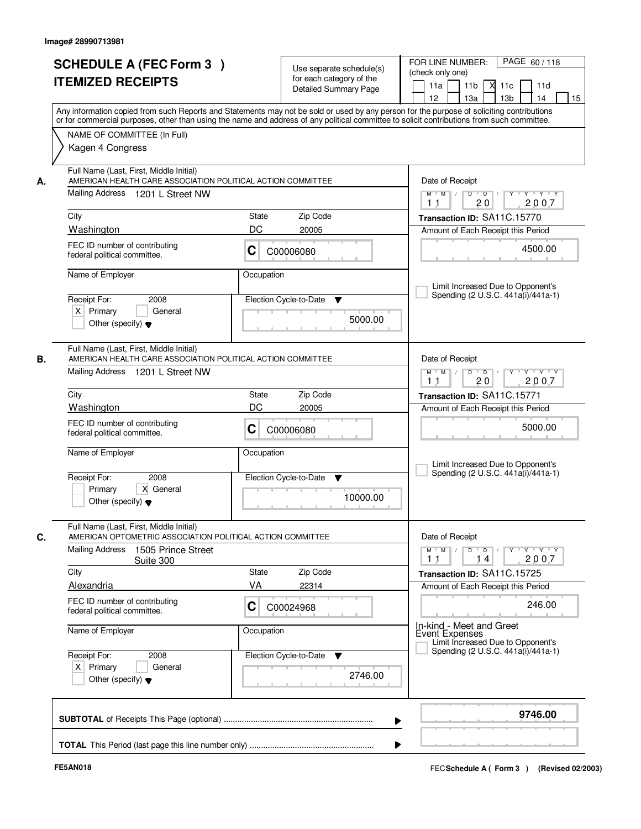| <b>SCHEDULE A (FEC Form 3)</b><br><b>ITEMIZED RECEIPTS</b>                                                                                       | Use separate schedule(s)<br>for each category of the<br>Detailed Summary Page<br>Any information copied from such Reports and Statements may not be sold or used by any person for the purpose of soliciting contributions | PAGE 60/118<br>FOR LINE NUMBER:<br>(check only one)<br>11 <sub>b</sub><br>11a<br>11c<br>11d<br>12<br>13a<br>13 <sub>b</sub><br>14<br>15                      |
|--------------------------------------------------------------------------------------------------------------------------------------------------|----------------------------------------------------------------------------------------------------------------------------------------------------------------------------------------------------------------------------|--------------------------------------------------------------------------------------------------------------------------------------------------------------|
| NAME OF COMMITTEE (In Full)<br>Kagen 4 Congress                                                                                                  | or for commercial purposes, other than using the name and address of any political committee to solicit contributions from such committee.                                                                                 |                                                                                                                                                              |
| Full Name (Last, First, Middle Initial)<br>AMERICAN HEALTH CARE ASSOCIATION POLITICAL ACTION COMMITTEE<br>А.<br>Mailing Address 1201 L Street NW |                                                                                                                                                                                                                            | Date of Receipt<br>$Y + Y + Y$<br>$M$ $M$ $/$<br>$D$ $D$ $/$<br>$\Gamma Y$                                                                                   |
| City<br>Washington                                                                                                                               | State<br>Zip Code<br>DC<br>20005                                                                                                                                                                                           | 2007<br>11<br>20<br>Transaction ID: SA11C.15770<br>Amount of Each Receipt this Period                                                                        |
| FEC ID number of contributing<br>federal political committee.                                                                                    | С<br>C00006080                                                                                                                                                                                                             | 4500.00                                                                                                                                                      |
| Name of Employer<br>Receipt For:<br>2008<br>$X$ Primary<br>General<br>Other (specify) $\blacktriangledown$                                       | Occupation<br>Election Cycle-to-Date<br>▼<br>5000.00                                                                                                                                                                       | Limit Increased Due to Opponent's<br>Spending (2 U.S.C. 441a(i)/441a-1)                                                                                      |
| Full Name (Last, First, Middle Initial)<br>В.<br>AMERICAN HEALTH CARE ASSOCIATION POLITICAL ACTION COMMITTEE<br>Mailing Address 1201 L Street NW |                                                                                                                                                                                                                            | Date of Receipt<br>$\mathsf{Y} \dashv \mathsf{Y} \dashv \mathsf{Y} \dashv \mathsf{Y}$<br>$M$ $M$ /<br>D<br>$\overline{D}$ $\overline{I}$<br>20<br>2007<br>11 |
| City                                                                                                                                             | Zip Code<br><b>State</b>                                                                                                                                                                                                   | Transaction ID: SA11C.15771                                                                                                                                  |
| Washington<br>FEC ID number of contributing<br>federal political committee.                                                                      | DC<br>20005<br>С<br>C00006080                                                                                                                                                                                              | Amount of Each Receipt this Period<br>5000.00                                                                                                                |
| Name of Employer<br>Receipt For:<br>2008<br>Primary<br>X General<br>Other (specify) $\blacktriangledown$                                         | Occupation<br>Election Cycle-to-Date<br>▼<br>10000.00                                                                                                                                                                      | Limit Increased Due to Opponent's<br>Spending (2 U.S.C. 441a(i)/441a-1)                                                                                      |
| Full Name (Last, First, Middle Initial)<br>AMERICAN OPTOMETRIC ASSOCIATION POLITICAL ACTION COMMITTEE<br>Mailing Address<br>1505 Prince Street   |                                                                                                                                                                                                                            | Date of Receipt<br>$M$ $M$<br>$\mathsf D$<br>$\overline{D}$ /<br>$Y + Y + Y$<br>Y                                                                            |
| Suite 300<br>City                                                                                                                                | Zip Code<br><b>State</b>                                                                                                                                                                                                   | 2007<br>11<br>14<br>Transaction ID: SA11C.15725                                                                                                              |
| <b>Alexandria</b>                                                                                                                                | VA<br>22314                                                                                                                                                                                                                | Amount of Each Receipt this Period                                                                                                                           |
| FEC ID number of contributing<br>federal political committee.                                                                                    | C<br>C00024968                                                                                                                                                                                                             | 246.00                                                                                                                                                       |
| Name of Employer<br>Receipt For:<br>2008<br>$X$ Primary<br>General<br>Other (specify) $\blacktriangledown$                                       | Occupation<br>Election Cycle-to-Date<br>v<br>2746.00                                                                                                                                                                       | In-kind - Meet and Greet<br>Event Expenses<br>Limit Increased Due to Opponent's<br>Spending (2 U.S.C. 441a(i)/441a-1)                                        |
|                                                                                                                                                  |                                                                                                                                                                                                                            | 9746.00                                                                                                                                                      |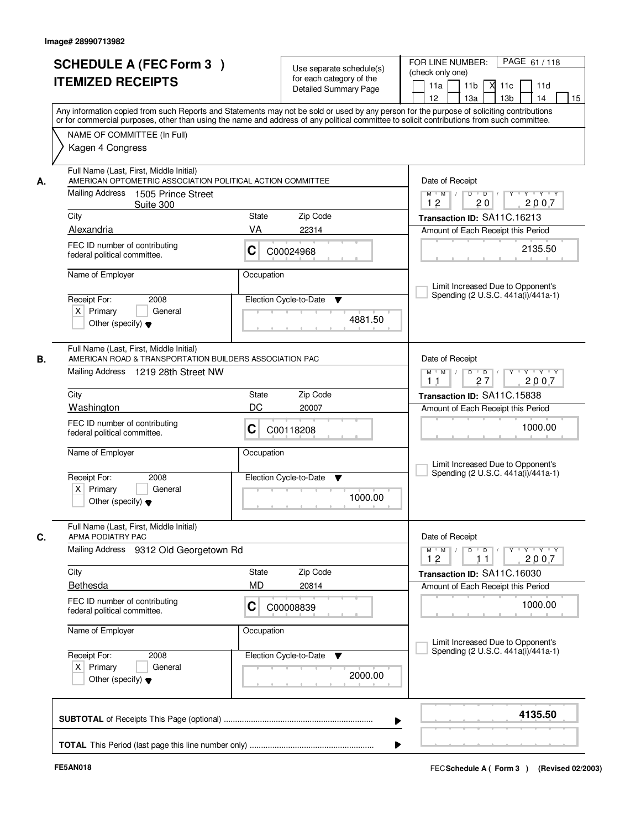| <b>SCHEDULE A (FEC Form 3)</b><br><b>ITEMIZED RECEIPTS</b>                                                                                                                                                                                         | Use separate schedule(s)<br>for each category of the<br>Detailed Summary Page                                                                                                                                                                                                           | PAGE 61/118<br>FOR LINE NUMBER:<br>(check only one)<br>11 <sub>b</sub><br>11a<br>11c<br>11d<br>м<br>12<br>13a<br>13 <sub>b</sub><br>14<br>15                                 |
|----------------------------------------------------------------------------------------------------------------------------------------------------------------------------------------------------------------------------------------------------|-----------------------------------------------------------------------------------------------------------------------------------------------------------------------------------------------------------------------------------------------------------------------------------------|------------------------------------------------------------------------------------------------------------------------------------------------------------------------------|
| NAME OF COMMITTEE (In Full)<br>Kagen 4 Congress                                                                                                                                                                                                    | Any information copied from such Reports and Statements may not be sold or used by any person for the purpose of soliciting contributions<br>or for commercial purposes, other than using the name and address of any political committee to solicit contributions from such committee. |                                                                                                                                                                              |
| Full Name (Last, First, Middle Initial)<br>AMERICAN OPTOMETRIC ASSOCIATION POLITICAL ACTION COMMITTEE<br>Mailing Address<br>1505 Prince Street<br>Suite 300<br>City<br>Alexandria<br>FEC ID number of contributing<br>federal political committee. | Zip Code<br>State<br>VA<br>22314<br>С<br>C00024968                                                                                                                                                                                                                                      | Date of Receipt<br>$Y + Y + Y$<br>$D$ $D$ $/$<br>$\Gamma Y$<br>$M$ $M$ /<br>12<br>2007<br>20<br>Transaction ID: SA11C.16213<br>Amount of Each Receipt this Period<br>2135.50 |
| Name of Employer<br>Receipt For:<br>2008<br>$X$ Primary<br>General<br>Other (specify) $\blacktriangledown$                                                                                                                                         | Occupation<br>Election Cycle-to-Date<br>▼<br>4881.50                                                                                                                                                                                                                                    | Limit Increased Due to Opponent's<br>Spending (2 U.S.C. 441a(i)/441a-1)                                                                                                      |
| Full Name (Last, First, Middle Initial)<br>AMERICAN ROAD & TRANSPORTATION BUILDERS ASSOCIATION PAC<br>Mailing Address 1219 28th Street NW                                                                                                          |                                                                                                                                                                                                                                                                                         | Date of Receipt<br>$\mathsf{Y} \dashv \mathsf{Y} \dashv \mathsf{Y} \dashv \mathsf{Y}$<br>$M$ $M$ /<br>D<br>$\overline{D}$ $\overline{I}$<br>27<br>2007<br>11                 |
| City                                                                                                                                                                                                                                               | Zip Code<br><b>State</b><br>DC<br>20007                                                                                                                                                                                                                                                 | Transaction ID: SA11C.15838                                                                                                                                                  |
| Washington<br>FEC ID number of contributing<br>federal political committee.                                                                                                                                                                        | С<br>C00118208                                                                                                                                                                                                                                                                          | Amount of Each Receipt this Period<br>1000.00                                                                                                                                |
| Name of Employer<br>Receipt For:<br>2008<br>$X$ Primary<br>General<br>Other (specify) $\blacktriangledown$                                                                                                                                         | Occupation<br>Election Cycle-to-Date<br>▼<br>1000.00                                                                                                                                                                                                                                    | Limit Increased Due to Opponent's<br>Spending (2 U.S.C. 441a(i)/441a-1)                                                                                                      |
| Full Name (Last, First, Middle Initial)<br>APMA PODIATRY PAC<br>Mailing Address 9312 Old Georgetown Rd                                                                                                                                             |                                                                                                                                                                                                                                                                                         | Date of Receipt<br>$M$ $M$<br>D<br>$\overline{D}$ /<br>Y<br>$Y + Y + Y$                                                                                                      |
| City                                                                                                                                                                                                                                               | Zip Code<br>State                                                                                                                                                                                                                                                                       | 2007<br>12<br>11<br>Transaction ID: SA11C.16030                                                                                                                              |
| <b>Bethesda</b><br>FEC ID number of contributing<br>federal political committee.                                                                                                                                                                   | <b>MD</b><br>20814<br>C<br>C00008839                                                                                                                                                                                                                                                    | Amount of Each Receipt this Period<br>1000.00                                                                                                                                |
| Name of Employer<br>Receipt For:<br>2008<br>$X$ Primary<br>General<br>Other (specify) $\blacktriangledown$                                                                                                                                         | Occupation<br>Election Cycle-to-Date<br>v<br>2000.00                                                                                                                                                                                                                                    | Limit Increased Due to Opponent's<br>Spending (2 U.S.C. 441a(i)/441a-1)                                                                                                      |
|                                                                                                                                                                                                                                                    |                                                                                                                                                                                                                                                                                         | 4135.50                                                                                                                                                                      |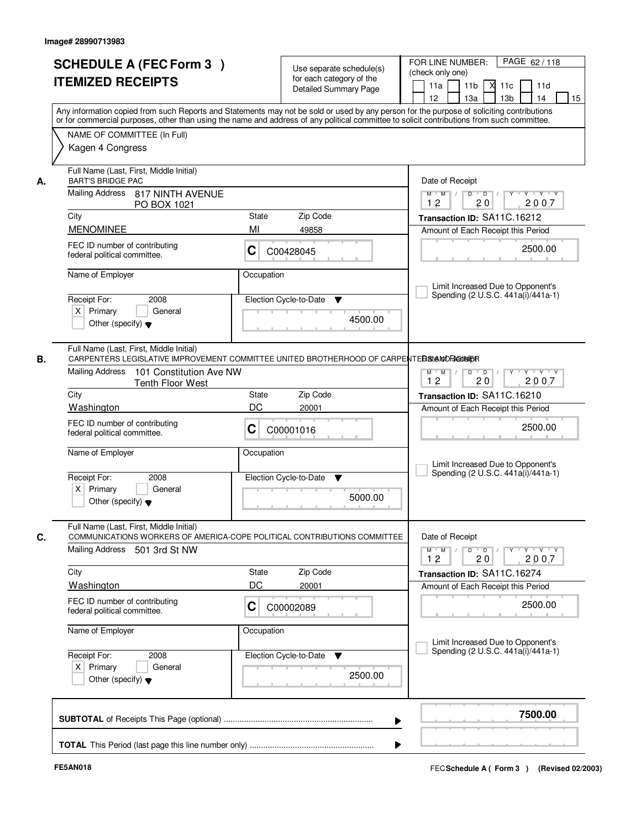| <b>SCHEDULE A (FEC Form 3)</b><br><b>ITEMIZED RECEIPTS</b>                             | Use separate schedule(s)<br>for each category of the<br>Detailed Summary Page                                                                                                                                                                                                           | PAGE 62/118<br>FOR LINE NUMBER:<br>(check only one)<br>11 <sub>b</sub><br>11d<br>11a<br>м<br>11c<br>13 <sub>b</sub><br>12 <sup>2</sup><br>13a<br>14<br>15                                                                                                                                                                                                                                                       |
|----------------------------------------------------------------------------------------|-----------------------------------------------------------------------------------------------------------------------------------------------------------------------------------------------------------------------------------------------------------------------------------------|-----------------------------------------------------------------------------------------------------------------------------------------------------------------------------------------------------------------------------------------------------------------------------------------------------------------------------------------------------------------------------------------------------------------|
|                                                                                        | Any information copied from such Reports and Statements may not be sold or used by any person for the purpose of soliciting contributions<br>or for commercial purposes, other than using the name and address of any political committee to solicit contributions from such committee. |                                                                                                                                                                                                                                                                                                                                                                                                                 |
| NAME OF COMMITTEE (In Full)<br>Kagen 4 Congress                                        |                                                                                                                                                                                                                                                                                         |                                                                                                                                                                                                                                                                                                                                                                                                                 |
| Full Name (Last, First, Middle Initial)<br><b>BART'S BRIDGE PAC</b><br>А.              |                                                                                                                                                                                                                                                                                         | Date of Receipt                                                                                                                                                                                                                                                                                                                                                                                                 |
| Mailing Address<br>817 NINTH AVENUE<br>PO BOX 1021                                     |                                                                                                                                                                                                                                                                                         | $\begin{array}{c c c c c c c c} \hline \rule{0pt}{1.2ex} & \rule{0pt}{2.2ex} \rule{0pt}{2.2ex} & \rule{0pt}{2.2ex} \rule{0pt}{2.2ex} & \rule{0pt}{2.2ex} \rule{0pt}{2.2ex} & \rule{0pt}{2.2ex} & \rule{0pt}{2.2ex} & \rule{0pt}{2.2ex} & \rule{0pt}{2.2ex} & \rule{0pt}{2.2ex} & \rule{0pt}{2.2ex} & \rule{0pt}{2.2ex} & \rule{0pt}{2.2ex} & \rule{0pt}{2.2ex} & \rule{0pt}{2$<br>$M$ $M$ /<br>12<br>20<br>2007 |
| City<br><b>MENOMINEE</b>                                                               | Zip Code<br>State<br>MI<br>49858                                                                                                                                                                                                                                                        | Transaction ID: SA11C.16212<br>Amount of Each Receipt this Period                                                                                                                                                                                                                                                                                                                                               |
| FEC ID number of contributing<br>federal political committee.                          | C<br>C00428045                                                                                                                                                                                                                                                                          | 2500.00                                                                                                                                                                                                                                                                                                                                                                                                         |
| Name of Employer                                                                       | Occupation                                                                                                                                                                                                                                                                              |                                                                                                                                                                                                                                                                                                                                                                                                                 |
| Receipt For:<br>2008<br>$X$ Primary<br>General<br>Other (specify) $\blacktriangledown$ | Election Cycle-to-Date<br>▼<br>4500.00                                                                                                                                                                                                                                                  | Limit Increased Due to Opponent's<br>Spending (2 U.S.C. 441a(i)/441a-1)                                                                                                                                                                                                                                                                                                                                         |
| Full Name (Last, First, Middle Initial)<br>В.                                          | CARPENTERS LEGISLATIVE IMPROVEMENT COMMITTEE UNITED BROTHERHOOD OF CARPENTEBS (ANDROUSIER                                                                                                                                                                                               |                                                                                                                                                                                                                                                                                                                                                                                                                 |
| Mailing Address<br>101 Constitution Ave NW<br><b>Tenth Floor West</b>                  |                                                                                                                                                                                                                                                                                         | $Y - Y - Y$<br>$M$ M<br>D<br>$\overline{D}$<br>20<br>2007<br>12                                                                                                                                                                                                                                                                                                                                                 |
| City                                                                                   | Zip Code<br><b>State</b>                                                                                                                                                                                                                                                                | Transaction ID: SA11C.16210                                                                                                                                                                                                                                                                                                                                                                                     |
| Washington<br>FEC ID number of contributing<br>federal political committee.            | DC<br>20001<br>С<br>C00001016                                                                                                                                                                                                                                                           | Amount of Each Receipt this Period<br>2500.00                                                                                                                                                                                                                                                                                                                                                                   |
| Name of Employer                                                                       | Occupation                                                                                                                                                                                                                                                                              | Limit Increased Due to Opponent's                                                                                                                                                                                                                                                                                                                                                                               |
| Receipt For:<br>2008<br>$X$ Primary<br>General<br>Other (specify) $\blacktriangledown$ | Election Cycle-to-Date<br>▼<br>5000.00                                                                                                                                                                                                                                                  | Spending (2 U.S.C. 441a(i)/441a-1)                                                                                                                                                                                                                                                                                                                                                                              |
| Full Name (Last, First, Middle Initial)<br>C.<br>Mailing Address                       | COMMUNICATIONS WORKERS OF AMERICA-COPE POLITICAL CONTRIBUTIONS COMMITTEE                                                                                                                                                                                                                | Date of Receipt                                                                                                                                                                                                                                                                                                                                                                                                 |
| 501 3rd St NW                                                                          |                                                                                                                                                                                                                                                                                         | $\mathsf D$<br>$M$ $M$ /<br>$\overline{D}$<br>$Y + Y + Y$<br>Y<br>12<br>2007<br>20                                                                                                                                                                                                                                                                                                                              |
| City<br><b>Washington</b>                                                              | Zip Code<br><b>State</b><br>DC<br>20001                                                                                                                                                                                                                                                 | Transaction ID: SA11C.16274<br>Amount of Each Receipt this Period                                                                                                                                                                                                                                                                                                                                               |
| FEC ID number of contributing<br>federal political committee.                          | C<br>C00002089                                                                                                                                                                                                                                                                          | 2500.00                                                                                                                                                                                                                                                                                                                                                                                                         |
| Name of Employer                                                                       | Occupation                                                                                                                                                                                                                                                                              | Limit Increased Due to Opponent's                                                                                                                                                                                                                                                                                                                                                                               |
| Receipt For:<br>2008<br>$X$ Primary<br>General<br>Other (specify) $\blacktriangledown$ | Election Cycle-to-Date<br>v<br>2500.00                                                                                                                                                                                                                                                  | Spending (2 U.S.C. 441a(i)/441a-1)                                                                                                                                                                                                                                                                                                                                                                              |
|                                                                                        | ▶                                                                                                                                                                                                                                                                                       | 7500.00                                                                                                                                                                                                                                                                                                                                                                                                         |
|                                                                                        |                                                                                                                                                                                                                                                                                         |                                                                                                                                                                                                                                                                                                                                                                                                                 |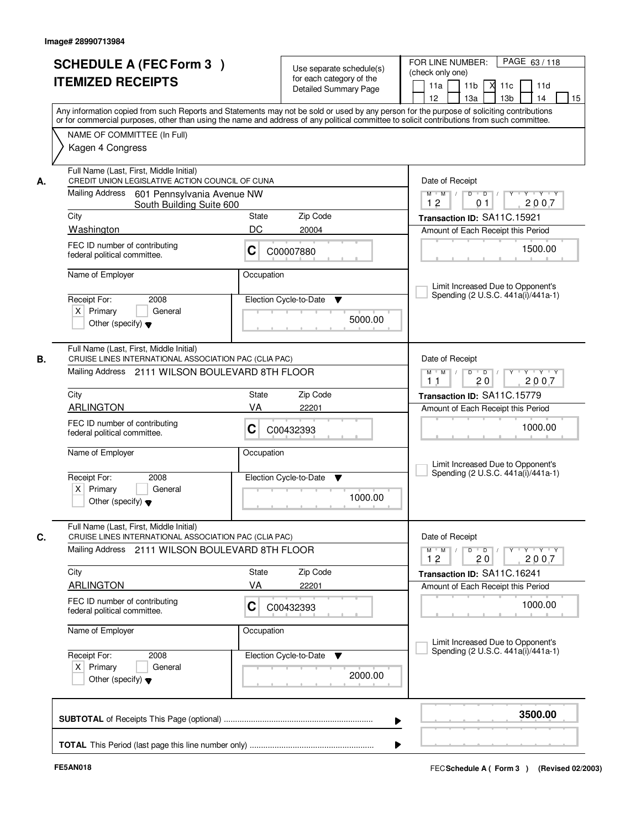| <b>SCHEDULE A (FEC Form 3)</b><br><b>ITEMIZED RECEIPTS</b>                                                                                                | Use separate schedule(s)<br>for each category of the<br><b>Detailed Summary Page</b><br>Any information copied from such Reports and Statements may not be sold or used by any person for the purpose of soliciting contributions | PAGE 63/118<br>FOR LINE NUMBER:<br>(check only one)<br>11 <sub>b</sub><br>11d<br>11a<br><b>X</b><br>11c<br>13 <sub>b</sub><br>14<br>12<br>13a<br>15 |
|-----------------------------------------------------------------------------------------------------------------------------------------------------------|-----------------------------------------------------------------------------------------------------------------------------------------------------------------------------------------------------------------------------------|-----------------------------------------------------------------------------------------------------------------------------------------------------|
| NAME OF COMMITTEE (In Full)<br>Kagen 4 Congress                                                                                                           | or for commercial purposes, other than using the name and address of any political committee to solicit contributions from such committee.                                                                                        |                                                                                                                                                     |
| Full Name (Last, First, Middle Initial)<br>CREDIT UNION LEGISLATIVE ACTION COUNCIL OF CUNA<br>А.<br>Mailing Address 601 Pennsylvania Avenue NW            |                                                                                                                                                                                                                                   | Date of Receipt<br>$Y$ $Y$ $Y$<br>$D$ $D$ $/$<br>$Y$ <sup>U</sup><br>$M$ $M$ /                                                                      |
| South Building Suite 600<br>City                                                                                                                          | Zip Code<br>State                                                                                                                                                                                                                 | 2007<br>12<br>01                                                                                                                                    |
| Washington                                                                                                                                                | DC<br>20004                                                                                                                                                                                                                       | Transaction ID: SA11C.15921<br>Amount of Each Receipt this Period                                                                                   |
| FEC ID number of contributing<br>federal political committee.                                                                                             | C<br>C00007880                                                                                                                                                                                                                    | 1500.00                                                                                                                                             |
| Name of Employer                                                                                                                                          | Occupation                                                                                                                                                                                                                        | Limit Increased Due to Opponent's<br>Spending (2 U.S.C. 441a(i)/441a-1)                                                                             |
| Receipt For:<br>2008<br>$X$ Primary<br>General<br>Other (specify) $\blacktriangledown$                                                                    | Election Cycle-to-Date<br>▼<br>5000.00                                                                                                                                                                                            |                                                                                                                                                     |
| Full Name (Last, First, Middle Initial)<br>CRUISE LINES INTERNATIONAL ASSOCIATION PAC (CLIA PAC)<br>В.<br>Mailing Address 2111 WILSON BOULEVARD 8TH FLOOR |                                                                                                                                                                                                                                   | Date of Receipt<br>$Y \vdash Y \vdash Y$<br>$M$ $M$ /<br>D<br>$\overline{D}$                                                                        |
|                                                                                                                                                           |                                                                                                                                                                                                                                   | 20<br>2007<br>11                                                                                                                                    |
| City                                                                                                                                                      | Zip Code<br>State                                                                                                                                                                                                                 | Transaction ID: SA11C.15779                                                                                                                         |
| <b>ARLINGTON</b><br>FEC ID number of contributing<br>federal political committee.                                                                         | VA<br>22201<br>С<br>C00432393                                                                                                                                                                                                     | Amount of Each Receipt this Period<br>1000.00                                                                                                       |
| Name of Employer                                                                                                                                          | Occupation                                                                                                                                                                                                                        | Limit Increased Due to Opponent's<br>Spending (2 U.S.C. 441a(i)/441a-1)                                                                             |
| Receipt For:<br>2008<br>$X$ Primary<br>General<br>Other (specify) $\blacktriangledown$                                                                    | Election Cycle-to-Date<br>▼<br>1000.00                                                                                                                                                                                            |                                                                                                                                                     |
| Full Name (Last, First, Middle Initial)<br>C.<br>CRUISE LINES INTERNATIONAL ASSOCIATION PAC (CLIA PAC)                                                    |                                                                                                                                                                                                                                   | Date of Receipt                                                                                                                                     |
| Mailing Address 2111 WILSON BOULEVARD 8TH FLOOR                                                                                                           |                                                                                                                                                                                                                                   | $M$ $M$ $M$<br>$D$ $D$ $/$<br>y y y y y y<br>2007<br>12<br>20                                                                                       |
| City                                                                                                                                                      | Zip Code<br>State                                                                                                                                                                                                                 | Transaction ID: SA11C.16241                                                                                                                         |
| <b>ARLINGTON</b>                                                                                                                                          | VA<br>22201                                                                                                                                                                                                                       | Amount of Each Receipt this Period                                                                                                                  |
| FEC ID number of contributing<br>federal political committee.                                                                                             | C<br>C00432393                                                                                                                                                                                                                    | 1000.00                                                                                                                                             |
| Name of Employer                                                                                                                                          | Occupation                                                                                                                                                                                                                        |                                                                                                                                                     |
| Receipt For:<br>2008<br>$X$ Primary<br>General<br>Other (specify) $\blacktriangledown$                                                                    | Election Cycle-to-Date<br>v<br>2000.00                                                                                                                                                                                            | Limit Increased Due to Opponent's<br>Spending (2 U.S.C. 441a(i)/441a-1)                                                                             |
|                                                                                                                                                           |                                                                                                                                                                                                                                   | 3500.00                                                                                                                                             |
|                                                                                                                                                           |                                                                                                                                                                                                                                   |                                                                                                                                                     |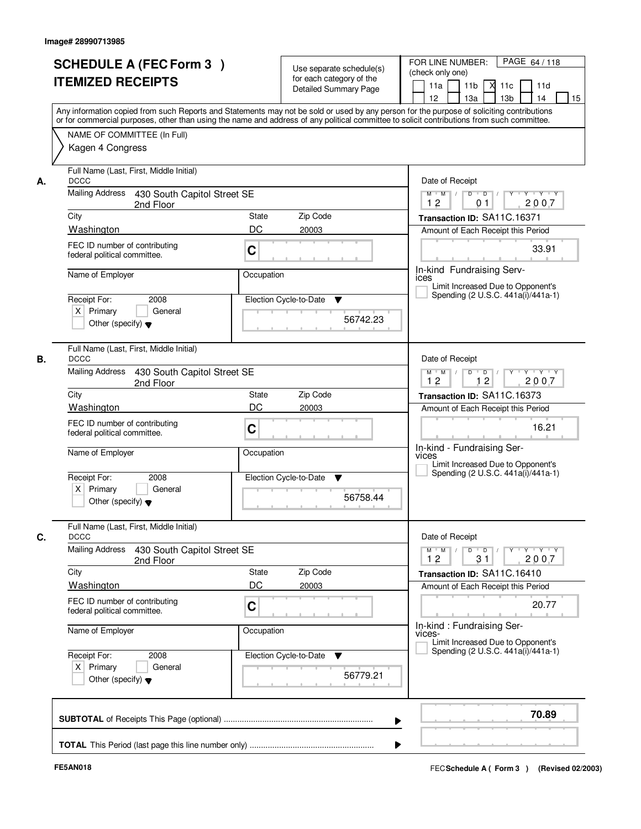| or for commercial purposes, other than using the name and address of any political committee to solicit contributions from such committee.<br>NAME OF COMMITTEE (In Full)<br>Kagen 4 Congress<br>Full Name (Last, First, Middle Initial)<br>Date of Receipt<br><b>DCCC</b><br>А.<br>Mailing Address 430 South Capitol Street SE<br>$M$ $M$ /<br>$D$ $D$ $/$<br>12<br>01<br>2nd Floor<br>City<br>State<br>Zip Code<br>Transaction ID: SA11C.16371<br>Washington<br>DC<br>20003<br>Amount of Each Receipt this Period<br>FEC ID number of contributing<br>C<br>federal political committee.<br>In-kind Fundraising Serv-<br>Name of Employer<br>Occupation<br><b>ICES</b><br>Limit Increased Due to Opponent's<br>Spending (2 U.S.C. 441a(i)/441a-1)<br>Receipt For:<br>Election Cycle-to-Date<br>2008<br>▼<br>$X$ Primary<br>General<br>56742.23<br>Other (specify) $\blacktriangledown$<br>Full Name (Last, First, Middle Initial)<br><b>DCCC</b><br>Date of Receipt<br>В.<br><b>Mailing Address</b><br>430 South Capitol Street SE<br>$M$ $M$ /<br>D<br>$\Box$ D $\Box$<br>12<br>12<br>2nd Floor<br>City<br>State<br>Zip Code<br>Transaction ID: SA11C.16373<br>DC<br>Washington<br>20003<br>Amount of Each Receipt this Period<br>FEC ID number of contributing<br>C<br>federal political committee.<br>In-kind - Fundraising Ser-<br>Name of Employer<br>Occupation<br>vices<br>Limit Increased Due to Opponent's<br>Spending (2 U.S.C. 441a(i)/441a-1)<br>Receipt For:<br>Election Cycle-to-Date<br>2008<br>v<br>$X$ Primary<br>General<br>56758.44<br>Other (specify) $\blacktriangledown$<br>Full Name (Last, First, Middle Initial)<br>C.<br><b>DCCC</b><br>Date of Receipt<br><b>Mailing Address</b><br>430 South Capitol Street SE<br>$M = M$<br>$D$ $D$ $l$<br>12<br>31<br>2nd Floor<br>Zip Code<br>City<br>State<br>Transaction ID: SA11C.16410<br>DC<br>Washington<br>20003<br>Amount of Each Receipt this Period<br>FEC ID number of contributing<br>C<br>federal political committee.<br>In-kind: Fundraising Ser-<br>Name of Employer<br>Occupation<br>VICES-<br>Limit Increased Due to Opponent's<br>Spending (2 U.S.C. 441a(i)/441a-1)<br>Receipt For:<br>Election Cycle-to-Date<br>2008<br>v<br>$X$ Primary<br>General<br>56779.21<br>Other (specify) $\blacktriangledown$ | PAGE 64/118<br>11c<br>11d<br>13 <sub>b</sub><br>14<br>15<br>Any information copied from such Reports and Statements may not be sold or used by any person for the purpose of soliciting contributions |
|----------------------------------------------------------------------------------------------------------------------------------------------------------------------------------------------------------------------------------------------------------------------------------------------------------------------------------------------------------------------------------------------------------------------------------------------------------------------------------------------------------------------------------------------------------------------------------------------------------------------------------------------------------------------------------------------------------------------------------------------------------------------------------------------------------------------------------------------------------------------------------------------------------------------------------------------------------------------------------------------------------------------------------------------------------------------------------------------------------------------------------------------------------------------------------------------------------------------------------------------------------------------------------------------------------------------------------------------------------------------------------------------------------------------------------------------------------------------------------------------------------------------------------------------------------------------------------------------------------------------------------------------------------------------------------------------------------------------------------------------------------------------------------------------------------------------------------------------------------------------------------------------------------------------------------------------------------------------------------------------------------------------------------------------------------------------------------------------------------------------------------------------------------------------------------------------------------------------------------------------------------------------------------------------|-------------------------------------------------------------------------------------------------------------------------------------------------------------------------------------------------------|
|                                                                                                                                                                                                                                                                                                                                                                                                                                                                                                                                                                                                                                                                                                                                                                                                                                                                                                                                                                                                                                                                                                                                                                                                                                                                                                                                                                                                                                                                                                                                                                                                                                                                                                                                                                                                                                                                                                                                                                                                                                                                                                                                                                                                                                                                                              |                                                                                                                                                                                                       |
|                                                                                                                                                                                                                                                                                                                                                                                                                                                                                                                                                                                                                                                                                                                                                                                                                                                                                                                                                                                                                                                                                                                                                                                                                                                                                                                                                                                                                                                                                                                                                                                                                                                                                                                                                                                                                                                                                                                                                                                                                                                                                                                                                                                                                                                                                              |                                                                                                                                                                                                       |
|                                                                                                                                                                                                                                                                                                                                                                                                                                                                                                                                                                                                                                                                                                                                                                                                                                                                                                                                                                                                                                                                                                                                                                                                                                                                                                                                                                                                                                                                                                                                                                                                                                                                                                                                                                                                                                                                                                                                                                                                                                                                                                                                                                                                                                                                                              | $Y + Y + Y$<br>$Y$ <sup>U</sup><br>2007                                                                                                                                                               |
|                                                                                                                                                                                                                                                                                                                                                                                                                                                                                                                                                                                                                                                                                                                                                                                                                                                                                                                                                                                                                                                                                                                                                                                                                                                                                                                                                                                                                                                                                                                                                                                                                                                                                                                                                                                                                                                                                                                                                                                                                                                                                                                                                                                                                                                                                              |                                                                                                                                                                                                       |
|                                                                                                                                                                                                                                                                                                                                                                                                                                                                                                                                                                                                                                                                                                                                                                                                                                                                                                                                                                                                                                                                                                                                                                                                                                                                                                                                                                                                                                                                                                                                                                                                                                                                                                                                                                                                                                                                                                                                                                                                                                                                                                                                                                                                                                                                                              |                                                                                                                                                                                                       |
|                                                                                                                                                                                                                                                                                                                                                                                                                                                                                                                                                                                                                                                                                                                                                                                                                                                                                                                                                                                                                                                                                                                                                                                                                                                                                                                                                                                                                                                                                                                                                                                                                                                                                                                                                                                                                                                                                                                                                                                                                                                                                                                                                                                                                                                                                              | 33.91                                                                                                                                                                                                 |
|                                                                                                                                                                                                                                                                                                                                                                                                                                                                                                                                                                                                                                                                                                                                                                                                                                                                                                                                                                                                                                                                                                                                                                                                                                                                                                                                                                                                                                                                                                                                                                                                                                                                                                                                                                                                                                                                                                                                                                                                                                                                                                                                                                                                                                                                                              |                                                                                                                                                                                                       |
|                                                                                                                                                                                                                                                                                                                                                                                                                                                                                                                                                                                                                                                                                                                                                                                                                                                                                                                                                                                                                                                                                                                                                                                                                                                                                                                                                                                                                                                                                                                                                                                                                                                                                                                                                                                                                                                                                                                                                                                                                                                                                                                                                                                                                                                                                              |                                                                                                                                                                                                       |
|                                                                                                                                                                                                                                                                                                                                                                                                                                                                                                                                                                                                                                                                                                                                                                                                                                                                                                                                                                                                                                                                                                                                                                                                                                                                                                                                                                                                                                                                                                                                                                                                                                                                                                                                                                                                                                                                                                                                                                                                                                                                                                                                                                                                                                                                                              |                                                                                                                                                                                                       |
|                                                                                                                                                                                                                                                                                                                                                                                                                                                                                                                                                                                                                                                                                                                                                                                                                                                                                                                                                                                                                                                                                                                                                                                                                                                                                                                                                                                                                                                                                                                                                                                                                                                                                                                                                                                                                                                                                                                                                                                                                                                                                                                                                                                                                                                                                              |                                                                                                                                                                                                       |
|                                                                                                                                                                                                                                                                                                                                                                                                                                                                                                                                                                                                                                                                                                                                                                                                                                                                                                                                                                                                                                                                                                                                                                                                                                                                                                                                                                                                                                                                                                                                                                                                                                                                                                                                                                                                                                                                                                                                                                                                                                                                                                                                                                                                                                                                                              | Y Y Y Y<br>$Y$ <sup>U</sup><br>2007                                                                                                                                                                   |
|                                                                                                                                                                                                                                                                                                                                                                                                                                                                                                                                                                                                                                                                                                                                                                                                                                                                                                                                                                                                                                                                                                                                                                                                                                                                                                                                                                                                                                                                                                                                                                                                                                                                                                                                                                                                                                                                                                                                                                                                                                                                                                                                                                                                                                                                                              |                                                                                                                                                                                                       |
|                                                                                                                                                                                                                                                                                                                                                                                                                                                                                                                                                                                                                                                                                                                                                                                                                                                                                                                                                                                                                                                                                                                                                                                                                                                                                                                                                                                                                                                                                                                                                                                                                                                                                                                                                                                                                                                                                                                                                                                                                                                                                                                                                                                                                                                                                              |                                                                                                                                                                                                       |
|                                                                                                                                                                                                                                                                                                                                                                                                                                                                                                                                                                                                                                                                                                                                                                                                                                                                                                                                                                                                                                                                                                                                                                                                                                                                                                                                                                                                                                                                                                                                                                                                                                                                                                                                                                                                                                                                                                                                                                                                                                                                                                                                                                                                                                                                                              | 16.21                                                                                                                                                                                                 |
|                                                                                                                                                                                                                                                                                                                                                                                                                                                                                                                                                                                                                                                                                                                                                                                                                                                                                                                                                                                                                                                                                                                                                                                                                                                                                                                                                                                                                                                                                                                                                                                                                                                                                                                                                                                                                                                                                                                                                                                                                                                                                                                                                                                                                                                                                              |                                                                                                                                                                                                       |
|                                                                                                                                                                                                                                                                                                                                                                                                                                                                                                                                                                                                                                                                                                                                                                                                                                                                                                                                                                                                                                                                                                                                                                                                                                                                                                                                                                                                                                                                                                                                                                                                                                                                                                                                                                                                                                                                                                                                                                                                                                                                                                                                                                                                                                                                                              |                                                                                                                                                                                                       |
|                                                                                                                                                                                                                                                                                                                                                                                                                                                                                                                                                                                                                                                                                                                                                                                                                                                                                                                                                                                                                                                                                                                                                                                                                                                                                                                                                                                                                                                                                                                                                                                                                                                                                                                                                                                                                                                                                                                                                                                                                                                                                                                                                                                                                                                                                              | $\mathsf{Y} \dashv \mathsf{Y} \dashv \mathsf{Y} \dashv \mathsf{Y}$<br>2007                                                                                                                            |
|                                                                                                                                                                                                                                                                                                                                                                                                                                                                                                                                                                                                                                                                                                                                                                                                                                                                                                                                                                                                                                                                                                                                                                                                                                                                                                                                                                                                                                                                                                                                                                                                                                                                                                                                                                                                                                                                                                                                                                                                                                                                                                                                                                                                                                                                                              |                                                                                                                                                                                                       |
|                                                                                                                                                                                                                                                                                                                                                                                                                                                                                                                                                                                                                                                                                                                                                                                                                                                                                                                                                                                                                                                                                                                                                                                                                                                                                                                                                                                                                                                                                                                                                                                                                                                                                                                                                                                                                                                                                                                                                                                                                                                                                                                                                                                                                                                                                              |                                                                                                                                                                                                       |
|                                                                                                                                                                                                                                                                                                                                                                                                                                                                                                                                                                                                                                                                                                                                                                                                                                                                                                                                                                                                                                                                                                                                                                                                                                                                                                                                                                                                                                                                                                                                                                                                                                                                                                                                                                                                                                                                                                                                                                                                                                                                                                                                                                                                                                                                                              | 20.77                                                                                                                                                                                                 |
|                                                                                                                                                                                                                                                                                                                                                                                                                                                                                                                                                                                                                                                                                                                                                                                                                                                                                                                                                                                                                                                                                                                                                                                                                                                                                                                                                                                                                                                                                                                                                                                                                                                                                                                                                                                                                                                                                                                                                                                                                                                                                                                                                                                                                                                                                              |                                                                                                                                                                                                       |
|                                                                                                                                                                                                                                                                                                                                                                                                                                                                                                                                                                                                                                                                                                                                                                                                                                                                                                                                                                                                                                                                                                                                                                                                                                                                                                                                                                                                                                                                                                                                                                                                                                                                                                                                                                                                                                                                                                                                                                                                                                                                                                                                                                                                                                                                                              |                                                                                                                                                                                                       |
|                                                                                                                                                                                                                                                                                                                                                                                                                                                                                                                                                                                                                                                                                                                                                                                                                                                                                                                                                                                                                                                                                                                                                                                                                                                                                                                                                                                                                                                                                                                                                                                                                                                                                                                                                                                                                                                                                                                                                                                                                                                                                                                                                                                                                                                                                              | 70.89                                                                                                                                                                                                 |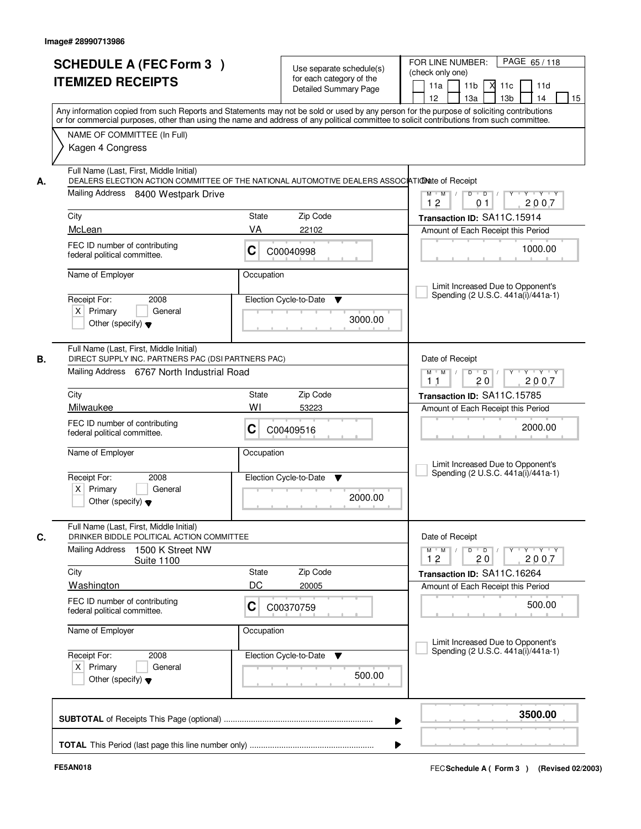|    | <b>SCHEDULE A (FEC Form 3)</b><br><b>ITEMIZED RECEIPTS</b>                                                                                                                                                                                                                              |                    | Use separate schedule(s)<br>for each category of the<br>Detailed Summary Page | PAGE 65/118<br>FOR LINE NUMBER:<br>(check only one)<br>11 <sub>b</sub><br>11a<br>м<br>11c<br>11d |
|----|-----------------------------------------------------------------------------------------------------------------------------------------------------------------------------------------------------------------------------------------------------------------------------------------|--------------------|-------------------------------------------------------------------------------|--------------------------------------------------------------------------------------------------|
|    | Any information copied from such Reports and Statements may not be sold or used by any person for the purpose of soliciting contributions<br>or for commercial purposes, other than using the name and address of any political committee to solicit contributions from such committee. |                    |                                                                               | 13 <sub>b</sub><br>12 <sup>2</sup><br>13a<br>14<br>15                                            |
|    | NAME OF COMMITTEE (In Full)<br>Kagen 4 Congress                                                                                                                                                                                                                                         |                    |                                                                               |                                                                                                  |
| А. | Full Name (Last, First, Middle Initial)<br>DEALERS ELECTION ACTION COMMITTEE OF THE NATIONAL AUTOMOTIVE DEALERS ASSOCIATIONate of Receipt<br>Mailing Address 8400 Westpark Drive                                                                                                        |                    |                                                                               | $D$ $D$ $I$<br>$\overline{\phantom{a}}$<br>$Y + Y + Y$<br>$M$ $M$ /                              |
|    |                                                                                                                                                                                                                                                                                         |                    |                                                                               | 12<br>2007<br>0 <sub>1</sub>                                                                     |
|    | City<br>McLean                                                                                                                                                                                                                                                                          | State<br>VA        | Zip Code<br>22102                                                             | Transaction ID: SA11C.15914                                                                      |
|    | FEC ID number of contributing<br>federal political committee.                                                                                                                                                                                                                           | C                  | C00040998                                                                     | Amount of Each Receipt this Period<br>1000.00                                                    |
|    | Name of Employer                                                                                                                                                                                                                                                                        | Occupation         |                                                                               | Limit Increased Due to Opponent's                                                                |
|    | Receipt For:<br>2008<br>$X$ Primary<br>General<br>Other (specify) $\blacktriangledown$                                                                                                                                                                                                  |                    | Election Cycle-to-Date<br>▼<br>3000.00                                        | Spending (2 U.S.C. 441a(i)/441a-1)                                                               |
| В. | Full Name (Last, First, Middle Initial)<br>DIRECT SUPPLY INC. PARTNERS PAC (DSI PARTNERS PAC)                                                                                                                                                                                           |                    |                                                                               | Date of Receipt                                                                                  |
|    | Mailing Address 6767 North Industrial Road                                                                                                                                                                                                                                              |                    |                                                                               | $Y \vdash Y \vdash Y$<br>$M$ $M$ /<br>D<br>$\overline{\phantom{0}}$<br>2007<br>20<br>11          |
|    | City                                                                                                                                                                                                                                                                                    | <b>State</b>       | Zip Code                                                                      | Transaction ID: SA11C.15785                                                                      |
|    | Milwaukee                                                                                                                                                                                                                                                                               | WI                 | 53223                                                                         | Amount of Each Receipt this Period                                                               |
|    | FEC ID number of contributing<br>federal political committee.                                                                                                                                                                                                                           | С                  | C00409516                                                                     | 2000.00                                                                                          |
|    | Name of Employer                                                                                                                                                                                                                                                                        | Occupation         |                                                                               | Limit Increased Due to Opponent's<br>Spending (2 U.S.C. 441a(i)/441a-1)                          |
|    | Receipt For:<br>2008<br>$X$ Primary<br>General<br>Other (specify) $\blacktriangledown$                                                                                                                                                                                                  |                    | Election Cycle-to-Date<br>▼<br>2000.00                                        |                                                                                                  |
|    | Full Name (Last, First, Middle Initial)<br>DRINKER BIDDLE POLITICAL ACTION COMMITTEE                                                                                                                                                                                                    |                    |                                                                               | Date of Receipt                                                                                  |
|    | <b>Mailing Address</b><br>1500 K Street NW<br><b>Suite 1100</b>                                                                                                                                                                                                                         |                    |                                                                               | D<br>$Y + Y + Y$<br>$M$ $M$ /<br>$\overline{D}$<br>Y<br>12<br>2007<br>20                         |
|    | City<br><b>Washington</b>                                                                                                                                                                                                                                                               | <b>State</b><br>DC | Zip Code<br>20005                                                             | Transaction ID: SA11C.16264<br>Amount of Each Receipt this Period                                |
|    | FEC ID number of contributing<br>federal political committee.                                                                                                                                                                                                                           | C                  | C00370759                                                                     | 500.00                                                                                           |
|    | Name of Employer                                                                                                                                                                                                                                                                        | Occupation         |                                                                               | Limit Increased Due to Opponent's                                                                |
|    | Receipt For:<br>2008<br>$X$ Primary<br>General<br>Other (specify) $\blacktriangledown$                                                                                                                                                                                                  |                    | Election Cycle-to-Date<br>v<br>500.00                                         | Spending (2 U.S.C. 441a(i)/441a-1)                                                               |
|    |                                                                                                                                                                                                                                                                                         |                    |                                                                               | 3500.00                                                                                          |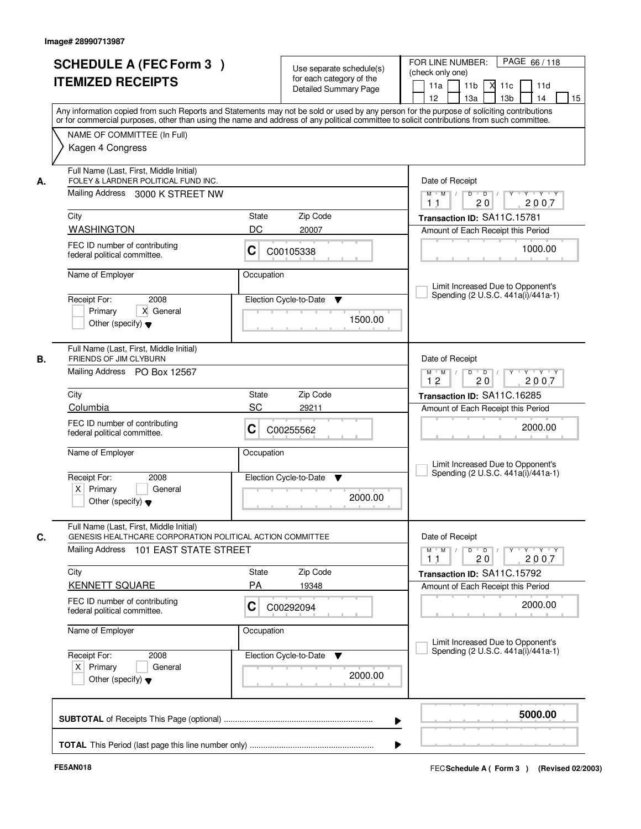|    | <b>SCHEDULE A (FEC Form 3)</b><br><b>ITEMIZED RECEIPTS</b>                                                                                                                                                                                                                                                             |                        | Use separate schedule(s)<br>for each category of the<br><b>Detailed Summary Page</b> | PAGE 66/118<br>FOR LINE NUMBER:<br>(check only one)<br>11a<br>11 <sub>b</sub><br>$X$ 11 $c$<br>11d<br>12<br>13a<br>13 <sub>b</sub><br>14<br>15 |
|----|------------------------------------------------------------------------------------------------------------------------------------------------------------------------------------------------------------------------------------------------------------------------------------------------------------------------|------------------------|--------------------------------------------------------------------------------------|------------------------------------------------------------------------------------------------------------------------------------------------|
|    | Any information copied from such Reports and Statements may not be sold or used by any person for the purpose of soliciting contributions<br>or for commercial purposes, other than using the name and address of any political committee to solicit contributions from such committee.<br>NAME OF COMMITTEE (In Full) |                        |                                                                                      |                                                                                                                                                |
|    | Kagen 4 Congress                                                                                                                                                                                                                                                                                                       |                        |                                                                                      |                                                                                                                                                |
| А. | Full Name (Last, First, Middle Initial)<br>FOLEY & LARDNER POLITICAL FUND INC.<br>Mailing Address 3000 K STREET NW                                                                                                                                                                                                     |                        |                                                                                      | Date of Receipt<br>$Y$ $Y$ $Y$<br>$\blacksquare$ $\blacksquare$ $\blacksquare$ $\blacksquare$<br>$M$ $M$ /<br>$\overline{D}$<br>Y              |
|    |                                                                                                                                                                                                                                                                                                                        |                        |                                                                                      | 2007<br>1 <sub>1</sub><br>20                                                                                                                   |
|    | City                                                                                                                                                                                                                                                                                                                   | State                  | Zip Code                                                                             | Transaction ID: SA11C.15781                                                                                                                    |
|    | <b>WASHINGTON</b><br>FEC ID number of contributing<br>federal political committee.                                                                                                                                                                                                                                     | DC<br>С                | 20007<br>C00105338                                                                   | Amount of Each Receipt this Period<br>1000.00                                                                                                  |
|    | Name of Employer                                                                                                                                                                                                                                                                                                       | Occupation             |                                                                                      | Limit Increased Due to Opponent's                                                                                                              |
|    | Receipt For:<br>2008<br>X General<br>Primary<br>Other (specify) $\blacktriangledown$                                                                                                                                                                                                                                   | Election Cycle-to-Date | ▼<br>1500.00                                                                         | Spending (2 U.S.C. 441a(i)/441a-1)                                                                                                             |
| В. | Full Name (Last, First, Middle Initial)<br>FRIENDS OF JIM CLYBURN<br>Mailing Address PO Box 12567                                                                                                                                                                                                                      |                        |                                                                                      | Date of Receipt<br>D<br>$Y - Y - Y - Y$<br>$M$ $M$ /<br>$\overline{D}$ /                                                                       |
|    |                                                                                                                                                                                                                                                                                                                        |                        |                                                                                      | 12<br>20<br>2007                                                                                                                               |
|    | City<br>Columbia                                                                                                                                                                                                                                                                                                       | State<br>SC            | Zip Code<br>29211                                                                    | Transaction ID: SA11C.16285                                                                                                                    |
|    | FEC ID number of contributing<br>federal political committee.                                                                                                                                                                                                                                                          | C                      | C00255562                                                                            | Amount of Each Receipt this Period<br>2000.00                                                                                                  |
|    | Name of Employer                                                                                                                                                                                                                                                                                                       | Occupation             |                                                                                      | Limit Increased Due to Opponent's                                                                                                              |
|    | Receipt For:<br>2008<br>$X$ Primary<br>General<br>Other (specify) $\blacktriangledown$                                                                                                                                                                                                                                 | Election Cycle-to-Date | v<br>2000.00                                                                         | Spending (2 U.S.C. 441a(i)/441a-1)                                                                                                             |
| C. | Full Name (Last, First, Middle Initial)<br>GENESIS HEALTHCARE CORPORATION POLITICAL ACTION COMMITTEE<br>Mailing Address<br>101 EAST STATE STREET                                                                                                                                                                       |                        |                                                                                      | Date of Receipt<br>$D$ $D$<br>Y Y Y Y<br>$M^+$ M<br>Y                                                                                          |
|    |                                                                                                                                                                                                                                                                                                                        |                        |                                                                                      | 2007<br>20<br>11                                                                                                                               |
|    | City<br><b>KENNETT SQUARE</b>                                                                                                                                                                                                                                                                                          | State<br>PA            | Zip Code<br>19348                                                                    | Transaction ID: SA11C.15792<br>Amount of Each Receipt this Period                                                                              |
|    | FEC ID number of contributing<br>federal political committee.                                                                                                                                                                                                                                                          | С                      | C00292094                                                                            | 2000.00                                                                                                                                        |
|    | Name of Employer                                                                                                                                                                                                                                                                                                       | Occupation             |                                                                                      | Limit Increased Due to Opponent's                                                                                                              |
|    | Receipt For:<br>2008<br>$X$ Primary<br>General<br>Other (specify) $\blacktriangledown$                                                                                                                                                                                                                                 | Election Cycle-to-Date | v<br>2000.00                                                                         | Spending (2 U.S.C. 441a(i)/441a-1)                                                                                                             |
|    |                                                                                                                                                                                                                                                                                                                        |                        |                                                                                      | 5000.00                                                                                                                                        |
|    |                                                                                                                                                                                                                                                                                                                        |                        |                                                                                      |                                                                                                                                                |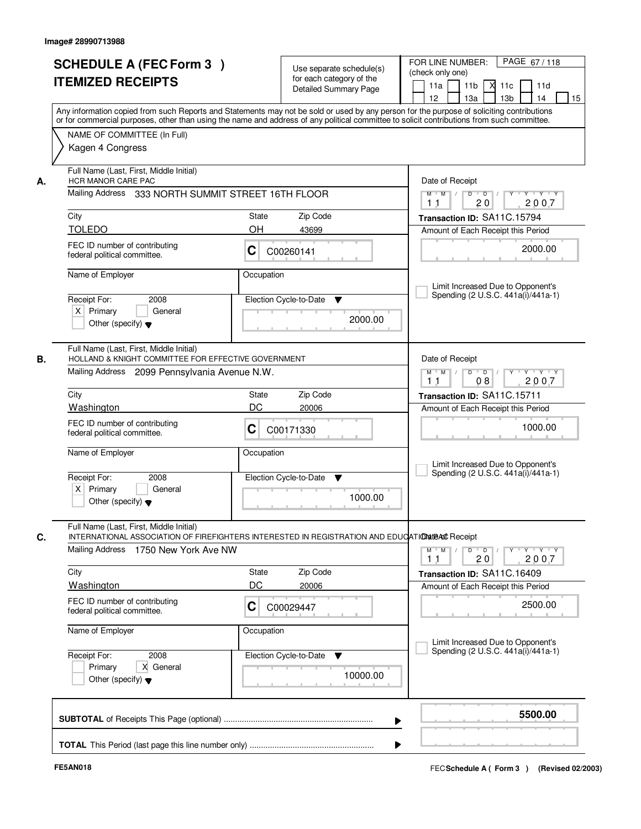| <b>SCHEDULE A (FEC Form 3)</b><br><b>ITEMIZED RECEIPTS</b>                                                                                                                                | Use separate schedule(s)<br>for each category of the<br><b>Detailed Summary Page</b>                                                                                                                                                                                                    | PAGE 67/118<br>FOR LINE NUMBER:<br>(check only one)<br>11 <sub>b</sub><br>11a<br>11c<br>11d<br>12<br>13 <sub>b</sub><br>15<br>13a<br>14                                           |
|-------------------------------------------------------------------------------------------------------------------------------------------------------------------------------------------|-----------------------------------------------------------------------------------------------------------------------------------------------------------------------------------------------------------------------------------------------------------------------------------------|-----------------------------------------------------------------------------------------------------------------------------------------------------------------------------------|
| NAME OF COMMITTEE (In Full)<br>Kagen 4 Congress                                                                                                                                           | Any information copied from such Reports and Statements may not be sold or used by any person for the purpose of soliciting contributions<br>or for commercial purposes, other than using the name and address of any political committee to solicit contributions from such committee. |                                                                                                                                                                                   |
| Full Name (Last, First, Middle Initial)<br>HCR MANOR CARE PAC<br>Mailing Address<br>City<br><b>TOLEDO</b><br>FEC ID number of contributing                                                | 333 NORTH SUMMIT STREET 16TH FLOOR<br>Zip Code<br>State<br>OH<br>43699                                                                                                                                                                                                                  | Date of Receipt<br>$Y + Y + Y$<br>$M$ $M$ /<br>$D$ $D$ $1$<br>$\overline{Y}$<br>2007<br>1 <sub>1</sub><br>20<br>Transaction ID: SA11C.15794<br>Amount of Each Receipt this Period |
| federal political committee.<br>Name of Employer<br>Receipt For:<br>2008<br>$X$ Primary<br>General<br>Other (specify) $\blacktriangledown$                                                | C<br>C00260141<br>Occupation<br>Election Cycle-to-Date<br>▼<br>2000.00                                                                                                                                                                                                                  | 2000.00<br>Limit Increased Due to Opponent's<br>Spending (2 U.S.C. 441a(i)/441a-1)                                                                                                |
| Full Name (Last, First, Middle Initial)<br>HOLLAND & KNIGHT COMMITTEE FOR EFFECTIVE GOVERNMENT<br>Mailing Address 2099 Pennsylvania Avenue N.W.<br>City                                   | Zip Code<br><b>State</b>                                                                                                                                                                                                                                                                | Date of Receipt<br>$\mathsf{Y} \dashv \mathsf{Y} \dashv \mathsf{Y}$<br>$M$ $M$ /<br>$D$ $D$ $/$<br>08<br>2007<br>11<br>Transaction ID: SA11C.15711                                |
| Washington<br>FEC ID number of contributing<br>federal political committee.<br>Name of Employer<br>Receipt For:<br>2008<br>$X$ Primary<br>General<br>Other (specify) $\blacktriangledown$ | DC<br>20006<br>С<br>C00171330<br>Occupation<br>Election Cycle-to-Date<br>▼<br>1000.00                                                                                                                                                                                                   | Amount of Each Receipt this Period<br>1000.00<br>Limit Increased Due to Opponent's<br>Spending (2 U.S.C. 441a(i)/441a-1)                                                          |
| Full Name (Last, First, Middle Initial)<br>Mailing Address<br>1750 New York Ave NW<br>City<br><b>Washington</b><br>FEC ID number of contributing<br>federal political committee.          | INTERNATIONAL ASSOCIATION OF FIREFIGHTERS INTERESTED IN REGISTRATION AND EDUCATION the Receipt<br>Zip Code<br>State<br>DC<br>20006<br>C<br>C00029447                                                                                                                                    | D<br>$M$ $M$ /<br>$\overline{D}$ /<br>$Y + Y + Y$<br>2007<br>20<br>11<br>Transaction ID: SA11C.16409<br>Amount of Each Receipt this Period<br>2500.00                             |
| Name of Employer<br>Receipt For:<br>2008<br>Primary<br>X General<br>Other (specify) $\blacktriangledown$                                                                                  | Occupation<br>Election Cycle-to-Date<br>v<br>10000.00                                                                                                                                                                                                                                   | Limit Increased Due to Opponent's<br>Spending (2 U.S.C. 441a(i)/441a-1)                                                                                                           |
|                                                                                                                                                                                           |                                                                                                                                                                                                                                                                                         | 5500.00<br>▶                                                                                                                                                                      |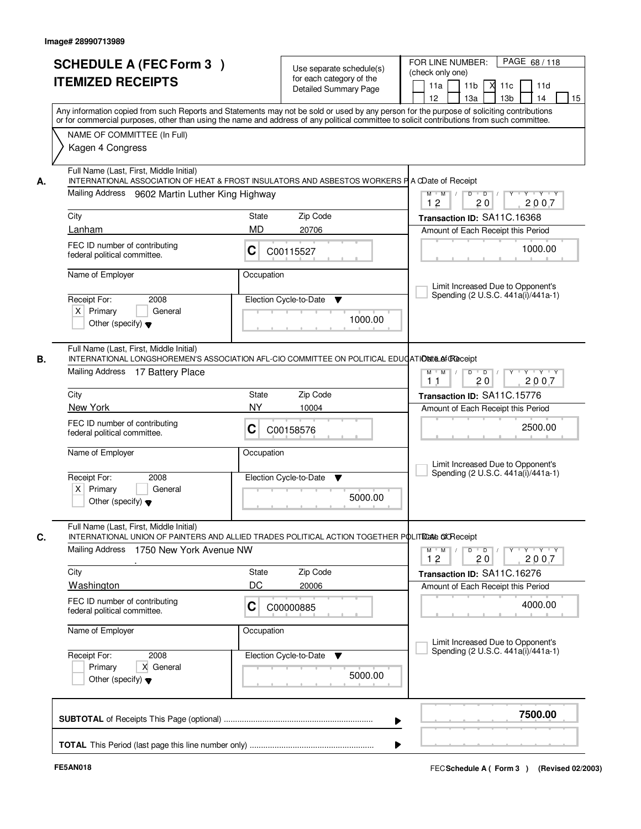|    | <b>SCHEDULE A (FEC Form 3)</b>                                                                                                                                                                                                                                                          |              | Use separate schedule(s)                          | PAGE 68 / 118<br>FOR LINE NUMBER:<br>(check only one)                                              |
|----|-----------------------------------------------------------------------------------------------------------------------------------------------------------------------------------------------------------------------------------------------------------------------------------------|--------------|---------------------------------------------------|----------------------------------------------------------------------------------------------------|
|    | <b>ITEMIZED RECEIPTS</b>                                                                                                                                                                                                                                                                |              | for each category of the<br>Detailed Summary Page | 11 <sub>b</sub><br>11a<br>м<br>11c<br>11d<br>13 <sub>b</sub><br>12 <sup>2</sup><br>13a<br>14<br>15 |
|    | Any information copied from such Reports and Statements may not be sold or used by any person for the purpose of soliciting contributions<br>or for commercial purposes, other than using the name and address of any political committee to solicit contributions from such committee. |              |                                                   |                                                                                                    |
|    | NAME OF COMMITTEE (In Full)<br>Kagen 4 Congress                                                                                                                                                                                                                                         |              |                                                   |                                                                                                    |
| А. | Full Name (Last, First, Middle Initial)<br>INTERNATIONAL ASSOCIATION OF HEAT & FROST INSULATORS AND ASBESTOS WORKERS P A CDate of Receipt                                                                                                                                               |              |                                                   |                                                                                                    |
|    | Mailing Address 9602 Martin Luther King Highway                                                                                                                                                                                                                                         |              |                                                   | $Y + Y + Y$<br>$M$ $M$ /<br>$D$ $D$ $/$<br>$\overline{Y}$<br>12<br>20<br>2007                      |
|    | City                                                                                                                                                                                                                                                                                    | State        | Zip Code                                          | Transaction ID: SA11C.16368                                                                        |
|    | Lanham                                                                                                                                                                                                                                                                                  | <b>MD</b>    | 20706                                             | Amount of Each Receipt this Period                                                                 |
|    | FEC ID number of contributing<br>federal political committee.                                                                                                                                                                                                                           | C            | C00115527                                         | 1000.00                                                                                            |
|    | Name of Employer                                                                                                                                                                                                                                                                        | Occupation   |                                                   |                                                                                                    |
|    |                                                                                                                                                                                                                                                                                         |              |                                                   | Limit Increased Due to Opponent's<br>Spending (2 U.S.C. 441a(i)/441a-1)                            |
|    | Receipt For:<br>2008<br>$X$ Primary<br>General                                                                                                                                                                                                                                          |              | Election Cycle-to-Date<br>▼                       |                                                                                                    |
|    | Other (specify) $\blacktriangledown$                                                                                                                                                                                                                                                    |              | 1000.00                                           |                                                                                                    |
| В. | Full Name (Last, First, Middle Initial)<br>INTERNATIONAL LONGSHOREMEN'S ASSOCIATION AFL-CIO COMMITTEE ON POLITICAL EDUCATIONIE Af @ Receipt                                                                                                                                             |              |                                                   |                                                                                                    |
|    | Mailing Address 17 Battery Place                                                                                                                                                                                                                                                        |              |                                                   | $Y - Y - Y$<br>$M$ M<br>D<br>$\overline{D}$<br>2007<br>20<br>11                                    |
|    | City                                                                                                                                                                                                                                                                                    | <b>State</b> | Zip Code                                          | Transaction ID: SA11C.15776                                                                        |
|    | New York                                                                                                                                                                                                                                                                                | <b>NY</b>    | 10004                                             | Amount of Each Receipt this Period                                                                 |
|    | FEC ID number of contributing<br>federal political committee.                                                                                                                                                                                                                           | C            | C00158576                                         | 2500.00                                                                                            |
|    | Name of Employer                                                                                                                                                                                                                                                                        | Occupation   |                                                   | Limit Increased Due to Opponent's                                                                  |
|    | Receipt For:<br>2008                                                                                                                                                                                                                                                                    |              | Election Cycle-to-Date<br>▼                       | Spending (2 U.S.C. 441a(i)/441a-1)                                                                 |
|    | $X$ Primary<br>General<br>Other (specify) $\blacktriangledown$                                                                                                                                                                                                                          |              | 5000.00                                           |                                                                                                    |
| C. | Full Name (Last, First, Middle Initial)<br>INTERNATIONAL UNION OF PAINTERS AND ALLIED TRADES POLITICAL ACTION TOGETHER POLITIDALE OF RECEIPT                                                                                                                                            |              |                                                   |                                                                                                    |
|    | Mailing Address<br>1750 New York Avenue NW                                                                                                                                                                                                                                              |              |                                                   | $D$ $D$ $/$<br>$M$ $M$ /<br>$Y \dashv Y \dashv Y$<br>Y<br>12<br>2007<br>20                         |
|    | City                                                                                                                                                                                                                                                                                    | <b>State</b> | Zip Code                                          | Transaction ID: SA11C.16276                                                                        |
|    | <b>Washington</b>                                                                                                                                                                                                                                                                       | DC           | 20006                                             | Amount of Each Receipt this Period                                                                 |
|    | FEC ID number of contributing<br>federal political committee.                                                                                                                                                                                                                           | C            | C00000885                                         | 4000.00                                                                                            |
|    | Name of Employer                                                                                                                                                                                                                                                                        | Occupation   |                                                   | Limit Increased Due to Opponent's                                                                  |
|    | Receipt For:<br>2008                                                                                                                                                                                                                                                                    |              | Election Cycle-to-Date<br>v                       | Spending (2 U.S.C. 441a(i)/441a-1)                                                                 |
|    | X General<br>Primary<br>Other (specify) $\blacktriangledown$                                                                                                                                                                                                                            |              | 5000.00                                           |                                                                                                    |
|    |                                                                                                                                                                                                                                                                                         |              |                                                   | 7500.00                                                                                            |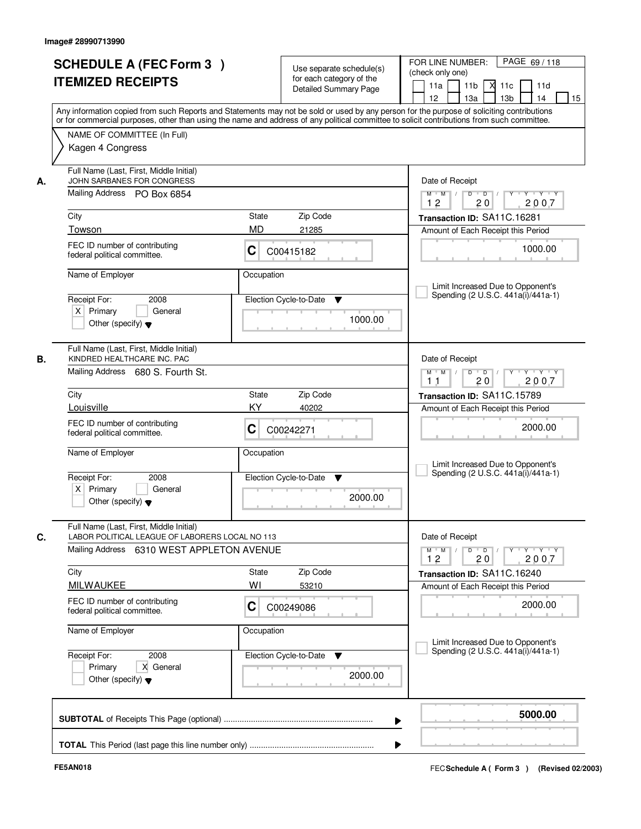|    | <b>SCHEDULE A (FEC Form 3)</b><br><b>ITEMIZED RECEIPTS</b>                                                                              | Use separate schedule(s)<br>for each category of the<br><b>Detailed Summary Page</b><br>Any information copied from such Reports and Statements may not be sold or used by any person for the purpose of soliciting contributions | PAGE 69/118<br>FOR LINE NUMBER:<br>(check only one)<br>11 <sub>b</sub><br>$X$ 11 $c$<br>11a<br>11d<br>12<br>13a<br>13 <sub>b</sub><br>14<br>15 |
|----|-----------------------------------------------------------------------------------------------------------------------------------------|-----------------------------------------------------------------------------------------------------------------------------------------------------------------------------------------------------------------------------------|------------------------------------------------------------------------------------------------------------------------------------------------|
|    | NAME OF COMMITTEE (In Full)<br>Kagen 4 Congress                                                                                         | or for commercial purposes, other than using the name and address of any political committee to solicit contributions from such committee.                                                                                        |                                                                                                                                                |
| А. | Full Name (Last, First, Middle Initial)<br>JOHN SARBANES FOR CONGRESS<br>Mailing Address PO Box 6854                                    |                                                                                                                                                                                                                                   | Date of Receipt<br>$Y$ $Y$ $Y$<br>$\blacksquare$ $\blacksquare$ $\blacksquare$ $\blacksquare$ $\blacksquare$<br>Y<br>$M$ $M$ /<br>D            |
|    | City<br>Towson                                                                                                                          | State<br>Zip Code<br><b>MD</b><br>21285                                                                                                                                                                                           | 2007<br>12<br>20<br>Transaction ID: SA11C.16281<br>Amount of Each Receipt this Period                                                          |
|    | FEC ID number of contributing<br>federal political committee.                                                                           | С<br>C00415182                                                                                                                                                                                                                    | 1000.00                                                                                                                                        |
|    | Name of Employer<br>2008<br>Receipt For:<br>$X$ Primary<br>General<br>Other (specify) $\blacktriangledown$                              | Occupation<br>Election Cycle-to-Date<br>▼<br>1000.00                                                                                                                                                                              | Limit Increased Due to Opponent's<br>Spending (2 U.S.C. 441a(i)/441a-1)                                                                        |
| В. | Full Name (Last, First, Middle Initial)<br>KINDRED HEALTHCARE INC. PAC<br>Mailing Address 680 S. Fourth St.                             |                                                                                                                                                                                                                                   | Date of Receipt<br>$D$ $D$ $/$<br>$Y$ <sup>U</sup><br>Y 'Y 'Y<br>$M$ $M$ /<br>20<br>2007<br>1 <sub>1</sub>                                     |
|    | City                                                                                                                                    | Zip Code<br>State                                                                                                                                                                                                                 | Transaction ID: SA11C.15789                                                                                                                    |
|    | Louisville<br>FEC ID number of contributing<br>federal political committee.                                                             | KY<br>40202<br>C<br>C00242271                                                                                                                                                                                                     | Amount of Each Receipt this Period<br>2000.00                                                                                                  |
|    | Name of Employer<br>Receipt For:<br>2008<br>$X$ Primary<br>General<br>Other (specify) $\blacktriangledown$                              | Occupation<br>Election Cycle-to-Date<br>▼<br>2000.00                                                                                                                                                                              | Limit Increased Due to Opponent's<br>Spending (2 U.S.C. 441a(i)/441a-1)                                                                        |
| C. | Full Name (Last, First, Middle Initial)<br>LABOR POLITICAL LEAGUE OF LABORERS LOCAL NO 113<br>Mailing Address 6310 WEST APPLETON AVENUE |                                                                                                                                                                                                                                   | Date of Receipt<br>$D$ $D$ $/$<br>$Y - Y - Y$<br>$M$ M<br>$\sqrt{ }$<br>$Y$ <sup>-1</sup>                                                      |
|    | City                                                                                                                                    | Zip Code<br>State                                                                                                                                                                                                                 | 2007<br>12<br>20                                                                                                                               |
|    | <b>MILWAUKEE</b>                                                                                                                        | WI<br>53210                                                                                                                                                                                                                       | Transaction ID: SA11C.16240<br>Amount of Each Receipt this Period                                                                              |
|    | FEC ID number of contributing<br>federal political committee.                                                                           | С<br>C00249086                                                                                                                                                                                                                    | 2000.00                                                                                                                                        |
|    | Name of Employer                                                                                                                        | Occupation                                                                                                                                                                                                                        | Limit Increased Due to Opponent's                                                                                                              |
|    | Receipt For:<br>2008<br>X General<br>Primary<br>Other (specify) $\blacktriangledown$                                                    | Election Cycle-to-Date<br>v<br>2000.00                                                                                                                                                                                            | Spending (2 U.S.C. 441a(i)/441a-1)                                                                                                             |
|    |                                                                                                                                         | ▶                                                                                                                                                                                                                                 | 5000.00                                                                                                                                        |
|    |                                                                                                                                         |                                                                                                                                                                                                                                   |                                                                                                                                                |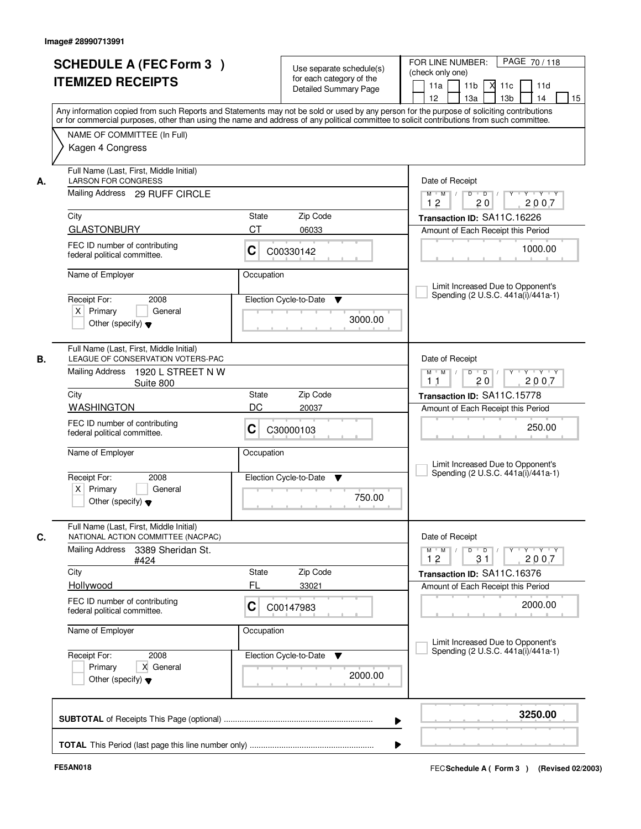| <b>SCHEDULE A (FEC Form 3)</b><br><b>ITEMIZED RECEIPTS</b><br>NAME OF COMMITTEE (In Full)<br>Kagen 4 Congress<br>Full Name (Last, First, Middle Initial)<br><b>LARSON FOR CONGRESS</b><br>А.<br>Mailing Address 29 RUFF CIRCLE<br>City<br><b>GLASTONBURY</b><br>FEC ID number of contributing<br>federal political committee.<br>Name of Employer<br>2008<br>Receipt For:<br>$X$ Primary<br>Other (specify) $\blacktriangledown$<br>Full Name (Last, First, Middle Initial)<br>LEAGUE OF CONSERVATION VOTERS-PAC<br>В.<br>Mailing Address<br>Suite 800<br>City<br><b>WASHINGTON</b><br>FEC ID number of contributing<br>federal political committee.<br>Name of Employer<br>Receipt For:<br>2008<br>$X$ Primary<br>Other (specify) $\blacktriangledown$<br>Full Name (Last, First, Middle Initial)<br>C.<br>NATIONAL ACTION COMMITTEE (NACPAC)<br>Mailing Address<br>3389 Sheridan St.<br>#424 | State<br><b>CT</b><br>С<br>Occupation<br>General<br>1920 L STREET N W<br>State<br>DC | Use separate schedule(s)<br>for each category of the<br><b>Detailed Summary Page</b><br>Zip Code<br>06033<br>C00330142<br>Election Cycle-to-Date<br>▼<br>3000.00<br>Zip Code<br>20037 | PAGE 70/118<br>FOR LINE NUMBER:<br>(check only one)<br>11 <sub>b</sub><br>$X$ 11 $c$<br>11a<br>11d<br>12 <sup>2</sup><br>13a<br>13 <sub>b</sub><br>14<br>15<br>Any information copied from such Reports and Statements may not be sold or used by any person for the purpose of soliciting contributions<br>or for commercial purposes, other than using the name and address of any political committee to solicit contributions from such committee.<br>Date of Receipt<br>$Y$ $Y$ $Y$<br>$\blacksquare$ $\blacksquare$ $\blacksquare$ $\blacksquare$ $\blacksquare$<br>Y<br>$M$ $M$ /<br>D<br>2007<br>12<br>20<br>Transaction ID: SA11C.16226<br>Amount of Each Receipt this Period<br>1000.00<br>Limit Increased Due to Opponent's<br>Spending (2 U.S.C. 441a(i)/441a-1)<br>Date of Receipt<br>$M$ $M$ /<br>$D$ $D$ $/$<br>YU YU YU Y<br>20<br>2007<br>1 <sub>1</sub><br>Transaction ID: SA11C.15778<br>Amount of Each Receipt this Period<br>250.00 |
|------------------------------------------------------------------------------------------------------------------------------------------------------------------------------------------------------------------------------------------------------------------------------------------------------------------------------------------------------------------------------------------------------------------------------------------------------------------------------------------------------------------------------------------------------------------------------------------------------------------------------------------------------------------------------------------------------------------------------------------------------------------------------------------------------------------------------------------------------------------------------------------------|--------------------------------------------------------------------------------------|---------------------------------------------------------------------------------------------------------------------------------------------------------------------------------------|----------------------------------------------------------------------------------------------------------------------------------------------------------------------------------------------------------------------------------------------------------------------------------------------------------------------------------------------------------------------------------------------------------------------------------------------------------------------------------------------------------------------------------------------------------------------------------------------------------------------------------------------------------------------------------------------------------------------------------------------------------------------------------------------------------------------------------------------------------------------------------------------------------------------------------------------------------|
|                                                                                                                                                                                                                                                                                                                                                                                                                                                                                                                                                                                                                                                                                                                                                                                                                                                                                                |                                                                                      |                                                                                                                                                                                       |                                                                                                                                                                                                                                                                                                                                                                                                                                                                                                                                                                                                                                                                                                                                                                                                                                                                                                                                                          |
|                                                                                                                                                                                                                                                                                                                                                                                                                                                                                                                                                                                                                                                                                                                                                                                                                                                                                                |                                                                                      |                                                                                                                                                                                       |                                                                                                                                                                                                                                                                                                                                                                                                                                                                                                                                                                                                                                                                                                                                                                                                                                                                                                                                                          |
|                                                                                                                                                                                                                                                                                                                                                                                                                                                                                                                                                                                                                                                                                                                                                                                                                                                                                                |                                                                                      |                                                                                                                                                                                       |                                                                                                                                                                                                                                                                                                                                                                                                                                                                                                                                                                                                                                                                                                                                                                                                                                                                                                                                                          |
|                                                                                                                                                                                                                                                                                                                                                                                                                                                                                                                                                                                                                                                                                                                                                                                                                                                                                                |                                                                                      |                                                                                                                                                                                       |                                                                                                                                                                                                                                                                                                                                                                                                                                                                                                                                                                                                                                                                                                                                                                                                                                                                                                                                                          |
|                                                                                                                                                                                                                                                                                                                                                                                                                                                                                                                                                                                                                                                                                                                                                                                                                                                                                                |                                                                                      |                                                                                                                                                                                       |                                                                                                                                                                                                                                                                                                                                                                                                                                                                                                                                                                                                                                                                                                                                                                                                                                                                                                                                                          |
|                                                                                                                                                                                                                                                                                                                                                                                                                                                                                                                                                                                                                                                                                                                                                                                                                                                                                                |                                                                                      |                                                                                                                                                                                       |                                                                                                                                                                                                                                                                                                                                                                                                                                                                                                                                                                                                                                                                                                                                                                                                                                                                                                                                                          |
|                                                                                                                                                                                                                                                                                                                                                                                                                                                                                                                                                                                                                                                                                                                                                                                                                                                                                                |                                                                                      |                                                                                                                                                                                       |                                                                                                                                                                                                                                                                                                                                                                                                                                                                                                                                                                                                                                                                                                                                                                                                                                                                                                                                                          |
|                                                                                                                                                                                                                                                                                                                                                                                                                                                                                                                                                                                                                                                                                                                                                                                                                                                                                                |                                                                                      |                                                                                                                                                                                       |                                                                                                                                                                                                                                                                                                                                                                                                                                                                                                                                                                                                                                                                                                                                                                                                                                                                                                                                                          |
|                                                                                                                                                                                                                                                                                                                                                                                                                                                                                                                                                                                                                                                                                                                                                                                                                                                                                                |                                                                                      |                                                                                                                                                                                       |                                                                                                                                                                                                                                                                                                                                                                                                                                                                                                                                                                                                                                                                                                                                                                                                                                                                                                                                                          |
|                                                                                                                                                                                                                                                                                                                                                                                                                                                                                                                                                                                                                                                                                                                                                                                                                                                                                                |                                                                                      |                                                                                                                                                                                       |                                                                                                                                                                                                                                                                                                                                                                                                                                                                                                                                                                                                                                                                                                                                                                                                                                                                                                                                                          |
|                                                                                                                                                                                                                                                                                                                                                                                                                                                                                                                                                                                                                                                                                                                                                                                                                                                                                                |                                                                                      |                                                                                                                                                                                       |                                                                                                                                                                                                                                                                                                                                                                                                                                                                                                                                                                                                                                                                                                                                                                                                                                                                                                                                                          |
|                                                                                                                                                                                                                                                                                                                                                                                                                                                                                                                                                                                                                                                                                                                                                                                                                                                                                                |                                                                                      |                                                                                                                                                                                       |                                                                                                                                                                                                                                                                                                                                                                                                                                                                                                                                                                                                                                                                                                                                                                                                                                                                                                                                                          |
|                                                                                                                                                                                                                                                                                                                                                                                                                                                                                                                                                                                                                                                                                                                                                                                                                                                                                                |                                                                                      |                                                                                                                                                                                       |                                                                                                                                                                                                                                                                                                                                                                                                                                                                                                                                                                                                                                                                                                                                                                                                                                                                                                                                                          |
|                                                                                                                                                                                                                                                                                                                                                                                                                                                                                                                                                                                                                                                                                                                                                                                                                                                                                                |                                                                                      |                                                                                                                                                                                       |                                                                                                                                                                                                                                                                                                                                                                                                                                                                                                                                                                                                                                                                                                                                                                                                                                                                                                                                                          |
|                                                                                                                                                                                                                                                                                                                                                                                                                                                                                                                                                                                                                                                                                                                                                                                                                                                                                                |                                                                                      |                                                                                                                                                                                       |                                                                                                                                                                                                                                                                                                                                                                                                                                                                                                                                                                                                                                                                                                                                                                                                                                                                                                                                                          |
|                                                                                                                                                                                                                                                                                                                                                                                                                                                                                                                                                                                                                                                                                                                                                                                                                                                                                                |                                                                                      |                                                                                                                                                                                       |                                                                                                                                                                                                                                                                                                                                                                                                                                                                                                                                                                                                                                                                                                                                                                                                                                                                                                                                                          |
|                                                                                                                                                                                                                                                                                                                                                                                                                                                                                                                                                                                                                                                                                                                                                                                                                                                                                                |                                                                                      |                                                                                                                                                                                       |                                                                                                                                                                                                                                                                                                                                                                                                                                                                                                                                                                                                                                                                                                                                                                                                                                                                                                                                                          |
|                                                                                                                                                                                                                                                                                                                                                                                                                                                                                                                                                                                                                                                                                                                                                                                                                                                                                                |                                                                                      |                                                                                                                                                                                       |                                                                                                                                                                                                                                                                                                                                                                                                                                                                                                                                                                                                                                                                                                                                                                                                                                                                                                                                                          |
|                                                                                                                                                                                                                                                                                                                                                                                                                                                                                                                                                                                                                                                                                                                                                                                                                                                                                                |                                                                                      |                                                                                                                                                                                       |                                                                                                                                                                                                                                                                                                                                                                                                                                                                                                                                                                                                                                                                                                                                                                                                                                                                                                                                                          |
|                                                                                                                                                                                                                                                                                                                                                                                                                                                                                                                                                                                                                                                                                                                                                                                                                                                                                                |                                                                                      |                                                                                                                                                                                       |                                                                                                                                                                                                                                                                                                                                                                                                                                                                                                                                                                                                                                                                                                                                                                                                                                                                                                                                                          |
|                                                                                                                                                                                                                                                                                                                                                                                                                                                                                                                                                                                                                                                                                                                                                                                                                                                                                                |                                                                                      |                                                                                                                                                                                       |                                                                                                                                                                                                                                                                                                                                                                                                                                                                                                                                                                                                                                                                                                                                                                                                                                                                                                                                                          |
|                                                                                                                                                                                                                                                                                                                                                                                                                                                                                                                                                                                                                                                                                                                                                                                                                                                                                                |                                                                                      |                                                                                                                                                                                       |                                                                                                                                                                                                                                                                                                                                                                                                                                                                                                                                                                                                                                                                                                                                                                                                                                                                                                                                                          |
|                                                                                                                                                                                                                                                                                                                                                                                                                                                                                                                                                                                                                                                                                                                                                                                                                                                                                                | C                                                                                    | C30000103                                                                                                                                                                             |                                                                                                                                                                                                                                                                                                                                                                                                                                                                                                                                                                                                                                                                                                                                                                                                                                                                                                                                                          |
|                                                                                                                                                                                                                                                                                                                                                                                                                                                                                                                                                                                                                                                                                                                                                                                                                                                                                                | Occupation                                                                           |                                                                                                                                                                                       | Limit Increased Due to Opponent's                                                                                                                                                                                                                                                                                                                                                                                                                                                                                                                                                                                                                                                                                                                                                                                                                                                                                                                        |
|                                                                                                                                                                                                                                                                                                                                                                                                                                                                                                                                                                                                                                                                                                                                                                                                                                                                                                |                                                                                      | Election Cycle-to-Date<br>▼                                                                                                                                                           | Spending (2 U.S.C. 441a(i)/441a-1)                                                                                                                                                                                                                                                                                                                                                                                                                                                                                                                                                                                                                                                                                                                                                                                                                                                                                                                       |
|                                                                                                                                                                                                                                                                                                                                                                                                                                                                                                                                                                                                                                                                                                                                                                                                                                                                                                | General                                                                              |                                                                                                                                                                                       |                                                                                                                                                                                                                                                                                                                                                                                                                                                                                                                                                                                                                                                                                                                                                                                                                                                                                                                                                          |
|                                                                                                                                                                                                                                                                                                                                                                                                                                                                                                                                                                                                                                                                                                                                                                                                                                                                                                |                                                                                      | 750.00                                                                                                                                                                                |                                                                                                                                                                                                                                                                                                                                                                                                                                                                                                                                                                                                                                                                                                                                                                                                                                                                                                                                                          |
|                                                                                                                                                                                                                                                                                                                                                                                                                                                                                                                                                                                                                                                                                                                                                                                                                                                                                                |                                                                                      |                                                                                                                                                                                       | Date of Receipt                                                                                                                                                                                                                                                                                                                                                                                                                                                                                                                                                                                                                                                                                                                                                                                                                                                                                                                                          |
|                                                                                                                                                                                                                                                                                                                                                                                                                                                                                                                                                                                                                                                                                                                                                                                                                                                                                                |                                                                                      |                                                                                                                                                                                       | $M$ M<br>$D$ $D$ $/$<br>$Y - Y - Y - Y$<br>$\sqrt{ }$<br>$Y$ <sup><math>\top</math></sup>                                                                                                                                                                                                                                                                                                                                                                                                                                                                                                                                                                                                                                                                                                                                                                                                                                                                |
|                                                                                                                                                                                                                                                                                                                                                                                                                                                                                                                                                                                                                                                                                                                                                                                                                                                                                                |                                                                                      |                                                                                                                                                                                       | 2007<br>12<br>31                                                                                                                                                                                                                                                                                                                                                                                                                                                                                                                                                                                                                                                                                                                                                                                                                                                                                                                                         |
| City                                                                                                                                                                                                                                                                                                                                                                                                                                                                                                                                                                                                                                                                                                                                                                                                                                                                                           | State                                                                                | Zip Code                                                                                                                                                                              | Transaction ID: SA11C.16376                                                                                                                                                                                                                                                                                                                                                                                                                                                                                                                                                                                                                                                                                                                                                                                                                                                                                                                              |
| Hollywood                                                                                                                                                                                                                                                                                                                                                                                                                                                                                                                                                                                                                                                                                                                                                                                                                                                                                      | FL                                                                                   | 33021                                                                                                                                                                                 | Amount of Each Receipt this Period                                                                                                                                                                                                                                                                                                                                                                                                                                                                                                                                                                                                                                                                                                                                                                                                                                                                                                                       |
| FEC ID number of contributing<br>federal political committee.                                                                                                                                                                                                                                                                                                                                                                                                                                                                                                                                                                                                                                                                                                                                                                                                                                  | C                                                                                    | C00147983                                                                                                                                                                             | 2000.00                                                                                                                                                                                                                                                                                                                                                                                                                                                                                                                                                                                                                                                                                                                                                                                                                                                                                                                                                  |
| Name of Employer                                                                                                                                                                                                                                                                                                                                                                                                                                                                                                                                                                                                                                                                                                                                                                                                                                                                               | Occupation                                                                           |                                                                                                                                                                                       |                                                                                                                                                                                                                                                                                                                                                                                                                                                                                                                                                                                                                                                                                                                                                                                                                                                                                                                                                          |
|                                                                                                                                                                                                                                                                                                                                                                                                                                                                                                                                                                                                                                                                                                                                                                                                                                                                                                |                                                                                      |                                                                                                                                                                                       | Limit Increased Due to Opponent's<br>Spending (2 U.S.C. 441a(i)/441a-1)                                                                                                                                                                                                                                                                                                                                                                                                                                                                                                                                                                                                                                                                                                                                                                                                                                                                                  |
| Receipt For:<br>2008<br>Primary<br>X General                                                                                                                                                                                                                                                                                                                                                                                                                                                                                                                                                                                                                                                                                                                                                                                                                                                   |                                                                                      | Election Cycle-to-Date<br>v                                                                                                                                                           |                                                                                                                                                                                                                                                                                                                                                                                                                                                                                                                                                                                                                                                                                                                                                                                                                                                                                                                                                          |
| Other (specify) $\blacktriangledown$                                                                                                                                                                                                                                                                                                                                                                                                                                                                                                                                                                                                                                                                                                                                                                                                                                                           |                                                                                      | 2000.00                                                                                                                                                                               |                                                                                                                                                                                                                                                                                                                                                                                                                                                                                                                                                                                                                                                                                                                                                                                                                                                                                                                                                          |
|                                                                                                                                                                                                                                                                                                                                                                                                                                                                                                                                                                                                                                                                                                                                                                                                                                                                                                |                                                                                      |                                                                                                                                                                                       |                                                                                                                                                                                                                                                                                                                                                                                                                                                                                                                                                                                                                                                                                                                                                                                                                                                                                                                                                          |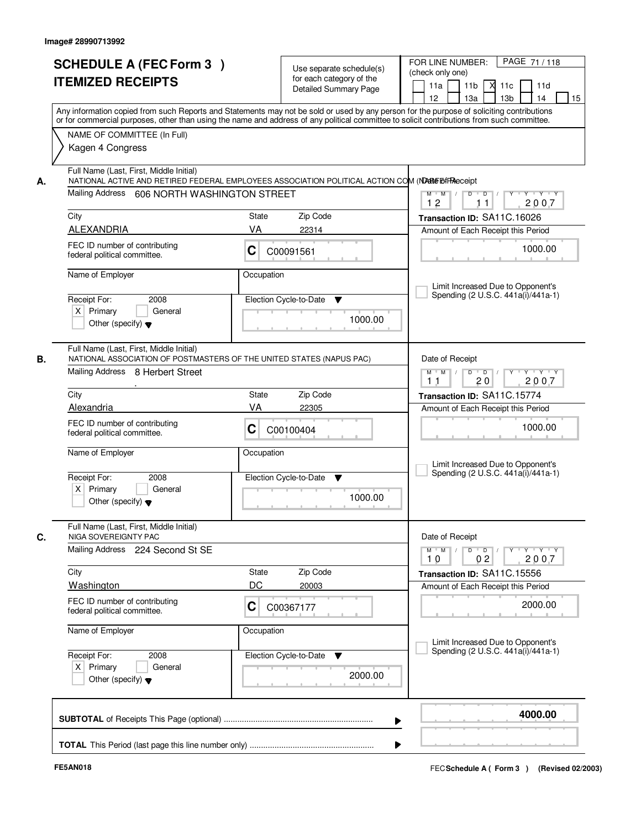| <b>SCHEDULE A (FEC Form 3)</b><br><b>ITEMIZED RECEIPTS</b>                                                | Use separate schedule(s)<br>for each category of the<br>Detailed Summary Page                                                                                                                                                                                                           | PAGE 71/118<br>FOR LINE NUMBER:<br>(check only one)<br>11 <sub>b</sub><br>11a<br>м<br>11c<br>11d<br>13 <sub>b</sub><br>12 <sup>2</sup><br>13a<br>14<br>15                                                                                                                                                                                                                                                                        |
|-----------------------------------------------------------------------------------------------------------|-----------------------------------------------------------------------------------------------------------------------------------------------------------------------------------------------------------------------------------------------------------------------------------------|----------------------------------------------------------------------------------------------------------------------------------------------------------------------------------------------------------------------------------------------------------------------------------------------------------------------------------------------------------------------------------------------------------------------------------|
|                                                                                                           | Any information copied from such Reports and Statements may not be sold or used by any person for the purpose of soliciting contributions<br>or for commercial purposes, other than using the name and address of any political committee to solicit contributions from such committee. |                                                                                                                                                                                                                                                                                                                                                                                                                                  |
| NAME OF COMMITTEE (In Full)<br>Kagen 4 Congress                                                           |                                                                                                                                                                                                                                                                                         |                                                                                                                                                                                                                                                                                                                                                                                                                                  |
| Full Name (Last, First, Middle Initial)<br>А.<br>Mailing Address 606 NORTH WASHINGTON STREET              | NATIONAL ACTIVE AND RETIRED FEDERAL EMPLOYEES ASSOCIATION POLITICAL ACTION COM (NDARE BIFReceipt                                                                                                                                                                                        | $\begin{array}{c c c c c c c c} \hline \textbf{0} & \textbf{0} & \textbf{0} & \textbf{0} & \textbf{0} & \textbf{0} & \textbf{0} & \textbf{0} & \textbf{0} & \textbf{0} & \textbf{0} & \textbf{0} & \textbf{0} & \textbf{0} & \textbf{0} & \textbf{0} & \textbf{0} & \textbf{0} & \textbf{0} & \textbf{0} & \textbf{0} & \textbf{0} & \textbf{0} & \textbf{0} & \textbf{0} & \textbf{0} & \textbf{0} & \textbf{0} &$<br>$M$ $M$ / |
|                                                                                                           |                                                                                                                                                                                                                                                                                         | 12<br>2007<br>11                                                                                                                                                                                                                                                                                                                                                                                                                 |
| City                                                                                                      | Zip Code<br>State                                                                                                                                                                                                                                                                       | Transaction ID: SA11C.16026                                                                                                                                                                                                                                                                                                                                                                                                      |
| <b>ALEXANDRIA</b>                                                                                         | VA<br>22314                                                                                                                                                                                                                                                                             | Amount of Each Receipt this Period                                                                                                                                                                                                                                                                                                                                                                                               |
| FEC ID number of contributing<br>federal political committee.                                             | C<br>C00091561                                                                                                                                                                                                                                                                          | 1000.00                                                                                                                                                                                                                                                                                                                                                                                                                          |
| Name of Employer                                                                                          | Occupation                                                                                                                                                                                                                                                                              | Limit Increased Due to Opponent's                                                                                                                                                                                                                                                                                                                                                                                                |
| Receipt For:<br>2008                                                                                      | Election Cycle-to-Date<br>▼                                                                                                                                                                                                                                                             | Spending (2 U.S.C. 441a(i)/441a-1)                                                                                                                                                                                                                                                                                                                                                                                               |
| $X$ Primary<br>General<br>Other (specify) $\blacktriangledown$                                            | 1000.00                                                                                                                                                                                                                                                                                 |                                                                                                                                                                                                                                                                                                                                                                                                                                  |
| Full Name (Last, First, Middle Initial)<br>В.                                                             | NATIONAL ASSOCIATION OF POSTMASTERS OF THE UNITED STATES (NAPUS PAC)                                                                                                                                                                                                                    | Date of Receipt                                                                                                                                                                                                                                                                                                                                                                                                                  |
| Mailing Address 8 Herbert Street                                                                          |                                                                                                                                                                                                                                                                                         | $Y - Y - Y$<br>$M$ $M$ /<br>D<br>$\overline{\phantom{0}}$ D<br>2007<br>20<br>11                                                                                                                                                                                                                                                                                                                                                  |
| City                                                                                                      | <b>State</b><br>Zip Code                                                                                                                                                                                                                                                                | Transaction ID: SA11C.15774                                                                                                                                                                                                                                                                                                                                                                                                      |
| Alexandria                                                                                                | VA<br>22305                                                                                                                                                                                                                                                                             | Amount of Each Receipt this Period                                                                                                                                                                                                                                                                                                                                                                                               |
| FEC ID number of contributing<br>federal political committee.                                             | С<br>C00100404                                                                                                                                                                                                                                                                          | 1000.00                                                                                                                                                                                                                                                                                                                                                                                                                          |
| Name of Employer                                                                                          | Occupation                                                                                                                                                                                                                                                                              | Limit Increased Due to Opponent's                                                                                                                                                                                                                                                                                                                                                                                                |
| Receipt For:<br>2008<br>$X$ Primary<br>General<br>Other (specify) $\blacktriangledown$                    | Election Cycle-to-Date<br>▼<br>1000.00                                                                                                                                                                                                                                                  | Spending (2 U.S.C. 441a(i)/441a-1)                                                                                                                                                                                                                                                                                                                                                                                               |
| Full Name (Last, First, Middle Initial)<br>C.<br>NIGA SOVEREIGNTY PAC<br>Mailing Address 224 Second St SE |                                                                                                                                                                                                                                                                                         | Date of Receipt<br>$M$ $M$<br>$D$ $D$ $l$<br>$Y$ <sup>-1</sup><br>$Y + Y + Y$                                                                                                                                                                                                                                                                                                                                                    |
|                                                                                                           |                                                                                                                                                                                                                                                                                         | 0 <sub>2</sub><br>2007<br>10                                                                                                                                                                                                                                                                                                                                                                                                     |
| City                                                                                                      | Zip Code<br><b>State</b>                                                                                                                                                                                                                                                                | Transaction ID: SA11C.15556                                                                                                                                                                                                                                                                                                                                                                                                      |
| <b>Washington</b>                                                                                         | DC<br>20003                                                                                                                                                                                                                                                                             | Amount of Each Receipt this Period                                                                                                                                                                                                                                                                                                                                                                                               |
| FEC ID number of contributing<br>federal political committee.                                             | C<br>C00367177                                                                                                                                                                                                                                                                          | 2000.00                                                                                                                                                                                                                                                                                                                                                                                                                          |
| Name of Employer                                                                                          | Occupation                                                                                                                                                                                                                                                                              | Limit Increased Due to Opponent's                                                                                                                                                                                                                                                                                                                                                                                                |
| Receipt For:<br>2008                                                                                      | Election Cycle-to-Date<br>v                                                                                                                                                                                                                                                             | Spending (2 U.S.C. 441a(i)/441a-1)                                                                                                                                                                                                                                                                                                                                                                                               |
| $X$ Primary<br>General<br>Other (specify) $\blacktriangledown$                                            | 2000.00                                                                                                                                                                                                                                                                                 |                                                                                                                                                                                                                                                                                                                                                                                                                                  |
|                                                                                                           | ▶                                                                                                                                                                                                                                                                                       | 4000.00                                                                                                                                                                                                                                                                                                                                                                                                                          |
|                                                                                                           |                                                                                                                                                                                                                                                                                         |                                                                                                                                                                                                                                                                                                                                                                                                                                  |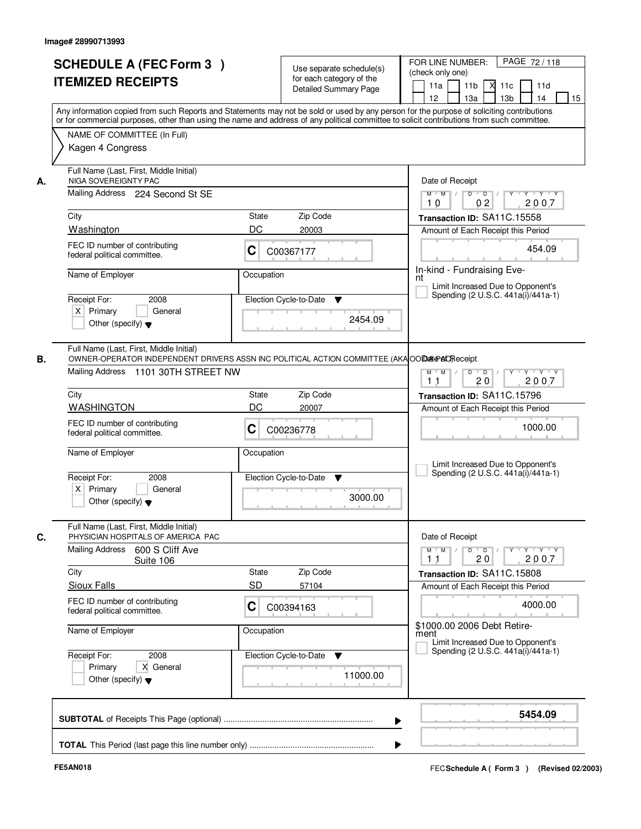| <b>SCHEDULE A (FEC Form 3)</b><br><b>ITEMIZED RECEIPTS</b>                                                                                                                            | Use separate schedule(s)<br>for each category of the<br><b>Detailed Summary Page</b>                                                                                                                                                                                                    | PAGE 72/118<br>FOR LINE NUMBER:<br>(check only one)<br>11 <sub>b</sub><br>X<br>11a<br>11c<br>11d<br>12 <sup>2</sup><br>13a<br>13 <sub>b</sub><br>14<br>15                       |
|---------------------------------------------------------------------------------------------------------------------------------------------------------------------------------------|-----------------------------------------------------------------------------------------------------------------------------------------------------------------------------------------------------------------------------------------------------------------------------------------|---------------------------------------------------------------------------------------------------------------------------------------------------------------------------------|
| NAME OF COMMITTEE (In Full)<br>Kagen 4 Congress                                                                                                                                       | Any information copied from such Reports and Statements may not be sold or used by any person for the purpose of soliciting contributions<br>or for commercial purposes, other than using the name and address of any political committee to solicit contributions from such committee. |                                                                                                                                                                                 |
| Full Name (Last, First, Middle Initial)<br>NIGA SOVEREIGNTY PAC<br>А.<br>Mailing Address 224 Second St SE<br>City<br>Washington                                                       | State<br>Zip Code<br>DC<br>20003                                                                                                                                                                                                                                                        | Date of Receipt<br>$Y - Y - Y$<br>$M$ $M$ /<br>$\overline{D}$<br>$\overline{D}$ /<br>Y<br>02<br>2007<br>10<br>Transaction ID: SA11C.15558<br>Amount of Each Receipt this Period |
| FEC ID number of contributing<br>federal political committee.<br>Name of Employer                                                                                                     | C<br>C00367177<br>Occupation                                                                                                                                                                                                                                                            | 454.09<br>In-kind - Fundraising Eve-                                                                                                                                            |
| 2008<br>Receipt For:<br>$X$ Primary<br>General<br>Other (specify) $\blacktriangledown$                                                                                                | Election Cycle-to-Date<br>▼<br>2454.09                                                                                                                                                                                                                                                  | nt<br>Limit Increased Due to Opponent's<br>Spending (2 U.S.C. 441a(i)/441a-1)                                                                                                   |
| Full Name (Last, First, Middle Initial)<br>OWNER-OPERATOR INDEPENDENT DRIVERS ASSN INC POLITICAL ACTION COMMITTEE (AKA OOD ARCA) Feceipt<br>В.<br>Mailing Address 1101 30TH STREET NW |                                                                                                                                                                                                                                                                                         | $M$ $M$ /<br>$D$ $D$ $/$<br>$Y$ <sup>U</sup><br>Y Y Y Y<br>20<br>2007<br>11                                                                                                     |
| City                                                                                                                                                                                  | Zip Code<br><b>State</b>                                                                                                                                                                                                                                                                | Transaction ID: SA11C.15796                                                                                                                                                     |
| <b>WASHINGTON</b><br>FEC ID number of contributing<br>federal political committee.                                                                                                    | DC<br>20007<br>C<br>C00236778                                                                                                                                                                                                                                                           | Amount of Each Receipt this Period<br>1000.00                                                                                                                                   |
| Name of Employer<br>Receipt For:<br>2008<br>$X$ Primary<br>General<br>Other (specify) $\blacktriangledown$                                                                            | Occupation<br>Election Cycle-to-Date<br>$\blacktriangledown$<br>3000.00                                                                                                                                                                                                                 | Limit Increased Due to Opponent's<br>Spending (2 U.S.C. 441a(i)/441a-1)                                                                                                         |
| Full Name (Last, First, Middle Initial)<br>C.<br>PHYSICIAN HOSPITALS OF AMERICA PAC<br>Mailing Address<br>600 S Cliff Ave                                                             |                                                                                                                                                                                                                                                                                         | Date of Receipt<br>$D$ $D$ $/$<br>$\mathsf{Y} \dashv \mathsf{Y} \dashv \mathsf{Y}$<br>$M = M$<br><b>Y</b>                                                                       |
| Suite 106<br>City                                                                                                                                                                     | Zip Code<br>State                                                                                                                                                                                                                                                                       | 2007<br>11<br>20<br>Transaction ID: SA11C.15808                                                                                                                                 |
| <b>Sioux Falls</b>                                                                                                                                                                    | <b>SD</b><br>57104                                                                                                                                                                                                                                                                      | Amount of Each Receipt this Period                                                                                                                                              |
| FEC ID number of contributing<br>federal political committee.                                                                                                                         | C<br>C00394163                                                                                                                                                                                                                                                                          | 4000.00                                                                                                                                                                         |
| Name of Employer                                                                                                                                                                      | Occupation                                                                                                                                                                                                                                                                              | \$1000.00 2006 Debt Retire-<br>ment<br>Limit Increased Due to Opponent's<br>Spending (2 U.S.C. 441a(i)/441a-1)                                                                  |
| Receipt For:<br>2008<br>Primary<br>X General<br>Other (specify) $\blacktriangledown$                                                                                                  | Election Cycle-to-Date<br>v<br>11000.00                                                                                                                                                                                                                                                 |                                                                                                                                                                                 |
|                                                                                                                                                                                       |                                                                                                                                                                                                                                                                                         | 5454.09                                                                                                                                                                         |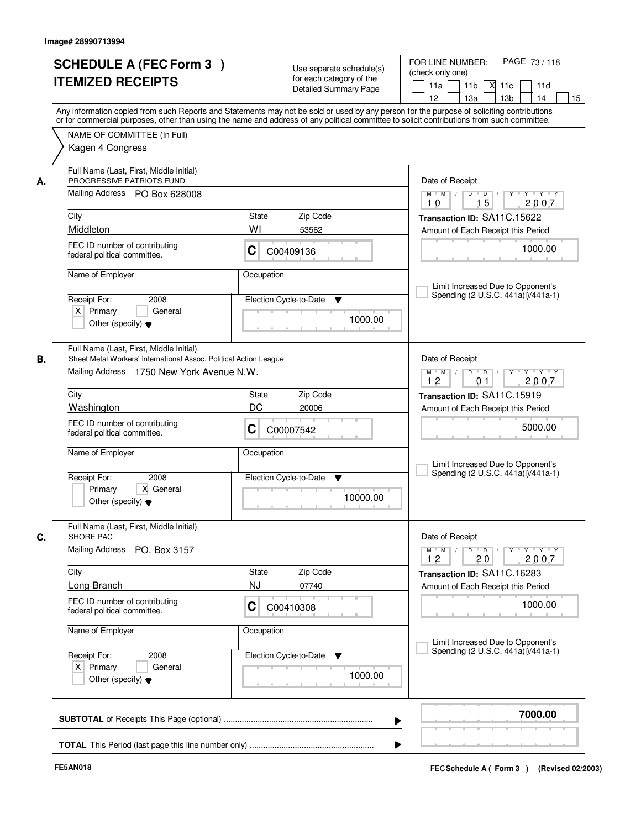| <b>SCHEDULE A (FEC Form 3)</b><br><b>ITEMIZED RECEIPTS</b>                                                  |                                                                   | Use separate schedule(s)<br>for each category of the<br><b>Detailed Summary Page</b> | PAGE 73/118<br>FOR LINE NUMBER:<br>(check only one)<br>11 <sub>b</sub><br>11a<br>м<br>11c<br>11d<br>13 <sub>b</sub><br>14<br>15<br>12 <sup>2</sup><br>13a<br>Any information copied from such Reports and Statements may not be sold or used by any person for the purpose of soliciting contributions |
|-------------------------------------------------------------------------------------------------------------|-------------------------------------------------------------------|--------------------------------------------------------------------------------------|--------------------------------------------------------------------------------------------------------------------------------------------------------------------------------------------------------------------------------------------------------------------------------------------------------|
| NAME OF COMMITTEE (In Full)<br>Kagen 4 Congress                                                             |                                                                   |                                                                                      | or for commercial purposes, other than using the name and address of any political committee to solicit contributions from such committee.                                                                                                                                                             |
| Full Name (Last, First, Middle Initial)<br>PROGRESSIVE PATRIOTS FUND<br>А.<br>Mailing Address PO Box 628008 |                                                                   |                                                                                      | Date of Receipt<br>$D$ $D$ $I$<br>$\overline{\mathbf{Y}}$<br>$Y + Y + Y$<br>$M$ $M$ /                                                                                                                                                                                                                  |
| City                                                                                                        | State                                                             | Zip Code                                                                             | 15<br>2007<br>10<br>Transaction ID: SA11C.15622                                                                                                                                                                                                                                                        |
| Middleton                                                                                                   | WI                                                                | 53562                                                                                | Amount of Each Receipt this Period                                                                                                                                                                                                                                                                     |
| FEC ID number of contributing<br>federal political committee.                                               | C                                                                 | C00409136                                                                            | 1000.00                                                                                                                                                                                                                                                                                                |
| Name of Employer                                                                                            | Occupation                                                        |                                                                                      |                                                                                                                                                                                                                                                                                                        |
| Receipt For:<br>$X$ Primary<br>Other (specify) $\blacktriangledown$                                         | 2008<br>General                                                   | Election Cycle-to-Date<br>▼<br>1000.00                                               | Limit Increased Due to Opponent's<br>Spending (2 U.S.C. 441a(i)/441a-1)                                                                                                                                                                                                                                |
| Full Name (Last, First, Middle Initial)<br>В.                                                               | Sheet Metal Workers' International Assoc. Political Action League |                                                                                      | Date of Receipt                                                                                                                                                                                                                                                                                        |
|                                                                                                             | Mailing Address 1750 New York Avenue N.W.                         |                                                                                      | Y Y Y Y<br>$M$ $M$ /<br>D<br>$\overline{D}$<br>12<br>2007<br>0 <sub>1</sub>                                                                                                                                                                                                                            |
| City                                                                                                        | State                                                             | Zip Code                                                                             | Transaction ID: SA11C.15919                                                                                                                                                                                                                                                                            |
| Washington                                                                                                  | DC                                                                | 20006                                                                                | Amount of Each Receipt this Period                                                                                                                                                                                                                                                                     |
| FEC ID number of contributing<br>federal political committee.                                               | С                                                                 | C00007542                                                                            | 5000.00                                                                                                                                                                                                                                                                                                |
| Name of Employer                                                                                            | Occupation                                                        |                                                                                      | Limit Increased Due to Opponent's<br>Spending (2 U.S.C. 441a(i)/441a-1)                                                                                                                                                                                                                                |
| Receipt For:<br>Primary<br>Other (specify) $\blacktriangledown$                                             | 2008<br>X General                                                 | Election Cycle-to-Date<br>▼<br>10000.00                                              |                                                                                                                                                                                                                                                                                                        |
| Full Name (Last, First, Middle Initial)<br>C.<br>SHORE PAC                                                  |                                                                   |                                                                                      | Date of Receipt                                                                                                                                                                                                                                                                                        |
| <b>Mailing Address</b>                                                                                      | PO. Box 3157                                                      |                                                                                      | $\mathsf{Y} \dashv \mathsf{Y} \dashv \mathsf{Y} \dashv \mathsf{Y}$<br>$M = M$<br>D<br>$\blacksquare$ $\blacksquare$ $\blacksquare$ $\blacksquare$ $\blacksquare$<br>2007<br>12<br>20                                                                                                                   |
| City                                                                                                        | State                                                             | Zip Code                                                                             | Transaction ID: SA11C.16283                                                                                                                                                                                                                                                                            |
| Long Branch                                                                                                 | NJ                                                                | 07740                                                                                | Amount of Each Receipt this Period                                                                                                                                                                                                                                                                     |
| FEC ID number of contributing<br>federal political committee.                                               | C                                                                 | C00410308                                                                            | 1000.00                                                                                                                                                                                                                                                                                                |
| Name of Employer                                                                                            | Occupation                                                        |                                                                                      | Limit Increased Due to Opponent's                                                                                                                                                                                                                                                                      |
| Receipt For:<br>$X$ Primary<br>Other (specify) $\blacktriangledown$                                         | 2008<br>General                                                   | Election Cycle-to-Date<br><b>V</b><br>1000.00                                        | Spending (2 U.S.C. 441a(i)/441a-1)                                                                                                                                                                                                                                                                     |
|                                                                                                             |                                                                   |                                                                                      | 7000.00                                                                                                                                                                                                                                                                                                |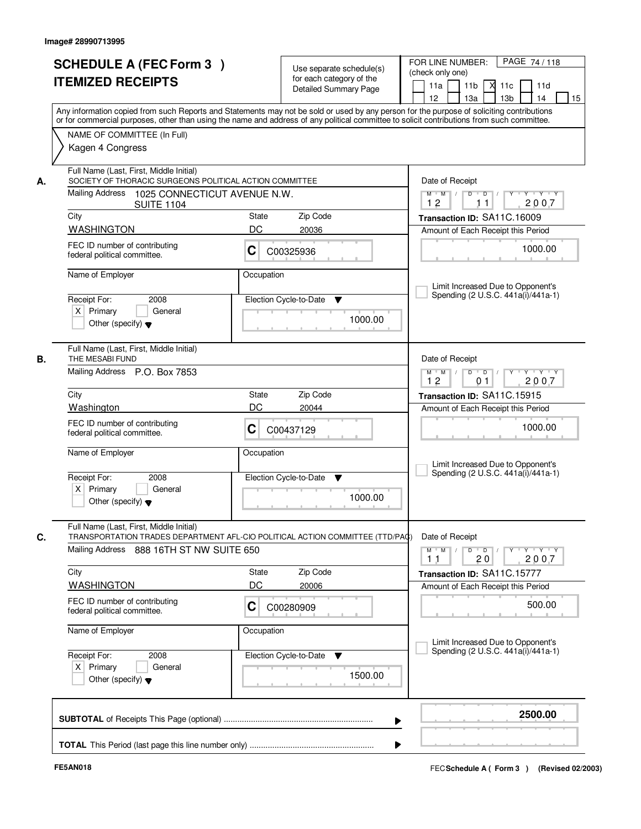|      | <b>SCHEDULE A (FEC Form 3)</b><br><b>ITEMIZED RECEIPTS</b><br>Any information copied from such Reports and Statements may not be sold or used by any person for the purpose of soliciting contributions |             | Use separate schedule(s)<br>for each category of the<br><b>Detailed Summary Page</b> | PAGE 74/118<br>FOR LINE NUMBER:<br>(check only one)<br>11 <sub>b</sub><br>11d<br>11a<br><b>X</b><br>11c<br>13a<br>13 <sub>b</sub><br>12<br>14<br>15                                                                                                                                                                                                                                                                                                                     |
|------|---------------------------------------------------------------------------------------------------------------------------------------------------------------------------------------------------------|-------------|--------------------------------------------------------------------------------------|-------------------------------------------------------------------------------------------------------------------------------------------------------------------------------------------------------------------------------------------------------------------------------------------------------------------------------------------------------------------------------------------------------------------------------------------------------------------------|
|      | or for commercial purposes, other than using the name and address of any political committee to solicit contributions from such committee.<br>NAME OF COMMITTEE (In Full)<br>Kagen 4 Congress           |             |                                                                                      |                                                                                                                                                                                                                                                                                                                                                                                                                                                                         |
| А.   | Full Name (Last, First, Middle Initial)<br>SOCIETY OF THORACIC SURGEONS POLITICAL ACTION COMMITTEE<br>Mailing Address 1025 CONNECTICUT AVENUE N.W.<br><b>SUITE 1104</b>                                 |             |                                                                                      | Date of Receipt<br>$\begin{array}{c c c c c c c c} \hline \textbf{0} & \textbf{0} & \textbf{0} & \textbf{0} & \textbf{0} & \textbf{0} & \textbf{0} & \textbf{0} & \textbf{0} & \textbf{0} & \textbf{0} & \textbf{0} & \textbf{0} & \textbf{0} & \textbf{0} & \textbf{0} & \textbf{0} & \textbf{0} & \textbf{0} & \textbf{0} & \textbf{0} & \textbf{0} & \textbf{0} & \textbf{0} & \textbf{0} & \textbf{0} & \textbf{0} & \textbf{0} &$<br>$M$ $M$ /<br>12<br>2007<br>11 |
| City |                                                                                                                                                                                                         | State       | Zip Code                                                                             | Transaction ID: SA11C.16009                                                                                                                                                                                                                                                                                                                                                                                                                                             |
|      | <b>WASHINGTON</b>                                                                                                                                                                                       | DC          | 20036                                                                                | Amount of Each Receipt this Period                                                                                                                                                                                                                                                                                                                                                                                                                                      |
|      | FEC ID number of contributing<br>federal political committee.                                                                                                                                           | C           | C00325936                                                                            | 1000.00                                                                                                                                                                                                                                                                                                                                                                                                                                                                 |
|      | Name of Employer                                                                                                                                                                                        | Occupation  |                                                                                      | Limit Increased Due to Opponent's                                                                                                                                                                                                                                                                                                                                                                                                                                       |
|      | Receipt For:<br>2008<br>$X$ Primary<br>General<br>Other (specify) $\blacktriangledown$                                                                                                                  |             | Election Cycle-to-Date<br>▼<br>1000.00                                               | Spending (2 U.S.C. 441a(i)/441a-1)                                                                                                                                                                                                                                                                                                                                                                                                                                      |
| В.   | Full Name (Last, First, Middle Initial)<br>THE MESABI FUND                                                                                                                                              |             |                                                                                      | Date of Receipt                                                                                                                                                                                                                                                                                                                                                                                                                                                         |
|      | Mailing Address P.O. Box 7853                                                                                                                                                                           |             |                                                                                      | $M$ $M$ /<br>Y.<br>$Y \vdash Y \vdash Y$<br>D<br>$\overline{D}$<br>2007<br>12<br>0 <sub>1</sub>                                                                                                                                                                                                                                                                                                                                                                         |
| City |                                                                                                                                                                                                         | State       | Zip Code                                                                             | Transaction ID: SA11C.15915                                                                                                                                                                                                                                                                                                                                                                                                                                             |
|      | Washington                                                                                                                                                                                              | DC          | 20044                                                                                | Amount of Each Receipt this Period                                                                                                                                                                                                                                                                                                                                                                                                                                      |
|      | FEC ID number of contributing<br>federal political committee.                                                                                                                                           | С           | C00437129                                                                            | 1000.00                                                                                                                                                                                                                                                                                                                                                                                                                                                                 |
|      | Name of Employer                                                                                                                                                                                        | Occupation  |                                                                                      | Limit Increased Due to Opponent's<br>Spending (2 U.S.C. 441a(i)/441a-1)                                                                                                                                                                                                                                                                                                                                                                                                 |
|      | Receipt For:<br>2008<br>$X$ Primary<br>General<br>Other (specify) $\blacktriangledown$                                                                                                                  |             | Election Cycle-to-Date<br>▼<br>1000.00                                               |                                                                                                                                                                                                                                                                                                                                                                                                                                                                         |
| C.   | Full Name (Last, First, Middle Initial)<br>TRANSPORTATION TRADES DEPARTMENT AFL-CIO POLITICAL ACTION COMMITTEE (TTD/PAQ)                                                                                |             |                                                                                      | Date of Receipt                                                                                                                                                                                                                                                                                                                                                                                                                                                         |
|      | Mailing Address 888 16TH ST NW SUITE 650                                                                                                                                                                |             |                                                                                      | $D$ $D$ $/$<br>$M$ $M$ /<br>$Y + Y + Y$<br>$Y^{\top}$<br>2007<br>11<br>20                                                                                                                                                                                                                                                                                                                                                                                               |
| City | <b>WASHINGTON</b>                                                                                                                                                                                       | State<br>DC | Zip Code<br>20006                                                                    | Transaction ID: SA11C.15777                                                                                                                                                                                                                                                                                                                                                                                                                                             |
|      | FEC ID number of contributing<br>federal political committee.                                                                                                                                           | C           | C00280909                                                                            | Amount of Each Receipt this Period<br>500.00                                                                                                                                                                                                                                                                                                                                                                                                                            |
|      | Name of Employer                                                                                                                                                                                        | Occupation  |                                                                                      | Limit Increased Due to Opponent's                                                                                                                                                                                                                                                                                                                                                                                                                                       |
|      | Receipt For:<br>2008<br>$X$ Primary<br>General<br>Other (specify) $\blacktriangledown$                                                                                                                  |             | Election Cycle-to-Date<br>v<br>1500.00                                               | Spending (2 U.S.C. 441a(i)/441a-1)                                                                                                                                                                                                                                                                                                                                                                                                                                      |
|      |                                                                                                                                                                                                         |             | ▶                                                                                    | 2500.00                                                                                                                                                                                                                                                                                                                                                                                                                                                                 |
|      |                                                                                                                                                                                                         |             |                                                                                      |                                                                                                                                                                                                                                                                                                                                                                                                                                                                         |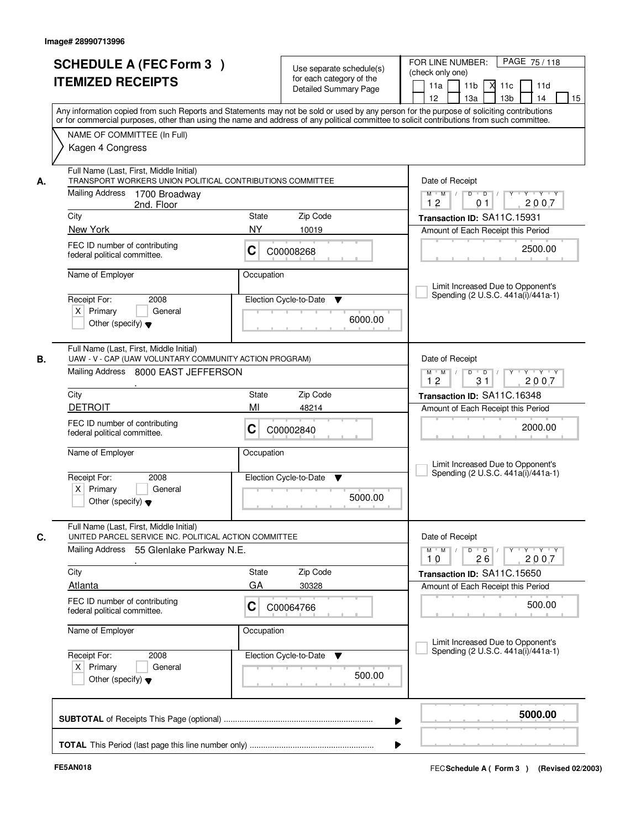|    | <b>SCHEDULE A (FEC Form 3)</b><br><b>ITEMIZED RECEIPTS</b><br>Any information copied from such Reports and Statements may not be sold or used by any person for the purpose of soliciting contributions |            | Use separate schedule(s)<br>for each category of the<br><b>Detailed Summary Page</b> | PAGE 75/118<br>FOR LINE NUMBER:<br>(check only one)<br>11a<br>11 <sub>b</sub><br>11c<br>11d<br>12<br>13 <sub>b</sub><br>15<br>13a<br>14                          |  |  |  |  |  |
|----|---------------------------------------------------------------------------------------------------------------------------------------------------------------------------------------------------------|------------|--------------------------------------------------------------------------------------|------------------------------------------------------------------------------------------------------------------------------------------------------------------|--|--|--|--|--|
|    | or for commercial purposes, other than using the name and address of any political committee to solicit contributions from such committee.<br>NAME OF COMMITTEE (In Full)<br>Kagen 4 Congress           |            |                                                                                      |                                                                                                                                                                  |  |  |  |  |  |
| А. | Full Name (Last, First, Middle Initial)<br>TRANSPORT WORKERS UNION POLITICAL CONTRIBUTIONS COMMITTEE<br><b>Mailing Address</b><br>1700 Broadway<br>2nd. Floor                                           |            |                                                                                      | Date of Receipt<br>$Y$ $Y$ $Y$<br>$M$ $M$<br>$D$ $D$ $/$<br>$Y^{\top}$<br>$\top$ /<br>2007<br>12<br>01                                                           |  |  |  |  |  |
|    | City                                                                                                                                                                                                    | State      | Zip Code                                                                             | Transaction ID: SA11C.15931                                                                                                                                      |  |  |  |  |  |
|    | New York                                                                                                                                                                                                | <b>NY</b>  | 10019                                                                                | Amount of Each Receipt this Period                                                                                                                               |  |  |  |  |  |
|    | FEC ID number of contributing<br>federal political committee.                                                                                                                                           | С          | C00008268                                                                            | 2500.00                                                                                                                                                          |  |  |  |  |  |
|    | Name of Employer                                                                                                                                                                                        | Occupation |                                                                                      | Limit Increased Due to Opponent's                                                                                                                                |  |  |  |  |  |
|    | Receipt For:<br>2008<br>$X$ Primary<br>General<br>Other (specify) $\blacktriangledown$                                                                                                                  |            | Election Cycle-to-Date<br>v<br>6000.00                                               | Spending (2 U.S.C. 441a(i)/441a-1)                                                                                                                               |  |  |  |  |  |
| В. | Full Name (Last, First, Middle Initial)<br>UAW - V - CAP (UAW VOLUNTARY COMMUNITY ACTION PROGRAM)<br>Mailing Address 8000 EAST JEFFERSON                                                                |            |                                                                                      | Date of Receipt<br>$\mathsf{Y} \dashv \mathsf{Y} \dashv \mathsf{Y} \dashv \mathsf{Y}$<br>$M$ $M$ /<br>D<br>$\blacksquare$ D $\blacksquare$ /<br>12<br>31<br>2007 |  |  |  |  |  |
|    | City                                                                                                                                                                                                    | State      | Zip Code                                                                             | Transaction ID: SA11C.16348                                                                                                                                      |  |  |  |  |  |
|    | <b>DETROIT</b>                                                                                                                                                                                          | MI         | 48214                                                                                | Amount of Each Receipt this Period                                                                                                                               |  |  |  |  |  |
|    | FEC ID number of contributing<br>federal political committee.                                                                                                                                           | С          | C00002840                                                                            | 2000.00                                                                                                                                                          |  |  |  |  |  |
|    | Name of Employer                                                                                                                                                                                        | Occupation |                                                                                      | Limit Increased Due to Opponent's<br>Spending (2 U.S.C. 441a(i)/441a-1)                                                                                          |  |  |  |  |  |
|    | Receipt For:<br>2008<br>$X$ Primary<br>General<br>Other (specify) $\blacktriangledown$                                                                                                                  |            | Election Cycle-to-Date<br>▼<br>5000.00                                               |                                                                                                                                                                  |  |  |  |  |  |
|    | Full Name (Last, First, Middle Initial)<br>UNITED PARCEL SERVICE INC. POLITICAL ACTION COMMITTEE                                                                                                        |            |                                                                                      | Date of Receipt                                                                                                                                                  |  |  |  |  |  |
|    | Mailing Address 55 Glenlake Parkway N.E.                                                                                                                                                                |            |                                                                                      | $M^+M^-$ /<br>D<br>$\Box$ D $\Box$<br>Y<br>$Y + Y + Y$<br>2007<br>26<br>10                                                                                       |  |  |  |  |  |
|    | City                                                                                                                                                                                                    | State      | Zip Code                                                                             | Transaction ID: SA11C.15650                                                                                                                                      |  |  |  |  |  |
|    | <b>Atlanta</b>                                                                                                                                                                                          | GA         | 30328                                                                                | Amount of Each Receipt this Period                                                                                                                               |  |  |  |  |  |
|    | FEC ID number of contributing<br>federal political committee.                                                                                                                                           | C          | C00064766                                                                            | 500.00                                                                                                                                                           |  |  |  |  |  |
|    | Name of Employer                                                                                                                                                                                        | Occupation |                                                                                      | Limit Increased Due to Opponent's                                                                                                                                |  |  |  |  |  |
|    | Receipt For:<br>2008<br>$X$ Primary<br>General<br>Other (specify) $\blacktriangledown$                                                                                                                  |            | Election Cycle-to-Date<br>v<br>500.00                                                | Spending (2 U.S.C. 441a(i)/441a-1)                                                                                                                               |  |  |  |  |  |
|    |                                                                                                                                                                                                         |            |                                                                                      | 5000.00                                                                                                                                                          |  |  |  |  |  |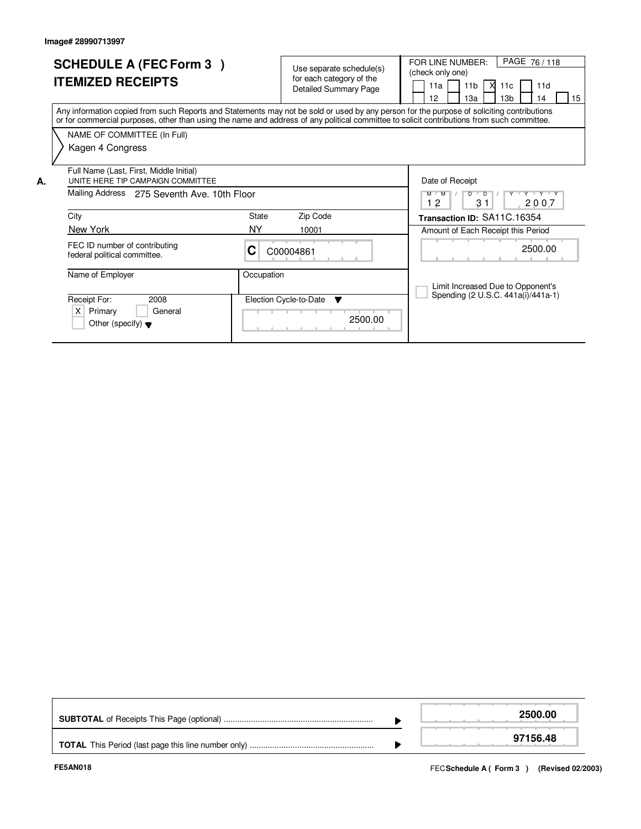|    | <b>SCHEDULE A (FEC Form 3)</b><br><b>ITEMIZED RECEIPTS</b>                                                                                                                                                                                                                              |              | Use separate schedule(s)<br>for each category of the<br><b>Detailed Summary Page</b> | PAGE 76/118<br>FOR LINE NUMBER:<br>(check only one)<br>11b<br>- XI<br>11d<br>11a<br>11c<br>12<br>13 <sub>b</sub><br>15<br>13a<br>14 |
|----|-----------------------------------------------------------------------------------------------------------------------------------------------------------------------------------------------------------------------------------------------------------------------------------------|--------------|--------------------------------------------------------------------------------------|-------------------------------------------------------------------------------------------------------------------------------------|
|    | Any information copied from such Reports and Statements may not be sold or used by any person for the purpose of soliciting contributions<br>or for commercial purposes, other than using the name and address of any political committee to solicit contributions from such committee. |              |                                                                                      |                                                                                                                                     |
|    | NAME OF COMMITTEE (In Full)                                                                                                                                                                                                                                                             |              |                                                                                      |                                                                                                                                     |
|    | Kagen 4 Congress                                                                                                                                                                                                                                                                        |              |                                                                                      |                                                                                                                                     |
| А. | Full Name (Last, First, Middle Initial)<br>UNITE HERE TIP CAMPAIGN COMMITTEE                                                                                                                                                                                                            |              |                                                                                      | Date of Receipt                                                                                                                     |
|    | Mailing Address<br>275 Seventh Ave. 10th Floor                                                                                                                                                                                                                                          |              |                                                                                      | Y Y Y Y Y Y<br>$D$ $D$<br>$M$ $M$<br>31<br>12<br>2007                                                                               |
|    | City                                                                                                                                                                                                                                                                                    | <b>State</b> | Zip Code                                                                             | Transaction ID: SA11C.16354                                                                                                         |
|    | New York                                                                                                                                                                                                                                                                                | <b>NY</b>    | 10001                                                                                | Amount of Each Receipt this Period                                                                                                  |
|    | FEC ID number of contributing<br>federal political committee.                                                                                                                                                                                                                           | С            | C00004861                                                                            | 2500.00                                                                                                                             |
|    | Name of Employer                                                                                                                                                                                                                                                                        | Occupation   |                                                                                      |                                                                                                                                     |
|    | Receipt For:<br>2008<br>Primary<br>X<br>General<br>Other (specify) $\blacktriangledown$                                                                                                                                                                                                 |              | Election Cycle-to-Date<br>v<br>2500.00                                               | Limit Increased Due to Opponent's<br>Spending (2 U.S.C. 441a(i)/441a-1)                                                             |

|  | 2500.00  |
|--|----------|
|  | 97156.48 |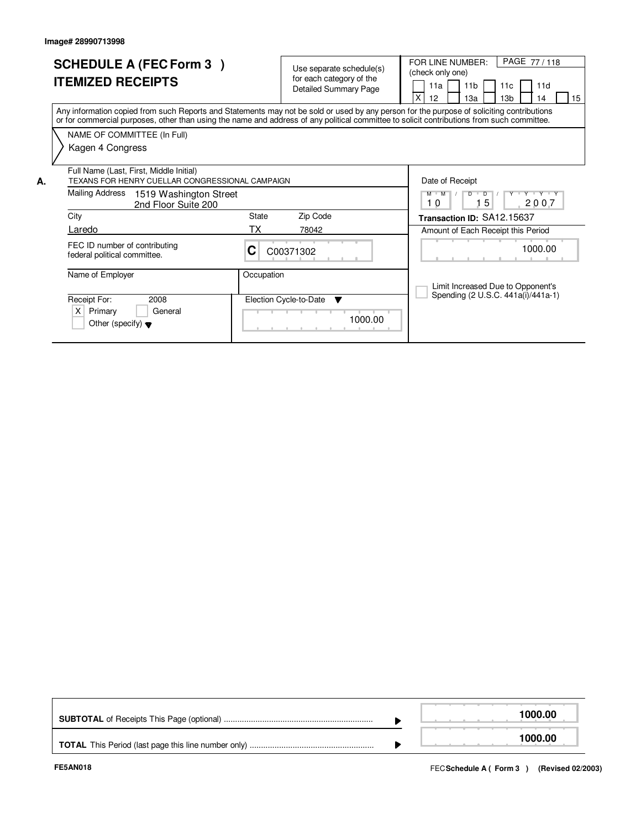|    | <b>SCHEDULE A (FEC Form 3)</b><br><b>ITEMIZED RECEIPTS</b>                                                                                                                                                                                                                              |              | Use separate schedule(s)<br>for each category of the<br><b>Detailed Summary Page</b> | PAGE 77/118<br>FOR LINE NUMBER:<br>(check only one)<br>11 <sub>b</sub><br>11a<br>11d<br>11c<br>X<br>12<br>13 <sub>b</sub><br>15<br>1За<br>14 |
|----|-----------------------------------------------------------------------------------------------------------------------------------------------------------------------------------------------------------------------------------------------------------------------------------------|--------------|--------------------------------------------------------------------------------------|----------------------------------------------------------------------------------------------------------------------------------------------|
|    | Any information copied from such Reports and Statements may not be sold or used by any person for the purpose of soliciting contributions<br>or for commercial purposes, other than using the name and address of any political committee to solicit contributions from such committee. |              |                                                                                      |                                                                                                                                              |
|    | NAME OF COMMITTEE (In Full)                                                                                                                                                                                                                                                             |              |                                                                                      |                                                                                                                                              |
|    | Kagen 4 Congress                                                                                                                                                                                                                                                                        |              |                                                                                      |                                                                                                                                              |
| А. | Full Name (Last, First, Middle Initial)<br>TEXANS FOR HENRY CUELLAR CONGRESSIONAL CAMPAIGN                                                                                                                                                                                              |              |                                                                                      | Date of Receipt                                                                                                                              |
|    | Mailing Address<br>1519 Washington Street<br>2nd Floor Suite 200                                                                                                                                                                                                                        |              |                                                                                      | Y 'Y 'Y<br>$M$ $M$<br>$\overline{D}$<br>Y<br>D<br>5<br>10<br>2007                                                                            |
|    | City                                                                                                                                                                                                                                                                                    | <b>State</b> | Zip Code                                                                             | Transaction ID: SA12.15637                                                                                                                   |
|    | Laredo                                                                                                                                                                                                                                                                                  | ТX           | 78042                                                                                | Amount of Each Receipt this Period                                                                                                           |
|    | FEC ID number of contributing<br>federal political committee.                                                                                                                                                                                                                           | C            | C00371302                                                                            | 1000.00                                                                                                                                      |
|    | Name of Employer                                                                                                                                                                                                                                                                        | Occupation   |                                                                                      | Limit Increased Due to Opponent's                                                                                                            |
|    | Receipt For:<br>2008                                                                                                                                                                                                                                                                    |              | Election Cycle-to-Date<br>▼                                                          | Spending (2 U.S.C. 441a(i)/441a-1)                                                                                                           |
|    | X<br>Primary<br>General<br>Other (specify) $\blacktriangledown$                                                                                                                                                                                                                         |              | 1000.00                                                                              |                                                                                                                                              |

|  | 1000.00 |
|--|---------|
|  | 1000.00 |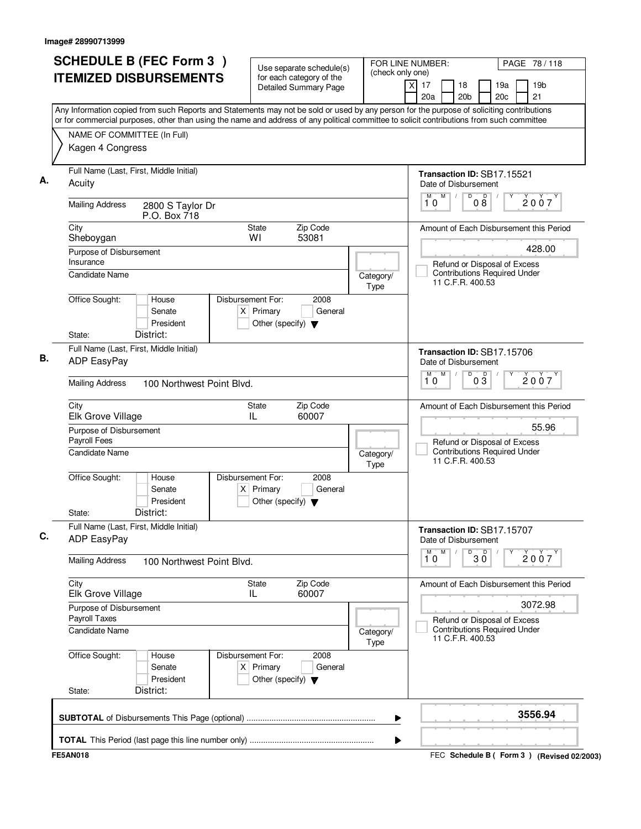| $\overline{x}$<br>17<br>18<br>19a<br><b>Detailed Summary Page</b><br>21<br>20a<br>20 <sub>b</sub><br>20 <sub>c</sub><br>Any Information copied from such Reports and Statements may not be sold or used by any person for the purpose of soliciting contributions<br>or for commercial purposes, other than using the name and address of any political committee to solicit contributions from such committee<br>NAME OF COMMITTEE (In Full)<br>Kagen 4 Congress<br>Full Name (Last, First, Middle Initial)<br>Transaction ID: SB17.15521<br>Acuity<br>Date of Disbursement<br>M<br>M<br>D<br>D<br>2007<br>08<br>10<br><b>Mailing Address</b><br>2800 S Taylor Dr<br>P.O. Box 718<br>Zip Code<br>City<br>State<br>Amount of Each Disbursement this Period<br>WI<br>53081<br>Sheboygan<br>428.00<br>Purpose of Disbursement<br>Insurance<br>Refund or Disposal of Excess<br><b>Contributions Required Under</b><br>Candidate Name<br>Category/<br>11 C.F.R. 400.53<br>Type<br>Office Sought:<br>Disbursement For:<br>House<br>2008<br>$X$ Primary<br>General<br>Senate<br>President<br>Other (specify) $\blacktriangledown$<br>District:<br>State:<br>Full Name (Last, First, Middle Initial)<br>Transaction ID: SB17.15706<br><b>ADP EasyPay</b><br>Date of Disbursement<br>M<br>D<br>M<br>$0\overline{3}$<br>2007<br>10<br><b>Mailing Address</b><br>100 Northwest Point Blvd.<br>Zip Code<br>State<br>Amount of Each Disbursement this Period<br>City<br>Elk Grove Village<br>IL<br>60007<br>55.96<br>Purpose of Disbursement<br>Payroll Fees<br>Refund or Disposal of Excess<br><b>Contributions Required Under</b><br>Candidate Name<br>Category/<br>11 C.F.R. 400.53<br>Type<br>Office Sought:<br>Disbursement For:<br>2008<br>House<br>Senate<br>$X$ Primary<br>General<br>President<br>Other (specify) $\blacktriangledown$<br>District:<br>State:<br>Full Name (Last, First, Middle Initial)<br>Transaction ID: SB17.15707<br><b>ADP EasyPay</b><br>Date of Disbursement<br>$30^{\circ}$<br>м<br>2007<br>10<br><b>Mailing Address</b><br>100 Northwest Point Blvd.<br>City<br>Zip Code<br>State<br>Amount of Each Disbursement this Period<br>60007<br>Elk Grove Village<br>IL.<br>3072.98<br>Purpose of Disbursement<br>Payroll Taxes<br>Refund or Disposal of Excess<br><b>Contributions Required Under</b><br><b>Candidate Name</b><br>Category/<br>11 C.F.R. 400.53<br>Type<br>Office Sought:<br>Disbursement For:<br>2008<br>House<br>$X$ Primary<br>Senate<br>General<br>President<br>Other (specify) $\blacktriangledown$<br>District:<br>State:<br>3556.94 | <b>SCHEDULE B (FEC Form 3)</b><br><b>ITEMIZED DISBURSEMENTS</b> | Use separate schedule(s)<br>for each category of the | FOR LINE NUMBER:<br>(check only one) |  | PAGE 78 / 118   |  |  |  |
|-----------------------------------------------------------------------------------------------------------------------------------------------------------------------------------------------------------------------------------------------------------------------------------------------------------------------------------------------------------------------------------------------------------------------------------------------------------------------------------------------------------------------------------------------------------------------------------------------------------------------------------------------------------------------------------------------------------------------------------------------------------------------------------------------------------------------------------------------------------------------------------------------------------------------------------------------------------------------------------------------------------------------------------------------------------------------------------------------------------------------------------------------------------------------------------------------------------------------------------------------------------------------------------------------------------------------------------------------------------------------------------------------------------------------------------------------------------------------------------------------------------------------------------------------------------------------------------------------------------------------------------------------------------------------------------------------------------------------------------------------------------------------------------------------------------------------------------------------------------------------------------------------------------------------------------------------------------------------------------------------------------------------------------------------------------------------------------------------------------------------------------------------------------------------------------------------------------------------------------------------------------------------------------------------------------------------------------------------------------------------------------------------------------------------------------------------------------------------------------------------------------------------------------------------------------------------------|-----------------------------------------------------------------|------------------------------------------------------|--------------------------------------|--|-----------------|--|--|--|
|                                                                                                                                                                                                                                                                                                                                                                                                                                                                                                                                                                                                                                                                                                                                                                                                                                                                                                                                                                                                                                                                                                                                                                                                                                                                                                                                                                                                                                                                                                                                                                                                                                                                                                                                                                                                                                                                                                                                                                                                                                                                                                                                                                                                                                                                                                                                                                                                                                                                                                                                                                             |                                                                 |                                                      |                                      |  | 19 <sub>b</sub> |  |  |  |
|                                                                                                                                                                                                                                                                                                                                                                                                                                                                                                                                                                                                                                                                                                                                                                                                                                                                                                                                                                                                                                                                                                                                                                                                                                                                                                                                                                                                                                                                                                                                                                                                                                                                                                                                                                                                                                                                                                                                                                                                                                                                                                                                                                                                                                                                                                                                                                                                                                                                                                                                                                             |                                                                 |                                                      |                                      |  |                 |  |  |  |
|                                                                                                                                                                                                                                                                                                                                                                                                                                                                                                                                                                                                                                                                                                                                                                                                                                                                                                                                                                                                                                                                                                                                                                                                                                                                                                                                                                                                                                                                                                                                                                                                                                                                                                                                                                                                                                                                                                                                                                                                                                                                                                                                                                                                                                                                                                                                                                                                                                                                                                                                                                             |                                                                 |                                                      |                                      |  |                 |  |  |  |
|                                                                                                                                                                                                                                                                                                                                                                                                                                                                                                                                                                                                                                                                                                                                                                                                                                                                                                                                                                                                                                                                                                                                                                                                                                                                                                                                                                                                                                                                                                                                                                                                                                                                                                                                                                                                                                                                                                                                                                                                                                                                                                                                                                                                                                                                                                                                                                                                                                                                                                                                                                             |                                                                 |                                                      |                                      |  |                 |  |  |  |
|                                                                                                                                                                                                                                                                                                                                                                                                                                                                                                                                                                                                                                                                                                                                                                                                                                                                                                                                                                                                                                                                                                                                                                                                                                                                                                                                                                                                                                                                                                                                                                                                                                                                                                                                                                                                                                                                                                                                                                                                                                                                                                                                                                                                                                                                                                                                                                                                                                                                                                                                                                             |                                                                 |                                                      |                                      |  |                 |  |  |  |
|                                                                                                                                                                                                                                                                                                                                                                                                                                                                                                                                                                                                                                                                                                                                                                                                                                                                                                                                                                                                                                                                                                                                                                                                                                                                                                                                                                                                                                                                                                                                                                                                                                                                                                                                                                                                                                                                                                                                                                                                                                                                                                                                                                                                                                                                                                                                                                                                                                                                                                                                                                             |                                                                 |                                                      |                                      |  |                 |  |  |  |
|                                                                                                                                                                                                                                                                                                                                                                                                                                                                                                                                                                                                                                                                                                                                                                                                                                                                                                                                                                                                                                                                                                                                                                                                                                                                                                                                                                                                                                                                                                                                                                                                                                                                                                                                                                                                                                                                                                                                                                                                                                                                                                                                                                                                                                                                                                                                                                                                                                                                                                                                                                             |                                                                 |                                                      |                                      |  |                 |  |  |  |
|                                                                                                                                                                                                                                                                                                                                                                                                                                                                                                                                                                                                                                                                                                                                                                                                                                                                                                                                                                                                                                                                                                                                                                                                                                                                                                                                                                                                                                                                                                                                                                                                                                                                                                                                                                                                                                                                                                                                                                                                                                                                                                                                                                                                                                                                                                                                                                                                                                                                                                                                                                             |                                                                 |                                                      |                                      |  |                 |  |  |  |
|                                                                                                                                                                                                                                                                                                                                                                                                                                                                                                                                                                                                                                                                                                                                                                                                                                                                                                                                                                                                                                                                                                                                                                                                                                                                                                                                                                                                                                                                                                                                                                                                                                                                                                                                                                                                                                                                                                                                                                                                                                                                                                                                                                                                                                                                                                                                                                                                                                                                                                                                                                             |                                                                 |                                                      |                                      |  |                 |  |  |  |
|                                                                                                                                                                                                                                                                                                                                                                                                                                                                                                                                                                                                                                                                                                                                                                                                                                                                                                                                                                                                                                                                                                                                                                                                                                                                                                                                                                                                                                                                                                                                                                                                                                                                                                                                                                                                                                                                                                                                                                                                                                                                                                                                                                                                                                                                                                                                                                                                                                                                                                                                                                             |                                                                 |                                                      |                                      |  |                 |  |  |  |
|                                                                                                                                                                                                                                                                                                                                                                                                                                                                                                                                                                                                                                                                                                                                                                                                                                                                                                                                                                                                                                                                                                                                                                                                                                                                                                                                                                                                                                                                                                                                                                                                                                                                                                                                                                                                                                                                                                                                                                                                                                                                                                                                                                                                                                                                                                                                                                                                                                                                                                                                                                             |                                                                 |                                                      |                                      |  |                 |  |  |  |
|                                                                                                                                                                                                                                                                                                                                                                                                                                                                                                                                                                                                                                                                                                                                                                                                                                                                                                                                                                                                                                                                                                                                                                                                                                                                                                                                                                                                                                                                                                                                                                                                                                                                                                                                                                                                                                                                                                                                                                                                                                                                                                                                                                                                                                                                                                                                                                                                                                                                                                                                                                             |                                                                 |                                                      |                                      |  |                 |  |  |  |
|                                                                                                                                                                                                                                                                                                                                                                                                                                                                                                                                                                                                                                                                                                                                                                                                                                                                                                                                                                                                                                                                                                                                                                                                                                                                                                                                                                                                                                                                                                                                                                                                                                                                                                                                                                                                                                                                                                                                                                                                                                                                                                                                                                                                                                                                                                                                                                                                                                                                                                                                                                             |                                                                 |                                                      |                                      |  |                 |  |  |  |
|                                                                                                                                                                                                                                                                                                                                                                                                                                                                                                                                                                                                                                                                                                                                                                                                                                                                                                                                                                                                                                                                                                                                                                                                                                                                                                                                                                                                                                                                                                                                                                                                                                                                                                                                                                                                                                                                                                                                                                                                                                                                                                                                                                                                                                                                                                                                                                                                                                                                                                                                                                             |                                                                 |                                                      |                                      |  |                 |  |  |  |
|                                                                                                                                                                                                                                                                                                                                                                                                                                                                                                                                                                                                                                                                                                                                                                                                                                                                                                                                                                                                                                                                                                                                                                                                                                                                                                                                                                                                                                                                                                                                                                                                                                                                                                                                                                                                                                                                                                                                                                                                                                                                                                                                                                                                                                                                                                                                                                                                                                                                                                                                                                             |                                                                 |                                                      |                                      |  |                 |  |  |  |
|                                                                                                                                                                                                                                                                                                                                                                                                                                                                                                                                                                                                                                                                                                                                                                                                                                                                                                                                                                                                                                                                                                                                                                                                                                                                                                                                                                                                                                                                                                                                                                                                                                                                                                                                                                                                                                                                                                                                                                                                                                                                                                                                                                                                                                                                                                                                                                                                                                                                                                                                                                             |                                                                 |                                                      |                                      |  |                 |  |  |  |
|                                                                                                                                                                                                                                                                                                                                                                                                                                                                                                                                                                                                                                                                                                                                                                                                                                                                                                                                                                                                                                                                                                                                                                                                                                                                                                                                                                                                                                                                                                                                                                                                                                                                                                                                                                                                                                                                                                                                                                                                                                                                                                                                                                                                                                                                                                                                                                                                                                                                                                                                                                             |                                                                 |                                                      |                                      |  |                 |  |  |  |
|                                                                                                                                                                                                                                                                                                                                                                                                                                                                                                                                                                                                                                                                                                                                                                                                                                                                                                                                                                                                                                                                                                                                                                                                                                                                                                                                                                                                                                                                                                                                                                                                                                                                                                                                                                                                                                                                                                                                                                                                                                                                                                                                                                                                                                                                                                                                                                                                                                                                                                                                                                             |                                                                 |                                                      |                                      |  |                 |  |  |  |
|                                                                                                                                                                                                                                                                                                                                                                                                                                                                                                                                                                                                                                                                                                                                                                                                                                                                                                                                                                                                                                                                                                                                                                                                                                                                                                                                                                                                                                                                                                                                                                                                                                                                                                                                                                                                                                                                                                                                                                                                                                                                                                                                                                                                                                                                                                                                                                                                                                                                                                                                                                             |                                                                 |                                                      |                                      |  |                 |  |  |  |
|                                                                                                                                                                                                                                                                                                                                                                                                                                                                                                                                                                                                                                                                                                                                                                                                                                                                                                                                                                                                                                                                                                                                                                                                                                                                                                                                                                                                                                                                                                                                                                                                                                                                                                                                                                                                                                                                                                                                                                                                                                                                                                                                                                                                                                                                                                                                                                                                                                                                                                                                                                             |                                                                 |                                                      |                                      |  |                 |  |  |  |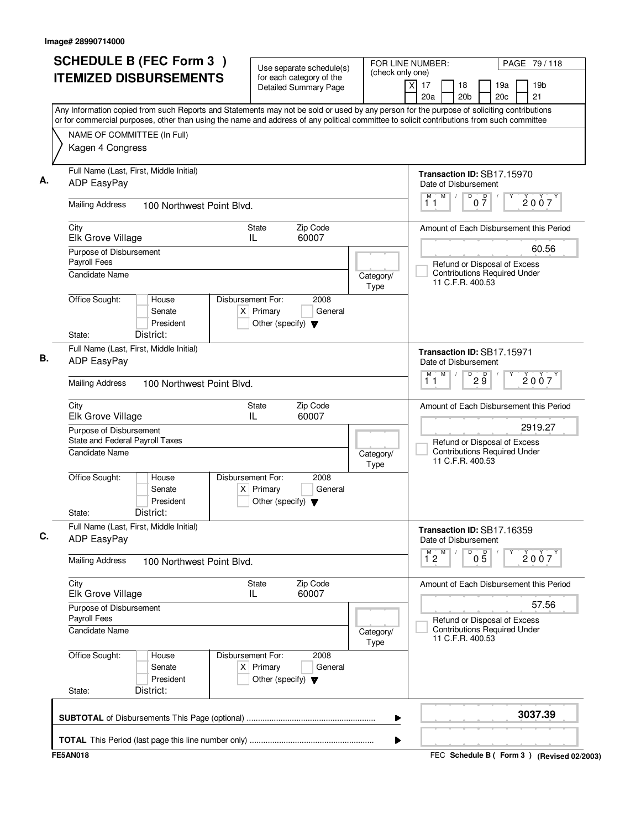| <b>SCHEDULE B (FEC Form 3)</b>                                                                                                                                                                                                                                                         | Use separate schedule(s)                                                                           | (check only one) | FOR LINE NUMBER:                                   |                                                         |                      | PAGE 79/118 |                                                                     |  |
|----------------------------------------------------------------------------------------------------------------------------------------------------------------------------------------------------------------------------------------------------------------------------------------|----------------------------------------------------------------------------------------------------|------------------|----------------------------------------------------|---------------------------------------------------------|----------------------|-------------|---------------------------------------------------------------------|--|
| <b>ITEMIZED DISBURSEMENTS</b>                                                                                                                                                                                                                                                          | for each category of the<br><b>Detailed Summary Page</b>                                           |                  | x<br>17<br>20a                                     | 18<br>20 <sub>b</sub>                                   |                      | 19a<br>20c  | 19 <sub>b</sub><br>21                                               |  |
| Any Information copied from such Reports and Statements may not be sold or used by any person for the purpose of soliciting contributions<br>or for commercial purposes, other than using the name and address of any political committee to solicit contributions from such committee |                                                                                                    |                  |                                                    |                                                         |                      |             |                                                                     |  |
| NAME OF COMMITTEE (In Full)                                                                                                                                                                                                                                                            |                                                                                                    |                  |                                                    |                                                         |                      |             |                                                                     |  |
| Kagen 4 Congress                                                                                                                                                                                                                                                                       |                                                                                                    |                  |                                                    |                                                         |                      |             |                                                                     |  |
| Full Name (Last, First, Middle Initial)<br>ADP EasyPay                                                                                                                                                                                                                                 |                                                                                                    |                  | Transaction ID: SB17.15970<br>Date of Disbursement |                                                         |                      |             |                                                                     |  |
| <b>Mailing Address</b><br>100 Northwest Point Blvd.                                                                                                                                                                                                                                    |                                                                                                    |                  | M<br>M<br>11                                       | $\overline{D}$                                          | $\overline{D}$<br>07 |             | 2007                                                                |  |
| City<br>Elk Grove Village                                                                                                                                                                                                                                                              | Zip Code<br>State<br>60007<br>IL                                                                   |                  |                                                    |                                                         |                      |             | Amount of Each Disbursement this Period                             |  |
| Purpose of Disbursement                                                                                                                                                                                                                                                                |                                                                                                    |                  |                                                    |                                                         |                      |             | 60.56                                                               |  |
| Candidate Name                                                                                                                                                                                                                                                                         | Payroll Fees<br>Category/<br>Type                                                                  |                  |                                                    |                                                         |                      |             | Refund or Disposal of Excess<br><b>Contributions Required Under</b> |  |
| Office Sought:<br>House<br>Senate<br>President<br>District:<br>State:                                                                                                                                                                                                                  | Disbursement For:<br>2008<br>$X$ Primary<br>General<br>Other (specify) $\blacktriangledown$        |                  |                                                    |                                                         |                      |             |                                                                     |  |
| Full Name (Last, First, Middle Initial)<br><b>ADP EasyPay</b>                                                                                                                                                                                                                          |                                                                                                    |                  | Transaction ID: SB17.15971<br>Date of Disbursement |                                                         |                      |             |                                                                     |  |
| <b>Mailing Address</b><br>100 Northwest Point Blvd.                                                                                                                                                                                                                                    | M<br>М<br>11                                                                                       | D                | $2\overline{9}$                                    |                                                         | 2007                 |             |                                                                     |  |
| City<br>Elk Grove Village                                                                                                                                                                                                                                                              | Zip Code<br>State<br>60007<br>IL                                                                   |                  |                                                    |                                                         |                      |             | Amount of Each Disbursement this Period                             |  |
| Purpose of Disbursement                                                                                                                                                                                                                                                                | 2919.27<br>Refund or Disposal of Excess<br><b>Contributions Required Under</b><br>11 C.F.R. 400.53 |                  |                                                    |                                                         |                      |             |                                                                     |  |
| State and Federal Payroll Taxes<br><b>Candidate Name</b>                                                                                                                                                                                                                               |                                                                                                    |                  |                                                    |                                                         |                      |             |                                                                     |  |
| Office Sought:<br>House<br>Senate<br>President<br>District:<br>State:                                                                                                                                                                                                                  | Disbursement For:<br>2008<br>$X$ Primary<br>General<br>Other (specify) $\blacktriangledown$        | Type             |                                                    |                                                         |                      |             |                                                                     |  |
| Full Name (Last, First, Middle Initial)<br>ADP EasyPay                                                                                                                                                                                                                                 |                                                                                                    |                  | Transaction ID: SB17.16359<br>Date of Disbursement |                                                         |                      |             |                                                                     |  |
| <b>Mailing Address</b><br>100 Northwest Point Blvd.                                                                                                                                                                                                                                    |                                                                                                    |                  | $1^M$ 2 $M$                                        | D                                                       | $0\overline{5}$      |             | 2007                                                                |  |
| City<br>Elk Grove Village                                                                                                                                                                                                                                                              | Zip Code<br>State<br>60007<br>IL.                                                                  |                  |                                                    |                                                         |                      |             | Amount of Each Disbursement this Period                             |  |
| Purpose of Disbursement<br>Payroll Fees                                                                                                                                                                                                                                                |                                                                                                    |                  |                                                    | 57.56<br>Refund or Disposal of Excess                   |                      |             |                                                                     |  |
| Candidate Name<br>Category/<br>Type                                                                                                                                                                                                                                                    |                                                                                                    |                  |                                                    | <b>Contributions Required Under</b><br>11 C.F.R. 400.53 |                      |             |                                                                     |  |
| Office Sought:<br>House<br>Senate<br>President<br>District:<br>State:                                                                                                                                                                                                                  | 2008<br>Disbursement For:<br>$X$ Primary<br>General<br>Other (specify) $\blacktriangledown$        |                  |                                                    |                                                         |                      |             |                                                                     |  |
|                                                                                                                                                                                                                                                                                        |                                                                                                    | ▶                |                                                    |                                                         |                      |             | 3037.39                                                             |  |
|                                                                                                                                                                                                                                                                                        |                                                                                                    | ▶                |                                                    |                                                         |                      |             |                                                                     |  |
| <b>FE5AN018</b>                                                                                                                                                                                                                                                                        |                                                                                                    |                  |                                                    |                                                         |                      |             | FEC Schedule B ( Form 3 ) (Revised 02/2003)                         |  |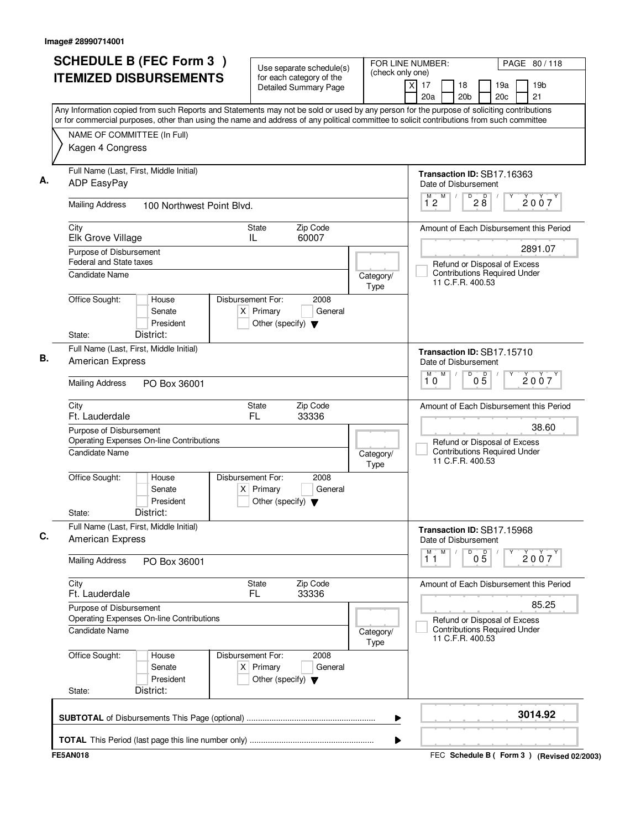|      | <b>ITEMIZED DISBURSEMENTS</b><br>Any Information copied from such Reports and Statements may not be sold or used by any person for the purpose of soliciting contributions<br>or for commercial purposes, other than using the name and address of any political committee to solicit contributions from such committee<br>NAME OF COMMITTEE (In Full)<br>Kagen 4 Congress | for each category of the<br><b>Detailed Summary Page</b>               |                                                                                                    | x<br>17<br>20a                                                      | 18<br>20 <sub>b</sub>                                   |                 | 19a<br>20 <sub>c</sub> |       | 19 <sub>b</sub>                         |
|------|----------------------------------------------------------------------------------------------------------------------------------------------------------------------------------------------------------------------------------------------------------------------------------------------------------------------------------------------------------------------------|------------------------------------------------------------------------|----------------------------------------------------------------------------------------------------|---------------------------------------------------------------------|---------------------------------------------------------|-----------------|------------------------|-------|-----------------------------------------|
|      |                                                                                                                                                                                                                                                                                                                                                                            |                                                                        |                                                                                                    |                                                                     |                                                         |                 |                        |       | 21                                      |
|      |                                                                                                                                                                                                                                                                                                                                                                            |                                                                        |                                                                                                    |                                                                     |                                                         |                 |                        |       |                                         |
|      |                                                                                                                                                                                                                                                                                                                                                                            |                                                                        |                                                                                                    |                                                                     |                                                         |                 |                        |       |                                         |
|      | Full Name (Last, First, Middle Initial)<br>ADP EasyPay                                                                                                                                                                                                                                                                                                                     |                                                                        |                                                                                                    | Transaction ID: SB17.16363<br>Date of Disbursement                  |                                                         |                 |                        |       |                                         |
|      | <b>Mailing Address</b><br>100 Northwest Point Blvd.                                                                                                                                                                                                                                                                                                                        |                                                                        |                                                                                                    | M<br>12                                                             | D                                                       | D<br>28         |                        |       | 2007                                    |
| City | Elk Grove Village                                                                                                                                                                                                                                                                                                                                                          | Zip Code<br>State<br>60007<br>IL                                       |                                                                                                    |                                                                     |                                                         |                 |                        |       | Amount of Each Disbursement this Period |
|      | Purpose of Disbursement<br><b>Federal and State taxes</b><br>Candidate Name                                                                                                                                                                                                                                                                                                | Category/                                                              | 2891.07<br>Refund or Disposal of Excess<br><b>Contributions Required Under</b><br>11 C.F.R. 400.53 |                                                                     |                                                         |                 |                        |       |                                         |
|      | Office Sought:<br>Disbursement For:<br>House<br>Senate<br>President<br>District:<br>State:                                                                                                                                                                                                                                                                                 | 2008<br>$X$ Primary<br>General<br>Other (specify) $\blacktriangledown$ | Type                                                                                               |                                                                     |                                                         |                 |                        |       |                                         |
|      | Full Name (Last, First, Middle Initial)<br>American Express                                                                                                                                                                                                                                                                                                                |                                                                        |                                                                                                    | Transaction ID: SB17.15710<br>Date of Disbursement<br>M<br>M        |                                                         |                 |                        |       |                                         |
|      | <b>Mailing Address</b><br>PO Box 36001                                                                                                                                                                                                                                                                                                                                     |                                                                        |                                                                                                    |                                                                     | D                                                       | $0\overline{5}$ |                        |       | 2007                                    |
| City | Ft. Lauderdale                                                                                                                                                                                                                                                                                                                                                             | Zip Code<br>State<br><b>FL</b><br>33336                                |                                                                                                    |                                                                     |                                                         |                 |                        |       | Amount of Each Disbursement this Period |
|      | Purpose of Disbursement<br>Operating Expenses On-line Contributions                                                                                                                                                                                                                                                                                                        |                                                                        |                                                                                                    | Refund or Disposal of Excess<br><b>Contributions Required Under</b> |                                                         |                 |                        | 38.60 |                                         |
|      | <b>Candidate Name</b>                                                                                                                                                                                                                                                                                                                                                      | Category/<br>Type                                                      |                                                                                                    | 11 C.F.R. 400.53                                                    |                                                         |                 |                        |       |                                         |
|      | Office Sought:<br>Disbursement For:<br>House<br>Senate<br>President<br>District:<br>State:                                                                                                                                                                                                                                                                                 | 2008<br>$X$ Primary<br>General<br>Other (specify) $\blacktriangledown$ |                                                                                                    |                                                                     |                                                         |                 |                        |       |                                         |
|      | Full Name (Last, First, Middle Initial)<br><b>American Express</b>                                                                                                                                                                                                                                                                                                         |                                                                        |                                                                                                    | Transaction ID: SB17.15968<br>Date of Disbursement                  |                                                         |                 |                        |       |                                         |
|      | <b>Mailing Address</b><br>PO Box 36001                                                                                                                                                                                                                                                                                                                                     |                                                                        |                                                                                                    | M<br>M<br>11                                                        | D                                                       | $0\overline{5}$ |                        |       | 2007                                    |
|      | City<br>State<br>Zip Code<br>33336<br>Ft. Lauderdale<br>FL.                                                                                                                                                                                                                                                                                                                |                                                                        |                                                                                                    |                                                                     |                                                         |                 |                        |       | Amount of Each Disbursement this Period |
|      | Purpose of Disbursement<br>Operating Expenses On-line Contributions                                                                                                                                                                                                                                                                                                        |                                                                        |                                                                                                    | Refund or Disposal of Excess                                        |                                                         |                 |                        | 85.25 |                                         |
|      | <b>Candidate Name</b>                                                                                                                                                                                                                                                                                                                                                      |                                                                        | Category/<br>Type                                                                                  |                                                                     | <b>Contributions Required Under</b><br>11 C.F.R. 400.53 |                 |                        |       |                                         |
|      | Office Sought:<br>Disbursement For:<br>House<br>Senate<br>President<br>District:<br>State:                                                                                                                                                                                                                                                                                 | 2008<br>$X$ Primary<br>General<br>Other (specify) $\blacktriangledown$ |                                                                                                    |                                                                     |                                                         |                 |                        |       |                                         |
|      |                                                                                                                                                                                                                                                                                                                                                                            |                                                                        | ▶                                                                                                  |                                                                     |                                                         |                 |                        |       | 3014.92                                 |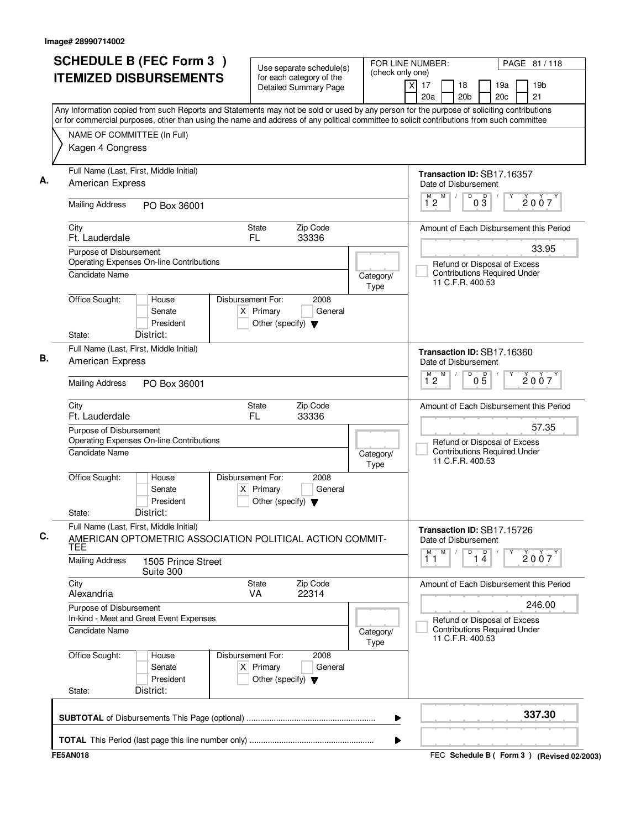| <b>ITEMIZED DISBURSEMENTS</b>                                                                                                             | for each category of the<br><b>Detailed Summary Page</b>                                    | (check only one)                                  |                                                                                                                                           |
|-------------------------------------------------------------------------------------------------------------------------------------------|---------------------------------------------------------------------------------------------|---------------------------------------------------|-------------------------------------------------------------------------------------------------------------------------------------------|
|                                                                                                                                           |                                                                                             |                                                   | 19 <sub>b</sub><br>xl<br>17<br>18<br>19a<br>20a<br>20 <sub>b</sub><br>20c<br>21                                                           |
| or for commercial purposes, other than using the name and address of any political committee to solicit contributions from such committee |                                                                                             |                                                   | Any Information copied from such Reports and Statements may not be sold or used by any person for the purpose of soliciting contributions |
| NAME OF COMMITTEE (In Full)                                                                                                               |                                                                                             |                                                   |                                                                                                                                           |
| Kagen 4 Congress                                                                                                                          |                                                                                             |                                                   |                                                                                                                                           |
| Full Name (Last, First, Middle Initial)<br><b>American Express</b>                                                                        |                                                                                             |                                                   | Transaction ID: SB17.16357<br>Date of Disbursement                                                                                        |
| <b>Mailing Address</b><br>PO Box 36001                                                                                                    |                                                                                             |                                                   | D<br>M<br>$0\frac{D}{3}$<br>М<br>2007<br>12                                                                                               |
| City<br>Ft. Lauderdale                                                                                                                    | State<br>Zip Code<br>33336<br>FL.                                                           |                                                   | Amount of Each Disbursement this Period                                                                                                   |
| Purpose of Disbursement                                                                                                                   |                                                                                             |                                                   | 33.95                                                                                                                                     |
| <b>Operating Expenses On-line Contributions</b><br>Candidate Name                                                                         |                                                                                             | Category/<br>Type                                 | Refund or Disposal of Excess<br><b>Contributions Required Under</b><br>11 C.F.R. 400.53                                                   |
| Office Sought:<br>House<br>Senate<br>President                                                                                            | Disbursement For:<br>2008<br>$X$ Primary<br>General<br>Other (specify) $\blacktriangledown$ |                                                   |                                                                                                                                           |
| District:<br>State:                                                                                                                       |                                                                                             |                                                   |                                                                                                                                           |
| Full Name (Last, First, Middle Initial)<br>American Express                                                                               |                                                                                             |                                                   | Transaction ID: SB17.16360<br>Date of Disbursement                                                                                        |
| <b>Mailing Address</b><br>PO Box 36001                                                                                                    |                                                                                             | D<br>M<br>$0\overline{5}$<br>2007<br>$1^{\circ}2$ |                                                                                                                                           |
| City<br>Ft. Lauderdale                                                                                                                    | Zip Code<br>State<br>FL<br>33336                                                            |                                                   | Amount of Each Disbursement this Period                                                                                                   |
| Purpose of Disbursement<br>Operating Expenses On-line Contributions                                                                       |                                                                                             |                                                   | 57.35<br>Refund or Disposal of Excess<br><b>Contributions Required Under</b>                                                              |
| Candidate Name                                                                                                                            |                                                                                             | Category/<br>Type                                 | 11 C.F.R. 400.53                                                                                                                          |
| Office Sought:<br>House<br>Senate<br>President<br>District:<br>State:                                                                     | Disbursement For:<br>2008<br>$X$ Primary<br>General<br>Other (specify) $\blacktriangledown$ |                                                   |                                                                                                                                           |
| Full Name (Last, First, Middle Initial)<br>AMERICAN OPTOMETRIC ASSOCIATION POLITICAL ACTION COMMIT-<br>TEE                                |                                                                                             |                                                   | Transaction ID: SB17.15726<br>Date of Disbursement                                                                                        |
| <b>Mailing Address</b><br>1505 Prince Street<br>Suite 300                                                                                 |                                                                                             |                                                   | M<br>$\overline{14}$<br>$\overline{1}^M$ $\overline{1}$<br>2007                                                                           |
| City<br>Alexandria                                                                                                                        | Zip Code<br>State<br><b>VA</b><br>22314                                                     |                                                   | Amount of Each Disbursement this Period                                                                                                   |
| Purpose of Disbursement                                                                                                                   |                                                                                             |                                                   | 246.00                                                                                                                                    |
| In-kind - Meet and Greet Event Expenses<br><b>Candidate Name</b>                                                                          |                                                                                             | Category/<br>Type                                 | Refund or Disposal of Excess<br><b>Contributions Required Under</b><br>11 C.F.R. 400.53                                                   |
| Office Sought:<br>House<br>Senate<br>President                                                                                            | Disbursement For:<br>2008<br>$X$ Primary<br>General<br>Other (specify) $\blacktriangledown$ |                                                   |                                                                                                                                           |
| District:<br>State:                                                                                                                       |                                                                                             |                                                   |                                                                                                                                           |
|                                                                                                                                           |                                                                                             | ▶                                                 | 337.30                                                                                                                                    |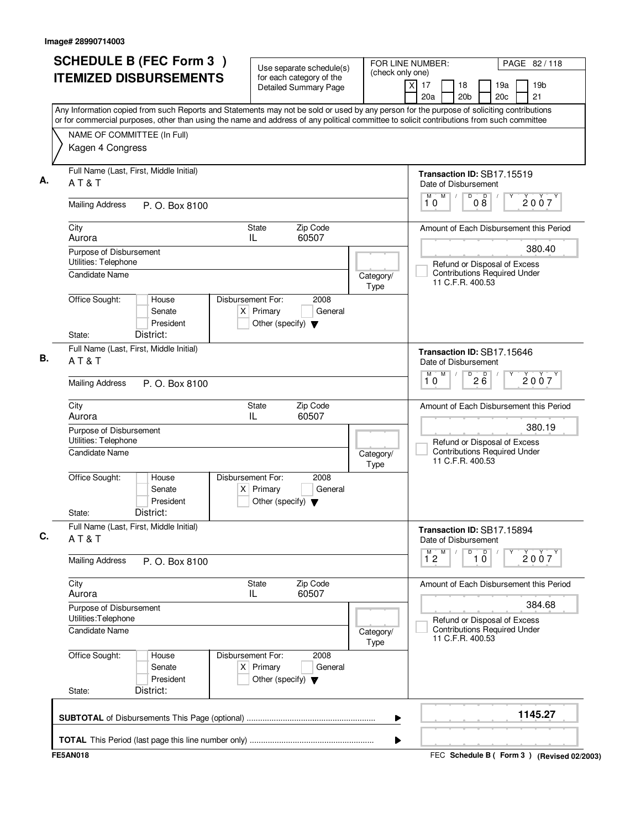| <b>SCHEDULE B (FEC Form 3)</b>                                                                                                                                                                                                                                                         | Use separate schedule(s)                                                                    | FOR LINE NUMBER:<br>(check only one)                                                    |                                                    |                                                                                         |                               | PAGE 82/118 |                                           |  |
|----------------------------------------------------------------------------------------------------------------------------------------------------------------------------------------------------------------------------------------------------------------------------------------|---------------------------------------------------------------------------------------------|-----------------------------------------------------------------------------------------|----------------------------------------------------|-----------------------------------------------------------------------------------------|-------------------------------|-------------|-------------------------------------------|--|
| <b>ITEMIZED DISBURSEMENTS</b>                                                                                                                                                                                                                                                          | for each category of the<br><b>Detailed Summary Page</b>                                    |                                                                                         | x<br>17<br>20a                                     | 18<br>20 <sub>b</sub>                                                                   |                               | 19a<br>20c  | 19 <sub>b</sub><br>21                     |  |
| Any Information copied from such Reports and Statements may not be sold or used by any person for the purpose of soliciting contributions<br>or for commercial purposes, other than using the name and address of any political committee to solicit contributions from such committee |                                                                                             |                                                                                         |                                                    |                                                                                         |                               |             |                                           |  |
| NAME OF COMMITTEE (In Full)                                                                                                                                                                                                                                                            |                                                                                             |                                                                                         |                                                    |                                                                                         |                               |             |                                           |  |
| Kagen 4 Congress                                                                                                                                                                                                                                                                       |                                                                                             |                                                                                         |                                                    |                                                                                         |                               |             |                                           |  |
| Full Name (Last, First, Middle Initial)<br>AT&T                                                                                                                                                                                                                                        |                                                                                             |                                                                                         | Transaction ID: SB17.15519<br>Date of Disbursement |                                                                                         |                               |             |                                           |  |
| <b>Mailing Address</b><br>P. O. Box 8100                                                                                                                                                                                                                                               |                                                                                             |                                                                                         | M<br>M<br>10                                       | D                                                                                       | D<br>08                       |             | 2007                                      |  |
| City<br>Aurora                                                                                                                                                                                                                                                                         | Zip Code<br>State<br>IL<br>60507                                                            |                                                                                         |                                                    |                                                                                         |                               |             | Amount of Each Disbursement this Period   |  |
| Purpose of Disbursement                                                                                                                                                                                                                                                                |                                                                                             |                                                                                         |                                                    |                                                                                         |                               |             | 380.40                                    |  |
| Utilities: Telephone<br><b>Candidate Name</b>                                                                                                                                                                                                                                          |                                                                                             | Category/<br>Type                                                                       |                                                    | Refund or Disposal of Excess<br><b>Contributions Required Under</b><br>11 C.F.R. 400.53 |                               |             |                                           |  |
| Office Sought:<br>House<br>Senate<br>President<br>District:<br>State:                                                                                                                                                                                                                  | Disbursement For:<br>2008<br>$X$ Primary<br>General<br>Other (specify) $\blacktriangledown$ |                                                                                         |                                                    |                                                                                         |                               |             |                                           |  |
| Full Name (Last, First, Middle Initial)<br>AT&T                                                                                                                                                                                                                                        |                                                                                             |                                                                                         | Transaction ID: SB17.15646<br>Date of Disbursement |                                                                                         |                               |             |                                           |  |
| <b>Mailing Address</b><br>P. O. Box 8100                                                                                                                                                                                                                                               |                                                                                             |                                                                                         | M<br>М<br>10                                       | D                                                                                       | $2\overline{6}$               |             | 2007                                      |  |
| City<br>Aurora                                                                                                                                                                                                                                                                         | Zip Code<br>State<br>IL<br>60507                                                            |                                                                                         |                                                    |                                                                                         |                               |             | Amount of Each Disbursement this Period   |  |
| Purpose of Disbursement                                                                                                                                                                                                                                                                | 380.19                                                                                      |                                                                                         |                                                    |                                                                                         |                               |             |                                           |  |
| Utilities: Telephone<br><b>Candidate Name</b>                                                                                                                                                                                                                                          | Category/<br>Type                                                                           | Refund or Disposal of Excess<br><b>Contributions Required Under</b><br>11 C.F.R. 400.53 |                                                    |                                                                                         |                               |             |                                           |  |
| Office Sought:<br>House<br>Senate<br>President<br>District:<br>State:                                                                                                                                                                                                                  | Disbursement For:<br>2008<br>General<br>$X$ Primary<br>Other (specify) $\blacktriangledown$ |                                                                                         |                                                    |                                                                                         |                               |             |                                           |  |
| Full Name (Last, First, Middle Initial)<br>AT&T                                                                                                                                                                                                                                        |                                                                                             |                                                                                         | Transaction ID: SB17.15894<br>Date of Disbursement |                                                                                         |                               |             |                                           |  |
| <b>Mailing Address</b><br>P. O. Box 8100                                                                                                                                                                                                                                               |                                                                                             |                                                                                         | $1^M$ 2 $M$                                        | D                                                                                       | $\overline{1}$ $\overline{0}$ |             | 2007                                      |  |
| City<br>Aurora                                                                                                                                                                                                                                                                         | Zip Code<br>State<br>60507<br>IL.                                                           |                                                                                         |                                                    |                                                                                         |                               |             | Amount of Each Disbursement this Period   |  |
| Purpose of Disbursement<br>Utilities: Telephone                                                                                                                                                                                                                                        |                                                                                             |                                                                                         |                                                    |                                                                                         | 384.68                        |             |                                           |  |
| Candidate Name<br>Category/<br>Type                                                                                                                                                                                                                                                    |                                                                                             |                                                                                         |                                                    | Refund or Disposal of Excess<br><b>Contributions Required Under</b><br>11 C.F.R. 400.53 |                               |             |                                           |  |
| Office Sought:<br>House<br>Senate<br>President<br>District:<br>State:                                                                                                                                                                                                                  | Disbursement For:<br>2008<br>$X$ Primary<br>General<br>Other (specify) $\blacktriangledown$ |                                                                                         |                                                    |                                                                                         |                               |             |                                           |  |
|                                                                                                                                                                                                                                                                                        |                                                                                             | ▶                                                                                       |                                                    |                                                                                         |                               |             | 1145.27                                   |  |
|                                                                                                                                                                                                                                                                                        |                                                                                             | ▶                                                                                       |                                                    |                                                                                         |                               |             |                                           |  |
| <b>FE5AN018</b>                                                                                                                                                                                                                                                                        |                                                                                             |                                                                                         |                                                    |                                                                                         |                               |             | FEC Schedule B (Form 3) (Revised 02/2003) |  |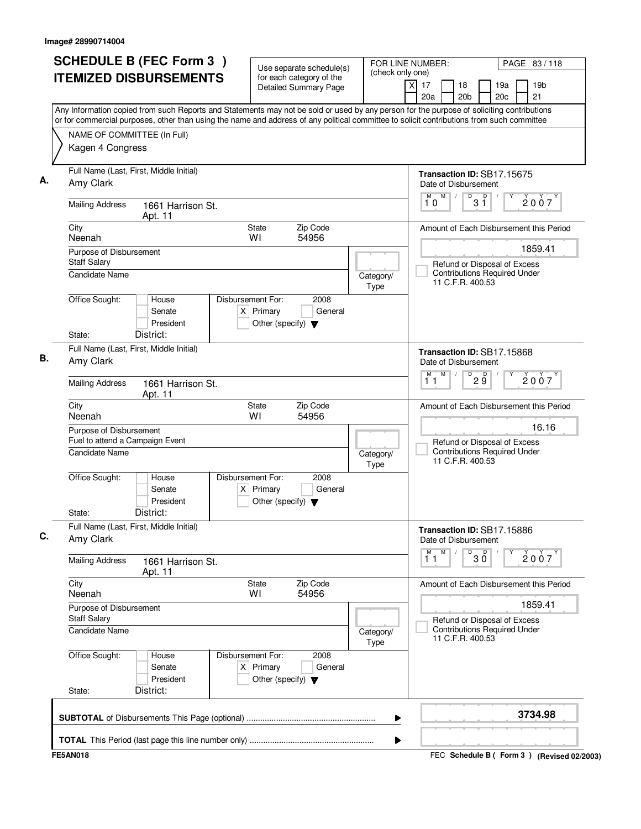| Any Information copied from such Reports and Statements may not be sold or used by any person for the purpose of soliciting contributions<br>or for commercial purposes, other than using the name and address of any political committee to solicit contributions from such committee<br>NAME OF COMMITTEE (In Full)<br>Kagen 4 Congress<br>Full Name (Last, First, Middle Initial)<br>Transaction ID: SB17.15675<br>Amy Clark<br>Date of Disbursement<br>M<br>$\sqrt{\frac{D}{3}}$<br>M<br>2007<br>10<br><b>Mailing Address</b><br>1661 Harrison St.<br>Apt. 11<br>City<br>Zip Code<br>State<br>Neenah<br>W١<br>54956<br>1859.41<br>Purpose of Disbursement<br><b>Staff Salary</b><br>Refund or Disposal of Excess<br><b>Contributions Required Under</b><br><b>Candidate Name</b><br>Category/<br>11 C.F.R. 400.53<br>Type<br>Office Sought:<br>House<br>Disbursement For:<br>2008<br>Senate<br>$X$ Primary<br>General<br>President<br>Other (specify) $\blacktriangledown$<br>District:<br>State:<br>Full Name (Last, First, Middle Initial)<br>Transaction ID: SB17.15868<br>Amy Clark<br>Date of Disbursement<br>M<br>M<br>D<br>29<br>2007<br>11<br><b>Mailing Address</b><br>1661 Harrison St.<br>Apt. 11<br>City<br>Zip Code<br><b>State</b><br>Neenah<br>WI<br>54956<br>16.16<br>Purpose of Disbursement<br>Fuel to attend a Campaign Event<br>Refund or Disposal of Excess<br><b>Contributions Required Under</b><br><b>Candidate Name</b><br>Category/<br>11 C.F.R. 400.53<br>Type<br>Office Sought:<br>House<br>Disbursement For:<br>2008<br>Senate<br>$X$ Primary<br>General<br>President<br>Other (specify) $\blacktriangledown$<br>District:<br>State:<br>Full Name (Last, First, Middle Initial)<br>Transaction ID: SB17.15886<br>Amy Clark<br>Date of Disbursement<br>M<br>M<br>$\overline{\mathsf{D}}$<br>D<br>2007<br>$30^{\circ}$<br>11<br><b>Mailing Address</b><br>1661 Harrison St.<br>Apt. 11<br>City<br>State<br>Zip Code<br>Neenah<br>54956<br>W١<br>1859.41<br>Purpose of Disbursement<br>Staff Salary<br>Refund or Disposal of Excess<br><b>Contributions Required Under</b><br>Candidate Name<br>Category/<br>11 C.F.R. 400.53<br>Type<br>Office Sought:<br>2008<br>Disbursement For:<br>House<br>$X$ Primary<br>Senate<br>General<br>President<br>Other (specify) $\blacktriangledown$<br>District:<br>State:<br>3734.98<br>▶ | <b>SCHEDULE B (FEC Form 3)</b><br><b>ITEMIZED DISBURSEMENTS</b> | Use separate schedule(s)<br>for each category of the<br><b>Detailed Summary Page</b> | FOR LINE NUMBER:<br>(check only one) | PAGE 83/118<br>x<br>17<br>18<br>19a<br>19 <sub>b</sub> |
|-------------------------------------------------------------------------------------------------------------------------------------------------------------------------------------------------------------------------------------------------------------------------------------------------------------------------------------------------------------------------------------------------------------------------------------------------------------------------------------------------------------------------------------------------------------------------------------------------------------------------------------------------------------------------------------------------------------------------------------------------------------------------------------------------------------------------------------------------------------------------------------------------------------------------------------------------------------------------------------------------------------------------------------------------------------------------------------------------------------------------------------------------------------------------------------------------------------------------------------------------------------------------------------------------------------------------------------------------------------------------------------------------------------------------------------------------------------------------------------------------------------------------------------------------------------------------------------------------------------------------------------------------------------------------------------------------------------------------------------------------------------------------------------------------------------------------------------------------------------------------------------------------------------------------------------------------------------------------------------------------------------------------------------------------------------------------------------------------------------------------------------------------------------------------------------------------------------------------------------------------------------------------------------------------------------------------------------------------------------|-----------------------------------------------------------------|--------------------------------------------------------------------------------------|--------------------------------------|--------------------------------------------------------|
|                                                                                                                                                                                                                                                                                                                                                                                                                                                                                                                                                                                                                                                                                                                                                                                                                                                                                                                                                                                                                                                                                                                                                                                                                                                                                                                                                                                                                                                                                                                                                                                                                                                                                                                                                                                                                                                                                                                                                                                                                                                                                                                                                                                                                                                                                                                                                             |                                                                 |                                                                                      |                                      | 20a<br>20c<br>21<br>20 <sub>b</sub>                    |
|                                                                                                                                                                                                                                                                                                                                                                                                                                                                                                                                                                                                                                                                                                                                                                                                                                                                                                                                                                                                                                                                                                                                                                                                                                                                                                                                                                                                                                                                                                                                                                                                                                                                                                                                                                                                                                                                                                                                                                                                                                                                                                                                                                                                                                                                                                                                                             |                                                                 |                                                                                      |                                      |                                                        |
|                                                                                                                                                                                                                                                                                                                                                                                                                                                                                                                                                                                                                                                                                                                                                                                                                                                                                                                                                                                                                                                                                                                                                                                                                                                                                                                                                                                                                                                                                                                                                                                                                                                                                                                                                                                                                                                                                                                                                                                                                                                                                                                                                                                                                                                                                                                                                             |                                                                 |                                                                                      |                                      |                                                        |
|                                                                                                                                                                                                                                                                                                                                                                                                                                                                                                                                                                                                                                                                                                                                                                                                                                                                                                                                                                                                                                                                                                                                                                                                                                                                                                                                                                                                                                                                                                                                                                                                                                                                                                                                                                                                                                                                                                                                                                                                                                                                                                                                                                                                                                                                                                                                                             |                                                                 |                                                                                      |                                      |                                                        |
|                                                                                                                                                                                                                                                                                                                                                                                                                                                                                                                                                                                                                                                                                                                                                                                                                                                                                                                                                                                                                                                                                                                                                                                                                                                                                                                                                                                                                                                                                                                                                                                                                                                                                                                                                                                                                                                                                                                                                                                                                                                                                                                                                                                                                                                                                                                                                             |                                                                 |                                                                                      |                                      | Amount of Each Disbursement this Period                |
|                                                                                                                                                                                                                                                                                                                                                                                                                                                                                                                                                                                                                                                                                                                                                                                                                                                                                                                                                                                                                                                                                                                                                                                                                                                                                                                                                                                                                                                                                                                                                                                                                                                                                                                                                                                                                                                                                                                                                                                                                                                                                                                                                                                                                                                                                                                                                             |                                                                 |                                                                                      |                                      |                                                        |
|                                                                                                                                                                                                                                                                                                                                                                                                                                                                                                                                                                                                                                                                                                                                                                                                                                                                                                                                                                                                                                                                                                                                                                                                                                                                                                                                                                                                                                                                                                                                                                                                                                                                                                                                                                                                                                                                                                                                                                                                                                                                                                                                                                                                                                                                                                                                                             |                                                                 |                                                                                      |                                      |                                                        |
|                                                                                                                                                                                                                                                                                                                                                                                                                                                                                                                                                                                                                                                                                                                                                                                                                                                                                                                                                                                                                                                                                                                                                                                                                                                                                                                                                                                                                                                                                                                                                                                                                                                                                                                                                                                                                                                                                                                                                                                                                                                                                                                                                                                                                                                                                                                                                             |                                                                 |                                                                                      |                                      |                                                        |
|                                                                                                                                                                                                                                                                                                                                                                                                                                                                                                                                                                                                                                                                                                                                                                                                                                                                                                                                                                                                                                                                                                                                                                                                                                                                                                                                                                                                                                                                                                                                                                                                                                                                                                                                                                                                                                                                                                                                                                                                                                                                                                                                                                                                                                                                                                                                                             |                                                                 |                                                                                      |                                      |                                                        |
|                                                                                                                                                                                                                                                                                                                                                                                                                                                                                                                                                                                                                                                                                                                                                                                                                                                                                                                                                                                                                                                                                                                                                                                                                                                                                                                                                                                                                                                                                                                                                                                                                                                                                                                                                                                                                                                                                                                                                                                                                                                                                                                                                                                                                                                                                                                                                             |                                                                 |                                                                                      |                                      | Amount of Each Disbursement this Period                |
|                                                                                                                                                                                                                                                                                                                                                                                                                                                                                                                                                                                                                                                                                                                                                                                                                                                                                                                                                                                                                                                                                                                                                                                                                                                                                                                                                                                                                                                                                                                                                                                                                                                                                                                                                                                                                                                                                                                                                                                                                                                                                                                                                                                                                                                                                                                                                             |                                                                 |                                                                                      |                                      |                                                        |
|                                                                                                                                                                                                                                                                                                                                                                                                                                                                                                                                                                                                                                                                                                                                                                                                                                                                                                                                                                                                                                                                                                                                                                                                                                                                                                                                                                                                                                                                                                                                                                                                                                                                                                                                                                                                                                                                                                                                                                                                                                                                                                                                                                                                                                                                                                                                                             |                                                                 |                                                                                      |                                      |                                                        |
|                                                                                                                                                                                                                                                                                                                                                                                                                                                                                                                                                                                                                                                                                                                                                                                                                                                                                                                                                                                                                                                                                                                                                                                                                                                                                                                                                                                                                                                                                                                                                                                                                                                                                                                                                                                                                                                                                                                                                                                                                                                                                                                                                                                                                                                                                                                                                             |                                                                 |                                                                                      |                                      |                                                        |
|                                                                                                                                                                                                                                                                                                                                                                                                                                                                                                                                                                                                                                                                                                                                                                                                                                                                                                                                                                                                                                                                                                                                                                                                                                                                                                                                                                                                                                                                                                                                                                                                                                                                                                                                                                                                                                                                                                                                                                                                                                                                                                                                                                                                                                                                                                                                                             |                                                                 |                                                                                      |                                      |                                                        |
|                                                                                                                                                                                                                                                                                                                                                                                                                                                                                                                                                                                                                                                                                                                                                                                                                                                                                                                                                                                                                                                                                                                                                                                                                                                                                                                                                                                                                                                                                                                                                                                                                                                                                                                                                                                                                                                                                                                                                                                                                                                                                                                                                                                                                                                                                                                                                             |                                                                 |                                                                                      |                                      |                                                        |
|                                                                                                                                                                                                                                                                                                                                                                                                                                                                                                                                                                                                                                                                                                                                                                                                                                                                                                                                                                                                                                                                                                                                                                                                                                                                                                                                                                                                                                                                                                                                                                                                                                                                                                                                                                                                                                                                                                                                                                                                                                                                                                                                                                                                                                                                                                                                                             |                                                                 |                                                                                      |                                      | Amount of Each Disbursement this Period                |
|                                                                                                                                                                                                                                                                                                                                                                                                                                                                                                                                                                                                                                                                                                                                                                                                                                                                                                                                                                                                                                                                                                                                                                                                                                                                                                                                                                                                                                                                                                                                                                                                                                                                                                                                                                                                                                                                                                                                                                                                                                                                                                                                                                                                                                                                                                                                                             |                                                                 |                                                                                      |                                      |                                                        |
|                                                                                                                                                                                                                                                                                                                                                                                                                                                                                                                                                                                                                                                                                                                                                                                                                                                                                                                                                                                                                                                                                                                                                                                                                                                                                                                                                                                                                                                                                                                                                                                                                                                                                                                                                                                                                                                                                                                                                                                                                                                                                                                                                                                                                                                                                                                                                             |                                                                 |                                                                                      |                                      |                                                        |
|                                                                                                                                                                                                                                                                                                                                                                                                                                                                                                                                                                                                                                                                                                                                                                                                                                                                                                                                                                                                                                                                                                                                                                                                                                                                                                                                                                                                                                                                                                                                                                                                                                                                                                                                                                                                                                                                                                                                                                                                                                                                                                                                                                                                                                                                                                                                                             |                                                                 |                                                                                      |                                      |                                                        |
|                                                                                                                                                                                                                                                                                                                                                                                                                                                                                                                                                                                                                                                                                                                                                                                                                                                                                                                                                                                                                                                                                                                                                                                                                                                                                                                                                                                                                                                                                                                                                                                                                                                                                                                                                                                                                                                                                                                                                                                                                                                                                                                                                                                                                                                                                                                                                             |                                                                 |                                                                                      |                                      |                                                        |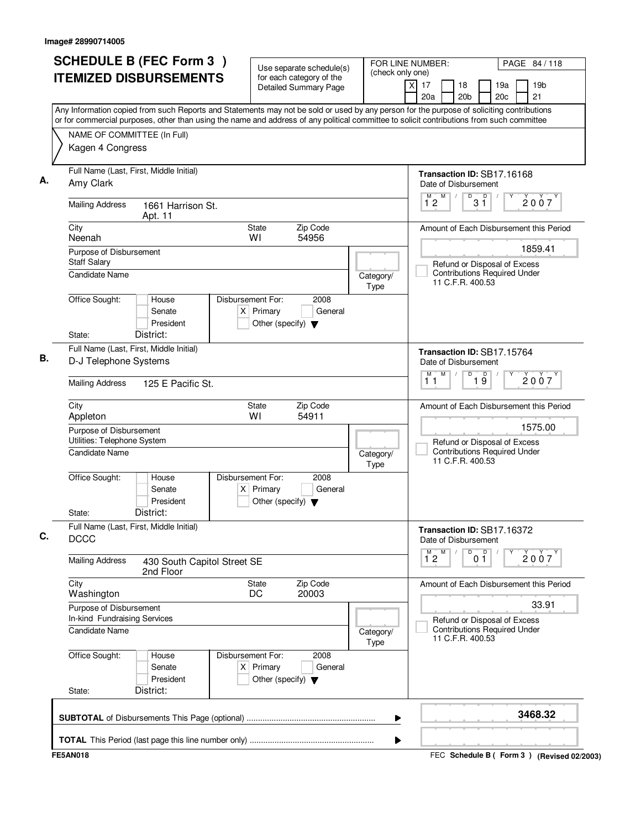| <b>SCHEDULE B (FEC Form 3)</b><br><b>ITEMIZED DISBURSEMENTS</b>    | Use separate schedule(s)<br>for each category of the                                        | FOR LINE NUMBER:<br>PAGE 84 / 118<br>(check only one)                                                                                                                                                                                                                                  |
|--------------------------------------------------------------------|---------------------------------------------------------------------------------------------|----------------------------------------------------------------------------------------------------------------------------------------------------------------------------------------------------------------------------------------------------------------------------------------|
|                                                                    | Detailed Summary Page                                                                       | 17<br>18<br>19a<br>19 <sub>b</sub><br>X<br>20a<br>20 <sub>b</sub><br>20c<br>21                                                                                                                                                                                                         |
|                                                                    |                                                                                             | Any Information copied from such Reports and Statements may not be sold or used by any person for the purpose of soliciting contributions<br>or for commercial purposes, other than using the name and address of any political committee to solicit contributions from such committee |
| NAME OF COMMITTEE (In Full)                                        |                                                                                             |                                                                                                                                                                                                                                                                                        |
| Kagen 4 Congress                                                   |                                                                                             |                                                                                                                                                                                                                                                                                        |
| Full Name (Last, First, Middle Initial)<br>Amy Clark               |                                                                                             | Transaction ID: SB17.16168<br>Date of Disbursement                                                                                                                                                                                                                                     |
| <b>Mailing Address</b><br>1661 Harrison St.<br>Apt. 11             |                                                                                             | D<br>M<br>D<br>M<br>2007<br>$1^{\circ}2$<br>3 Ī                                                                                                                                                                                                                                        |
| City<br>Neenah                                                     | Zip Code<br>State<br>54956<br>WI                                                            | Amount of Each Disbursement this Period                                                                                                                                                                                                                                                |
| Purpose of Disbursement                                            |                                                                                             | 1859.41                                                                                                                                                                                                                                                                                |
| <b>Staff Salary</b><br>Candidate Name                              |                                                                                             | Refund or Disposal of Excess<br><b>Contributions Required Under</b><br>Category/<br>11 C.F.R. 400.53<br>Type                                                                                                                                                                           |
| Office Sought:<br>House<br>Senate<br>President                     | Disbursement For:<br>2008<br>$X$ Primary<br>General<br>Other (specify) $\blacktriangledown$ |                                                                                                                                                                                                                                                                                        |
| State:<br>District:<br>Full Name (Last, First, Middle Initial)     |                                                                                             |                                                                                                                                                                                                                                                                                        |
| D-J Telephone Systems                                              |                                                                                             | Transaction ID: SB17.15764<br>Date of Disbursement<br>M<br>D<br>М                                                                                                                                                                                                                      |
| <b>Mailing Address</b><br>125 E Pacific St.                        |                                                                                             | $\overline{19}$<br>2007<br>11                                                                                                                                                                                                                                                          |
| City<br>Appleton                                                   | Zip Code<br><b>State</b><br>W١<br>54911                                                     | Amount of Each Disbursement this Period                                                                                                                                                                                                                                                |
| Purpose of Disbursement<br>Utilities: Telephone System             |                                                                                             | 1575.00<br>Refund or Disposal of Excess                                                                                                                                                                                                                                                |
| Candidate Name                                                     |                                                                                             | <b>Contributions Required Under</b><br>Category/<br>11 C.F.R. 400.53<br>Type                                                                                                                                                                                                           |
| Office Sought:<br>House<br>Senate<br>President                     | Disbursement For:<br>2008<br>$X$ Primary<br>General<br>Other (specify) $\blacktriangledown$ |                                                                                                                                                                                                                                                                                        |
| District:<br>State:                                                |                                                                                             |                                                                                                                                                                                                                                                                                        |
| Full Name (Last, First, Middle Initial)<br><b>DCCC</b>             |                                                                                             | Transaction ID: SB17.16372<br>Date of Disbursement                                                                                                                                                                                                                                     |
| <b>Mailing Address</b><br>430 South Capitol Street SE<br>2nd Floor |                                                                                             | M<br>D<br>0 <sup>D</sup><br>$\overline{1}^M$ 2<br>2007                                                                                                                                                                                                                                 |
| City<br>Washington                                                 | Zip Code<br><b>State</b><br>DC<br>20003                                                     | Amount of Each Disbursement this Period                                                                                                                                                                                                                                                |
| Purpose of Disbursement<br>In-kind Fundraising Services            |                                                                                             | 33.91<br>Refund or Disposal of Excess                                                                                                                                                                                                                                                  |
| <b>Candidate Name</b>                                              |                                                                                             | <b>Contributions Required Under</b><br>Category/<br>11 C.F.R. 400.53<br>Type                                                                                                                                                                                                           |
| Office Sought:<br>House<br>Senate<br>President                     | Disbursement For:<br>2008<br>$X$ Primary<br>General<br>Other (specify) $\blacktriangledown$ |                                                                                                                                                                                                                                                                                        |
| District:<br>State:                                                |                                                                                             |                                                                                                                                                                                                                                                                                        |
|                                                                    |                                                                                             | 3468.32<br>▶                                                                                                                                                                                                                                                                           |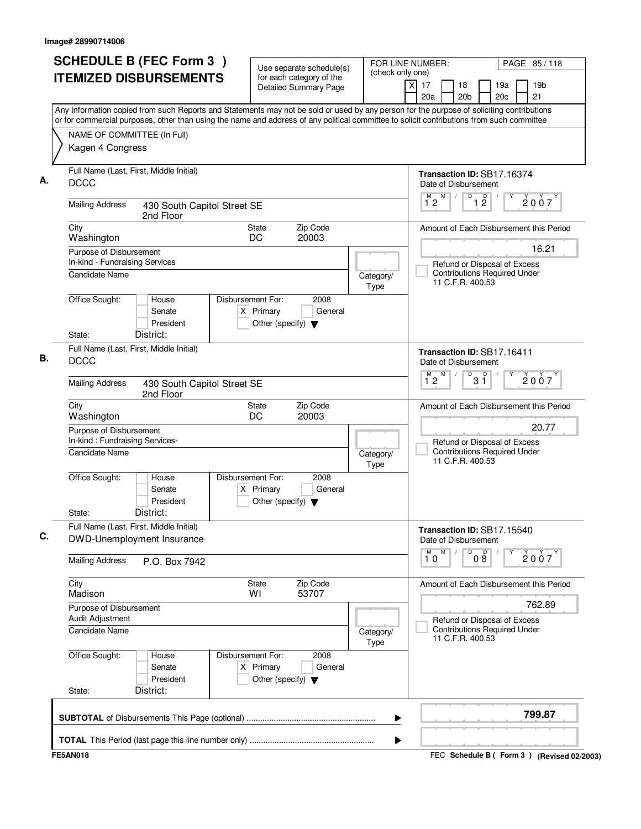| <b>SCHEDULE B (FEC Form 3)</b>                                                                                                                                                                                                                                                         | Use separate schedule(s)                                                                    | (check only one)  | FOR LINE NUMBER:                                   |                                                                                         |                        | PAGE 85/118                                 |
|----------------------------------------------------------------------------------------------------------------------------------------------------------------------------------------------------------------------------------------------------------------------------------------|---------------------------------------------------------------------------------------------|-------------------|----------------------------------------------------|-----------------------------------------------------------------------------------------|------------------------|---------------------------------------------|
| <b>ITEMIZED DISBURSEMENTS</b>                                                                                                                                                                                                                                                          | for each category of the<br><b>Detailed Summary Page</b>                                    |                   | x<br>17<br>20a                                     | 18<br>20 <sub>b</sub>                                                                   | 19a<br>20 <sub>c</sub> | 19 <sub>b</sub><br>21                       |
| Any Information copied from such Reports and Statements may not be sold or used by any person for the purpose of soliciting contributions<br>or for commercial purposes, other than using the name and address of any political committee to solicit contributions from such committee |                                                                                             |                   |                                                    |                                                                                         |                        |                                             |
| NAME OF COMMITTEE (In Full)                                                                                                                                                                                                                                                            |                                                                                             |                   |                                                    |                                                                                         |                        |                                             |
| Kagen 4 Congress                                                                                                                                                                                                                                                                       |                                                                                             |                   |                                                    |                                                                                         |                        |                                             |
| Full Name (Last, First, Middle Initial)<br><b>DCCC</b>                                                                                                                                                                                                                                 |                                                                                             |                   | Transaction ID: SB17.16374<br>Date of Disbursement |                                                                                         |                        |                                             |
| <b>Mailing Address</b><br>430 South Capitol Street SE<br>2nd Floor                                                                                                                                                                                                                     |                                                                                             |                   | M<br>$\overline{1}^M$ 2                            | $\overline{D}$<br>D<br>$1\overline{2}$                                                  |                        | 2007                                        |
| City<br>Washington                                                                                                                                                                                                                                                                     | State<br>Zip Code<br>DC<br>20003                                                            |                   |                                                    |                                                                                         |                        | Amount of Each Disbursement this Period     |
| Purpose of Disbursement<br>In-kind - Fundraising Services                                                                                                                                                                                                                              |                                                                                             |                   |                                                    | Refund or Disposal of Excess                                                            |                        | 16.21                                       |
| <b>Candidate Name</b>                                                                                                                                                                                                                                                                  |                                                                                             | Category/<br>Type |                                                    | <b>Contributions Required Under</b><br>11 C.F.R. 400.53                                 |                        |                                             |
| Office Sought:<br>House<br>Senate<br>President<br>District:<br>State:                                                                                                                                                                                                                  | Disbursement For:<br>2008<br>$X$ Primary<br>General<br>Other (specify) $\blacktriangledown$ |                   |                                                    |                                                                                         |                        |                                             |
| Full Name (Last, First, Middle Initial)<br><b>DCCC</b>                                                                                                                                                                                                                                 |                                                                                             |                   | Transaction ID: SB17.16411<br>Date of Disbursement |                                                                                         |                        |                                             |
| <b>Mailing Address</b><br>430 South Capitol Street SE<br>2nd Floor                                                                                                                                                                                                                     |                                                                                             |                   | M<br>$\overline{1}^M$ 2                            | $\overline{P}$ 3 $\overline{1}$                                                         |                        | 2007                                        |
| City<br>Washington                                                                                                                                                                                                                                                                     | Zip Code<br><b>State</b><br>DC<br>20003                                                     |                   |                                                    |                                                                                         |                        | Amount of Each Disbursement this Period     |
| Purpose of Disbursement<br>In-kind: Fundraising Services-                                                                                                                                                                                                                              |                                                                                             |                   |                                                    |                                                                                         |                        | 20.77                                       |
| <b>Candidate Name</b>                                                                                                                                                                                                                                                                  |                                                                                             | Category/<br>Type |                                                    | Refund or Disposal of Excess<br><b>Contributions Required Under</b><br>11 C.F.R. 400.53 |                        |                                             |
| Office Sought:<br>House<br>Senate<br>President<br>District:<br>State:                                                                                                                                                                                                                  | Disbursement For:<br>2008<br>$X$ Primary<br>General<br>Other (specify) $\blacktriangledown$ |                   |                                                    |                                                                                         |                        |                                             |
| Full Name (Last, First, Middle Initial)<br>DWD-Unemployment Insurance                                                                                                                                                                                                                  |                                                                                             |                   | Transaction ID: SB17.15540<br>Date of Disbursement |                                                                                         |                        |                                             |
| <b>Mailing Address</b><br>P.O. Box 7942                                                                                                                                                                                                                                                |                                                                                             |                   | M<br>10                                            | 08<br>D                                                                                 |                        | 2007                                        |
| City<br>Madison                                                                                                                                                                                                                                                                        | Zip Code<br><b>State</b><br>53707<br>WI                                                     |                   |                                                    |                                                                                         |                        | Amount of Each Disbursement this Period     |
| Purpose of Disbursement<br>Audit Adjustment                                                                                                                                                                                                                                            |                                                                                             |                   |                                                    |                                                                                         |                        | 762.89                                      |
| Candidate Name                                                                                                                                                                                                                                                                         |                                                                                             | Category/<br>Type |                                                    | Refund or Disposal of Excess<br><b>Contributions Required Under</b><br>11 C.F.R. 400.53 |                        |                                             |
| Office Sought:<br>House<br>Senate<br>President<br>District:<br>State:                                                                                                                                                                                                                  | Disbursement For:<br>2008<br>$X$ Primary<br>General<br>Other (specify) $\blacktriangledown$ |                   |                                                    |                                                                                         |                        |                                             |
|                                                                                                                                                                                                                                                                                        |                                                                                             | ▶                 |                                                    |                                                                                         |                        | 799.87                                      |
|                                                                                                                                                                                                                                                                                        |                                                                                             | ▶                 |                                                    |                                                                                         |                        |                                             |
| <b>FE5AN018</b>                                                                                                                                                                                                                                                                        |                                                                                             |                   |                                                    |                                                                                         |                        | FEC Schedule B ( Form 3 ) (Revised 02/2003) |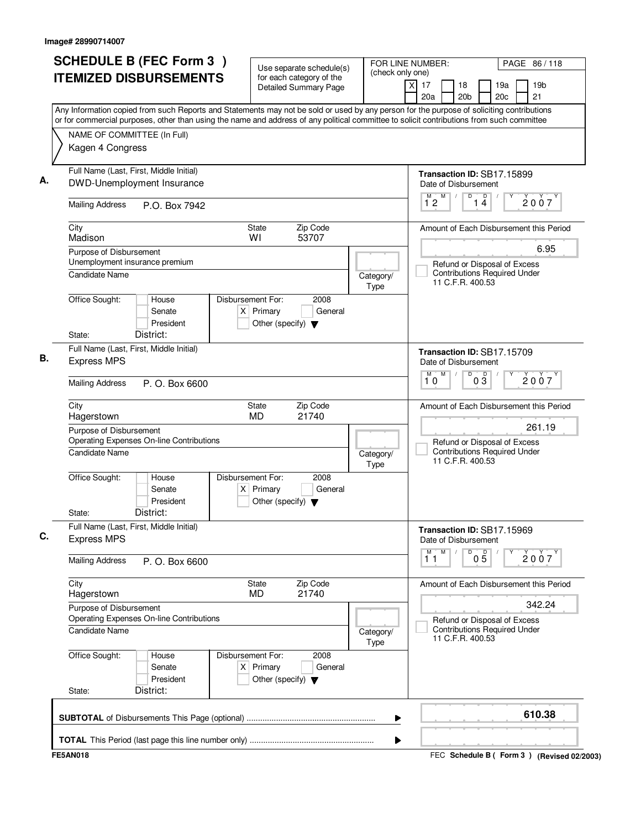|                                           | <b>SCHEDULE B (FEC Form 3)</b>                                                                                                                                                                                                                                                         |                        |                                                     | Use separate schedule(s)                          | FOR LINE NUMBER:<br>(check only one) |                       |   |                                                                                         |                 |            | PAGE 86/118                             |
|-------------------------------------------|----------------------------------------------------------------------------------------------------------------------------------------------------------------------------------------------------------------------------------------------------------------------------------------|------------------------|-----------------------------------------------------|---------------------------------------------------|--------------------------------------|-----------------------|---|-----------------------------------------------------------------------------------------|-----------------|------------|-----------------------------------------|
|                                           | <b>ITEMIZED DISBURSEMENTS</b>                                                                                                                                                                                                                                                          |                        |                                                     | for each category of the<br>Detailed Summary Page |                                      | $\times$<br>17<br>20a |   | 18<br>20 <sub>b</sub>                                                                   |                 | 19a<br>20c | 19b<br>21                               |
|                                           | Any Information copied from such Reports and Statements may not be sold or used by any person for the purpose of soliciting contributions<br>or for commercial purposes, other than using the name and address of any political committee to solicit contributions from such committee |                        |                                                     |                                                   |                                      |                       |   |                                                                                         |                 |            |                                         |
| Kagen 4 Congress                          | NAME OF COMMITTEE (In Full)                                                                                                                                                                                                                                                            |                        |                                                     |                                                   |                                      |                       |   |                                                                                         |                 |            |                                         |
|                                           | Full Name (Last, First, Middle Initial)<br>DWD-Unemployment Insurance                                                                                                                                                                                                                  |                        |                                                     |                                                   |                                      |                       |   | Transaction ID: SB17.15899<br>Date of Disbursement                                      |                 |            |                                         |
| <b>Mailing Address</b>                    | P.O. Box 7942                                                                                                                                                                                                                                                                          |                        |                                                     |                                                   |                                      | M<br>12               | M | D                                                                                       | 1 <sup>D</sup>  |            | 2007                                    |
| City<br>Madison                           |                                                                                                                                                                                                                                                                                        | WI                     | <b>State</b>                                        | Zip Code<br>53707                                 |                                      |                       |   |                                                                                         |                 |            | Amount of Each Disbursement this Period |
| Purpose of Disbursement                   | Unemployment insurance premium                                                                                                                                                                                                                                                         |                        |                                                     |                                                   |                                      |                       |   |                                                                                         |                 |            | 6.95                                    |
| Candidate Name                            |                                                                                                                                                                                                                                                                                        |                        |                                                     |                                                   | Category/<br>Type                    |                       |   | Refund or Disposal of Excess<br><b>Contributions Required Under</b><br>11 C.F.R. 400.53 |                 |            |                                         |
| Office Sought:<br>State:                  | House<br>Senate<br>President<br>District:                                                                                                                                                                                                                                              | Disbursement For:      | $X$ Primary<br>Other (specify) $\blacktriangledown$ | 2008<br>General                                   |                                      |                       |   |                                                                                         |                 |            |                                         |
|                                           | Full Name (Last, First, Middle Initial)                                                                                                                                                                                                                                                |                        |                                                     |                                                   |                                      |                       |   | Transaction ID: SB17.15709                                                              |                 |            |                                         |
| <b>Express MPS</b>                        |                                                                                                                                                                                                                                                                                        |                        |                                                     |                                                   |                                      |                       |   | Date of Disbursement                                                                    |                 |            |                                         |
| <b>Mailing Address</b>                    | P. O. Box 6600                                                                                                                                                                                                                                                                         |                        |                                                     |                                                   |                                      | м<br>10               | M | D                                                                                       | $0\overline{3}$ |            | 2007                                    |
| City<br>Hagerstown                        |                                                                                                                                                                                                                                                                                        |                        | <b>State</b><br><b>MD</b>                           | Zip Code<br>21740                                 |                                      |                       |   |                                                                                         |                 |            | Amount of Each Disbursement this Period |
| Purpose of Disbursement<br>Candidate Name | Operating Expenses On-line Contributions                                                                                                                                                                                                                                               |                        |                                                     |                                                   | Category/                            |                       |   | Refund or Disposal of Excess<br><b>Contributions Required Under</b><br>11 C.F.R. 400.53 |                 |            | 261.19                                  |
| Office Sought:<br>State:                  | House<br>Senate<br>President<br>District:                                                                                                                                                                                                                                              | Disbursement For:<br>X | Primary<br>Other (specify) $\blacktriangledown$     | 2008<br>General                                   | Type                                 |                       |   |                                                                                         |                 |            |                                         |
| <b>Express MPS</b>                        | Full Name (Last, First, Middle Initial)                                                                                                                                                                                                                                                |                        |                                                     |                                                   |                                      |                       |   | Transaction ID: SB17.15969<br>Date of Disbursement                                      |                 |            |                                         |
| <b>Mailing Address</b>                    | P. O. Box 6600                                                                                                                                                                                                                                                                         |                        |                                                     |                                                   |                                      | М<br>11               | M | D                                                                                       | $0\overline{5}$ |            | 2007                                    |
| City<br>Hagerstown                        |                                                                                                                                                                                                                                                                                        |                        | <b>State</b><br>MD.                                 | Zip Code<br>21740                                 |                                      |                       |   |                                                                                         |                 |            | Amount of Each Disbursement this Period |
| Purpose of Disbursement                   | Operating Expenses On-line Contributions                                                                                                                                                                                                                                               |                        |                                                     |                                                   |                                      |                       |   |                                                                                         |                 |            | 342.24                                  |
| Candidate Name                            |                                                                                                                                                                                                                                                                                        |                        |                                                     |                                                   | Category/<br>Type                    |                       |   | Refund or Disposal of Excess<br><b>Contributions Required Under</b><br>11 C.F.R. 400.53 |                 |            |                                         |
| Office Sought:<br>State:                  | House<br>Senate<br>President<br>District:                                                                                                                                                                                                                                              | Disbursement For:      | $X$ Primary<br>Other (specify) $\blacktriangledown$ | 2008<br>General                                   |                                      |                       |   |                                                                                         |                 |            |                                         |
|                                           |                                                                                                                                                                                                                                                                                        |                        |                                                     |                                                   |                                      |                       |   |                                                                                         |                 |            | 610.38                                  |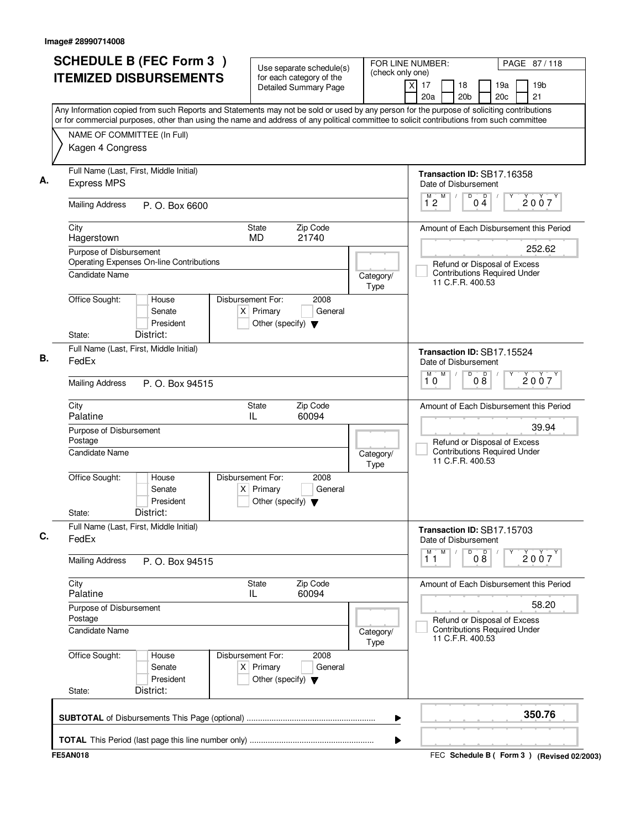|                           | <b>SCHEDULE B (FEC Form 3)</b><br><b>ITEMIZED DISBURSEMENTS</b>     | Use separate schedule(s)<br>for each category of the<br>Detailed Summary Page               |                   | FOR LINE NUMBER:<br>PAGE 87/118<br>(check only one)<br>19 <sub>b</sub><br>$\times$<br>17<br>18<br>19a                                                                            |
|---------------------------|---------------------------------------------------------------------|---------------------------------------------------------------------------------------------|-------------------|----------------------------------------------------------------------------------------------------------------------------------------------------------------------------------|
|                           |                                                                     |                                                                                             |                   | 20 <sub>b</sub><br>21<br>20a<br>20c<br>Any Information copied from such Reports and Statements may not be sold or used by any person for the purpose of soliciting contributions |
|                           | NAME OF COMMITTEE (In Full)<br>Kagen 4 Congress                     |                                                                                             |                   | or for commercial purposes, other than using the name and address of any political committee to solicit contributions from such committee                                        |
| <b>Express MPS</b>        | Full Name (Last, First, Middle Initial)                             |                                                                                             |                   | Transaction ID: SB17.16358<br>Date of Disbursement                                                                                                                               |
| <b>Mailing Address</b>    | P. O. Box 6600                                                      |                                                                                             |                   | D<br>$\overline{\mathsf{D}}$<br>M<br>М<br>2007<br>$1^{\circ}2$<br>0 <sub>4</sub>                                                                                                 |
| City<br>Hagerstown        |                                                                     | Zip Code<br>State<br><b>MD</b><br>21740                                                     |                   | Amount of Each Disbursement this Period                                                                                                                                          |
|                           | Purpose of Disbursement<br>Operating Expenses On-line Contributions |                                                                                             |                   | 252.62<br>Refund or Disposal of Excess                                                                                                                                           |
| Candidate Name            |                                                                     |                                                                                             | Category/<br>Type | <b>Contributions Required Under</b><br>11 C.F.R. 400.53                                                                                                                          |
| Office Sought:            | House<br>Senate<br>President                                        | Disbursement For:<br>2008<br>$X$ Primary<br>General<br>Other (specify) $\blacktriangledown$ |                   |                                                                                                                                                                                  |
| State:                    | District:<br>Full Name (Last, First, Middle Initial)                |                                                                                             |                   | Transaction ID: SB17.15524                                                                                                                                                       |
| FedEx                     |                                                                     |                                                                                             |                   | Date of Disbursement<br>D<br>M<br>M<br>08<br>2007                                                                                                                                |
| <b>Mailing Address</b>    | P. O. Box 94515                                                     |                                                                                             |                   | 10                                                                                                                                                                               |
| City<br>Palatine          |                                                                     | Zip Code<br><b>State</b><br>IL<br>60094                                                     |                   | Amount of Each Disbursement this Period                                                                                                                                          |
| Postage<br>Candidate Name | Purpose of Disbursement                                             |                                                                                             | Category/<br>Type | 39.94<br>Refund or Disposal of Excess<br><b>Contributions Required Under</b><br>11 C.F.R. 400.53                                                                                 |
| Office Sought:<br>State:  | House<br>Senate<br>President<br>District:                           | Disbursement For:<br>2008<br>$X$ Primary<br>General<br>Other (specify) $\blacktriangledown$ |                   |                                                                                                                                                                                  |
| FedEx                     | Full Name (Last, First, Middle Initial)                             |                                                                                             |                   | Transaction ID: SB17.15703<br>Date of Disbursement<br>M<br>D<br>M<br>$\sqrt{ }$                                                                                                  |
| <b>Mailing Address</b>    | P. O. Box 94515                                                     |                                                                                             |                   | 08<br>2007<br>11                                                                                                                                                                 |
| City<br>Palatine          |                                                                     | <b>State</b><br>Zip Code<br>60094<br>IL                                                     |                   | Amount of Each Disbursement this Period                                                                                                                                          |
| Postage<br>Candidate Name | Purpose of Disbursement                                             |                                                                                             | Category/<br>Type | 58.20<br>Refund or Disposal of Excess<br><b>Contributions Required Under</b><br>11 C.F.R. 400.53                                                                                 |
| Office Sought:<br>State:  | House<br>Senate<br>President<br>District:                           | Disbursement For:<br>2008<br>$X$ Primary<br>General<br>Other (specify) $\blacktriangledown$ |                   |                                                                                                                                                                                  |
|                           |                                                                     |                                                                                             |                   | 350.76                                                                                                                                                                           |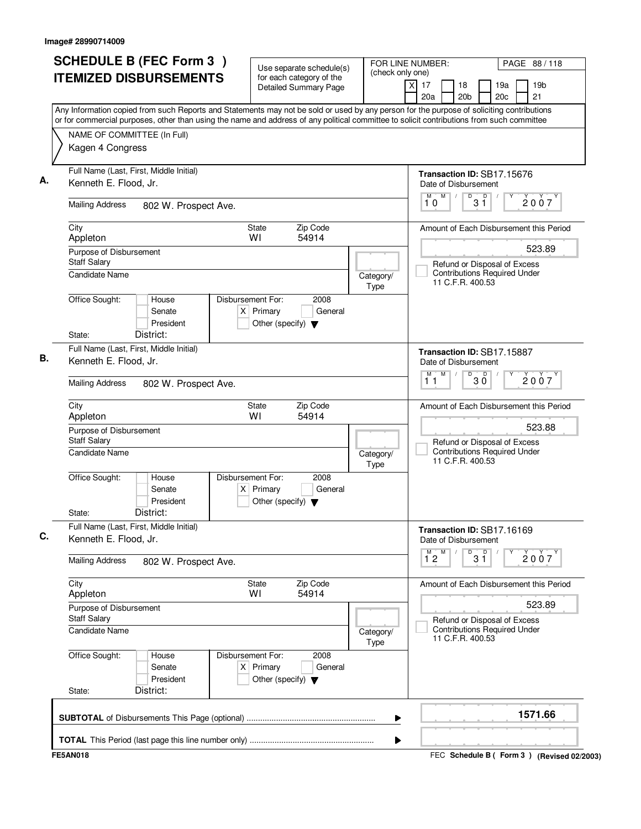| <b>SCHEDULE B (FEC Form 3)</b>                                                                                                                                                                                                                                                         | Use separate schedule(s)                                                                    | FOR LINE NUMBER:<br>(check only one) |                             |   | PAGE 88/118                                             |                      |            |  |                                             |
|----------------------------------------------------------------------------------------------------------------------------------------------------------------------------------------------------------------------------------------------------------------------------------------|---------------------------------------------------------------------------------------------|--------------------------------------|-----------------------------|---|---------------------------------------------------------|----------------------|------------|--|---------------------------------------------|
| <b>ITEMIZED DISBURSEMENTS</b>                                                                                                                                                                                                                                                          | for each category of the<br><b>Detailed Summary Page</b>                                    |                                      | $\overline{X}$<br>17<br>20a |   | 18<br>20 <sub>b</sub>                                   |                      | 19a<br>20c |  | 19 <sub>b</sub><br>21                       |
| Any Information copied from such Reports and Statements may not be sold or used by any person for the purpose of soliciting contributions<br>or for commercial purposes, other than using the name and address of any political committee to solicit contributions from such committee |                                                                                             |                                      |                             |   |                                                         |                      |            |  |                                             |
| NAME OF COMMITTEE (In Full)                                                                                                                                                                                                                                                            |                                                                                             |                                      |                             |   |                                                         |                      |            |  |                                             |
| Kagen 4 Congress                                                                                                                                                                                                                                                                       |                                                                                             |                                      |                             |   |                                                         |                      |            |  |                                             |
| Full Name (Last, First, Middle Initial)<br>Kenneth E. Flood, Jr.                                                                                                                                                                                                                       |                                                                                             |                                      |                             |   | Transaction ID: SB17.15676<br>Date of Disbursement      |                      |            |  |                                             |
| <b>Mailing Address</b><br>802 W. Prospect Ave.                                                                                                                                                                                                                                         |                                                                                             |                                      | M<br>10                     |   | M<br>D                                                  | p<br>$3\overline{1}$ |            |  | 2007                                        |
| City<br>Appleton                                                                                                                                                                                                                                                                       | Zip Code<br><b>State</b><br>WI<br>54914                                                     |                                      |                             |   |                                                         |                      |            |  | Amount of Each Disbursement this Period     |
| Purpose of Disbursement<br><b>Staff Salary</b>                                                                                                                                                                                                                                         |                                                                                             |                                      |                             |   | Refund or Disposal of Excess                            |                      |            |  | 523.89                                      |
| Candidate Name                                                                                                                                                                                                                                                                         |                                                                                             | Category/<br>Type                    |                             |   | <b>Contributions Required Under</b><br>11 C.F.R. 400.53 |                      |            |  |                                             |
| Office Sought:<br>House<br>Senate<br>President<br>District:                                                                                                                                                                                                                            | Disbursement For:<br>2008<br>$X$ Primary<br>General<br>Other (specify) $\blacktriangledown$ |                                      |                             |   |                                                         |                      |            |  |                                             |
| State:<br>Full Name (Last, First, Middle Initial)                                                                                                                                                                                                                                      |                                                                                             |                                      |                             |   |                                                         |                      |            |  |                                             |
| Kenneth E. Flood, Jr.                                                                                                                                                                                                                                                                  |                                                                                             |                                      | м                           | M | Transaction ID: SB17.15887<br>Date of Disbursement<br>D |                      |            |  |                                             |
| <b>Mailing Address</b><br>802 W. Prospect Ave.                                                                                                                                                                                                                                         |                                                                                             |                                      | 11                          |   |                                                         | $30^{\circ}$         |            |  | 2007                                        |
| City<br>Appleton                                                                                                                                                                                                                                                                       | Zip Code<br>State<br>54914<br>W١                                                            |                                      |                             |   |                                                         |                      |            |  | Amount of Each Disbursement this Period     |
| Purpose of Disbursement<br><b>Staff Salary</b>                                                                                                                                                                                                                                         |                                                                                             |                                      |                             |   | Refund or Disposal of Excess                            |                      |            |  | 523.88                                      |
| Candidate Name                                                                                                                                                                                                                                                                         |                                                                                             | Category/<br>Type                    |                             |   | <b>Contributions Required Under</b><br>11 C.F.R. 400.53 |                      |            |  |                                             |
| Office Sought:<br>House<br>Senate<br>President<br>District:<br>State:                                                                                                                                                                                                                  | Disbursement For:<br>2008<br>$X$ Primary<br>General<br>Other (specify) $\blacktriangledown$ |                                      |                             |   |                                                         |                      |            |  |                                             |
| Full Name (Last, First, Middle Initial)<br>Kenneth E. Flood, Jr.                                                                                                                                                                                                                       |                                                                                             |                                      |                             |   | Transaction ID: SB17.16169<br>Date of Disbursement      |                      |            |  |                                             |
| <b>Mailing Address</b><br>802 W. Prospect Ave.                                                                                                                                                                                                                                         |                                                                                             |                                      | $1^{M}2$                    | M |                                                         | $\overline{31}$      | Υ          |  | 2007                                        |
| City<br>Appleton                                                                                                                                                                                                                                                                       | State<br>Zip Code<br>WI<br>54914                                                            |                                      |                             |   |                                                         |                      |            |  | Amount of Each Disbursement this Period     |
| Purpose of Disbursement<br>Staff Salary                                                                                                                                                                                                                                                |                                                                                             |                                      |                             |   | Refund or Disposal of Excess                            |                      |            |  | 523.89                                      |
| Candidate Name                                                                                                                                                                                                                                                                         |                                                                                             | Category/<br>Type                    |                             |   | <b>Contributions Required Under</b><br>11 C.F.R. 400.53 |                      |            |  |                                             |
| Office Sought:<br>House<br>Senate<br>President<br>District:<br>State:                                                                                                                                                                                                                  | Disbursement For:<br>2008<br>$X$ Primary<br>General<br>Other (specify) $\blacktriangledown$ |                                      |                             |   |                                                         |                      |            |  |                                             |
|                                                                                                                                                                                                                                                                                        |                                                                                             | ▶                                    |                             |   |                                                         |                      |            |  | 1571.66                                     |
|                                                                                                                                                                                                                                                                                        |                                                                                             | ▶                                    |                             |   |                                                         |                      |            |  |                                             |
| <b>FE5AN018</b>                                                                                                                                                                                                                                                                        |                                                                                             |                                      |                             |   |                                                         |                      |            |  | FEC Schedule B ( Form 3 ) (Revised 02/2003) |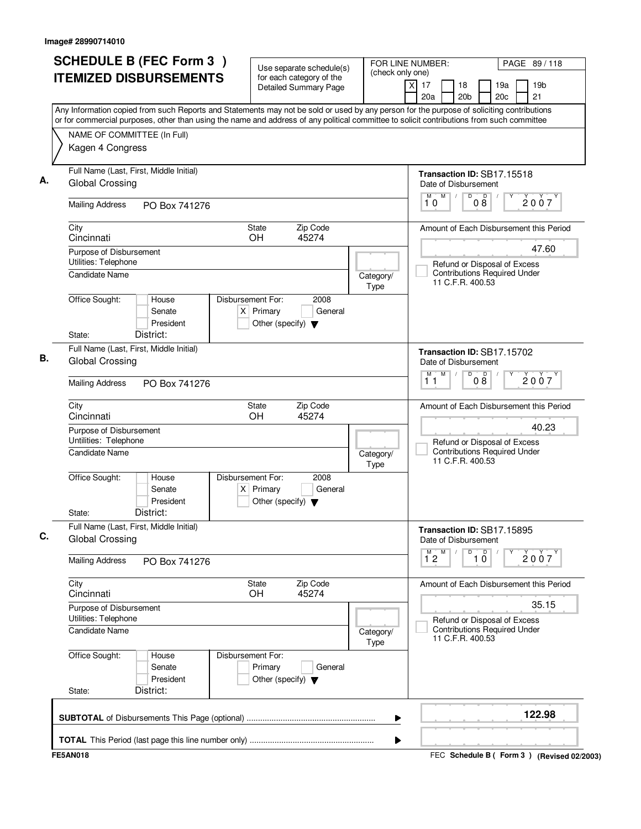|                                                            | <b>ITEMIZED DISBURSEMENTS</b>             |                                                                                             |                   | (check only one)                                                                                                                                                                                                                                                                       |
|------------------------------------------------------------|-------------------------------------------|---------------------------------------------------------------------------------------------|-------------------|----------------------------------------------------------------------------------------------------------------------------------------------------------------------------------------------------------------------------------------------------------------------------------------|
|                                                            |                                           | for each category of the<br>Detailed Summary Page                                           |                   | 19 <sub>b</sub><br>17<br>18<br>19a<br>X<br>20a<br>20 <sub>b</sub><br>20c<br>21                                                                                                                                                                                                         |
|                                                            |                                           |                                                                                             |                   | Any Information copied from such Reports and Statements may not be sold or used by any person for the purpose of soliciting contributions<br>or for commercial purposes, other than using the name and address of any political committee to solicit contributions from such committee |
| NAME OF COMMITTEE (In Full)                                |                                           |                                                                                             |                   |                                                                                                                                                                                                                                                                                        |
| Kagen 4 Congress                                           |                                           |                                                                                             |                   |                                                                                                                                                                                                                                                                                        |
| Full Name (Last, First, Middle Initial)<br>Global Crossing |                                           |                                                                                             |                   | Transaction ID: SB17.15518<br>Date of Disbursement                                                                                                                                                                                                                                     |
| <b>Mailing Address</b>                                     | PO Box 741276                             |                                                                                             |                   | M<br>D<br>D<br>M<br>2007<br>08<br>10                                                                                                                                                                                                                                                   |
| City<br>Cincinnati                                         |                                           | State<br>Zip Code<br>45274<br>OH.                                                           |                   | Amount of Each Disbursement this Period                                                                                                                                                                                                                                                |
| Purpose of Disbursement                                    |                                           |                                                                                             |                   | 47.60                                                                                                                                                                                                                                                                                  |
| Utilities: Telephone<br>Candidate Name                     |                                           |                                                                                             | Category/<br>Type | Refund or Disposal of Excess<br><b>Contributions Required Under</b><br>11 C.F.R. 400.53                                                                                                                                                                                                |
| Office Sought:<br>State:                                   | House<br>Senate<br>President<br>District: | Disbursement For:<br>2008<br>$X$ Primary<br>General<br>Other (specify) $\blacktriangledown$ |                   |                                                                                                                                                                                                                                                                                        |
| Full Name (Last, First, Middle Initial)                    |                                           |                                                                                             |                   |                                                                                                                                                                                                                                                                                        |
| Global Crossing                                            |                                           |                                                                                             |                   | Transaction ID: SB17.15702<br>Date of Disbursement<br>$\overline{D}$<br>M<br>D<br>М                                                                                                                                                                                                    |
| <b>Mailing Address</b>                                     | PO Box 741276                             |                                                                                             |                   | 2007<br>$0\bar{8}$<br>11                                                                                                                                                                                                                                                               |
| City<br>Cincinnati                                         |                                           | <b>State</b><br>Zip Code<br>OH.<br>45274                                                    |                   | Amount of Each Disbursement this Period                                                                                                                                                                                                                                                |
| Purpose of Disbursement<br>Untilities: Telephone           |                                           |                                                                                             |                   | 40.23<br>Refund or Disposal of Excess                                                                                                                                                                                                                                                  |
| Candidate Name                                             |                                           |                                                                                             | Category/<br>Type | <b>Contributions Required Under</b><br>11 C.F.R. 400.53                                                                                                                                                                                                                                |
| Office Sought:                                             | House<br>Senate<br>President              | Disbursement For:<br>2008<br>$X$ Primary<br>General<br>Other (specify) $\blacktriangledown$ |                   |                                                                                                                                                                                                                                                                                        |
| State:                                                     | District:                                 |                                                                                             |                   |                                                                                                                                                                                                                                                                                        |
| Full Name (Last, First, Middle Initial)<br>Global Crossing |                                           |                                                                                             |                   | Transaction ID: SB17.15895<br>Date of Disbursement<br>M<br>D                                                                                                                                                                                                                           |
| <b>Mailing Address</b>                                     | PO Box 741276                             |                                                                                             |                   | $\overline{1}$ $\overline{0}$<br>$\overline{1}^M$ 2<br>2007                                                                                                                                                                                                                            |
| City<br>Cincinnati                                         |                                           | <b>State</b><br>Zip Code<br><b>OH</b><br>45274                                              |                   | Amount of Each Disbursement this Period                                                                                                                                                                                                                                                |
| Purpose of Disbursement<br>Utilities: Telephone            |                                           |                                                                                             |                   | 35.15<br>Refund or Disposal of Excess                                                                                                                                                                                                                                                  |
| <b>Candidate Name</b>                                      |                                           |                                                                                             | Category/<br>Type | <b>Contributions Required Under</b><br>11 C.F.R. 400.53                                                                                                                                                                                                                                |
| Office Sought:                                             | House<br>Senate<br>President              | Disbursement For:<br>Primary<br>General<br>Other (specify) $\blacktriangledown$             |                   |                                                                                                                                                                                                                                                                                        |
| State:                                                     | District:                                 |                                                                                             |                   |                                                                                                                                                                                                                                                                                        |
|                                                            |                                           |                                                                                             | ▶                 | 122.98                                                                                                                                                                                                                                                                                 |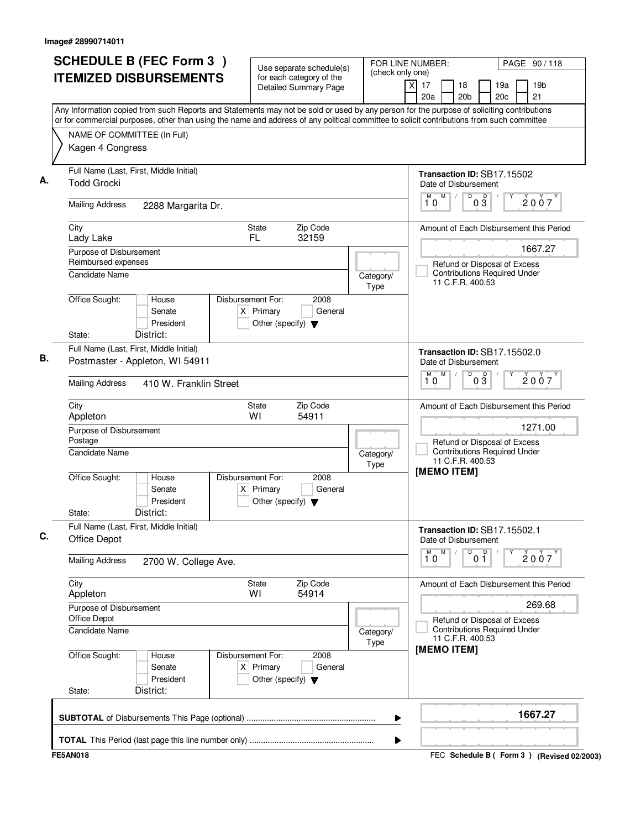|                                                                | <b>SCHEDULE B (FEC Form 3)</b>                                                                                                                                                                                                                                                         |                                                                          | Use separate schedule(s)                                 | (check only one)  | FOR LINE NUMBER:                                                                        | PAGE 90/118                                                         |
|----------------------------------------------------------------|----------------------------------------------------------------------------------------------------------------------------------------------------------------------------------------------------------------------------------------------------------------------------------------|--------------------------------------------------------------------------|----------------------------------------------------------|-------------------|-----------------------------------------------------------------------------------------|---------------------------------------------------------------------|
|                                                                | <b>ITEMIZED DISBURSEMENTS</b>                                                                                                                                                                                                                                                          |                                                                          | for each category of the<br><b>Detailed Summary Page</b> |                   | $\times$<br>17<br>18<br>20a<br>20 <sub>b</sub>                                          | 19a<br>19b<br>20c<br>21                                             |
|                                                                | Any Information copied from such Reports and Statements may not be sold or used by any person for the purpose of soliciting contributions<br>or for commercial purposes, other than using the name and address of any political committee to solicit contributions from such committee |                                                                          |                                                          |                   |                                                                                         |                                                                     |
| NAME OF COMMITTEE (In Full)                                    |                                                                                                                                                                                                                                                                                        |                                                                          |                                                          |                   |                                                                                         |                                                                     |
| Kagen 4 Congress                                               |                                                                                                                                                                                                                                                                                        |                                                                          |                                                          |                   |                                                                                         |                                                                     |
| Full Name (Last, First, Middle Initial)<br><b>Todd Grocki</b>  |                                                                                                                                                                                                                                                                                        |                                                                          |                                                          |                   | Transaction ID: SB17.15502<br>Date of Disbursement                                      |                                                                     |
| <b>Mailing Address</b>                                         | 2288 Margarita Dr.                                                                                                                                                                                                                                                                     |                                                                          |                                                          |                   | D<br>M<br>M<br>$0\overline{3}$<br>10                                                    | 2007                                                                |
| City<br>Lady Lake                                              |                                                                                                                                                                                                                                                                                        | <b>State</b><br>FL.                                                      | Zip Code<br>32159                                        |                   |                                                                                         | Amount of Each Disbursement this Period                             |
| Purpose of Disbursement                                        |                                                                                                                                                                                                                                                                                        |                                                                          |                                                          |                   |                                                                                         | 1667.27                                                             |
| Reimbursed expenses<br>Candidate Name                          |                                                                                                                                                                                                                                                                                        |                                                                          |                                                          | Category/<br>Type | 11 C.F.R. 400.53                                                                        | Refund or Disposal of Excess<br><b>Contributions Required Under</b> |
| Office Sought:                                                 | House<br>Senate<br>President                                                                                                                                                                                                                                                           | Disbursement For:<br>$X$ Primary<br>Other (specify) $\blacktriangledown$ | 2008<br>General                                          |                   |                                                                                         |                                                                     |
| State:                                                         | District:                                                                                                                                                                                                                                                                              |                                                                          |                                                          |                   |                                                                                         |                                                                     |
| Full Name (Last, First, Middle Initial)                        | Postmaster - Appleton, WI 54911                                                                                                                                                                                                                                                        |                                                                          |                                                          |                   | <b>Transaction ID: SB17.15502.0</b><br>Date of Disbursement<br>$\overline{D}$<br>M<br>M |                                                                     |
| <b>Mailing Address</b>                                         | 410 W. Franklin Street                                                                                                                                                                                                                                                                 |                                                                          |                                                          |                   | $0\frac{D}{3}$<br>10                                                                    | 2007                                                                |
| City<br>Appleton                                               |                                                                                                                                                                                                                                                                                        | State<br>WI                                                              | Zip Code<br>54911                                        |                   |                                                                                         | Amount of Each Disbursement this Period                             |
| Purpose of Disbursement<br>Postage                             |                                                                                                                                                                                                                                                                                        |                                                                          |                                                          |                   |                                                                                         | 1271.00<br>Refund or Disposal of Excess                             |
| Candidate Name                                                 |                                                                                                                                                                                                                                                                                        |                                                                          |                                                          | Category/<br>Type | 11 C.F.R. 400.53<br>[MEMO ITEM]                                                         | <b>Contributions Required Under</b>                                 |
| Office Sought:                                                 | House<br>Senate<br>President                                                                                                                                                                                                                                                           | Disbursement For:<br>$X$ Primary<br>Other (specify) $\blacktriangledown$ | 2008<br>General                                          |                   |                                                                                         |                                                                     |
| State:                                                         | District:                                                                                                                                                                                                                                                                              |                                                                          |                                                          |                   |                                                                                         |                                                                     |
| Full Name (Last, First, Middle Initial)<br><b>Office Depot</b> |                                                                                                                                                                                                                                                                                        |                                                                          |                                                          |                   | Transaction ID: SB17.15502.1<br>Date of Disbursement                                    |                                                                     |
| <b>Mailing Address</b>                                         | 2700 W. College Ave.                                                                                                                                                                                                                                                                   |                                                                          |                                                          |                   | D<br>M<br>M<br>$0^{\circ}$<br>10                                                        | Υ<br>2007                                                           |
| City<br>Appleton                                               |                                                                                                                                                                                                                                                                                        | State<br>WI                                                              | Zip Code<br>54914                                        |                   |                                                                                         | Amount of Each Disbursement this Period                             |
| Purpose of Disbursement<br>Office Depot                        |                                                                                                                                                                                                                                                                                        |                                                                          |                                                          |                   |                                                                                         | 269.68<br>Refund or Disposal of Excess                              |
| Candidate Name                                                 |                                                                                                                                                                                                                                                                                        |                                                                          |                                                          | Category/<br>Type | 11 C.F.R. 400.53<br>[MEMO ITEM]                                                         | <b>Contributions Required Under</b>                                 |
| Office Sought:                                                 | House<br>Senate<br>President                                                                                                                                                                                                                                                           | Disbursement For:<br>$X$ Primary<br>Other (specify) $\blacktriangledown$ | 2008<br>General                                          |                   |                                                                                         |                                                                     |
| State:                                                         | District:                                                                                                                                                                                                                                                                              |                                                                          |                                                          |                   |                                                                                         |                                                                     |
|                                                                |                                                                                                                                                                                                                                                                                        |                                                                          |                                                          | ▶                 |                                                                                         | 1667.27                                                             |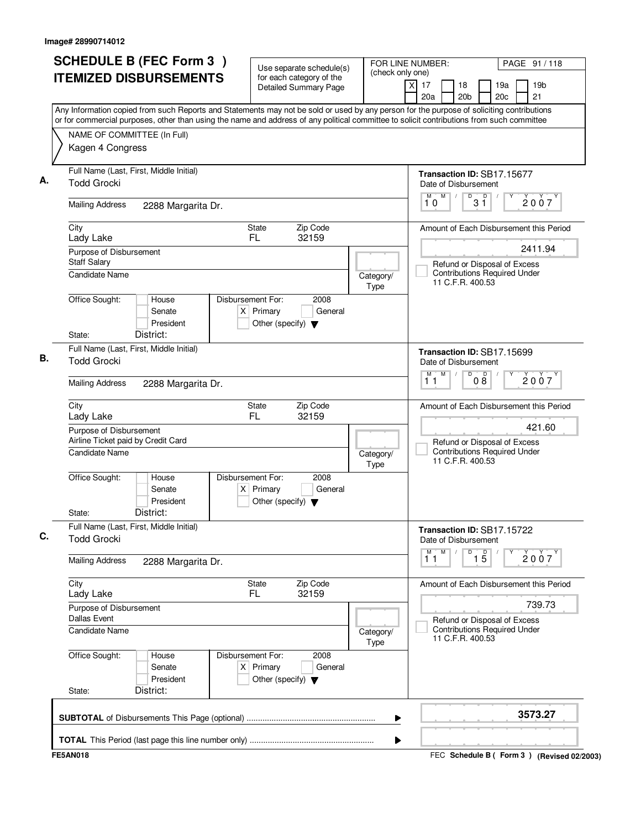|                                                               | <b>SCHEDULE B (FEC Form 3)</b>                                                                                                                                                                                                                                                         |                                  | Use separate schedule(s)                                 | FOR LINE NUMBER:<br>(check only one) |                                                                | PAGE 91 / 118                                                       |
|---------------------------------------------------------------|----------------------------------------------------------------------------------------------------------------------------------------------------------------------------------------------------------------------------------------------------------------------------------------|----------------------------------|----------------------------------------------------------|--------------------------------------|----------------------------------------------------------------|---------------------------------------------------------------------|
|                                                               | <b>ITEMIZED DISBURSEMENTS</b>                                                                                                                                                                                                                                                          |                                  | for each category of the<br><b>Detailed Summary Page</b> |                                      | $\times$<br>17<br>18<br>20a<br>20 <sub>b</sub>                 | 19a<br>19b<br>20c<br>21                                             |
|                                                               | Any Information copied from such Reports and Statements may not be sold or used by any person for the purpose of soliciting contributions<br>or for commercial purposes, other than using the name and address of any political committee to solicit contributions from such committee |                                  |                                                          |                                      |                                                                |                                                                     |
| NAME OF COMMITTEE (In Full)                                   |                                                                                                                                                                                                                                                                                        |                                  |                                                          |                                      |                                                                |                                                                     |
| Kagen 4 Congress                                              |                                                                                                                                                                                                                                                                                        |                                  |                                                          |                                      |                                                                |                                                                     |
|                                                               |                                                                                                                                                                                                                                                                                        |                                  |                                                          |                                      |                                                                |                                                                     |
| <b>Todd Grocki</b>                                            | Full Name (Last, First, Middle Initial)                                                                                                                                                                                                                                                |                                  |                                                          |                                      | Transaction ID: SB17.15677<br>Date of Disbursement             |                                                                     |
| <b>Mailing Address</b>                                        | 2288 Margarita Dr.                                                                                                                                                                                                                                                                     |                                  |                                                          |                                      | M<br>M<br>D<br>31<br>10                                        | D<br>2007                                                           |
| City<br>Lady Lake                                             |                                                                                                                                                                                                                                                                                        | <b>State</b><br>FL.              | Zip Code<br>32159                                        |                                      |                                                                | Amount of Each Disbursement this Period                             |
| Purpose of Disbursement                                       |                                                                                                                                                                                                                                                                                        |                                  |                                                          |                                      |                                                                | 2411.94                                                             |
| <b>Staff Salary</b><br><b>Candidate Name</b>                  |                                                                                                                                                                                                                                                                                        |                                  |                                                          | Category/<br>Type                    | 11 C.F.R. 400.53                                               | Refund or Disposal of Excess<br><b>Contributions Required Under</b> |
| Office Sought:                                                | House<br>Senate<br>President                                                                                                                                                                                                                                                           | Disbursement For:<br>$X$ Primary | 2008<br>General<br>Other (specify) $\blacktriangledown$  |                                      |                                                                |                                                                     |
| State:                                                        | District:                                                                                                                                                                                                                                                                              |                                  |                                                          |                                      |                                                                |                                                                     |
| <b>Todd Grocki</b>                                            | Full Name (Last, First, Middle Initial)                                                                                                                                                                                                                                                |                                  |                                                          |                                      | Transaction ID: SB17.15699<br>Date of Disbursement             |                                                                     |
| <b>Mailing Address</b>                                        | 2288 Margarita Dr.                                                                                                                                                                                                                                                                     |                                  |                                                          |                                      | M<br>$\overline{D}$<br>M<br>08<br>11                           | D<br>2007                                                           |
| City<br>Lady Lake                                             |                                                                                                                                                                                                                                                                                        | State<br>FL                      | Zip Code<br>32159                                        |                                      |                                                                | Amount of Each Disbursement this Period                             |
| Purpose of Disbursement<br>Airline Ticket paid by Credit Card |                                                                                                                                                                                                                                                                                        |                                  |                                                          |                                      |                                                                | 421.60<br>Refund or Disposal of Excess                              |
| <b>Candidate Name</b>                                         |                                                                                                                                                                                                                                                                                        |                                  |                                                          | Category/<br>Type                    | 11 C.F.R. 400.53                                               | <b>Contributions Required Under</b>                                 |
| Office Sought:                                                | House<br>Senate<br>President                                                                                                                                                                                                                                                           | Disbursement For:<br>$X$ Primary | 2008<br>General<br>Other (specify) $\blacktriangledown$  |                                      |                                                                |                                                                     |
| State:                                                        | District:                                                                                                                                                                                                                                                                              |                                  |                                                          |                                      |                                                                |                                                                     |
| <b>Todd Grocki</b>                                            | Full Name (Last, First, Middle Initial)                                                                                                                                                                                                                                                |                                  |                                                          |                                      | Transaction ID: SB17.15722<br>Date of Disbursement             |                                                                     |
| <b>Mailing Address</b>                                        | 2288 Margarita Dr.                                                                                                                                                                                                                                                                     |                                  |                                                          |                                      | D<br>$\overline{1}^M$ $\overline{1}$<br>M<br>$\overline{1\,5}$ | Υ<br>2007                                                           |
| City<br>Lady Lake                                             |                                                                                                                                                                                                                                                                                        | State<br>FL.                     | Zip Code<br>32159                                        |                                      |                                                                | Amount of Each Disbursement this Period                             |
| Purpose of Disbursement<br><b>Dallas Event</b>                |                                                                                                                                                                                                                                                                                        |                                  |                                                          |                                      |                                                                | 739.73<br>Refund or Disposal of Excess                              |
| <b>Candidate Name</b>                                         |                                                                                                                                                                                                                                                                                        |                                  |                                                          | Category/<br>Type                    | 11 C.F.R. 400.53                                               | <b>Contributions Required Under</b>                                 |
| Office Sought:                                                | House<br>Senate<br>President                                                                                                                                                                                                                                                           | Disbursement For:<br>$X$ Primary | 2008<br>General<br>Other (specify) $\blacktriangledown$  |                                      |                                                                |                                                                     |
| State:                                                        | District:                                                                                                                                                                                                                                                                              |                                  |                                                          |                                      |                                                                |                                                                     |
|                                                               |                                                                                                                                                                                                                                                                                        |                                  |                                                          |                                      |                                                                |                                                                     |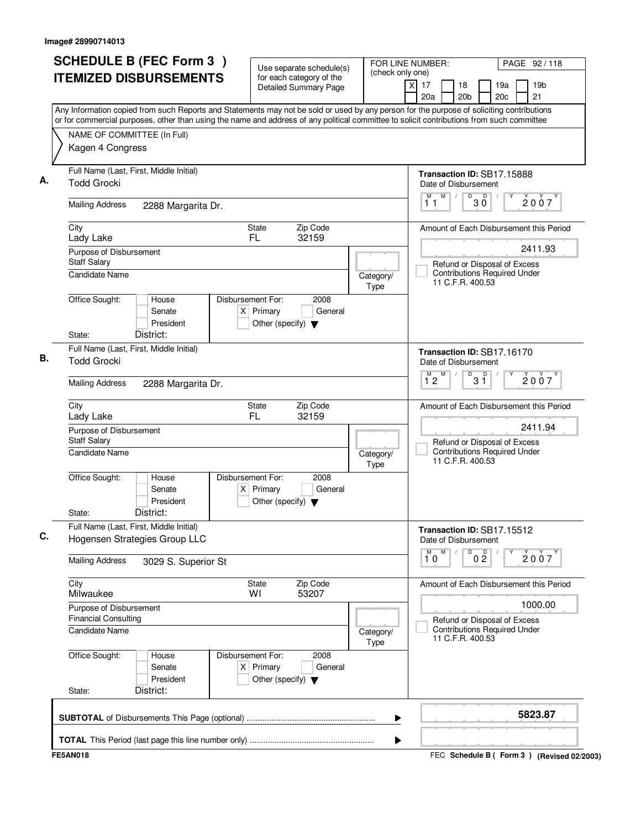|                                                                                                                                                                                                                                                                                        | <b>SCHEDULE B (FEC Form 3)</b>                | Use separate schedule(s)                                 | (check only one)  | FOR LINE NUMBER:                                                                        | PAGE 92/118                                     |
|----------------------------------------------------------------------------------------------------------------------------------------------------------------------------------------------------------------------------------------------------------------------------------------|-----------------------------------------------|----------------------------------------------------------|-------------------|-----------------------------------------------------------------------------------------|-------------------------------------------------|
| <b>ITEMIZED DISBURSEMENTS</b>                                                                                                                                                                                                                                                          |                                               | for each category of the<br><b>Detailed Summary Page</b> |                   | χI<br>17<br>18<br>20a<br>20 <sub>b</sub>                                                | 19a<br>19 <sub>b</sub><br>20 <sub>c</sub><br>21 |
| Any Information copied from such Reports and Statements may not be sold or used by any person for the purpose of soliciting contributions<br>or for commercial purposes, other than using the name and address of any political committee to solicit contributions from such committee |                                               |                                                          |                   |                                                                                         |                                                 |
| NAME OF COMMITTEE (In Full)                                                                                                                                                                                                                                                            |                                               |                                                          |                   |                                                                                         |                                                 |
| Kagen 4 Congress                                                                                                                                                                                                                                                                       |                                               |                                                          |                   |                                                                                         |                                                 |
| Full Name (Last, First, Middle Initial)<br><b>Todd Grocki</b>                                                                                                                                                                                                                          |                                               |                                                          |                   | Transaction ID: SB17.15888<br>Date of Disbursement                                      |                                                 |
| <b>Mailing Address</b>                                                                                                                                                                                                                                                                 | 2288 Margarita Dr.                            |                                                          |                   | M<br>D<br>M<br>$30^{\circ}$<br>11                                                       | 2007                                            |
| City<br>Lady Lake                                                                                                                                                                                                                                                                      | State<br>FL.                                  | Zip Code<br>32159                                        |                   | Amount of Each Disbursement this Period                                                 |                                                 |
| Purpose of Disbursement                                                                                                                                                                                                                                                                |                                               |                                                          |                   |                                                                                         | 2411.93                                         |
| <b>Staff Salary</b><br>Candidate Name                                                                                                                                                                                                                                                  |                                               |                                                          | Category/<br>Type | Refund or Disposal of Excess<br><b>Contributions Required Under</b><br>11 C.F.R. 400.53 |                                                 |
| Office Sought:<br>House<br>Senate<br>District:<br>State:                                                                                                                                                                                                                               | Disbursement For:<br>$X$ Primary<br>President | 2008<br>General<br>Other (specify) $\blacktriangledown$  |                   |                                                                                         |                                                 |
|                                                                                                                                                                                                                                                                                        |                                               |                                                          |                   |                                                                                         |                                                 |
| Full Name (Last, First, Middle Initial)<br><b>Todd Grocki</b>                                                                                                                                                                                                                          |                                               |                                                          |                   | Transaction ID: SB17.16170<br>Date of Disbursement                                      |                                                 |
| <b>Mailing Address</b>                                                                                                                                                                                                                                                                 | 2288 Margarita Dr.                            |                                                          |                   | D<br>M<br>M<br>$3^{\circ}$<br>12                                                        | 2007                                            |
| City<br>Lady Lake                                                                                                                                                                                                                                                                      | <b>State</b><br>FL                            | Zip Code<br>32159                                        |                   | Amount of Each Disbursement this Period                                                 |                                                 |
| Purpose of Disbursement<br><b>Staff Salary</b>                                                                                                                                                                                                                                         |                                               |                                                          |                   | Refund or Disposal of Excess                                                            | 2411.94                                         |
| <b>Candidate Name</b>                                                                                                                                                                                                                                                                  |                                               |                                                          | Category/<br>Type | <b>Contributions Required Under</b><br>11 C.F.R. 400.53                                 |                                                 |
| Office Sought:<br>House<br>Senate                                                                                                                                                                                                                                                      | Disbursement For:<br>$X$ Primary<br>President | 2008<br>General<br>Other (specify) $\blacktriangledown$  |                   |                                                                                         |                                                 |
| District:<br>State:                                                                                                                                                                                                                                                                    |                                               |                                                          |                   |                                                                                         |                                                 |
| Full Name (Last, First, Middle Initial)<br>Hogensen Strategies Group LLC                                                                                                                                                                                                               |                                               |                                                          |                   | Transaction ID: SB17.15512<br>Date of Disbursement                                      |                                                 |
| <b>Mailing Address</b>                                                                                                                                                                                                                                                                 | 3029 S. Superior St                           |                                                          |                   | M<br>M<br>D<br>0 <sup>0</sup><br>10                                                     | 2007                                            |
| City<br>Milwaukee                                                                                                                                                                                                                                                                      | State<br>WI                                   | Zip Code<br>53207                                        |                   | Amount of Each Disbursement this Period                                                 |                                                 |
| Purpose of Disbursement<br><b>Financial Consulting</b>                                                                                                                                                                                                                                 |                                               |                                                          |                   | Refund or Disposal of Excess                                                            | 1000.00                                         |
| <b>Candidate Name</b>                                                                                                                                                                                                                                                                  |                                               |                                                          | Category/<br>Type | <b>Contributions Required Under</b><br>11 C.F.R. 400.53                                 |                                                 |
| Office Sought:<br>House<br>Senate                                                                                                                                                                                                                                                      | Disbursement For:<br>$X$ Primary<br>President | 2008<br>General<br>Other (specify) $\blacktriangledown$  |                   |                                                                                         |                                                 |
| District:<br>State:                                                                                                                                                                                                                                                                    |                                               |                                                          |                   |                                                                                         |                                                 |
|                                                                                                                                                                                                                                                                                        |                                               |                                                          | ▶                 |                                                                                         | 5823.87                                         |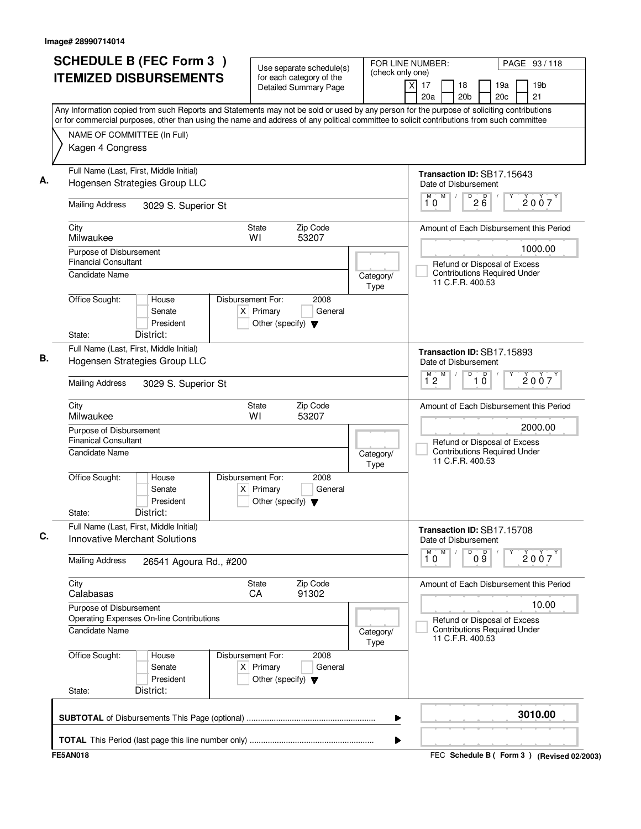|                                                                                 |                                                                                                                                                                                                                                                                                        | Use separate schedule(s)                                                                    | FOR LINE NUMBER:<br>(check only one) |                   |                         |                                   | PAGE 93 / 118                                                       |         |                 |
|---------------------------------------------------------------------------------|----------------------------------------------------------------------------------------------------------------------------------------------------------------------------------------------------------------------------------------------------------------------------------------|---------------------------------------------------------------------------------------------|--------------------------------------|-------------------|-------------------------|-----------------------------------|---------------------------------------------------------------------|---------|-----------------|
|                                                                                 | <b>ITEMIZED DISBURSEMENTS</b>                                                                                                                                                                                                                                                          | for each category of the<br><b>Detailed Summary Page</b>                                    |                                      |                   | $\times$<br>17<br>20a   | 18<br>20 <sub>b</sub>             | 19a<br>20c                                                          | 21      | 19 <sub>b</sub> |
|                                                                                 | Any Information copied from such Reports and Statements may not be sold or used by any person for the purpose of soliciting contributions<br>or for commercial purposes, other than using the name and address of any political committee to solicit contributions from such committee |                                                                                             |                                      |                   |                         |                                   |                                                                     |         |                 |
| NAME OF COMMITTEE (In Full)                                                     |                                                                                                                                                                                                                                                                                        |                                                                                             |                                      |                   |                         |                                   |                                                                     |         |                 |
| Kagen 4 Congress                                                                |                                                                                                                                                                                                                                                                                        |                                                                                             |                                      |                   |                         |                                   |                                                                     |         |                 |
| Full Name (Last, First, Middle Initial)                                         | Hogensen Strategies Group LLC                                                                                                                                                                                                                                                          |                                                                                             |                                      |                   |                         | Date of Disbursement              | Transaction ID: SB17.15643                                          |         |                 |
| <b>Mailing Address</b>                                                          | 3029 S. Superior St                                                                                                                                                                                                                                                                    |                                                                                             |                                      |                   | M<br>10                 | M<br>$\overline{D}$<br>$\sqrt{ }$ | $2\overline{6}$                                                     |         | 2007            |
| City<br>Milwaukee                                                               |                                                                                                                                                                                                                                                                                        | Zip Code<br><b>State</b><br>WI<br>53207                                                     |                                      |                   |                         |                                   | Amount of Each Disbursement this Period                             |         |                 |
| Purpose of Disbursement                                                         |                                                                                                                                                                                                                                                                                        |                                                                                             |                                      |                   |                         |                                   |                                                                     |         | 1000.00         |
| <b>Financial Consultant</b><br><b>Candidate Name</b>                            |                                                                                                                                                                                                                                                                                        |                                                                                             |                                      | Category/<br>Type |                         | 11 C.F.R. 400.53                  | Refund or Disposal of Excess<br><b>Contributions Required Under</b> |         |                 |
| Office Sought:                                                                  | House<br>Senate<br>President                                                                                                                                                                                                                                                           | Disbursement For:<br>2008<br>$X$ Primary<br>General<br>Other (specify) $\blacktriangledown$ |                                      |                   |                         |                                   |                                                                     |         |                 |
| State:                                                                          | District:                                                                                                                                                                                                                                                                              |                                                                                             |                                      |                   |                         |                                   |                                                                     |         |                 |
| Full Name (Last, First, Middle Initial)                                         | Hogensen Strategies Group LLC                                                                                                                                                                                                                                                          |                                                                                             |                                      |                   |                         | Date of Disbursement              | Transaction ID: SB17.15893                                          |         |                 |
| <b>Mailing Address</b>                                                          | 3029 S. Superior St                                                                                                                                                                                                                                                                    |                                                                                             |                                      |                   | M<br>$\overline{1}^M$ 2 | D                                 | D<br>$1\overline{0}$                                                |         | 2007            |
| City<br>Milwaukee                                                               |                                                                                                                                                                                                                                                                                        | <b>State</b><br>Zip Code<br>WI<br>53207                                                     |                                      |                   |                         |                                   | Amount of Each Disbursement this Period                             |         |                 |
| Purpose of Disbursement<br><b>Finanical Consultant</b>                          |                                                                                                                                                                                                                                                                                        |                                                                                             |                                      |                   |                         |                                   | Refund or Disposal of Excess                                        |         | 2000.00         |
| <b>Candidate Name</b>                                                           |                                                                                                                                                                                                                                                                                        |                                                                                             |                                      | Category/<br>Type |                         | 11 C.F.R. 400.53                  | <b>Contributions Required Under</b>                                 |         |                 |
| Office Sought:                                                                  | House<br>Senate<br>President                                                                                                                                                                                                                                                           | Disbursement For:<br>2008<br>$X$ Primary<br>General<br>Other (specify) $\blacktriangledown$ |                                      |                   |                         |                                   |                                                                     |         |                 |
| State:                                                                          | District:                                                                                                                                                                                                                                                                              |                                                                                             |                                      |                   |                         |                                   |                                                                     |         |                 |
| Full Name (Last, First, Middle Initial)<br><b>Innovative Merchant Solutions</b> |                                                                                                                                                                                                                                                                                        |                                                                                             |                                      |                   |                         | Date of Disbursement              | Transaction ID: SB17.15708                                          |         |                 |
| <b>Mailing Address</b>                                                          | 26541 Agoura Rd., #200                                                                                                                                                                                                                                                                 |                                                                                             |                                      |                   | M<br>M<br>10            | D                                 | 09                                                                  |         | 2007            |
| City<br>Calabasas                                                               |                                                                                                                                                                                                                                                                                        | Zip Code<br><b>State</b><br>91302<br>CA                                                     |                                      |                   |                         |                                   | Amount of Each Disbursement this Period                             |         |                 |
| Purpose of Disbursement                                                         |                                                                                                                                                                                                                                                                                        |                                                                                             |                                      |                   |                         |                                   |                                                                     |         | 10.00           |
| Candidate Name                                                                  | Operating Expenses On-line Contributions                                                                                                                                                                                                                                               |                                                                                             |                                      | Category/<br>Type |                         | 11 C.F.R. 400.53                  | Refund or Disposal of Excess<br><b>Contributions Required Under</b> |         |                 |
| Office Sought:                                                                  | House<br>Senate<br>President                                                                                                                                                                                                                                                           | 2008<br>Disbursement For:<br>$X$ Primary<br>General<br>Other (specify) $\blacktriangledown$ |                                      |                   |                         |                                   |                                                                     |         |                 |
| State:                                                                          | District:                                                                                                                                                                                                                                                                              |                                                                                             |                                      |                   |                         |                                   |                                                                     |         |                 |
|                                                                                 |                                                                                                                                                                                                                                                                                        |                                                                                             |                                      | ▶                 |                         |                                   |                                                                     | 3010.00 |                 |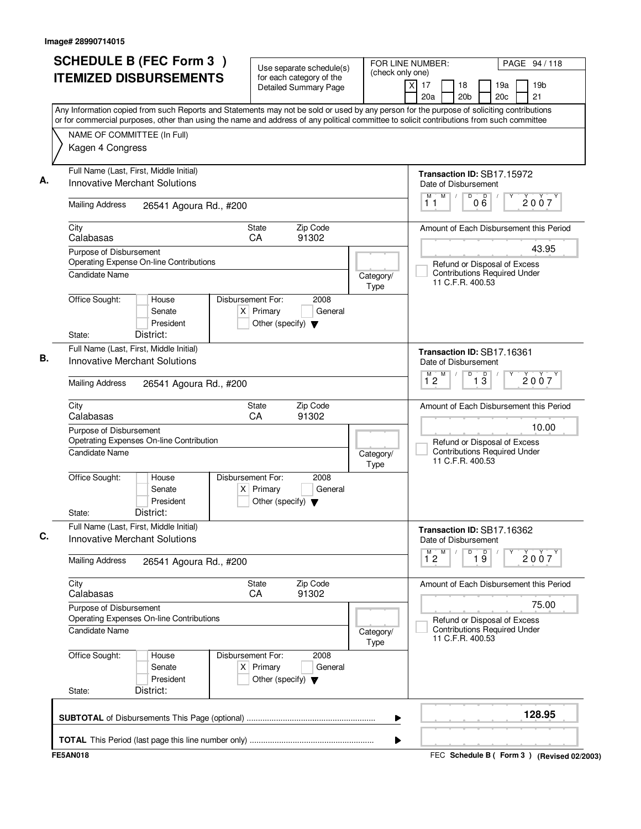|                                                  | <b>SCHEDULE B (FEC Form 3)</b><br><b>ITEMIZED DISBURSEMENTS</b>                 | Use separate schedule(s)<br>for each category of the<br>Detailed Summary Page               | (check only one)  | FOR LINE NUMBER:<br>PAGE 94 / 118<br>X<br>17<br>19 <sub>b</sub><br>18<br>19a<br>20 <sub>b</sub><br>21<br>20a<br>20c                                                                                                                                                                    |
|--------------------------------------------------|---------------------------------------------------------------------------------|---------------------------------------------------------------------------------------------|-------------------|----------------------------------------------------------------------------------------------------------------------------------------------------------------------------------------------------------------------------------------------------------------------------------------|
| NAME OF COMMITTEE (In Full)<br>Kagen 4 Congress  |                                                                                 |                                                                                             |                   | Any Information copied from such Reports and Statements may not be sold or used by any person for the purpose of soliciting contributions<br>or for commercial purposes, other than using the name and address of any political committee to solicit contributions from such committee |
|                                                  | Full Name (Last, First, Middle Initial)<br>Innovative Merchant Solutions        |                                                                                             |                   | Transaction ID: SB17.15972<br>Date of Disbursement<br>D<br>M<br>000<br>M<br>$\sqrt{2}$<br>2007<br>11                                                                                                                                                                                   |
| <b>Mailing Address</b><br>City                   | 26541 Agoura Rd., #200                                                          | Zip Code<br><b>State</b>                                                                    |                   | Amount of Each Disbursement this Period                                                                                                                                                                                                                                                |
| Calabasas<br>Purpose of Disbursement             |                                                                                 | 91302<br>CA                                                                                 |                   | 43.95                                                                                                                                                                                                                                                                                  |
| <b>Candidate Name</b>                            | Operating Expense On-line Contributions                                         |                                                                                             | Category/<br>Type | Refund or Disposal of Excess<br><b>Contributions Required Under</b><br>11 C.F.R. 400.53                                                                                                                                                                                                |
| Office Sought:<br>State:                         | House<br>Senate<br>President<br>District:                                       | Disbursement For:<br>2008<br>$X$ Primary<br>General<br>Other (specify) $\blacktriangledown$ |                   |                                                                                                                                                                                                                                                                                        |
|                                                  | Full Name (Last, First, Middle Initial)<br><b>Innovative Merchant Solutions</b> |                                                                                             |                   | Transaction ID: SB17.16361<br>Date of Disbursement                                                                                                                                                                                                                                     |
| <b>Mailing Address</b>                           | 26541 Agoura Rd., #200                                                          |                                                                                             |                   | D<br>$\overline{1\ 3}$<br>$1^{M}2$<br>M<br>2007                                                                                                                                                                                                                                        |
| City<br>Calabasas                                |                                                                                 | <b>State</b><br>Zip Code<br>CA<br>91302                                                     |                   | Amount of Each Disbursement this Period                                                                                                                                                                                                                                                |
| Purpose of Disbursement<br><b>Candidate Name</b> | Opetrating Expenses On-line Contribution                                        |                                                                                             | Category/<br>Type | 10.00<br>Refund or Disposal of Excess<br><b>Contributions Required Under</b><br>11 C.F.R. 400.53                                                                                                                                                                                       |
| Office Sought:<br>State:                         | House<br>Senate<br>President<br>District:                                       | Disbursement For:<br>2008<br>$X$ Primary<br>General<br>Other (specify) $\blacktriangledown$ |                   |                                                                                                                                                                                                                                                                                        |
|                                                  | Full Name (Last, First, Middle Initial)<br><b>Innovative Merchant Solutions</b> |                                                                                             |                   | Transaction ID: SB17.16362<br>Date of Disbursement<br>M<br>D<br>M                                                                                                                                                                                                                      |
| <b>Mailing Address</b>                           | 26541 Agoura Rd., #200                                                          |                                                                                             |                   | $\overline{19}$<br>2007<br>12                                                                                                                                                                                                                                                          |
| City<br>Calabasas                                |                                                                                 | Zip Code<br><b>State</b><br>CA<br>91302                                                     |                   | Amount of Each Disbursement this Period                                                                                                                                                                                                                                                |
| Purpose of Disbursement<br>Candidate Name        | <b>Operating Expenses On-line Contributions</b>                                 |                                                                                             | Category/<br>Type | 75.00<br>Refund or Disposal of Excess<br><b>Contributions Required Under</b><br>11 C.F.R. 400.53                                                                                                                                                                                       |
| Office Sought:<br>State:                         | House<br>Senate<br>President<br>District:                                       | Disbursement For:<br>2008<br>$X$ Primary<br>General<br>Other (specify) $\blacktriangledown$ |                   |                                                                                                                                                                                                                                                                                        |
|                                                  |                                                                                 |                                                                                             | ▶                 | 128.95                                                                                                                                                                                                                                                                                 |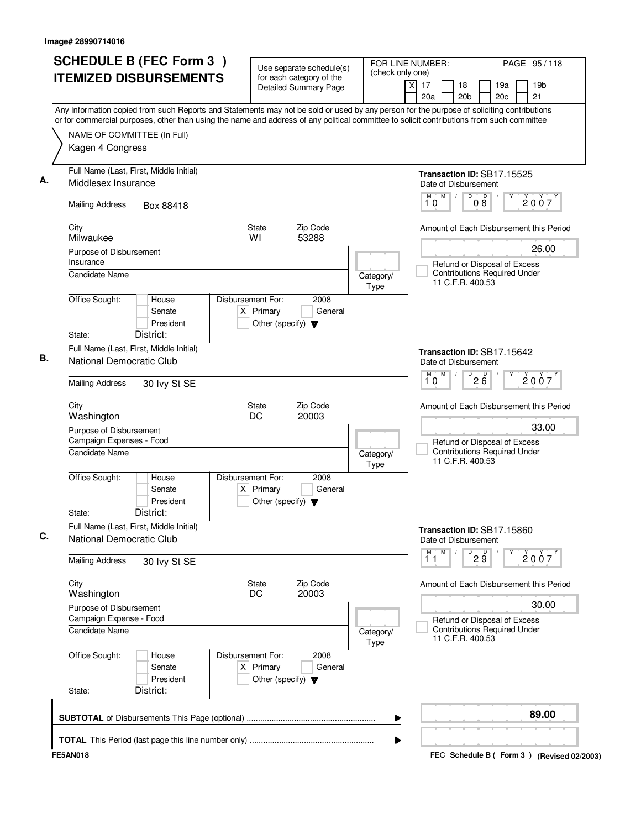| 20c<br>21<br>20a<br>20 <sub>b</sub><br>Any Information copied from such Reports and Statements may not be sold or used by any person for the purpose of soliciting contributions<br>or for commercial purposes, other than using the name and address of any political committee to solicit contributions from such committee<br>NAME OF COMMITTEE (In Full)<br>Kagen 4 Congress<br>Full Name (Last, First, Middle Initial)<br>Transaction ID: SB17.15525<br>Middlesex Insurance<br>Date of Disbursement<br>M<br>$\overline{D}$<br>$\overline{D}$<br>M<br>2007<br>$0\bar{8}$<br>10<br><b>Mailing Address</b><br>Box 88418<br>Zip Code<br>City<br><b>State</b><br>Amount of Each Disbursement this Period<br>Milwaukee<br>WI<br>53288<br>26.00<br>Purpose of Disbursement<br>Insurance<br>Refund or Disposal of Excess<br><b>Contributions Required Under</b><br><b>Candidate Name</b><br>Category/<br>11 C.F.R. 400.53<br>Type<br>Office Sought:<br>Disbursement For:<br>2008<br>House<br>Senate<br>$X$ Primary<br>General<br>President<br>Other (specify) $\blacktriangledown$<br>District:<br>State:<br>Full Name (Last, First, Middle Initial)<br>Transaction ID: SB17.15642<br>National Democratic Club<br>Date of Disbursement<br>M<br>D<br>26<br>2007<br>10<br><b>Mailing Address</b><br>30 lvy St SE<br>Zip Code<br>City<br>State<br>Amount of Each Disbursement this Period<br>DC<br>Washington<br>20003<br>33.00<br>Purpose of Disbursement<br>Campaign Expenses - Food<br>Refund or Disposal of Excess<br><b>Contributions Required Under</b><br><b>Candidate Name</b><br>Category/<br>11 C.F.R. 400.53<br>Type<br>Office Sought:<br>Disbursement For:<br>2008<br>House<br>Senate<br>$X$ Primary<br>General<br>President<br>Other (specify) $\blacktriangledown$<br>District:<br>State:<br>Full Name (Last, First, Middle Initial)<br>Transaction ID: SB17.15860<br>National Democratic Club<br>Date of Disbursement<br>M<br>М<br>D<br>29<br>2007<br>11<br><b>Mailing Address</b><br>30 lvy St SE<br>City<br>Zip Code<br><b>State</b><br>Amount of Each Disbursement this Period<br>20003<br>Washington<br>DC<br>30.00<br>Purpose of Disbursement<br>Campaign Expense - Food<br>Refund or Disposal of Excess<br><b>Contributions Required Under</b><br><b>Candidate Name</b><br>Category/<br>11 C.F.R. 400.53<br>Type<br>Office Sought:<br>2008<br>Disbursement For:<br>House<br>$X$ Primary<br>General<br>Senate<br>President<br>Other (specify) $\blacktriangledown$<br>District:<br>State: | <b>SCHEDULE B (FEC Form 3)</b><br><b>ITEMIZED DISBURSEMENTS</b> | Use separate schedule(s)<br>for each category of the<br><b>Detailed Summary Page</b> | FOR LINE NUMBER:<br>(check only one) | $\times$<br>17 | PAGE 95/118<br>18<br>19a<br>19 <sub>b</sub> |
|---------------------------------------------------------------------------------------------------------------------------------------------------------------------------------------------------------------------------------------------------------------------------------------------------------------------------------------------------------------------------------------------------------------------------------------------------------------------------------------------------------------------------------------------------------------------------------------------------------------------------------------------------------------------------------------------------------------------------------------------------------------------------------------------------------------------------------------------------------------------------------------------------------------------------------------------------------------------------------------------------------------------------------------------------------------------------------------------------------------------------------------------------------------------------------------------------------------------------------------------------------------------------------------------------------------------------------------------------------------------------------------------------------------------------------------------------------------------------------------------------------------------------------------------------------------------------------------------------------------------------------------------------------------------------------------------------------------------------------------------------------------------------------------------------------------------------------------------------------------------------------------------------------------------------------------------------------------------------------------------------------------------------------------------------------------------------------------------------------------------------------------------------------------------------------------------------------------------------------------------------------------------------------------------------------------------------------------------------------------------------------------------------------------------------------------------------------------------------------------------------------|-----------------------------------------------------------------|--------------------------------------------------------------------------------------|--------------------------------------|----------------|---------------------------------------------|
|                                                                                                                                                                                                                                                                                                                                                                                                                                                                                                                                                                                                                                                                                                                                                                                                                                                                                                                                                                                                                                                                                                                                                                                                                                                                                                                                                                                                                                                                                                                                                                                                                                                                                                                                                                                                                                                                                                                                                                                                                                                                                                                                                                                                                                                                                                                                                                                                                                                                                                         |                                                                 |                                                                                      |                                      |                |                                             |
|                                                                                                                                                                                                                                                                                                                                                                                                                                                                                                                                                                                                                                                                                                                                                                                                                                                                                                                                                                                                                                                                                                                                                                                                                                                                                                                                                                                                                                                                                                                                                                                                                                                                                                                                                                                                                                                                                                                                                                                                                                                                                                                                                                                                                                                                                                                                                                                                                                                                                                         |                                                                 |                                                                                      |                                      |                |                                             |
|                                                                                                                                                                                                                                                                                                                                                                                                                                                                                                                                                                                                                                                                                                                                                                                                                                                                                                                                                                                                                                                                                                                                                                                                                                                                                                                                                                                                                                                                                                                                                                                                                                                                                                                                                                                                                                                                                                                                                                                                                                                                                                                                                                                                                                                                                                                                                                                                                                                                                                         |                                                                 |                                                                                      |                                      |                |                                             |
|                                                                                                                                                                                                                                                                                                                                                                                                                                                                                                                                                                                                                                                                                                                                                                                                                                                                                                                                                                                                                                                                                                                                                                                                                                                                                                                                                                                                                                                                                                                                                                                                                                                                                                                                                                                                                                                                                                                                                                                                                                                                                                                                                                                                                                                                                                                                                                                                                                                                                                         |                                                                 |                                                                                      |                                      |                |                                             |
|                                                                                                                                                                                                                                                                                                                                                                                                                                                                                                                                                                                                                                                                                                                                                                                                                                                                                                                                                                                                                                                                                                                                                                                                                                                                                                                                                                                                                                                                                                                                                                                                                                                                                                                                                                                                                                                                                                                                                                                                                                                                                                                                                                                                                                                                                                                                                                                                                                                                                                         |                                                                 |                                                                                      |                                      |                |                                             |
|                                                                                                                                                                                                                                                                                                                                                                                                                                                                                                                                                                                                                                                                                                                                                                                                                                                                                                                                                                                                                                                                                                                                                                                                                                                                                                                                                                                                                                                                                                                                                                                                                                                                                                                                                                                                                                                                                                                                                                                                                                                                                                                                                                                                                                                                                                                                                                                                                                                                                                         |                                                                 |                                                                                      |                                      |                |                                             |
|                                                                                                                                                                                                                                                                                                                                                                                                                                                                                                                                                                                                                                                                                                                                                                                                                                                                                                                                                                                                                                                                                                                                                                                                                                                                                                                                                                                                                                                                                                                                                                                                                                                                                                                                                                                                                                                                                                                                                                                                                                                                                                                                                                                                                                                                                                                                                                                                                                                                                                         |                                                                 |                                                                                      |                                      |                |                                             |
|                                                                                                                                                                                                                                                                                                                                                                                                                                                                                                                                                                                                                                                                                                                                                                                                                                                                                                                                                                                                                                                                                                                                                                                                                                                                                                                                                                                                                                                                                                                                                                                                                                                                                                                                                                                                                                                                                                                                                                                                                                                                                                                                                                                                                                                                                                                                                                                                                                                                                                         |                                                                 |                                                                                      |                                      |                |                                             |
|                                                                                                                                                                                                                                                                                                                                                                                                                                                                                                                                                                                                                                                                                                                                                                                                                                                                                                                                                                                                                                                                                                                                                                                                                                                                                                                                                                                                                                                                                                                                                                                                                                                                                                                                                                                                                                                                                                                                                                                                                                                                                                                                                                                                                                                                                                                                                                                                                                                                                                         |                                                                 |                                                                                      |                                      |                |                                             |
|                                                                                                                                                                                                                                                                                                                                                                                                                                                                                                                                                                                                                                                                                                                                                                                                                                                                                                                                                                                                                                                                                                                                                                                                                                                                                                                                                                                                                                                                                                                                                                                                                                                                                                                                                                                                                                                                                                                                                                                                                                                                                                                                                                                                                                                                                                                                                                                                                                                                                                         |                                                                 |                                                                                      |                                      |                |                                             |
|                                                                                                                                                                                                                                                                                                                                                                                                                                                                                                                                                                                                                                                                                                                                                                                                                                                                                                                                                                                                                                                                                                                                                                                                                                                                                                                                                                                                                                                                                                                                                                                                                                                                                                                                                                                                                                                                                                                                                                                                                                                                                                                                                                                                                                                                                                                                                                                                                                                                                                         |                                                                 |                                                                                      |                                      |                |                                             |
|                                                                                                                                                                                                                                                                                                                                                                                                                                                                                                                                                                                                                                                                                                                                                                                                                                                                                                                                                                                                                                                                                                                                                                                                                                                                                                                                                                                                                                                                                                                                                                                                                                                                                                                                                                                                                                                                                                                                                                                                                                                                                                                                                                                                                                                                                                                                                                                                                                                                                                         |                                                                 |                                                                                      |                                      |                |                                             |
|                                                                                                                                                                                                                                                                                                                                                                                                                                                                                                                                                                                                                                                                                                                                                                                                                                                                                                                                                                                                                                                                                                                                                                                                                                                                                                                                                                                                                                                                                                                                                                                                                                                                                                                                                                                                                                                                                                                                                                                                                                                                                                                                                                                                                                                                                                                                                                                                                                                                                                         |                                                                 |                                                                                      |                                      |                |                                             |
|                                                                                                                                                                                                                                                                                                                                                                                                                                                                                                                                                                                                                                                                                                                                                                                                                                                                                                                                                                                                                                                                                                                                                                                                                                                                                                                                                                                                                                                                                                                                                                                                                                                                                                                                                                                                                                                                                                                                                                                                                                                                                                                                                                                                                                                                                                                                                                                                                                                                                                         |                                                                 |                                                                                      |                                      |                |                                             |
|                                                                                                                                                                                                                                                                                                                                                                                                                                                                                                                                                                                                                                                                                                                                                                                                                                                                                                                                                                                                                                                                                                                                                                                                                                                                                                                                                                                                                                                                                                                                                                                                                                                                                                                                                                                                                                                                                                                                                                                                                                                                                                                                                                                                                                                                                                                                                                                                                                                                                                         |                                                                 |                                                                                      |                                      |                |                                             |
|                                                                                                                                                                                                                                                                                                                                                                                                                                                                                                                                                                                                                                                                                                                                                                                                                                                                                                                                                                                                                                                                                                                                                                                                                                                                                                                                                                                                                                                                                                                                                                                                                                                                                                                                                                                                                                                                                                                                                                                                                                                                                                                                                                                                                                                                                                                                                                                                                                                                                                         |                                                                 |                                                                                      |                                      |                |                                             |
|                                                                                                                                                                                                                                                                                                                                                                                                                                                                                                                                                                                                                                                                                                                                                                                                                                                                                                                                                                                                                                                                                                                                                                                                                                                                                                                                                                                                                                                                                                                                                                                                                                                                                                                                                                                                                                                                                                                                                                                                                                                                                                                                                                                                                                                                                                                                                                                                                                                                                                         |                                                                 |                                                                                      |                                      |                |                                             |
|                                                                                                                                                                                                                                                                                                                                                                                                                                                                                                                                                                                                                                                                                                                                                                                                                                                                                                                                                                                                                                                                                                                                                                                                                                                                                                                                                                                                                                                                                                                                                                                                                                                                                                                                                                                                                                                                                                                                                                                                                                                                                                                                                                                                                                                                                                                                                                                                                                                                                                         |                                                                 |                                                                                      |                                      |                |                                             |
| 89.00<br>▶                                                                                                                                                                                                                                                                                                                                                                                                                                                                                                                                                                                                                                                                                                                                                                                                                                                                                                                                                                                                                                                                                                                                                                                                                                                                                                                                                                                                                                                                                                                                                                                                                                                                                                                                                                                                                                                                                                                                                                                                                                                                                                                                                                                                                                                                                                                                                                                                                                                                                              |                                                                 |                                                                                      |                                      |                |                                             |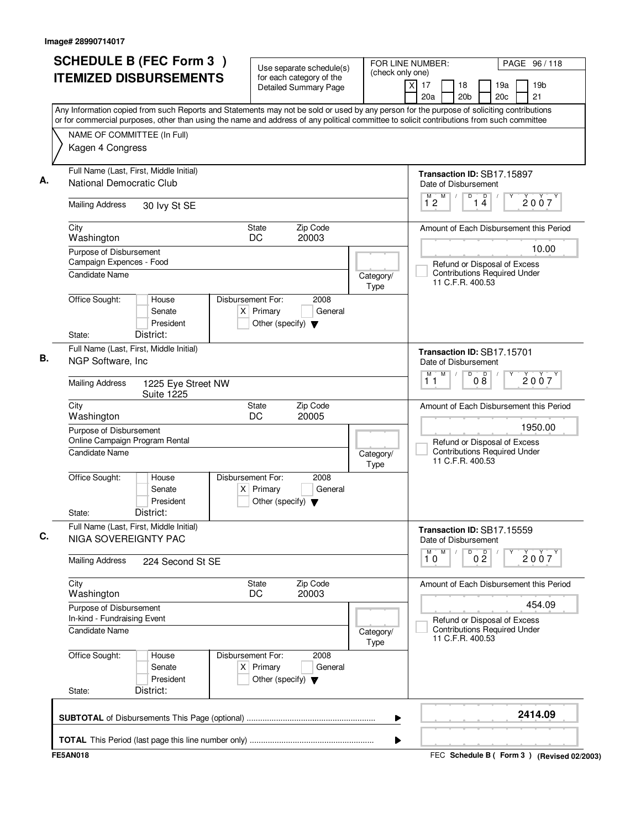| (check only one)<br><b>ITEMIZED DISBURSEMENTS</b><br>for each category of the<br>19 <sub>b</sub><br>$\times$<br>17<br>18<br>19a<br><b>Detailed Summary Page</b><br>20 <sub>b</sub><br>20 <sub>c</sub><br>21<br>20a<br>Any Information copied from such Reports and Statements may not be sold or used by any person for the purpose of soliciting contributions<br>or for commercial purposes, other than using the name and address of any political committee to solicit contributions from such committee<br>NAME OF COMMITTEE (In Full)<br>Kagen 4 Congress<br>Full Name (Last, First, Middle Initial)<br>Transaction ID: SB17.15897<br>National Democratic Club<br>Date of Disbursement<br>M<br>D<br>$\overline{\mathsf{D}}$<br>М<br>2007<br>12<br>14<br><b>Mailing Address</b><br>30 lvy St SE<br><b>State</b><br>Zip Code<br>City<br>Amount of Each Disbursement this Period<br>20003<br>Washington<br>DC<br>10.00<br>Purpose of Disbursement<br>Campaign Expences - Food<br>Refund or Disposal of Excess<br><b>Contributions Required Under</b><br><b>Candidate Name</b><br>Category/<br>11 C.F.R. 400.53<br>Type<br>Office Sought:<br>Disbursement For:<br>2008<br>House<br>$X$ Primary<br>General<br>Senate<br>President<br>Other (specify) $\blacktriangledown$<br>District:<br>State:<br>Full Name (Last, First, Middle Initial)<br>Transaction ID: SB17.15701<br>NGP Software, Inc.<br>Date of Disbursement<br>M<br>D<br>M<br>08<br>$\sqrt{ }$<br>2007<br>11<br><b>Mailing Address</b><br>1225 Eye Street NW<br><b>Suite 1225</b><br>Zip Code<br>City<br><b>State</b><br>Amount of Each Disbursement this Period<br>Washington<br>DC<br>20005<br>1950.00<br>Purpose of Disbursement<br>Online Campaign Program Rental<br>Refund or Disposal of Excess<br><b>Contributions Required Under</b><br><b>Candidate Name</b><br>Category/<br>11 C.F.R. 400.53<br>Type<br>Office Sought:<br>Disbursement For:<br>2008<br>House<br>Senate<br>$X$ Primary<br>General<br>President<br>Other (specify) $\blacktriangledown$<br>District:<br>State:<br>Full Name (Last, First, Middle Initial)<br>Transaction ID: SB17.15559<br>NIGA SOVEREIGNTY PAC<br>Date of Disbursement<br>M<br>D<br>$\overline{1}^M$ 0<br>0 <sup>D</sup><br>2007<br><b>Mailing Address</b><br>224 Second St SE<br>City<br>Zip Code<br><b>State</b><br>Amount of Each Disbursement this Period<br>Washington<br>DC<br>20003<br>454.09<br>Purpose of Disbursement<br>In-kind - Fundraising Event<br>Refund or Disposal of Excess<br><b>Contributions Required Under</b><br><b>Candidate Name</b><br>Category/<br>11 C.F.R. 400.53<br>Type<br>Office Sought:<br>Disbursement For:<br>2008<br>House<br>Senate<br>$X$ Primary<br>General<br>President<br>Other (specify) $\blacktriangledown$<br>District:<br>State:<br>2414.09 | <b>SCHEDULE B (FEC Form 3)</b> | Use separate schedule(s) |  | FOR LINE NUMBER: | PAGE 96/118 |
|--------------------------------------------------------------------------------------------------------------------------------------------------------------------------------------------------------------------------------------------------------------------------------------------------------------------------------------------------------------------------------------------------------------------------------------------------------------------------------------------------------------------------------------------------------------------------------------------------------------------------------------------------------------------------------------------------------------------------------------------------------------------------------------------------------------------------------------------------------------------------------------------------------------------------------------------------------------------------------------------------------------------------------------------------------------------------------------------------------------------------------------------------------------------------------------------------------------------------------------------------------------------------------------------------------------------------------------------------------------------------------------------------------------------------------------------------------------------------------------------------------------------------------------------------------------------------------------------------------------------------------------------------------------------------------------------------------------------------------------------------------------------------------------------------------------------------------------------------------------------------------------------------------------------------------------------------------------------------------------------------------------------------------------------------------------------------------------------------------------------------------------------------------------------------------------------------------------------------------------------------------------------------------------------------------------------------------------------------------------------------------------------------------------------------------------------------------------------------------------------------------------------------------------------------------------------------------------------------------------------------------------------------------------------------------------------------------------------------------------------------------------------------------------------------|--------------------------------|--------------------------|--|------------------|-------------|
|                                                                                                                                                                                                                                                                                                                                                                                                                                                                                                                                                                                                                                                                                                                                                                                                                                                                                                                                                                                                                                                                                                                                                                                                                                                                                                                                                                                                                                                                                                                                                                                                                                                                                                                                                                                                                                                                                                                                                                                                                                                                                                                                                                                                                                                                                                                                                                                                                                                                                                                                                                                                                                                                                                                                                                                                  |                                |                          |  |                  |             |
|                                                                                                                                                                                                                                                                                                                                                                                                                                                                                                                                                                                                                                                                                                                                                                                                                                                                                                                                                                                                                                                                                                                                                                                                                                                                                                                                                                                                                                                                                                                                                                                                                                                                                                                                                                                                                                                                                                                                                                                                                                                                                                                                                                                                                                                                                                                                                                                                                                                                                                                                                                                                                                                                                                                                                                                                  |                                |                          |  |                  |             |
|                                                                                                                                                                                                                                                                                                                                                                                                                                                                                                                                                                                                                                                                                                                                                                                                                                                                                                                                                                                                                                                                                                                                                                                                                                                                                                                                                                                                                                                                                                                                                                                                                                                                                                                                                                                                                                                                                                                                                                                                                                                                                                                                                                                                                                                                                                                                                                                                                                                                                                                                                                                                                                                                                                                                                                                                  |                                |                          |  |                  |             |
|                                                                                                                                                                                                                                                                                                                                                                                                                                                                                                                                                                                                                                                                                                                                                                                                                                                                                                                                                                                                                                                                                                                                                                                                                                                                                                                                                                                                                                                                                                                                                                                                                                                                                                                                                                                                                                                                                                                                                                                                                                                                                                                                                                                                                                                                                                                                                                                                                                                                                                                                                                                                                                                                                                                                                                                                  |                                |                          |  |                  |             |
|                                                                                                                                                                                                                                                                                                                                                                                                                                                                                                                                                                                                                                                                                                                                                                                                                                                                                                                                                                                                                                                                                                                                                                                                                                                                                                                                                                                                                                                                                                                                                                                                                                                                                                                                                                                                                                                                                                                                                                                                                                                                                                                                                                                                                                                                                                                                                                                                                                                                                                                                                                                                                                                                                                                                                                                                  |                                |                          |  |                  |             |
|                                                                                                                                                                                                                                                                                                                                                                                                                                                                                                                                                                                                                                                                                                                                                                                                                                                                                                                                                                                                                                                                                                                                                                                                                                                                                                                                                                                                                                                                                                                                                                                                                                                                                                                                                                                                                                                                                                                                                                                                                                                                                                                                                                                                                                                                                                                                                                                                                                                                                                                                                                                                                                                                                                                                                                                                  |                                |                          |  |                  |             |
|                                                                                                                                                                                                                                                                                                                                                                                                                                                                                                                                                                                                                                                                                                                                                                                                                                                                                                                                                                                                                                                                                                                                                                                                                                                                                                                                                                                                                                                                                                                                                                                                                                                                                                                                                                                                                                                                                                                                                                                                                                                                                                                                                                                                                                                                                                                                                                                                                                                                                                                                                                                                                                                                                                                                                                                                  |                                |                          |  |                  |             |
|                                                                                                                                                                                                                                                                                                                                                                                                                                                                                                                                                                                                                                                                                                                                                                                                                                                                                                                                                                                                                                                                                                                                                                                                                                                                                                                                                                                                                                                                                                                                                                                                                                                                                                                                                                                                                                                                                                                                                                                                                                                                                                                                                                                                                                                                                                                                                                                                                                                                                                                                                                                                                                                                                                                                                                                                  |                                |                          |  |                  |             |
|                                                                                                                                                                                                                                                                                                                                                                                                                                                                                                                                                                                                                                                                                                                                                                                                                                                                                                                                                                                                                                                                                                                                                                                                                                                                                                                                                                                                                                                                                                                                                                                                                                                                                                                                                                                                                                                                                                                                                                                                                                                                                                                                                                                                                                                                                                                                                                                                                                                                                                                                                                                                                                                                                                                                                                                                  |                                |                          |  |                  |             |
|                                                                                                                                                                                                                                                                                                                                                                                                                                                                                                                                                                                                                                                                                                                                                                                                                                                                                                                                                                                                                                                                                                                                                                                                                                                                                                                                                                                                                                                                                                                                                                                                                                                                                                                                                                                                                                                                                                                                                                                                                                                                                                                                                                                                                                                                                                                                                                                                                                                                                                                                                                                                                                                                                                                                                                                                  |                                |                          |  |                  |             |
|                                                                                                                                                                                                                                                                                                                                                                                                                                                                                                                                                                                                                                                                                                                                                                                                                                                                                                                                                                                                                                                                                                                                                                                                                                                                                                                                                                                                                                                                                                                                                                                                                                                                                                                                                                                                                                                                                                                                                                                                                                                                                                                                                                                                                                                                                                                                                                                                                                                                                                                                                                                                                                                                                                                                                                                                  |                                |                          |  |                  |             |
|                                                                                                                                                                                                                                                                                                                                                                                                                                                                                                                                                                                                                                                                                                                                                                                                                                                                                                                                                                                                                                                                                                                                                                                                                                                                                                                                                                                                                                                                                                                                                                                                                                                                                                                                                                                                                                                                                                                                                                                                                                                                                                                                                                                                                                                                                                                                                                                                                                                                                                                                                                                                                                                                                                                                                                                                  |                                |                          |  |                  |             |
|                                                                                                                                                                                                                                                                                                                                                                                                                                                                                                                                                                                                                                                                                                                                                                                                                                                                                                                                                                                                                                                                                                                                                                                                                                                                                                                                                                                                                                                                                                                                                                                                                                                                                                                                                                                                                                                                                                                                                                                                                                                                                                                                                                                                                                                                                                                                                                                                                                                                                                                                                                                                                                                                                                                                                                                                  |                                |                          |  |                  |             |
|                                                                                                                                                                                                                                                                                                                                                                                                                                                                                                                                                                                                                                                                                                                                                                                                                                                                                                                                                                                                                                                                                                                                                                                                                                                                                                                                                                                                                                                                                                                                                                                                                                                                                                                                                                                                                                                                                                                                                                                                                                                                                                                                                                                                                                                                                                                                                                                                                                                                                                                                                                                                                                                                                                                                                                                                  |                                |                          |  |                  |             |
|                                                                                                                                                                                                                                                                                                                                                                                                                                                                                                                                                                                                                                                                                                                                                                                                                                                                                                                                                                                                                                                                                                                                                                                                                                                                                                                                                                                                                                                                                                                                                                                                                                                                                                                                                                                                                                                                                                                                                                                                                                                                                                                                                                                                                                                                                                                                                                                                                                                                                                                                                                                                                                                                                                                                                                                                  |                                |                          |  |                  |             |
|                                                                                                                                                                                                                                                                                                                                                                                                                                                                                                                                                                                                                                                                                                                                                                                                                                                                                                                                                                                                                                                                                                                                                                                                                                                                                                                                                                                                                                                                                                                                                                                                                                                                                                                                                                                                                                                                                                                                                                                                                                                                                                                                                                                                                                                                                                                                                                                                                                                                                                                                                                                                                                                                                                                                                                                                  |                                |                          |  |                  |             |
|                                                                                                                                                                                                                                                                                                                                                                                                                                                                                                                                                                                                                                                                                                                                                                                                                                                                                                                                                                                                                                                                                                                                                                                                                                                                                                                                                                                                                                                                                                                                                                                                                                                                                                                                                                                                                                                                                                                                                                                                                                                                                                                                                                                                                                                                                                                                                                                                                                                                                                                                                                                                                                                                                                                                                                                                  |                                |                          |  |                  |             |
|                                                                                                                                                                                                                                                                                                                                                                                                                                                                                                                                                                                                                                                                                                                                                                                                                                                                                                                                                                                                                                                                                                                                                                                                                                                                                                                                                                                                                                                                                                                                                                                                                                                                                                                                                                                                                                                                                                                                                                                                                                                                                                                                                                                                                                                                                                                                                                                                                                                                                                                                                                                                                                                                                                                                                                                                  |                                |                          |  |                  |             |
|                                                                                                                                                                                                                                                                                                                                                                                                                                                                                                                                                                                                                                                                                                                                                                                                                                                                                                                                                                                                                                                                                                                                                                                                                                                                                                                                                                                                                                                                                                                                                                                                                                                                                                                                                                                                                                                                                                                                                                                                                                                                                                                                                                                                                                                                                                                                                                                                                                                                                                                                                                                                                                                                                                                                                                                                  |                                |                          |  |                  |             |
|                                                                                                                                                                                                                                                                                                                                                                                                                                                                                                                                                                                                                                                                                                                                                                                                                                                                                                                                                                                                                                                                                                                                                                                                                                                                                                                                                                                                                                                                                                                                                                                                                                                                                                                                                                                                                                                                                                                                                                                                                                                                                                                                                                                                                                                                                                                                                                                                                                                                                                                                                                                                                                                                                                                                                                                                  |                                |                          |  |                  |             |
|                                                                                                                                                                                                                                                                                                                                                                                                                                                                                                                                                                                                                                                                                                                                                                                                                                                                                                                                                                                                                                                                                                                                                                                                                                                                                                                                                                                                                                                                                                                                                                                                                                                                                                                                                                                                                                                                                                                                                                                                                                                                                                                                                                                                                                                                                                                                                                                                                                                                                                                                                                                                                                                                                                                                                                                                  |                                |                          |  |                  |             |
|                                                                                                                                                                                                                                                                                                                                                                                                                                                                                                                                                                                                                                                                                                                                                                                                                                                                                                                                                                                                                                                                                                                                                                                                                                                                                                                                                                                                                                                                                                                                                                                                                                                                                                                                                                                                                                                                                                                                                                                                                                                                                                                                                                                                                                                                                                                                                                                                                                                                                                                                                                                                                                                                                                                                                                                                  |                                |                          |  |                  |             |
|                                                                                                                                                                                                                                                                                                                                                                                                                                                                                                                                                                                                                                                                                                                                                                                                                                                                                                                                                                                                                                                                                                                                                                                                                                                                                                                                                                                                                                                                                                                                                                                                                                                                                                                                                                                                                                                                                                                                                                                                                                                                                                                                                                                                                                                                                                                                                                                                                                                                                                                                                                                                                                                                                                                                                                                                  |                                |                          |  |                  |             |
|                                                                                                                                                                                                                                                                                                                                                                                                                                                                                                                                                                                                                                                                                                                                                                                                                                                                                                                                                                                                                                                                                                                                                                                                                                                                                                                                                                                                                                                                                                                                                                                                                                                                                                                                                                                                                                                                                                                                                                                                                                                                                                                                                                                                                                                                                                                                                                                                                                                                                                                                                                                                                                                                                                                                                                                                  |                                |                          |  |                  |             |
|                                                                                                                                                                                                                                                                                                                                                                                                                                                                                                                                                                                                                                                                                                                                                                                                                                                                                                                                                                                                                                                                                                                                                                                                                                                                                                                                                                                                                                                                                                                                                                                                                                                                                                                                                                                                                                                                                                                                                                                                                                                                                                                                                                                                                                                                                                                                                                                                                                                                                                                                                                                                                                                                                                                                                                                                  |                                |                          |  |                  |             |
|                                                                                                                                                                                                                                                                                                                                                                                                                                                                                                                                                                                                                                                                                                                                                                                                                                                                                                                                                                                                                                                                                                                                                                                                                                                                                                                                                                                                                                                                                                                                                                                                                                                                                                                                                                                                                                                                                                                                                                                                                                                                                                                                                                                                                                                                                                                                                                                                                                                                                                                                                                                                                                                                                                                                                                                                  |                                |                          |  |                  |             |
|                                                                                                                                                                                                                                                                                                                                                                                                                                                                                                                                                                                                                                                                                                                                                                                                                                                                                                                                                                                                                                                                                                                                                                                                                                                                                                                                                                                                                                                                                                                                                                                                                                                                                                                                                                                                                                                                                                                                                                                                                                                                                                                                                                                                                                                                                                                                                                                                                                                                                                                                                                                                                                                                                                                                                                                                  |                                |                          |  |                  |             |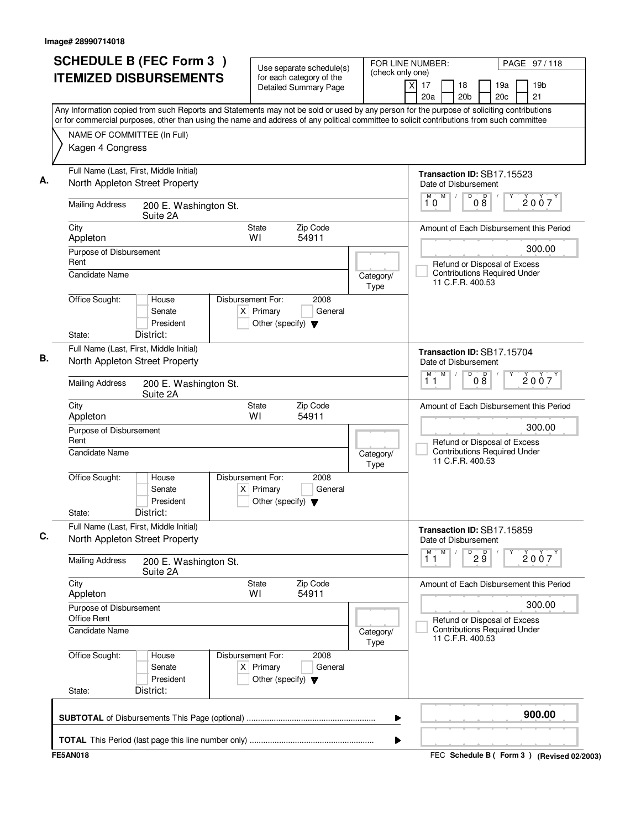| <b>SCHEDULE B (FEC Form 3)</b>                                                                                                                                                                                                                                                         | Use separate schedule(s)                                                                    | FOR LINE NUMBER:<br>(check only one) |                                                    |                                                                                         |                      |            | PAGE 97/118                                 |
|----------------------------------------------------------------------------------------------------------------------------------------------------------------------------------------------------------------------------------------------------------------------------------------|---------------------------------------------------------------------------------------------|--------------------------------------|----------------------------------------------------|-----------------------------------------------------------------------------------------|----------------------|------------|---------------------------------------------|
| <b>ITEMIZED DISBURSEMENTS</b>                                                                                                                                                                                                                                                          | for each category of the<br><b>Detailed Summary Page</b>                                    |                                      | x<br>17<br>20a                                     | 18<br>20 <sub>b</sub>                                                                   |                      | 19a<br>20c | 19 <sub>b</sub><br>21                       |
| Any Information copied from such Reports and Statements may not be sold or used by any person for the purpose of soliciting contributions<br>or for commercial purposes, other than using the name and address of any political committee to solicit contributions from such committee |                                                                                             |                                      |                                                    |                                                                                         |                      |            |                                             |
| NAME OF COMMITTEE (In Full)                                                                                                                                                                                                                                                            |                                                                                             |                                      |                                                    |                                                                                         |                      |            |                                             |
| Kagen 4 Congress                                                                                                                                                                                                                                                                       |                                                                                             |                                      |                                                    |                                                                                         |                      |            |                                             |
| Full Name (Last, First, Middle Initial)<br>North Appleton Street Property                                                                                                                                                                                                              |                                                                                             |                                      | Transaction ID: SB17.15523<br>Date of Disbursement |                                                                                         |                      |            |                                             |
| <b>Mailing Address</b><br>200 E. Washington St.<br>Suite 2A                                                                                                                                                                                                                            |                                                                                             |                                      | M<br>10                                            | D                                                                                       | $\overline{D}$<br>08 |            | 2007                                        |
| City<br>Appleton                                                                                                                                                                                                                                                                       | Zip Code<br><b>State</b><br>WI<br>54911                                                     |                                      |                                                    |                                                                                         |                      |            | Amount of Each Disbursement this Period     |
| Purpose of Disbursement                                                                                                                                                                                                                                                                |                                                                                             |                                      |                                                    |                                                                                         |                      |            | 300.00                                      |
| Rent<br><b>Candidate Name</b>                                                                                                                                                                                                                                                          |                                                                                             | Category/<br>Type                    |                                                    | Refund or Disposal of Excess<br><b>Contributions Required Under</b><br>11 C.F.R. 400.53 |                      |            |                                             |
| Office Sought:<br>House<br>Senate<br>President<br>District:<br>State:                                                                                                                                                                                                                  | Disbursement For:<br>2008<br>$X$ Primary<br>General<br>Other (specify) $\blacktriangledown$ |                                      |                                                    |                                                                                         |                      |            |                                             |
| Full Name (Last, First, Middle Initial)<br>North Appleton Street Property                                                                                                                                                                                                              |                                                                                             |                                      | Transaction ID: SB17.15704<br>Date of Disbursement |                                                                                         |                      |            |                                             |
| <b>Mailing Address</b><br>200 E. Washington St.<br>Suite 2A                                                                                                                                                                                                                            |                                                                                             |                                      | M<br>M<br>11                                       | D                                                                                       | 08                   |            | 2007                                        |
| City<br>Appleton                                                                                                                                                                                                                                                                       | Zip Code<br><b>State</b><br>WI<br>54911                                                     |                                      |                                                    |                                                                                         |                      |            | Amount of Each Disbursement this Period     |
| Purpose of Disbursement                                                                                                                                                                                                                                                                |                                                                                             |                                      |                                                    |                                                                                         |                      |            | 300.00                                      |
| Rent<br>Candidate Name                                                                                                                                                                                                                                                                 |                                                                                             | Category/<br>Type                    |                                                    | Refund or Disposal of Excess<br>11 C.F.R. 400.53                                        |                      |            | <b>Contributions Required Under</b>         |
| Office Sought:<br>House<br>Senate<br>President<br>District:<br>State:                                                                                                                                                                                                                  | Disbursement For:<br>2008<br>$X$ Primary<br>General<br>Other (specify) $\blacktriangledown$ |                                      |                                                    |                                                                                         |                      |            |                                             |
| Full Name (Last, First, Middle Initial)<br>North Appleton Street Property                                                                                                                                                                                                              |                                                                                             |                                      | Transaction ID: SB17.15859<br>Date of Disbursement |                                                                                         |                      |            |                                             |
| <b>Mailing Address</b><br>200 E. Washington St.<br>Suite 2A                                                                                                                                                                                                                            |                                                                                             |                                      | M<br>M<br>11                                       |                                                                                         | 29                   |            | 2007                                        |
| City<br>Appleton                                                                                                                                                                                                                                                                       | Zip Code<br><b>State</b><br>WI<br>54911                                                     |                                      |                                                    |                                                                                         |                      |            | Amount of Each Disbursement this Period     |
| Purpose of Disbursement<br><b>Office Rent</b>                                                                                                                                                                                                                                          |                                                                                             |                                      |                                                    |                                                                                         |                      |            | 300.00                                      |
| Candidate Name                                                                                                                                                                                                                                                                         |                                                                                             | Category/<br><b>Type</b>             |                                                    | Refund or Disposal of Excess<br><b>Contributions Required Under</b><br>11 C.F.R. 400.53 |                      |            |                                             |
| Office Sought:<br>House<br>Senate<br>President<br>District:<br>State:                                                                                                                                                                                                                  | Disbursement For:<br>2008<br>$X$ Primary<br>General<br>Other (specify) $\blacktriangledown$ |                                      |                                                    |                                                                                         |                      |            |                                             |
|                                                                                                                                                                                                                                                                                        |                                                                                             | ▶                                    |                                                    |                                                                                         |                      |            | 900.00                                      |
|                                                                                                                                                                                                                                                                                        |                                                                                             | ▶                                    |                                                    |                                                                                         |                      |            |                                             |
| <b>FE5AN018</b>                                                                                                                                                                                                                                                                        |                                                                                             |                                      |                                                    |                                                                                         |                      |            | FEC Schedule B ( Form 3 ) (Revised 02/2003) |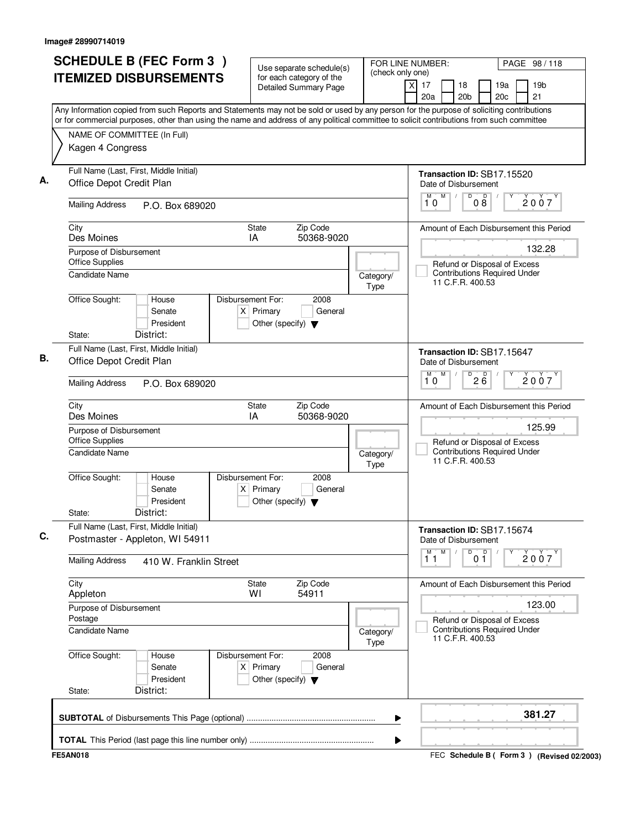|                                                                     | <b>SCHEDULE B (FEC Form 3)</b>            |                                                                          | Use separate schedule(s)                          | (check only one)         | FOR LINE NUMBER:<br>PAGE 98 / 118                                                                                                                                                                                                                                                      |
|---------------------------------------------------------------------|-------------------------------------------|--------------------------------------------------------------------------|---------------------------------------------------|--------------------------|----------------------------------------------------------------------------------------------------------------------------------------------------------------------------------------------------------------------------------------------------------------------------------------|
|                                                                     | <b>ITEMIZED DISBURSEMENTS</b>             |                                                                          | for each category of the<br>Detailed Summary Page |                          | 19 <sub>b</sub><br>17<br>18<br>19a<br>X<br>20a<br>20 <sub>b</sub><br>20c<br>21                                                                                                                                                                                                         |
|                                                                     |                                           |                                                                          |                                                   |                          | Any Information copied from such Reports and Statements may not be sold or used by any person for the purpose of soliciting contributions<br>or for commercial purposes, other than using the name and address of any political committee to solicit contributions from such committee |
| NAME OF COMMITTEE (In Full)                                         |                                           |                                                                          |                                                   |                          |                                                                                                                                                                                                                                                                                        |
| Kagen 4 Congress                                                    |                                           |                                                                          |                                                   |                          |                                                                                                                                                                                                                                                                                        |
| Full Name (Last, First, Middle Initial)<br>Office Depot Credit Plan |                                           |                                                                          |                                                   |                          | Transaction ID: SB17.15520<br>Date of Disbursement                                                                                                                                                                                                                                     |
| <b>Mailing Address</b>                                              | P.O. Box 689020                           |                                                                          |                                                   |                          | M<br>D<br>$\mathsf D$<br>M<br>2007<br>08<br>10                                                                                                                                                                                                                                         |
| City<br>Des Moines                                                  |                                           | State<br>IA                                                              | Zip Code<br>50368-9020                            |                          | Amount of Each Disbursement this Period                                                                                                                                                                                                                                                |
| Purpose of Disbursement                                             |                                           |                                                                          |                                                   |                          | 132.28                                                                                                                                                                                                                                                                                 |
| <b>Office Supplies</b><br><b>Candidate Name</b>                     |                                           |                                                                          |                                                   | Category/<br>Type        | Refund or Disposal of Excess<br><b>Contributions Required Under</b><br>11 C.F.R. 400.53                                                                                                                                                                                                |
| Office Sought:<br>State:                                            | House<br>Senate<br>President<br>District: | Disbursement For:<br>$X$ Primary<br>Other (specify) $\blacktriangledown$ | 2008<br>General                                   |                          |                                                                                                                                                                                                                                                                                        |
| Full Name (Last, First, Middle Initial)                             |                                           |                                                                          |                                                   |                          | Transaction ID: SB17.15647                                                                                                                                                                                                                                                             |
| Office Depot Credit Plan                                            |                                           |                                                                          |                                                   |                          | Date of Disbursement<br>M<br>D<br>M                                                                                                                                                                                                                                                    |
| <b>Mailing Address</b>                                              | P.O. Box 689020                           |                                                                          |                                                   |                          | $2\overline{6}$<br>2007<br>10                                                                                                                                                                                                                                                          |
| City<br>Des Moines                                                  |                                           | <b>State</b><br>IA                                                       | Zip Code<br>50368-9020                            |                          | Amount of Each Disbursement this Period                                                                                                                                                                                                                                                |
| Purpose of Disbursement<br><b>Office Supplies</b>                   |                                           |                                                                          |                                                   |                          | 125.99<br>Refund or Disposal of Excess                                                                                                                                                                                                                                                 |
| Candidate Name                                                      |                                           |                                                                          |                                                   | Category/<br><b>Type</b> | <b>Contributions Required Under</b><br>11 C.F.R. 400.53                                                                                                                                                                                                                                |
| Office Sought:                                                      | House<br>Senate<br>President              | Disbursement For:<br>$X$ Primary<br>Other (specify) $\blacktriangledown$ | 2008<br>General                                   |                          |                                                                                                                                                                                                                                                                                        |
| State:                                                              | District:                                 |                                                                          |                                                   |                          |                                                                                                                                                                                                                                                                                        |
| Full Name (Last, First, Middle Initial)                             | Postmaster - Appleton, WI 54911           |                                                                          |                                                   |                          | Transaction ID: SB17.15674<br>Date of Disbursement                                                                                                                                                                                                                                     |
| <b>Mailing Address</b>                                              | 410 W. Franklin Street                    |                                                                          |                                                   |                          | M<br>D<br>0 <sup>D</sup><br>M<br>2007<br>11                                                                                                                                                                                                                                            |
| City<br>Appleton                                                    |                                           | <b>State</b><br>WI                                                       | Zip Code<br>54911                                 |                          | Amount of Each Disbursement this Period                                                                                                                                                                                                                                                |
| Purpose of Disbursement<br>Postage                                  |                                           |                                                                          |                                                   |                          | 123.00<br>Refund or Disposal of Excess                                                                                                                                                                                                                                                 |
| <b>Candidate Name</b>                                               |                                           |                                                                          |                                                   | Category/<br><b>Type</b> | <b>Contributions Required Under</b><br>11 C.F.R. 400.53                                                                                                                                                                                                                                |
| Office Sought:                                                      | House<br>Senate<br>President              | Disbursement For:<br>$X$ Primary<br>Other (specify) $\blacktriangledown$ | 2008<br>General                                   |                          |                                                                                                                                                                                                                                                                                        |
| State:                                                              | District:                                 |                                                                          |                                                   |                          |                                                                                                                                                                                                                                                                                        |
|                                                                     |                                           |                                                                          |                                                   | ▶                        | 381.27                                                                                                                                                                                                                                                                                 |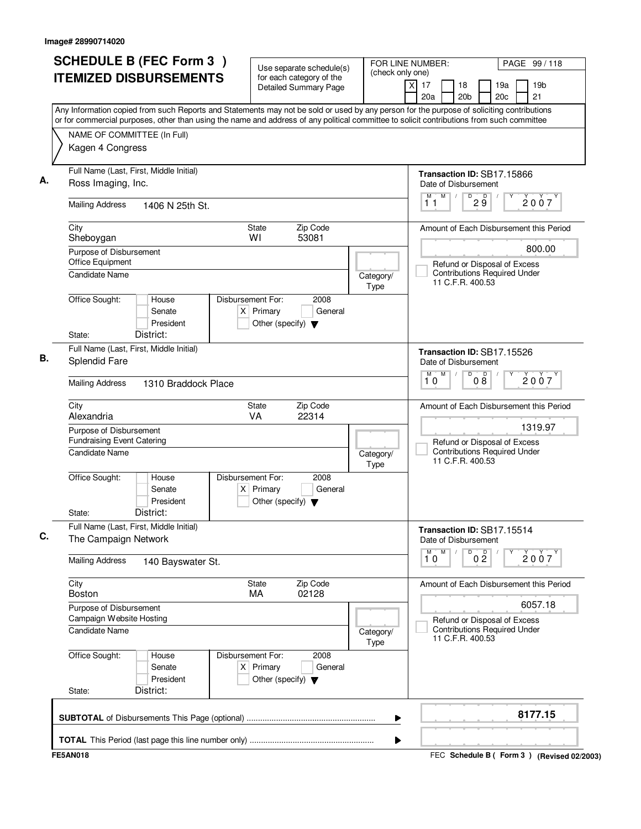| <b>SCHEDULE B (FEC Form 3)</b>                                                                                                                                                                                                                                                         | Use separate schedule(s)                                                                    | FOR LINE NUMBER:<br>(check only one) |                                                      | PAGE 99 / 118                                                                 |
|----------------------------------------------------------------------------------------------------------------------------------------------------------------------------------------------------------------------------------------------------------------------------------------|---------------------------------------------------------------------------------------------|--------------------------------------|------------------------------------------------------|-------------------------------------------------------------------------------|
| <b>ITEMIZED DISBURSEMENTS</b>                                                                                                                                                                                                                                                          | for each category of the<br><b>Detailed Summary Page</b>                                    |                                      | $\overline{X}$<br>17<br>18<br>20a<br>20 <sub>b</sub> | 19 <sub>b</sub><br>19a<br>21<br>20c                                           |
| Any Information copied from such Reports and Statements may not be sold or used by any person for the purpose of soliciting contributions<br>or for commercial purposes, other than using the name and address of any political committee to solicit contributions from such committee |                                                                                             |                                      |                                                      |                                                                               |
| NAME OF COMMITTEE (In Full)<br>Kagen 4 Congress                                                                                                                                                                                                                                        |                                                                                             |                                      |                                                      |                                                                               |
| Full Name (Last, First, Middle Initial)<br>Ross Imaging, Inc.                                                                                                                                                                                                                          |                                                                                             |                                      | Transaction ID: SB17.15866<br>Date of Disbursement   |                                                                               |
| <b>Mailing Address</b><br>1406 N 25th St.                                                                                                                                                                                                                                              |                                                                                             |                                      | M<br>D<br>11                                         | D<br>2007<br>$2\breve{9}$                                                     |
| City<br>Sheboygan                                                                                                                                                                                                                                                                      | Zip Code<br><b>State</b><br>53081<br>WI                                                     |                                      |                                                      | Amount of Each Disbursement this Period                                       |
| Purpose of Disbursement<br>Office Equipment<br><b>Candidate Name</b>                                                                                                                                                                                                                   |                                                                                             | Category/                            | 11 C.F.R. 400.53                                     | 800.00<br>Refund or Disposal of Excess<br><b>Contributions Required Under</b> |
| Office Sought:<br>House<br>Senate<br>President<br>District:<br>State:                                                                                                                                                                                                                  | Disbursement For:<br>2008<br>$X$ Primary<br>General<br>Other (specify) $\blacktriangledown$ | Type                                 |                                                      |                                                                               |
| Full Name (Last, First, Middle Initial)<br><b>Splendid Fare</b>                                                                                                                                                                                                                        |                                                                                             |                                      | Transaction ID: SB17.15526<br>Date of Disbursement   |                                                                               |
| <b>Mailing Address</b><br>1310 Braddock Place                                                                                                                                                                                                                                          |                                                                                             |                                      | M<br>D<br>M<br>10                                    | 08<br>2007                                                                    |
| City<br>Alexandria                                                                                                                                                                                                                                                                     | Zip Code<br>State<br>VA<br>22314                                                            |                                      |                                                      | Amount of Each Disbursement this Period                                       |
| Purpose of Disbursement<br><b>Fundraising Event Catering</b>                                                                                                                                                                                                                           |                                                                                             |                                      |                                                      | 1319.97<br>Refund or Disposal of Excess                                       |
| <b>Candidate Name</b>                                                                                                                                                                                                                                                                  |                                                                                             | Category/<br>Type                    | 11 C.F.R. 400.53                                     | <b>Contributions Required Under</b>                                           |
| Office Sought:<br>House<br>Senate<br>President<br>District:<br>State:                                                                                                                                                                                                                  | Disbursement For:<br>2008<br>$X$ Primary<br>General<br>Other (specify) $\blacktriangledown$ |                                      |                                                      |                                                                               |
| Full Name (Last, First, Middle Initial)<br>The Campaign Network                                                                                                                                                                                                                        |                                                                                             |                                      | Transaction ID: SB17.15514<br>Date of Disbursement   |                                                                               |
| <b>Mailing Address</b><br>140 Bayswater St.                                                                                                                                                                                                                                            |                                                                                             |                                      | M<br>M<br>D<br>10                                    | 0 <sup>D</sup><br>2007                                                        |
| City<br><b>Boston</b>                                                                                                                                                                                                                                                                  | Zip Code<br><b>State</b><br>MA<br>02128                                                     |                                      |                                                      | Amount of Each Disbursement this Period                                       |
| Purpose of Disbursement<br>Campaign Website Hosting                                                                                                                                                                                                                                    |                                                                                             |                                      |                                                      | 6057.18                                                                       |
| <b>Candidate Name</b>                                                                                                                                                                                                                                                                  |                                                                                             | Category/<br>Type                    | 11 C.F.R. 400.53                                     | Refund or Disposal of Excess<br><b>Contributions Required Under</b>           |
| Office Sought:<br>House<br>Senate<br>President<br>District:<br>State:                                                                                                                                                                                                                  | Disbursement For:<br>2008<br>$X$ Primary<br>General<br>Other (specify) $\blacktriangledown$ |                                      |                                                      |                                                                               |
|                                                                                                                                                                                                                                                                                        |                                                                                             | ▶                                    |                                                      | 8177.15                                                                       |
|                                                                                                                                                                                                                                                                                        |                                                                                             | ▶                                    |                                                      |                                                                               |
| <b>FE5AN018</b>                                                                                                                                                                                                                                                                        |                                                                                             |                                      |                                                      | FEC Schedule B ( Form 3 ) (Revised 02/2003)                                   |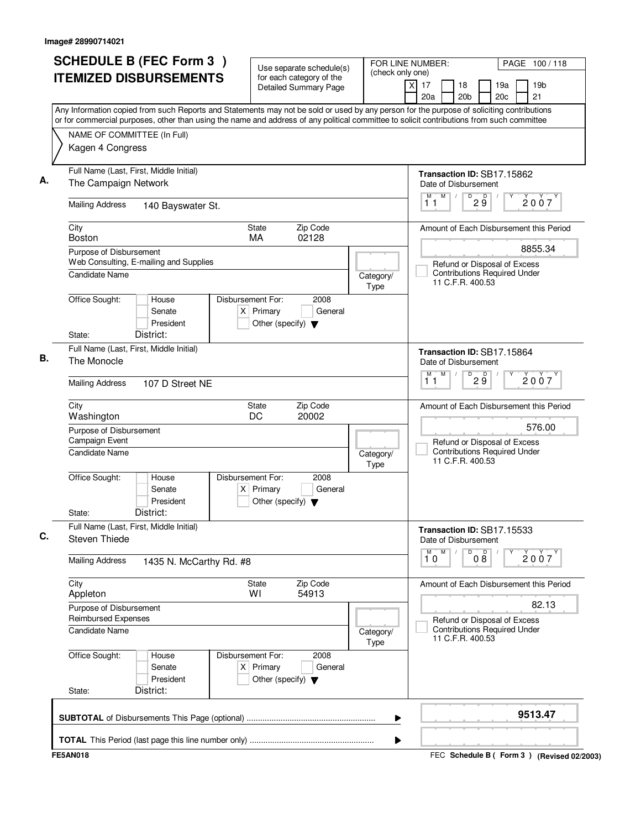| <b>ITEMIZED DISBURSEMENTS</b>                                         |                         |                                                                          | Use separate schedule(s)<br>for each category of the<br><b>Detailed Summary Page</b> | FOR LINE NUMBER:         | (check only one)<br>xl<br>17<br>19 <sub>b</sub><br>18<br>19a                                                                                                                     | PAGE 100/118 |
|-----------------------------------------------------------------------|-------------------------|--------------------------------------------------------------------------|--------------------------------------------------------------------------------------|--------------------------|----------------------------------------------------------------------------------------------------------------------------------------------------------------------------------|--------------|
|                                                                       |                         |                                                                          |                                                                                      |                          | 21<br>20a<br>20 <sub>b</sub><br>20c<br>Any Information copied from such Reports and Statements may not be sold or used by any person for the purpose of soliciting contributions |              |
|                                                                       |                         |                                                                          |                                                                                      |                          | or for commercial purposes, other than using the name and address of any political committee to solicit contributions from such committee                                        |              |
| NAME OF COMMITTEE (In Full)<br>Kagen 4 Congress                       |                         |                                                                          |                                                                                      |                          |                                                                                                                                                                                  |              |
| Full Name (Last, First, Middle Initial)<br>The Campaign Network       |                         |                                                                          |                                                                                      |                          | Transaction ID: SB17.15862<br>Date of Disbursement                                                                                                                               |              |
| <b>Mailing Address</b>                                                | 140 Bayswater St.       |                                                                          |                                                                                      |                          | M<br>$D^D$ $2Q^D$<br>М<br>$\sqrt{2}$<br>2007<br>11                                                                                                                               |              |
| City<br><b>Boston</b>                                                 |                         | <b>State</b><br>MA                                                       | Zip Code<br>02128                                                                    |                          | Amount of Each Disbursement this Period                                                                                                                                          |              |
| Purpose of Disbursement                                               |                         |                                                                          |                                                                                      |                          | 8855.34                                                                                                                                                                          |              |
| Web Consulting, E-mailing and Supplies<br><b>Candidate Name</b>       |                         |                                                                          |                                                                                      | Category/<br><b>Type</b> | Refund or Disposal of Excess<br><b>Contributions Required Under</b><br>11 C.F.R. 400.53                                                                                          |              |
| Office Sought:<br>House<br>Senate<br>President                        |                         | Disbursement For:<br>$X$ Primary<br>Other (specify) $\blacktriangledown$ | 2008<br>General                                                                      |                          |                                                                                                                                                                                  |              |
| District:<br>State:                                                   |                         |                                                                          |                                                                                      |                          |                                                                                                                                                                                  |              |
| Full Name (Last, First, Middle Initial)<br>The Monocle                |                         |                                                                          |                                                                                      |                          | Transaction ID: SB17.15864<br>Date of Disbursement<br>M<br>$\overline{D}$                                                                                                        |              |
| <b>Mailing Address</b><br>107 D Street NE                             |                         |                                                                          |                                                                                      |                          | M<br>29<br>2007<br>11                                                                                                                                                            |              |
| City<br>Washington                                                    |                         | <b>State</b><br>DC                                                       | Zip Code<br>20002                                                                    |                          | Amount of Each Disbursement this Period                                                                                                                                          |              |
| Purpose of Disbursement<br>Campaign Event                             |                         |                                                                          |                                                                                      |                          | 576.00<br>Refund or Disposal of Excess                                                                                                                                           |              |
| Candidate Name                                                        |                         |                                                                          |                                                                                      | Category/<br>Type        | <b>Contributions Required Under</b><br>11 C.F.R. 400.53                                                                                                                          |              |
| Office Sought:<br>House<br>Senate<br>President<br>District:<br>State: | $\times$                | Disbursement For:<br>Primary<br>Other (specify) $\blacktriangledown$     | 2008<br>General                                                                      |                          |                                                                                                                                                                                  |              |
| Full Name (Last, First, Middle Initial)<br>Steven Thiede              |                         |                                                                          |                                                                                      |                          | Transaction ID: SB17.15533<br>Date of Disbursement                                                                                                                               |              |
| <b>Mailing Address</b>                                                | 1435 N. McCarthy Rd. #8 |                                                                          |                                                                                      |                          | ${\sf M}$<br>M<br>D<br>08<br>$\check{2}$ 0 $\check{0}$ 7<br>10                                                                                                                   |              |
| City<br>Appleton                                                      |                         | <b>State</b><br>WI                                                       | Zip Code<br>54913                                                                    |                          | Amount of Each Disbursement this Period                                                                                                                                          |              |
| Purpose of Disbursement<br><b>Reimbursed Expenses</b>                 |                         |                                                                          |                                                                                      |                          | 82.13<br>Refund or Disposal of Excess                                                                                                                                            |              |
| Candidate Name                                                        |                         |                                                                          |                                                                                      | Category/<br>Type        | <b>Contributions Required Under</b><br>11 C.F.R. 400.53                                                                                                                          |              |
| Office Sought:<br>House<br>Senate<br>President                        |                         | Disbursement For:<br>$X$ Primary<br>Other (specify) $\blacktriangledown$ | 2008<br>General                                                                      |                          |                                                                                                                                                                                  |              |
| District:<br>State:                                                   |                         |                                                                          |                                                                                      |                          |                                                                                                                                                                                  |              |
|                                                                       |                         |                                                                          |                                                                                      |                          | 9513.47<br>▶                                                                                                                                                                     |              |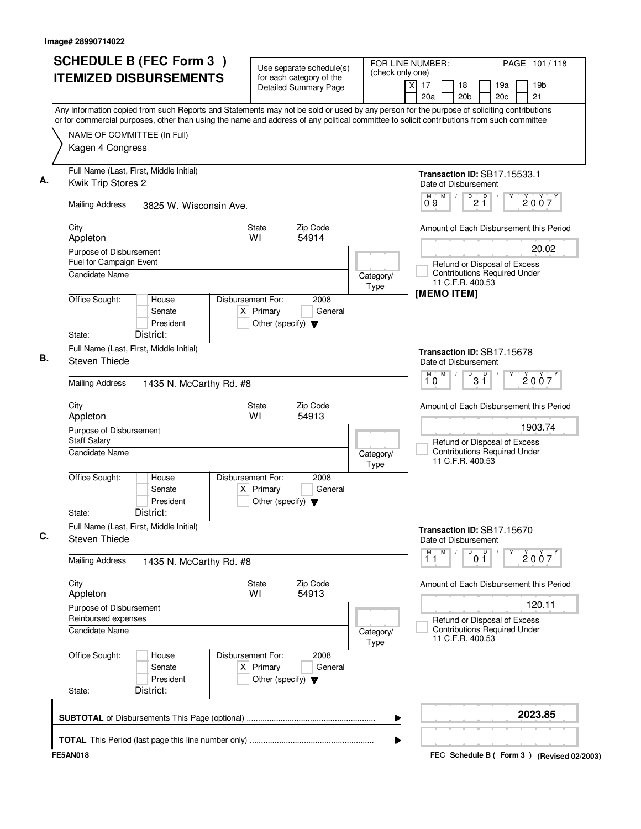| <b>SCHEDULE B (FEC Form 3)</b><br><b>ITEMIZED DISBURSEMENTS</b>                                                                                                                                                                                                                        | Use separate schedule(s)<br>for each category of the                                        | (check only one)         | FOR LINE NUMBER:      |                                                                                                                                                                                                                                                                                                                                                                                                                                                                                                |                                                |            | PAGE 101/118          |  |
|----------------------------------------------------------------------------------------------------------------------------------------------------------------------------------------------------------------------------------------------------------------------------------------|---------------------------------------------------------------------------------------------|--------------------------|-----------------------|------------------------------------------------------------------------------------------------------------------------------------------------------------------------------------------------------------------------------------------------------------------------------------------------------------------------------------------------------------------------------------------------------------------------------------------------------------------------------------------------|------------------------------------------------|------------|-----------------------|--|
|                                                                                                                                                                                                                                                                                        | <b>Detailed Summary Page</b>                                                                |                          | $\times$<br>17<br>20a | 18<br>20 <sub>b</sub>                                                                                                                                                                                                                                                                                                                                                                                                                                                                          |                                                | 19a<br>20c | 19 <sub>b</sub><br>21 |  |
| Any Information copied from such Reports and Statements may not be sold or used by any person for the purpose of soliciting contributions<br>or for commercial purposes, other than using the name and address of any political committee to solicit contributions from such committee |                                                                                             |                          |                       |                                                                                                                                                                                                                                                                                                                                                                                                                                                                                                |                                                |            |                       |  |
| NAME OF COMMITTEE (In Full)                                                                                                                                                                                                                                                            |                                                                                             |                          |                       |                                                                                                                                                                                                                                                                                                                                                                                                                                                                                                |                                                |            |                       |  |
| Kagen 4 Congress                                                                                                                                                                                                                                                                       |                                                                                             |                          |                       |                                                                                                                                                                                                                                                                                                                                                                                                                                                                                                |                                                |            |                       |  |
| Full Name (Last, First, Middle Initial)<br>Kwik Trip Stores 2                                                                                                                                                                                                                          |                                                                                             |                          |                       | <b>Transaction ID: SB17.15533.1</b><br>Date of Disbursement                                                                                                                                                                                                                                                                                                                                                                                                                                    |                                                |            |                       |  |
| <b>Mailing Address</b><br>3825 W. Wisconsin Ave.                                                                                                                                                                                                                                       |                                                                                             |                          | M<br>09               | $\begin{pmatrix} \overline{p} & \overline{p} & \overline{p} & \overline{p} & \overline{p} & \overline{p} & \overline{p} & \overline{p} & \overline{p} & \overline{p} & \overline{p} & \overline{p} & \overline{p} & \overline{p} & \overline{p} & \overline{p} & \overline{p} & \overline{p} & \overline{p} & \overline{p} & \overline{p} & \overline{p} & \overline{p} & \overline{p} & \overline{p} & \overline{p} & \overline{p} & \overline{p} & \overline{p} & \overline{p} & \overline{$ |                                                |            | 2007                  |  |
| City<br>Appleton                                                                                                                                                                                                                                                                       | Zip Code<br><b>State</b><br>WI<br>54914                                                     |                          |                       | Amount of Each Disbursement this Period                                                                                                                                                                                                                                                                                                                                                                                                                                                        |                                                |            |                       |  |
| Purpose of Disbursement<br>Fuel for Campaign Event<br>Candidate Name                                                                                                                                                                                                                   |                                                                                             | Category/                |                       | Refund or Disposal of Excess<br><b>Contributions Required Under</b>                                                                                                                                                                                                                                                                                                                                                                                                                            |                                                |            | 20.02                 |  |
|                                                                                                                                                                                                                                                                                        |                                                                                             | Type                     |                       | 11 C.F.R. 400.53<br>[MEMO ITEM]                                                                                                                                                                                                                                                                                                                                                                                                                                                                |                                                |            |                       |  |
| Office Sought:<br>House<br>Senate<br>President<br>District:<br>State:                                                                                                                                                                                                                  | Disbursement For:<br>2008<br>$X$ Primary<br>General<br>Other (specify) $\blacktriangledown$ |                          |                       |                                                                                                                                                                                                                                                                                                                                                                                                                                                                                                |                                                |            |                       |  |
| Full Name (Last, First, Middle Initial)                                                                                                                                                                                                                                                |                                                                                             |                          |                       | Transaction ID: SB17.15678                                                                                                                                                                                                                                                                                                                                                                                                                                                                     |                                                |            |                       |  |
| Steven Thiede                                                                                                                                                                                                                                                                          |                                                                                             |                          |                       | Date of Disbursement                                                                                                                                                                                                                                                                                                                                                                                                                                                                           |                                                |            |                       |  |
| <b>Mailing Address</b><br>1435 N. McCarthy Rd. #8                                                                                                                                                                                                                                      |                                                                                             |                          | M<br>M<br>10          | $\overline{D}$                                                                                                                                                                                                                                                                                                                                                                                                                                                                                 | $3^{\circ}$                                    |            | 2007                  |  |
| City<br>Appleton                                                                                                                                                                                                                                                                       | Zip Code<br>State<br>WI<br>54913                                                            |                          |                       | Amount of Each Disbursement this Period                                                                                                                                                                                                                                                                                                                                                                                                                                                        |                                                |            |                       |  |
| Purpose of Disbursement<br>Staff Salary                                                                                                                                                                                                                                                |                                                                                             |                          |                       | Refund or Disposal of Excess                                                                                                                                                                                                                                                                                                                                                                                                                                                                   |                                                |            | 1903.74               |  |
| Candidate Name                                                                                                                                                                                                                                                                         |                                                                                             | Category/<br><b>Type</b> |                       | <b>Contributions Required Under</b><br>11 C.F.R. 400.53                                                                                                                                                                                                                                                                                                                                                                                                                                        |                                                |            |                       |  |
| Office Sought:<br>House<br>Senate<br>President<br>District:<br>State:                                                                                                                                                                                                                  | Disbursement For:<br>2008<br>$X$ Primary<br>General<br>Other (specify) $\blacktriangledown$ |                          |                       |                                                                                                                                                                                                                                                                                                                                                                                                                                                                                                |                                                |            |                       |  |
| Full Name (Last, First, Middle Initial)<br>Steven Thiede                                                                                                                                                                                                                               |                                                                                             |                          |                       | Transaction ID: SB17.15670<br>Date of Disbursement                                                                                                                                                                                                                                                                                                                                                                                                                                             |                                                |            |                       |  |
| <b>Mailing Address</b><br>1435 N. McCarthy Rd. #8                                                                                                                                                                                                                                      |                                                                                             |                          | M<br>11               |                                                                                                                                                                                                                                                                                                                                                                                                                                                                                                | $\begin{bmatrix} 0 & 0 \\ 0 & 1 \end{bmatrix}$ | Υ          | 2007                  |  |
| City<br>Appleton                                                                                                                                                                                                                                                                       | Zip Code<br>State<br>54913<br>WI                                                            |                          |                       | Amount of Each Disbursement this Period                                                                                                                                                                                                                                                                                                                                                                                                                                                        |                                                |            |                       |  |
| Purpose of Disbursement<br>Reinbursed expenses                                                                                                                                                                                                                                         |                                                                                             |                          |                       |                                                                                                                                                                                                                                                                                                                                                                                                                                                                                                |                                                |            | 120.11                |  |
| Candidate Name                                                                                                                                                                                                                                                                         |                                                                                             | Category/<br><b>Type</b> |                       | Refund or Disposal of Excess<br><b>Contributions Required Under</b><br>11 C.F.R. 400.53                                                                                                                                                                                                                                                                                                                                                                                                        |                                                |            |                       |  |
| Office Sought:<br>House<br>Senate<br>President<br>District:<br>State:                                                                                                                                                                                                                  | Disbursement For:<br>2008<br>$X$ Primary<br>General<br>Other (specify) $\blacktriangledown$ |                          |                       |                                                                                                                                                                                                                                                                                                                                                                                                                                                                                                |                                                |            |                       |  |
|                                                                                                                                                                                                                                                                                        |                                                                                             | ▶                        |                       |                                                                                                                                                                                                                                                                                                                                                                                                                                                                                                |                                                |            | 2023.85               |  |
|                                                                                                                                                                                                                                                                                        |                                                                                             | ▶                        |                       |                                                                                                                                                                                                                                                                                                                                                                                                                                                                                                |                                                |            |                       |  |
| <b>FE5AN018</b>                                                                                                                                                                                                                                                                        |                                                                                             |                          |                       | FEC Schedule B ( Form 3 ) (Revised 02/2003)                                                                                                                                                                                                                                                                                                                                                                                                                                                    |                                                |            |                       |  |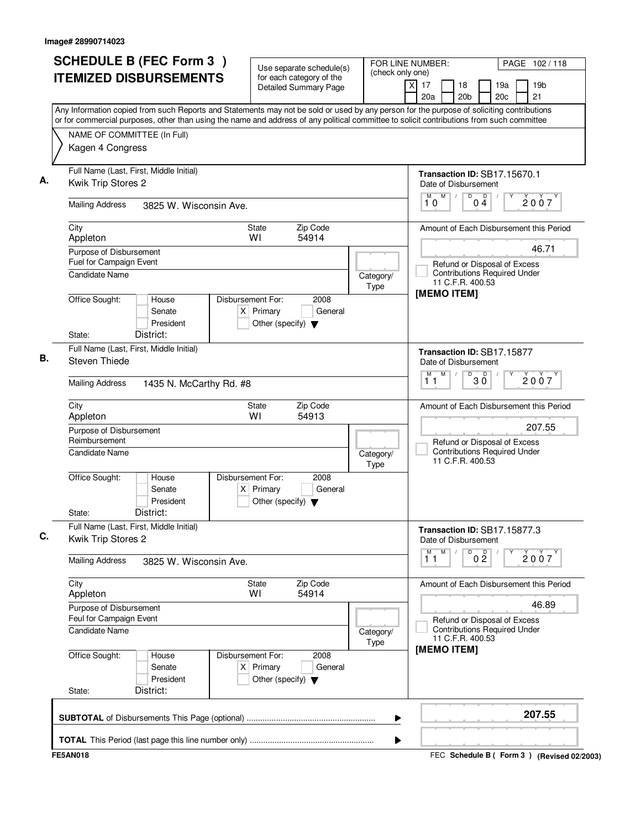| <b>SCHEDULE B (FEC Form 3)</b><br><b>ITEMIZED DISBURSEMENTS</b>                                                                                                                                                                                                                        | Use separate schedule(s)<br>for each category of the                                        | (check only one)  | FOR LINE NUMBER:            |                                                                                         |                   |            | PAGE 102/118                                |
|----------------------------------------------------------------------------------------------------------------------------------------------------------------------------------------------------------------------------------------------------------------------------------------|---------------------------------------------------------------------------------------------|-------------------|-----------------------------|-----------------------------------------------------------------------------------------|-------------------|------------|---------------------------------------------|
|                                                                                                                                                                                                                                                                                        | <b>Detailed Summary Page</b>                                                                |                   | $\overline{X}$<br>17<br>20a | 18<br>20 <sub>b</sub>                                                                   |                   | 19a<br>20c | 19 <sub>b</sub><br>21                       |
| Any Information copied from such Reports and Statements may not be sold or used by any person for the purpose of soliciting contributions<br>or for commercial purposes, other than using the name and address of any political committee to solicit contributions from such committee |                                                                                             |                   |                             |                                                                                         |                   |            |                                             |
| NAME OF COMMITTEE (In Full)                                                                                                                                                                                                                                                            |                                                                                             |                   |                             |                                                                                         |                   |            |                                             |
| Kagen 4 Congress                                                                                                                                                                                                                                                                       |                                                                                             |                   |                             |                                                                                         |                   |            |                                             |
| Full Name (Last, First, Middle Initial)<br>Kwik Trip Stores 2                                                                                                                                                                                                                          |                                                                                             |                   |                             | Transaction ID: SB17.15670.1<br>Date of Disbursement                                    |                   |            |                                             |
| <b>Mailing Address</b><br>3825 W. Wisconsin Ave.                                                                                                                                                                                                                                       |                                                                                             |                   | M<br>M<br>10                | D                                                                                       | $0\overset{D}{4}$ |            | 2007                                        |
| City<br>Appleton                                                                                                                                                                                                                                                                       | Zip Code<br><b>State</b><br>WI<br>54914                                                     |                   |                             |                                                                                         |                   |            | Amount of Each Disbursement this Period     |
| Purpose of Disbursement<br>Fuel for Campaign Event<br>Candidate Name                                                                                                                                                                                                                   |                                                                                             |                   |                             | Refund or Disposal of Excess<br><b>Contributions Required Under</b>                     |                   |            | 46.71                                       |
|                                                                                                                                                                                                                                                                                        |                                                                                             | Category/<br>Type |                             | 11 C.F.R. 400.53                                                                        |                   |            |                                             |
| Office Sought:<br>House<br>Senate<br>President<br>District:<br>State:                                                                                                                                                                                                                  | Disbursement For:<br>2008<br>$X$ Primary<br>General<br>Other (specify) $\blacktriangledown$ |                   |                             | [MEMO ITEM]                                                                             |                   |            |                                             |
| Full Name (Last, First, Middle Initial)<br><b>Steven Thiede</b>                                                                                                                                                                                                                        |                                                                                             |                   |                             | Transaction ID: SB17.15877<br>Date of Disbursement                                      |                   |            |                                             |
| <b>Mailing Address</b><br>1435 N. McCarthy Rd. #8                                                                                                                                                                                                                                      |                                                                                             |                   | M<br>м<br>11                | D                                                                                       | $30^{\circ}$      |            | 2007                                        |
| City<br>Appleton                                                                                                                                                                                                                                                                       | Zip Code<br>State<br>54913<br>W١                                                            |                   |                             |                                                                                         |                   |            | Amount of Each Disbursement this Period     |
| Purpose of Disbursement<br>Reimbursement                                                                                                                                                                                                                                               |                                                                                             |                   |                             |                                                                                         |                   |            | 207.55                                      |
| <b>Candidate Name</b>                                                                                                                                                                                                                                                                  |                                                                                             | Category/<br>Type |                             | Refund or Disposal of Excess<br><b>Contributions Required Under</b><br>11 C.F.R. 400.53 |                   |            |                                             |
| Office Sought:<br>House<br>Senate<br>President<br>District:<br>State:                                                                                                                                                                                                                  | Disbursement For:<br>2008<br>$X$ Primary<br>General<br>Other (specify) $\blacktriangledown$ |                   |                             |                                                                                         |                   |            |                                             |
| Full Name (Last, First, Middle Initial)<br>Kwik Trip Stores 2                                                                                                                                                                                                                          |                                                                                             |                   |                             | Transaction ID: SB17.15877.3<br>Date of Disbursement                                    |                   |            |                                             |
| <b>Mailing Address</b><br>3825 W. Wisconsin Ave.                                                                                                                                                                                                                                       |                                                                                             |                   | M<br>11                     | D                                                                                       | $0\frac{D}{2}$    | Υ          | 2007                                        |
| City<br>Appleton                                                                                                                                                                                                                                                                       | Zip Code<br>State<br>WI<br>54914                                                            |                   |                             |                                                                                         |                   |            | Amount of Each Disbursement this Period     |
| Purpose of Disbursement<br>Feul for Campaign Event                                                                                                                                                                                                                                     |                                                                                             |                   |                             |                                                                                         |                   |            | 46.89                                       |
| Candidate Name                                                                                                                                                                                                                                                                         |                                                                                             | Category/<br>Type |                             | Refund or Disposal of Excess<br><b>Contributions Required Under</b><br>11 C.F.R. 400.53 |                   |            |                                             |
| Office Sought:<br>House<br>Senate<br>President<br>District:<br>State:                                                                                                                                                                                                                  | Disbursement For:<br>2008<br>$X$ Primary<br>General<br>Other (specify) $\blacktriangledown$ |                   |                             | [MEMO ITEM]                                                                             |                   |            |                                             |
|                                                                                                                                                                                                                                                                                        |                                                                                             | ▶                 |                             |                                                                                         |                   |            | 207.55                                      |
|                                                                                                                                                                                                                                                                                        |                                                                                             | ▶                 |                             |                                                                                         |                   |            |                                             |
| <b>FE5AN018</b>                                                                                                                                                                                                                                                                        |                                                                                             |                   |                             |                                                                                         |                   |            | FEC Schedule B ( Form 3 ) (Revised 02/2003) |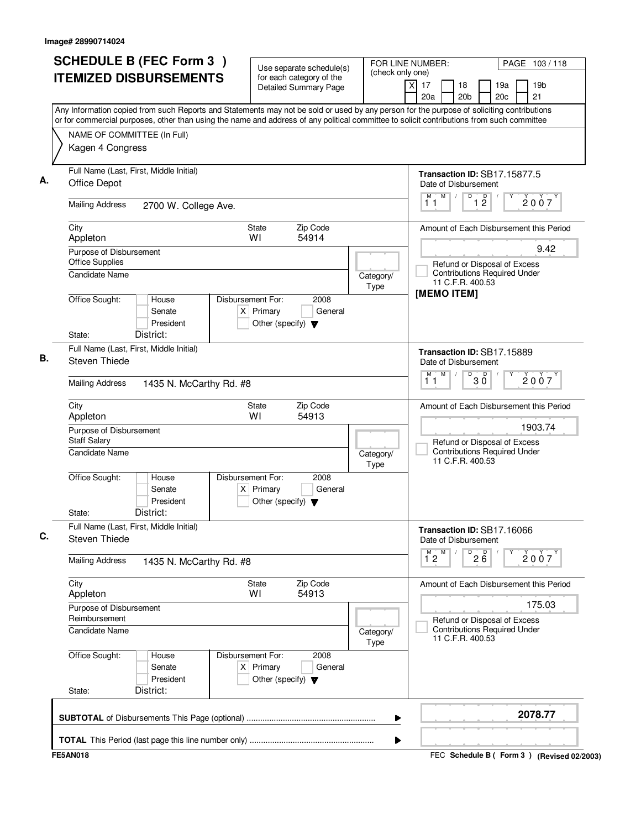| <b>SCHEDULE B (FEC Form 3)</b><br><b>ITEMIZED DISBURSEMENTS</b>                                                                                                                                                                                                                        | Use separate schedule(s)<br>for each category of the<br><b>Detailed Summary Page</b>        | (check only one)         | FOR LINE NUMBER:<br>$\overline{X}$<br>17<br>18              | PAGE 103/118<br>19a<br>19 <sub>b</sub>                              |
|----------------------------------------------------------------------------------------------------------------------------------------------------------------------------------------------------------------------------------------------------------------------------------------|---------------------------------------------------------------------------------------------|--------------------------|-------------------------------------------------------------|---------------------------------------------------------------------|
|                                                                                                                                                                                                                                                                                        |                                                                                             |                          | 20 <sub>b</sub><br>20a                                      | 21<br>20 <sub>c</sub>                                               |
| Any Information copied from such Reports and Statements may not be sold or used by any person for the purpose of soliciting contributions<br>or for commercial purposes, other than using the name and address of any political committee to solicit contributions from such committee |                                                                                             |                          |                                                             |                                                                     |
| NAME OF COMMITTEE (In Full)                                                                                                                                                                                                                                                            |                                                                                             |                          |                                                             |                                                                     |
| Kagen 4 Congress                                                                                                                                                                                                                                                                       |                                                                                             |                          |                                                             |                                                                     |
| Full Name (Last, First, Middle Initial)<br>Office Depot                                                                                                                                                                                                                                |                                                                                             |                          | <b>Transaction ID: SB17.15877.5</b><br>Date of Disbursement |                                                                     |
| <b>Mailing Address</b><br>2700 W. College Ave.                                                                                                                                                                                                                                         |                                                                                             |                          | M<br>$\sqrt{2}$<br>D<br>$12$<br>11                          | $\mathsf{D}$<br>2007                                                |
| City<br>Appleton                                                                                                                                                                                                                                                                       | Zip Code<br>State<br>54914<br>WI                                                            |                          |                                                             | Amount of Each Disbursement this Period                             |
| Purpose of Disbursement<br><b>Office Supplies</b>                                                                                                                                                                                                                                      |                                                                                             |                          |                                                             | 9.42<br>Refund or Disposal of Excess                                |
| Candidate Name                                                                                                                                                                                                                                                                         |                                                                                             | Category/<br>Type        | 11 C.F.R. 400.53<br>[MEMO ITEM]                             | <b>Contributions Required Under</b>                                 |
| Office Sought:<br>House<br>Senate<br>President<br>District:<br>State:                                                                                                                                                                                                                  | Disbursement For:<br>2008<br>$X$ Primary<br>General<br>Other (specify) $\blacktriangledown$ |                          |                                                             |                                                                     |
| Full Name (Last, First, Middle Initial)                                                                                                                                                                                                                                                |                                                                                             |                          | Transaction ID: SB17.15889                                  |                                                                     |
| Steven Thiede                                                                                                                                                                                                                                                                          |                                                                                             |                          | Date of Disbursement                                        |                                                                     |
| <b>Mailing Address</b><br>1435 N. McCarthy Rd. #8                                                                                                                                                                                                                                      |                                                                                             |                          | M<br>$\overline{30}$<br>M<br>11                             | 2007                                                                |
| City<br>Appleton                                                                                                                                                                                                                                                                       | Zip Code<br>State<br>W١<br>54913                                                            |                          |                                                             | Amount of Each Disbursement this Period                             |
| Purpose of Disbursement<br><b>Staff Salary</b>                                                                                                                                                                                                                                         |                                                                                             |                          |                                                             | 1903.74<br>Refund or Disposal of Excess                             |
| <b>Candidate Name</b>                                                                                                                                                                                                                                                                  |                                                                                             | Category/<br><b>Type</b> | 11 C.F.R. 400.53                                            | <b>Contributions Required Under</b>                                 |
| Office Sought:<br>House<br>Senate<br>President<br>District:<br>State:                                                                                                                                                                                                                  | Disbursement For:<br>2008<br>$X$ Primary<br>General<br>Other (specify) $\blacktriangledown$ |                          |                                                             |                                                                     |
| Full Name (Last, First, Middle Initial)<br>Steven Thiede                                                                                                                                                                                                                               |                                                                                             |                          | Transaction ID: SB17.16066<br>Date of Disbursement          |                                                                     |
| <b>Mailing Address</b><br>1435 N. McCarthy Rd. #8                                                                                                                                                                                                                                      |                                                                                             |                          | M<br>$\overline{26}$<br>$\overline{1}^M$ 2                  | 2007                                                                |
| City<br>Appleton                                                                                                                                                                                                                                                                       | Zip Code<br>State<br>54913<br>WI                                                            |                          |                                                             | Amount of Each Disbursement this Period                             |
| Purpose of Disbursement                                                                                                                                                                                                                                                                |                                                                                             |                          |                                                             | 175.03                                                              |
| Reimbursement<br><b>Candidate Name</b>                                                                                                                                                                                                                                                 |                                                                                             | Category/<br><b>Type</b> | 11 C.F.R. 400.53                                            | Refund or Disposal of Excess<br><b>Contributions Required Under</b> |
| Office Sought:<br>House<br>Senate<br>President<br>District:<br>State:                                                                                                                                                                                                                  | Disbursement For:<br>2008<br>$X$ Primary<br>General<br>Other (specify) $\blacktriangledown$ |                          |                                                             |                                                                     |
|                                                                                                                                                                                                                                                                                        |                                                                                             | ▶                        |                                                             | 2078.77                                                             |
|                                                                                                                                                                                                                                                                                        |                                                                                             | ▶                        |                                                             |                                                                     |
| <b>FE5AN018</b>                                                                                                                                                                                                                                                                        |                                                                                             |                          |                                                             | FEC Schedule B ( Form 3 ) (Revised 02/2003)                         |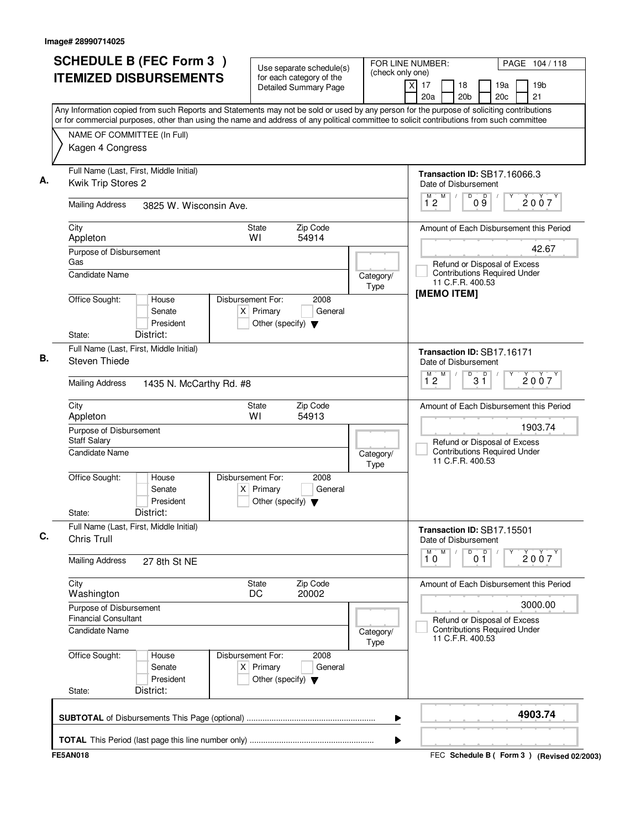|                                                        | <b>SCHEDULE B (FEC Form 3)</b><br><b>ITEMIZED DISBURSEMENTS</b> |                                                                          | Use separate schedule(s)<br>for each category of the | (check only one)  | FOR LINE NUMBER:                                                                                                                                                                                                | PAGE 104/118          |
|--------------------------------------------------------|-----------------------------------------------------------------|--------------------------------------------------------------------------|------------------------------------------------------|-------------------|-----------------------------------------------------------------------------------------------------------------------------------------------------------------------------------------------------------------|-----------------------|
|                                                        |                                                                 |                                                                          | <b>Detailed Summary Page</b>                         |                   | χI<br>17<br>18<br>19a<br>20a<br>20 <sub>b</sub><br>20 <sub>c</sub><br>Any Information copied from such Reports and Statements may not be sold or used by any person for the purpose of soliciting contributions | 19 <sub>b</sub><br>21 |
|                                                        |                                                                 |                                                                          |                                                      |                   | or for commercial purposes, other than using the name and address of any political committee to solicit contributions from such committee                                                                       |                       |
|                                                        | NAME OF COMMITTEE (In Full)                                     |                                                                          |                                                      |                   |                                                                                                                                                                                                                 |                       |
| Kagen 4 Congress                                       |                                                                 |                                                                          |                                                      |                   |                                                                                                                                                                                                                 |                       |
| Kwik Trip Stores 2                                     | Full Name (Last, First, Middle Initial)                         |                                                                          |                                                      |                   | Transaction ID: SB17.16066.3<br>Date of Disbursement                                                                                                                                                            |                       |
| <b>Mailing Address</b>                                 | 3825 W. Wisconsin Ave.                                          |                                                                          |                                                      |                   | D<br>$0\overset{D}{9}$<br>M<br>M<br>12                                                                                                                                                                          | 2007                  |
| City<br>Appleton                                       |                                                                 | <b>State</b><br>WI                                                       | Zip Code<br>54914                                    |                   | Amount of Each Disbursement this Period                                                                                                                                                                         |                       |
| Purpose of Disbursement                                |                                                                 |                                                                          |                                                      |                   |                                                                                                                                                                                                                 | 42.67                 |
| Gas<br>Candidate Name                                  |                                                                 |                                                                          |                                                      | Category/<br>Type | Refund or Disposal of Excess<br><b>Contributions Required Under</b><br>11 C.F.R. 400.53                                                                                                                         |                       |
| Office Sought:                                         | House<br>Senate<br>President                                    | Disbursement For:<br>$X$ Primary<br>Other (specify) $\blacktriangledown$ | 2008<br>General                                      |                   | [MEMO ITEM]                                                                                                                                                                                                     |                       |
| State:                                                 | District:                                                       |                                                                          |                                                      |                   |                                                                                                                                                                                                                 |                       |
| Steven Thiede                                          | Full Name (Last, First, Middle Initial)                         |                                                                          |                                                      |                   | Transaction ID: SB17.16171<br>Date of Disbursement                                                                                                                                                              |                       |
| <b>Mailing Address</b>                                 | 1435 N. McCarthy Rd. #8                                         |                                                                          |                                                      |                   | D<br>M<br>M<br>$3^{\circ}$<br>12                                                                                                                                                                                | 2007                  |
| City<br>Appleton                                       |                                                                 | State<br>WI                                                              | Zip Code<br>54913                                    |                   | Amount of Each Disbursement this Period                                                                                                                                                                         |                       |
| Purpose of Disbursement<br><b>Staff Salary</b>         |                                                                 |                                                                          |                                                      |                   | Refund or Disposal of Excess                                                                                                                                                                                    | 1903.74               |
| <b>Candidate Name</b>                                  |                                                                 |                                                                          |                                                      | Category/<br>Type | <b>Contributions Required Under</b><br>11 C.F.R. 400.53                                                                                                                                                         |                       |
| Office Sought:                                         | House<br>Senate<br>President                                    | Disbursement For:<br>$X$ Primary<br>Other (specify) $\blacktriangledown$ | 2008<br>General                                      |                   |                                                                                                                                                                                                                 |                       |
| State:                                                 | District:                                                       |                                                                          |                                                      |                   |                                                                                                                                                                                                                 |                       |
| Chris Trull                                            | Full Name (Last, First, Middle Initial)                         |                                                                          |                                                      |                   | Transaction ID: SB17.15501<br>Date of Disbursement                                                                                                                                                              |                       |
| <b>Mailing Address</b>                                 | 27 8th St NE                                                    |                                                                          |                                                      |                   | M<br>$\overline{0}$ o $\overline{1}$<br>M<br>10                                                                                                                                                                 | 2007                  |
| City<br>Washington                                     |                                                                 | State<br>DC                                                              | Zip Code<br>20002                                    |                   | Amount of Each Disbursement this Period                                                                                                                                                                         |                       |
| Purpose of Disbursement<br><b>Financial Consultant</b> |                                                                 |                                                                          |                                                      |                   | Refund or Disposal of Excess                                                                                                                                                                                    | 3000.00               |
| Candidate Name                                         |                                                                 |                                                                          |                                                      | Category/<br>Type | <b>Contributions Required Under</b><br>11 C.F.R. 400.53                                                                                                                                                         |                       |
| Office Sought:                                         | House<br>Senate<br>President                                    | Disbursement For:<br>$X$ Primary<br>Other (specify) $\blacktriangledown$ | 2008<br>General                                      |                   |                                                                                                                                                                                                                 |                       |
| State:                                                 | District:                                                       |                                                                          |                                                      |                   |                                                                                                                                                                                                                 |                       |
|                                                        |                                                                 |                                                                          |                                                      | ▶                 |                                                                                                                                                                                                                 | 4903.74               |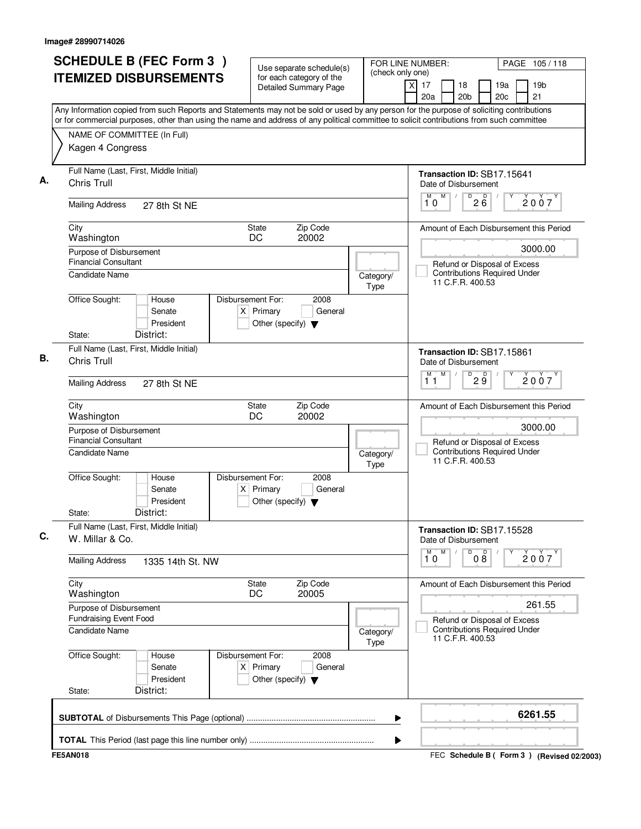| <b>ITEMIZED DISBURSEMENTS</b><br>for each category of the<br><b>Detailed Summary Page</b><br>Any Information copied from such Reports and Statements may not be sold or used by any person for the purpose of soliciting contributions<br>or for commercial purposes, other than using the name and address of any political committee to solicit contributions from such committee<br>NAME OF COMMITTEE (In Full)<br>Kagen 4 Congress<br>Full Name (Last, First, Middle Initial) | 19 <sub>b</sub><br>x<br>17<br>18<br>19a<br>20c<br>21<br>20a<br>20 <sub>b</sub><br>Transaction ID: SB17.15641<br>Date of Disbursement |
|-----------------------------------------------------------------------------------------------------------------------------------------------------------------------------------------------------------------------------------------------------------------------------------------------------------------------------------------------------------------------------------------------------------------------------------------------------------------------------------|--------------------------------------------------------------------------------------------------------------------------------------|
|                                                                                                                                                                                                                                                                                                                                                                                                                                                                                   |                                                                                                                                      |
|                                                                                                                                                                                                                                                                                                                                                                                                                                                                                   |                                                                                                                                      |
|                                                                                                                                                                                                                                                                                                                                                                                                                                                                                   |                                                                                                                                      |
| <b>Chris Trull</b>                                                                                                                                                                                                                                                                                                                                                                                                                                                                |                                                                                                                                      |
| <b>Mailing Address</b><br>27 8th St NE                                                                                                                                                                                                                                                                                                                                                                                                                                            | M<br>$2\overline{6}$<br>M<br>D<br>2007<br>10                                                                                         |
| Zip Code<br>City<br>State<br>20002<br>DC<br>Washington                                                                                                                                                                                                                                                                                                                                                                                                                            | Amount of Each Disbursement this Period                                                                                              |
| Purpose of Disbursement<br><b>Financial Consultant</b><br><b>Candidate Name</b>                                                                                                                                                                                                                                                                                                                                                                                                   | 3000.00<br>Refund or Disposal of Excess<br><b>Contributions Required Under</b><br>Category/<br>11 C.F.R. 400.53                      |
| Office Sought:<br>Disbursement For:<br>House<br>2008<br>$X$ Primary<br>General<br>Senate<br>President<br>Other (specify) $\blacktriangledown$<br>District:<br>State:                                                                                                                                                                                                                                                                                                              | Type                                                                                                                                 |
| Full Name (Last, First, Middle Initial)<br>Chris Trull                                                                                                                                                                                                                                                                                                                                                                                                                            | Transaction ID: SB17.15861<br>Date of Disbursement<br>M<br>M<br>D<br>D                                                               |
| <b>Mailing Address</b><br>27 8th St NE                                                                                                                                                                                                                                                                                                                                                                                                                                            | 2007<br>2 ğ<br>11                                                                                                                    |
| Zip Code<br>City<br>State<br>Washington<br>DC<br>20002                                                                                                                                                                                                                                                                                                                                                                                                                            | Amount of Each Disbursement this Period                                                                                              |
| Purpose of Disbursement<br><b>Financial Consultant</b>                                                                                                                                                                                                                                                                                                                                                                                                                            | 3000.00<br>Refund or Disposal of Excess                                                                                              |
| <b>Candidate Name</b>                                                                                                                                                                                                                                                                                                                                                                                                                                                             | <b>Contributions Required Under</b><br>Category/<br>11 C.F.R. 400.53<br>Type                                                         |
| Office Sought:<br>Disbursement For:<br>2008<br>House<br>Senate<br>$X$ Primary<br>General<br>President<br>Other (specify) $\blacktriangledown$<br>District:<br>State:                                                                                                                                                                                                                                                                                                              |                                                                                                                                      |
| Full Name (Last, First, Middle Initial)<br>W. Millar & Co.                                                                                                                                                                                                                                                                                                                                                                                                                        | Transaction ID: SB17.15528<br>Date of Disbursement                                                                                   |
| <b>Mailing Address</b><br>1335 14th St. NW                                                                                                                                                                                                                                                                                                                                                                                                                                        | M.<br>M<br>D<br>08<br>2007<br>10                                                                                                     |
| City<br>Zip Code<br>State<br>20005<br>Washington<br>DC                                                                                                                                                                                                                                                                                                                                                                                                                            | Amount of Each Disbursement this Period                                                                                              |
| Purpose of Disbursement<br><b>Fundraising Event Food</b>                                                                                                                                                                                                                                                                                                                                                                                                                          | 261.55<br>Refund or Disposal of Excess                                                                                               |
| <b>Candidate Name</b>                                                                                                                                                                                                                                                                                                                                                                                                                                                             | <b>Contributions Required Under</b><br>Category/<br>11 C.F.R. 400.53<br>Type                                                         |
| Office Sought:<br>Disbursement For:<br>2008<br>House<br>$X$ Primary<br>Senate<br>General<br>President<br>Other (specify) $\blacktriangledown$<br>District:<br>State:                                                                                                                                                                                                                                                                                                              |                                                                                                                                      |
|                                                                                                                                                                                                                                                                                                                                                                                                                                                                                   | 6261.55<br>▶                                                                                                                         |
|                                                                                                                                                                                                                                                                                                                                                                                                                                                                                   | ▶                                                                                                                                    |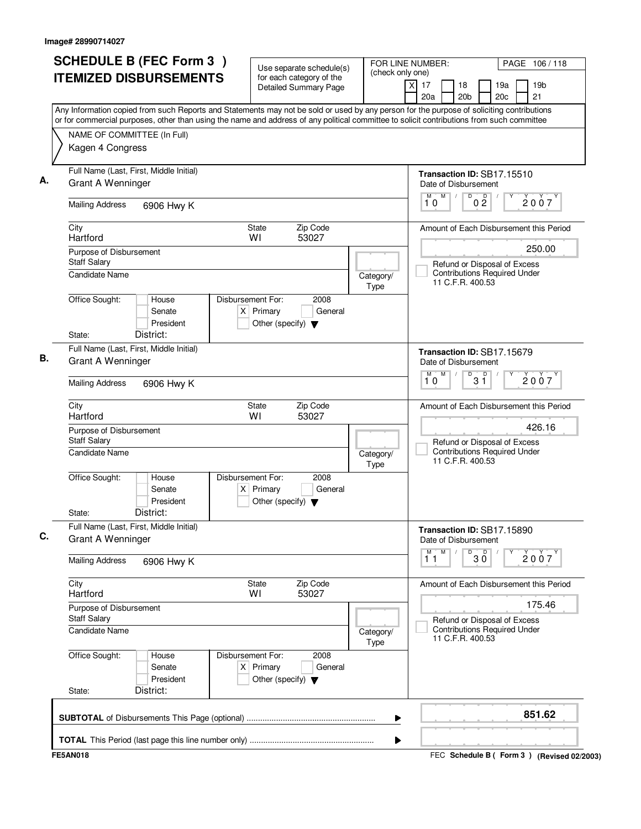|                                                              | <b>SCHEDULE B (FEC Form 3)</b>                                                                                                                                                                                                                                                         |                                                                          | Use separate schedule(s)                                 | FOR LINE NUMBER:         |                                                                                         | PAGE 106/118                            |
|--------------------------------------------------------------|----------------------------------------------------------------------------------------------------------------------------------------------------------------------------------------------------------------------------------------------------------------------------------------|--------------------------------------------------------------------------|----------------------------------------------------------|--------------------------|-----------------------------------------------------------------------------------------|-----------------------------------------|
|                                                              | <b>ITEMIZED DISBURSEMENTS</b>                                                                                                                                                                                                                                                          |                                                                          | for each category of the<br><b>Detailed Summary Page</b> | (check only one)         | χI<br>17<br>18<br>20a<br>20 <sub>b</sub>                                                | 19a<br>19 <sub>b</sub><br>20c<br>21     |
|                                                              | Any Information copied from such Reports and Statements may not be sold or used by any person for the purpose of soliciting contributions<br>or for commercial purposes, other than using the name and address of any political committee to solicit contributions from such committee |                                                                          |                                                          |                          |                                                                                         |                                         |
| NAME OF COMMITTEE (In Full)                                  |                                                                                                                                                                                                                                                                                        |                                                                          |                                                          |                          |                                                                                         |                                         |
| Kagen 4 Congress                                             |                                                                                                                                                                                                                                                                                        |                                                                          |                                                          |                          |                                                                                         |                                         |
| Full Name (Last, First, Middle Initial)<br>Grant A Wenninger |                                                                                                                                                                                                                                                                                        |                                                                          |                                                          |                          | Transaction ID: SB17.15510<br>Date of Disbursement                                      |                                         |
| <b>Mailing Address</b>                                       | 6906 Hwy K                                                                                                                                                                                                                                                                             |                                                                          |                                                          |                          | $\overline{\mathsf{D}}$<br>M<br>M<br>0 <sup>0</sup><br>10                               | 2007                                    |
| City<br>Hartford                                             |                                                                                                                                                                                                                                                                                        | <b>State</b><br>W١                                                       | Zip Code<br>53027                                        |                          |                                                                                         | Amount of Each Disbursement this Period |
| Purpose of Disbursement                                      |                                                                                                                                                                                                                                                                                        |                                                                          |                                                          |                          |                                                                                         | 250.00                                  |
| <b>Staff Salary</b><br>Candidate Name                        |                                                                                                                                                                                                                                                                                        |                                                                          |                                                          | Category/<br>Type        | Refund or Disposal of Excess<br><b>Contributions Required Under</b><br>11 C.F.R. 400.53 |                                         |
| Office Sought:                                               | House<br>Senate<br>President<br>District:                                                                                                                                                                                                                                              | Disbursement For:<br>$X$ Primary<br>Other (specify) $\blacktriangledown$ | 2008<br>General                                          |                          |                                                                                         |                                         |
| State:                                                       |                                                                                                                                                                                                                                                                                        |                                                                          |                                                          |                          |                                                                                         |                                         |
| Full Name (Last, First, Middle Initial)<br>Grant A Wenninger |                                                                                                                                                                                                                                                                                        |                                                                          |                                                          |                          | Transaction ID: SB17.15679<br>Date of Disbursement<br>M<br>D<br>м                       |                                         |
| <b>Mailing Address</b>                                       | 6906 Hwy K                                                                                                                                                                                                                                                                             |                                                                          |                                                          |                          | $3^{\circ}$<br>10                                                                       | 2007                                    |
| City<br>Hartford                                             |                                                                                                                                                                                                                                                                                        | <b>State</b><br>W١                                                       | Zip Code<br>53027                                        |                          |                                                                                         | Amount of Each Disbursement this Period |
| Purpose of Disbursement<br><b>Staff Salary</b>               |                                                                                                                                                                                                                                                                                        |                                                                          |                                                          |                          | Refund or Disposal of Excess                                                            | 426.16                                  |
| <b>Candidate Name</b>                                        |                                                                                                                                                                                                                                                                                        |                                                                          |                                                          | Category/<br><b>Type</b> | <b>Contributions Required Under</b><br>11 C.F.R. 400.53                                 |                                         |
| Office Sought:                                               | House<br>Senate<br>President                                                                                                                                                                                                                                                           | Disbursement For:<br>$X$ Primary<br>Other (specify) $\blacktriangledown$ | 2008<br>General                                          |                          |                                                                                         |                                         |
| State:                                                       | District:                                                                                                                                                                                                                                                                              |                                                                          |                                                          |                          |                                                                                         |                                         |
| Full Name (Last, First, Middle Initial)<br>Grant A Wenninger |                                                                                                                                                                                                                                                                                        |                                                                          |                                                          |                          | Transaction ID: SB17.15890<br>Date of Disbursement                                      |                                         |
| <b>Mailing Address</b>                                       | 6906 Hwy K                                                                                                                                                                                                                                                                             |                                                                          |                                                          |                          | $\overline{30}$<br>M<br>M<br>$1^{\degree}1$                                             | 2007                                    |
| City<br>Hartford                                             |                                                                                                                                                                                                                                                                                        | State<br>WI                                                              | Zip Code<br>53027                                        |                          |                                                                                         | Amount of Each Disbursement this Period |
| Purpose of Disbursement<br><b>Staff Salary</b>               |                                                                                                                                                                                                                                                                                        |                                                                          |                                                          |                          | Refund or Disposal of Excess                                                            | 175.46                                  |
| Candidate Name                                               |                                                                                                                                                                                                                                                                                        |                                                                          |                                                          | Category/<br>Type        | <b>Contributions Required Under</b><br>11 C.F.R. 400.53                                 |                                         |
| Office Sought:                                               | House<br>Senate<br>President                                                                                                                                                                                                                                                           | Disbursement For:<br>$X$ Primary<br>Other (specify) $\blacktriangledown$ | 2008<br>General                                          |                          |                                                                                         |                                         |
| State:                                                       | District:                                                                                                                                                                                                                                                                              |                                                                          |                                                          |                          |                                                                                         |                                         |
|                                                              |                                                                                                                                                                                                                                                                                        |                                                                          |                                                          | ▶                        |                                                                                         | 851.62                                  |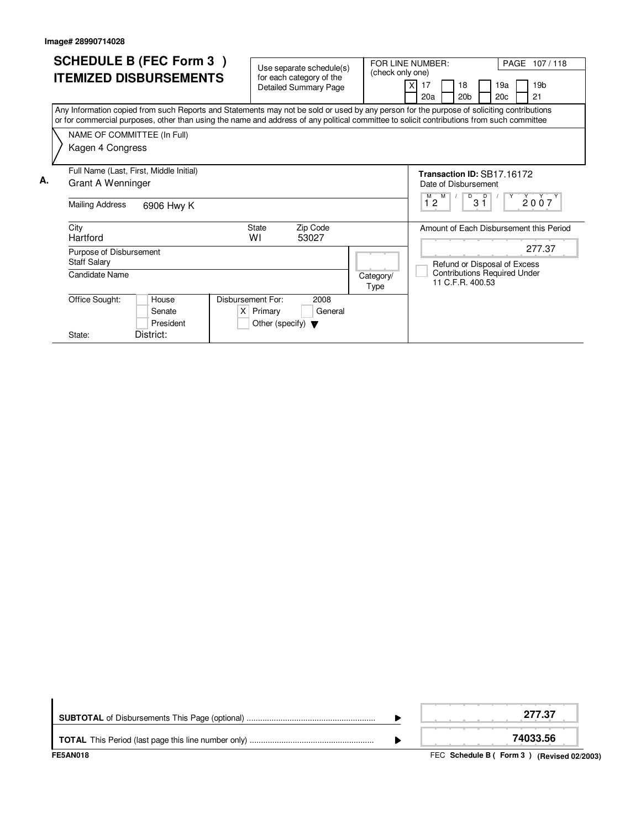|    | <b>SCHEDULE B (FEC Form 3)</b>                                                                                                            | Use separate schedule(s)             |                  | FOR LINE NUMBER:<br>PAGE 107/118                |  |  |  |
|----|-------------------------------------------------------------------------------------------------------------------------------------------|--------------------------------------|------------------|-------------------------------------------------|--|--|--|
|    | <b>ITEMIZED DISBURSEMENTS</b>                                                                                                             | for each category of the             | (check only one) |                                                 |  |  |  |
|    |                                                                                                                                           | Detailed Summary Page                |                  | 19 <sub>b</sub><br>17<br>18<br>19a              |  |  |  |
|    |                                                                                                                                           |                                      |                  | 20 <sub>b</sub><br>20 <sub>c</sub><br>21<br>20a |  |  |  |
|    | Any Information copied from such Reports and Statements may not be sold or used by any person for the purpose of soliciting contributions |                                      |                  |                                                 |  |  |  |
|    | or for commercial purposes, other than using the name and address of any political committee to solicit contributions from such committee |                                      |                  |                                                 |  |  |  |
|    | NAME OF COMMITTEE (In Full)                                                                                                               |                                      |                  |                                                 |  |  |  |
|    | Kagen 4 Congress                                                                                                                          |                                      |                  |                                                 |  |  |  |
|    |                                                                                                                                           |                                      |                  |                                                 |  |  |  |
|    | Full Name (Last, First, Middle Initial)                                                                                                   | Transaction ID: SB17.16172           |                  |                                                 |  |  |  |
| А. | Grant A Wenninger                                                                                                                         |                                      |                  | Date of Disbursement                            |  |  |  |
|    |                                                                                                                                           |                                      |                  | M<br>D<br>2007                                  |  |  |  |
|    | Mailing Address<br>6906 Hwy K                                                                                                             |                                      | $3\bar{1}$<br>12 |                                                 |  |  |  |
|    | City                                                                                                                                      | Zip Code<br><b>State</b>             |                  | Amount of Each Disbursement this Period         |  |  |  |
|    | Hartford                                                                                                                                  | W١<br>53027                          |                  |                                                 |  |  |  |
|    | Purpose of Disbursement                                                                                                                   |                                      |                  | 277.37                                          |  |  |  |
|    | <b>Staff Salary</b>                                                                                                                       |                                      |                  | Refund or Disposal of Excess                    |  |  |  |
|    | Candidate Name                                                                                                                            |                                      | Category/        | <b>Contributions Required Under</b>             |  |  |  |
|    |                                                                                                                                           |                                      | Type             | 11 C.F.R. 400.53                                |  |  |  |
|    | Office Sought:<br>Disbursement For:<br>House                                                                                              | 2008                                 |                  |                                                 |  |  |  |
|    | Senate                                                                                                                                    | $X$ Primary<br>General               |                  |                                                 |  |  |  |
|    | President                                                                                                                                 | Other (specify) $\blacktriangledown$ |                  |                                                 |  |  |  |
|    | District:<br>State:                                                                                                                       |                                      |                  |                                                 |  |  |  |

| <b>FE5AN018</b> | FEC Schedule B (Form 3) (Revised 02/2003) |
|-----------------|-------------------------------------------|
|                 | 74033.56                                  |
|                 | 277.37                                    |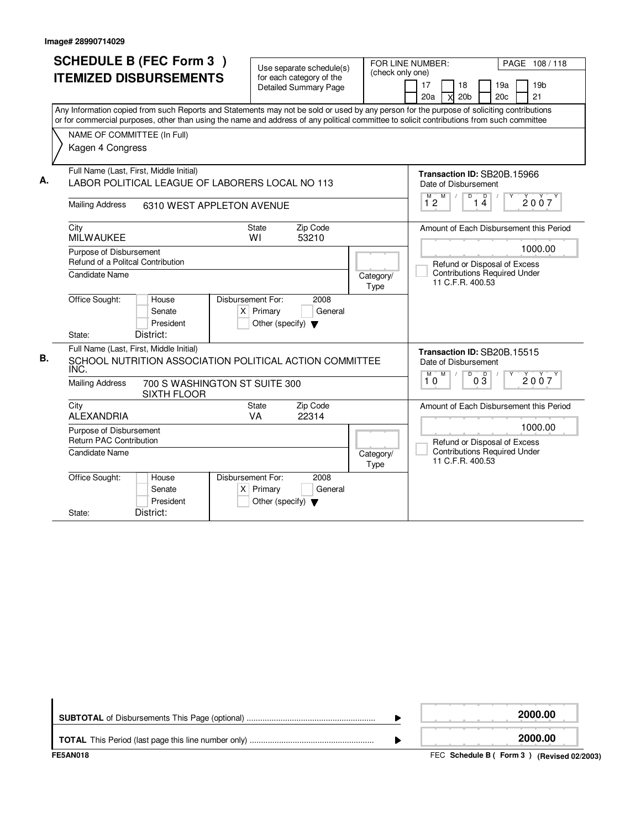| Kagen 4 Congress                                                                                                                                                   | <b>SCHEDULE B (FEC Form 3)</b><br><b>ITEMIZED DISBURSEMENTS</b><br>NAME OF COMMITTEE (In Full)                                                    |                                                                                                | Use separate schedule(s)<br>for each category of the<br><b>Detailed Summary Page</b> | (check only one)  | FOR LINE NUMBER:<br>PAGE 108/118<br>17<br>19a<br>19 <sub>b</sub><br>18<br>20 <sub>b</sub><br>20 <sub>c</sub><br>21<br>20a<br>X<br>Any Information copied from such Reports and Statements may not be sold or used by any person for the purpose of soliciting contributions<br>or for commercial purposes, other than using the name and address of any political committee to solicit contributions from such committee |
|--------------------------------------------------------------------------------------------------------------------------------------------------------------------|---------------------------------------------------------------------------------------------------------------------------------------------------|------------------------------------------------------------------------------------------------|--------------------------------------------------------------------------------------|-------------------|--------------------------------------------------------------------------------------------------------------------------------------------------------------------------------------------------------------------------------------------------------------------------------------------------------------------------------------------------------------------------------------------------------------------------|
| А.                                                                                                                                                                 | Full Name (Last, First, Middle Initial)<br>LABOR POLITICAL LEAGUE OF LABORERS LOCAL NO 113<br><b>Mailing Address</b><br>6310 WEST APPLETON AVENUE |                                                                                                |                                                                                      |                   | Transaction ID: SB20B.15966<br>Date of Disbursement<br>M<br>$\sqrt{ }$<br>$\overline{D}$<br>D<br>$\overline{1}^M$ 2<br>2007<br>14                                                                                                                                                                                                                                                                                        |
| City<br><b>MILWAUKEE</b><br>Purpose of Disbursement<br>Candidate Name<br>Office Sought:<br>State:                                                                  | Refund of a Politcal Contribution<br>House<br>Senate<br>President<br>District:                                                                    | <b>State</b><br>WI<br>Disbursement For:<br>$X$ Primary<br>Other (specify) $\blacktriangledown$ | Zip Code<br>53210<br>2008<br>General                                                 | Category/<br>Type | Amount of Each Disbursement this Period<br>1000.00<br>Refund or Disposal of Excess<br><b>Contributions Required Under</b><br>11 C.F.R. 400.53                                                                                                                                                                                                                                                                            |
| В.<br>INC.<br><b>Mailing Address</b><br>City<br><b>ALEXANDRIA</b><br>Purpose of Disbursement<br>Return PAC Contribution<br><b>Candidate Name</b><br>Office Sought: | Full Name (Last, First, Middle Initial)<br>SCHOOL NUTRITION ASSOCIATION POLITICAL ACTION COMMITTEE<br><b>SIXTH FLOOR</b><br>House<br>Senate       | 700 S WASHINGTON ST SUITE 300<br><b>State</b><br><b>VA</b><br>Disbursement For:<br>$X$ Primary | Zip Code<br>22314<br>2008<br>General                                                 | Category/<br>Type | Transaction ID: SB20B.15515<br>Date of Disbursement<br>D<br>M<br>M<br>$0\frac{D}{3}$<br>2007<br>10<br>Amount of Each Disbursement this Period<br>1000.00<br>Refund or Disposal of Excess<br><b>Contributions Required Under</b><br>11 C.F.R. 400.53                                                                                                                                                                      |
| State:                                                                                                                                                             | President<br>District:                                                                                                                            | Other (specify) $\blacktriangledown$                                                           |                                                                                      |                   |                                                                                                                                                                                                                                                                                                                                                                                                                          |

|  | 2000.00 |
|--|---------|
|  | 2000.00 |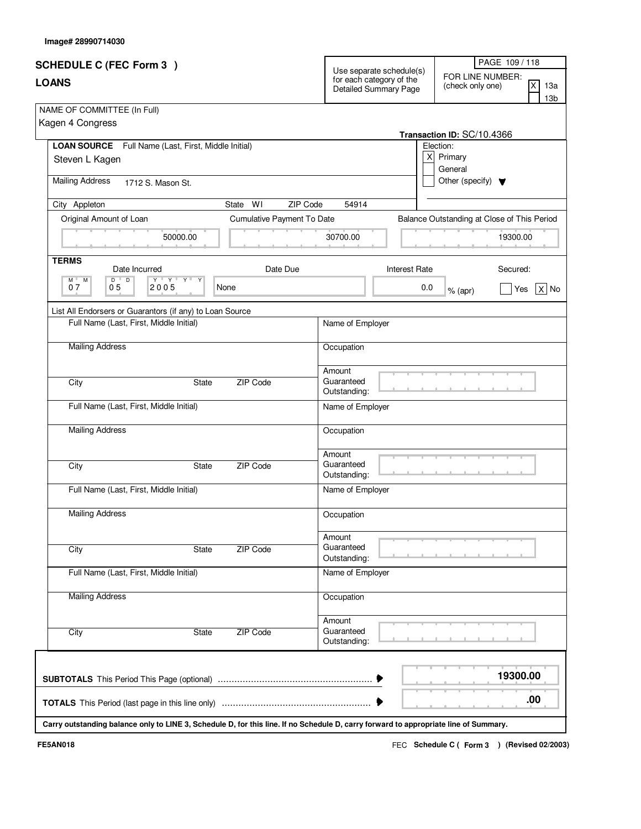| <b>SCHEDULE C (FEC Form 3)</b><br><b>LOANS</b>                                                                                       |                            | Use separate schedule(s)<br>for each category of the<br>Detailed Summary Page |               | PAGE 109 / 118<br>FOR LINE NUMBER:<br>ΙX<br>(check only one)<br>13a<br>13 <sub>b</sub> |  |  |
|--------------------------------------------------------------------------------------------------------------------------------------|----------------------------|-------------------------------------------------------------------------------|---------------|----------------------------------------------------------------------------------------|--|--|
|                                                                                                                                      |                            |                                                                               |               |                                                                                        |  |  |
| LOAN SOURCE Full Name (Last, First, Middle Initial)                                                                                  |                            |                                                                               |               | Election:                                                                              |  |  |
| Steven L Kagen                                                                                                                       |                            |                                                                               | X             | Primary<br>General                                                                     |  |  |
| <b>Mailing Address</b><br>1712 S. Mason St.                                                                                          |                            |                                                                               |               | Other (specify) $\blacktriangledown$                                                   |  |  |
| City Appleton                                                                                                                        | ZIP Code<br>WI<br>State    | 54914                                                                         |               |                                                                                        |  |  |
| Original Amount of Loan                                                                                                              | Cumulative Payment To Date |                                                                               |               | Balance Outstanding at Close of This Period                                            |  |  |
| 50000.00                                                                                                                             |                            | 30700.00                                                                      |               | 19300.00                                                                               |  |  |
| <b>TERMS</b><br>Date Incurred                                                                                                        | Date Due                   |                                                                               | Interest Rate | Secured:                                                                               |  |  |
| $\mathsf{Y} \perp \mathsf{Y} \perp \mathsf{Y}$<br>$D$ $D$<br>Y<br>M<br><b>M</b><br>05<br>07<br>2005                                  | None                       |                                                                               | 0.0           | $x $ No<br>Yes<br>$%$ (apr)                                                            |  |  |
| List All Endorsers or Guarantors (if any) to Loan Source                                                                             |                            |                                                                               |               |                                                                                        |  |  |
| Full Name (Last, First, Middle Initial)                                                                                              |                            | Name of Employer                                                              |               |                                                                                        |  |  |
| <b>Mailing Address</b>                                                                                                               |                            | Occupation                                                                    |               |                                                                                        |  |  |
| City<br><b>State</b>                                                                                                                 | ZIP Code                   | Amount<br>Guaranteed<br>Outstanding:                                          |               |                                                                                        |  |  |
| Full Name (Last, First, Middle Initial)                                                                                              |                            | Name of Employer                                                              |               |                                                                                        |  |  |
| <b>Mailing Address</b>                                                                                                               |                            | Occupation                                                                    |               |                                                                                        |  |  |
| City<br><b>State</b>                                                                                                                 | ZIP Code                   | Amount<br>Guaranteed<br>Outstanding:                                          |               |                                                                                        |  |  |
| Full Name (Last, First, Middle Initial)                                                                                              |                            | Name of Employer                                                              |               |                                                                                        |  |  |
| <b>Mailing Address</b>                                                                                                               |                            | Occupation                                                                    |               |                                                                                        |  |  |
| City<br>State                                                                                                                        | <b>ZIP Code</b>            | Amount<br>Guaranteed<br>Outstanding:                                          |               |                                                                                        |  |  |
| Full Name (Last, First, Middle Initial)                                                                                              |                            | Name of Employer                                                              |               |                                                                                        |  |  |
| <b>Mailing Address</b>                                                                                                               |                            | Occupation                                                                    |               |                                                                                        |  |  |
| City<br><b>State</b>                                                                                                                 | ZIP Code                   | Amount<br>Guaranteed<br>Outstanding:                                          |               |                                                                                        |  |  |
|                                                                                                                                      |                            |                                                                               |               | 19300.00                                                                               |  |  |
|                                                                                                                                      |                            |                                                                               |               | .00                                                                                    |  |  |
| Carry outstanding balance only to LINE 3, Schedule D, for this line. If no Schedule D, carry forward to appropriate line of Summary. |                            |                                                                               |               |                                                                                        |  |  |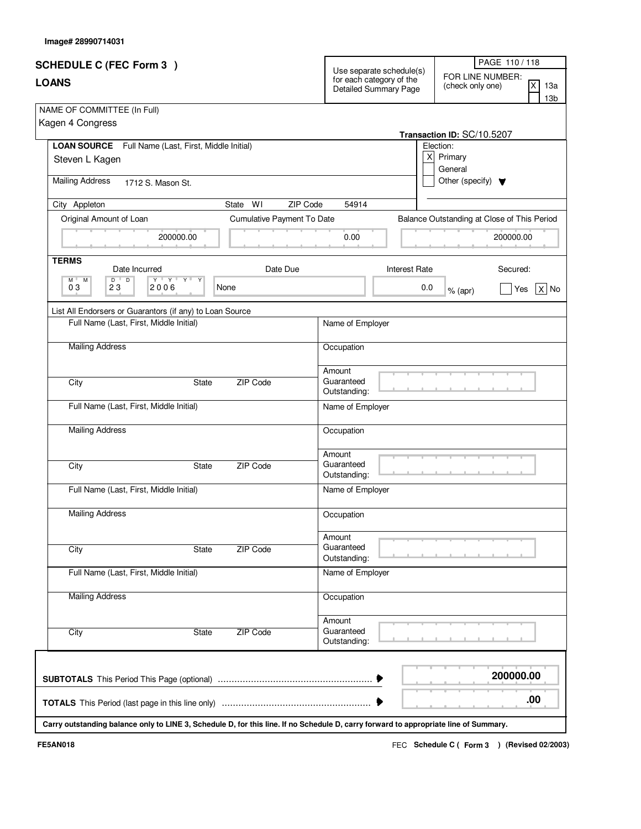| <b>SCHEDULE C (FEC Form 3)</b><br><b>LOANS</b>                                                                                                                                    |                            | Use separate schedule(s)<br>for each category of the<br>Detailed Summary Page |     | PAGE 110/118<br>FOR LINE NUMBER:<br>ΙX<br>(check only one)<br>13a<br>13 <sub>b</sub> |  |  |
|-----------------------------------------------------------------------------------------------------------------------------------------------------------------------------------|----------------------------|-------------------------------------------------------------------------------|-----|--------------------------------------------------------------------------------------|--|--|
|                                                                                                                                                                                   |                            |                                                                               |     |                                                                                      |  |  |
| LOAN SOURCE Full Name (Last, First, Middle Initial)                                                                                                                               |                            |                                                                               |     | Election:                                                                            |  |  |
| Steven L Kagen                                                                                                                                                                    |                            |                                                                               | X   | Primary<br>General                                                                   |  |  |
| <b>Mailing Address</b><br>1712 S. Mason St.                                                                                                                                       |                            |                                                                               |     | Other (specify) $\blacktriangledown$                                                 |  |  |
| City Appleton                                                                                                                                                                     | State<br>WI<br>ZIP Code    | 54914                                                                         |     |                                                                                      |  |  |
| Original Amount of Loan                                                                                                                                                           | Cumulative Payment To Date |                                                                               |     | Balance Outstanding at Close of This Period                                          |  |  |
| 200000.00                                                                                                                                                                         |                            | 0.00                                                                          |     | 200000.00                                                                            |  |  |
| <b>TERMS</b><br>Date Incurred                                                                                                                                                     | Date Due                   | Interest Rate                                                                 |     | Secured:                                                                             |  |  |
| $\begin{array}{c c c c c c} \hline \textbf{Y} & \textbf{Y} & \textbf{Y} & \textbf{Y} & \textbf{Y} \end{array}$<br>$D$ $D$<br>Y<br>M <sup>-1</sup><br><b>M</b><br>03<br>23<br>2006 | None                       |                                                                               | 0.0 | $x $ No<br>Yes<br>$%$ (apr)                                                          |  |  |
| List All Endorsers or Guarantors (if any) to Loan Source                                                                                                                          |                            |                                                                               |     |                                                                                      |  |  |
| Full Name (Last, First, Middle Initial)                                                                                                                                           |                            | Name of Employer                                                              |     |                                                                                      |  |  |
| <b>Mailing Address</b>                                                                                                                                                            |                            | Occupation                                                                    |     |                                                                                      |  |  |
| City<br><b>State</b>                                                                                                                                                              | ZIP Code                   | Amount<br>Guaranteed<br>Outstanding:                                          |     |                                                                                      |  |  |
| Full Name (Last, First, Middle Initial)                                                                                                                                           |                            | Name of Employer                                                              |     |                                                                                      |  |  |
| <b>Mailing Address</b>                                                                                                                                                            |                            | Occupation                                                                    |     |                                                                                      |  |  |
| City<br><b>State</b>                                                                                                                                                              | ZIP Code                   | Amount<br>Guaranteed<br>Outstanding:                                          |     |                                                                                      |  |  |
| Full Name (Last, First, Middle Initial)                                                                                                                                           |                            | Name of Employer                                                              |     |                                                                                      |  |  |
| <b>Mailing Address</b>                                                                                                                                                            |                            | Occupation                                                                    |     |                                                                                      |  |  |
| City<br>State                                                                                                                                                                     | <b>ZIP Code</b>            | Amount<br>Guaranteed<br>Outstanding:                                          |     |                                                                                      |  |  |
| Full Name (Last, First, Middle Initial)                                                                                                                                           |                            | Name of Employer                                                              |     |                                                                                      |  |  |
| <b>Mailing Address</b>                                                                                                                                                            |                            | Occupation                                                                    |     |                                                                                      |  |  |
| City<br><b>State</b>                                                                                                                                                              | ZIP Code                   | Amount<br>Guaranteed<br>Outstanding:                                          |     |                                                                                      |  |  |
|                                                                                                                                                                                   |                            |                                                                               |     | 200000.00                                                                            |  |  |
|                                                                                                                                                                                   |                            |                                                                               |     | .00                                                                                  |  |  |
| Carry outstanding balance only to LINE 3, Schedule D, for this line. If no Schedule D, carry forward to appropriate line of Summary.                                              |                            |                                                                               |     |                                                                                      |  |  |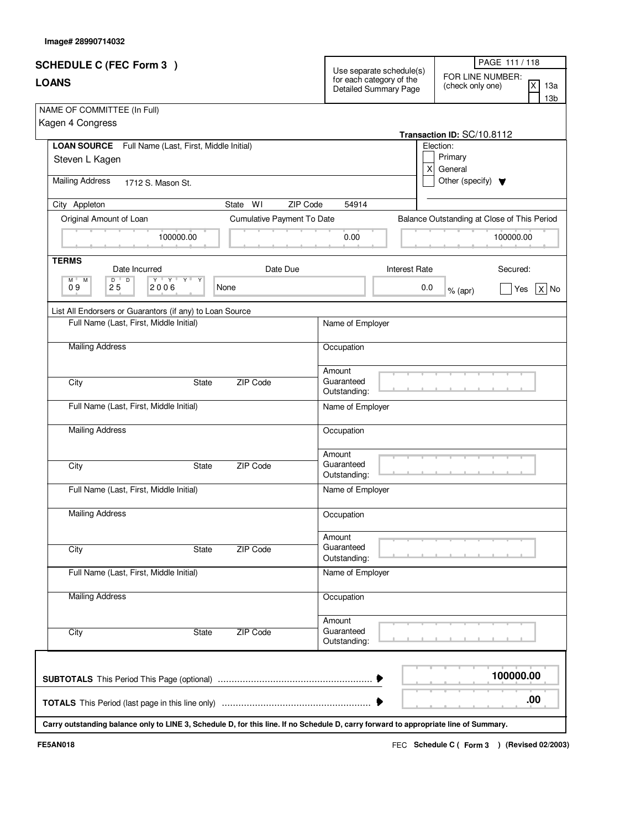| <b>SCHEDULE C (FEC Form 3)</b>                                                                                                       |                                                                               | PAGE 111 / 118                                                             |
|--------------------------------------------------------------------------------------------------------------------------------------|-------------------------------------------------------------------------------|----------------------------------------------------------------------------|
| <b>LOANS</b>                                                                                                                         | Use separate schedule(s)<br>for each category of the<br>Detailed Summary Page | FOR LINE NUMBER:<br><b>X</b><br>13а<br>(check only one)<br>13 <sub>b</sub> |
| NAME OF COMMITTEE (In Full)                                                                                                          |                                                                               |                                                                            |
| Kagen 4 Congress                                                                                                                     |                                                                               |                                                                            |
| <b>LOAN SOURCE</b> Full Name (Last, First, Middle Initial)                                                                           |                                                                               | Transaction ID: SC/10.8112<br>Election:                                    |
| Steven L Kagen                                                                                                                       |                                                                               | Primary                                                                    |
|                                                                                                                                      |                                                                               | X<br>General                                                               |
| <b>Mailing Address</b><br>1712 S. Mason St.                                                                                          |                                                                               | Other (specify) $\blacktriangledown$                                       |
| State WI<br>City Appleton                                                                                                            | ZIP Code<br>54914                                                             |                                                                            |
| Original Amount of Loan<br>Cumulative Payment To Date                                                                                |                                                                               | Balance Outstanding at Close of This Period                                |
| 100000.00                                                                                                                            | 0.00                                                                          | 100000.00                                                                  |
| <b>TERMS</b><br>Date Due<br>Date Incurred                                                                                            |                                                                               | <b>Interest Rate</b><br>Secured:                                           |
| $D^{-1}$<br>$\overline{D}$<br>$\mathsf{Y} \dashv \mathsf{Y} \dashv \mathsf{Y} \dashv \mathsf{Y}$<br>M "<br>M                         |                                                                               |                                                                            |
| 09<br>25<br>2006<br>None                                                                                                             |                                                                               | 0.0<br>$X $ No<br>Yes<br>$%$ (apr)                                         |
| List All Endorsers or Guarantors (if any) to Loan Source                                                                             |                                                                               |                                                                            |
| Full Name (Last, First, Middle Initial)                                                                                              | Name of Employer                                                              |                                                                            |
| <b>Mailing Address</b>                                                                                                               | Occupation                                                                    |                                                                            |
|                                                                                                                                      | Amount                                                                        |                                                                            |
| City<br>ZIP Code<br><b>State</b>                                                                                                     | Guaranteed                                                                    |                                                                            |
| Full Name (Last, First, Middle Initial)                                                                                              | Outstanding:<br>Name of Employer                                              |                                                                            |
| <b>Mailing Address</b>                                                                                                               | Occupation                                                                    |                                                                            |
|                                                                                                                                      | Amount                                                                        |                                                                            |
| City<br><b>ZIP Code</b><br>State                                                                                                     | Guaranteed                                                                    |                                                                            |
|                                                                                                                                      | Outstanding:                                                                  |                                                                            |
| Full Name (Last, First, Middle Initial)                                                                                              | Name of Employer                                                              |                                                                            |
| <b>Mailing Address</b>                                                                                                               | Occupation                                                                    |                                                                            |
|                                                                                                                                      | Amount                                                                        |                                                                            |
| ZIP Code<br>City<br><b>State</b>                                                                                                     | Guaranteed<br>Outstanding:                                                    |                                                                            |
| Full Name (Last, First, Middle Initial)                                                                                              | Name of Employer                                                              |                                                                            |
| <b>Mailing Address</b>                                                                                                               | Occupation                                                                    |                                                                            |
|                                                                                                                                      | Amount                                                                        |                                                                            |
| ZIP Code<br>City<br>State                                                                                                            | Guaranteed<br>Outstanding:                                                    |                                                                            |
|                                                                                                                                      |                                                                               |                                                                            |
|                                                                                                                                      |                                                                               | 100000.00                                                                  |
|                                                                                                                                      |                                                                               | .00                                                                        |
| Carry outstanding balance only to LINE 3, Schedule D, for this line. If no Schedule D, carry forward to appropriate line of Summary. |                                                                               |                                                                            |

Г

Τ

**Image# 28990714032**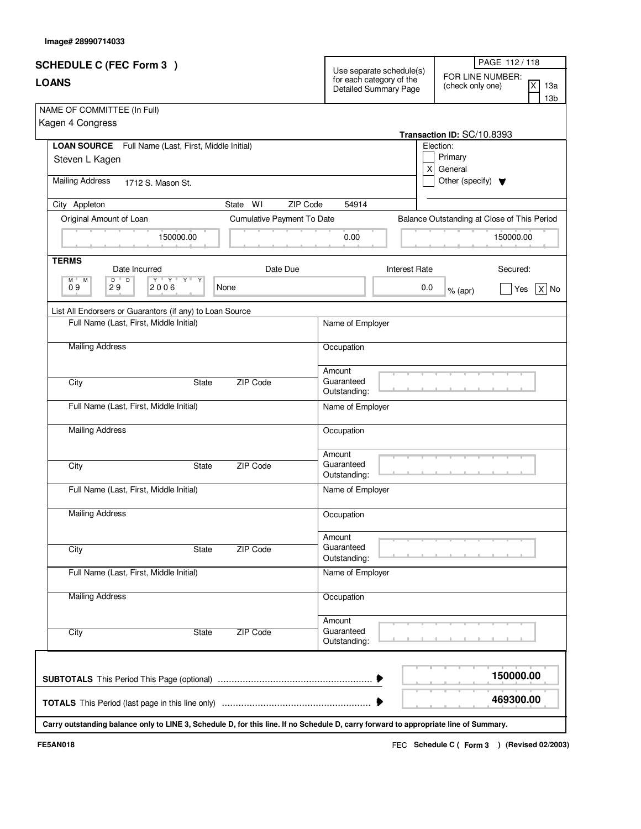| <b>SCHEDULE C (FEC Form 3)</b>                                            |                                                                                                                                      |                            |                                                                                           |                                             | PAGE 112/118   |  |  |
|---------------------------------------------------------------------------|--------------------------------------------------------------------------------------------------------------------------------------|----------------------------|-------------------------------------------------------------------------------------------|---------------------------------------------|----------------|--|--|
| <b>LOANS</b>                                                              | for each category of the<br><b>Detailed Summary Page</b>                                                                             | Use separate schedule(s)   | FOR LINE NUMBER:<br>$\overline{\mathsf{x}}$<br>13a<br>(check only one)<br>13 <sub>b</sub> |                                             |                |  |  |
| NAME OF COMMITTEE (In Full)                                               |                                                                                                                                      |                            |                                                                                           |                                             |                |  |  |
| Kagen 4 Congress                                                          |                                                                                                                                      |                            |                                                                                           |                                             |                |  |  |
| LOAN SOURCE Full Name (Last, First, Middle Initial)                       |                                                                                                                                      |                            |                                                                                           | Transaction ID: SC/10.8393<br>Election:     |                |  |  |
| Steven L Kagen                                                            |                                                                                                                                      |                            |                                                                                           | Primary                                     |                |  |  |
|                                                                           |                                                                                                                                      |                            | $\mathsf{x}$<br>General                                                                   |                                             |                |  |  |
| <b>Mailing Address</b>                                                    | 1712 S. Mason St.                                                                                                                    |                            |                                                                                           | Other (specify) $\blacktriangledown$        |                |  |  |
| City Appleton                                                             | WI<br>State                                                                                                                          | ZIP Code<br>54914          |                                                                                           |                                             |                |  |  |
| Original Amount of Loan                                                   | Cumulative Payment To Date                                                                                                           |                            |                                                                                           | Balance Outstanding at Close of This Period |                |  |  |
|                                                                           | 150000.00                                                                                                                            | 0.00                       |                                                                                           |                                             | 150000.00      |  |  |
| <b>TERMS</b><br>Date Incurred                                             | Date Due                                                                                                                             |                            | <b>Interest Rate</b>                                                                      |                                             | Secured:       |  |  |
| $\overline{D}$<br>$D$ <sup><math>\top</math></sup><br>$M$ $M$<br>09<br>29 | $\mathsf{Y} \perp \mathsf{X} \perp \mathsf{X} \perp \mathsf{X}$<br>2006<br>None                                                      |                            | 0.0                                                                                       | $%$ (apr)                                   | $X $ No<br>Yes |  |  |
| List All Endorsers or Guarantors (if any) to Loan Source                  |                                                                                                                                      |                            |                                                                                           |                                             |                |  |  |
| Full Name (Last, First, Middle Initial)                                   |                                                                                                                                      | Name of Employer           |                                                                                           |                                             |                |  |  |
| <b>Mailing Address</b>                                                    |                                                                                                                                      |                            | Occupation                                                                                |                                             |                |  |  |
|                                                                           |                                                                                                                                      |                            |                                                                                           |                                             |                |  |  |
| City                                                                      | ZIP Code<br><b>State</b>                                                                                                             | Amount<br>Guaranteed       |                                                                                           |                                             |                |  |  |
|                                                                           |                                                                                                                                      | Outstanding:               |                                                                                           |                                             |                |  |  |
| Full Name (Last, First, Middle Initial)                                   |                                                                                                                                      | Name of Employer           |                                                                                           |                                             |                |  |  |
| <b>Mailing Address</b>                                                    |                                                                                                                                      | Occupation                 |                                                                                           |                                             |                |  |  |
|                                                                           |                                                                                                                                      | Amount                     |                                                                                           |                                             |                |  |  |
| City                                                                      | ZIP Code<br><b>State</b>                                                                                                             | Guaranteed<br>Outstanding: |                                                                                           |                                             |                |  |  |
| Full Name (Last, First, Middle Initial)                                   |                                                                                                                                      | Name of Employer           |                                                                                           |                                             |                |  |  |
| <b>Mailing Address</b>                                                    |                                                                                                                                      | Occupation                 |                                                                                           |                                             |                |  |  |
|                                                                           |                                                                                                                                      | Amount                     |                                                                                           |                                             |                |  |  |
| City                                                                      | ZIP Code<br>State                                                                                                                    | Guaranteed                 |                                                                                           |                                             |                |  |  |
|                                                                           |                                                                                                                                      | Outstanding:               |                                                                                           |                                             |                |  |  |
| Full Name (Last, First, Middle Initial)                                   |                                                                                                                                      | Name of Employer           |                                                                                           |                                             |                |  |  |
| <b>Mailing Address</b>                                                    |                                                                                                                                      | Occupation                 |                                                                                           |                                             |                |  |  |
|                                                                           |                                                                                                                                      | Amount                     |                                                                                           |                                             |                |  |  |
| City                                                                      | <b>ZIP Code</b><br>State                                                                                                             | Guaranteed<br>Outstanding: |                                                                                           |                                             |                |  |  |
|                                                                           |                                                                                                                                      |                            |                                                                                           |                                             |                |  |  |
|                                                                           |                                                                                                                                      |                            |                                                                                           |                                             | 150000.00      |  |  |
|                                                                           |                                                                                                                                      |                            |                                                                                           |                                             | 469300.00      |  |  |
|                                                                           | Carry outstanding balance only to LINE 3, Schedule D, for this line. If no Schedule D, carry forward to appropriate line of Summary. |                            |                                                                                           |                                             |                |  |  |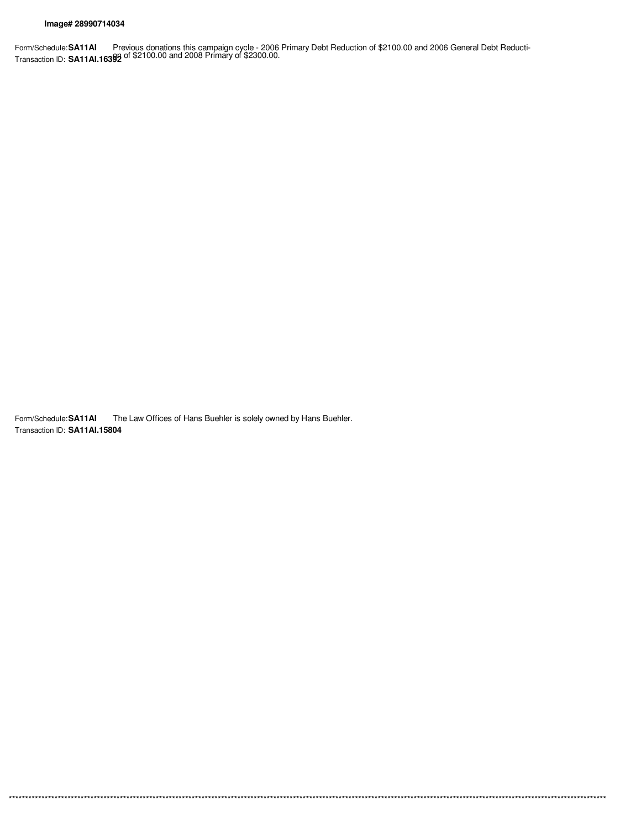$***$ \*\*\*

Form/Schedule:SA11AI Previous donations this campaign cycle - 2006 Primary Debt Reduction of \$2100.00 and 2006 General Debt Reducti-<br>Transaction ID: SA11AI.16392 of \$2100.00 and 2008 Primary of \$2300.00.

Form/Schedule: SA11AI The Law Offices of Hans Buehler is solely owned by Hans Buehler. Transaction ID: SA11AI.15804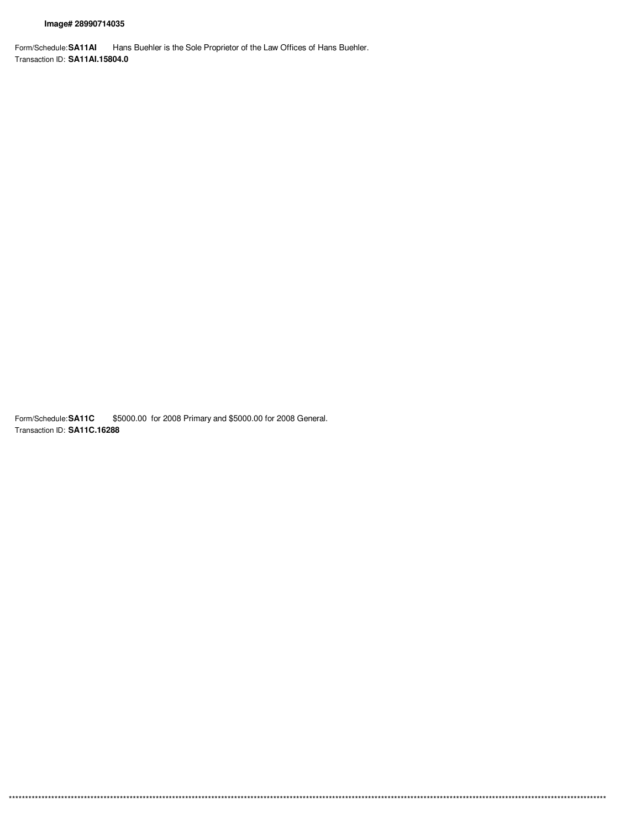Form/Schedule: SA11AI Hans Buehler is the Sole Proprietor of the Law Offices of Hans Buehler. Transaction ID: SA11AI.15804.0

Form/Schedule: SA11C \$5000.00 for 2008 Primary and \$5000.00 for 2008 General. Transaction ID: SA11C.16288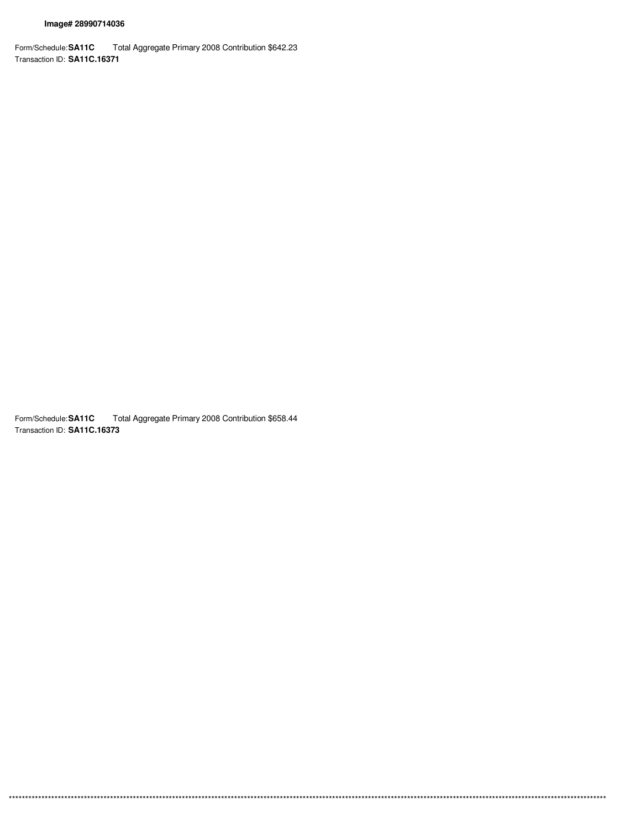Form/Schedule: SA11C Total Aggregate Primary 2008 Contribution \$642.23 Transaction ID: SA11C.16371

Form/Schedule: SA11C Total Aggregate Primary 2008 Contribution \$658.44 Transaction ID: SA11C.16373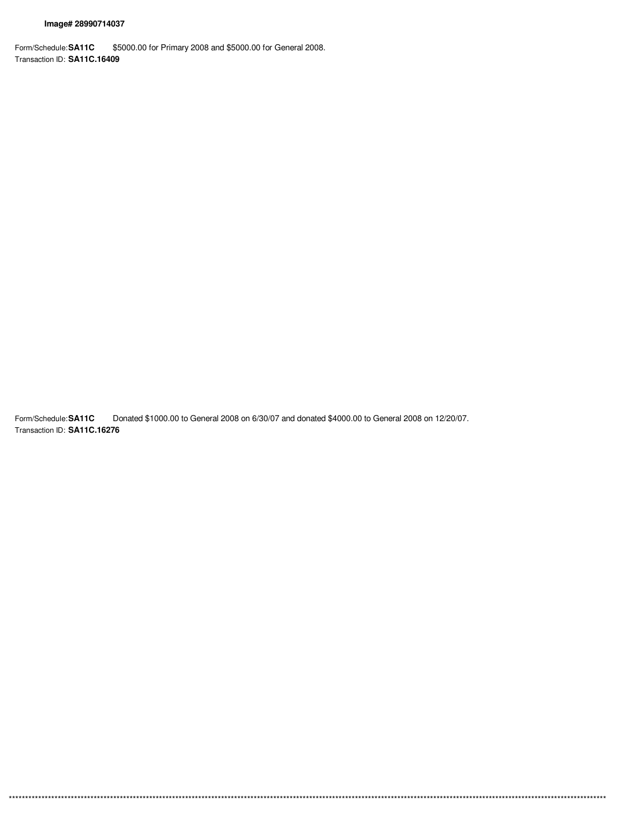Form/Schedule: SA11C \$5000.00 for Primary 2008 and \$5000.00 for General 2008. Transaction ID: SA11C.16409

Form/Schedule: SA11C Donated \$1000.00 to General 2008 on 6/30/07 and donated \$4000.00 to General 2008 on 12/20/07. Transaction ID: SA11C.16276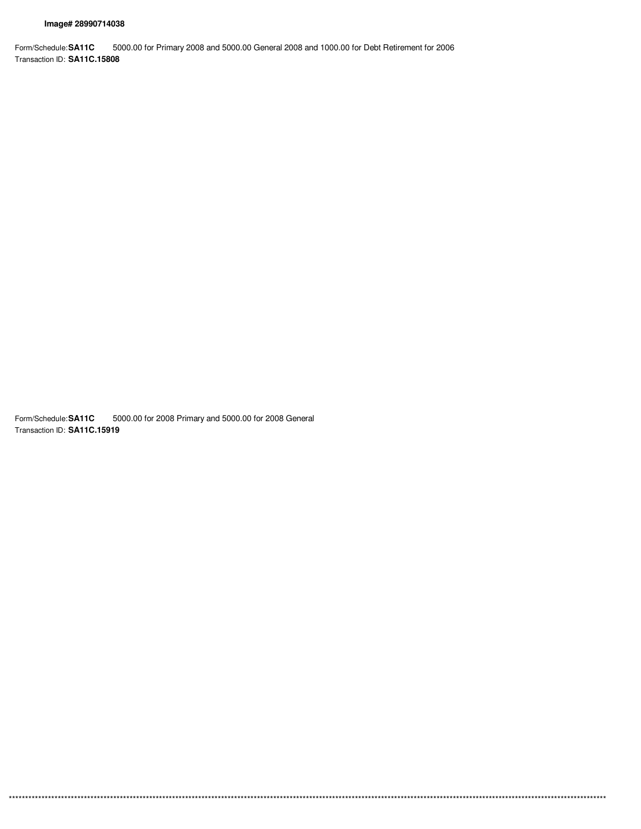Form/Schedule: SA11C 5000.00 for Primary 2008 and 5000.00 General 2008 and 1000.00 for Debt Retirement for 2006 Transaction ID: SA11C.15808

Form/Schedule: SA11C 5000.00 for 2008 Primary and 5000.00 for 2008 General Transaction ID: SA11C.15919